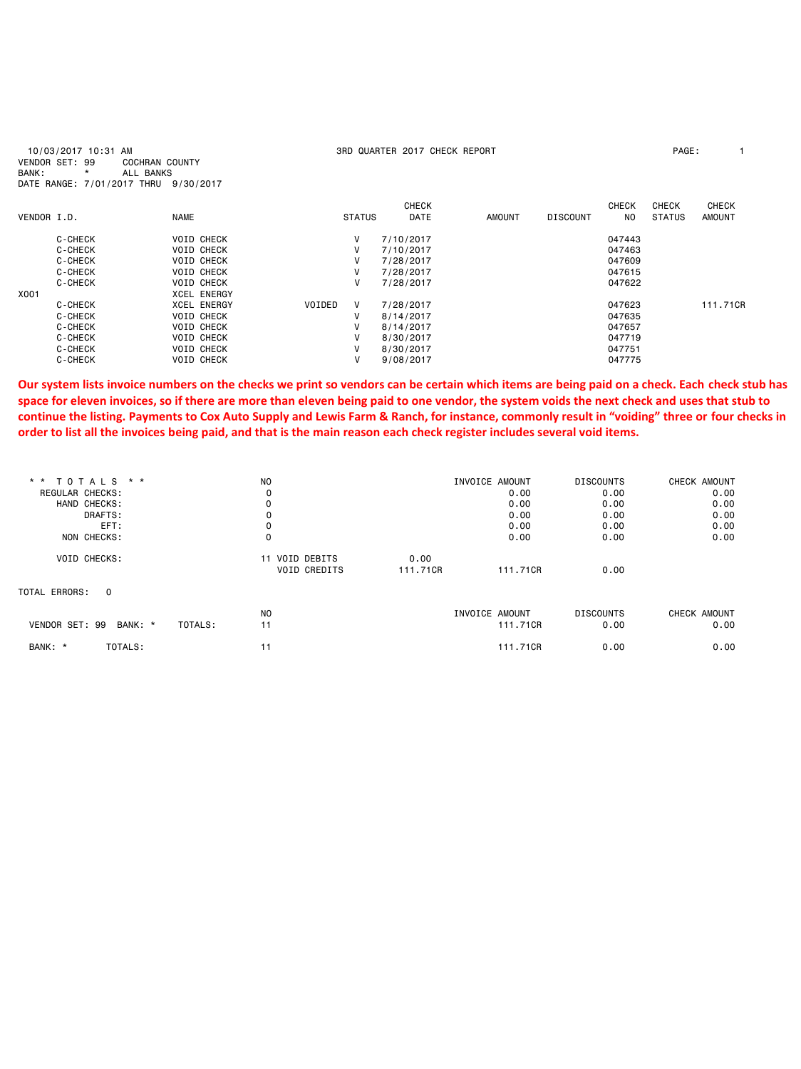| 10/03/2017 10:31 AM<br>VENDOR SET: 99<br><b>COCHRAN COUNTY</b><br>BANK:<br>ALL BANKS<br>$\star$ |                            |             |                    |        | 3RD QUARTER 2017 CHECK REPORT |                             |               |                 |                                |                               | PAGE:                         |
|-------------------------------------------------------------------------------------------------|----------------------------|-------------|--------------------|--------|-------------------------------|-----------------------------|---------------|-----------------|--------------------------------|-------------------------------|-------------------------------|
|                                                                                                 | DATE RANGE: 7/01/2017 THRU | 9/30/2017   |                    |        |                               |                             |               |                 |                                |                               |                               |
| VENDOR I.D.                                                                                     |                            | <b>NAME</b> |                    |        | <b>STATUS</b>                 | <b>CHECK</b><br><b>DATE</b> | <b>AMOUNT</b> | <b>DISCOUNT</b> | <b>CHECK</b><br>N <sub>0</sub> | <b>CHECK</b><br><b>STATUS</b> | <b>CHECK</b><br><b>AMOUNT</b> |
|                                                                                                 |                            |             |                    |        |                               |                             |               |                 |                                |                               |                               |
|                                                                                                 | C-CHECK                    |             | <b>VOID CHECK</b>  |        | V                             | 7/10/2017                   |               |                 | 047443                         |                               |                               |
|                                                                                                 | C-CHECK                    |             | <b>VOID CHECK</b>  |        | v                             | 7/10/2017                   |               |                 | 047463                         |                               |                               |
|                                                                                                 | C-CHECK                    |             | <b>VOID CHECK</b>  |        | v                             | 7/28/2017                   |               |                 | 047609                         |                               |                               |
|                                                                                                 | C-CHECK                    |             | <b>VOID CHECK</b>  |        | v                             | 7/28/2017                   |               |                 | 047615                         |                               |                               |
|                                                                                                 | C-CHECK                    |             | <b>VOID CHECK</b>  |        | v                             | 7/28/2017                   |               |                 | 047622                         |                               |                               |
| X001                                                                                            |                            |             | <b>XCEL ENERGY</b> |        |                               |                             |               |                 |                                |                               |                               |
|                                                                                                 | C-CHECK                    |             | <b>XCEL ENERGY</b> | VOIDED | V                             | 7/28/2017                   |               |                 | 047623                         |                               | 111.71CR                      |
|                                                                                                 | C-CHECK                    |             | <b>VOID CHECK</b>  |        | v                             | 8/14/2017                   |               |                 | 047635                         |                               |                               |
|                                                                                                 | C-CHECK                    |             | <b>VOID CHECK</b>  |        | v                             | 8/14/2017                   |               |                 | 047657                         |                               |                               |
|                                                                                                 | C-CHECK                    |             | <b>VOID CHECK</b>  |        | v                             | 8/30/2017                   |               |                 | 047719                         |                               |                               |
|                                                                                                 | C-CHECK                    |             | <b>VOID CHECK</b>  |        | ٧                             | 8/30/2017                   |               |                 | 047751                         |                               |                               |
|                                                                                                 | C-CHECK                    |             | <b>VOID CHECK</b>  |        | v                             | 9/08/2017                   |               |                 | 047775                         |                               |                               |

**Our system lists invoice numbers on the checks we print so vendors can be certain which items are being paid on a check. Each check stub has space for eleven invoices, so if there are more than eleven being paid to one vendor, the system voids the next check and uses that stub to continue the listing. Payments to Cox Auto Supply and Lewis Farm & Ranch, for instance, commonly result in "voiding" three or four checks in order to list all the invoices being paid, and that is the main reason each check register includes several void items.** 

| ** TOTALS<br>$* *$<br>REGULAR CHECKS:<br>HAND CHECKS: | N <sub>O</sub><br>0                      |                  | INVOICE AMOUNT<br>0.00<br>0.00 | <b>DISCOUNTS</b><br>0.00<br>0.00 | CHECK AMOUNT<br>0.00<br>0.00 |
|-------------------------------------------------------|------------------------------------------|------------------|--------------------------------|----------------------------------|------------------------------|
| DRAFTS:<br>EFT:<br>NON CHECKS:                        | $\Omega$                                 |                  | 0.00<br>0.00<br>0.00           | 0.00<br>0.00<br>0.00             | 0.00<br>0.00<br>0.00         |
| <b>VOID CHECKS:</b>                                   | VOID DEBITS<br>11<br><b>VOID CREDITS</b> | 0.00<br>111,71CR | 111,71CR                       | 0.00                             |                              |
| TOTAL ERRORS:<br>$\Omega$                             |                                          |                  |                                |                                  |                              |
| VENDOR SET: 99<br>BANK: *<br>TOTALS:                  | N <sub>0</sub><br>11                     |                  | INVOICE AMOUNT<br>111,71CR     | <b>DISCOUNTS</b><br>0.00         | CHECK AMOUNT<br>0.00         |
| BANK: *<br>TOTALS:                                    | 11                                       |                  | 111,71CR                       | 0.00                             | 0.00                         |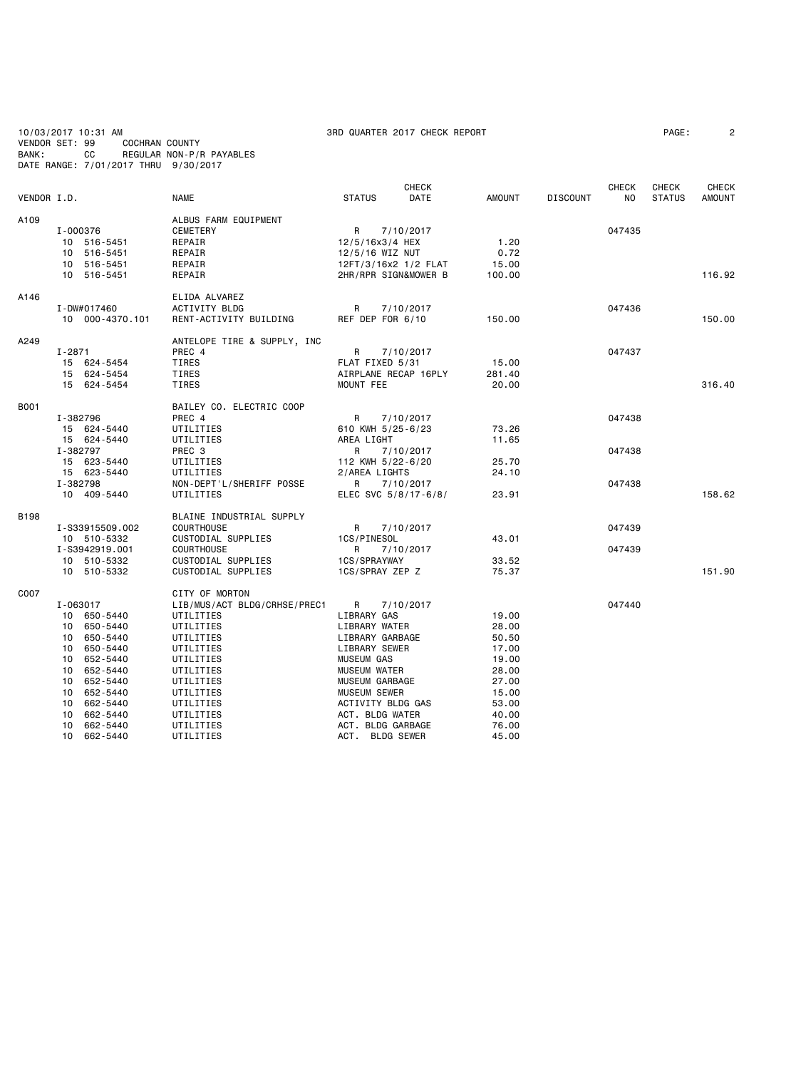10/03/2017 10:31 AM 3RD QUARTER 2017 CHECK REPORT PAGE: 2 VENDOR SET: 99 COCHRAN COUNTY BANK: CC REGULAR NON-P/R PAYABLES DATE RANGE: 7/01/2017 THRU 9/30/2017

| VENDOR I.D. |                 | <b>NAME</b>                  | <b>CHECK</b><br><b>STATUS</b><br>DATE | <b>AMOUNT</b> | <b>DISCOUNT</b> | <b>CHECK</b><br>N <sub>0</sub> | <b>CHECK</b><br><b>STATUS</b> | <b>CHECK</b><br><b>AMOUNT</b> |
|-------------|-----------------|------------------------------|---------------------------------------|---------------|-----------------|--------------------------------|-------------------------------|-------------------------------|
| A109        |                 | ALBUS FARM EQUIPMENT         |                                       |               |                 |                                |                               |                               |
|             | I-000376        | CEMETERY                     | R<br>7/10/2017                        |               |                 | 047435                         |                               |                               |
|             | 10 516-5451     | REPAIR                       | 12/5/16x3/4 HEX                       | 1.20          |                 |                                |                               |                               |
|             | 10 516-5451     | REPAIR                       | 12/5/16 WIZ NUT                       | 0.72          |                 |                                |                               |                               |
|             | 10 516-5451     | REPAIR                       | 12FT/3/16x2 1/2 FLAT                  | 15.00         |                 |                                |                               |                               |
|             | 10 516-5451     | REPAIR                       | 2HR/RPR SIGN&MOWER B                  | 100.00        |                 |                                |                               | 116.92                        |
| A146        |                 | ELIDA ALVAREZ                |                                       |               |                 |                                |                               |                               |
|             | I-DW#017460     | <b>ACTIVITY BLDG</b>         | R<br>7/10/2017                        |               |                 | 047436                         |                               |                               |
|             | 10 000-4370.101 | RENT-ACTIVITY BUILDING       | REF DEP FOR 6/10                      | 150.00        |                 |                                |                               | 150.00                        |
| A249        |                 | ANTELOPE TIRE & SUPPLY, INC  |                                       |               |                 |                                |                               |                               |
|             | $I - 2871$      | PREC 4                       | R<br>7/10/2017                        |               |                 | 047437                         |                               |                               |
|             | 15 624-5454     | TIRES                        | FLAT FIXED 5/31                       | 15.00         |                 |                                |                               |                               |
|             | 15 624-5454     | TIRES                        | AIRPLANE RECAP 16PLY                  | 281.40        |                 |                                |                               |                               |
|             | 15 624-5454     | TIRES                        | MOUNT FEE                             | 20.00         |                 |                                |                               | 316.40                        |
| B001        |                 | BAILEY CO. ELECTRIC COOP     |                                       |               |                 |                                |                               |                               |
|             | I-382796        | PREC 4                       | R<br>7/10/2017                        |               |                 | 047438                         |                               |                               |
|             | 15 624-5440     | UTILITIES                    | 610 KWH 5/25-6/23                     | 73.26         |                 |                                |                               |                               |
|             | 15 624-5440     | UTILITIES                    | AREA LIGHT                            | 11.65         |                 |                                |                               |                               |
|             | I-382797        | PREC 3                       | 7/10/2017<br>R                        |               |                 | 047438                         |                               |                               |
|             | 15 623-5440     | UTILITIES                    | 112 KWH 5/22-6/20                     | 25.70         |                 |                                |                               |                               |
|             | 15 623-5440     | UTILITIES                    | 2/AREA LIGHTS                         | 24.10         |                 |                                |                               |                               |
|             | I-382798        | NON-DEPT'L/SHERIFF POSSE     | R<br>7/10/2017                        |               |                 | 047438                         |                               |                               |
|             | 10 409-5440     | UTILITIES                    | ELEC SVC 5/8/17-6/8/                  | 23.91         |                 |                                |                               | 158.62                        |
| B198        |                 | BLAINE INDUSTRIAL SUPPLY     |                                       |               |                 |                                |                               |                               |
|             | I-S33915509.002 | <b>COURTHOUSE</b>            | 7/10/2017<br>R                        |               |                 | 047439                         |                               |                               |
|             | 10 510-5332     | CUSTODIAL SUPPLIES           | 1CS/PINESOL                           | 43.01         |                 |                                |                               |                               |
|             | I-S3942919.001  | <b>COURTHOUSE</b>            | R<br>7/10/2017                        |               |                 | 047439                         |                               |                               |
|             | 10 510-5332     | CUSTODIAL SUPPLIES           | 1CS/SPRAYWAY                          | 33.52         |                 |                                |                               |                               |
|             | 10 510-5332     | CUSTODIAL SUPPLIES           | 1CS/SPRAY ZEP Z                       | 75.37         |                 |                                |                               | 151.90                        |
| C007        |                 | CITY OF MORTON               |                                       |               |                 |                                |                               |                               |
|             | I-063017        | LIB/MUS/ACT BLDG/CRHSE/PREC1 | R<br>7/10/2017                        |               |                 | 047440                         |                               |                               |
|             | 10 650-5440     | UTILITIES                    | LIBRARY GAS                           | 19.00         |                 |                                |                               |                               |
|             | 10 650-5440     | UTILITIES                    | LIBRARY WATER                         | 28.00         |                 |                                |                               |                               |
|             | 10 650-5440     | UTILITIES                    | LIBRARY GARBAGE                       | 50.50         |                 |                                |                               |                               |
|             | 10 650-5440     | UTILITIES                    | LIBRARY SEWER                         | 17.00         |                 |                                |                               |                               |
|             | 10 652-5440     | UTILITIES                    | MUSEUM GAS                            | 19.00         |                 |                                |                               |                               |
|             | 10 652-5440     | UTILITIES                    | <b>MUSEUM WATER</b>                   | 28.00         |                 |                                |                               |                               |
|             | 10 652-5440     | UTILITIES                    | MUSEUM GARBAGE                        | 27.00         |                 |                                |                               |                               |
|             | 10 652-5440     | UTILITIES                    | <b>MUSEUM SEWER</b>                   | 15.00         |                 |                                |                               |                               |
|             | 662-5440<br>10  | UTILITIES                    | ACTIVITY BLDG GAS                     | 53.00         |                 |                                |                               |                               |
|             | 662-5440<br>10  | UTILITIES                    | ACT. BLDG WATER                       | 40.00         |                 |                                |                               |                               |
|             | 10 662-5440     | UTILITIES                    | ACT. BLDG GARBAGE                     | 76.00         |                 |                                |                               |                               |

10 662-5440 UTILITIES ACT. BLDG SEWER 45.00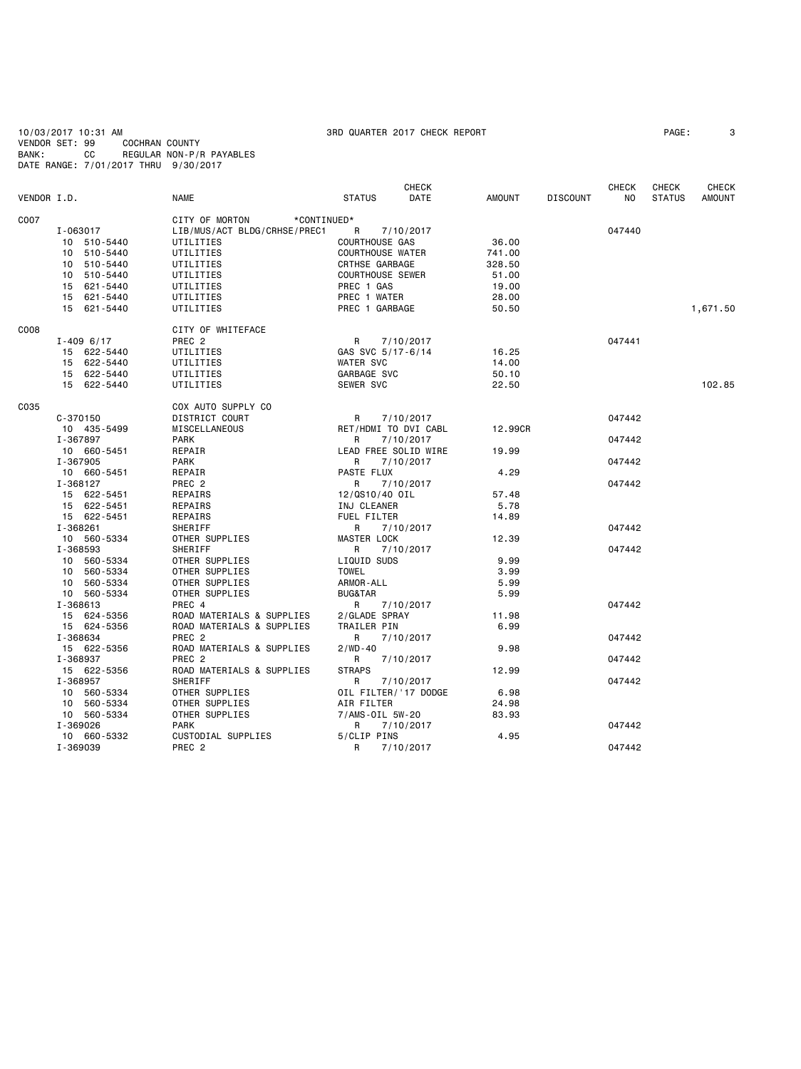10/03/2017 10:31 AM 3RD QUARTER 2017 CHECK REPORT PAGE: 3 VENDOR SET: 99 COCHRAN COUNTY BANK: CC REGULAR NON-P/R PAYABLES DATE RANGE: 7/01/2017 THRU 9/30/2017

| VENDOR I.D. |               | <b>NAME</b>                   | <b>STATUS</b>           | <b>CHECK</b><br>DATE | <b>AMOUNT</b> | <b>DISCOUNT</b> | <b>CHECK</b><br>NO. | <b>CHECK</b><br><b>STATUS</b> | <b>CHECK</b><br><b>AMOUNT</b> |
|-------------|---------------|-------------------------------|-------------------------|----------------------|---------------|-----------------|---------------------|-------------------------------|-------------------------------|
| C007        |               | CITY OF MORTON<br>*CONTINUED* |                         |                      |               |                 |                     |                               |                               |
|             | I-063017      | LIB/MUS/ACT BLDG/CRHSE/PREC1  | R                       | 7/10/2017            |               |                 | 047440              |                               |                               |
|             | 10 510-5440   | UTILITIES                     | COURTHOUSE GAS          |                      | 36.00         |                 |                     |                               |                               |
|             | 10 510-5440   | UTILITIES                     | <b>COURTHOUSE WATER</b> |                      | 741.00        |                 |                     |                               |                               |
|             | 10 510-5440   | UTILITIES                     | <b>CRTHSE GARBAGE</b>   |                      | 328.50        |                 |                     |                               |                               |
|             | 10 510-5440   | UTILITIES                     | <b>COURTHOUSE SEWER</b> |                      | 51.00         |                 |                     |                               |                               |
|             | 15 621-5440   | UTILITIES                     | PREC 1 GAS              |                      | 19.00         |                 |                     |                               |                               |
|             | 15 621-5440   | UTILITIES                     | PREC 1 WATER            |                      | 28.00         |                 |                     |                               |                               |
|             | 15 621-5440   | UTILITIES                     | PREC 1 GARBAGE          |                      | 50.50         |                 |                     |                               | 1,671.50                      |
| C008        |               | CITY OF WHITEFACE             |                         |                      |               |                 |                     |                               |                               |
|             | $I - 4096717$ | PREC <sub>2</sub>             | R                       | 7/10/2017            |               |                 | 047441              |                               |                               |
|             | 15 622-5440   | UTILITIES                     | GAS SVC 5/17-6/14       |                      | 16.25         |                 |                     |                               |                               |
|             | 15 622-5440   | UTILITIES                     | <b>WATER SVC</b>        |                      | 14.00         |                 |                     |                               |                               |
|             | 15 622-5440   | UTILITIES                     | GARBAGE SVC             |                      | 50.10         |                 |                     |                               |                               |
|             | 15 622-5440   | UTILITIES                     | SEWER SVC               |                      | 22.50         |                 |                     |                               | 102.85                        |
| C035        |               | COX AUTO SUPPLY CO            |                         |                      |               |                 |                     |                               |                               |
|             | $C - 370150$  | DISTRICT COURT                | R                       | 7/10/2017            |               |                 | 047442              |                               |                               |
|             | 10 435-5499   | MISCELLANEOUS                 | RET/HDMI TO DVI CABL    |                      | 12,99CR       |                 |                     |                               |                               |
|             | I-367897      | <b>PARK</b>                   | R                       | 7/10/2017            |               |                 | 047442              |                               |                               |
|             | 10 660-5451   | REPAIR                        | LEAD FREE SOLID WIRE    |                      | 19.99         |                 |                     |                               |                               |
|             | I-367905      | PARK                          | R                       | 7/10/2017            |               |                 | 047442              |                               |                               |
|             | 10 660-5451   | REPAIR                        | PASTE FLUX              |                      | 4.29          |                 |                     |                               |                               |
|             | I-368127      | PREC 2                        | R                       | 7/10/2017            |               |                 | 047442              |                               |                               |
|             | 15 622-5451   | REPAIRS                       | 12/0S10/40 OIL          |                      | 57.48         |                 |                     |                               |                               |
|             | 15 622-5451   | REPAIRS                       | INJ CLEANER             |                      | 5.78          |                 |                     |                               |                               |
|             | 15 622-5451   | REPAIRS                       | FUEL FILTER             |                      | 14.89         |                 |                     |                               |                               |
|             | I-368261      | SHERIFF                       | R                       | 7/10/2017            |               |                 | 047442              |                               |                               |
|             | 10 560-5334   | OTHER SUPPLIES                | <b>MASTER LOCK</b>      |                      | 12.39         |                 |                     |                               |                               |
|             | I-368593      | SHERIFF                       | R                       | 7/10/2017            |               |                 | 047442              |                               |                               |
|             | 10 560-5334   | OTHER SUPPLIES                | LIQUID SUDS             |                      | 9.99          |                 |                     |                               |                               |
|             | 10 560-5334   | OTHER SUPPLIES                | <b>TOWEL</b>            |                      | 3.99          |                 |                     |                               |                               |
|             | 10 560-5334   | OTHER SUPPLIES                | ARMOR-ALL               |                      | 5.99          |                 |                     |                               |                               |
|             | 10 560-5334   | OTHER SUPPLIES                | <b>BUG&amp;TAR</b>      |                      | 5.99          |                 |                     |                               |                               |
|             | I-368613      | PREC 4                        | R                       | 7/10/2017            |               |                 | 047442              |                               |                               |
|             | 15 624-5356   | ROAD MATERIALS & SUPPLIES     | 2/GLADE SPRAY           |                      | 11.98         |                 |                     |                               |                               |
|             | 15 624-5356   | ROAD MATERIALS & SUPPLIES     | TRAILER PIN             |                      | 6.99          |                 |                     |                               |                               |
|             | I-368634      | PREC <sub>2</sub>             | R                       | 7/10/2017            |               |                 | 047442              |                               |                               |
|             | 15 622-5356   | ROAD MATERIALS & SUPPLIES     | $2 / WD - 40$           |                      | 9.98          |                 |                     |                               |                               |
|             | I-368937      | PREC <sub>2</sub>             | R                       | 7/10/2017            |               |                 | 047442              |                               |                               |
|             | 15 622-5356   | ROAD MATERIALS & SUPPLIES     | <b>STRAPS</b>           |                      | 12.99         |                 |                     |                               |                               |
|             | I-368957      | SHERIFF                       | R                       | 7/10/2017            |               |                 | 047442              |                               |                               |
|             | 10 560-5334   | OTHER SUPPLIES                | OIL FILTER/'17 DODGE    |                      | 6.98          |                 |                     |                               |                               |
|             | 10 560-5334   | OTHER SUPPLIES                | AIR FILTER              |                      | 24.98         |                 |                     |                               |                               |
|             | 10 560-5334   | OTHER SUPPLIES                | 7/AMS-0IL 5W-20         |                      | 83.93         |                 |                     |                               |                               |
|             | I-369026      | <b>PARK</b>                   | R                       | 7/10/2017            |               |                 | 047442              |                               |                               |
|             | 10 660-5332   | CUSTODIAL SUPPLIES            | 5/CLIP PINS             |                      | 4.95          |                 |                     |                               |                               |
|             | I-369039      | PREC <sub>2</sub>             | R                       | 7/10/2017            |               |                 | 047442              |                               |                               |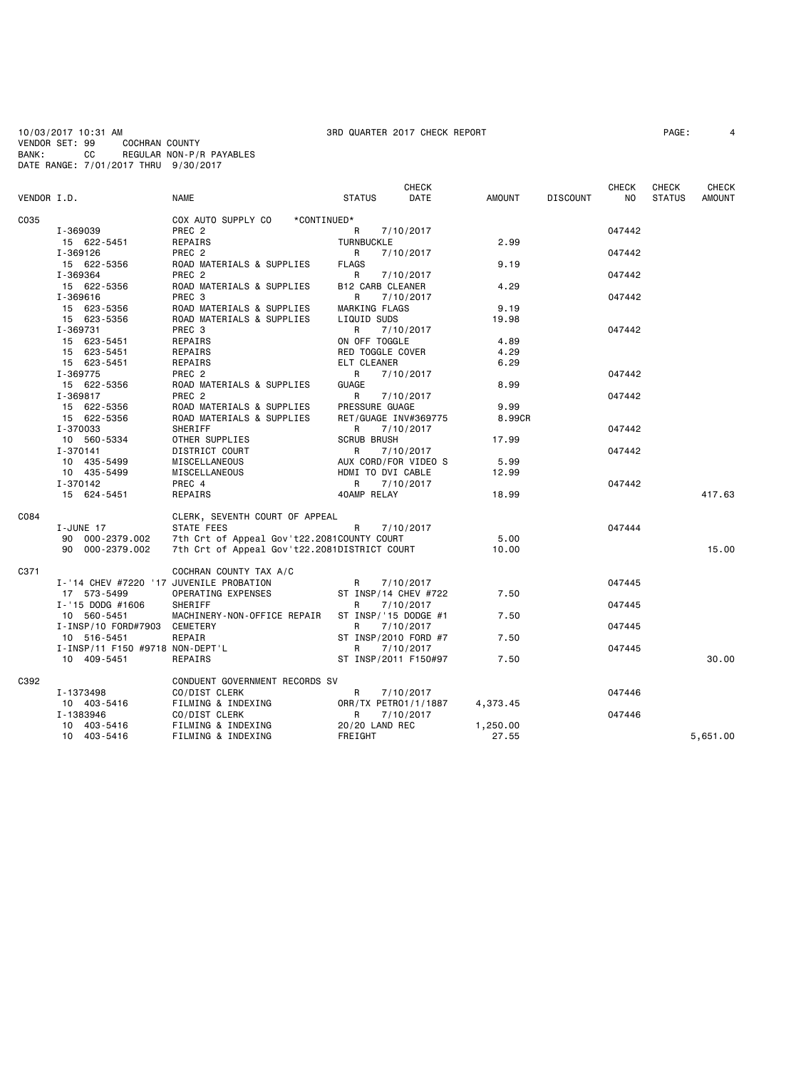10/03/2017 10:31 AM 300 AM 3RD QUARTER 2017 CHECK REPORT<br>VENDOR SET: 99 COCHRAN COUNTY : 99 COCHRAN COUNTY<br>CC REGULAR NON-P/F BANK: CC REGULAR NON-P/R PAYABLES DATE RANGE: 7/01/2017 THRU 9/30/2017

# **CHECK CHECK CHECK CHECK CHECK CHECK** VENDOR I.D. NAME STATUS DATE AMOUNT DISCOUNT NO STATUS AMOUNT CO35 COX AUTO SUPPLY CO \*CONTINUED\*<br>E T-369039 PREC 2 I-369039 PREC 2 R 7/10/2017 047442 15 622-5451 REPAIRS TURNBUCKLE 2.99 I-369126 PREC 2 R 7/10/2017 047442 15 622-5356 ROAD MATERIALS & SUPPLIES FLAGS 9.19 I-369364 PREC 2 R 7/10/2017 047442 15 622-5356 ROAD MATERIALS & SUPPLIES B12 CARB CLEANER 4.29 I-369616 PREC 3 R 7/10/2017 047442 15 623-5356 ROAD MATERIALS & SUPPLIES MARKING FLAGS 9.19 15 623-5356 ROAD MATERIALS & SUPPLIES LIQUID SUDS 19.98 I-369731 PREC 3 R 7/10/2017 047442 15 623-5451 REPAIRS ON OFF TOGGLE 4.89 15 623-5451 REPAIRS RED TOGGLE COVER 4.29 15 623-5451 REPAIRS ELT CLEANER 6.29 I-369775 PREC 2 R 7/10/2017 047442 15 622-5356 ROAD MATERIALS & SUPPLIES GUAGE 8.99 I-369817 PREC 2 R 7/10/2017 047442 15 622-5356 ROAD MATERIALS & SUPPLIES PRESSURE GUAGE 9.99 15 622-5356 ROAD MATERIALS & SUPPLIES RET/GUAGE INV#3697<br>1-370033 SHERIFF RETOR R 7/10/2017 I-370033 SHERIFF R 7/10/2017 047442 10 560-5334 OTHER SUPPLIES SCRUB BRUSH 17.99 I-370141 DISTRICT COURT R 7/10/2017 047442 المسابقة المسابقة المسابقة المسابقة المسابقة المسابقة المسابقة المسابقة المسابقة المسابقة المسابقة المسابقة ال<br>10 435-5499 MISCELLANEOUS HOMI TO DVI CABLE 12.99 10 435-5499 MISCELLANEOUS HDMI TO DVI CABLE<br>1-370142 PREC 4 R 7/10/2017 I-370142 PREC 4 R 7/10/2017 047442 15 624-5451 REPAIRS 40AMP RELAY 18.99 417.63 CO84 CLERK, SEVENTH COURT OF APPEAL<br>I-JUNE 17 STATE FEES I-JUNE 17 STATE FEES R 7/10/2017 R 7/10 17 947444 90 000-2379.002 7th Crt of Appeal Gov't22.2081COUNTY COURT 5.00 7th Crt of Appeal Gov't22.2081DISTRICT COURT 10.00 10.00 15.00 15.00 C371 COCHRAN COUNTY TAX A/C I-'14 CHEV #7220 '17 JUVENILE PROBATION R 7/10/2017<br>17 573-5499 0PERATING EXPENSES ST INSP/14 CHEV #722 7.50 ST INSP/14 CHEV #722 7.50 I-'15 DODG #1606 SHERIFF R 7/10/2017 047445 10 560-5451 MACHINERY-NON-OFFICE REPAIR ST INSP/'15 DODGE #1 7.50 I-INSP/10 FORD#7903 CEMETERY R 7/10/2017 047445 ST INSP/2010 FORD #7<br>R 7/10/2017 I-INSP/11 F150 #9718 NON-DEPT'L R 7/10/2017<br>10 409-5451 REPAIRS ST\_INSP/2011 F150#97 7.50 047445 ST INSP/2011 F150#97 7.50 30.00 C392 CONDUENT GOVERNMENT RECORDS SV<br>
I-1373498 CO/DIST CLERK I-1373498 CO/DIST CLERK R 7/10/2017 047446 10 403-5416 FILMING & INDEXING ORR/TX PETRO1/1/1887 4,373.45 1-1383946 CO/DIST CLERK R R 7/10/2017<br>10 403-5416 FILMING & INDEXING 20/20 LAND REC 1,250.00 10 403-5416 FILMING & INDEXING 20/20 L<br>10 403-5416 FILMING & INDEXING FREE GHT FILMING & INDEXING FREIGHT **FREIGHT** 27.55 5,651.00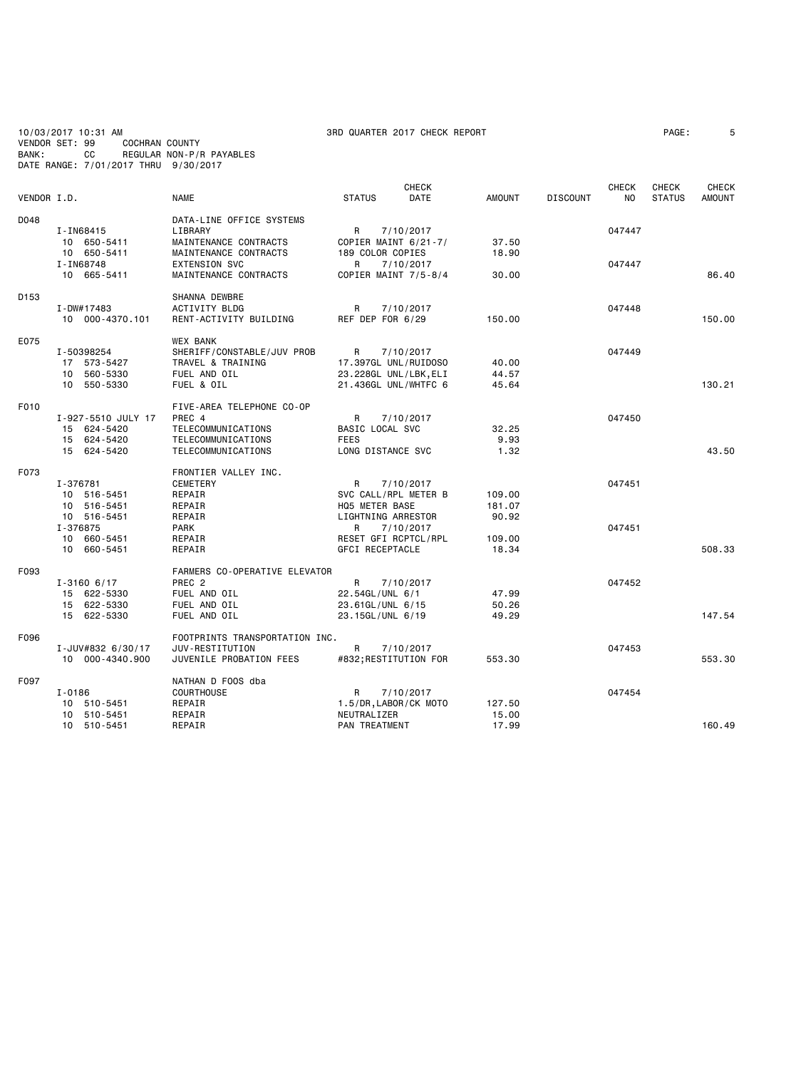10/03/2017 10:31 AM 3RD QUARTER 2017 CHECK REPORT PAGE: 5 VENDOR SET: 99 COCHRAN COUNTY BANK: CC REGULAR NON-P/R PAYABLES DATE RANGE: 7/01/2017 THRU 9/30/2017

|                  |                    |                                |                        | <b>CHECK</b> |               |                 | <b>CHECK</b> | <b>CHECK</b>  | <b>CHECK</b> |
|------------------|--------------------|--------------------------------|------------------------|--------------|---------------|-----------------|--------------|---------------|--------------|
| VENDOR I.D.      |                    | <b>NAME</b>                    | <b>STATUS</b>          | DATE         | <b>AMOUNT</b> | <b>DISCOUNT</b> | ΝO           | <b>STATUS</b> | AMOUNT       |
| D048             |                    | DATA-LINE OFFICE SYSTEMS       |                        |              |               |                 |              |               |              |
|                  | I-IN68415          | LIBRARY                        | R                      | 7/10/2017    |               |                 | 047447       |               |              |
|                  | 10 650-5411        | MAINTENANCE CONTRACTS          | COPIER MAINT 6/21-7/   |              | 37.50         |                 |              |               |              |
|                  | 10 650-5411        | MAINTENANCE CONTRACTS          | 189 COLOR COPIES       |              | 18.90         |                 |              |               |              |
|                  | I-IN68748          | <b>EXTENSION SVC</b>           | R                      | 7/10/2017    |               |                 | 047447       |               |              |
|                  | 10 665-5411        | MAINTENANCE CONTRACTS          | COPIER MAINT 7/5-8/4   |              | 30.00         |                 |              |               | 86.40        |
| D <sub>153</sub> |                    | SHANNA DEWBRE                  |                        |              |               |                 |              |               |              |
|                  | I-DW#17483         | ACTIVITY BLDG                  | R                      | 7/10/2017    |               |                 | 047448       |               |              |
|                  | 10 000-4370.101    | RENT-ACTIVITY BUILDING         | REF DEP FOR 6/29       |              | 150.00        |                 |              |               | 150.00       |
| E075             |                    | <b>WEX BANK</b>                |                        |              |               |                 |              |               |              |
|                  | I-50398254         | SHERIFF/CONSTABLE/JUV PROB     | R                      | 7/10/2017    |               |                 | 047449       |               |              |
|                  | 17 573-5427        | TRAVEL & TRAINING              | 17.397GL UNL/RUIDOSO   |              | 40.00         |                 |              |               |              |
|                  | 10 560-5330        | FUEL AND OIL                   | 23.228GL UNL/LBK, ELI  |              | 44.57         |                 |              |               |              |
|                  | 10 550-5330        | FUEL & OIL                     | 21.436GL UNL/WHTFC 6   |              | 45.64         |                 |              |               | 130.21       |
| F010             |                    | FIVE-AREA TELEPHONE CO-OP      |                        |              |               |                 |              |               |              |
|                  | I-927-5510 JULY 17 | PREC 4                         | R                      | 7/10/2017    |               |                 | 047450       |               |              |
|                  | 15 624-5420        | TELECOMMUNICATIONS             | BASIC LOCAL SVC        |              | 32.25         |                 |              |               |              |
|                  | 15 624-5420        | TELECOMMUNICATIONS             | <b>FEES</b>            |              | 9.93          |                 |              |               |              |
|                  | 15 624-5420        | TELECOMMUNICATIONS             | LONG DISTANCE SVC      |              | 1.32          |                 |              |               | 43.50        |
| F073             |                    | FRONTIER VALLEY INC.           |                        |              |               |                 |              |               |              |
|                  | I-376781           | <b>CEMETERY</b>                | R                      | 7/10/2017    |               |                 | 047451       |               |              |
|                  | 10 516-5451        | REPAIR                         | SVC CALL/RPL METER B   |              | 109.00        |                 |              |               |              |
|                  | 10 516-5451        | REPAIR                         | HQ5 METER BASE         |              | 181.07        |                 |              |               |              |
|                  | 10 516-5451        | REPAIR                         | LIGHTNING ARRESTOR     |              | 90.92         |                 |              |               |              |
|                  | I-376875           | <b>PARK</b>                    | R                      | 7/10/2017    |               |                 | 047451       |               |              |
|                  | 10 660-5451        | REPAIR                         | RESET GFI RCPTCL/RPL   |              | 109.00        |                 |              |               |              |
|                  | 10 660-5451        | REPAIR                         | <b>GFCI RECEPTACLE</b> |              | 18.34         |                 |              |               | 508.33       |
| F093             |                    | FARMERS CO-OPERATIVE ELEVATOR  |                        |              |               |                 |              |               |              |
|                  | $I - 31606/17$     | PREC <sub>2</sub>              | R                      | 7/10/2017    |               |                 | 047452       |               |              |
|                  | 15 622-5330        | FUEL AND OIL                   | 22.54GL/UNL 6/1        |              | 47.99         |                 |              |               |              |
|                  | 15 622-5330        | FUEL AND OIL                   | 23.61GL/UNL 6/15       |              | 50.26         |                 |              |               |              |
|                  | 15 622-5330        | FUEL AND OIL                   | 23.15GL/UNL 6/19       |              | 49.29         |                 |              |               | 147.54       |
| F096             |                    | FOOTPRINTS TRANSPORTATION INC. |                        |              |               |                 |              |               |              |
|                  | I-JUV#832 6/30/17  | JUV-RESTITUTION                | R                      | 7/10/2017    |               |                 | 047453       |               |              |
|                  | 10 000-4340.900    | JUVENILE PROBATION FEES        | #832; RESTITUTION FOR  |              | 553.30        |                 |              |               | 553.30       |
| F097             |                    | NATHAN D FOOS dba              |                        |              |               |                 |              |               |              |
|                  | I-0186             | COURTHOUSE                     | R                      | 7/10/2017    |               |                 | 047454       |               |              |
|                  | 10 510-5451        | REPAIR                         | 1.5/DR, LABOR/CK MOTO  |              | 127.50        |                 |              |               |              |
|                  | 10 510-5451        | REPAIR                         | NEUTRALIZER            |              | 15.00         |                 |              |               |              |
|                  | 10 510-5451        | REPAIR                         | PAN TREATMENT          |              | 17.99         |                 |              |               | 160.49       |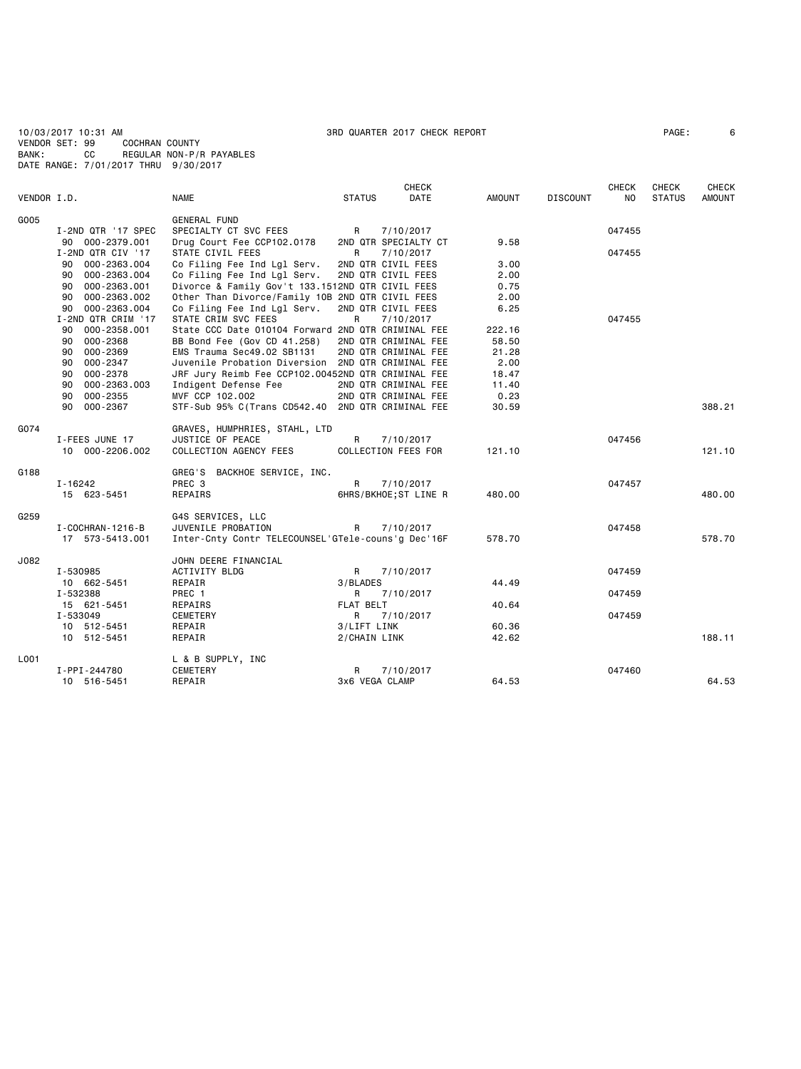10/03/2017 10:31 AM 3RD QUARTER 2017 CHECK REPORT PAGE: 6 VENDOR SET: 99 COCHRAN COUNTY BANK: CC REGULAR NON-P/R PAYABLES DATE RANGE: 7/01/2017 THRU 9/30/2017

|             |                    |                                                    |                  | <b>CHECK</b>          |               |                 | <b>CHECK</b> | <b>CHECK</b>  | <b>CHECK</b>  |
|-------------|--------------------|----------------------------------------------------|------------------|-----------------------|---------------|-----------------|--------------|---------------|---------------|
| VENDOR I.D. |                    | <b>NAME</b>                                        | <b>STATUS</b>    | DATE                  | <b>AMOUNT</b> | <b>DISCOUNT</b> | NO           | <b>STATUS</b> | <b>AMOUNT</b> |
| G005        |                    | <b>GENERAL FUND</b>                                |                  |                       |               |                 |              |               |               |
|             | I-2ND QTR '17 SPEC | SPECIALTY CT SVC FEES                              | R                | 7/10/2017             |               |                 | 047455       |               |               |
|             | 90 000-2379.001    | Drug Court Fee CCP102.0178                         |                  | 2ND QTR SPECIALTY CT  | 9.58          |                 |              |               |               |
|             | I-2ND QTR CIV '17  | STATE CIVIL FEES                                   | R                | 7/10/2017             |               |                 | 047455       |               |               |
|             | 90 000-2363.004    | Co Filing Fee Ind Lgl Serv.                        |                  | 2ND QTR CIVIL FEES    | 3.00          |                 |              |               |               |
|             | 000-2363.004<br>90 | Co Filing Fee Ind Lgl Serv.                        |                  | 2ND QTR CIVIL FEES    | 2.00          |                 |              |               |               |
|             | 90 000-2363.001    | Divorce & Family Gov't 133.1512ND QTR CIVIL FEES   |                  |                       | 0.75          |                 |              |               |               |
|             |                    |                                                    |                  |                       |               |                 |              |               |               |
|             | 90 000-2363.002    | Other Than Divorce/Family 10B 2ND QTR CIVIL FEES   |                  |                       | 2.00          |                 |              |               |               |
|             | 90 000-2363.004    | Co Filing Fee Ind Lgl Serv.                        |                  | 2ND QTR CIVIL FEES    | 6.25          |                 |              |               |               |
|             | I-2ND QTR CRIM '17 | STATE CRIM SVC FEES                                | R                | 7/10/2017             |               |                 | 047455       |               |               |
|             | 000-2358.001<br>90 | State CCC Date 010104 Forward 2ND QTR CRIMINAL FEE |                  |                       | 222.16        |                 |              |               |               |
|             | 90 000-2368        | BB Bond Fee (Gov CD 41.258)                        |                  | 2ND QTR CRIMINAL FEE  | 58.50         |                 |              |               |               |
|             | 90 000-2369        | EMS Trauma Sec49.02 SB1131                         |                  | 2ND QTR CRIMINAL FEE  | 21.28         |                 |              |               |               |
|             | 000-2347<br>90     | Juvenile Probation Diversion 2ND QTR CRIMINAL FEE  |                  |                       | 2.00          |                 |              |               |               |
|             | 90 000-2378        | JRF Jury Reimb Fee CCP102.00452ND QTR CRIMINAL FEE |                  |                       | 18.47         |                 |              |               |               |
|             | 000-2363.003<br>90 | Indigent Defense Fee                               |                  | 2ND QTR CRIMINAL FEE  | 11.40         |                 |              |               |               |
|             | 000-2355<br>90     | MVF CCP 102.002                                    |                  | 2ND QTR CRIMINAL FEE  | 0.23          |                 |              |               |               |
|             | 90 000-2367        | STF-Sub 95% C(Trans CD542.40 2ND QTR CRIMINAL FEE  |                  |                       | 30.59         |                 |              |               | 388.21        |
| G074        |                    | GRAVES, HUMPHRIES, STAHL, LTD                      |                  |                       |               |                 |              |               |               |
|             | I-FEES JUNE 17     | JUSTICE OF PEACE                                   | R                | 7/10/2017             |               |                 | 047456       |               |               |
|             | 10 000-2206.002    | COLLECTION AGENCY FEES                             |                  | COLLECTION FEES FOR   | 121.10        |                 |              |               | 121.10        |
|             |                    |                                                    |                  |                       |               |                 |              |               |               |
| G188        |                    | GREG'S BACKHOE SERVICE, INC.                       |                  |                       |               |                 |              |               |               |
|             | $I - 16242$        | PREC 3                                             | R                | 7/10/2017             |               |                 | 047457       |               |               |
|             | 15 623-5451        | REPAIRS                                            |                  | 6HRS/BKHOE; ST LINE R | 480.00        |                 |              |               | 480.00        |
| G259        |                    | G4S SERVICES, LLC                                  |                  |                       |               |                 |              |               |               |
|             | I-COCHRAN-1216-B   | JUVENILE PROBATION                                 | R                | 7/10/2017             |               |                 | 047458       |               |               |
|             | 17 573-5413.001    | Inter-Cnty Contr TELECOUNSEL'GTele-couns'g Dec'16F |                  |                       | 578.70        |                 |              |               | 578.70        |
| J082        |                    | JOHN DEERE FINANCIAL                               |                  |                       |               |                 |              |               |               |
|             | I-530985           | ACTIVITY BLDG                                      | R                | 7/10/2017             |               |                 | 047459       |               |               |
|             | 10 662-5451        | REPAIR                                             | 3/BLADES         |                       | 44.49         |                 |              |               |               |
|             | I-532388           | PREC 1                                             | R                | 7/10/2017             |               |                 | 047459       |               |               |
|             | 15 621-5451        | REPAIRS                                            | <b>FLAT BELT</b> |                       | 40.64         |                 |              |               |               |
|             | I-533049           | CEMETERY                                           | R                | 7/10/2017             |               |                 | 047459       |               |               |
|             | 10 512-5451        | REPAIR                                             | 3/LIFT LINK      |                       | 60.36         |                 |              |               |               |
|             | 10 512-5451        | REPAIR                                             | 2/CHAIN LINK     |                       | 42.62         |                 |              |               | 188.11        |
|             |                    |                                                    |                  |                       |               |                 |              |               |               |
| L001        |                    | L & B SUPPLY, INC                                  |                  |                       |               |                 |              |               |               |
|             | I-PPI-244780       | CEMETERY                                           | R                | 7/10/2017             |               |                 | 047460       |               |               |
|             | 10 516-5451        | REPAIR                                             | 3x6 VEGA CLAMP   |                       | 64.53         |                 |              |               | 64.53         |
|             |                    |                                                    |                  |                       |               |                 |              |               |               |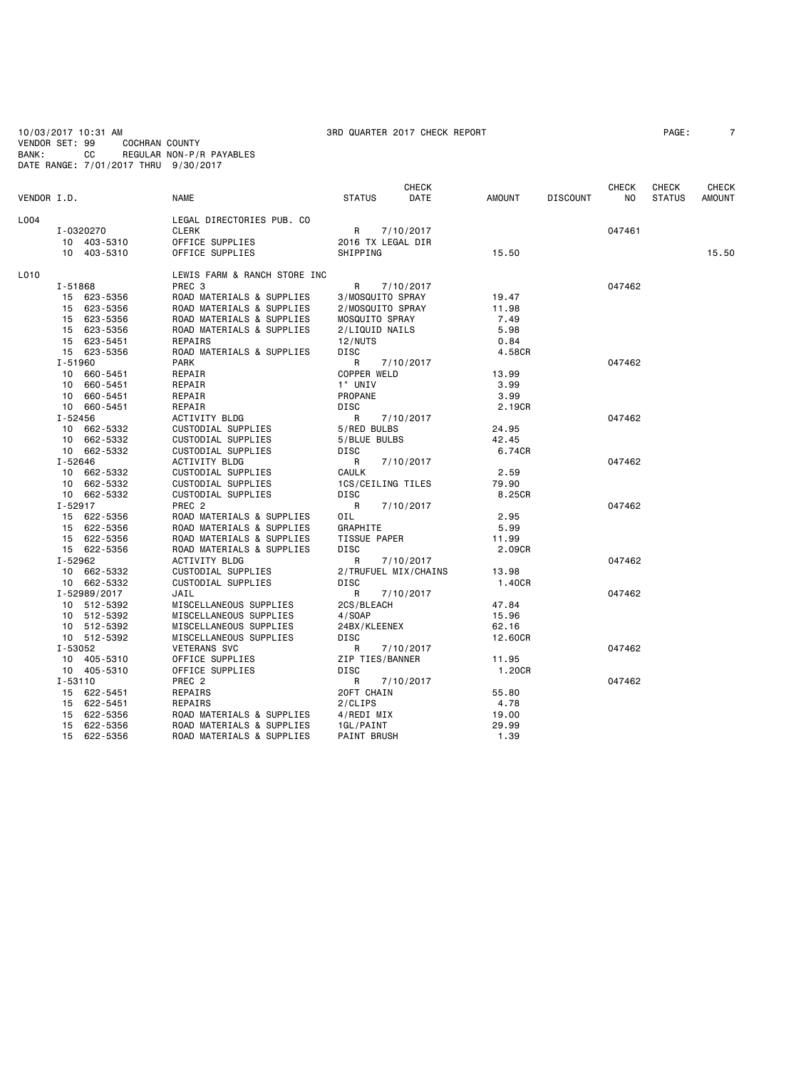10/03/2017 10:31 AM 3RD QUARTER 2017 CHECK REPORT PAGE: 7 VENDOR SET: 99 COCHRAN COUNTY BANK: CC REGULAR NON-P/R PAYABLES DATE RANGE: 7/01/2017 THRU 9/30/2017

|             |             |              |                              |                   | <b>CHECK</b>         |               |                 | <b>CHECK</b> | CHECK         | CHECK         |
|-------------|-------------|--------------|------------------------------|-------------------|----------------------|---------------|-----------------|--------------|---------------|---------------|
| VENDOR I.D. |             |              | <b>NAME</b>                  | <b>STATUS</b>     | DATE                 | <b>AMOUNT</b> | <b>DISCOUNT</b> | NO.          | <b>STATUS</b> | <b>AMOUNT</b> |
| L004        |             |              | LEGAL DIRECTORIES PUB. CO    |                   |                      |               |                 |              |               |               |
|             | I-0320270   |              | <b>CLERK</b>                 | R                 | 7/10/2017            |               |                 | 047461       |               |               |
|             |             | 10 403-5310  | OFFICE SUPPLIES              | 2016 TX LEGAL DIR |                      |               |                 |              |               |               |
|             |             | 10 403-5310  | OFFICE SUPPLIES              | SHIPPING          |                      | 15.50         |                 |              |               | 15.50         |
|             |             |              |                              |                   |                      |               |                 |              |               |               |
| L010        |             |              | LEWIS FARM & RANCH STORE INC |                   |                      |               |                 |              |               |               |
|             | I-51868     |              | PREC 3                       | R                 | 7/10/2017            |               |                 | 047462       |               |               |
|             |             | 15 623-5356  | ROAD MATERIALS & SUPPLIES    | 3/MOSQUITO SPRAY  |                      | 19.47         |                 |              |               |               |
|             |             | 15 623-5356  | ROAD MATERIALS & SUPPLIES    | 2/MOSQUITO SPRAY  |                      | 11.98         |                 |              |               |               |
|             |             | 15 623-5356  | ROAD MATERIALS & SUPPLIES    | MOSQUITO SPRAY    |                      | 7.49          |                 |              |               |               |
|             |             | 15 623-5356  | ROAD MATERIALS & SUPPLIES    | 2/LIQUID NAILS    |                      | 5.98          |                 |              |               |               |
|             |             | 15 623-5451  | REPAIRS                      | 12/NUTS           |                      | 0.84          |                 |              |               |               |
|             |             | 15 623-5356  | ROAD MATERIALS & SUPPLIES    | <b>DISC</b>       |                      | 4.58CR        |                 |              |               |               |
|             | I-51960     |              | <b>PARK</b>                  | R                 | 7/10/2017            |               |                 | 047462       |               |               |
|             |             | 10 660-5451  | REPAIR                       | COPPER WELD       |                      | 13.99         |                 |              |               |               |
|             |             | 10 660-5451  | REPAIR                       | 1" UNIV           |                      | 3.99          |                 |              |               |               |
|             |             | 10 660-5451  | REPAIR                       | PROPANE           |                      | 3.99          |                 |              |               |               |
|             |             | 10 660-5451  | REPAIR                       | <b>DISC</b>       |                      | 2.19CR        |                 |              |               |               |
|             | I-52456     |              | ACTIVITY BLDG                | R                 | 7/10/2017            |               |                 | 047462       |               |               |
|             |             | 10 662-5332  | CUSTODIAL SUPPLIES           | 5/RED BULBS       |                      | 24.95         |                 |              |               |               |
|             |             | 10 662-5332  | CUSTODIAL SUPPLIES           | 5/BLUE BULBS      |                      | 42.45         |                 |              |               |               |
|             |             | 10 662-5332  | CUSTODIAL SUPPLIES           | <b>DISC</b>       |                      | 6.74CR        |                 |              |               |               |
|             | I-52646     |              | <b>ACTIVITY BLDG</b>         | R                 | 7/10/2017            |               |                 | 047462       |               |               |
|             |             | 10 662-5332  | CUSTODIAL SUPPLIES           | <b>CAULK</b>      |                      | 2.59          |                 |              |               |               |
|             |             | 10 662-5332  | CUSTODIAL SUPPLIES           | 1CS/CEILING TILES |                      | 79.90         |                 |              |               |               |
|             |             | 10 662-5332  | CUSTODIAL SUPPLIES           | DISC              |                      | 8.25CR        |                 |              |               |               |
|             | I-52917     |              | PREC <sub>2</sub>            | R                 | 7/10/2017            |               |                 | 047462       |               |               |
|             |             | 15 622-5356  | ROAD MATERIALS & SUPPLIES    | OIL               |                      | 2.95          |                 |              |               |               |
|             |             | 15 622-5356  | ROAD MATERIALS & SUPPLIES    | GRAPHITE          |                      | 5.99          |                 |              |               |               |
|             |             | 15 622-5356  | ROAD MATERIALS & SUPPLIES    | TISSUE PAPER      |                      | 11.99         |                 |              |               |               |
|             |             | 15 622-5356  | ROAD MATERIALS & SUPPLIES    | <b>DISC</b>       |                      | 2.09CR        |                 |              |               |               |
|             | I-52962     |              |                              |                   |                      |               |                 |              |               |               |
|             |             |              | <b>ACTIVITY BLDG</b>         | R                 | 7/10/2017            |               |                 | 047462       |               |               |
|             |             | 10 662-5332  | CUSTODIAL SUPPLIES           |                   | 2/TRUFUEL MIX/CHAINS | 13.98         |                 |              |               |               |
|             |             | 10 662-5332  | CUSTODIAL SUPPLIES           | DISC              |                      | 1.40CR        |                 |              |               |               |
|             |             | I-52989/2017 | JAIL                         | R                 | 7/10/2017            |               |                 | 047462       |               |               |
|             |             | 10 512-5392  | MISCELLANEOUS SUPPLIES       | 2CS/BLEACH        |                      | 47.84         |                 |              |               |               |
|             |             | 10 512-5392  | MISCELLANEOUS SUPPLIES       | 4/SOAP            |                      | 15.96         |                 |              |               |               |
|             |             | 10 512-5392  | MISCELLANEOUS SUPPLIES       | 24BX/KLEENEX      |                      | 62.16         |                 |              |               |               |
|             |             | 10 512-5392  | MISCELLANEOUS SUPPLIES       | DISC              |                      | 12.60CR       |                 |              |               |               |
|             | I-53052     |              | <b>VETERANS SVC</b>          | R                 | 7/10/2017            |               |                 | 047462       |               |               |
|             |             | 10 405-5310  | OFFICE SUPPLIES              | ZIP TIES/BANNER   |                      | 11.95         |                 |              |               |               |
|             |             | 10 405-5310  | OFFICE SUPPLIES              | DISC              |                      | 1.20CR        |                 |              |               |               |
|             | $I - 53110$ |              | PREC <sub>2</sub>            | R                 | 7/10/2017            |               |                 | 047462       |               |               |
|             |             | 15 622-5451  | REPAIRS                      | 20FT CHAIN        |                      | 55.80         |                 |              |               |               |
|             |             | 15 622-5451  | REPAIRS                      | 2/CLIPS           |                      | 4.78          |                 |              |               |               |
|             |             | 15 622-5356  | ROAD MATERIALS & SUPPLIES    | 4/REDI MIX        |                      | 19.00         |                 |              |               |               |
|             |             | 15 622-5356  | ROAD MATERIALS & SUPPLIES    | 1GL/PAINT         |                      | 29.99         |                 |              |               |               |
|             |             | 15 622-5356  | ROAD MATERIALS & SUPPLIES    | PAINT BRUSH       |                      | 1.39          |                 |              |               |               |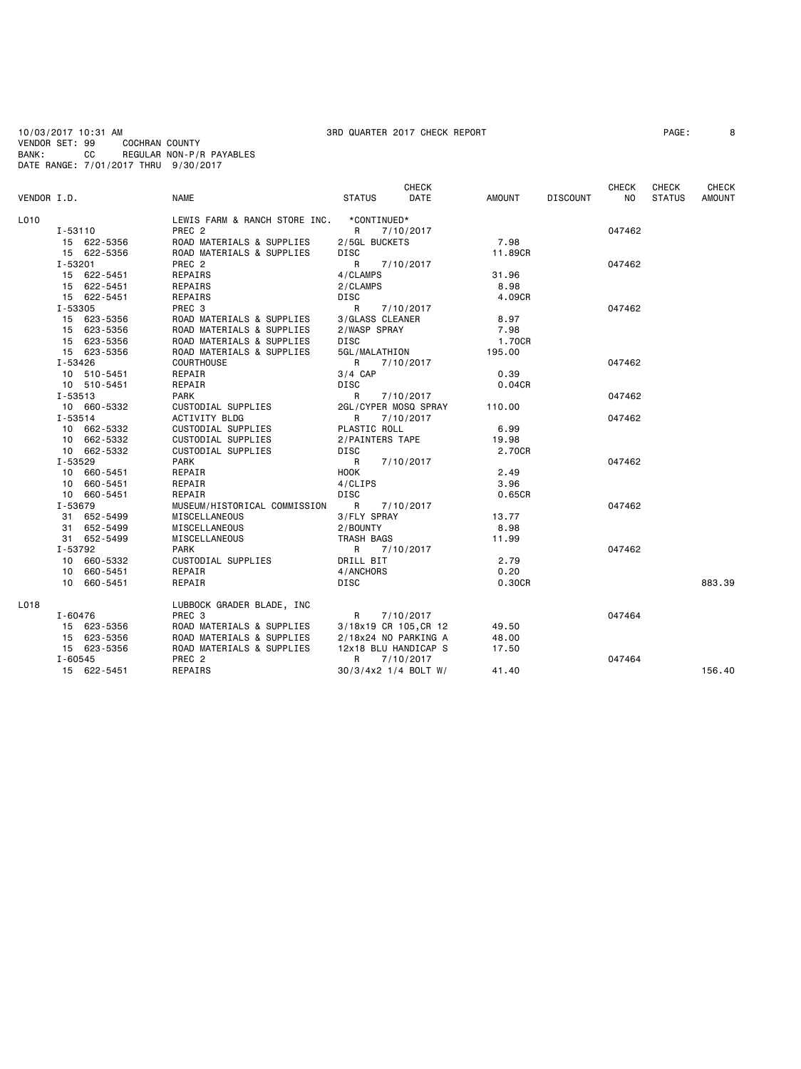10/03/2017 10:31 AM 3RD QUARTER 2017 CHECK REPORT PAGE: 8<br>VENDOR SET: 99 COCHRAN COUNTY VENDOR SET: 99<br>BANK: CC BANK: CC REGULAR NON-P/R PAYABLES DATE RANGE: 7/01/2017 THRU 9/30/2017

## **CHECK CHECK CHECK CHECK CHECK CHECK** VENDOR I.D. NAME STATUS DATE AMOUNT DISCOUNT NO STATUS AMOUNT LO10 LEWIS FARM & RANCH STORE INC. \*CONTINUED\*<br>I-53110 PREC 2 I-53110 PREC 2 R 7/10/2017 047462 15 622-5356 ROAD MATERIALS & SUPPLIES 2/5GL BUCKETS 7.98 15 622-5356 ROAD MATERIALS & SUPPLIES DISC 11.89CR I-53201 PREC 2 R 7/10/2017 047462 15 622-5451 REPAIRS 4/CLAMPS 31.96 15 622-5451 REPAIRS 2/CLAMPS 8.98 15 622-5451 REPAIRS DISC<br>1-53305 PREC 3.09CR I-53305 PREC 3 R 7/10/2017 047462 15 623-5356 ROAD MATERIALS & SUPPLIES 3/GLASS CLEANER 8.97 15 623-5356 ROAD MATERIALS & SUPPLIES 2/WASP SPRAY 7.98 15 623-5356 ROAD MATERIALS & SUPPLIES DISC 1.70CR 15 623-5356 ROAD MATERIALS & SUPPLIES 5GL/MALATHION 195.00 I-53426 COURTHOUSE R 7/10/2017 047462 10 510-5451 REPAIR 3/4 CAP 0.39 10 510-5451 REPAIR DISC 0.04CR I-53513 PARK R 7/10/2017 047462 10 660-5332 CUSTODIAL SUPPLIES 2GL/CYPER MOSQ SPRAY 110.00<br>1-53514 ACTIVITY BLDG R 7/10/2017 I-53514 ACTIVITY BLDG R 7/10/2017 047462 10 662-5332 CUSTODIAL SUPPLIES PLASTIC ROLL 6.99 10 662-5332 CUSTODIAL SUPPLIES 2/PAINTERS TAPE 19.98 10 662-5332 CUSTODIAL SUPPLIES DISC 2.70CR I-53529 PARK R 7/10/2017 047462 10 660-5451 REPAIR HOOK HOOK 2.49<br>10 660-5451 REPAIR 4/CLIPS 3.96 10 660-5451 REPAIR 4/CLIPS 3.96 10 660-5451 REPAIR DISC 0.65CR MUSEUM/HISTORICAL COMMISSION R 7/10/2017<br>MISCELLANEOUS 3/FLY SPRAY 13.77 31 652-5499 MISCELLANEOUS 3/FLY SPRAY 13.77<br>31 652-5499 MISCELLANEOUS 2/BOUNTY 2.1 31 652-5499 MISCELLANEOUS 2/BOUNTY 8.98 31 652-5499 MISCELLANEOUS<br>I-53792 PARK I-53792 PARK R 7/10/2017 047462 10 660-5332 CUSTODIAL SUPPLIES DRILL BIT 2.79 10 660-5451 REPAIR 4/ANCHORS 0.20 10 660-5451 REPAIR DISC 0.30CR 883.39 L018 LUBBOCK GRADER BLADE, INC I-60476 PREC 3 R 7/10/2017 047464 15 623-5356 ROAD MATERIALS & SUPPLIES 3/18x19 CR 105,CR 12 49.50 15 623-5356 ROAD MATERIALS & SUPPLIES 2/18x24 NO PARKING A 48.00 15 623-5356 ROAD MATERIALS & SUPPLIES 12x18 BLU HANDICAP S 17.50 I-60545 PREC 2 R 7/10/2017 047464  $30/3/4x2$  1/4 BOLT W/ 41.40 156.40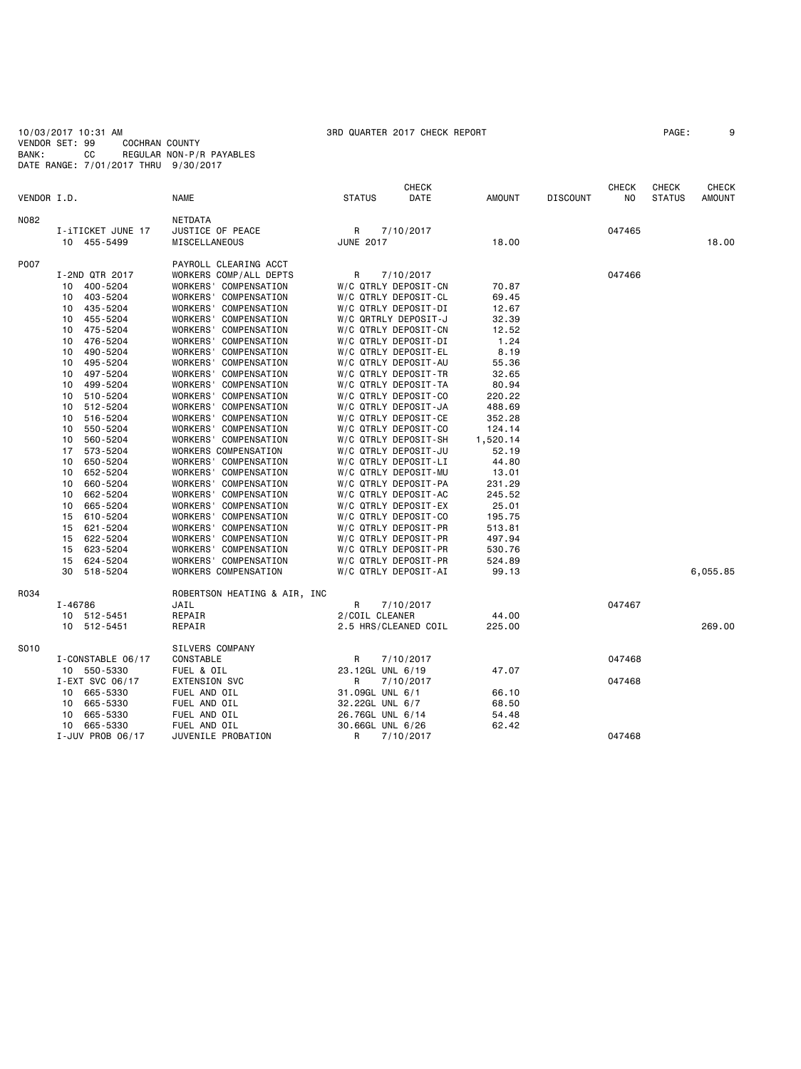10/03/2017 10:31 AM 3RD QUARTER 2017 CHECK REPORT PAGE: 9 VENDOR SET: 99 COCHRAN COUNTY BANK: CC REGULAR NON-P/R PAYABLES DATE RANGE: 7/01/2017 THRU 9/30/2017

|             |                                  |                                                | <b>CHECK</b>                                 |                 |                 | <b>CHECK</b> | <b>CHECK</b>  | <b>CHECK</b>  |
|-------------|----------------------------------|------------------------------------------------|----------------------------------------------|-----------------|-----------------|--------------|---------------|---------------|
| VENDOR I.D. |                                  | <b>NAME</b>                                    | <b>STATUS</b><br>DATE                        | <b>AMOUNT</b>   | <b>DISCOUNT</b> | NO.          | <b>STATUS</b> | <b>AMOUNT</b> |
| N082        |                                  | NETDATA                                        |                                              |                 |                 |              |               |               |
|             | I-iTICKET JUNE 17                | JUSTICE OF PEACE                               | R<br>7/10/2017                               |                 |                 | 047465       |               |               |
|             | 10 455-5499                      | MISCELLANEOUS                                  | <b>JUNE 2017</b>                             | 18.00           |                 |              |               | 18,00         |
| P007        |                                  | PAYROLL CLEARING ACCT                          |                                              |                 |                 |              |               |               |
|             | I-2ND QTR 2017                   | WORKERS COMP/ALL DEPTS                         | R<br>7/10/2017                               |                 |                 | 047466       |               |               |
|             | 400-5204<br>10                   | WORKERS' COMPENSATION                          | W/C QTRLY DEPOSIT-CN                         | 70.87           |                 |              |               |               |
|             | 403-5204<br>10                   | WORKERS' COMPENSATION                          | W/C QTRLY DEPOSIT-CL                         | 69.45           |                 |              |               |               |
|             | 435-5204<br>10                   | WORKERS' COMPENSATION                          | W/C QTRLY DEPOSIT-DI                         | 12.67           |                 |              |               |               |
|             | 455-5204<br>10                   | WORKERS' COMPENSATION                          | W/C QRTRLY DEPOSIT-J                         | 32.39           |                 |              |               |               |
|             | 475-5204<br>10                   | WORKERS' COMPENSATION                          | W/C QTRLY DEPOSIT-CN                         | 12.52           |                 |              |               |               |
|             | 476-5204<br>10                   | WORKERS' COMPENSATION                          | W/C QTRLY DEPOSIT-DI                         | 1.24            |                 |              |               |               |
|             | 490-5204<br>10                   | WORKERS' COMPENSATION                          | W/C QTRLY DEPOSIT-EL                         | 8.19            |                 |              |               |               |
|             | 495-5204<br>10                   | WORKERS' COMPENSATION                          | W/C QTRLY DEPOSIT-AU                         | 55.36           |                 |              |               |               |
|             | 497-5204<br>10                   | WORKERS' COMPENSATION                          | W/C QTRLY DEPOSIT-TR                         | 32.65           |                 |              |               |               |
|             | 499-5204<br>10<br>510-5204<br>10 | WORKERS' COMPENSATION<br>WORKERS' COMPENSATION | W/C QTRLY DEPOSIT-TA<br>W/C QTRLY DEPOSIT-CO | 80.94<br>220.22 |                 |              |               |               |
|             | 512-5204<br>10                   | WORKERS' COMPENSATION                          | W/C QTRLY DEPOSIT-JA                         | 488.69          |                 |              |               |               |
|             | 516-5204<br>10                   | WORKERS' COMPENSATION                          | W/C QTRLY DEPOSIT-CE                         | 352.28          |                 |              |               |               |
|             | 550-5204<br>10                   | WORKERS' COMPENSATION                          | W/C QTRLY DEPOSIT-CO                         | 124.14          |                 |              |               |               |
|             | 560-5204<br>10                   | WORKERS' COMPENSATION                          | W/C QTRLY DEPOSIT-SH                         | 1,520.14        |                 |              |               |               |
|             | 17<br>573-5204                   | WORKERS COMPENSATION                           | W/C QTRLY DEPOSIT-JU                         | 52.19           |                 |              |               |               |
|             | 650-5204<br>10                   | WORKERS' COMPENSATION                          | W/C QTRLY DEPOSIT-LI                         | 44.80           |                 |              |               |               |
|             | 652-5204<br>10                   | WORKERS' COMPENSATION                          | W/C QTRLY DEPOSIT-MU                         | 13.01           |                 |              |               |               |
|             | 660-5204<br>10                   | WORKERS' COMPENSATION                          | W/C QTRLY DEPOSIT-PA                         | 231.29          |                 |              |               |               |
|             | 662-5204<br>10                   | WORKERS' COMPENSATION                          | W/C QTRLY DEPOSIT-AC                         | 245.52          |                 |              |               |               |
|             | 665-5204<br>10                   | WORKERS' COMPENSATION                          | W/C QTRLY DEPOSIT-EX                         | 25.01           |                 |              |               |               |
|             | 610-5204<br>15                   | WORKERS' COMPENSATION                          | W/C QTRLY DEPOSIT-CO                         | 195.75          |                 |              |               |               |
|             | 621-5204<br>15                   | WORKERS' COMPENSATION                          | W/C QTRLY DEPOSIT-PR                         | 513.81          |                 |              |               |               |
|             | 622-5204<br>15                   | WORKERS' COMPENSATION                          | W/C QTRLY DEPOSIT-PR                         | 497.94          |                 |              |               |               |
|             | 15 623-5204                      | WORKERS' COMPENSATION                          | W/C QTRLY DEPOSIT-PR                         | 530.76          |                 |              |               |               |
|             | 624-5204<br>15                   | WORKERS' COMPENSATION                          | W/C QTRLY DEPOSIT-PR                         | 524.89          |                 |              |               |               |
|             | 518-5204<br>30                   | WORKERS COMPENSATION                           | W/C QTRLY DEPOSIT-AI                         | 99.13           |                 |              |               | 6,055.85      |
| R034        |                                  | ROBERTSON HEATING & AIR, INC                   |                                              |                 |                 |              |               |               |
|             | I-46786                          | JAIL                                           | R<br>7/10/2017                               |                 |                 | 047467       |               |               |
|             | 10 512-5451                      | REPAIR                                         | 2/COIL CLEANER                               | 44.00           |                 |              |               |               |
|             | 10 512-5451                      | REPAIR                                         | 2.5 HRS/CLEANED COIL                         | 225.00          |                 |              |               | 269,00        |
| S010        |                                  | SILVERS COMPANY                                |                                              |                 |                 |              |               |               |
|             | I-CONSTABLE 06/17                | CONSTABLE                                      | R<br>7/10/2017                               |                 |                 | 047468       |               |               |
|             | 10 550-5330                      | FUEL & OIL                                     | 23.12GL UNL 6/19                             | 47.07           |                 |              |               |               |
|             | I-EXT SVC 06/17                  | <b>EXTENSION SVC</b>                           | R<br>7/10/2017                               |                 |                 | 047468       |               |               |
|             | 10 665-5330                      | FUEL AND OIL                                   | 31.09GL UNL 6/1                              | 66.10           |                 |              |               |               |
|             | 665-5330<br>10                   | FUEL AND OIL                                   | 32.22GL UNL 6/7                              | 68.50           |                 |              |               |               |
|             | 665-5330<br>10<br>665-5330<br>10 | FUEL AND OIL<br>FUEL AND OIL                   | 26.76GL UNL 6/14<br>30.66GL UNL 6/26         | 54.48<br>62.42  |                 |              |               |               |
|             | I-JUV PROB 06/17                 | JUVENILE PROBATION                             | R<br>7/10/2017                               |                 |                 | 047468       |               |               |
|             |                                  |                                                |                                              |                 |                 |              |               |               |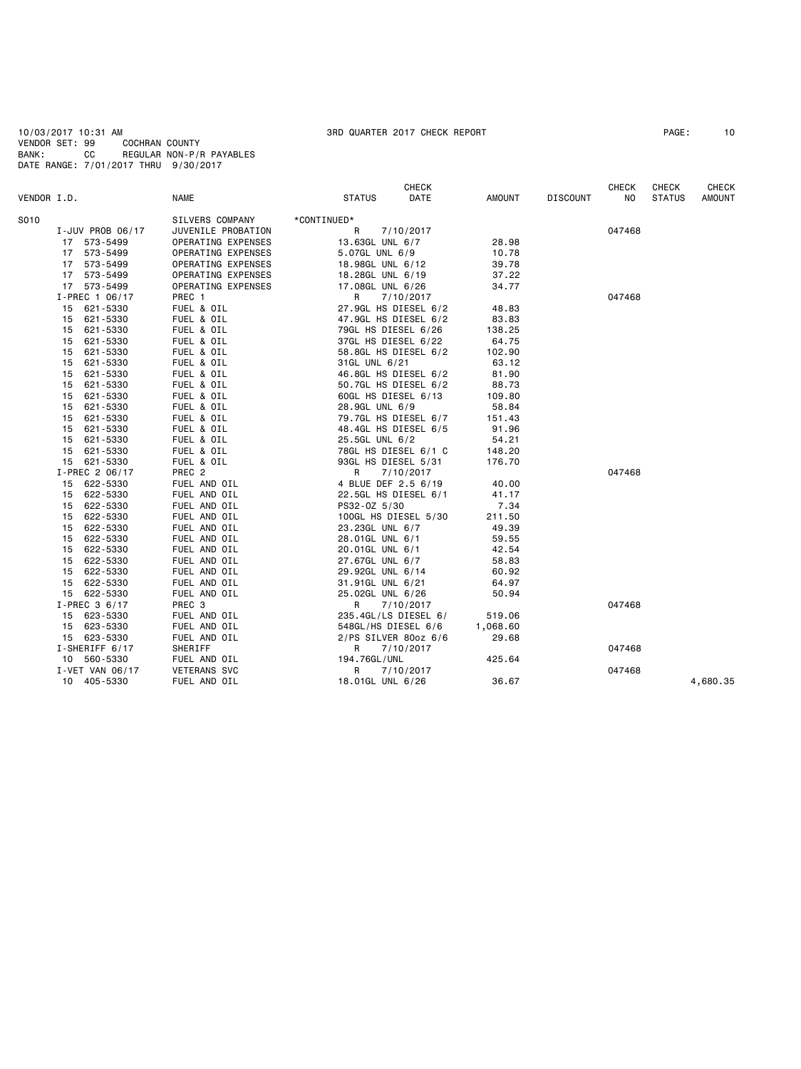### 10/03/2017 10:31 AM 3RD QUARTER 2017 CHECK REPORT PAGE: 10 VENDOR SET: 99 COCHRAN COUNTY BANK: CC REGULAR NON-P/R PAYABLES DATE RANGE: 7/01/2017 THRU 9/30/2017

| VENDOR I.D. |                  | <b>NAME</b>         | CHECK<br>DATE<br><b>STATUS</b> | <b>AMOUNT</b> | <b>DISCOUNT</b> | CHECK<br>NO. | CHECK<br><b>STATUS</b> | <b>CHECK</b><br><b>AMOUNT</b> |
|-------------|------------------|---------------------|--------------------------------|---------------|-----------------|--------------|------------------------|-------------------------------|
|             |                  |                     |                                |               |                 |              |                        |                               |
| S010        |                  | SILVERS COMPANY     | *CONTINUED*                    |               |                 |              |                        |                               |
|             | I-JUV PROB 06/17 | JUVENILE PROBATION  | R<br>7/10/2017                 |               |                 | 047468       |                        |                               |
|             | 17 573-5499      | OPERATING EXPENSES  | 13.63GL UNL 6/7                | 28.98         |                 |              |                        |                               |
|             | 17 573-5499      | OPERATING EXPENSES  | 5.07GL UNL 6/9                 | 10.78         |                 |              |                        |                               |
|             | 17 573-5499      | OPERATING EXPENSES  | 18.98GL UNL 6/12               | 39.78         |                 |              |                        |                               |
|             | 17 573-5499      | OPERATING EXPENSES  | 18.28GL UNL 6/19               | 37.22         |                 |              |                        |                               |
|             | 17 573-5499      | OPERATING EXPENSES  | 17.08GL UNL 6/26               | 34.77         |                 |              |                        |                               |
|             | I-PREC 1 06/17   | PREC 1              | R<br>7/10/2017                 |               |                 | 047468       |                        |                               |
|             | 621-5330<br>15   | FUEL & OIL          | 27.9GL HS DIESEL 6/2           | 48.83         |                 |              |                        |                               |
|             | 621-5330<br>15   | FUEL & OIL          | 47.9GL HS DIESEL 6/2           | 83.83         |                 |              |                        |                               |
|             | 15<br>621-5330   | FUEL & OIL          | 79GL HS DIESEL 6/26            | 138.25        |                 |              |                        |                               |
|             | 15<br>621-5330   | FUEL & OIL          | 37GL HS DIESEL 6/22            | 64.75         |                 |              |                        |                               |
|             | 15<br>621-5330   | FUEL & OIL          | 58.8GL HS DIESEL 6/2           | 102.90        |                 |              |                        |                               |
|             | 621-5330<br>15   | FUEL & OIL          | 31GL UNL 6/21                  | 63.12         |                 |              |                        |                               |
|             | 621-5330<br>15   | FUEL & OIL          | 46.8GL HS DIESEL 6/2           | 81.90         |                 |              |                        |                               |
|             | 15<br>621-5330   | FUEL & OIL          | 50.7GL HS DIESEL 6/2           | 88.73         |                 |              |                        |                               |
|             | 621-5330<br>15   | FUEL & OIL          | 60GL HS DIESEL 6/13            | 109.80        |                 |              |                        |                               |
|             | 15<br>621-5330   | FUEL & OIL          | 28.9GL UNL 6/9                 | 58.84         |                 |              |                        |                               |
|             | 15<br>621-5330   | FUEL & OIL          | 79.7GL HS DIESEL 6/7           | 151.43        |                 |              |                        |                               |
|             | 621-5330<br>15   | FUEL & OIL          | 48.4GL HS DIESEL 6/5           | 91.96         |                 |              |                        |                               |
|             | 621-5330<br>15   | FUEL & OIL          | 25.5GL UNL 6/2                 | 54.21         |                 |              |                        |                               |
|             | 15<br>621-5330   | FUEL & OIL          | 78GL HS DIESEL 6/1 C           | 148.20        |                 |              |                        |                               |
|             | 15 621-5330      | FUEL & OIL          | 93GL HS DIESEL 5/31            | 176.70        |                 |              |                        |                               |
|             | I-PREC 2 06/17   | PREC 2              | R<br>7/10/2017                 |               |                 | 047468       |                        |                               |
|             | 622-5330<br>15   | FUEL AND OIL        | 4 BLUE DEF 2.5 6/19            | 40.00         |                 |              |                        |                               |
|             | 622-5330<br>15   | FUEL AND OIL        | 22.5GL HS DIESEL 6/1           | 41.17         |                 |              |                        |                               |
|             | 15 622-5330      | FUEL AND OIL        | PS32-0Z 5/30                   | 7.34          |                 |              |                        |                               |
|             | 622-5330<br>15   | FUEL AND OIL        | 100GL HS DIESEL 5/30           | 211.50        |                 |              |                        |                               |
|             | 15<br>622-5330   | FUEL AND OIL        | 23.23GL UNL 6/7                | 49.39         |                 |              |                        |                               |
|             | 622-5330<br>15   | FUEL AND OIL        | 28.01GL UNL 6/1                | 59.55         |                 |              |                        |                               |
|             | 622-5330<br>15   | FUEL AND OIL        | 20.01GL UNL 6/1                | 42.54         |                 |              |                        |                               |
|             | 622-5330<br>15   | FUEL AND OIL        | 27.67GL UNL 6/7                | 58.83         |                 |              |                        |                               |
|             | 15 622-5330      | FUEL AND OIL        | 29.92GL UNL 6/14               | 60.92         |                 |              |                        |                               |
|             | 622-5330<br>15   | FUEL AND OIL        | 31.91GL UNL 6/21               | 64.97         |                 |              |                        |                               |
|             | 15 622-5330      | FUEL AND OIL        | 25.02GL UNL 6/26               | 50.94         |                 |              |                        |                               |
|             | $I-PREC$ 3 6/17  | PREC 3              | R<br>7/10/2017                 |               |                 | 047468       |                        |                               |
|             | 15 623-5330      | FUEL AND OIL        | 235.4GL/LS DIESEL 6/           | 519.06        |                 |              |                        |                               |
|             | 15 623-5330      | FUEL AND OIL        | 548GL/HS DIESEL 6/6            | 1,068.60      |                 |              |                        |                               |
|             | 15 623-5330      | FUEL AND OIL        | 2/PS SILVER 80oz 6/6           | 29.68         |                 |              |                        |                               |
|             | I-SHERIFF 6/17   | SHERIFF             | $\mathsf{R}$<br>7/10/2017      |               |                 | 047468       |                        |                               |
|             | 10 560-5330      | FUEL AND OIL        | 194.76GL/UNL                   | 425.64        |                 |              |                        |                               |
|             | I-VET VAN 06/17  | <b>VETERANS SVC</b> | R<br>7/10/2017                 |               |                 | 047468       |                        |                               |
|             | 10 405-5330      | FUEL AND OIL        | 18.01GL UNL 6/26               | 36.67         |                 |              |                        | 4,680.35                      |
|             |                  |                     |                                |               |                 |              |                        |                               |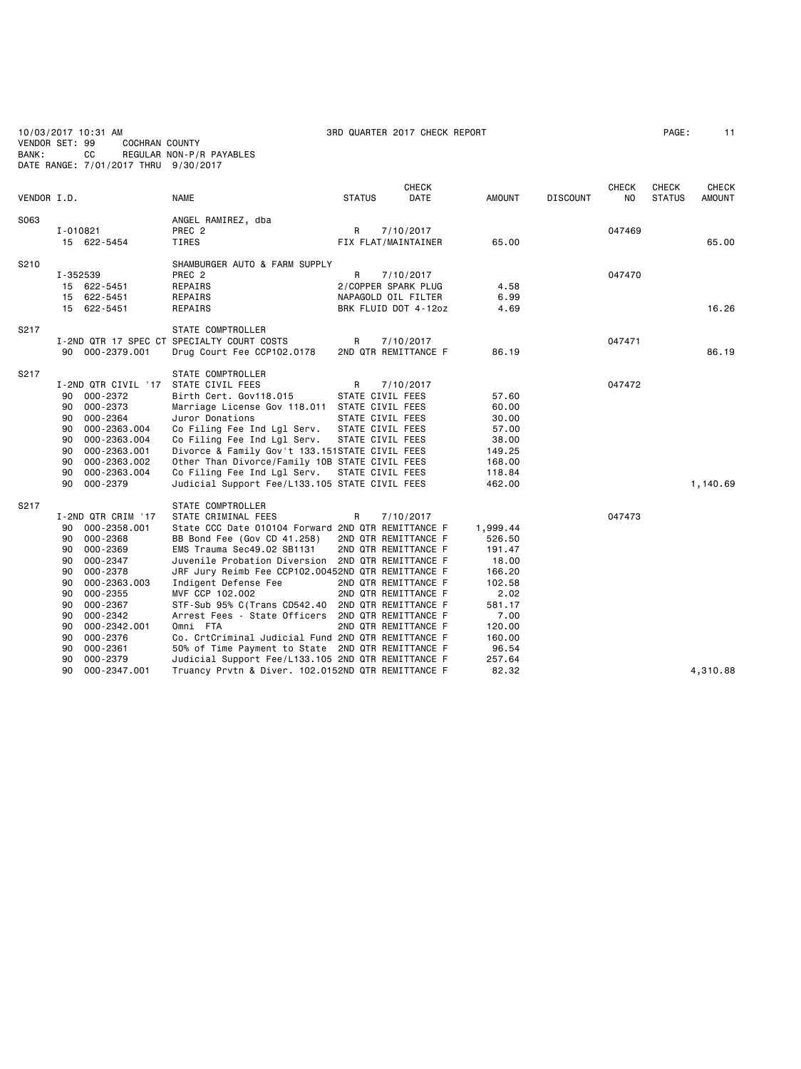| VENDOR SET: 99<br>BANK: |                                                                                  | 10/03/2017 10:31 AM<br>COCHRAN COUNTY<br>СC<br>DATE RANGE: 7/01/2017 THRU 9/30/2017                                                                                                                                    | REGULAR NON-P/R PAYABLES                                                                                                                                                                                                                                                                                                                                                                                                                                                                                                                                                                                                                                       |               | 3RD QUARTER 2017 CHECK REPORT                                                                                                     |                                                                                                                                     |                 |                | PAGE:         | 11            |
|-------------------------|----------------------------------------------------------------------------------|------------------------------------------------------------------------------------------------------------------------------------------------------------------------------------------------------------------------|----------------------------------------------------------------------------------------------------------------------------------------------------------------------------------------------------------------------------------------------------------------------------------------------------------------------------------------------------------------------------------------------------------------------------------------------------------------------------------------------------------------------------------------------------------------------------------------------------------------------------------------------------------------|---------------|-----------------------------------------------------------------------------------------------------------------------------------|-------------------------------------------------------------------------------------------------------------------------------------|-----------------|----------------|---------------|---------------|
|                         |                                                                                  |                                                                                                                                                                                                                        |                                                                                                                                                                                                                                                                                                                                                                                                                                                                                                                                                                                                                                                                |               | CHECK                                                                                                                             |                                                                                                                                     |                 | <b>CHECK</b>   | CHECK         | CHECK         |
| VENDOR I.D.             |                                                                                  |                                                                                                                                                                                                                        | <b>NAME</b>                                                                                                                                                                                                                                                                                                                                                                                                                                                                                                                                                                                                                                                    | <b>STATUS</b> | <b>DATE</b>                                                                                                                       | <b>AMOUNT</b>                                                                                                                       | <b>DISCOUNT</b> | N <sub>O</sub> | <b>STATUS</b> | <b>AMOUNT</b> |
| S063                    | I-010821                                                                         | 15 622-5454                                                                                                                                                                                                            | ANGEL RAMIREZ, dba<br>PREC <sub>2</sub><br>TIRES                                                                                                                                                                                                                                                                                                                                                                                                                                                                                                                                                                                                               | R             | 7/10/2017<br>FIX FLAT/MAINTAINER                                                                                                  | 65.00                                                                                                                               |                 | 047469         |               | 65.00         |
| S210                    | I-352539                                                                         | 15 622-5451<br>15 622-5451<br>15 622-5451                                                                                                                                                                              | SHAMBURGER AUTO & FARM SUPPLY<br>PREC <sub>2</sub><br>REPAIRS<br>REPAIRS<br>REPAIRS                                                                                                                                                                                                                                                                                                                                                                                                                                                                                                                                                                            | R             | 7/10/2017<br>2/COPPER SPARK PLUG<br>NAPAGOLD OIL FILTER<br>BRK FLUID DOT 4-12oz                                                   | 4.58<br>6.99<br>4.69                                                                                                                |                 | 047470         |               | 16.26         |
| S217                    |                                                                                  | 90 000-2379.001                                                                                                                                                                                                        | STATE COMPTROLLER<br>I-2ND QTR 17 SPEC CT SPECIALTY COURT COSTS<br>Drug Court Fee CCP102.0178                                                                                                                                                                                                                                                                                                                                                                                                                                                                                                                                                                  | R             | 7/10/2017<br>2ND QTR REMITTANCE F                                                                                                 | 86.19                                                                                                                               |                 | 047471         |               | 86.19         |
| S217                    | 90<br>90<br>90<br>90<br>90<br>90<br>90<br>90<br>90                               | 000-2372<br>000-2373<br>000-2364<br>000-2363.004<br>000-2363.004<br>000-2363.001<br>000-2363.002<br>000-2363.004<br>000-2379                                                                                           | <b>STATE COMPTROLLER</b><br>I-2ND QTR CIVIL '17 STATE CIVIL FEES<br>Birth Cert. Gov118.015<br>Marriage License Gov 118.011 STATE CIVIL FEES<br>Juror Donations<br>Co Filing Fee Ind Lgl Serv.<br>Co Filing Fee Ind Lgl Serv.<br>Divorce & Family Gov't 133.151STATE CIVIL FEES<br>Other Than Divorce/Family 10B STATE CIVIL FEES<br>Co Filing Fee Ind Lgl Serv.<br>Judicial Support Fee/L133.105 STATE CIVIL FEES                                                                                                                                                                                                                                              | R             | 7/10/2017<br>STATE CIVIL FEES<br>STATE CIVIL FEES<br>STATE CIVIL FEES<br>STATE CIVIL FEES<br>STATE CIVIL FEES                     | 57.60<br>60.00<br>30.00<br>57.00<br>38.00<br>149.25<br>168.00<br>118.84<br>462.00                                                   |                 | 047472         |               | 1,140.69      |
| S217                    | 90<br>90<br>90<br>90<br>90<br>90<br>90<br>90<br>90<br>90<br>90<br>90<br>90<br>90 | I-2ND QTR CRIM '17<br>000-2358.001<br>000-2368<br>000-2369<br>$000 - 2347$<br>000-2378<br>000-2363.003<br>$000 - 2355$<br>000-2367<br>000-2342<br>000-2342.001<br>000-2376<br>$000 - 2361$<br>000-2379<br>000-2347.001 | STATE COMPTROLLER<br>STATE CRIMINAL FEES<br>State CCC Date 010104 Forward 2ND QTR REMITTANCE F<br>BB Bond Fee (Gov CD 41.258)<br>EMS Trauma Sec49.02 SB1131<br>Juvenile Probation Diversion 2ND QTR REMITTANCE F<br>JRF Jury Reimb Fee CCP102.00452ND QTR REMITTANCE F<br>Indigent Defense Fee<br>MVF CCP 102.002<br>STF-Sub 95% C(Trans CD542.40 2ND QTR REMITTANCE F<br>Arrest Fees - State Officers 2ND QTR REMITTANCE F<br>Omni FTA<br>Co. CrtCriminal Judicial Fund 2ND QTR REMITTANCE F<br>50% of Time Payment to State 2ND QTR REMITTANCE F<br>Judicial Support Fee/L133.105 2ND QTR REMITTANCE F<br>Truancy Prvtn & Diver. 102.0152ND QTR REMITTANCE F | R             | 7/10/2017<br>2ND QTR REMITTANCE F<br>2ND QTR REMITTANCE F<br>2ND QTR REMITTANCE F<br>2ND QTR REMITTANCE F<br>2ND QTR REMITTANCE F | 1,999.44<br>526.50<br>191.47<br>18.00<br>166.20<br>102.58<br>2.02<br>581.17<br>7.00<br>120.00<br>160.00<br>96.54<br>257.64<br>82.32 |                 | 047473         |               | 4,310.88      |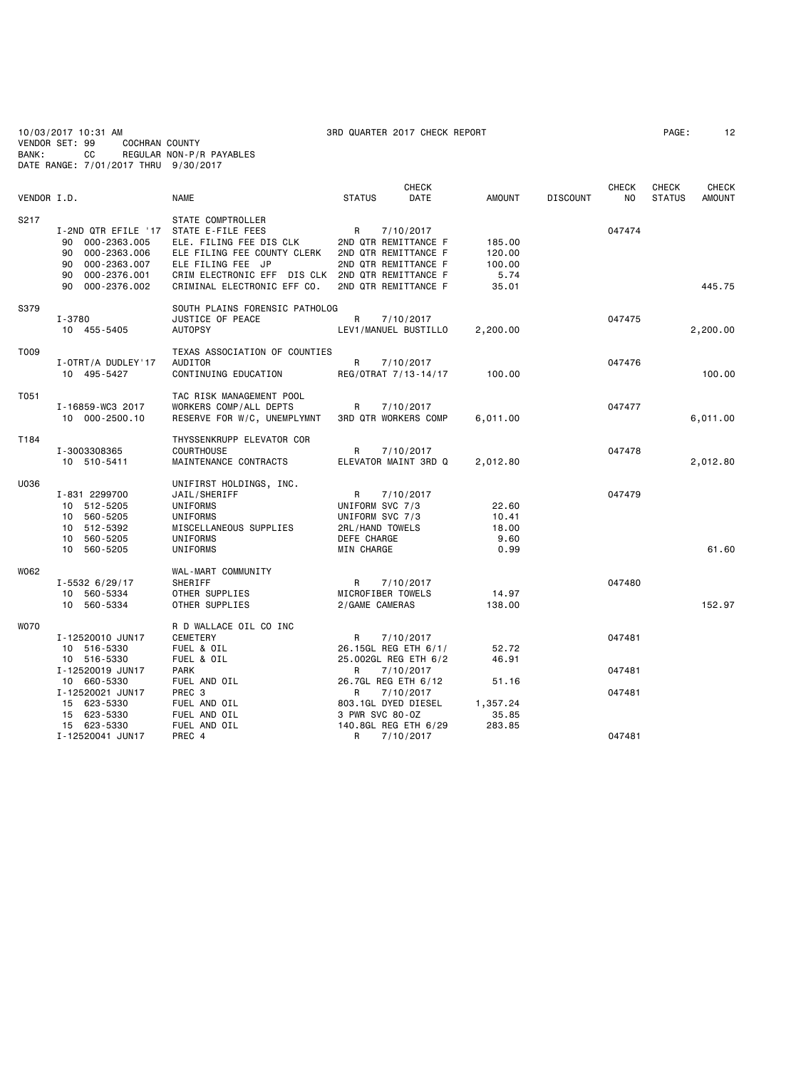10/03/2017 10:31 AM 3RD QUARTER 2017 CHECK REPORT PAGE: 12 VENDOR SET: 99 COCHRAN COUNTY BANK: CC REGULAR NON-P/R PAYABLES DATE RANGE: 7/01/2017 THRU 9/30/2017

|             |                                                                                                                                   |                                                                                                                                                                                                          | <b>CHECK</b>                                                                                                   |                                             |                 | <b>CHECK</b> | <b>CHECK</b>  | <b>CHECK</b>  |
|-------------|-----------------------------------------------------------------------------------------------------------------------------------|----------------------------------------------------------------------------------------------------------------------------------------------------------------------------------------------------------|----------------------------------------------------------------------------------------------------------------|---------------------------------------------|-----------------|--------------|---------------|---------------|
| VENDOR I.D. |                                                                                                                                   | <b>NAME</b>                                                                                                                                                                                              | <b>STATUS</b><br>DATE                                                                                          | <b>AMOUNT</b>                               | <b>DISCOUNT</b> | NO.          | <b>STATUS</b> | <b>AMOUNT</b> |
| S217        | I-2ND QTR EFILE '17<br>000-2363.005<br>90<br>000-2363.006<br>90<br>000-2363.007<br>90<br>90<br>000-2376.001<br>90<br>000-2376.002 | STATE COMPTROLLER<br>STATE E-FILE FEES<br>ELE. FILING FEE DIS CLK<br>ELE FILING FEE COUNTY CLERK<br>ELE FILING FEE JP<br>CRIM ELECTRONIC EFF DIS CLK 2ND QTR REMITTANCE F<br>CRIMINAL ELECTRONIC EFF CO. | R<br>7/10/2017<br>2ND QTR REMITTANCE F<br>2ND QTR REMITTANCE F<br>2ND QTR REMITTANCE F<br>2ND QTR REMITTANCE F | 185.00<br>120.00<br>100.00<br>5.74<br>35.01 |                 | 047474       |               | 445.75        |
| S379        | I-3780<br>10 455-5405                                                                                                             | SOUTH PLAINS FORENSIC PATHOLOG<br>JUSTICE OF PEACE<br><b>AUTOPSY</b>                                                                                                                                     | R<br>7/10/2017<br>LEV1/MANUEL BUSTILLO                                                                         | 2,200.00                                    |                 | 047475       |               | 2,200.00      |
| T009        | I-OTRT/A DUDLEY'17<br>10 495-5427                                                                                                 | TEXAS ASSOCIATION OF COUNTIES<br>AUDITOR<br>CONTINUING EDUCATION                                                                                                                                         | R<br>7/10/2017<br>REG/OTRAT 7/13-14/17                                                                         | 100.00                                      |                 | 047476       |               | 100,00        |
| T051        | I-16859-WC3 2017<br>10 000-2500.10                                                                                                | TAC RISK MANAGEMENT POOL<br>WORKERS COMP/ALL DEPTS<br>RESERVE FOR W/C, UNEMPLYMNT                                                                                                                        | 7/10/2017<br>R<br><b>3RD QTR WORKERS COMP</b>                                                                  | 6,011.00                                    |                 | 047477       |               | 6,011.00      |
| T184        | I-3003308365<br>10 510-5411                                                                                                       | THYSSENKRUPP ELEVATOR COR<br><b>COURTHOUSE</b><br>MAINTENANCE CONTRACTS                                                                                                                                  | 7/10/2017<br>R<br>ELEVATOR MAINT 3RD Q                                                                         | 2,012.80                                    |                 | 047478       |               | 2,012.80      |
| U036        | I-831 2299700<br>10 512-5205<br>10 560-5205<br>10 512-5392<br>10 560-5205<br>10 560-5205                                          | UNIFIRST HOLDINGS, INC.<br>JAIL/SHERIFF<br>UNIFORMS<br>UNIFORMS<br>MISCELLANEOUS SUPPLIES<br>UNIFORMS<br>UNIFORMS                                                                                        | R<br>7/10/2017<br>UNIFORM SVC 7/3<br>UNIFORM SVC 7/3<br>2RL/HAND TOWELS<br>DEFE CHARGE<br>MIN CHARGE           | 22.60<br>10.41<br>18.00<br>9.60<br>0.99     |                 | 047479       |               | 61.60         |
| W062        | $I - 55326/29/17$<br>10 560-5334<br>10 560-5334                                                                                   | WAL-MART COMMUNITY<br>SHERIFF<br>OTHER SUPPLIES<br>OTHER SUPPLIES                                                                                                                                        | R<br>7/10/2017<br>MICROFIBER TOWELS<br>2/GAME CAMERAS                                                          | 14.97<br>138.00                             |                 | 047480       |               | 152.97        |
| <b>WO70</b> | I-12520010 JUN17<br>10 516-5330<br>10 516-5330                                                                                    | R D WALLACE OIL CO INC<br>CEMETERY<br>FUEL & OIL<br>FUEL & OIL                                                                                                                                           | R<br>7/10/2017<br>26.15GL REG ETH 6/1/<br>25.002GL REG ETH 6/2                                                 | 52.72<br>46.91                              |                 | 047481       |               |               |
|             | I-12520019 JUN17                                                                                                                  | <b>PARK</b>                                                                                                                                                                                              | 7/10/2017<br>R                                                                                                 |                                             |                 | 047481       |               |               |
|             | 10 660-5330<br>I-12520021 JUN17<br>15 623-5330<br>15 623-5330<br>15 623-5330                                                      | FUEL AND OIL<br>PREC <sub>3</sub><br>FUEL AND OIL<br>FUEL AND OIL<br>FUEL AND OIL                                                                                                                        | 26.7GL REG ETH 6/12<br>7/10/2017<br>R<br>803.1GL DYED DIESEL<br>3 PWR SVC 80-0Z<br>140.8GL REG ETH 6/29        | 51.16<br>1,357.24<br>35.85<br>283.85        |                 | 047481       |               |               |
|             | I-12520041 JUN17                                                                                                                  | PREC 4                                                                                                                                                                                                   | R<br>7/10/2017                                                                                                 |                                             |                 | 047481       |               |               |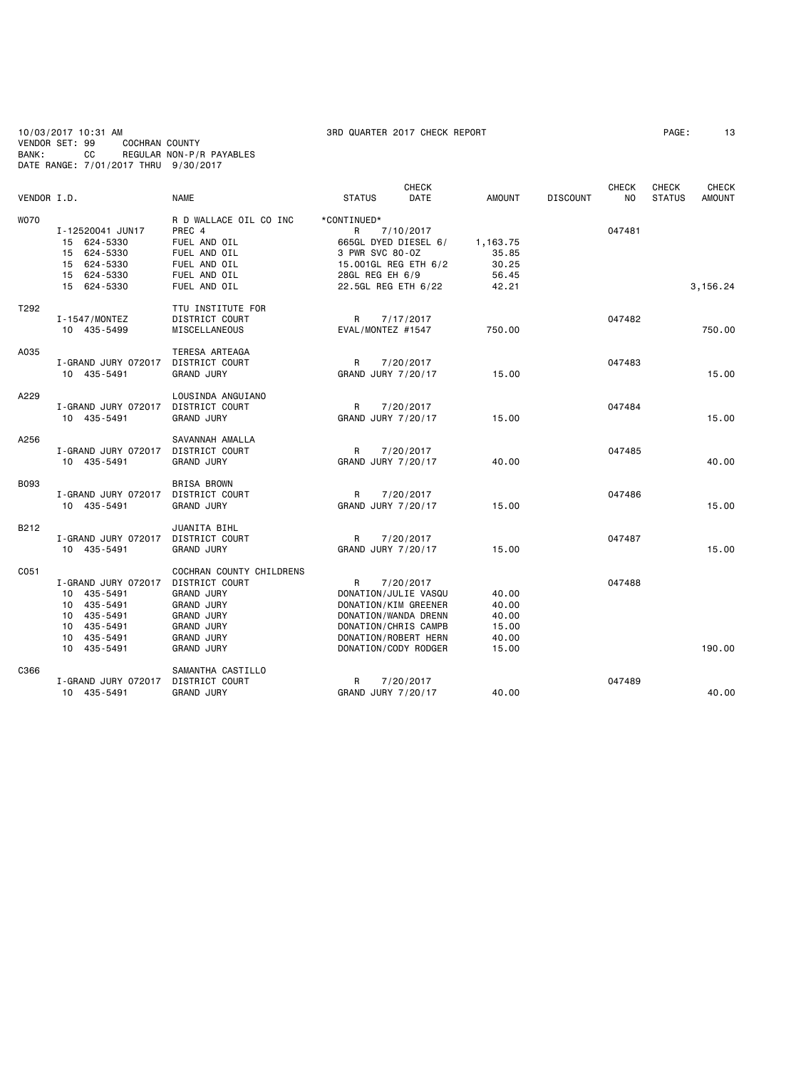10/03/2017 10:31 AM 3RD QUARTER 2017 CHECK REPORT PAGE: 13 VENDOR SET: 99 COCHRAN COUNTY BANK: CC REGULAR NON-P/R PAYABLES DATE RANGE: 7/01/2017 THRU 9/30/2017

| <b>DISCOUNT</b><br>N <sub>O</sub><br>047481 | <b>STATUS</b><br><b>AMOUNT</b> |
|---------------------------------------------|--------------------------------|
|                                             |                                |
|                                             |                                |
|                                             |                                |
|                                             |                                |
|                                             |                                |
|                                             |                                |
|                                             |                                |
|                                             | 3,156.24                       |
|                                             |                                |
| 047482                                      |                                |
|                                             | 750.00                         |
|                                             |                                |
| 047483                                      |                                |
|                                             | 15.00                          |
|                                             |                                |
| 047484                                      |                                |
|                                             | 15.00                          |
|                                             |                                |
| 047485                                      |                                |
|                                             | 40.00                          |
|                                             |                                |
| 047486                                      |                                |
|                                             | 15.00                          |
|                                             |                                |
| 047487                                      |                                |
|                                             | 15.00                          |
|                                             |                                |
|                                             |                                |
|                                             |                                |
|                                             |                                |
|                                             |                                |
|                                             |                                |
|                                             |                                |
|                                             | 190.00                         |
|                                             |                                |
| 047489                                      |                                |
|                                             | 40.00                          |
|                                             | 047488                         |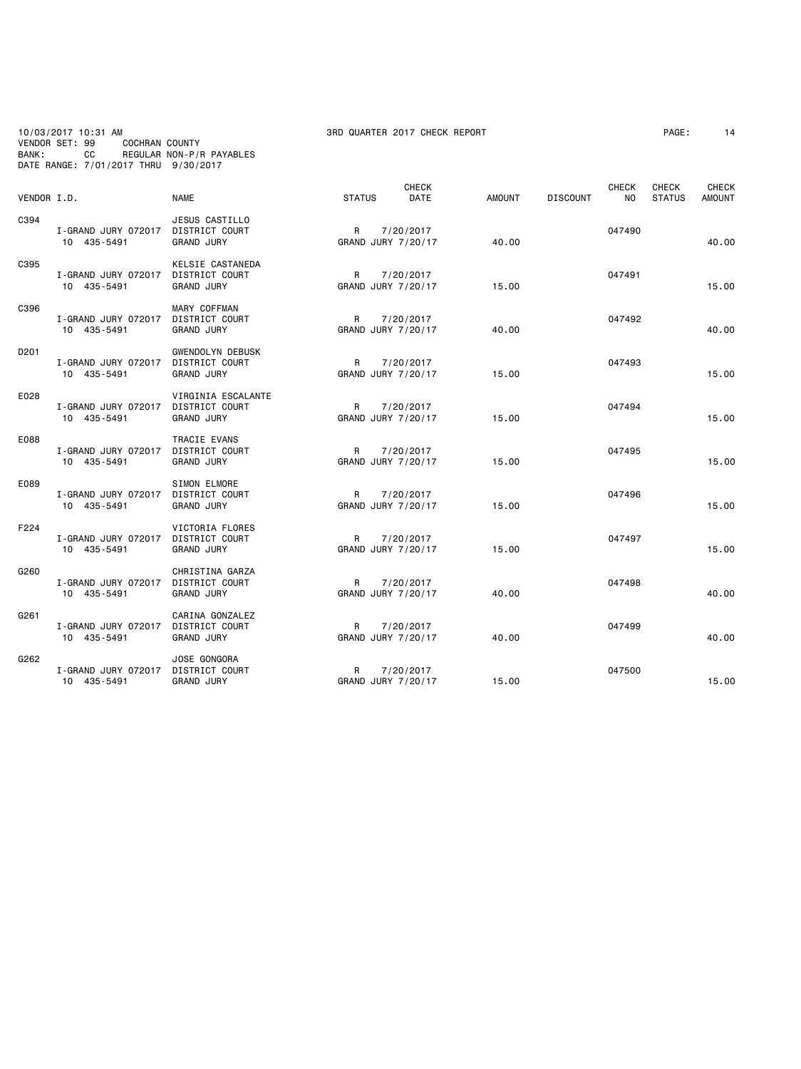10/03/2017 10:31 AM 3RD QUARTER 2017 CHECK REPORT PAGE: 14 VENDOR SET: 99 COCHRAN COUNTY BANK: CC REGULAR NON-P/R PAYABLES DATE RANGE: 7/01/2017 THRU 9/30/2017

| VENDOR I.D. |                                    | <b>NAME</b>                                                           | <b>STATUS</b> | <b>CHECK</b><br><b>DATE</b>     | <b>AMOUNT</b> | <b>DISCOUNT</b> | <b>CHECK</b><br>NO. | <b>CHECK</b><br><b>STATUS</b> | <b>CHECK</b><br><b>AMOUNT</b> |
|-------------|------------------------------------|-----------------------------------------------------------------------|---------------|---------------------------------|---------------|-----------------|---------------------|-------------------------------|-------------------------------|
| C394        | I-GRAND JURY 072017<br>10 435-5491 | JESUS CASTILLO<br>DISTRICT COURT<br><b>GRAND JURY</b>                 | R             | 7/20/2017<br>GRAND JURY 7/20/17 | 40.00         |                 | 047490              |                               | 40.00                         |
| C395        | I-GRAND JURY 072017<br>10 435-5491 | KELSIE CASTANEDA<br>DISTRICT COURT<br><b>GRAND JURY</b>               | R             | 7/20/2017<br>GRAND JURY 7/20/17 | 15.00         |                 | 047491              |                               | 15.00                         |
| C396        | I-GRAND JURY 072017<br>10 435-5491 | MARY COFFMAN<br>DISTRICT COURT<br><b>GRAND JURY</b>                   | R             | 7/20/2017<br>GRAND JURY 7/20/17 | 40.00         |                 | 047492              |                               | 40.00                         |
| D201        | I-GRAND JURY 072017<br>10 435-5491 | <b>GWENDOLYN DEBUSK</b><br><b>DISTRICT COURT</b><br><b>GRAND JURY</b> | R             | 7/20/2017<br>GRAND JURY 7/20/17 | 15.00         |                 | 047493              |                               | 15.00                         |
| E028        | I-GRAND JURY 072017<br>10 435-5491 | VIRGINIA ESCALANTE<br>DISTRICT COURT<br><b>GRAND JURY</b>             | R             | 7/20/2017<br>GRAND JURY 7/20/17 | 15.00         |                 | 047494              |                               | 15.00                         |
| E088        | I-GRAND JURY 072017<br>10 435-5491 | TRACIE EVANS<br>DISTRICT COURT<br><b>GRAND JURY</b>                   | R             | 7/20/2017<br>GRAND JURY 7/20/17 | 15.00         |                 | 047495              |                               | 15.00                         |
| E089        | I-GRAND JURY 072017<br>10 435-5491 | <b>SIMON ELMORE</b><br>DISTRICT COURT<br><b>GRAND JURY</b>            | R             | 7/20/2017<br>GRAND JURY 7/20/17 | 15.00         |                 | 047496              |                               | 15.00                         |
| F224        | I-GRAND JURY 072017<br>10 435-5491 | VICTORIA FLORES<br>DISTRICT COURT<br><b>GRAND JURY</b>                | R             | 7/20/2017<br>GRAND JURY 7/20/17 | 15.00         |                 | 047497              |                               | 15.00                         |
| G260        | I-GRAND JURY 072017<br>10 435-5491 | CHRISTINA GARZA<br><b>DISTRICT COURT</b><br><b>GRAND JURY</b>         | R             | 7/20/2017<br>GRAND JURY 7/20/17 | 40.00         |                 | 047498              |                               | 40.00                         |
| G261        | I-GRAND JURY 072017<br>10 435-5491 | CARINA GONZALEZ<br>DISTRICT COURT<br><b>GRAND JURY</b>                | R             | 7/20/2017<br>GRAND JURY 7/20/17 | 40.00         |                 | 047499              |                               | 40.00                         |
| G262        | I-GRAND JURY 072017<br>10 435-5491 | JOSE GONGORA<br>DISTRICT COURT<br><b>GRAND JURY</b>                   | R             | 7/20/2017<br>GRAND JURY 7/20/17 | 15.00         |                 | 047500              |                               | 15.00                         |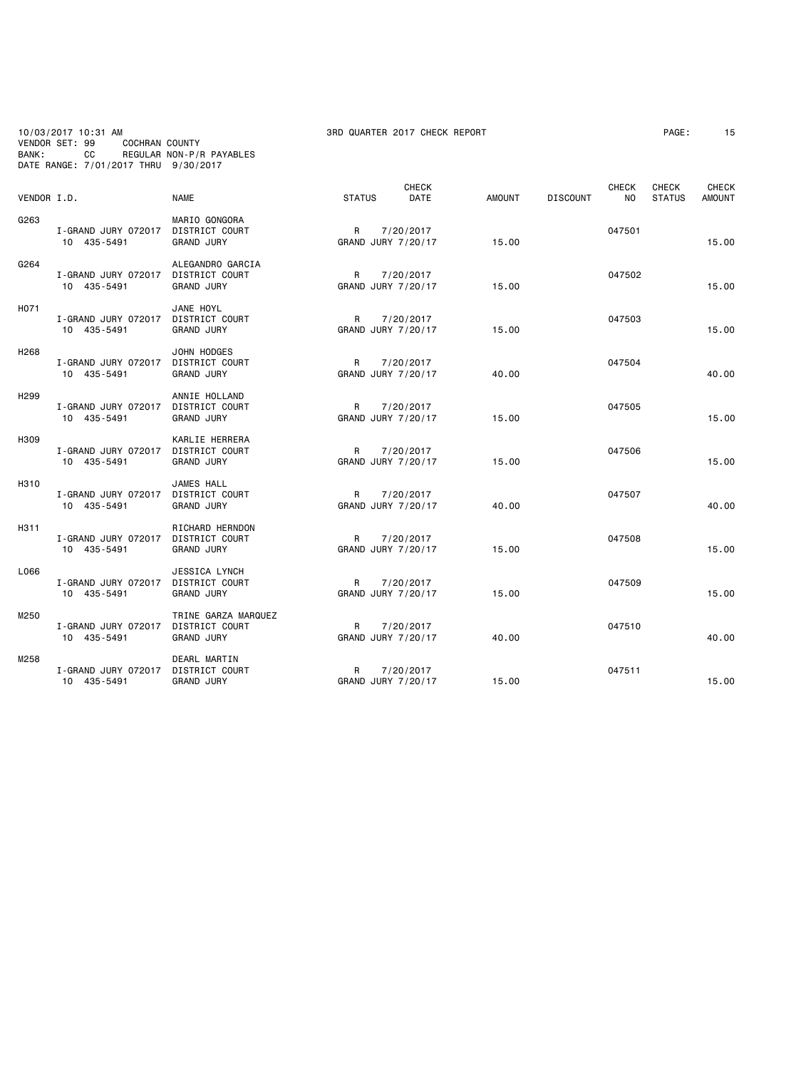10/03/2017 10:31 AM 3RD QUARTER 2017 CHECK REPORT PAGE: 15 VENDOR SET: 99 COCHRAN COUNTY BANK: CC REGULAR NON-P/R PAYABLES DATE RANGE: 7/01/2017 THRU 9/30/2017

| VENDOR I.D.      |                                    | <b>NAME</b>                                                       | <b>STATUS</b>            | <b>CHECK</b><br>DATE | <b>AMOUNT</b> | <b>DISCOUNT</b> | <b>CHECK</b><br>NO. | <b>CHECK</b><br><b>STATUS</b> | <b>CHECK</b><br><b>AMOUNT</b> |
|------------------|------------------------------------|-------------------------------------------------------------------|--------------------------|----------------------|---------------|-----------------|---------------------|-------------------------------|-------------------------------|
| G263             | I-GRAND JURY 072017<br>10 435-5491 | MARIO GONGORA<br>DISTRICT COURT<br><b>GRAND JURY</b>              | R<br>GRAND JURY 7/20/17  | 7/20/2017            | 15.00         |                 | 047501              |                               | 15.00                         |
| G264             | I-GRAND JURY 072017<br>10 435-5491 | ALEGANDRO GARCIA<br>DISTRICT COURT<br><b>GRAND JURY</b>           | R<br>GRAND JURY 7/20/17  | 7/20/2017            | 15.00         |                 | 047502              |                               | 15.00                         |
| H071             | I-GRAND JURY 072017<br>10 435-5491 | JANE HOYL<br>DISTRICT COURT<br><b>GRAND JURY</b>                  | R<br>GRAND JURY 7/20/17  | 7/20/2017            | 15.00         |                 | 047503              |                               | 15.00                         |
| H <sub>268</sub> | I-GRAND JURY 072017<br>10 435-5491 | JOHN HODGES<br><b>DISTRICT COURT</b><br><b>GRAND JURY</b>         | R.<br>GRAND JURY 7/20/17 | 7/20/2017            | 40.00         |                 | 047504              |                               | 40.00                         |
| H <sub>299</sub> | I-GRAND JURY 072017<br>10 435-5491 | ANNIE HOLLAND<br>DISTRICT COURT<br><b>GRAND JURY</b>              | R<br>GRAND JURY 7/20/17  | 7/20/2017            | 15.00         |                 | 047505              |                               | 15.00                         |
| H309             | I-GRAND JURY 072017<br>10 435-5491 | KARLIE HERRERA<br>DISTRICT COURT<br><b>GRAND JURY</b>             | R<br>GRAND JURY 7/20/17  | 7/20/2017            | 15.00         |                 | 047506              |                               | 15.00                         |
| H310             | I-GRAND JURY 072017<br>10 435-5491 | JAMES HALL<br>DISTRICT COURT<br><b>GRAND JURY</b>                 | R<br>GRAND JURY 7/20/17  | 7/20/2017            | 40.00         |                 | 047507              |                               | 40.00                         |
| H311             | I-GRAND JURY 072017<br>10 435-5491 | RICHARD HERNDON<br><b>DISTRICT COURT</b><br><b>GRAND JURY</b>     | R<br>GRAND JURY 7/20/17  | 7/20/2017            | 15.00         |                 | 047508              |                               | 15.00                         |
| L066             | I-GRAND JURY 072017<br>10 435-5491 | <b>JESSICA LYNCH</b><br>DISTRICT COURT<br><b>GRAND JURY</b>       | R<br>GRAND JURY 7/20/17  | 7/20/2017            | 15.00         |                 | 047509              |                               | 15.00                         |
| M250             | I-GRAND JURY 072017<br>10 435-5491 | TRINE GARZA MARQUEZ<br><b>DISTRICT COURT</b><br><b>GRAND JURY</b> | R<br>GRAND JURY 7/20/17  | 7/20/2017            | 40.00         |                 | 047510              |                               | 40.00                         |
| M258             | I-GRAND JURY 072017<br>10 435-5491 | DEARL MARTIN<br>DISTRICT COURT<br><b>GRAND JURY</b>               | R<br>GRAND JURY 7/20/17  | 7/20/2017            | 15.00         |                 | 047511              |                               | 15.00                         |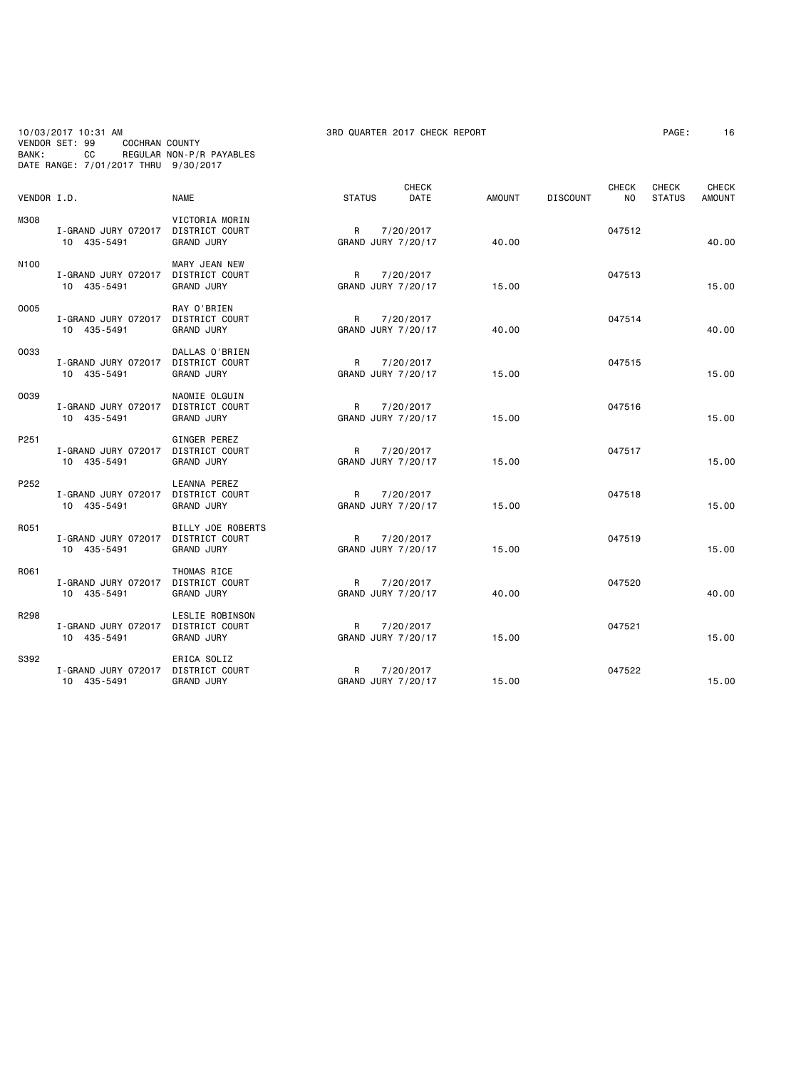10/03/2017 10:31 AM 3RD QUARTER 2017 CHECK REPORT PAGE: 16 VENDOR SET: 99 COCHRAN COUNTY BANK: CC REGULAR NON-P/R PAYABLES DATE RANGE: 7/01/2017 THRU 9/30/2017

| VENDOR I.D.      |                                    | <b>NAME</b>                                                  | <b>STATUS</b>           | <b>CHECK</b><br><b>DATE</b> | <b>AMOUNT</b> | <b>DISCOUNT</b> | <b>CHECK</b><br>NO. | <b>CHECK</b><br><b>STATUS</b> | <b>CHECK</b><br><b>AMOUNT</b> |
|------------------|------------------------------------|--------------------------------------------------------------|-------------------------|-----------------------------|---------------|-----------------|---------------------|-------------------------------|-------------------------------|
| M308             | I-GRAND JURY 072017<br>10 435-5491 | VICTORIA MORIN<br>DISTRICT COURT<br><b>GRAND JURY</b>        | R<br>GRAND JURY 7/20/17 | 7/20/2017                   | 40.00         |                 | 047512              |                               | 40.00                         |
| N <sub>100</sub> | I-GRAND JURY 072017<br>10 435-5491 | MARY JEAN NEW<br>DISTRICT COURT<br><b>GRAND JURY</b>         | R<br>GRAND JURY 7/20/17 | 7/20/2017                   | 15.00         |                 | 047513              |                               | 15.00                         |
| 0005             | I-GRAND JURY 072017<br>10 435-5491 | RAY O'BRIEN<br>DISTRICT COURT<br><b>GRAND JURY</b>           | R<br>GRAND JURY 7/20/17 | 7/20/2017                   | 40.00         |                 | 047514              |                               | 40.00                         |
| 0033             | I-GRAND JURY 072017<br>10 435-5491 | DALLAS O'BRIEN<br><b>DISTRICT COURT</b><br><b>GRAND JURY</b> | R<br>GRAND JURY 7/20/17 | 7/20/2017                   | 15.00         |                 | 047515              |                               | 15.00                         |
| 0039             | I-GRAND JURY 072017<br>10 435-5491 | NAOMIE OLGUIN<br>DISTRICT COURT<br><b>GRAND JURY</b>         | R<br>GRAND JURY 7/20/17 | 7/20/2017                   | 15.00         |                 | 047516              |                               | 15.00                         |
| P251             | I-GRAND JURY 072017<br>10 435-5491 | GINGER PEREZ<br>DISTRICT COURT<br><b>GRAND JURY</b>          | R<br>GRAND JURY 7/20/17 | 7/20/2017                   | 15.00         |                 | 047517              |                               | 15.00                         |
| P252             | I-GRAND JURY 072017<br>10 435-5491 | LEANNA PEREZ<br>DISTRICT COURT<br><b>GRAND JURY</b>          | R<br>GRAND JURY 7/20/17 | 7/20/2017                   | 15.00         |                 | 047518              |                               | 15.00                         |
| R051             | I-GRAND JURY 072017<br>10 435-5491 | BILLY JOE ROBERTS<br>DISTRICT COURT<br><b>GRAND JURY</b>     | R<br>GRAND JURY 7/20/17 | 7/20/2017                   | 15.00         |                 | 047519              |                               | 15.00                         |
| R061             | I-GRAND JURY 072017<br>10 435-5491 | THOMAS RICE<br>DISTRICT COURT<br><b>GRAND JURY</b>           | R<br>GRAND JURY 7/20/17 | 7/20/2017                   | 40.00         |                 | 047520              |                               | 40.00                         |
| R298             | I-GRAND JURY 072017<br>10 435-5491 | LESLIE ROBINSON<br>DISTRICT COURT<br><b>GRAND JURY</b>       | R<br>GRAND JURY 7/20/17 | 7/20/2017                   | 15.00         |                 | 047521              |                               | 15.00                         |
| S392             | I-GRAND JURY 072017<br>10 435-5491 | ERICA SOLIZ<br>DISTRICT COURT<br><b>GRAND JURY</b>           | R<br>GRAND JURY 7/20/17 | 7/20/2017                   | 15.00         |                 | 047522              |                               | 15.00                         |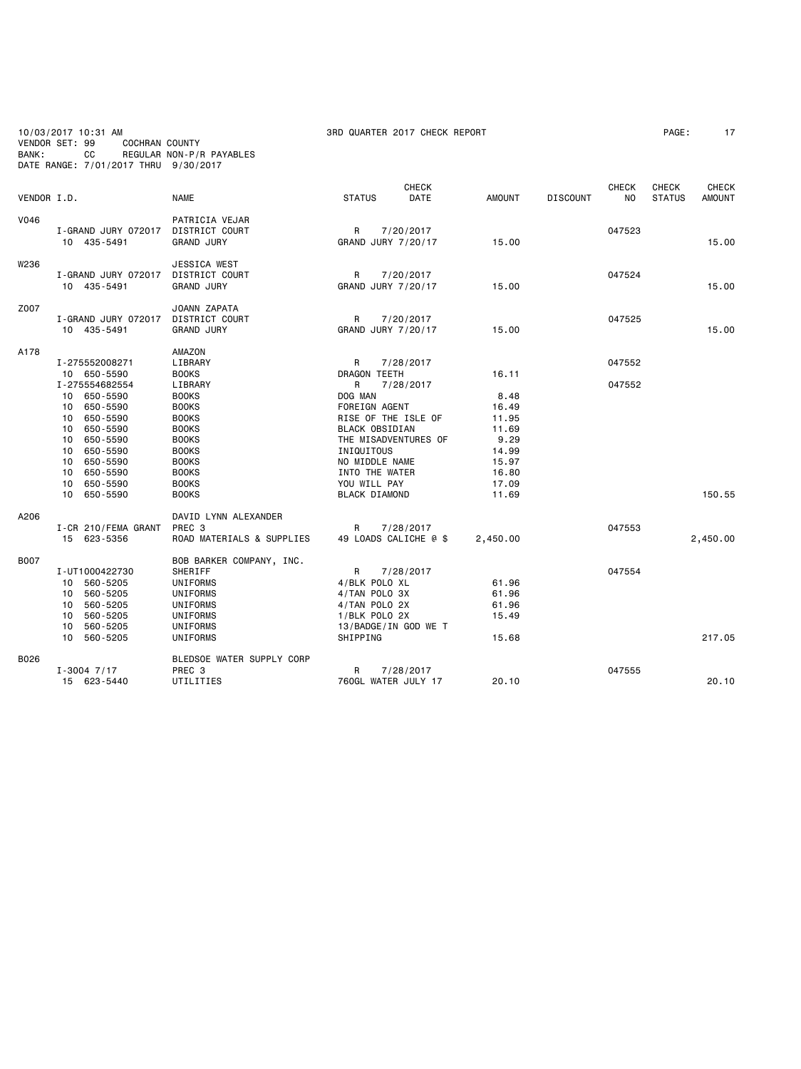10/03/2017 10:31 AM 3RD QUARTER 2017 CHECK REPORT PAGE: 17 VENDOR SET: 99 COCHRAN COUNTY BANK: CC REGULAR NON-P/R PAYABLES DATE RANGE: 7/01/2017 THRU 9/30/2017

| VENDOR I.D. |                                                                                                                                                                                                                | <b>NAME</b>                                                                                                                                                                             | <b>CHECK</b><br><b>STATUS</b><br>DATE                                                                                                                                                                                        | <b>AMOUNT</b>                                                                                 | <b>DISCOUNT</b> | <b>CHECK</b><br>NO. | <b>CHECK</b><br><b>STATUS</b> | <b>CHECK</b><br><b>AMOUNT</b> |
|-------------|----------------------------------------------------------------------------------------------------------------------------------------------------------------------------------------------------------------|-----------------------------------------------------------------------------------------------------------------------------------------------------------------------------------------|------------------------------------------------------------------------------------------------------------------------------------------------------------------------------------------------------------------------------|-----------------------------------------------------------------------------------------------|-----------------|---------------------|-------------------------------|-------------------------------|
| V046        | I-GRAND JURY 072017<br>10 435-5491                                                                                                                                                                             | PATRICIA VEJAR<br>DISTRICT COURT<br><b>GRAND JURY</b>                                                                                                                                   | 7/20/2017<br>R<br>GRAND JURY 7/20/17                                                                                                                                                                                         | 15.00                                                                                         |                 | 047523              |                               | 15.00                         |
| W236        | I-GRAND JURY 072017<br>10 435-5491                                                                                                                                                                             | <b>JESSICA WEST</b><br>DISTRICT COURT<br><b>GRAND JURY</b>                                                                                                                              | R<br>7/20/2017<br>GRAND JURY 7/20/17                                                                                                                                                                                         | 15.00                                                                                         |                 | 047524              |                               | 15.00                         |
| Z007        | I-GRAND JURY 072017<br>10 435-5491                                                                                                                                                                             | JOANN ZAPATA<br>DISTRICT COURT<br><b>GRAND JURY</b>                                                                                                                                     | R<br>7/20/2017<br>GRAND JURY 7/20/17                                                                                                                                                                                         | 15.00                                                                                         |                 | 047525              |                               | 15.00                         |
| A178        | I-275552008271                                                                                                                                                                                                 | AMAZON<br>LIBRARY                                                                                                                                                                       | R<br>7/28/2017                                                                                                                                                                                                               |                                                                                               |                 | 047552              |                               |                               |
|             | 10 650-5590<br>I-275554682554<br>650-5590<br>10<br>650-5590<br>10<br>650-5590<br>10<br>650-5590<br>10<br>650-5590<br>10<br>650-5590<br>10<br>650-5590<br>10<br>10<br>650-5590<br>650-5590<br>10<br>10 650-5590 | <b>BOOKS</b><br>LIBRARY<br><b>BOOKS</b><br><b>BOOKS</b><br><b>BOOKS</b><br><b>BOOKS</b><br><b>BOOKS</b><br><b>BOOKS</b><br><b>BOOKS</b><br><b>BOOKS</b><br><b>BOOKS</b><br><b>BOOKS</b> | DRAGON TEETH<br>R<br>7/28/2017<br>DOG MAN<br>FOREIGN AGENT<br>RISE OF THE ISLE OF<br><b>BLACK OBSIDIAN</b><br>THE MISADVENTURES OF<br>INIQUITOUS<br>NO MIDDLE NAME<br>INTO THE WATER<br>YOU WILL PAY<br><b>BLACK DIAMOND</b> | 16.11<br>8.48<br>16.49<br>11.95<br>11.69<br>9.29<br>14.99<br>15.97<br>16.80<br>17.09<br>11.69 |                 | 047552              |                               | 150.55                        |
| A206        | I-CR 210/FEMA GRANT<br>15 623-5356                                                                                                                                                                             | DAVID LYNN ALEXANDER<br>PREC <sub>3</sub><br>ROAD MATERIALS & SUPPLIES                                                                                                                  | 7/28/2017<br>R<br>49 LOADS CALICHE @ \$                                                                                                                                                                                      | 2,450.00                                                                                      |                 | 047553              |                               | 2,450.00                      |
| <b>B007</b> | I-UT1000422730<br>560-5205<br>10<br>560-5205<br>10<br>560-5205<br>10<br>560-5205<br>10<br>560-5205<br>10                                                                                                       | BOB BARKER COMPANY, INC.<br>SHERIFF<br>UNIFORMS<br>UNIFORMS<br>UNIFORMS<br>UNIFORMS<br><b>UNIFORMS</b>                                                                                  | 7/28/2017<br>R<br>4/BLK POLO XL<br>4/TAN POLO 3X<br>4/TAN POLO 2X<br>1/BLK POLO 2X<br>13/BADGE/IN GOD WE T                                                                                                                   | 61.96<br>61.96<br>61.96<br>15.49                                                              |                 | 047554              |                               |                               |
| B026        | 560-5205<br>10                                                                                                                                                                                                 | UNIFORMS<br>BLEDSOE WATER SUPPLY CORP                                                                                                                                                   | SHIPPING                                                                                                                                                                                                                     | 15.68                                                                                         |                 |                     |                               | 217.05                        |
|             | $I - 3004$ $7/17$<br>15 623-5440                                                                                                                                                                               | PREC <sub>3</sub><br>UTILITIES                                                                                                                                                          | R<br>7/28/2017<br>760GL WATER JULY 17                                                                                                                                                                                        | 20.10                                                                                         |                 | 047555              |                               | 20.10                         |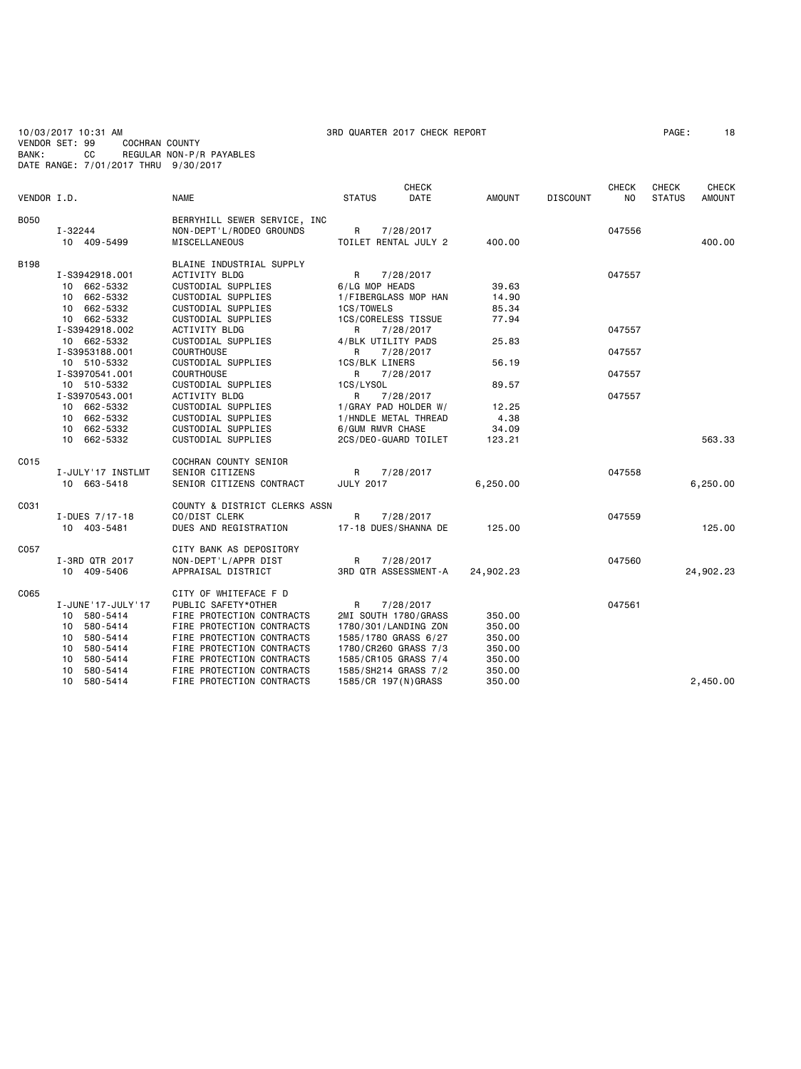10/03/2017 10:31 AM 3RD QUARTER 2017 CHECK REPORT PAGE: 18 VENDOR SET: 99 COCHRAN COUNTY BANK: CC REGULAR NON-P/R PAYABLES DATE RANGE: 7/01/2017 THRU 9/30/2017

|             |                                  |                                                        |                       | <b>CHECK</b>                                 |                  |                 | CHECK  | <b>CHECK</b>  | CHECK         |
|-------------|----------------------------------|--------------------------------------------------------|-----------------------|----------------------------------------------|------------------|-----------------|--------|---------------|---------------|
| VENDOR I.D. |                                  | <b>NAME</b>                                            | <b>STATUS</b>         | DATE                                         | <b>AMOUNT</b>    | <b>DISCOUNT</b> | NO.    | <b>STATUS</b> | <b>AMOUNT</b> |
| <b>B050</b> |                                  | BERRYHILL SEWER SERVICE, INC                           |                       |                                              |                  |                 |        |               |               |
|             | I-32244                          | NON-DEPT'L/RODEO GROUNDS                               | R                     | 7/28/2017                                    |                  |                 | 047556 |               |               |
|             | 10 409-5499                      | MISCELLANEOUS                                          |                       | TOILET RENTAL JULY 2                         | 400.00           |                 |        |               | 400.00        |
|             |                                  |                                                        |                       |                                              |                  |                 |        |               |               |
| <b>B198</b> |                                  | BLAINE INDUSTRIAL SUPPLY                               |                       |                                              |                  |                 |        |               |               |
|             | I-S3942918.001                   | <b>ACTIVITY BLDG</b>                                   | R                     | 7/28/2017                                    |                  |                 | 047557 |               |               |
|             | 10 662-5332                      | CUSTODIAL SUPPLIES                                     | 6/LG MOP HEADS        |                                              | 39.63            |                 |        |               |               |
|             | 10 662-5332                      | CUSTODIAL SUPPLIES                                     |                       | 1/FIBERGLASS MOP HAN                         | 14.90            |                 |        |               |               |
|             | 10 662-5332                      | CUSTODIAL SUPPLIES                                     | 1CS/TOWELS            |                                              | 85.34            |                 |        |               |               |
|             | 10 662-5332                      | CUSTODIAL SUPPLIES                                     |                       | 1CS/CORELESS TISSUE                          | 77.94            |                 |        |               |               |
|             | I-S3942918.002                   | ACTIVITY BLDG                                          | R                     | 7/28/2017                                    |                  |                 | 047557 |               |               |
|             | 10 662-5332                      | CUSTODIAL SUPPLIES                                     |                       | 4/BLK UTILITY PADS                           | 25.83            |                 |        |               |               |
|             | I-S3953188.001                   | <b>COURTHOUSE</b>                                      | R                     | 7/28/2017                                    |                  |                 | 047557 |               |               |
|             | 10 510-5332                      | CUSTODIAL SUPPLIES                                     | <b>1CS/BLK LINERS</b> |                                              | 56.19            |                 |        |               |               |
|             | I-S3970541.001                   | <b>COURTHOUSE</b>                                      | R                     | 7/28/2017                                    |                  |                 | 047557 |               |               |
|             | 10 510-5332                      | CUSTODIAL SUPPLIES                                     | 1CS/LYSOL             |                                              | 89.57            |                 |        |               |               |
|             | I-S3970543.001                   | ACTIVITY BLDG                                          | R                     | 7/28/2017                                    |                  |                 | 047557 |               |               |
|             | 10 662-5332                      | CUSTODIAL SUPPLIES                                     |                       | 1/GRAY PAD HOLDER W/                         | 12.25            |                 |        |               |               |
|             | 10 662-5332                      | CUSTODIAL SUPPLIES                                     |                       | 1/HNDLE METAL THREAD                         | 4.38             |                 |        |               |               |
|             | 662-5332<br>10                   | CUSTODIAL SUPPLIES                                     | 6/GUM RMVR CHASE      |                                              | 34.09            |                 |        |               |               |
|             | 10 662-5332                      | CUSTODIAL SUPPLIES                                     |                       | 2CS/DEO-GUARD TOILET                         | 123.21           |                 |        |               | 563.33        |
| C015        |                                  |                                                        |                       |                                              |                  |                 |        |               |               |
|             | I-JULY'17 INSTLMT                | COCHRAN COUNTY SENIOR<br>SENIOR CITIZENS               | R                     | 7/28/2017                                    |                  |                 | 047558 |               |               |
|             | 10 663-5418                      | SENIOR CITIZENS CONTRACT                               | <b>JULY 2017</b>      |                                              | 6,250.00         |                 |        |               | 6,250.00      |
|             |                                  |                                                        |                       |                                              |                  |                 |        |               |               |
| C031        |                                  | COUNTY & DISTRICT CLERKS ASSN                          |                       |                                              |                  |                 |        |               |               |
|             | I-DUES 7/17-18                   | CO/DIST CLERK                                          | R                     | 7/28/2017                                    |                  |                 | 047559 |               |               |
|             | 10 403-5481                      | DUES AND REGISTRATION                                  |                       | 17-18 DUES/SHANNA DE                         | 125.00           |                 |        |               | 125,00        |
|             |                                  |                                                        |                       |                                              |                  |                 |        |               |               |
| C057        |                                  | CITY BANK AS DEPOSITORY                                |                       |                                              |                  |                 |        |               |               |
|             | I-3RD QTR 2017                   | NON-DEPT'L/APPR DIST                                   | R                     | 7/28/2017                                    |                  |                 | 047560 |               |               |
|             | 10 409-5406                      | APPRAISAL DISTRICT                                     |                       | 3RD QTR ASSESSMENT-A                         | 24,902.23        |                 |        |               | 24,902.23     |
|             |                                  |                                                        |                       |                                              |                  |                 |        |               |               |
| C065        |                                  | CITY OF WHITEFACE F D                                  |                       |                                              |                  |                 |        |               |               |
|             | I-JUNE '17-JULY '17              | PUBLIC SAFETY*OTHER                                    | R                     | 7/28/2017                                    |                  |                 | 047561 |               |               |
|             | 10 580-5414                      | FIRE PROTECTION CONTRACTS                              |                       | 2MI SOUTH 1780/GRASS                         | 350.00           |                 |        |               |               |
|             | 580-5414<br>10                   | FIRE PROTECTION CONTRACTS                              |                       | 1780/301/LANDING ZON                         | 350.00           |                 |        |               |               |
|             | 10<br>580-5414<br>580-5414<br>10 | FIRE PROTECTION CONTRACTS<br>FIRE PROTECTION CONTRACTS |                       | 1585/1780 GRASS 6/27<br>1780/CR260 GRASS 7/3 | 350.00<br>350.00 |                 |        |               |               |
|             | 580-5414<br>10                   | FIRE PROTECTION CONTRACTS                              |                       | 1585/CR105 GRASS 7/4                         | 350.00           |                 |        |               |               |
|             | 10<br>580-5414                   | FIRE PROTECTION CONTRACTS                              |                       | 1585/SH214 GRASS 7/2                         | 350.00           |                 |        |               |               |
|             | 580-5414<br>10                   | FIRE PROTECTION CONTRACTS                              |                       | 1585/CR 197(N)GRASS                          | 350.00           |                 |        |               | 2,450.00      |
|             |                                  |                                                        |                       |                                              |                  |                 |        |               |               |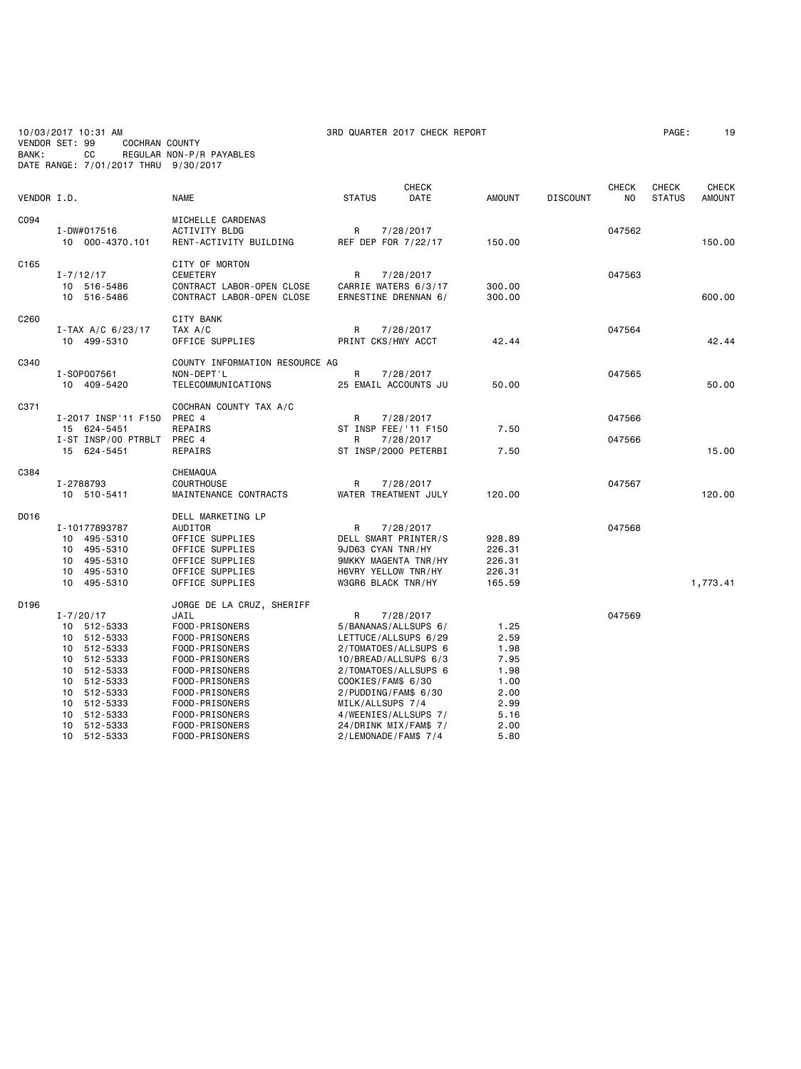| VENDOR SET: 99<br>BANK: |                                  | 10/03/2017 10:31 AM<br>CС                                                                                                                                        | COCHRAN COUNTY                             | REGULAR NON-P/R PAYABLES<br>DATE RANGE: 7/01/2017 THRU 9/30/2017                                                                                                                                                                        |                                                                                                                                                                                                                      | 3RD QUARTER 2017 CHECK REPORT                             |                                                                                      |                 |                    | PAGE:                         | 19                            |
|-------------------------|----------------------------------|------------------------------------------------------------------------------------------------------------------------------------------------------------------|--------------------------------------------|-----------------------------------------------------------------------------------------------------------------------------------------------------------------------------------------------------------------------------------------|----------------------------------------------------------------------------------------------------------------------------------------------------------------------------------------------------------------------|-----------------------------------------------------------|--------------------------------------------------------------------------------------|-----------------|--------------------|-------------------------------|-------------------------------|
| VENDOR I.D.             |                                  |                                                                                                                                                                  |                                            | <b>NAME</b>                                                                                                                                                                                                                             | <b>STATUS</b>                                                                                                                                                                                                        | <b>CHECK</b><br>DATE                                      | <b>AMOUNT</b>                                                                        | <b>DISCOUNT</b> | <b>CHECK</b><br>NO | <b>CHECK</b><br><b>STATUS</b> | <b>CHECK</b><br><b>AMOUNT</b> |
| C094                    |                                  | I-DW#017516<br>10 000-4370.101                                                                                                                                   |                                            | MICHELLE CARDENAS<br><b>ACTIVITY BLDG</b><br>RENT-ACTIVITY BUILDING                                                                                                                                                                     | R<br>REF DEP FOR 7/22/17                                                                                                                                                                                             | 7/28/2017                                                 | 150.00                                                                               |                 | 047562             |                               | 150.00                        |
| C165                    |                                  | $I - 7/12/17$<br>10 516-5486<br>10 516-5486                                                                                                                      |                                            | CITY OF MORTON<br><b>CEMETERY</b><br>CONTRACT LABOR-OPEN CLOSE<br>CONTRACT LABOR-OPEN CLOSE                                                                                                                                             | R<br>CARRIE WATERS 6/3/17<br>ERNESTINE DRENNAN 6/                                                                                                                                                                    | 7/28/2017                                                 | 300.00<br>300.00                                                                     |                 | 047563             |                               | 600.00                        |
| C260                    |                                  | $I-TAX A/C 6/23/17$<br>10 499-5310                                                                                                                               |                                            | <b>CITY BANK</b><br>TAX A/C<br>OFFICE SUPPLIES                                                                                                                                                                                          | R<br>PRINT CKS/HWY ACCT                                                                                                                                                                                              | 7/28/2017                                                 | 42.44                                                                                |                 | 047564             |                               | 42.44                         |
| C340                    |                                  | I-S0P007561<br>10 409-5420                                                                                                                                       |                                            | COUNTY INFORMATION RESOURCE AG<br>NON-DEPT'L<br>TELECOMMUNICATIONS                                                                                                                                                                      | R<br>25 EMAIL ACCOUNTS JU                                                                                                                                                                                            | 7/28/2017                                                 | 50.00                                                                                |                 | 047565             |                               | 50.00                         |
| C371                    |                                  | 15 624-5451<br>15 624-5451                                                                                                                                       | I-2017 INSP'11 F150<br>I-ST INSP/00 PTRBLT | COCHRAN COUNTY TAX A/C<br>PREC 4<br>REPAIRS<br>PREC 4<br>REPAIRS                                                                                                                                                                        | R<br>ST INSP FEE/'11 F150<br>R<br>ST INSP/2000 PETERBI                                                                                                                                                               | 7/28/2017<br>7/28/2017                                    | 7.50<br>7.50                                                                         |                 | 047566<br>047566   |                               | 15.00                         |
| C384                    |                                  | I-2788793<br>10 510-5411                                                                                                                                         |                                            | CHEMAQUA<br><b>COURTHOUSE</b><br>MAINTENANCE CONTRACTS                                                                                                                                                                                  | R<br>WATER TREATMENT JULY                                                                                                                                                                                            | 7/28/2017                                                 | 120.00                                                                               |                 | 047567             |                               | 120.00                        |
| D016                    | 10<br>10<br>10<br>10             | I-10177893787<br>10 495-5310<br>495-5310<br>495-5310<br>495-5310<br>495-5310                                                                                     |                                            | DELL MARKETING LP<br>AUDITOR<br>OFFICE SUPPLIES<br>OFFICE SUPPLIES<br>OFFICE SUPPLIES<br>OFFICE SUPPLIES<br>OFFICE SUPPLIES                                                                                                             | R<br>DELL SMART PRINTER/S<br>9JD63 CYAN TNR/HY<br>9MKKY MAGENTA TNR/HY<br>H6VRY YELLOW TNR/HY<br>W3GR6 BLACK TNR/HY                                                                                                  | 7/28/2017                                                 | 928.89<br>226.31<br>226.31<br>226.31<br>165.59                                       |                 | 047568             |                               | 1,773.41                      |
| D <sub>196</sub>        | 10<br>10<br>10<br>10<br>10<br>10 | $I - 7/20/17$<br>10 512-5333<br>10 512-5333<br>10 512-5333<br>10 512-5333<br>512-5333<br>512-5333<br>512-5333<br>512-5333<br>512-5333<br>512-5333<br>10 512-5333 |                                            | JORGE DE LA CRUZ, SHERIFF<br>JAIL<br>FOOD-PRISONERS<br>FOOD-PRISONERS<br>FOOD-PRISONERS<br>FOOD-PRISONERS<br>FOOD-PRISONERS<br>FOOD-PRISONERS<br>FOOD-PRISONERS<br>FOOD-PRISONERS<br>FOOD-PRISONERS<br>FOOD-PRISONERS<br>FOOD-PRISONERS | R<br>5/BANANAS/ALLSUPS 6/<br>LETTUCE/ALLSUPS 6/29<br>2/TOMATOES/ALLSUPS 6<br>COOKIES/FAM\$ 6/30<br>2/PUDDING/FAM\$ 6/30<br>MILK/ALLSUPS 7/4<br>4/WEENIES/ALLSUPS 7/<br>24/DRINK MIX/FAM\$ 7/<br>2/LEMONADE/FAM\$ 7/4 | 7/28/2017<br>2/TOMATOES/ALLSUPS 6<br>10/BREAD/ALLSUPS 6/3 | 1.25<br>2.59<br>1.98<br>7.95<br>1.98<br>1.00<br>2.00<br>2.99<br>5.16<br>2.00<br>5.80 |                 | 047569             |                               |                               |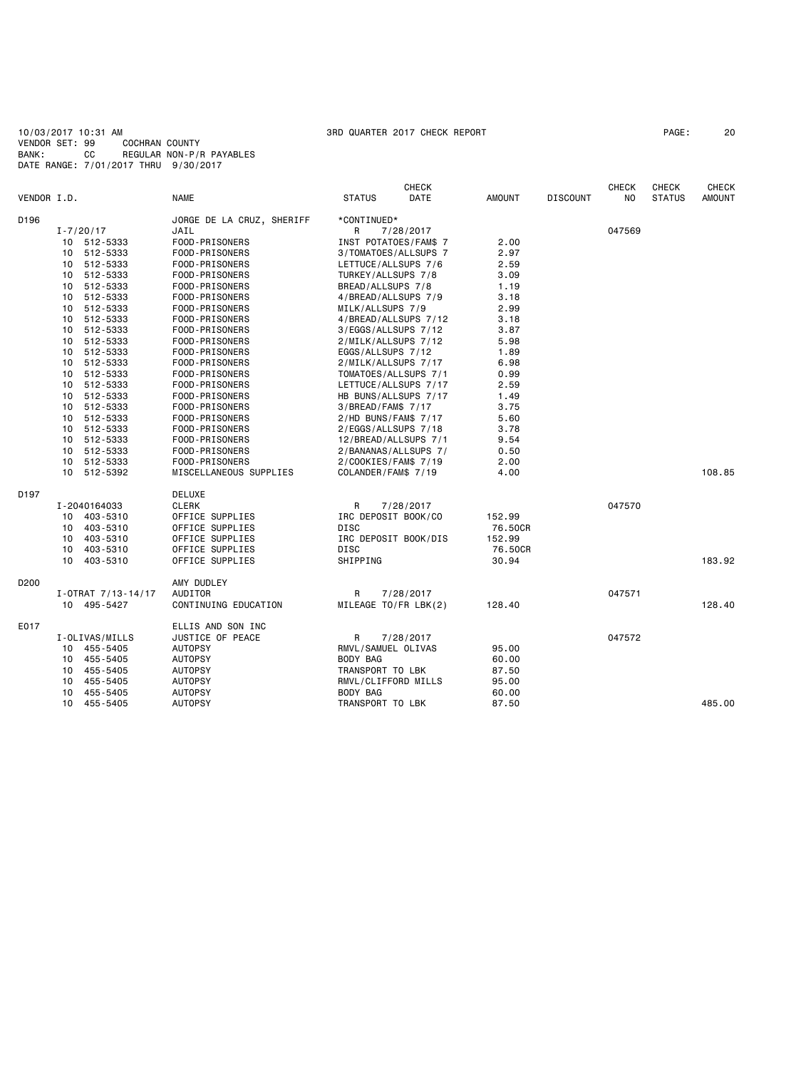10/03/2017 10:31 AM 3RD QUARTER 2017 CHECK REPORT PAGE: 20 VENDOR SET: 99 COCHRAN COUNTY BANK: CC REGULAR NON-P/R PAYABLES DATE RANGE: 7/01/2017 THRU 9/30/2017

|                  |                      |                           |                      | <b>CHECK</b>          |               |                 | <b>CHECK</b>   | <b>CHECK</b>  | CHECK         |
|------------------|----------------------|---------------------------|----------------------|-----------------------|---------------|-----------------|----------------|---------------|---------------|
| VENDOR I.D.      |                      | <b>NAME</b>               | <b>STATUS</b>        | DATE                  | <b>AMOUNT</b> | <b>DISCOUNT</b> | N <sub>0</sub> | <b>STATUS</b> | <b>AMOUNT</b> |
| D196             |                      | JORGE DE LA CRUZ, SHERIFF | *CONTINUED*          |                       |               |                 |                |               |               |
|                  | $I - 7/20/17$        | JAIL                      | R                    | 7/28/2017             |               |                 | 047569         |               |               |
|                  | 10 512-5333          | FOOD-PRISONERS            |                      | INST POTATOES/FAM\$ 7 | 2.00          |                 |                |               |               |
|                  | 10 512-5333          | FOOD-PRISONERS            |                      | 3/TOMATOES/ALLSUPS 7  | 2.97          |                 |                |               |               |
|                  | 10 512-5333          | FOOD-PRISONERS            | LETTUCE/ALLSUPS 7/6  |                       | 2.59          |                 |                |               |               |
|                  | 10 512-5333          | FOOD-PRISONERS            | TURKEY/ALLSUPS 7/8   |                       | 3.09          |                 |                |               |               |
|                  | 10 512-5333          | FOOD-PRISONERS            | BREAD/ALLSUPS 7/8    |                       | 1.19          |                 |                |               |               |
|                  | 512-5333<br>10       | FOOD-PRISONERS            | 4/BREAD/ALLSUPS 7/9  |                       | 3.18          |                 |                |               |               |
|                  | 10 512-5333          | FOOD-PRISONERS            | MILK/ALLSUPS 7/9     |                       | 2.99          |                 |                |               |               |
|                  | 10<br>512-5333       | FOOD-PRISONERS            |                      | 4/BREAD/ALLSUPS 7/12  | 3.18          |                 |                |               |               |
|                  | 10 512-5333          | FOOD-PRISONERS            | 3/EGGS/ALLSUPS 7/12  |                       | 3.87          |                 |                |               |               |
|                  | 10 512-5333          | FOOD-PRISONERS            | 2/MILK/ALLSUPS 7/12  |                       | 5.98          |                 |                |               |               |
|                  | 10 512-5333          | FOOD-PRISONERS            | EGGS/ALLSUPS 7/12    |                       | 1.89          |                 |                |               |               |
|                  | 512-5333<br>10       | FOOD-PRISONERS            | 2/MILK/ALLSUPS 7/17  |                       | 6.98          |                 |                |               |               |
|                  | 512-5333<br>10       | FOOD-PRISONERS            |                      | TOMATOES/ALLSUPS 7/1  | 0.99          |                 |                |               |               |
|                  | 10 512-5333          | FOOD-PRISONERS            |                      | LETTUCE/ALLSUPS 7/17  | 2.59          |                 |                |               |               |
|                  | 10<br>512-5333       | FOOD-PRISONERS            |                      | HB BUNS/ALLSUPS 7/17  | 1.49          |                 |                |               |               |
|                  | 10 512-5333          | FOOD-PRISONERS            | 3/BREAD/FAM\$ 7/17   |                       | 3.75          |                 |                |               |               |
|                  | 10 512-5333          | FOOD-PRISONERS            | 2/HD BUNS/FAM\$ 7/17 |                       | 5.60          |                 |                |               |               |
|                  | 10 512-5333          | FOOD-PRISONERS            | 2/EGGS/ALLSUPS 7/18  |                       | 3.78          |                 |                |               |               |
|                  | 10 512-5333          | FOOD-PRISONERS            |                      | 12/BREAD/ALLSUPS 7/1  | 9.54          |                 |                |               |               |
|                  | 512-5333<br>10       | FOOD-PRISONERS            |                      | 2/BANANAS/ALLSUPS 7/  | 0.50          |                 |                |               |               |
|                  | 10 512-5333          | FOOD-PRISONERS            | 2/COOKIES/FAM\$ 7/19 |                       | 2.00          |                 |                |               |               |
|                  | 10 512-5392          | MISCELLANEOUS SUPPLIES    | COLANDER/FAM\$ 7/19  |                       | 4.00          |                 |                |               | 108.85        |
|                  |                      |                           |                      |                       |               |                 |                |               |               |
| D197             |                      | DELUXE                    |                      |                       |               |                 |                |               |               |
|                  | I-2040164033         | CLERK                     | R                    | 7/28/2017             |               |                 | 047570         |               |               |
|                  | 10 403-5310          | OFFICE SUPPLIES           | IRC DEPOSIT BOOK/CO  |                       | 152.99        |                 |                |               |               |
|                  | 10 403-5310          | OFFICE SUPPLIES           | <b>DISC</b>          |                       | 76.50CR       |                 |                |               |               |
|                  | 10 403-5310          | OFFICE SUPPLIES           |                      | IRC DEPOSIT BOOK/DIS  | 152.99        |                 |                |               |               |
|                  | 403-5310<br>10       | OFFICE SUPPLIES           | DISC                 |                       | 76.50CR       |                 |                |               |               |
|                  | 10 403-5310          | OFFICE SUPPLIES           | SHIPPING             |                       | 30.94         |                 |                |               | 183.92        |
|                  |                      |                           |                      |                       |               |                 |                |               |               |
| D <sub>200</sub> |                      | AMY DUDLEY                |                      |                       |               |                 |                |               |               |
|                  | $I-OTRAT$ 7/13-14/17 | AUDITOR                   | R                    | 7/28/2017             |               |                 | 047571         |               |               |
|                  | 10 495-5427          | CONTINUING EDUCATION      |                      | MILEAGE TO/FR LBK(2)  | 128.40        |                 |                |               | 128,40        |
|                  |                      |                           |                      |                       |               |                 |                |               |               |
| E017             |                      | ELLIS AND SON INC         |                      |                       |               |                 |                |               |               |
|                  | I-OLIVAS/MILLS       | JUSTICE OF PEACE          | R                    | 7/28/2017             |               |                 | 047572         |               |               |
|                  | 10 455-5405          | <b>AUTOPSY</b>            | RMVL/SAMUEL OLIVAS   |                       | 95.00         |                 |                |               |               |
|                  | 10 455-5405          | <b>AUTOPSY</b>            | BODY BAG             |                       | 60.00         |                 |                |               |               |
|                  | 10 455-5405          | <b>AUTOPSY</b>            | TRANSPORT TO LBK     |                       | 87.50         |                 |                |               |               |
|                  | 10 455-5405          | <b>AUTOPSY</b>            | RMVL/CLIFFORD MILLS  |                       | 95.00         |                 |                |               |               |
|                  | 10 455-5405          | <b>AUTOPSY</b>            | BODY BAG             |                       | 60.00         |                 |                |               |               |
|                  | 10 455-5405          | <b>AUTOPSY</b>            | TRANSPORT TO LBK     |                       | 87.50         |                 |                |               | 485.00        |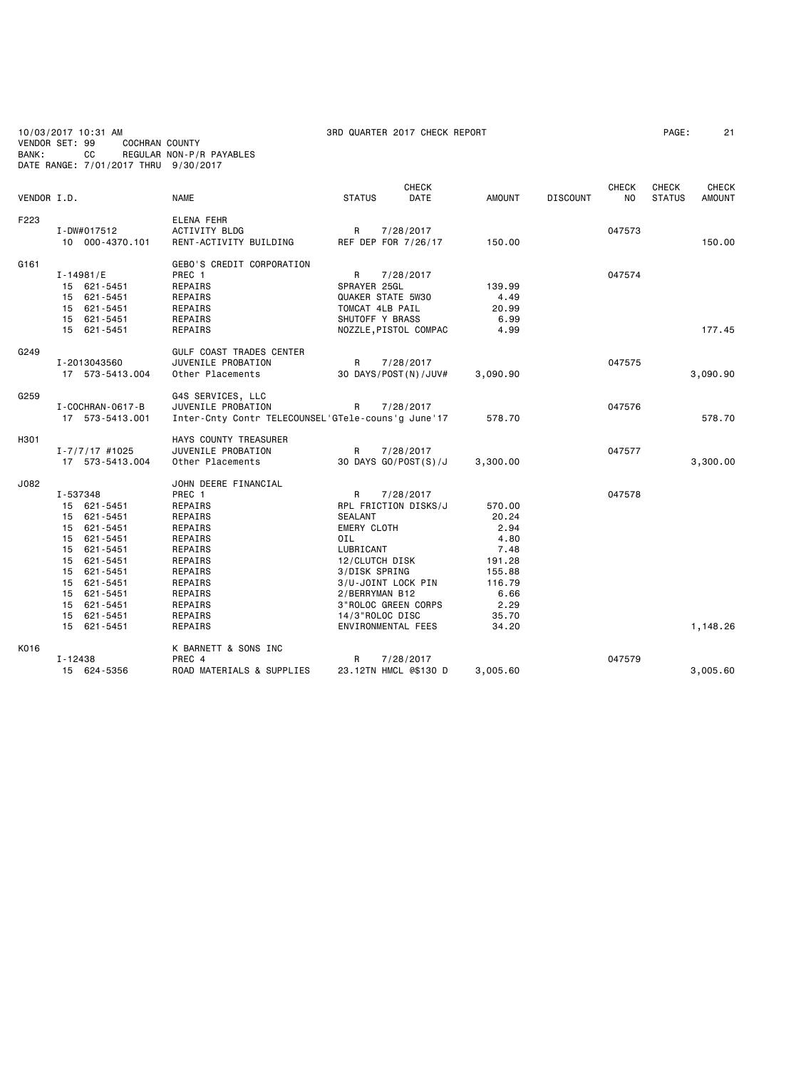| 10/03/2017 10:31 AM<br>3RD QUARTER 2017 CHECK REPORT<br>VENDOR SET: 99<br>COCHRAN COUNTY<br>СC<br>REGULAR NON-P/R PAYABLES<br>BANK:<br>DATE RANGE: 7/01/2017 THRU 9/30/2017 |                                                                                                                                                                                              |                                                                                                                                                                           |                                                                                                                                                                                                                                               |                                                                                                         |                 | PAGE:               | 21                     |                               |
|-----------------------------------------------------------------------------------------------------------------------------------------------------------------------------|----------------------------------------------------------------------------------------------------------------------------------------------------------------------------------------------|---------------------------------------------------------------------------------------------------------------------------------------------------------------------------|-----------------------------------------------------------------------------------------------------------------------------------------------------------------------------------------------------------------------------------------------|---------------------------------------------------------------------------------------------------------|-----------------|---------------------|------------------------|-------------------------------|
| VENDOR I.D.                                                                                                                                                                 |                                                                                                                                                                                              | <b>NAME</b>                                                                                                                                                               | <b>CHECK</b><br>DATE<br><b>STATUS</b>                                                                                                                                                                                                         | <b>AMOUNT</b>                                                                                           | <b>DISCOUNT</b> | <b>CHECK</b><br>NO. | CHECK<br><b>STATUS</b> | <b>CHECK</b><br><b>AMOUNT</b> |
| F223                                                                                                                                                                        | I-DW#017512<br>10 000-4370.101                                                                                                                                                               | ELENA FEHR<br><b>ACTIVITY BLDG</b><br>RENT-ACTIVITY BUILDING                                                                                                              | R<br>7/28/2017<br>REF DEP FOR 7/26/17                                                                                                                                                                                                         | 150.00                                                                                                  |                 | 047573              |                        | 150.00                        |
| G <sub>161</sub>                                                                                                                                                            | I-14981/E<br>15 621-5451<br>15 621-5451<br>15 621-5451<br>15 621-5451<br>15 621-5451                                                                                                         | GEBO'S CREDIT CORPORATION<br>PREC 1<br>REPAIRS<br>REPAIRS<br>REPAIRS<br>REPAIRS<br>REPAIRS                                                                                | R<br>7/28/2017<br>SPRAYER 25GL<br>QUAKER STATE 5W30<br>TOMCAT 4LB PAIL<br>SHUTOFF Y BRASS<br>NOZZLE, PISTOL COMPAC                                                                                                                            | 139.99<br>4.49<br>20.99<br>6.99<br>4.99                                                                 |                 | 047574              |                        | 177.45                        |
| G249                                                                                                                                                                        | I-2013043560<br>17 573-5413.004                                                                                                                                                              | GULF COAST TRADES CENTER<br>JUVENILE PROBATION<br>Other Placements                                                                                                        | R<br>7/28/2017<br>30 DAYS/POST(N)/JUV#                                                                                                                                                                                                        | 3,090.90                                                                                                |                 | 047575              |                        | 3,090.90                      |
| G259                                                                                                                                                                        | I - COCHRAN - 0617 - B<br>17 573-5413.001                                                                                                                                                    | G4S SERVICES, LLC<br>JUVENILE PROBATION<br>Inter-Cnty Contr TELECOUNSEL'GTele-couns'g June'17                                                                             | R<br>7/28/2017                                                                                                                                                                                                                                | 578.70                                                                                                  |                 | 047576              |                        | 578.70                        |
| H301                                                                                                                                                                        | $I - 7/7/17$ #1025<br>17 573-5413.004                                                                                                                                                        | HAYS COUNTY TREASURER<br>JUVENILE PROBATION<br>Other Placements                                                                                                           | R<br>7/28/2017<br>30 DAYS GO/POST(S)/J                                                                                                                                                                                                        | 3,300.00                                                                                                |                 | 047577              |                        | 3,300.00                      |
| J082                                                                                                                                                                        | I-537348<br>15 621-5451<br>15 621-5451<br>15 621-5451<br>15 621-5451<br>15 621-5451<br>15 621-5451<br>15 621-5451<br>15 621-5451<br>15 621-5451<br>15 621-5451<br>15 621-5451<br>15 621-5451 | JOHN DEERE FINANCIAL<br>PREC 1<br>REPAIRS<br>REPAIRS<br>REPAIRS<br>REPAIRS<br>REPAIRS<br>REPAIRS<br>REPAIRS<br>REPAIRS<br><b>REPAIRS</b><br>REPAIRS<br>REPAIRS<br>REPAIRS | R<br>7/28/2017<br>RPL FRICTION DISKS/J<br><b>SEALANT</b><br><b>EMERY CLOTH</b><br>0IL<br>LUBRICANT<br>12/CLUTCH DISK<br>3/DISK SPRING<br>3/U-JOINT LOCK PIN<br>2/BERRYMAN B12<br>3"ROLOC GREEN CORPS<br>14/3"ROLOC DISC<br>ENVIRONMENTAL FEES | 570.00<br>20.24<br>2.94<br>4.80<br>7.48<br>191.28<br>155.88<br>116.79<br>6.66<br>2.29<br>35.70<br>34.20 |                 | 047578              |                        | 1,148.26                      |
| K016                                                                                                                                                                        | I-12438<br>15 624-5356                                                                                                                                                                       | K BARNETT & SONS INC<br>PREC 4<br>ROAD MATERIALS & SUPPLIES                                                                                                               | R<br>7/28/2017<br>23.12TN HMCL @\$130 D                                                                                                                                                                                                       | 3,005.60                                                                                                |                 | 047579              |                        | 3,005.60                      |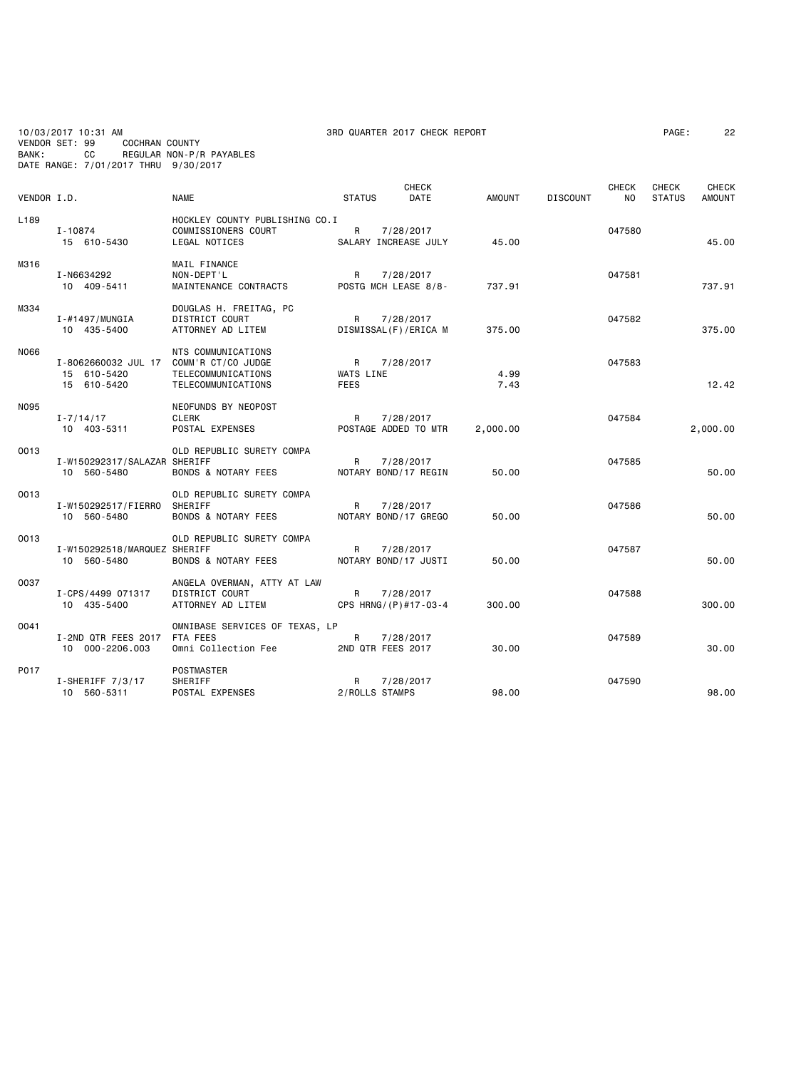10/03/2017 10:31 AM 3RD QUARTER 2017 CHECK REPORT PAGE: 22 VENDOR SET: 99 COCHRAN COUNTY BANK: CC REGULAR NON-P/R PAYABLES DATE RANGE: 7/01/2017 THRU 9/30/2017

| VENDOR I.D.      |                                                                      | <b>NAME</b>                                                                   | <b>STATUS</b>                 | <b>CHECK</b><br>DATE              | <b>AMOUNT</b> | <b>DISCOUNT</b> | <b>CHECK</b><br>NO. | CHECK<br><b>STATUS</b> | <b>CHECK</b><br><b>AMOUNT</b> |
|------------------|----------------------------------------------------------------------|-------------------------------------------------------------------------------|-------------------------------|-----------------------------------|---------------|-----------------|---------------------|------------------------|-------------------------------|
| L <sub>189</sub> | I-10874<br>15 610-5430                                               | HOCKLEY COUNTY PUBLISHING CO.I<br>COMMISSIONERS COURT<br><b>LEGAL NOTICES</b> | R                             | 7/28/2017<br>SALARY INCREASE JULY | 45.00         |                 | 047580              |                        | 45.00                         |
| M316             | I-N6634292<br>10 409-5411                                            | MAIL FINANCE<br>NON-DEPT'L<br>MAINTENANCE CONTRACTS                           | R                             | 7/28/2017<br>POSTG MCH LEASE 8/8- | 737.91        |                 | 047581              |                        | 737.91                        |
| M334             | $I - #1497/MUNGIA$<br>10 435-5400                                    | DOUGLAS H. FREITAG, PC<br>DISTRICT COURT<br>ATTORNEY AD LITEM                 | R                             | 7/28/2017<br>DISMISSAL(F)/ERICA M | 375.00        |                 | 047582              |                        | 375.00                        |
| N066             | I-8062660032 JUL 17 COMM'R CT/CO JUDGE<br>15 610-5420<br>15 610-5420 | NTS COMMUNICATIONS<br>TELECOMMUNICATIONS<br>TELECOMMUNICATIONS                | R<br>WATS LINE<br><b>FEES</b> | 7/28/2017                         | 4.99<br>7.43  |                 | 047583              |                        | 12.42                         |
| N095             | $I - 7/14/17$<br>10 403-5311                                         | NEOFUNDS BY NEOPOST<br><b>CLERK</b><br>POSTAL EXPENSES                        | R                             | 7/28/2017<br>POSTAGE ADDED TO MTR | 2,000.00      |                 | 047584              |                        | 2,000.00                      |
| 0013             | I-W150292317/SALAZAR SHERIFF<br>10 560-5480                          | OLD REPUBLIC SURETY COMPA<br><b>BONDS &amp; NOTARY FEES</b>                   | R                             | 7/28/2017<br>NOTARY BOND/17 REGIN | 50.00         |                 | 047585              |                        | 50.00                         |
| 0013             | I-W150292517/FIERRO<br>10 560-5480                                   | OLD REPUBLIC SURETY COMPA<br>SHERIFF<br><b>BONDS &amp; NOTARY FEES</b>        | R                             | 7/28/2017<br>NOTARY BOND/17 GREGO | 50.00         |                 | 047586              |                        | 50.00                         |
| 0013             | I-W150292518/MARQUEZ SHERIFF<br>10 560-5480                          | OLD REPUBLIC SURETY COMPA<br>BONDS & NOTARY FEES                              | R                             | 7/28/2017<br>NOTARY BOND/17 JUSTI | 50.00         |                 | 047587              |                        | 50.00                         |
| 0037             | I-CPS/4499 071317<br>10 435-5400                                     | ANGELA OVERMAN, ATTY AT LAW<br><b>DISTRICT COURT</b><br>ATTORNEY AD LITEM     | $\mathsf{R}$                  | 7/28/2017<br>CPS HRNG/(P)#17-03-4 | 300.00        |                 | 047588              |                        | 300.00                        |
| 0041             | I-2ND QTR FEES 2017<br>10 000-2206.003                               | OMNIBASE SERVICES OF TEXAS, LP<br>FTA FEES<br>Omni Collection Fee             | R                             | 7/28/2017<br>2ND QTR FEES 2017    | 30.00         |                 | 047589              |                        | 30.00                         |
| P017             | $I-SHERIFF 7/3/17$<br>10 560-5311                                    | <b>POSTMASTER</b><br><b>SHERIFF</b><br>POSTAL EXPENSES                        | R<br>2/ROLLS STAMPS           | 7/28/2017                         | 98,00         |                 | 047590              |                        | 98.00                         |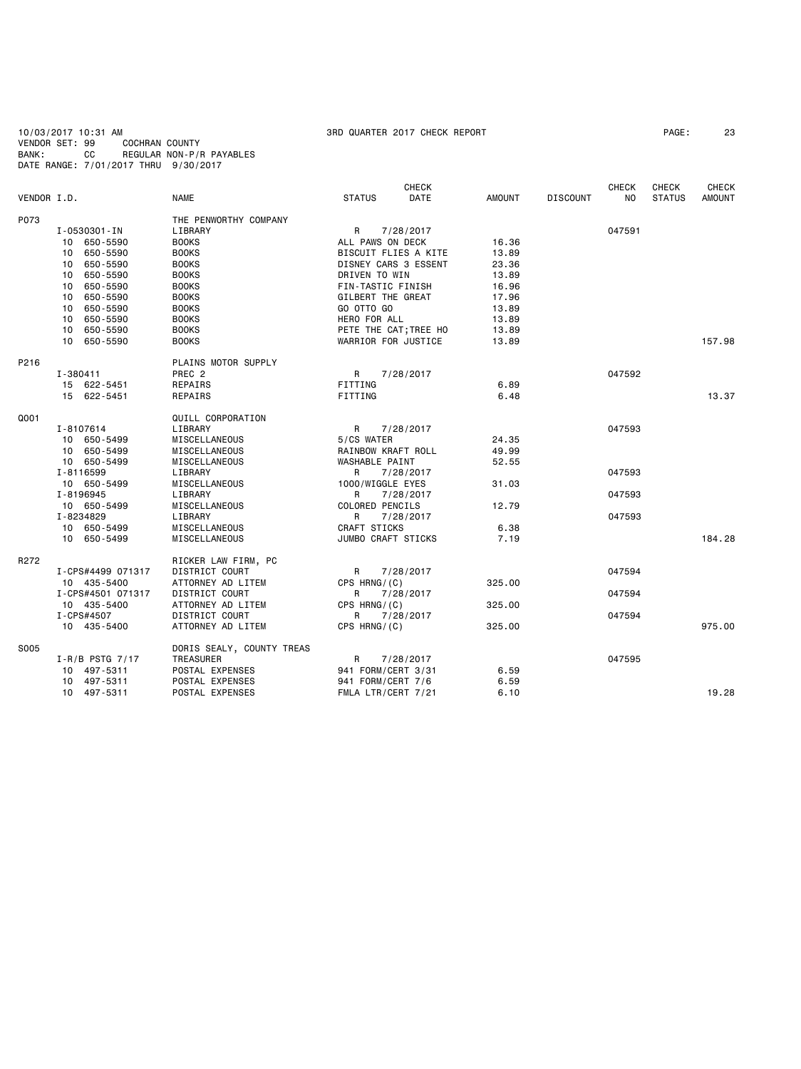10/03/2017 10:31 AM 3RD QUARTER 2017 CHECK REPORT PAGE: 23 VENDOR SET: 99 COCHRAN COUNTY BANK: CC REGULAR NON-P/R PAYABLES DATE RANGE: 7/01/2017 THRU 9/30/2017

|             |                     |                           |                     | <b>CHECK</b>          |               |                 | <b>CHECK</b> | CHECK         | <b>CHECK</b> |
|-------------|---------------------|---------------------------|---------------------|-----------------------|---------------|-----------------|--------------|---------------|--------------|
| VENDOR I.D. |                     | <b>NAME</b>               | <b>STATUS</b>       | DATE                  | <b>AMOUNT</b> | <b>DISCOUNT</b> | NO.          | <b>STATUS</b> | AMOUNT       |
| P073        |                     | THE PENWORTHY COMPANY     |                     |                       |               |                 |              |               |              |
|             | I-0530301-IN        | LIBRARY                   | R                   | 7/28/2017             |               |                 | 047591       |               |              |
|             | 10 650-5590         | <b>BOOKS</b>              | ALL PAWS ON DECK    |                       | 16.36         |                 |              |               |              |
|             | 10 650-5590         | <b>BOOKS</b>              |                     | BISCUIT FLIES A KITE  | 13.89         |                 |              |               |              |
|             | 650-5590<br>10      | <b>BOOKS</b>              |                     | DISNEY CARS 3 ESSENT  | 23.36         |                 |              |               |              |
|             | 650-5590<br>10      | <b>BOOKS</b>              | DRIVEN TO WIN       |                       | 13.89         |                 |              |               |              |
|             | 650-5590<br>10      | <b>BOOKS</b>              | FIN-TASTIC FINISH   |                       | 16.96         |                 |              |               |              |
|             | 650-5590<br>10      | <b>BOOKS</b>              | GILBERT THE GREAT   |                       | 17.96         |                 |              |               |              |
|             | 10<br>650-5590      | <b>BOOKS</b>              | GO OTTO GO          |                       | 13.89         |                 |              |               |              |
|             | 10 650-5590         | <b>BOOKS</b>              | HERO FOR ALL        |                       | 13.89         |                 |              |               |              |
|             | 10 650-5590         | <b>BOOKS</b>              |                     | PETE THE CAT; TREE HO | 13.89         |                 |              |               |              |
|             | 10 650-5590         | <b>BOOKS</b>              | WARRIOR FOR JUSTICE |                       | 13.89         |                 |              |               | 157.98       |
|             |                     |                           |                     |                       |               |                 |              |               |              |
| P216        |                     | PLAINS MOTOR SUPPLY       |                     |                       |               |                 |              |               |              |
|             | I-380411            | PREC <sub>2</sub>         | R                   | 7/28/2017             |               |                 | 047592       |               |              |
|             | 15 622-5451         | REPAIRS                   | FITTING             |                       | 6.89          |                 |              |               |              |
|             | 15 622-5451         | REPAIRS                   | FITTING             |                       | 6.48          |                 |              |               | 13.37        |
| Q001        |                     | QUILL CORPORATION         |                     |                       |               |                 |              |               |              |
|             | I-8107614           | LIBRARY                   | R                   | 7/28/2017             |               |                 | 047593       |               |              |
|             | 10 650-5499         | MISCELLANEOUS             | 5/CS WATER          |                       | 24.35         |                 |              |               |              |
|             | 10 650-5499         | MISCELLANEOUS             | RAINBOW KRAFT ROLL  |                       | 49.99         |                 |              |               |              |
|             | 10 650-5499         | MISCELLANEOUS             | WASHABLE PAINT      |                       | 52.55         |                 |              |               |              |
|             | I-8116599           | LIBRARY                   | R                   | 7/28/2017             |               |                 | 047593       |               |              |
|             | 10 650-5499         | MISCELLANEOUS             | 1000/WIGGLE EYES    |                       | 31.03         |                 |              |               |              |
|             | I-8196945           | LIBRARY                   | R                   | 7/28/2017             |               |                 | 047593       |               |              |
|             | 10 650-5499         | MISCELLANEOUS             | COLORED PENCILS     |                       | 12.79         |                 |              |               |              |
|             | I-8234829           | LIBRARY                   | R                   | 7/28/2017             |               |                 | 047593       |               |              |
|             | 10 650-5499         | MISCELLANEOUS             | CRAFT STICKS        |                       | 6.38          |                 |              |               |              |
|             | 10 650-5499         | MISCELLANEOUS             | JUMBO CRAFT STICKS  |                       | 7.19          |                 |              |               | 184.28       |
| R272        |                     | RICKER LAW FIRM, PC       |                     |                       |               |                 |              |               |              |
|             | I-CPS#4499 071317   | DISTRICT COURT            | R                   | 7/28/2017             |               |                 | 047594       |               |              |
|             | 10 435-5400         | ATTORNEY AD LITEM         | $CPS$ HRNG/ $(C)$   |                       | 325,00        |                 |              |               |              |
|             | I-CPS#4501 071317   | DISTRICT COURT            | R                   | 7/28/2017             |               |                 | 047594       |               |              |
|             | 10 435-5400         | ATTORNEY AD LITEM         | CPS HRNG/(C)        |                       | 325.00        |                 |              |               |              |
|             | I-CPS#4507          | DISTRICT COURT            | R                   | 7/28/2017             |               |                 | 047594       |               |              |
|             | 10 435-5400         | ATTORNEY AD LITEM         | CPS HRNG/(C)        |                       | 325.00        |                 |              |               | 975.00       |
| S005        |                     | DORIS SEALY, COUNTY TREAS |                     |                       |               |                 |              |               |              |
|             |                     |                           |                     |                       |               |                 |              |               |              |
|             | $I-R/B$ PSTG $7/17$ | TREASURER                 | R                   | 7/28/2017             |               |                 | 047595       |               |              |
|             | 10 497-5311         | POSTAL EXPENSES           | 941 FORM/CERT 3/31  |                       | 6.59          |                 |              |               |              |
|             | 10 497-5311         | POSTAL EXPENSES           | 941 FORM/CERT 7/6   |                       | 6.59          |                 |              |               |              |
|             | 10 497-5311         | POSTAL EXPENSES           | FMLA LTR/CERT 7/21  |                       | 6.10          |                 |              |               | 19.28        |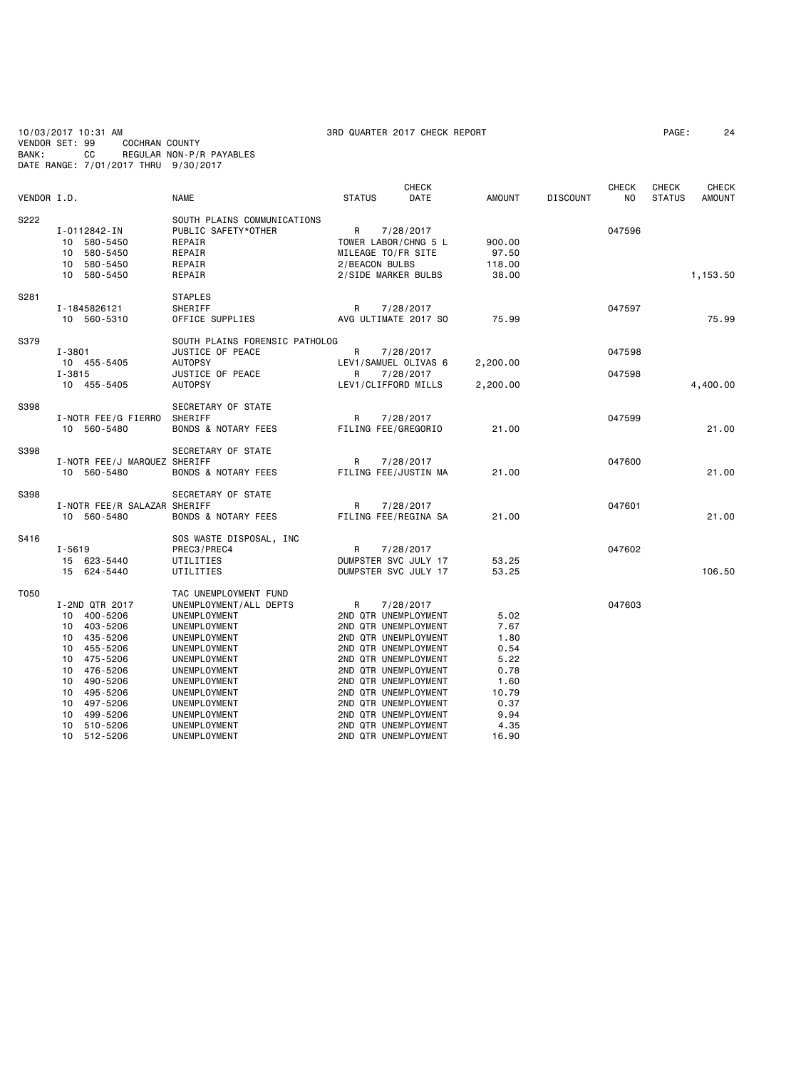10/03/2017 10:31 AM 3RD QUARTER 2017 CHECK REPORT PAGE: 24 VENDOR SET: 99 COCHRAN COUNTY BANK: CC REGULAR NON-P/R PAYABLES DATE RANGE: 7/01/2017 THRU 9/30/2017

| VENDOR I.D. |                                                                                                                                                                                                                                     | <b>NAME</b>                                                                                                                                                                                                                                     | <b>STATUS</b>                                                                                                                                                                                                                                                                                     | <b>CHECK</b><br>DATE   | <b>AMOUNT</b>                                                                                  | <b>DISCOUNT</b> | <b>CHECK</b><br>NO. | <b>CHECK</b><br><b>STATUS</b> | <b>CHECK</b><br><b>AMOUNT</b> |
|-------------|-------------------------------------------------------------------------------------------------------------------------------------------------------------------------------------------------------------------------------------|-------------------------------------------------------------------------------------------------------------------------------------------------------------------------------------------------------------------------------------------------|---------------------------------------------------------------------------------------------------------------------------------------------------------------------------------------------------------------------------------------------------------------------------------------------------|------------------------|------------------------------------------------------------------------------------------------|-----------------|---------------------|-------------------------------|-------------------------------|
| S222        | I-0112842-IN<br>10 580-5450<br>580-5450<br>10<br>580-5450<br>10<br>10 580-5450                                                                                                                                                      | SOUTH PLAINS COMMUNICATIONS<br>PUBLIC SAFETY*OTHER<br>REPAIR<br>REPAIR<br>REPAIR<br>REPAIR                                                                                                                                                      | R<br>TOWER LABOR/CHNG 5 L<br>MILEAGE TO/FR SITE<br>2/BEACON BULBS<br>2/SIDE MARKER BULBS                                                                                                                                                                                                          | 7/28/2017              | 900.00<br>97.50<br>118.00<br>38.00                                                             |                 | 047596              |                               | 1,153.50                      |
| S281        | I-1845826121<br>10 560-5310                                                                                                                                                                                                         | <b>STAPLES</b><br>SHERIFF<br>OFFICE SUPPLIES                                                                                                                                                                                                    | R<br>AVG ULTIMATE 2017 SO                                                                                                                                                                                                                                                                         | 7/28/2017              | 75.99                                                                                          |                 | 047597              |                               | 75.99                         |
| S379        | $I - 3801$<br>10 455-5405<br>I-3815<br>10 455-5405                                                                                                                                                                                  | SOUTH PLAINS FORENSIC PATHOLOG<br>JUSTICE OF PEACE<br><b>AUTOPSY</b><br>JUSTICE OF PEACE<br><b>AUTOPSY</b>                                                                                                                                      | R<br>LEV1/SAMUEL OLIVAS 6<br>R<br>LEV1/CLIFFORD MILLS                                                                                                                                                                                                                                             | 7/28/2017<br>7/28/2017 | 2,200.00<br>2,200.00                                                                           |                 | 047598<br>047598    |                               | 4,400.00                      |
| S398        | I-NOTR FEE/G FIERRO<br>10 560-5480                                                                                                                                                                                                  | SECRETARY OF STATE<br>SHERIFF<br><b>BONDS &amp; NOTARY FEES</b>                                                                                                                                                                                 | R<br>FILING FEE/GREGORIO                                                                                                                                                                                                                                                                          | 7/28/2017              | 21.00                                                                                          |                 | 047599              |                               | 21.00                         |
| S398        | I-NOTR FEE/J MARQUEZ SHERIFF<br>10 560-5480                                                                                                                                                                                         | SECRETARY OF STATE<br><b>BONDS &amp; NOTARY FEES</b>                                                                                                                                                                                            | R<br>FILING FEE/JUSTIN MA                                                                                                                                                                                                                                                                         | 7/28/2017              | 21.00                                                                                          |                 | 047600              |                               | 21.00                         |
| S398        | I-NOTR FEE/R SALAZAR SHERIFF<br>10 560-5480                                                                                                                                                                                         | SECRETARY OF STATE<br>BONDS & NOTARY FEES                                                                                                                                                                                                       | R<br>FILING FEE/REGINA SA                                                                                                                                                                                                                                                                         | 7/28/2017              | 21.00                                                                                          |                 | 047601              |                               | 21.00                         |
| S416        | $I - 5619$<br>15 623-5440<br>15 624-5440                                                                                                                                                                                            | SOS WASTE DISPOSAL, INC<br>PREC3/PREC4<br>UTILITIES<br>UTILITIES                                                                                                                                                                                | R<br>DUMPSTER SVC JULY 17<br>DUMPSTER SVC JULY 17                                                                                                                                                                                                                                                 | 7/28/2017              | 53.25<br>53.25                                                                                 |                 | 047602              |                               | 106.50                        |
| T050        | I-2ND QTR 2017<br>400-5206<br>10<br>403-5206<br>10<br>435-5206<br>10<br>455-5206<br>10<br>475-5206<br>10<br>476-5206<br>10<br>490-5206<br>10<br>10 495-5206<br>497-5206<br>10<br>499-5206<br>10<br>510-5206<br>10<br>10<br>512-5206 | TAC UNEMPLOYMENT FUND<br>UNEMPLOYMENT/ALL DEPTS<br>UNEMPLOYMENT<br>UNEMPLOYMENT<br>UNEMPLOYMENT<br>UNEMPLOYMENT<br>UNEMPLOYMENT<br>UNEMPLOYMENT<br>UNEMPLOYMENT<br>UNEMPLOYMENT<br>UNEMPLOYMENT<br>UNEMPLOYMENT<br>UNEMPLOYMENT<br>UNEMPLOYMENT | R<br>2ND QTR UNEMPLOYMENT<br>2ND QTR UNEMPLOYMENT<br>2ND QTR UNEMPLOYMENT<br>2ND QTR UNEMPLOYMENT<br>2ND QTR UNEMPLOYMENT<br>2ND QTR UNEMPLOYMENT<br>2ND QTR UNEMPLOYMENT<br>2ND QTR UNEMPLOYMENT<br>2ND QTR UNEMPLOYMENT<br>2ND QTR UNEMPLOYMENT<br>2ND QTR UNEMPLOYMENT<br>2ND QTR UNEMPLOYMENT | 7/28/2017              | 5.02<br>7.67<br>1.80<br>0.54<br>5.22<br>0.78<br>1.60<br>10.79<br>0.37<br>9.94<br>4.35<br>16.90 |                 | 047603              |                               |                               |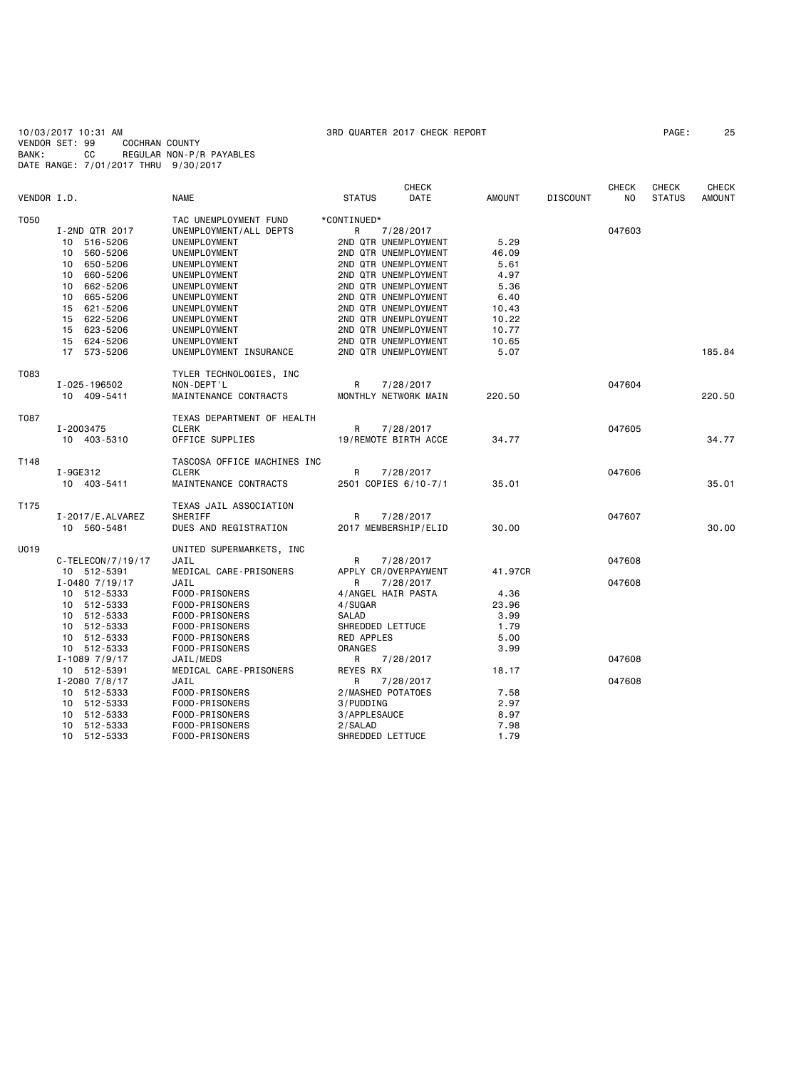10/03/2017 10:31 AM 3RD QUARTER 2017 CHECK REPORT PAGE: 25 VENDOR SET: 99 COCHRAN COUNTY BANK: CC REGULAR NON-P/R PAYABLES DATE RANGE: 7/01/2017 THRU 9/30/2017

|                                  |                                  | <b>CHECK</b>                 |               |                 | <b>CHECK</b>   | CHECK         | <b>CHECK</b>  |
|----------------------------------|----------------------------------|------------------------------|---------------|-----------------|----------------|---------------|---------------|
| VENDOR I.D.                      | <b>NAME</b>                      | <b>STATUS</b><br><b>DATE</b> | <b>AMOUNT</b> | <b>DISCOUNT</b> | N <sub>O</sub> | <b>STATUS</b> | <b>AMOUNT</b> |
| T050                             | TAC UNEMPLOYMENT FUND            | *CONTINUED*                  |               |                 |                |               |               |
| I-2ND QTR 2017                   | UNEMPLOYMENT/ALL DEPTS           | R<br>7/28/2017               |               |                 | 047603         |               |               |
| 10<br>516-5206                   | UNEMPLOYMENT                     | 2ND QTR UNEMPLOYMENT         | 5.29          |                 |                |               |               |
| 560-5206<br>10                   | UNEMPLOYMENT                     | 2ND QTR UNEMPLOYMENT         | 46.09         |                 |                |               |               |
| 650-5206<br>10                   | UNEMPLOYMENT                     | 2ND QTR UNEMPLOYMENT         | 5.61          |                 |                |               |               |
| 660-5206<br>10                   | UNEMPLOYMENT                     | 2ND QTR UNEMPLOYMENT         | 4.97          |                 |                |               |               |
| 662-5206<br>10                   | UNEMPLOYMENT                     | 2ND QTR UNEMPLOYMENT         | 5.36          |                 |                |               |               |
| 665-5206<br>10                   | UNEMPLOYMENT                     | 2ND QTR UNEMPLOYMENT         | 6.40          |                 |                |               |               |
| 621-5206<br>15                   | UNEMPLOYMENT                     | 2ND QTR UNEMPLOYMENT         | 10.43         |                 |                |               |               |
| 622-5206<br>15                   | UNEMPLOYMENT                     | 2ND QTR UNEMPLOYMENT         | 10.22         |                 |                |               |               |
| 623-5206<br>15                   | UNEMPLOYMENT                     | 2ND QTR UNEMPLOYMENT         | 10.77         |                 |                |               |               |
| 15<br>624-5206                   | UNEMPLOYMENT                     | 2ND QTR UNEMPLOYMENT         | 10.65         |                 |                |               |               |
| 17 573-5206                      | UNEMPLOYMENT INSURANCE           | 2ND QTR UNEMPLOYMENT         | 5.07          |                 |                |               | 185.84        |
| T083                             | TYLER TECHNOLOGIES, INC          |                              |               |                 |                |               |               |
| I-025-196502                     | NON-DEPT'L                       | R<br>7/28/2017               |               |                 | 047604         |               |               |
| 10 409-5411                      | MAINTENANCE CONTRACTS            | MONTHLY NETWORK MAIN         | 220.50        |                 |                |               | 220.50        |
| T087                             | TEXAS DEPARTMENT OF HEALTH       |                              |               |                 |                |               |               |
| I-2003475                        | <b>CLERK</b>                     | R<br>7/28/2017               |               |                 | 047605         |               |               |
| 10 403-5310                      | OFFICE SUPPLIES                  | 19/REMOTE BIRTH ACCE         | 34.77         |                 |                |               | 34.77         |
|                                  |                                  |                              |               |                 |                |               |               |
| T148                             | TASCOSA OFFICE MACHINES INC      |                              |               |                 |                |               |               |
| I-9GE312                         | CLERK                            | R<br>7/28/2017               |               |                 | 047606         |               |               |
| 10 403-5411                      | MAINTENANCE CONTRACTS            | 2501 COPIES 6/10-7/1         | 35.01         |                 |                |               | 35.01         |
| T175                             | TEXAS JAIL ASSOCIATION           |                              |               |                 |                |               |               |
| $I - 2017 / E$ . ALVAREZ         | <b>SHERIFF</b>                   | R<br>7/28/2017               |               |                 | 047607         |               |               |
| 10 560-5481                      | DUES AND REGISTRATION            | 2017 MEMBERSHIP/ELID         | 30.00         |                 |                |               | 30.00         |
| U019                             | UNITED SUPERMARKETS, INC         |                              |               |                 |                |               |               |
| $C$ -TELECON/7/19/17             | JAIL                             | R<br>7/28/2017               |               |                 | 047608         |               |               |
| 10 512-5391                      | MEDICAL CARE-PRISONERS           | APPLY CR/OVERPAYMENT         | 41.97CR       |                 |                |               |               |
| $I - 04807/19/17$                | JAIL                             | R<br>7/28/2017               |               |                 | 047608         |               |               |
| 10 512-5333                      | FOOD-PRISONERS                   | 4/ANGEL HAIR PASTA           | 4.36          |                 |                |               |               |
| 512-5333<br>10                   | FOOD-PRISONERS                   | 4/SUGAR                      | 23.96         |                 |                |               |               |
| 10 512-5333                      | FOOD-PRISONERS                   | SALAD                        | 3.99          |                 |                |               |               |
| 512-5333<br>10                   | FOOD-PRISONERS                   | SHREDDED LETTUCE             | 1.79          |                 |                |               |               |
| 512-5333<br>10                   | FOOD-PRISONERS                   | RED APPLES                   | 5.00          |                 |                |               |               |
| 10 512-5333                      | FOOD-PRISONERS                   | <b>ORANGES</b>               | 3.99          |                 |                |               |               |
| $I - 10897/9/17$                 | JAIL/MEDS                        | R<br>7/28/2017               |               |                 | 047608         |               |               |
| 10 512-5391                      | MEDICAL CARE-PRISONERS           | REYES RX                     | 18.17         |                 |                |               |               |
| $I - 2080$ 7/8/17                | JAIL                             | R<br>7/28/2017               |               |                 | 047608         |               |               |
| 10 512-5333                      | FOOD-PRISONERS                   | 2/MASHED POTATOES            | 7.58          |                 |                |               |               |
| 512-5333<br>10<br>512-5333<br>10 | FOOD-PRISONERS<br>FOOD-PRISONERS | 3/PUDDING<br>3/APPLESAUCE    | 2.97<br>8.97  |                 |                |               |               |
| 512-5333<br>10                   | FOOD-PRISONERS                   | 2/SALAD                      | 7.98          |                 |                |               |               |
| 10<br>512-5333                   | FOOD-PRISONERS                   | SHREDDED LETTUCE             | 1.79          |                 |                |               |               |
|                                  |                                  |                              |               |                 |                |               |               |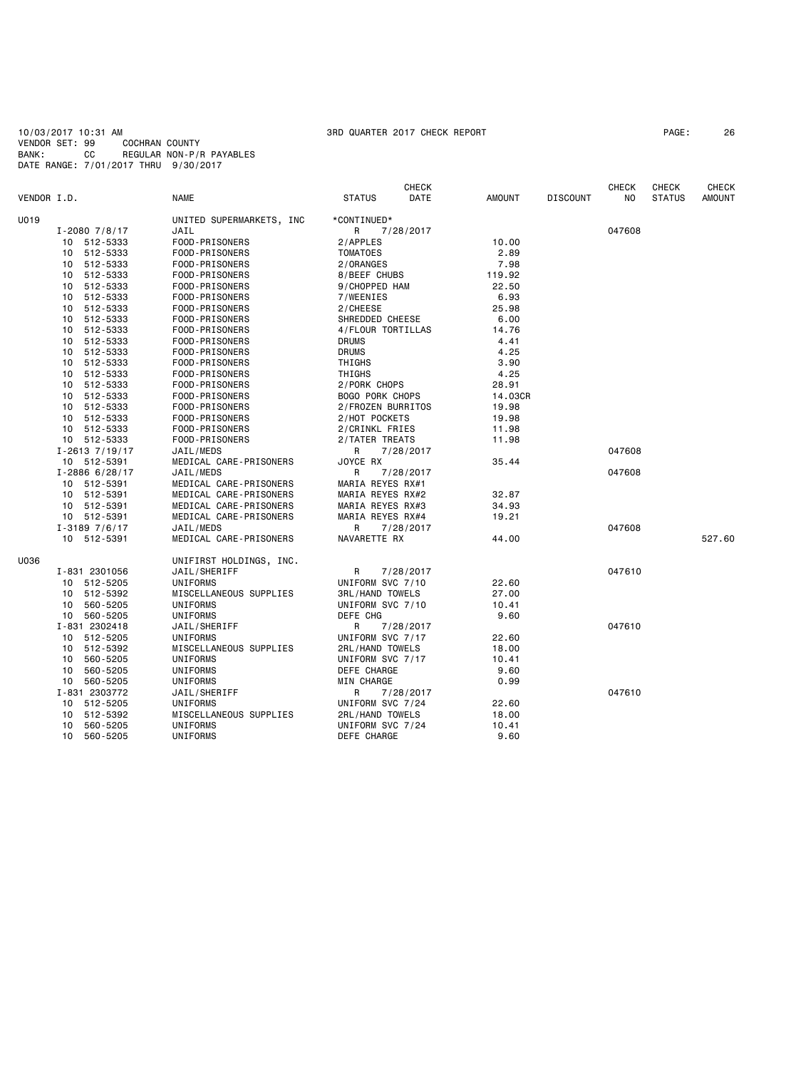10/03/2017 10:31 AM 3RD QUARTER 2017 CHECK REPORT PAGE: 26 VENDOR SET: 99 COCHRAN COUNTY BANK: CC REGULAR NON-P/R PAYABLES DATE RANGE: 7/01/2017 THRU 9/30/2017

|             | <b>CHECK</b>         |                          |                        |           |               | <b>CHECK</b>    | <b>CHECK</b> | <b>CHECK</b>  |               |
|-------------|----------------------|--------------------------|------------------------|-----------|---------------|-----------------|--------------|---------------|---------------|
| VENDOR I.D. |                      | <b>NAME</b>              | <b>STATUS</b>          | DATE      | <b>AMOUNT</b> | <b>DISCOUNT</b> | NO.          | <b>STATUS</b> | <b>AMOUNT</b> |
| U019        |                      | UNITED SUPERMARKETS, INC | *CONTINUED*            |           |               |                 |              |               |               |
|             | $I - 20807/8/17$     | JAIL                     | R                      | 7/28/2017 |               |                 | 047608       |               |               |
|             | 10 512-5333          | FOOD-PRISONERS           | 2/APPLES               |           | 10.00         |                 |              |               |               |
|             | 10 512-5333          | FOOD-PRISONERS           | <b>TOMATOES</b>        |           | 2.89          |                 |              |               |               |
|             | 10 512-5333          | FOOD-PRISONERS           | 2/ORANGES              |           | 7.98          |                 |              |               |               |
|             | 10 512-5333          | FOOD-PRISONERS           | 8/BEEF CHUBS           |           | 119.92        |                 |              |               |               |
|             | 512-5333<br>10       | FOOD-PRISONERS           | 9/CHOPPED HAM          |           | 22.50         |                 |              |               |               |
|             | 512-5333<br>10       | FOOD-PRISONERS           | 7/WEENIES              |           | 6.93          |                 |              |               |               |
|             | 512-5333<br>10       | FOOD-PRISONERS           | 2/CHEESE               |           | 25.98         |                 |              |               |               |
|             | 512-5333<br>10       | FOOD-PRISONERS           | SHREDDED CHEESE        |           | 6.00          |                 |              |               |               |
|             | 10<br>512-5333       | FOOD-PRISONERS           | 4/FLOUR TORTILLAS      |           | 14.76         |                 |              |               |               |
|             | 10<br>512-5333       | FOOD-PRISONERS           | <b>DRUMS</b>           |           | 4.41          |                 |              |               |               |
|             | 512-5333<br>10       | FOOD-PRISONERS           | <b>DRUMS</b>           |           | 4.25          |                 |              |               |               |
|             | 512-5333<br>10       | FOOD-PRISONERS           | THIGHS                 |           | 3.90          |                 |              |               |               |
|             | 512-5333<br>10       | FOOD-PRISONERS           | THIGHS                 |           | 4.25          |                 |              |               |               |
|             | 512-5333<br>10       | FOOD-PRISONERS           | 2/PORK CHOPS           |           | 28.91         |                 |              |               |               |
|             | 512-5333<br>10       | FOOD-PRISONERS           | <b>BOGO PORK CHOPS</b> |           | 14.03CR       |                 |              |               |               |
|             | 512-5333<br>10       | FOOD-PRISONERS           | 2/FROZEN BURRITOS      |           | 19.98         |                 |              |               |               |
|             | 10 512-5333          | FOOD-PRISONERS           | 2/HOT POCKETS          |           | 19.98         |                 |              |               |               |
|             | 10 512-5333          | FOOD-PRISONERS           | 2/CRINKL FRIES         |           | 11.98         |                 |              |               |               |
|             | 10 512-5333          | FOOD-PRISONERS           | 2/TATER TREATS         |           | 11.98         |                 |              |               |               |
|             | $I - 2613$ $7/19/17$ | JAIL/MEDS                | R                      | 7/28/2017 |               |                 | 047608       |               |               |
|             | 10 512-5391          | MEDICAL CARE-PRISONERS   | JOYCE RX               |           | 35.44         |                 |              |               |               |
|             | $I - 2886$ 6/28/17   | JAIL/MEDS                | R                      | 7/28/2017 |               |                 | 047608       |               |               |
|             | 10 512-5391          | MEDICAL CARE-PRISONERS   | MARIA REYES RX#1       |           |               |                 |              |               |               |
|             | 10 512-5391          | MEDICAL CARE-PRISONERS   | MARIA REYES RX#2       |           | 32.87         |                 |              |               |               |
|             | 10 512-5391          | MEDICAL CARE-PRISONERS   | MARIA REYES RX#3       |           | 34.93         |                 |              |               |               |
|             | 10 512-5391          | MEDICAL CARE-PRISONERS   | MARIA REYES RX#4       |           | 19.21         |                 |              |               |               |
|             | $I - 31897/6/17$     | JAIL/MEDS                | R                      | 7/28/2017 |               |                 | 047608       |               |               |
|             | 10 512-5391          | MEDICAL CARE-PRISONERS   | NAVARETTE RX           |           | 44.00         |                 |              |               | 527.60        |
| U036        |                      | UNIFIRST HOLDINGS, INC.  |                        |           |               |                 |              |               |               |
|             | I-831 2301056        | JAIL/SHERIFF             | R                      | 7/28/2017 |               |                 | 047610       |               |               |
|             | 10 512-5205          | UNIFORMS                 | UNIFORM SVC 7/10       |           | 22.60         |                 |              |               |               |
|             | 512-5392<br>10       | MISCELLANEOUS SUPPLIES   | <b>3RL/HAND TOWELS</b> |           | 27.00         |                 |              |               |               |
|             | 10 560-5205          | UNIFORMS                 | UNIFORM SVC 7/10       |           | 10.41         |                 |              |               |               |
|             | 10 560-5205          | UNIFORMS                 | DEFE CHG               |           | 9.60          |                 |              |               |               |
|             | I-831 2302418        | JAIL/SHERIFF             | R                      | 7/28/2017 |               |                 | 047610       |               |               |
|             | 10 512-5205          | UNIFORMS                 | UNIFORM SVC 7/17       |           | 22.60         |                 |              |               |               |
|             | 10 512-5392          | MISCELLANEOUS SUPPLIES   | 2RL/HAND TOWELS        |           | 18.00         |                 |              |               |               |
|             | 560-5205<br>10       | UNIFORMS                 | UNIFORM SVC 7/17       |           | 10.41         |                 |              |               |               |
|             | 560-5205<br>10       | UNIFORMS                 | DEFE CHARGE            |           | 9.60          |                 |              |               |               |
|             | 10 560-5205          | UNIFORMS                 | MIN CHARGE             |           | 0.99          |                 |              |               |               |
|             | I-831 2303772        | JAIL/SHERIFF             | R                      | 7/28/2017 |               |                 | 047610       |               |               |
|             | 10<br>512-5205       | UNIFORMS                 | UNIFORM SVC 7/24       |           | 22.60         |                 |              |               |               |
|             | 512-5392<br>10       | MISCELLANEOUS SUPPLIES   | 2RL/HAND TOWELS        |           | 18.00         |                 |              |               |               |
|             | 560-5205<br>10       | UNIFORMS                 | UNIFORM SVC 7/24       |           | 10.41         |                 |              |               |               |
|             | 10<br>560-5205       | UNIFORMS                 | DEFE CHARGE            |           | 9.60          |                 |              |               |               |
|             |                      |                          |                        |           |               |                 |              |               |               |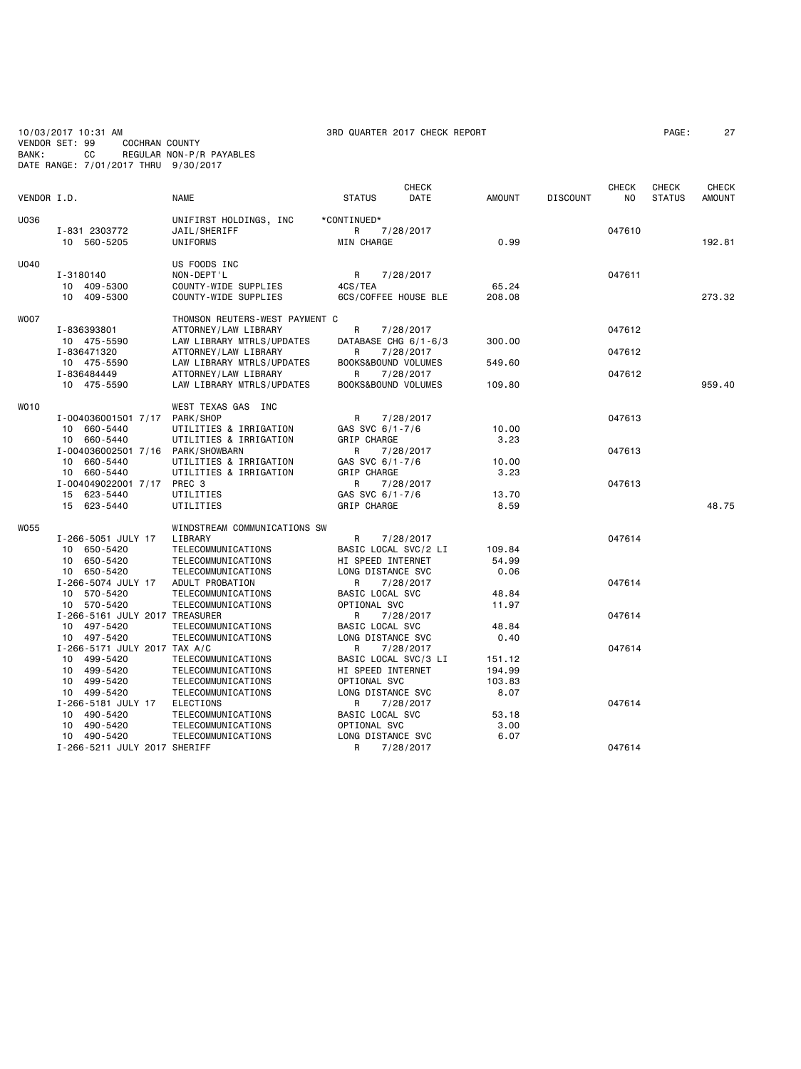10/03/2017 10:31 AM 3RD QUARTER 2017 CHECK REPORT PAGE: 27 VENDOR SET: 99 COCHRAN COUNTY BANK: CC REGULAR NON-P/R PAYABLES DATE RANGE: 7/01/2017 THRU 9/30/2017

|             |                                             |                                                   |                                        | <b>CHECK</b> |               |                 | <b>CHECK</b> | <b>CHECK</b>  | <b>CHECK</b>  |
|-------------|---------------------------------------------|---------------------------------------------------|----------------------------------------|--------------|---------------|-----------------|--------------|---------------|---------------|
| VENDOR I.D. |                                             | <b>NAME</b>                                       | <b>STATUS</b>                          | DATE         | <b>AMOUNT</b> | <b>DISCOUNT</b> | NO           | <b>STATUS</b> | <b>AMOUNT</b> |
| U036        |                                             | UNIFIRST HOLDINGS, INC                            | *CONTINUED*                            |              |               |                 |              |               |               |
|             | I-831 2303772<br>10 560-5205                | JAIL/SHERIFF<br>UNIFORMS                          | R<br>MIN CHARGE                        | 7/28/2017    | 0.99          |                 | 047610       |               | 192.81        |
|             |                                             |                                                   |                                        |              |               |                 |              |               |               |
| U040        |                                             | US FOODS INC                                      |                                        |              |               |                 |              |               |               |
|             | I-3180140                                   | NON-DEPT'L                                        | R<br>4CS/TEA                           | 7/28/2017    | 65.24         |                 | 047611       |               |               |
|             | 10 409-5300<br>10 409-5300                  | COUNTY-WIDE SUPPLIES<br>COUNTY-WIDE SUPPLIES      | 6CS/COFFEE HOUSE BLE                   |              | 208.08        |                 |              |               | 273.32        |
|             |                                             |                                                   |                                        |              |               |                 |              |               |               |
| <b>WOO7</b> |                                             | THOMSON REUTERS-WEST PAYMENT C                    |                                        |              |               |                 |              |               |               |
|             | I-836393801                                 | ATTORNEY/LAW LIBRARY                              | R                                      | 7/28/2017    |               |                 | 047612       |               |               |
|             | 10 475-5590<br>I-836471320                  | LAW LIBRARY MTRLS/UPDATES                         | DATABASE CHG 6/1-6/3<br>R              |              | 300.00        |                 | 047612       |               |               |
|             | 10 475-5590                                 | ATTORNEY/LAW LIBRARY<br>LAW LIBRARY MTRLS/UPDATES | BOOKS&BOUND VOLUMES                    | 7/28/2017    | 549.60        |                 |              |               |               |
|             | I-836484449                                 | ATTORNEY/LAW LIBRARY                              | R                                      | 7/28/2017    |               |                 | 047612       |               |               |
|             | 10 475-5590                                 | LAW LIBRARY MTRLS/UPDATES                         | BOOKS&BOUND VOLUMES                    |              | 109.80        |                 |              |               | 959.40        |
|             |                                             |                                                   |                                        |              |               |                 |              |               |               |
| <b>WO10</b> | I-004036001501 7/17                         | WEST TEXAS GAS INC<br>PARK/SHOP                   | R                                      | 7/28/2017    |               |                 | 047613       |               |               |
|             | 10 660-5440                                 | UTILITIES & IRRIGATION                            | GAS SVC 6/1-7/6                        |              | 10.00         |                 |              |               |               |
|             | 10 660-5440                                 | UTILITIES & IRRIGATION                            | GRIP CHARGE                            |              | 3.23          |                 |              |               |               |
|             | I-004036002501 7/16 PARK/SHOWBARN           |                                                   | R                                      | 7/28/2017    |               |                 | 047613       |               |               |
|             | 10 660-5440                                 | UTILITIES & IRRIGATION                            | GAS SVC 6/1-7/6                        |              | 10.00         |                 |              |               |               |
|             | 10 660-5440                                 | UTILITIES & IRRIGATION                            | GRIP CHARGE                            |              | 3.23          |                 |              |               |               |
|             | I-004049022001 7/17                         | PREC 3                                            | R                                      | 7/28/2017    | 13.70         |                 | 047613       |               |               |
|             | 15 623-5440<br>15 623-5440                  | UTILITIES<br>UTILITIES                            | GAS SVC 6/1-7/6<br><b>GRIP CHARGE</b>  |              | 8.59          |                 |              |               | 48.75         |
|             |                                             |                                                   |                                        |              |               |                 |              |               |               |
| <b>W055</b> |                                             | WINDSTREAM COMMUNICATIONS SW                      |                                        |              |               |                 |              |               |               |
|             | I-266-5051 JULY 17                          | LIBRARY                                           | R                                      | 7/28/2017    |               |                 | 047614       |               |               |
|             | 10 650-5420                                 | TELECOMMUNICATIONS                                | BASIC LOCAL SVC/2 LI                   |              | 109.84        |                 |              |               |               |
|             | 10 650-5420<br>650-5420<br>10               | TELECOMMUNICATIONS<br>TELECOMMUNICATIONS          | HI SPEED INTERNET<br>LONG DISTANCE SVC |              | 54.99<br>0.06 |                 |              |               |               |
|             | I-266-5074 JULY 17                          | ADULT PROBATION                                   | R                                      | 7/28/2017    |               |                 | 047614       |               |               |
|             | 10 570-5420                                 | TELECOMMUNICATIONS                                | BASIC LOCAL SVC                        |              | 48.84         |                 |              |               |               |
|             | 10<br>570-5420                              | TELECOMMUNICATIONS                                | OPTIONAL SVC                           |              | 11.97         |                 |              |               |               |
|             | I-266-5161 JULY 2017 TREASURER              |                                                   | R                                      | 7/28/2017    |               |                 | 047614       |               |               |
|             | 10 497-5420                                 | TELECOMMUNICATIONS                                | BASIC LOCAL SVC                        |              | 48.84         |                 |              |               |               |
|             | 10 497-5420<br>I-266-5171 JULY 2017 TAX A/C | TELECOMMUNICATIONS                                | LONG DISTANCE SVC<br>R                 | 7/28/2017    | 0.40          |                 | 047614       |               |               |
|             | 499-5420<br>10                              | TELECOMMUNICATIONS                                | BASIC LOCAL SVC/3 LI                   |              | 151.12        |                 |              |               |               |
|             | 499-5420<br>10                              | TELECOMMUNICATIONS                                | HI SPEED INTERNET                      |              | 194.99        |                 |              |               |               |
|             | 499-5420<br>10                              | TELECOMMUNICATIONS                                | OPTIONAL SVC                           |              | 103.83        |                 |              |               |               |
|             | 10 499-5420                                 | TELECOMMUNICATIONS                                | LONG DISTANCE SVC                      |              | 8.07          |                 |              |               |               |
|             | I-266-5181 JULY 17                          | ELECTIONS                                         | R                                      | 7/28/2017    |               |                 | 047614       |               |               |
|             | 490-5420<br>10                              | TELECOMMUNICATIONS                                | BASIC LOCAL SVC                        |              | 53.18         |                 |              |               |               |
|             | 490-5420<br>10<br>10 490-5420               | TELECOMMUNICATIONS<br>TELECOMMUNICATIONS          | OPTIONAL SVC<br>LONG DISTANCE SVC      |              | 3,00<br>6.07  |                 |              |               |               |
|             | I-266-5211 JULY 2017 SHERIFF                |                                                   | R                                      | 7/28/2017    |               |                 | 047614       |               |               |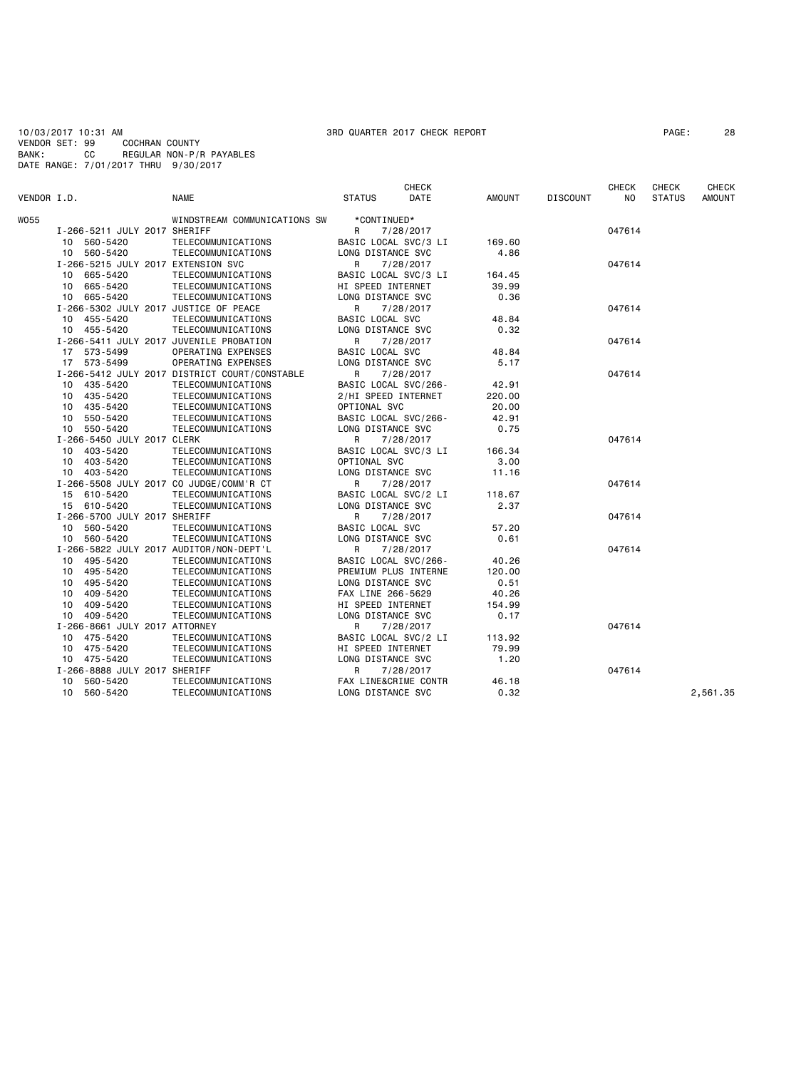10/03/2017 10:31 AM 3RD QUARTER 2017 CHECK REPORT PAGE: 28 VENDOR SET: 99 COCHRAN COUNTY BANK: CC REGULAR NON-P/R PAYABLES DATE RANGE: 7/01/2017 THRU 9/30/2017

|             |                                         |                                               | <b>CHECK</b>           |                   |               |                 | <b>CHECK</b> | <b>CHECK</b>  | <b>CHECK</b>  |
|-------------|-----------------------------------------|-----------------------------------------------|------------------------|-------------------|---------------|-----------------|--------------|---------------|---------------|
| VENDOR I.D. |                                         | <b>NAME</b>                                   | <b>STATUS</b>          | <b>DATE</b>       | <b>AMOUNT</b> | <b>DISCOUNT</b> | NO.          | <b>STATUS</b> | <b>AMOUNT</b> |
| <b>W055</b> |                                         | WINDSTREAM COMMUNICATIONS SW                  | *CONTINUED*            |                   |               |                 |              |               |               |
|             | I-266-5211 JULY 2017 SHERIFF            |                                               | R<br>7/28/2017         |                   |               |                 | 047614       |               |               |
|             | 10 560-5420                             | TELECOMMUNICATIONS                            | BASIC LOCAL SVC/3 LI   |                   | 169.60        |                 |              |               |               |
|             | 10 560-5420                             | TELECOMMUNICATIONS                            |                        | LONG DISTANCE SVC |               |                 |              |               |               |
|             | I-266-5215 JULY 2017 EXTENSION SVC      |                                               | R                      | 7/28/2017         | 4.86          |                 | 047614       |               |               |
|             | 10 665-5420                             | TELECOMMUNICATIONS                            | BASIC LOCAL SVC/3 LI   |                   | 164.45        |                 |              |               |               |
|             | 10 665-5420                             | TELECOMMUNICATIONS                            | HI SPEED INTERNET      |                   | 39.99         |                 |              |               |               |
|             | 10 665-5420                             | TELECOMMUNICATIONS                            | LONG DISTANCE SVC      |                   | 0.36          |                 |              |               |               |
|             | I-266-5302 JULY 2017 JUSTICE OF PEACE   |                                               | R                      | 7/28/2017         |               |                 | 047614       |               |               |
|             | 10 455-5420                             | TELECOMMUNICATIONS                            | <b>BASIC LOCAL SVC</b> |                   | 48.84         |                 |              |               |               |
|             | 10 455-5420                             | TELECOMMUNICATIONS                            | LONG DISTANCE SVC      |                   | 0.32          |                 |              |               |               |
|             | I-266-5411 JULY 2017 JUVENILE PROBATION |                                               | R                      | 7/28/2017         |               |                 | 047614       |               |               |
|             | 17 573-5499                             | OPERATING EXPENSES                            | BASIC LOCAL SVC        |                   | 48.84         |                 |              |               |               |
|             | 17 573-5499                             | OPERATING EXPENSES                            | LONG DISTANCE SVC      |                   | 5.17          |                 |              |               |               |
|             |                                         | I-266-5412 JULY 2017 DISTRICT COURT/CONSTABLE | R                      | 7/28/2017         |               |                 | 047614       |               |               |
|             | 435-5420<br>10                          | TELECOMMUNICATIONS                            | BASIC LOCAL SVC/266-   |                   | 42.91         |                 |              |               |               |
|             | 10 435-5420                             | TELECOMMUNICATIONS                            | 2/HI SPEED INTERNET    |                   | 220.00        |                 |              |               |               |
|             | 435-5420<br>10                          | TELECOMMUNICATIONS                            | OPTIONAL SVC           |                   | 20.00         |                 |              |               |               |
|             | 10 550-5420                             | TELECOMMUNICATIONS                            | BASIC LOCAL SVC/266-   |                   | 42.91         |                 |              |               |               |
|             | 10 550-5420                             | TELECOMMUNICATIONS                            | LONG DISTANCE SVC      |                   | 0.75          |                 |              |               |               |
|             | I-266-5450 JULY 2017 CLERK              |                                               | R<br>7/28/2017         |                   |               |                 | 047614       |               |               |
|             | 403-5420<br>10                          | TELECOMMUNICATIONS                            | BASIC LOCAL SVC/3 LI   |                   | 166.34        |                 |              |               |               |
|             | 10 403-5420                             | TELECOMMUNICATIONS                            | OPTIONAL SVC           |                   | 3,00          |                 |              |               |               |
|             | 10 403-5420                             | TELECOMMUNICATIONS                            | LONG DISTANCE SVC      |                   | 11.16         |                 |              |               |               |
|             | I-266-5508 JULY 2017 CO JUDGE/COMM'R CT |                                               | R                      | 7/28/2017         |               |                 | 047614       |               |               |
|             | 15 610-5420                             | TELECOMMUNICATIONS                            | BASIC LOCAL SVC/2 LI   |                   | 118.67        |                 |              |               |               |
|             | 15 610-5420                             | TELECOMMUNICATIONS                            | LONG DISTANCE SVC      |                   | 2.37          |                 |              |               |               |
|             | I-266-5700 JULY 2017 SHERIFF            |                                               | R                      | 7/28/2017         |               |                 | 047614       |               |               |
|             | 10 560-5420                             | TELECOMMUNICATIONS                            | BASIC LOCAL SVC        |                   | 57.20         |                 |              |               |               |
|             | 10 560-5420                             | TELECOMMUNICATIONS                            | LONG DISTANCE SVC      |                   | 0.61          |                 |              |               |               |
|             | I-266-5822 JULY 2017 AUDITOR/NON-DEPT'L |                                               | R                      | 7/28/2017         |               |                 | 047614       |               |               |
|             | 10 495-5420                             | TELECOMMUNICATIONS                            | BASIC LOCAL SVC/266-   |                   | 40.26         |                 |              |               |               |
|             | 495-5420<br>10                          | TELECOMMUNICATIONS                            | PREMIUM PLUS INTERNE   |                   | 120.00        |                 |              |               |               |
|             | 495-5420<br>10                          | TELECOMMUNICATIONS                            | LONG DISTANCE SVC      |                   | 0.51          |                 |              |               |               |
|             | 409-5420<br>10                          | TELECOMMUNICATIONS                            | FAX LINE 266-5629      |                   | 40.26         |                 |              |               |               |
|             | 10 409-5420                             | TELECOMMUNICATIONS                            | HI SPEED INTERNET      |                   | 154.99        |                 |              |               |               |
|             | 10 409-5420                             | TELECOMMUNICATIONS                            | LONG DISTANCE SVC      |                   | 0.17          |                 |              |               |               |
|             | I-266-8661 JULY 2017 ATTORNEY           |                                               | R<br>7/28/2017         |                   |               |                 | 047614       |               |               |
|             | 475-5420<br>10                          | TELECOMMUNICATIONS                            | BASIC LOCAL SVC/2 LI   |                   | 113.92        |                 |              |               |               |
|             | 10 475-5420                             | TELECOMMUNICATIONS                            | HI SPEED INTERNET      |                   | 79.99         |                 |              |               |               |
|             | 10 475-5420                             | TELECOMMUNICATIONS                            | LONG DISTANCE SVC      |                   | 1.20          |                 |              |               |               |
|             | I-266-8888 JULY 2017 SHERIFF            |                                               | R                      | 7/28/2017         |               |                 | 047614       |               |               |
|             | 560-5420<br>10                          | TELECOMMUNICATIONS                            | FAX LINE&CRIME CONTR   |                   | 46.18         |                 |              |               |               |
|             | 560-5420<br>10                          | TELECOMMUNICATIONS                            | LONG DISTANCE SVC      |                   | 0.32          |                 |              |               | 2,561.35      |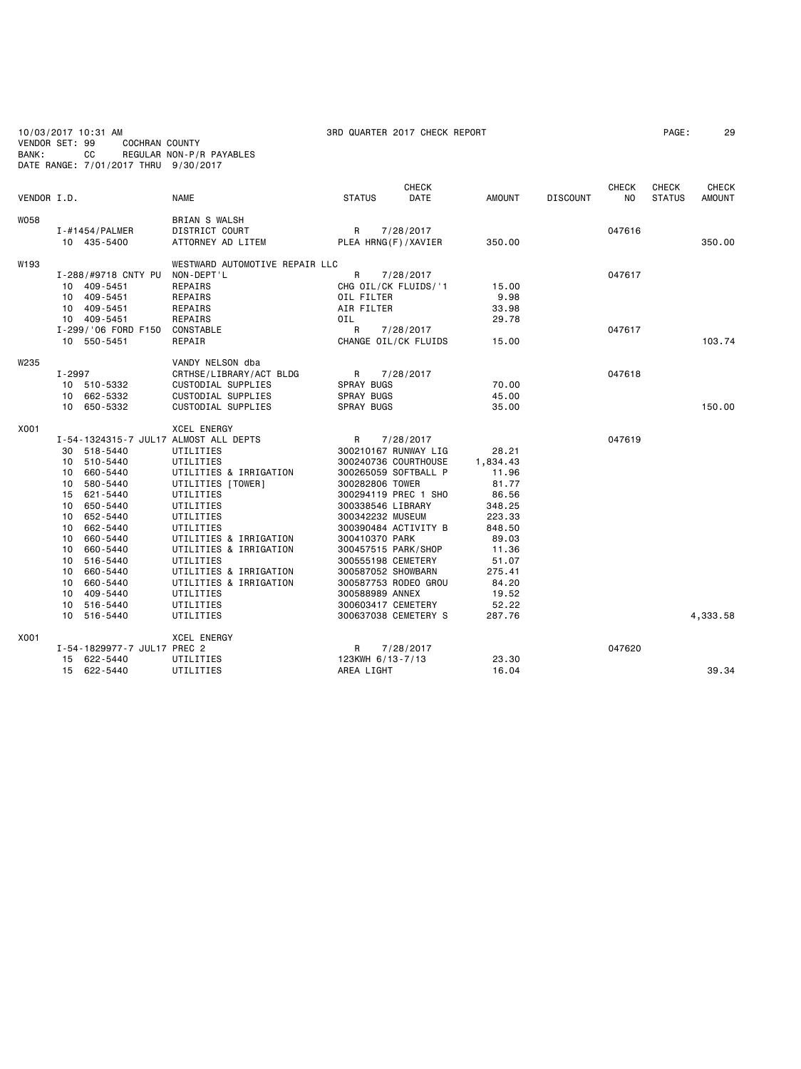| BANK:       | 10/03/2017 10:31 AM<br>VENDOR SET: 99<br><b>COCHRAN COUNTY</b><br>СC<br>DATE RANGE: 7/01/2017 THRU 9/30/2017                                                                                                                                                                                   | REGULAR NON-P/R PAYABLES                                                                                                                                                                                                                                                                                    | 3RD QUARTER 2017 CHECK REPORT                                                                                                                                                                                                                                                                                                                                                    |                                                                                                                                                      | PAGE:           | 29                  |                        |                        |
|-------------|------------------------------------------------------------------------------------------------------------------------------------------------------------------------------------------------------------------------------------------------------------------------------------------------|-------------------------------------------------------------------------------------------------------------------------------------------------------------------------------------------------------------------------------------------------------------------------------------------------------------|----------------------------------------------------------------------------------------------------------------------------------------------------------------------------------------------------------------------------------------------------------------------------------------------------------------------------------------------------------------------------------|------------------------------------------------------------------------------------------------------------------------------------------------------|-----------------|---------------------|------------------------|------------------------|
| VENDOR I.D. |                                                                                                                                                                                                                                                                                                | <b>NAME</b>                                                                                                                                                                                                                                                                                                 | <b>CHECK</b><br>DATE<br><b>STATUS</b>                                                                                                                                                                                                                                                                                                                                            | <b>AMOUNT</b>                                                                                                                                        | <b>DISCOUNT</b> | <b>CHECK</b><br>NO. | CHECK<br><b>STATUS</b> | <b>CHECK</b><br>AMOUNT |
| <b>W058</b> | I-#1454/PALMER<br>10 435-5400                                                                                                                                                                                                                                                                  | <b>BRIAN S WALSH</b><br>DISTRICT COURT<br>ATTORNEY AD LITEM                                                                                                                                                                                                                                                 | R<br>7/28/2017<br>PLEA HRNG(F)/XAVIER                                                                                                                                                                                                                                                                                                                                            | 350.00                                                                                                                                               |                 | 047616              |                        | 350.00                 |
| W193        | I-288/#9718 CNTY PU<br>10 409-5451<br>10 409-5451<br>10 409-5451<br>10 409-5451<br>I-299/'06 FORD F150<br>10 550-5451                                                                                                                                                                          | WESTWARD AUTOMOTIVE REPAIR LLC<br>NON-DEPT'L<br>REPAIRS<br>REPAIRS<br>REPAIRS<br>REPAIRS<br>CONSTABLE<br>REPAIR                                                                                                                                                                                             | R<br>7/28/2017<br>CHG OIL/CK FLUIDS/'1<br>OIL FILTER<br>AIR FILTER<br>0IL<br>R<br>7/28/2017<br>CHANGE OIL/CK FLUIDS                                                                                                                                                                                                                                                              | 15.00<br>9.98<br>33.98<br>29.78<br>15.00                                                                                                             |                 | 047617<br>047617    |                        | 103.74                 |
| W235        | $I - 2997$<br>10 510-5332<br>10 662-5332<br>10 650-5332                                                                                                                                                                                                                                        | VANDY NELSON dba<br>CRTHSE/LIBRARY/ACT BLDG<br>CUSTODIAL SUPPLIES<br><b>CUSTODIAL SUPPLIES</b><br>CUSTODIAL SUPPLIES                                                                                                                                                                                        | R<br>7/28/2017<br><b>SPRAY BUGS</b><br><b>SPRAY BUGS</b><br>SPRAY BUGS                                                                                                                                                                                                                                                                                                           | 70.00<br>45.00<br>35.00                                                                                                                              |                 | 047618              |                        | 150.00                 |
| X001        | I-54-1324315-7 JUL17 ALMOST ALL DEPTS<br>30 518-5440<br>10 510-5440<br>10 660-5440<br>10 580-5440<br>15 621-5440<br>10 650-5440<br>10 652-5440<br>10 662-5440<br>10<br>660-5440<br>660-5440<br>10<br>10 516-5440<br>10 660-5440<br>660-5440<br>10<br>10 409-5440<br>10 516-5440<br>10 516-5440 | <b>XCEL ENERGY</b><br>UTILITIES<br>UTILITIES<br>UTILITIES & IRRIGATION<br>UTILITIES [TOWER]<br>UTILITIES<br>UTILITIES<br>UTILITIES<br>UTILITIES<br>UTILITIES & IRRIGATION<br>UTILITIES & IRRIGATION<br>UTILITIES<br>UTILITIES & IRRIGATION<br>UTILITIES & IRRIGATION<br>UTILITIES<br>UTILITIES<br>UTILITIES | R<br>7/28/2017<br>300210167 RUNWAY LIG<br>300240736 COURTHOUSE<br>300265059 SOFTBALL P<br>300282806 TOWER<br>300294119 PREC 1 SHO<br>300338546 LIBRARY<br>300342232 MUSEUM<br>300390484 ACTIVITY B<br>300410370 PARK<br>300457515 PARK/SHOP<br>300555198 CEMETERY<br>300587052 SHOWBARN<br>300587753 RODEO GROU<br>300588989 ANNEX<br>300603417 CEMETERY<br>300637038 CEMETERY S | 28.21<br>1,834.43<br>11.96<br>81.77<br>86.56<br>348.25<br>223.33<br>848.50<br>89.03<br>11.36<br>51.07<br>275.41<br>84.20<br>19.52<br>52.22<br>287.76 |                 | 047619              |                        | 4,333.58               |
| X001        | I-54-1829977-7 JUL17 PREC 2                                                                                                                                                                                                                                                                    | <b>XCEL ENERGY</b>                                                                                                                                                                                                                                                                                          | R<br>7/28/2017                                                                                                                                                                                                                                                                                                                                                                   |                                                                                                                                                      |                 | 047620              |                        |                        |
|             | 622-5440<br>15<br>15 622-5440                                                                                                                                                                                                                                                                  | UTILITIES<br>UTILITIES                                                                                                                                                                                                                                                                                      | 123KWH 6/13-7/13<br>AREA LIGHT                                                                                                                                                                                                                                                                                                                                                   | 23.30<br>16.04                                                                                                                                       |                 |                     |                        | 39.34                  |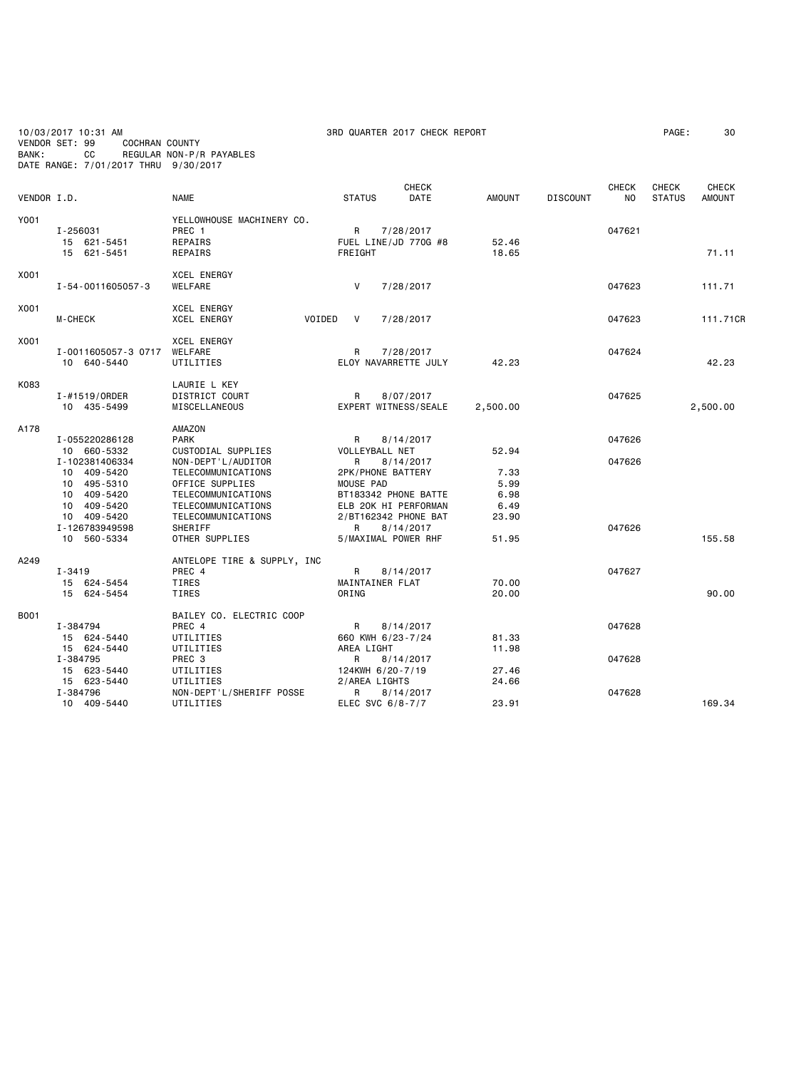10/03/2017 10:31 AM 3RD QUARTER 2017 CHECK REPORT PAGE: 30 VENDOR SET: 99 COCHRAN COUNTY BANK: CC REGULAR NON-P/R PAYABLES DATE RANGE: 7/01/2017 THRU 9/30/2017

|             |                         |                              |                     | <b>CHECK</b>                      |               |                 | <b>CHECK</b> | <b>CHECK</b>  | <b>CHECK</b>  |
|-------------|-------------------------|------------------------------|---------------------|-----------------------------------|---------------|-----------------|--------------|---------------|---------------|
|             | VENDOR I.D.             | <b>NAME</b>                  | <b>STATUS</b>       | DATE                              | <b>AMOUNT</b> | <b>DISCOUNT</b> | NO           | <b>STATUS</b> | <b>AMOUNT</b> |
| Y001        |                         | YELLOWHOUSE MACHINERY CO.    |                     |                                   |               |                 |              |               |               |
|             | I-256031                | PREC 1                       | $\mathsf{R}$        |                                   |               |                 | 047621       |               |               |
|             | 15 621-5451             | REPAIRS                      |                     | 7/28/2017<br>FUEL LINE/JD 770G #8 | 52.46         |                 |              |               |               |
|             | 15 621-5451             | REPAIRS                      | FREIGHT             |                                   | 18.65         |                 |              |               | 71.11         |
|             |                         |                              |                     |                                   |               |                 |              |               |               |
| X001        |                         | <b>XCEL ENERGY</b>           |                     |                                   |               |                 |              |               |               |
|             | I-54-0011605057-3       | <b>WELFARE</b>               | V                   | 7/28/2017                         |               |                 | 047623       |               | 111.71        |
| X001        |                         | XCEL ENERGY                  |                     |                                   |               |                 |              |               |               |
|             | M-CHECK                 | <b>XCEL ENERGY</b><br>VOIDED | <b>V</b>            | 7/28/2017                         |               |                 | 047623       |               | 111.71CR      |
|             |                         |                              |                     |                                   |               |                 |              |               |               |
| X001        |                         | <b>XCEL ENERGY</b>           |                     |                                   |               |                 |              |               |               |
|             | I-0011605057-3 0717     | WELFARE                      | R                   | 7/28/2017                         |               |                 | 047624       |               |               |
|             | 10 640-5440             | UTILITIES                    |                     | ELOY NAVARRETTE JULY              | 42.23         |                 |              |               | 42.23         |
| K083        |                         | LAURIE L KEY                 |                     |                                   |               |                 |              |               |               |
|             | I-#1519/ORDER           | DISTRICT COURT               | R                   | 8/07/2017                         |               |                 | 047625       |               |               |
|             | 10 435-5499             | MISCELLANEOUS                |                     | EXPERT WITNESS/SEALE              | 2,500.00      |                 |              |               | 2,500.00      |
|             |                         |                              |                     |                                   |               |                 |              |               |               |
| A178        |                         | <b>AMAZON</b>                |                     |                                   |               |                 |              |               |               |
|             | I-055220286128          | <b>PARK</b>                  | R                   | 8/14/2017                         |               |                 | 047626       |               |               |
|             | 10 660-5332             | CUSTODIAL SUPPLIES           | VOLLEYBALL NET      |                                   | 52.94         |                 |              |               |               |
|             | I-102381406334          | NON-DEPT'L/AUDITOR           | R                   | 8/14/2017                         |               |                 | 047626       |               |               |
|             | 10 409-5420             | TELECOMMUNICATIONS           | 2PK/PHONE BATTERY   |                                   | 7.33          |                 |              |               |               |
|             | 10 495-5310             | OFFICE SUPPLIES              | MOUSE PAD           |                                   | 5.99          |                 |              |               |               |
|             | 10 409-5420             | TELECOMMUNICATIONS           |                     | BT183342 PHONE BATTE              | 6.98          |                 |              |               |               |
|             | 10 409-5420             | TELECOMMUNICATIONS           |                     | ELB 20K HI PERFORMAN              | 6.49          |                 |              |               |               |
|             | 10 409-5420             | TELECOMMUNICATIONS           |                     | 2/BT162342 PHONE BAT              | 23.90         |                 |              |               |               |
|             | I-126783949598          | SHERIFF                      | R.                  | 8/14/2017                         |               |                 | 047626       |               |               |
|             | 10 560-5334             | OTHER SUPPLIES               | 5/MAXIMAL POWER RHF |                                   | 51.95         |                 |              |               | 155.58        |
| A249        |                         | ANTELOPE TIRE & SUPPLY, INC  |                     |                                   |               |                 |              |               |               |
|             | I-3419                  | PREC 4                       | R                   | 8/14/2017                         |               |                 | 047627       |               |               |
|             | 15 624-5454             | TIRES                        | MAINTAINER FLAT     |                                   | 70.00         |                 |              |               |               |
|             | 15 624-5454             | TIRES                        | ORING               |                                   | 20.00         |                 |              |               | 90.00         |
| <b>B001</b> |                         | BAILEY CO. ELECTRIC COOP     |                     |                                   |               |                 |              |               |               |
|             |                         | PREC 4                       | R                   | 8/14/2017                         |               |                 | 047628       |               |               |
|             | I-384794<br>15 624-5440 | UTILITIES                    | 660 KWH 6/23-7/24   |                                   | 81.33         |                 |              |               |               |
|             | 15 624-5440             | UTILITIES                    | AREA LIGHT          |                                   | 11.98         |                 |              |               |               |
|             | I-384795                | PREC <sub>3</sub>            | R                   | 8/14/2017                         |               |                 | 047628       |               |               |
|             | 15 623-5440             | UTILITIES                    | 124KWH 6/20-7/19    |                                   | 27.46         |                 |              |               |               |
|             | 15 623-5440             | UTILITIES                    | 2/AREA LIGHTS       |                                   | 24.66         |                 |              |               |               |
|             | I-384796                | NON-DEPT'L/SHERIFF POSSE     | R                   | 8/14/2017                         |               |                 | 047628       |               |               |
|             | 10 409-5440             | UTILITIES                    | ELEC SVC 6/8-7/7    |                                   | 23.91         |                 |              |               | 169.34        |
|             |                         |                              |                     |                                   |               |                 |              |               |               |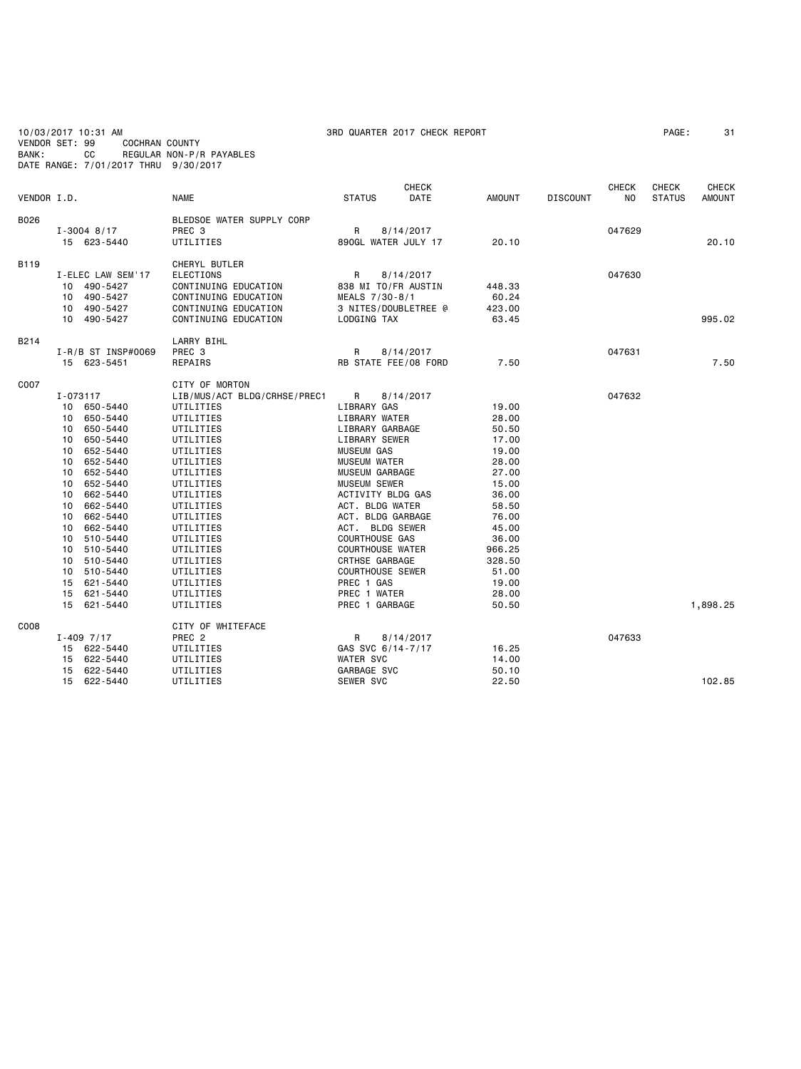10/03/2017 10:31 AM 3RD QUARTER 2017 CHECK REPORT PAGE: 31 VENDOR SET: 99 COCHRAN COUNTY BANK: CC REGULAR NON-P/R PAYABLES DATE RANGE: 7/01/2017 THRU 9/30/2017

| VENDOR I.D. |                                                                                                                                                                                                                                                                                                                                                             | <b>NAME</b>                                                                                                                                                                                                                                                                                           | <b>STATUS</b>                                                                                                                                                                                                                                                                                                                                                                                                    | <b>CHECK</b><br>DATE              | AMOUNT                                                                                                                                                                    | <b>DISCOUNT</b> | <b>CHECK</b><br>NO. | <b>CHECK</b><br><b>STATUS</b> | <b>CHECK</b><br><b>AMOUNT</b> |
|-------------|-------------------------------------------------------------------------------------------------------------------------------------------------------------------------------------------------------------------------------------------------------------------------------------------------------------------------------------------------------------|-------------------------------------------------------------------------------------------------------------------------------------------------------------------------------------------------------------------------------------------------------------------------------------------------------|------------------------------------------------------------------------------------------------------------------------------------------------------------------------------------------------------------------------------------------------------------------------------------------------------------------------------------------------------------------------------------------------------------------|-----------------------------------|---------------------------------------------------------------------------------------------------------------------------------------------------------------------------|-----------------|---------------------|-------------------------------|-------------------------------|
| B026        | $I - 3004$ 8/17<br>15 623-5440                                                                                                                                                                                                                                                                                                                              | BLEDSOE WATER SUPPLY CORP<br>PREC <sub>3</sub><br>UTILITIES                                                                                                                                                                                                                                           | R<br>890GL WATER JULY 17                                                                                                                                                                                                                                                                                                                                                                                         | 8/14/2017                         | 20.10                                                                                                                                                                     |                 | 047629              |                               | 20.10                         |
| B119        | I-ELEC LAW SEM'17<br>10 490-5427<br>490-5427<br>10<br>490-5427<br>10 <sup>1</sup><br>10 490-5427                                                                                                                                                                                                                                                            | CHERYL BUTLER<br><b>ELECTIONS</b><br>CONTINUING EDUCATION<br>CONTINUING EDUCATION<br>CONTINUING EDUCATION<br>CONTINUING EDUCATION                                                                                                                                                                     | R.<br>838 MI TO/FR AUSTIN<br>MEALS 7/30-8/1<br>LODGING TAX                                                                                                                                                                                                                                                                                                                                                       | 8/14/2017<br>3 NITES/DOUBLETREE @ | 448.33<br>60.24<br>423.00<br>63.45                                                                                                                                        |                 | 047630              |                               | 995.02                        |
| B214        | $I - R/B$ ST INSP#0069<br>15 623-5451                                                                                                                                                                                                                                                                                                                       | LARRY BIHL<br>PREC 3<br>REPAIRS                                                                                                                                                                                                                                                                       | R<br>RB STATE FEE/08 FORD                                                                                                                                                                                                                                                                                                                                                                                        | 8/14/2017                         | 7.50                                                                                                                                                                      |                 | 047631              |                               | 7.50                          |
| C007        | I-073117<br>10 650-5440<br>650-5440<br>10<br>650-5440<br>10<br>650-5440<br>10<br>652-5440<br>10<br>652-5440<br>10<br>652-5440<br>10<br>652-5440<br>10<br>662-5440<br>10<br>662-5440<br>10<br>10<br>662-5440<br>662-5440<br>10<br>510-5440<br>10<br>510-5440<br>10<br>510-5440<br>10<br>510-5440<br>10<br>15<br>621-5440<br>15<br>621-5440<br>15<br>621-5440 | CITY OF MORTON<br>LIB/MUS/ACT BLDG/CRHSE/PREC1<br>UTILITIES<br>UTILITIES<br>UTILITIES<br>UTILITIES<br>UTILITIES<br>UTILITIES<br>UTILITIES<br>UTILITIES<br>UTILITIES<br>UTILITIES<br>UTILITIES<br>UTILITIES<br>UTILITIES<br>UTILITIES<br>UTILITIES<br>UTILITIES<br>UTILITIES<br>UTILITIES<br>UTILITIES | R<br>LIBRARY GAS<br>LIBRARY WATER<br>LIBRARY GARBAGE<br>LIBRARY SEWER<br><b>MUSEUM GAS</b><br><b>MUSEUM WATER</b><br><b>MUSEUM GARBAGE</b><br><b>MUSEUM SEWER</b><br><b>ACTIVITY BLDG GAS</b><br>ACT. BLDG WATER<br>ACT. BLDG GARBAGE<br>ACT. BLDG SEWER<br><b>COURTHOUSE GAS</b><br><b>COURTHOUSE WATER</b><br><b>CRTHSE GARBAGE</b><br><b>COURTHOUSE SEWER</b><br>PREC 1 GAS<br>PREC 1 WATER<br>PREC 1 GARBAGE | 8/14/2017                         | 19.00<br>28.00<br>50.50<br>17.00<br>19.00<br>28.00<br>27.00<br>15.00<br>36.00<br>58.50<br>76.00<br>45.00<br>36.00<br>966.25<br>328.50<br>51.00<br>19.00<br>28.00<br>50.50 |                 | 047632              |                               | 1,898.25                      |
| C008        | $I - 409$ $7/17$<br>15 622-5440<br>622-5440<br>15<br>15<br>622-5440                                                                                                                                                                                                                                                                                         | CITY OF WHITEFACE<br>PREC <sub>2</sub><br>UTILITIES<br>UTILITIES<br>UTILITIES                                                                                                                                                                                                                         | R<br>GAS SVC 6/14-7/17<br><b>WATER SVC</b><br>GARBAGE SVC                                                                                                                                                                                                                                                                                                                                                        | 8/14/2017                         | 16.25<br>14.00<br>50.10                                                                                                                                                   |                 | 047633              |                               |                               |
|             | 15<br>622-5440                                                                                                                                                                                                                                                                                                                                              | UTILITIES                                                                                                                                                                                                                                                                                             | SEWER SVC                                                                                                                                                                                                                                                                                                                                                                                                        |                                   | 22.50                                                                                                                                                                     |                 |                     |                               | 102.85                        |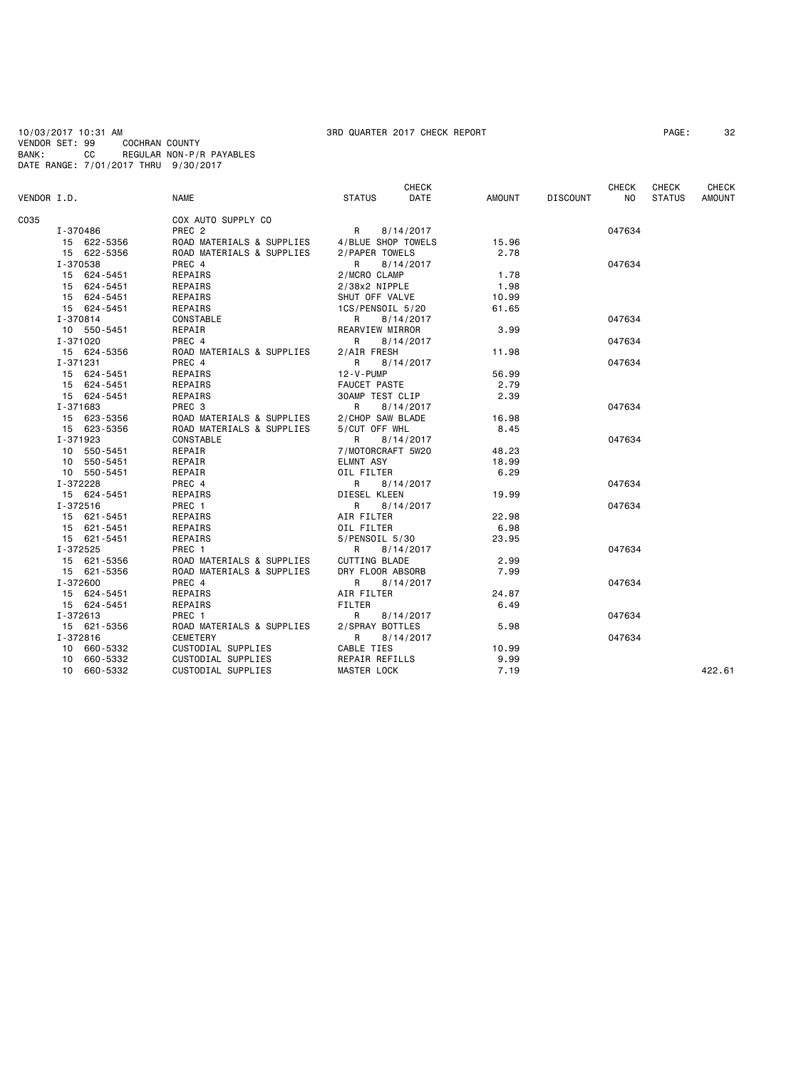10/03/2017 10:31 AM 3RD QUARTER 2017 CHECK REPORT PAGE: 32 VENDOR SET: 99 COCHRAN COUNTY BANK: CC REGULAR NON-P/R PAYABLES DATE RANGE: 7/01/2017 THRU 9/30/2017

| COX AUTO SUPPLY CO<br>PREC <sub>2</sub><br>047634<br>I-370486<br>8/14/2017<br>R<br>ROAD MATERIALS & SUPPLIES<br>4/BLUE SHOP TOWELS<br>15.96<br>15 622-5356<br>2.78<br>15 622-5356<br>ROAD MATERIALS & SUPPLIES<br>2/PAPER TOWELS<br>I-370538<br>PREC 4<br>R<br>8/14/2017<br>047634<br>15 624-5451<br><b>REPAIRS</b><br>2/MCRO CLAMP<br>1.78<br>15 624-5451<br>REPAIRS<br>2/38x2 NIPPLE<br>1.98<br>15 624-5451<br>REPAIRS<br>SHUT OFF VALVE<br>10.99<br>61.65<br>15 624-5451<br>REPAIRS<br>1CS/PENSOIL 5/20<br>I-370814<br>CONSTABLE<br>047634<br>R<br>8/14/2017<br>REARVIEW MIRROR<br>3.99<br>10 550-5451<br>REPAIR<br>I-371020<br>PREC 4<br>047634<br>8/14/2017<br>R<br>15 624-5356<br>ROAD MATERIALS & SUPPLIES<br>11.98<br>2/AIR FRESH<br>I-371231<br>PREC 4<br>8/14/2017<br>047634<br>R<br>15 624-5451<br>REPAIRS<br>12-V-PUMP<br>56.99<br>REPAIRS<br><b>FAUCET PASTE</b><br>2.79<br>15 624-5451<br>2.39<br><b>30AMP TEST CLIP</b><br>15 624-5451<br>REPAIRS<br>I-371683<br>PREC 3<br>8/14/2017<br>047634<br>R<br>15 623-5356<br>ROAD MATERIALS & SUPPLIES<br>2/CHOP SAW BLADE<br>16.98<br>15 623-5356<br>ROAD MATERIALS & SUPPLIES<br>5/CUT OFF WHL<br>8.45<br>I-371923<br>CONSTABLE<br>R<br>8/14/2017<br>047634<br>REPAIR<br>7/MOTORCRAFT 5W20<br>10 550-5451<br>48.23<br>18.99<br>10 550-5451<br>REPAIR<br>ELMNT ASY<br>6.29<br>10 550-5451<br>REPAIR<br>OIL FILTER<br>I-372228<br>PREC 4<br>R<br>047634<br>8/14/2017<br>15 624-5451<br>19.99<br>REPAIRS<br>DIESEL KLEEN<br>I-372516<br>PREC 1<br>047634<br>R<br>8/14/2017<br>22.98<br>15 621-5451<br>REPAIRS<br>AIR FILTER<br>6.98<br>15 621-5451<br>REPAIRS<br>OIL FILTER<br>23.95<br>REPAIRS<br>5/PENSOIL 5/30<br>15 621-5451<br>I-372525<br>PREC 1<br>047634<br>R<br>8/14/2017<br>ROAD MATERIALS & SUPPLIES<br>CUTTING BLADE<br>15 621-5356<br>2.99<br>15 621-5356<br>ROAD MATERIALS & SUPPLIES<br>DRY FLOOR ABSORB<br>7.99<br>I-372600<br>PREC 4<br>047634<br>8/14/2017<br>R<br>AIR FILTER<br>24.87<br>15 624-5451<br>REPAIRS<br><b>FILTER</b><br>6.49<br>15 624-5451<br>REPAIRS<br>I-372613<br>PREC 1<br>R<br>047634<br>8/14/2017<br>15 621-5356<br>ROAD MATERIALS & SUPPLIES<br>2/SPRAY BOTTLES<br>5.98<br>I-372816<br>047634<br><b>CEMETERY</b><br>R<br>8/14/2017<br>CUSTODIAL SUPPLIES<br>CABLE TIES<br>10.99<br>10 660-5332<br>10 660-5332<br><b>REPAIR REFILLS</b><br>9.99<br>CUSTODIAL SUPPLIES<br>7.19<br>10 660-5332<br>CUSTODIAL SUPPLIES<br><b>MASTER LOCK</b><br>422.61 | VENDOR I.D. | <b>NAME</b> | <b>STATUS</b> | <b>CHECK</b><br>DATE | AMOUNT | <b>DISCOUNT</b> | <b>CHECK</b><br>NO. | <b>CHECK</b><br><b>STATUS</b> | <b>CHECK</b><br><b>AMOUNT</b> |
|-------------------------------------------------------------------------------------------------------------------------------------------------------------------------------------------------------------------------------------------------------------------------------------------------------------------------------------------------------------------------------------------------------------------------------------------------------------------------------------------------------------------------------------------------------------------------------------------------------------------------------------------------------------------------------------------------------------------------------------------------------------------------------------------------------------------------------------------------------------------------------------------------------------------------------------------------------------------------------------------------------------------------------------------------------------------------------------------------------------------------------------------------------------------------------------------------------------------------------------------------------------------------------------------------------------------------------------------------------------------------------------------------------------------------------------------------------------------------------------------------------------------------------------------------------------------------------------------------------------------------------------------------------------------------------------------------------------------------------------------------------------------------------------------------------------------------------------------------------------------------------------------------------------------------------------------------------------------------------------------------------------------------------------------------------------------------------------------------------------------------------------------------------------------------------------------------------------------------------------------------------------------------------------------------------------------------------------------------------------------------------------------------------------------------------------------------|-------------|-------------|---------------|----------------------|--------|-----------------|---------------------|-------------------------------|-------------------------------|
|                                                                                                                                                                                                                                                                                                                                                                                                                                                                                                                                                                                                                                                                                                                                                                                                                                                                                                                                                                                                                                                                                                                                                                                                                                                                                                                                                                                                                                                                                                                                                                                                                                                                                                                                                                                                                                                                                                                                                                                                                                                                                                                                                                                                                                                                                                                                                                                                                                                 | C035        |             |               |                      |        |                 |                     |                               |                               |
|                                                                                                                                                                                                                                                                                                                                                                                                                                                                                                                                                                                                                                                                                                                                                                                                                                                                                                                                                                                                                                                                                                                                                                                                                                                                                                                                                                                                                                                                                                                                                                                                                                                                                                                                                                                                                                                                                                                                                                                                                                                                                                                                                                                                                                                                                                                                                                                                                                                 |             |             |               |                      |        |                 |                     |                               |                               |
|                                                                                                                                                                                                                                                                                                                                                                                                                                                                                                                                                                                                                                                                                                                                                                                                                                                                                                                                                                                                                                                                                                                                                                                                                                                                                                                                                                                                                                                                                                                                                                                                                                                                                                                                                                                                                                                                                                                                                                                                                                                                                                                                                                                                                                                                                                                                                                                                                                                 |             |             |               |                      |        |                 |                     |                               |                               |
|                                                                                                                                                                                                                                                                                                                                                                                                                                                                                                                                                                                                                                                                                                                                                                                                                                                                                                                                                                                                                                                                                                                                                                                                                                                                                                                                                                                                                                                                                                                                                                                                                                                                                                                                                                                                                                                                                                                                                                                                                                                                                                                                                                                                                                                                                                                                                                                                                                                 |             |             |               |                      |        |                 |                     |                               |                               |
|                                                                                                                                                                                                                                                                                                                                                                                                                                                                                                                                                                                                                                                                                                                                                                                                                                                                                                                                                                                                                                                                                                                                                                                                                                                                                                                                                                                                                                                                                                                                                                                                                                                                                                                                                                                                                                                                                                                                                                                                                                                                                                                                                                                                                                                                                                                                                                                                                                                 |             |             |               |                      |        |                 |                     |                               |                               |
|                                                                                                                                                                                                                                                                                                                                                                                                                                                                                                                                                                                                                                                                                                                                                                                                                                                                                                                                                                                                                                                                                                                                                                                                                                                                                                                                                                                                                                                                                                                                                                                                                                                                                                                                                                                                                                                                                                                                                                                                                                                                                                                                                                                                                                                                                                                                                                                                                                                 |             |             |               |                      |        |                 |                     |                               |                               |
|                                                                                                                                                                                                                                                                                                                                                                                                                                                                                                                                                                                                                                                                                                                                                                                                                                                                                                                                                                                                                                                                                                                                                                                                                                                                                                                                                                                                                                                                                                                                                                                                                                                                                                                                                                                                                                                                                                                                                                                                                                                                                                                                                                                                                                                                                                                                                                                                                                                 |             |             |               |                      |        |                 |                     |                               |                               |
|                                                                                                                                                                                                                                                                                                                                                                                                                                                                                                                                                                                                                                                                                                                                                                                                                                                                                                                                                                                                                                                                                                                                                                                                                                                                                                                                                                                                                                                                                                                                                                                                                                                                                                                                                                                                                                                                                                                                                                                                                                                                                                                                                                                                                                                                                                                                                                                                                                                 |             |             |               |                      |        |                 |                     |                               |                               |
|                                                                                                                                                                                                                                                                                                                                                                                                                                                                                                                                                                                                                                                                                                                                                                                                                                                                                                                                                                                                                                                                                                                                                                                                                                                                                                                                                                                                                                                                                                                                                                                                                                                                                                                                                                                                                                                                                                                                                                                                                                                                                                                                                                                                                                                                                                                                                                                                                                                 |             |             |               |                      |        |                 |                     |                               |                               |
|                                                                                                                                                                                                                                                                                                                                                                                                                                                                                                                                                                                                                                                                                                                                                                                                                                                                                                                                                                                                                                                                                                                                                                                                                                                                                                                                                                                                                                                                                                                                                                                                                                                                                                                                                                                                                                                                                                                                                                                                                                                                                                                                                                                                                                                                                                                                                                                                                                                 |             |             |               |                      |        |                 |                     |                               |                               |
|                                                                                                                                                                                                                                                                                                                                                                                                                                                                                                                                                                                                                                                                                                                                                                                                                                                                                                                                                                                                                                                                                                                                                                                                                                                                                                                                                                                                                                                                                                                                                                                                                                                                                                                                                                                                                                                                                                                                                                                                                                                                                                                                                                                                                                                                                                                                                                                                                                                 |             |             |               |                      |        |                 |                     |                               |                               |
|                                                                                                                                                                                                                                                                                                                                                                                                                                                                                                                                                                                                                                                                                                                                                                                                                                                                                                                                                                                                                                                                                                                                                                                                                                                                                                                                                                                                                                                                                                                                                                                                                                                                                                                                                                                                                                                                                                                                                                                                                                                                                                                                                                                                                                                                                                                                                                                                                                                 |             |             |               |                      |        |                 |                     |                               |                               |
|                                                                                                                                                                                                                                                                                                                                                                                                                                                                                                                                                                                                                                                                                                                                                                                                                                                                                                                                                                                                                                                                                                                                                                                                                                                                                                                                                                                                                                                                                                                                                                                                                                                                                                                                                                                                                                                                                                                                                                                                                                                                                                                                                                                                                                                                                                                                                                                                                                                 |             |             |               |                      |        |                 |                     |                               |                               |
|                                                                                                                                                                                                                                                                                                                                                                                                                                                                                                                                                                                                                                                                                                                                                                                                                                                                                                                                                                                                                                                                                                                                                                                                                                                                                                                                                                                                                                                                                                                                                                                                                                                                                                                                                                                                                                                                                                                                                                                                                                                                                                                                                                                                                                                                                                                                                                                                                                                 |             |             |               |                      |        |                 |                     |                               |                               |
|                                                                                                                                                                                                                                                                                                                                                                                                                                                                                                                                                                                                                                                                                                                                                                                                                                                                                                                                                                                                                                                                                                                                                                                                                                                                                                                                                                                                                                                                                                                                                                                                                                                                                                                                                                                                                                                                                                                                                                                                                                                                                                                                                                                                                                                                                                                                                                                                                                                 |             |             |               |                      |        |                 |                     |                               |                               |
|                                                                                                                                                                                                                                                                                                                                                                                                                                                                                                                                                                                                                                                                                                                                                                                                                                                                                                                                                                                                                                                                                                                                                                                                                                                                                                                                                                                                                                                                                                                                                                                                                                                                                                                                                                                                                                                                                                                                                                                                                                                                                                                                                                                                                                                                                                                                                                                                                                                 |             |             |               |                      |        |                 |                     |                               |                               |
|                                                                                                                                                                                                                                                                                                                                                                                                                                                                                                                                                                                                                                                                                                                                                                                                                                                                                                                                                                                                                                                                                                                                                                                                                                                                                                                                                                                                                                                                                                                                                                                                                                                                                                                                                                                                                                                                                                                                                                                                                                                                                                                                                                                                                                                                                                                                                                                                                                                 |             |             |               |                      |        |                 |                     |                               |                               |
|                                                                                                                                                                                                                                                                                                                                                                                                                                                                                                                                                                                                                                                                                                                                                                                                                                                                                                                                                                                                                                                                                                                                                                                                                                                                                                                                                                                                                                                                                                                                                                                                                                                                                                                                                                                                                                                                                                                                                                                                                                                                                                                                                                                                                                                                                                                                                                                                                                                 |             |             |               |                      |        |                 |                     |                               |                               |
|                                                                                                                                                                                                                                                                                                                                                                                                                                                                                                                                                                                                                                                                                                                                                                                                                                                                                                                                                                                                                                                                                                                                                                                                                                                                                                                                                                                                                                                                                                                                                                                                                                                                                                                                                                                                                                                                                                                                                                                                                                                                                                                                                                                                                                                                                                                                                                                                                                                 |             |             |               |                      |        |                 |                     |                               |                               |
|                                                                                                                                                                                                                                                                                                                                                                                                                                                                                                                                                                                                                                                                                                                                                                                                                                                                                                                                                                                                                                                                                                                                                                                                                                                                                                                                                                                                                                                                                                                                                                                                                                                                                                                                                                                                                                                                                                                                                                                                                                                                                                                                                                                                                                                                                                                                                                                                                                                 |             |             |               |                      |        |                 |                     |                               |                               |
|                                                                                                                                                                                                                                                                                                                                                                                                                                                                                                                                                                                                                                                                                                                                                                                                                                                                                                                                                                                                                                                                                                                                                                                                                                                                                                                                                                                                                                                                                                                                                                                                                                                                                                                                                                                                                                                                                                                                                                                                                                                                                                                                                                                                                                                                                                                                                                                                                                                 |             |             |               |                      |        |                 |                     |                               |                               |
|                                                                                                                                                                                                                                                                                                                                                                                                                                                                                                                                                                                                                                                                                                                                                                                                                                                                                                                                                                                                                                                                                                                                                                                                                                                                                                                                                                                                                                                                                                                                                                                                                                                                                                                                                                                                                                                                                                                                                                                                                                                                                                                                                                                                                                                                                                                                                                                                                                                 |             |             |               |                      |        |                 |                     |                               |                               |
|                                                                                                                                                                                                                                                                                                                                                                                                                                                                                                                                                                                                                                                                                                                                                                                                                                                                                                                                                                                                                                                                                                                                                                                                                                                                                                                                                                                                                                                                                                                                                                                                                                                                                                                                                                                                                                                                                                                                                                                                                                                                                                                                                                                                                                                                                                                                                                                                                                                 |             |             |               |                      |        |                 |                     |                               |                               |
|                                                                                                                                                                                                                                                                                                                                                                                                                                                                                                                                                                                                                                                                                                                                                                                                                                                                                                                                                                                                                                                                                                                                                                                                                                                                                                                                                                                                                                                                                                                                                                                                                                                                                                                                                                                                                                                                                                                                                                                                                                                                                                                                                                                                                                                                                                                                                                                                                                                 |             |             |               |                      |        |                 |                     |                               |                               |
|                                                                                                                                                                                                                                                                                                                                                                                                                                                                                                                                                                                                                                                                                                                                                                                                                                                                                                                                                                                                                                                                                                                                                                                                                                                                                                                                                                                                                                                                                                                                                                                                                                                                                                                                                                                                                                                                                                                                                                                                                                                                                                                                                                                                                                                                                                                                                                                                                                                 |             |             |               |                      |        |                 |                     |                               |                               |
|                                                                                                                                                                                                                                                                                                                                                                                                                                                                                                                                                                                                                                                                                                                                                                                                                                                                                                                                                                                                                                                                                                                                                                                                                                                                                                                                                                                                                                                                                                                                                                                                                                                                                                                                                                                                                                                                                                                                                                                                                                                                                                                                                                                                                                                                                                                                                                                                                                                 |             |             |               |                      |        |                 |                     |                               |                               |
|                                                                                                                                                                                                                                                                                                                                                                                                                                                                                                                                                                                                                                                                                                                                                                                                                                                                                                                                                                                                                                                                                                                                                                                                                                                                                                                                                                                                                                                                                                                                                                                                                                                                                                                                                                                                                                                                                                                                                                                                                                                                                                                                                                                                                                                                                                                                                                                                                                                 |             |             |               |                      |        |                 |                     |                               |                               |
|                                                                                                                                                                                                                                                                                                                                                                                                                                                                                                                                                                                                                                                                                                                                                                                                                                                                                                                                                                                                                                                                                                                                                                                                                                                                                                                                                                                                                                                                                                                                                                                                                                                                                                                                                                                                                                                                                                                                                                                                                                                                                                                                                                                                                                                                                                                                                                                                                                                 |             |             |               |                      |        |                 |                     |                               |                               |
|                                                                                                                                                                                                                                                                                                                                                                                                                                                                                                                                                                                                                                                                                                                                                                                                                                                                                                                                                                                                                                                                                                                                                                                                                                                                                                                                                                                                                                                                                                                                                                                                                                                                                                                                                                                                                                                                                                                                                                                                                                                                                                                                                                                                                                                                                                                                                                                                                                                 |             |             |               |                      |        |                 |                     |                               |                               |
|                                                                                                                                                                                                                                                                                                                                                                                                                                                                                                                                                                                                                                                                                                                                                                                                                                                                                                                                                                                                                                                                                                                                                                                                                                                                                                                                                                                                                                                                                                                                                                                                                                                                                                                                                                                                                                                                                                                                                                                                                                                                                                                                                                                                                                                                                                                                                                                                                                                 |             |             |               |                      |        |                 |                     |                               |                               |
|                                                                                                                                                                                                                                                                                                                                                                                                                                                                                                                                                                                                                                                                                                                                                                                                                                                                                                                                                                                                                                                                                                                                                                                                                                                                                                                                                                                                                                                                                                                                                                                                                                                                                                                                                                                                                                                                                                                                                                                                                                                                                                                                                                                                                                                                                                                                                                                                                                                 |             |             |               |                      |        |                 |                     |                               |                               |
|                                                                                                                                                                                                                                                                                                                                                                                                                                                                                                                                                                                                                                                                                                                                                                                                                                                                                                                                                                                                                                                                                                                                                                                                                                                                                                                                                                                                                                                                                                                                                                                                                                                                                                                                                                                                                                                                                                                                                                                                                                                                                                                                                                                                                                                                                                                                                                                                                                                 |             |             |               |                      |        |                 |                     |                               |                               |
|                                                                                                                                                                                                                                                                                                                                                                                                                                                                                                                                                                                                                                                                                                                                                                                                                                                                                                                                                                                                                                                                                                                                                                                                                                                                                                                                                                                                                                                                                                                                                                                                                                                                                                                                                                                                                                                                                                                                                                                                                                                                                                                                                                                                                                                                                                                                                                                                                                                 |             |             |               |                      |        |                 |                     |                               |                               |
|                                                                                                                                                                                                                                                                                                                                                                                                                                                                                                                                                                                                                                                                                                                                                                                                                                                                                                                                                                                                                                                                                                                                                                                                                                                                                                                                                                                                                                                                                                                                                                                                                                                                                                                                                                                                                                                                                                                                                                                                                                                                                                                                                                                                                                                                                                                                                                                                                                                 |             |             |               |                      |        |                 |                     |                               |                               |
|                                                                                                                                                                                                                                                                                                                                                                                                                                                                                                                                                                                                                                                                                                                                                                                                                                                                                                                                                                                                                                                                                                                                                                                                                                                                                                                                                                                                                                                                                                                                                                                                                                                                                                                                                                                                                                                                                                                                                                                                                                                                                                                                                                                                                                                                                                                                                                                                                                                 |             |             |               |                      |        |                 |                     |                               |                               |
|                                                                                                                                                                                                                                                                                                                                                                                                                                                                                                                                                                                                                                                                                                                                                                                                                                                                                                                                                                                                                                                                                                                                                                                                                                                                                                                                                                                                                                                                                                                                                                                                                                                                                                                                                                                                                                                                                                                                                                                                                                                                                                                                                                                                                                                                                                                                                                                                                                                 |             |             |               |                      |        |                 |                     |                               |                               |
|                                                                                                                                                                                                                                                                                                                                                                                                                                                                                                                                                                                                                                                                                                                                                                                                                                                                                                                                                                                                                                                                                                                                                                                                                                                                                                                                                                                                                                                                                                                                                                                                                                                                                                                                                                                                                                                                                                                                                                                                                                                                                                                                                                                                                                                                                                                                                                                                                                                 |             |             |               |                      |        |                 |                     |                               |                               |
|                                                                                                                                                                                                                                                                                                                                                                                                                                                                                                                                                                                                                                                                                                                                                                                                                                                                                                                                                                                                                                                                                                                                                                                                                                                                                                                                                                                                                                                                                                                                                                                                                                                                                                                                                                                                                                                                                                                                                                                                                                                                                                                                                                                                                                                                                                                                                                                                                                                 |             |             |               |                      |        |                 |                     |                               |                               |
|                                                                                                                                                                                                                                                                                                                                                                                                                                                                                                                                                                                                                                                                                                                                                                                                                                                                                                                                                                                                                                                                                                                                                                                                                                                                                                                                                                                                                                                                                                                                                                                                                                                                                                                                                                                                                                                                                                                                                                                                                                                                                                                                                                                                                                                                                                                                                                                                                                                 |             |             |               |                      |        |                 |                     |                               |                               |
|                                                                                                                                                                                                                                                                                                                                                                                                                                                                                                                                                                                                                                                                                                                                                                                                                                                                                                                                                                                                                                                                                                                                                                                                                                                                                                                                                                                                                                                                                                                                                                                                                                                                                                                                                                                                                                                                                                                                                                                                                                                                                                                                                                                                                                                                                                                                                                                                                                                 |             |             |               |                      |        |                 |                     |                               |                               |
|                                                                                                                                                                                                                                                                                                                                                                                                                                                                                                                                                                                                                                                                                                                                                                                                                                                                                                                                                                                                                                                                                                                                                                                                                                                                                                                                                                                                                                                                                                                                                                                                                                                                                                                                                                                                                                                                                                                                                                                                                                                                                                                                                                                                                                                                                                                                                                                                                                                 |             |             |               |                      |        |                 |                     |                               |                               |
|                                                                                                                                                                                                                                                                                                                                                                                                                                                                                                                                                                                                                                                                                                                                                                                                                                                                                                                                                                                                                                                                                                                                                                                                                                                                                                                                                                                                                                                                                                                                                                                                                                                                                                                                                                                                                                                                                                                                                                                                                                                                                                                                                                                                                                                                                                                                                                                                                                                 |             |             |               |                      |        |                 |                     |                               |                               |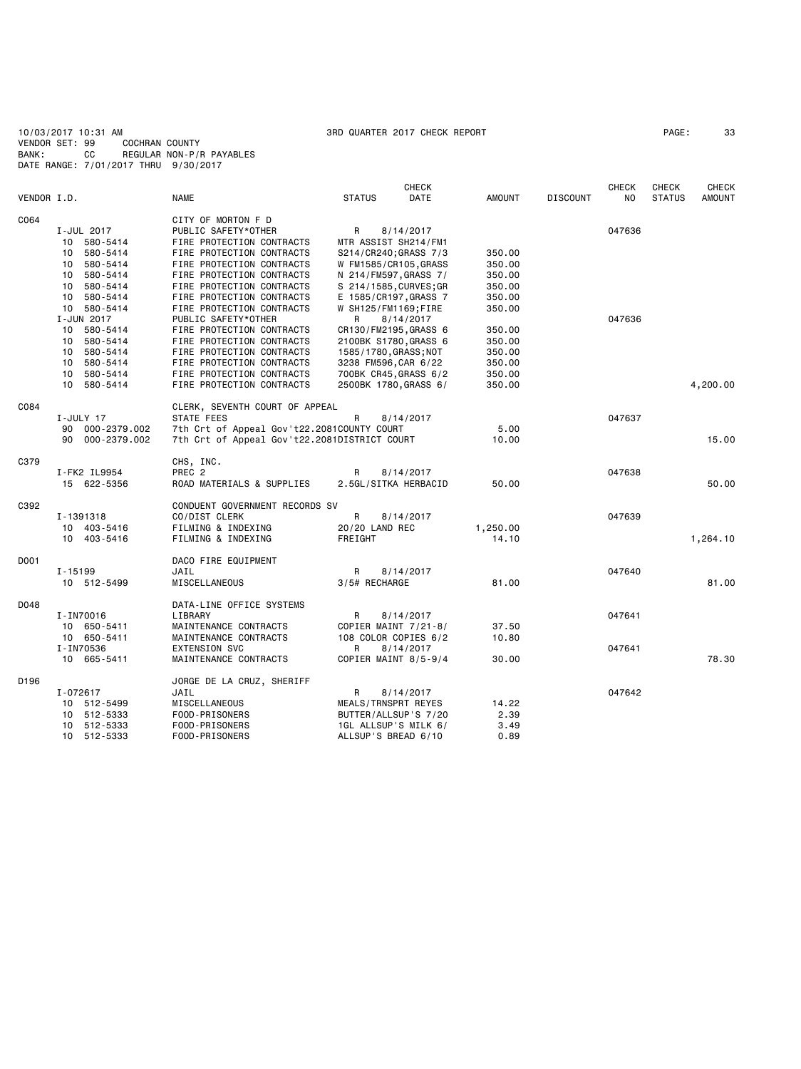10/03/2017 10:31 AM 3RD QUARTER 2017 CHECK REPORT PAGE: 33 VENDOR SET: 99 COCHRAN COUNTY BANK: CC REGULAR NON-P/R PAYABLES DATE RANGE: 7/01/2017 THRU 9/30/2017

|             |                    |                                              | <b>CHECK</b>           |               |                 | <b>CHECK</b> | <b>CHECK</b>  | <b>CHECK</b>  |
|-------------|--------------------|----------------------------------------------|------------------------|---------------|-----------------|--------------|---------------|---------------|
| VENDOR I.D. |                    | <b>NAME</b>                                  | DATE<br><b>STATUS</b>  | <b>AMOUNT</b> | <b>DISCOUNT</b> | NO.          | <b>STATUS</b> | <b>AMOUNT</b> |
| C064        |                    | CITY OF MORTON F D                           |                        |               |                 |              |               |               |
|             | I-JUL 2017         | PUBLIC SAFETY*OTHER                          | 8/14/2017<br>R         |               |                 | 047636       |               |               |
|             | 10<br>580-5414     | FIRE PROTECTION CONTRACTS                    | MTR ASSIST SH214/FM1   |               |                 |              |               |               |
|             | 10 580-5414        | FIRE PROTECTION CONTRACTS                    | S214/CR240; GRASS 7/3  | 350.00        |                 |              |               |               |
|             | 10 580-5414        | FIRE PROTECTION CONTRACTS                    | W FM1585/CR105, GRASS  | 350.00        |                 |              |               |               |
|             | 10 580-5414        | FIRE PROTECTION CONTRACTS                    | N 214/FM597, GRASS 7/  | 350.00        |                 |              |               |               |
|             | 580-5414<br>10     | FIRE PROTECTION CONTRACTS                    | S 214/1585, CURVES; GR | 350.00        |                 |              |               |               |
|             | 10 580-5414        | FIRE PROTECTION CONTRACTS                    | E 1585/CR197, GRASS 7  | 350.00        |                 |              |               |               |
|             | 10 580-5414        | FIRE PROTECTION CONTRACTS                    | W SH125/FM1169;FIRE    | 350.00        |                 |              |               |               |
|             | I-JUN 2017         | PUBLIC SAFETY*OTHER                          | 8/14/2017<br>R         |               |                 | 047636       |               |               |
|             | 10<br>580-5414     | FIRE PROTECTION CONTRACTS                    | CR130/FM2195, GRASS 6  | 350.00        |                 |              |               |               |
|             | 10 580-5414        | FIRE PROTECTION CONTRACTS                    | 2100BK S1780, GRASS 6  | 350.00        |                 |              |               |               |
|             | 10 580-5414        | FIRE PROTECTION CONTRACTS                    |                        | 350.00        |                 |              |               |               |
|             | 10                 | FIRE PROTECTION CONTRACTS                    | 1585/1780, GRASS; NOT  | 350.00        |                 |              |               |               |
|             | 580-5414           | FIRE PROTECTION CONTRACTS                    | 3238 FM596, CAR 6/22   | 350.00        |                 |              |               |               |
|             | 10 580-5414<br>10  |                                              | 700BK CR45, GRASS 6/2  |               |                 |              |               |               |
|             | 580-5414           | FIRE PROTECTION CONTRACTS                    | 2500BK 1780, GRASS 6/  | 350.00        |                 |              |               | 4,200.00      |
| C084        |                    | CLERK, SEVENTH COURT OF APPEAL               |                        |               |                 |              |               |               |
|             | I-JULY 17          | STATE FEES                                   | R<br>8/14/2017         |               |                 | 047637       |               |               |
|             | 000-2379.002<br>90 | 7th Crt of Appeal Gov't22.2081COUNTY COURT   |                        | 5.00          |                 |              |               |               |
|             | 90<br>000-2379.002 | 7th Crt of Appeal Gov't22.2081DISTRICT COURT |                        | 10.00         |                 |              |               | 15.00         |
| C379        |                    | CHS, INC.                                    |                        |               |                 |              |               |               |
|             | I-FK2 IL9954       | PREC <sub>2</sub>                            | R<br>8/14/2017         |               |                 | 047638       |               |               |
|             | 15 622-5356        | ROAD MATERIALS & SUPPLIES                    | 2.5GL/SITKA HERBACID   | 50.00         |                 |              |               | 50.00         |
| C392        |                    | CONDUENT GOVERNMENT RECORDS SV               |                        |               |                 |              |               |               |
|             | I-1391318          | CO/DIST CLERK                                | R<br>8/14/2017         |               |                 | 047639       |               |               |
|             | 10 403-5416        | FILMING & INDEXING                           | 20/20 LAND REC         | 1,250.00      |                 |              |               |               |
|             | 10 403-5416        | FILMING & INDEXING                           | FREIGHT                | 14.10         |                 |              |               | 1,264.10      |
| D001        |                    | DACO FIRE EQUIPMENT                          |                        |               |                 |              |               |               |
|             | $I - 15199$        | JAIL                                         | R<br>8/14/2017         |               |                 | 047640       |               |               |
|             | 10 512-5499        | MISCELLANEOUS                                | 3/5# RECHARGE          | 81.00         |                 |              |               | 81.00         |
|             |                    |                                              |                        |               |                 |              |               |               |
| D048        |                    | DATA-LINE OFFICE SYSTEMS                     |                        |               |                 |              |               |               |
|             | I-IN70016          | LIBRARY                                      | R<br>8/14/2017         |               |                 | 047641       |               |               |
|             | 10 650-5411        | MAINTENANCE CONTRACTS                        | COPIER MAINT 7/21-8/   | 37.50         |                 |              |               |               |
|             | 10 650-5411        | MAINTENANCE CONTRACTS                        | 108 COLOR COPIES 6/2   | 10.80         |                 |              |               |               |
|             | I-IN70536          | <b>EXTENSION SVC</b>                         | R<br>8/14/2017         |               |                 | 047641       |               |               |
|             | 10 665-5411        | MAINTENANCE CONTRACTS                        | COPIER MAINT 8/5-9/4   | 30.00         |                 |              |               | 78.30         |
| D196        |                    | JORGE DE LA CRUZ, SHERIFF                    |                        |               |                 |              |               |               |
|             | I-072617           | JAIL                                         | R<br>8/14/2017         |               |                 | 047642       |               |               |
|             | 10 512-5499        | MISCELLANEOUS                                | MEALS/TRNSPRT REYES    | 14.22         |                 |              |               |               |
|             | 10 512-5333        | FOOD-PRISONERS                               | BUTTER/ALLSUP'S 7/20   | 2.39          |                 |              |               |               |
|             | 512-5333<br>10     | FOOD-PRISONERS                               | 1GL ALLSUP'S MILK 6/   | 3.49          |                 |              |               |               |
|             | 10<br>512-5333     | FOOD-PRISONERS                               | ALLSUP'S BREAD 6/10    | 0.89          |                 |              |               |               |
|             |                    |                                              |                        |               |                 |              |               |               |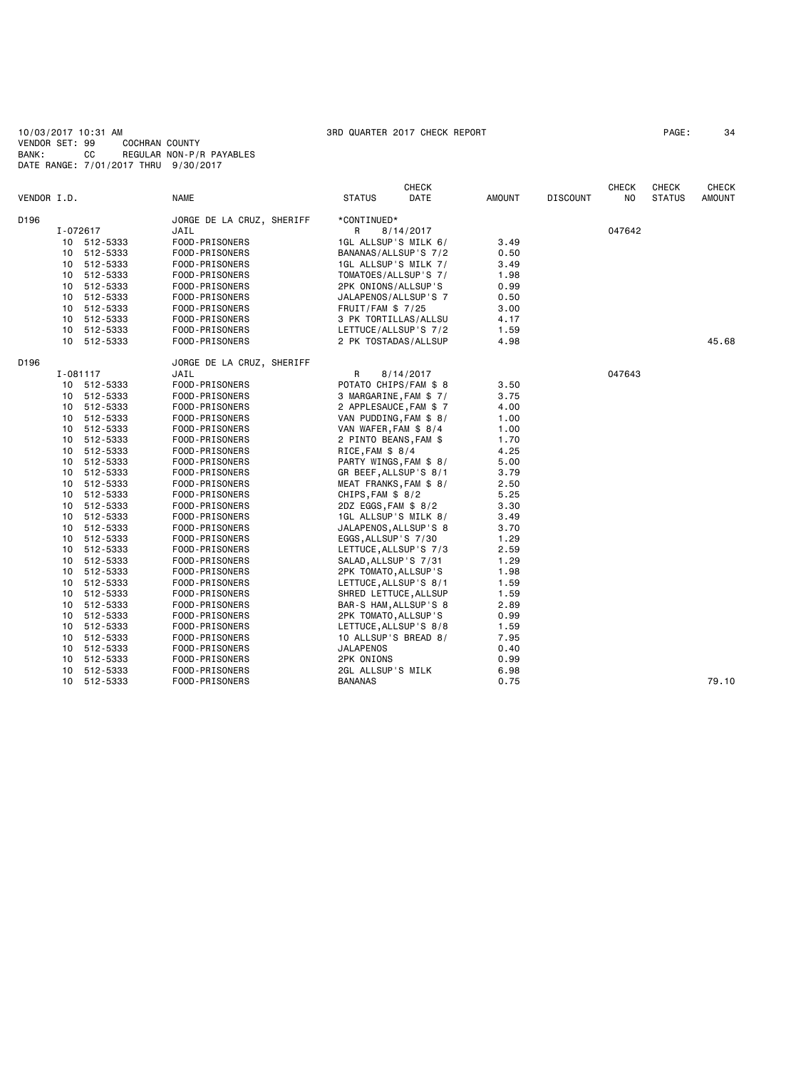10/03/2017 10:31 AM 3RD QUARTER 2017 CHECK REPORT PAGE: 34 VENDOR SET: 99 COCHRAN COUNTY BANK: CC REGULAR NON-P/R PAYABLES DATE RANGE: 7/01/2017 THRU 9/30/2017

|             |                 |             |                           | <b>CHECK</b>          |                        |        |                 | <b>CHECK</b> | CHECK         | <b>CHECK</b> |
|-------------|-----------------|-------------|---------------------------|-----------------------|------------------------|--------|-----------------|--------------|---------------|--------------|
| VENDOR I.D. |                 |             | <b>NAME</b>               | <b>STATUS</b>         | DATE                   | AMOUNT | <b>DISCOUNT</b> | NO           | <b>STATUS</b> | AMOUNT       |
| D196        |                 |             | JORGE DE LA CRUZ, SHERIFF | *CONTINUED*           |                        |        |                 |              |               |              |
|             |                 | I-072617    | JAIL                      | R                     | 8/14/2017              |        |                 | 047642       |               |              |
|             |                 | 10 512-5333 | FOOD-PRISONERS            |                       | 1GL ALLSUP'S MILK 6/   | 3.49   |                 |              |               |              |
|             |                 | 10 512-5333 | FOOD-PRISONERS            |                       | BANANAS/ALLSUP'S 7/2   | 0.50   |                 |              |               |              |
|             |                 | 10 512-5333 | FOOD-PRISONERS            |                       | 1GL ALLSUP'S MILK 7/   | 3.49   |                 |              |               |              |
|             |                 | 10 512-5333 | FOOD-PRISONERS            |                       | TOMATOES/ALLSUP'S 7/   | 1.98   |                 |              |               |              |
|             | 10              | 512-5333    | FOOD-PRISONERS            | 2PK ONIONS/ALLSUP'S   |                        | 0.99   |                 |              |               |              |
|             | 10              | 512-5333    | FOOD-PRISONERS            |                       | JALAPENOS/ALLSUP'S 7   | 0.50   |                 |              |               |              |
|             |                 | 10 512-5333 | FOOD-PRISONERS            | FRUIT/FAM \$7/25      |                        | 3.00   |                 |              |               |              |
|             |                 | 10 512-5333 | FOOD-PRISONERS            |                       | 3 PK TORTILLAS/ALLSU   | 4.17   |                 |              |               |              |
|             |                 | 10 512-5333 | FOOD-PRISONERS            |                       | LETTUCE/ALLSUP'S 7/2   | 1.59   |                 |              |               |              |
|             |                 | 10 512-5333 | FOOD-PRISONERS            |                       | 2 PK TOSTADAS/ALLSUP   | 4.98   |                 |              |               | 45.68        |
| D196        |                 |             | JORGE DE LA CRUZ, SHERIFF |                       |                        |        |                 |              |               |              |
|             |                 | I-081117    | JAIL                      | R                     | 8/14/2017              |        |                 | 047643       |               |              |
|             |                 | 10 512-5333 | FOOD-PRISONERS            |                       | POTATO CHIPS/FAM \$ 8  | 3.50   |                 |              |               |              |
|             |                 | 10 512-5333 | FOOD-PRISONERS            |                       | 3 MARGARINE, FAM \$ 7/ | 3.75   |                 |              |               |              |
|             |                 | 10 512-5333 | FOOD-PRISONERS            |                       | 2 APPLESAUCE, FAM \$7  | 4.00   |                 |              |               |              |
|             | 10              | 512-5333    | FOOD-PRISONERS            |                       | VAN PUDDING, FAM \$ 8/ | 1.00   |                 |              |               |              |
|             |                 | 10 512-5333 | FOOD-PRISONERS            | VAN WAFER, FAM \$ 8/4 |                        | 1.00   |                 |              |               |              |
|             | 10              | 512-5333    | FOOD-PRISONERS            | 2 PINTO BEANS, FAM \$ |                        | 1.70   |                 |              |               |              |
|             |                 | 10 512-5333 | FOOD-PRISONERS            | RICE, FAM \$8/4       |                        | 4.25   |                 |              |               |              |
|             | 10              | 512-5333    | FOOD-PRISONERS            |                       | PARTY WINGS, FAM \$ 8/ | 5.00   |                 |              |               |              |
|             |                 | 10 512-5333 | FOOD-PRISONERS            |                       | GR BEEF, ALLSUP'S 8/1  | 3.79   |                 |              |               |              |
|             |                 | 10 512-5333 | FOOD-PRISONERS            |                       | MEAT FRANKS, FAM \$ 8/ | 2.50   |                 |              |               |              |
|             |                 | 10 512-5333 | FOOD-PRISONERS            | CHIPS, FAM $$8/2$     |                        | 5.25   |                 |              |               |              |
|             |                 | 10 512-5333 | FOOD-PRISONERS            | 2DZ EGGS, FAM \$ 8/2  |                        | 3.30   |                 |              |               |              |
|             |                 | 10 512-5333 | FOOD-PRISONERS            |                       | 1GL ALLSUP'S MILK 8/   | 3.49   |                 |              |               |              |
|             | 10              | 512-5333    | FOOD-PRISONERS            |                       | JALAPENOS, ALLSUP'S 8  | 3.70   |                 |              |               |              |
|             |                 | 10 512-5333 | FOOD-PRISONERS            | EGGS, ALLSUP'S 7/30   |                        | 1.29   |                 |              |               |              |
|             |                 | 10 512-5333 | FOOD-PRISONERS            |                       | LETTUCE, ALLSUP'S 7/3  | 2.59   |                 |              |               |              |
|             | 10              | 512-5333    | FOOD-PRISONERS            | SALAD, ALLSUP'S 7/31  |                        | 1.29   |                 |              |               |              |
|             | 10              | 512-5333    | FOOD-PRISONERS            | 2PK TOMATO, ALLSUP'S  |                        | 1.98   |                 |              |               |              |
|             |                 | 10 512-5333 | FOOD-PRISONERS            |                       | LETTUCE, ALLSUP'S 8/1  | 1.59   |                 |              |               |              |
|             |                 | 10 512-5333 | FOOD-PRISONERS            |                       | SHRED LETTUCE, ALLSUP  | 1.59   |                 |              |               |              |
|             |                 | 10 512-5333 | FOOD-PRISONERS            |                       | BAR-S HAM, ALLSUP'S 8  | 2.89   |                 |              |               |              |
|             | 10              | 512-5333    | FOOD-PRISONERS            | 2PK TOMATO, ALLSUP'S  |                        | 0.99   |                 |              |               |              |
|             |                 | 10 512-5333 | FOOD-PRISONERS            |                       | LETTUCE, ALLSUP'S 8/8  | 1.59   |                 |              |               |              |
|             | 10              | 512-5333    | FOOD-PRISONERS            |                       | 10 ALLSUP'S BREAD 8/   | 7.95   |                 |              |               |              |
|             | 10              | 512-5333    | FOOD-PRISONERS            | JALAPENOS             |                        | 0.40   |                 |              |               |              |
|             | 10              | 512-5333    | FOOD-PRISONERS            | 2PK ONIONS            |                        | 0.99   |                 |              |               |              |
|             | 10              | 512-5333    | FOOD-PRISONERS            | 2GL ALLSUP'S MILK     |                        | 6.98   |                 |              |               |              |
|             | 10 <sup>1</sup> | 512-5333    | FOOD-PRISONERS            | <b>BANANAS</b>        |                        | 0.75   |                 |              |               | 79.10        |
|             |                 |             |                           |                       |                        |        |                 |              |               |              |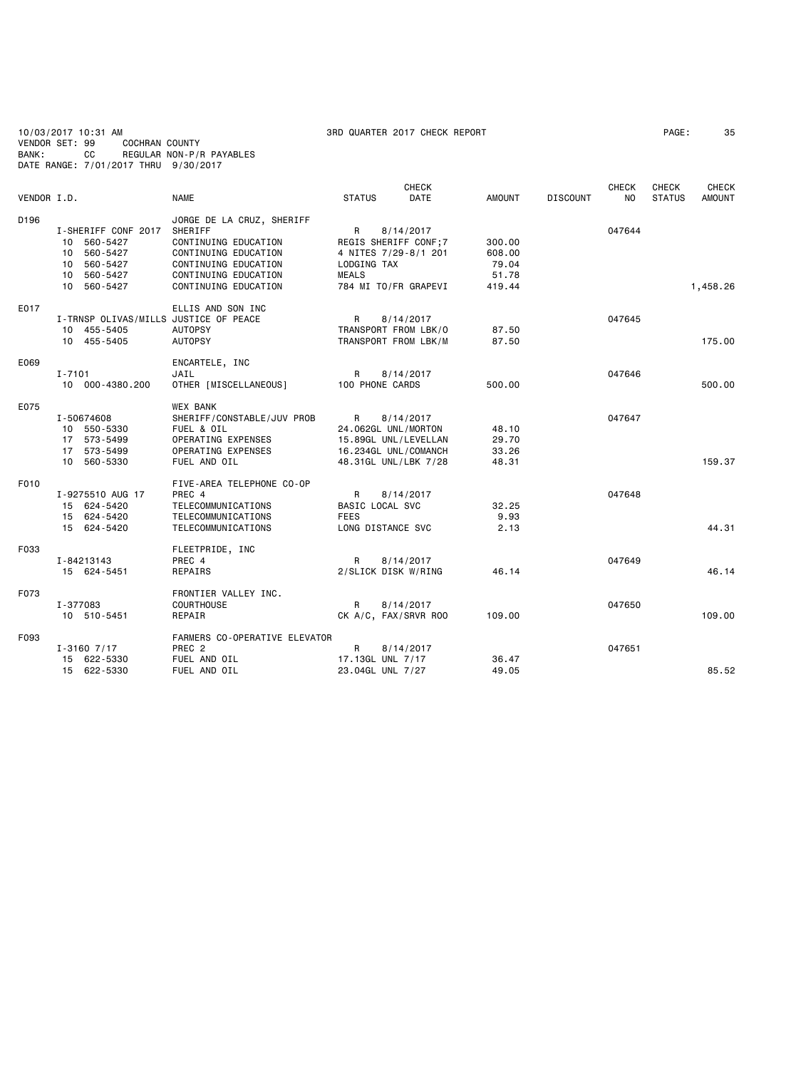10/03/2017 10:31 AM 3RD QUARTER 2017 CHECK REPORT PAGE: 35 VENDOR SET: 99 COCHRAN COUNTY BANK: CC REGULAR NON-P/R PAYABLES DATE RANGE: 7/01/2017 THRU 9/30/2017

|             |                                       |                               |                      | <b>CHECK</b> |               |                 | <b>CHECK</b>   | CHECK         | CHECK         |
|-------------|---------------------------------------|-------------------------------|----------------------|--------------|---------------|-----------------|----------------|---------------|---------------|
| VENDOR I.D. |                                       | <b>NAME</b>                   | <b>STATUS</b>        | <b>DATE</b>  | <b>AMOUNT</b> | <b>DISCOUNT</b> | N <sub>0</sub> | <b>STATUS</b> | <b>AMOUNT</b> |
| D196        |                                       | JORGE DE LA CRUZ, SHERIFF     |                      |              |               |                 |                |               |               |
|             | I-SHERIFF CONF 2017                   | SHERIFF                       | R                    | 8/14/2017    |               |                 | 047644         |               |               |
|             | 10 560-5427                           | CONTINUING EDUCATION          | REGIS SHERIFF CONF;7 |              | 300.00        |                 |                |               |               |
|             | 10 560-5427                           | CONTINUING EDUCATION          | 4 NITES 7/29-8/1 201 |              | 608.00        |                 |                |               |               |
|             | 560-5427<br>10                        | CONTINUING EDUCATION          | LODGING TAX          |              | 79.04         |                 |                |               |               |
|             | 10 560-5427                           | CONTINUING EDUCATION          | <b>MEALS</b>         |              | 51.78         |                 |                |               |               |
|             | 10 560-5427                           | CONTINUING EDUCATION          | 784 MI TO/FR GRAPEVI |              | 419.44        |                 |                |               | 1,458.26      |
|             |                                       |                               |                      |              |               |                 |                |               |               |
| E017        |                                       | ELLIS AND SON INC             |                      |              |               |                 |                |               |               |
|             | I-TRNSP OLIVAS/MILLS JUSTICE OF PEACE |                               | $\mathsf{R}$         | 8/14/2017    |               |                 | 047645         |               |               |
|             | 10 455-5405                           | <b>AUTOPSY</b>                | TRANSPORT FROM LBK/O |              | 87.50         |                 |                |               |               |
|             | 10 455-5405                           | <b>AUTOPSY</b>                | TRANSPORT FROM LBK/M |              | 87.50         |                 |                |               | 175.00        |
|             |                                       |                               |                      |              |               |                 |                |               |               |
| E069        |                                       | ENCARTELE, INC                |                      |              |               |                 |                |               |               |
|             | I-7101                                | JAIL                          | R                    | 8/14/2017    |               |                 | 047646         |               |               |
|             | 10 000-4380.200                       | OTHER [MISCELLANEOUS]         | 100 PHONE CARDS      |              | 500.00        |                 |                |               | 500.00        |
| E075        |                                       | WEX BANK                      |                      |              |               |                 |                |               |               |
|             | I-50674608                            | SHERIFF/CONSTABLE/JUV PROB    | $\mathsf{R}$         | 8/14/2017    |               |                 | 047647         |               |               |
|             | 10 550-5330                           | FUEL & OIL                    | 24.062GL UNL/MORTON  |              | 48.10         |                 |                |               |               |
|             | 17 573-5499                           | OPERATING EXPENSES            | 15.89GL UNL/LEVELLAN |              | 29.70         |                 |                |               |               |
|             | 17 573-5499                           | OPERATING EXPENSES            | 16.234GL UNL/COMANCH |              | 33.26         |                 |                |               |               |
|             | 10 560-5330                           | FUEL AND OIL                  | 48.31GL UNL/LBK 7/28 |              | 48.31         |                 |                |               | 159.37        |
|             |                                       |                               |                      |              |               |                 |                |               |               |
| F010        |                                       | FIVE-AREA TELEPHONE CO-OP     |                      |              |               |                 |                |               |               |
|             | I-9275510 AUG 17                      | PREC 4                        | R                    | 8/14/2017    |               |                 | 047648         |               |               |
|             | 15 624-5420                           | TELECOMMUNICATIONS            | BASIC LOCAL SVC      |              | 32.25         |                 |                |               |               |
|             | 15 624-5420                           | TELECOMMUNICATIONS            | <b>FEES</b>          |              | 9.93          |                 |                |               |               |
|             | 15 624-5420                           | TELECOMMUNICATIONS            | LONG DISTANCE SVC    |              | 2.13          |                 |                |               | 44.31         |
| F033        |                                       |                               |                      |              |               |                 |                |               |               |
|             |                                       | FLEETPRIDE, INC<br>PREC 4     | R                    | 8/14/2017    |               |                 | 047649         |               |               |
|             | I-84213143<br>15 624-5451             | REPAIRS                       | 2/SLICK DISK W/RING  |              | 46.14         |                 |                |               | 46.14         |
|             |                                       |                               |                      |              |               |                 |                |               |               |
| F073        |                                       | FRONTIER VALLEY INC.          |                      |              |               |                 |                |               |               |
|             | I-377083                              | COURTHOUSE                    | R                    | 8/14/2017    |               |                 | 047650         |               |               |
|             | 10 510-5451                           | REPAIR                        | CK A/C, FAX/SRVR ROO |              | 109.00        |                 |                |               | 109.00        |
|             |                                       |                               |                      |              |               |                 |                |               |               |
| F093        |                                       | FARMERS CO-OPERATIVE ELEVATOR |                      |              |               |                 |                |               |               |
|             | $I - 31607/17$                        | PREC <sub>2</sub>             | R                    | 8/14/2017    |               |                 | 047651         |               |               |
|             | 15 622-5330                           | FUEL AND OIL                  | 17.13GL UNL 7/17     |              | 36.47         |                 |                |               |               |
|             | 15 622-5330                           | FUEL AND OIL                  | 23.04GL UNL 7/27     |              | 49.05         |                 |                |               | 85.52         |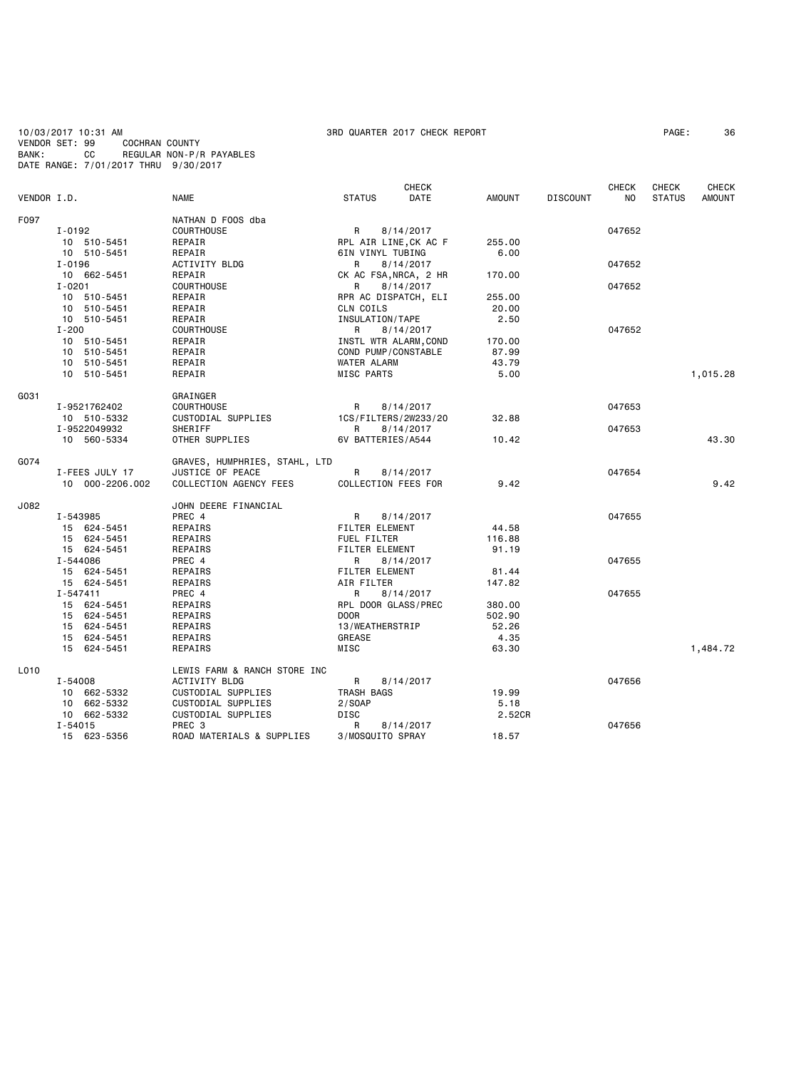10/03/2017 10:31 AM 3RD QUARTER 2017 CHECK REPORT PAGE: 36 VENDOR SET: 99 COCHRAN COUNTY BANK: CC REGULAR NON-P/R PAYABLES DATE RANGE: 7/01/2017 THRU 9/30/2017

|             |                 |                               |                       | <b>CHECK</b> |               |                 | <b>CHECK</b>   | <b>CHECK</b>  | <b>CHECK</b>  |
|-------------|-----------------|-------------------------------|-----------------------|--------------|---------------|-----------------|----------------|---------------|---------------|
| VENDOR I.D. |                 | <b>NAME</b>                   | <b>STATUS</b>         | DATE         | <b>AMOUNT</b> | <b>DISCOUNT</b> | N <sub>O</sub> | <b>STATUS</b> | <b>AMOUNT</b> |
| F097        |                 | NATHAN D FOOS dba             |                       |              |               |                 |                |               |               |
|             | I-0192          | <b>COURTHOUSE</b>             | R                     | 8/14/2017    |               |                 | 047652         |               |               |
|             | 10 510-5451     | REPAIR                        | RPL AIR LINE, CK AC F |              | 255.00        |                 |                |               |               |
|             | 10 510-5451     | REPAIR                        | 6IN VINYL TUBING      |              | 6.00          |                 |                |               |               |
|             | I-0196          | ACTIVITY BLDG                 | R                     | 8/14/2017    |               |                 | 047652         |               |               |
|             | 10 662-5451     | REPAIR                        | CK AC FSA, NRCA, 2 HR |              | 170.00        |                 |                |               |               |
|             | $I - 0201$      | <b>COURTHOUSE</b>             | R                     | 8/14/2017    |               |                 | 047652         |               |               |
|             | 10 510-5451     | REPAIR                        | RPR AC DISPATCH, ELI  |              | 255.00        |                 |                |               |               |
|             | 10 510-5451     | REPAIR                        | CLN COILS             |              | 20.00         |                 |                |               |               |
|             | 10 510-5451     | REPAIR                        | INSULATION/TAPE       |              | 2.50          |                 |                |               |               |
|             | $I - 200$       | COURTHOUSE                    | R                     | 8/14/2017    |               |                 | 047652         |               |               |
|             | 10 510-5451     | REPAIR                        | INSTL WTR ALARM, COND |              | 170.00        |                 |                |               |               |
|             | 10 510-5451     | REPAIR                        | COND PUMP/CONSTABLE   |              | 87.99         |                 |                |               |               |
|             | 10 510-5451     | REPAIR                        | WATER ALARM           |              | 43.79         |                 |                |               |               |
|             | 10 510-5451     | REPAIR                        | MISC PARTS            |              | 5.00          |                 |                |               | 1,015.28      |
| G031        |                 | GRAINGER                      |                       |              |               |                 |                |               |               |
|             | I-9521762402    | <b>COURTHOUSE</b>             | R                     | 8/14/2017    |               |                 | 047653         |               |               |
|             | 10 510-5332     | CUSTODIAL SUPPLIES            | 1CS/FILTERS/2W233/20  |              | 32.88         |                 |                |               |               |
|             | I-9522049932    | SHERIFF                       | R                     | 8/14/2017    |               |                 | 047653         |               |               |
|             | 10 560-5334     | OTHER SUPPLIES                | 6V BATTERIES/A544     |              | 10.42         |                 |                |               | 43.30         |
| G074        |                 | GRAVES, HUMPHRIES, STAHL, LTD |                       |              |               |                 |                |               |               |
|             | I-FEES JULY 17  | JUSTICE OF PEACE              | R                     | 8/14/2017    |               |                 | 047654         |               |               |
|             | 10 000-2206.002 | COLLECTION AGENCY FEES        | COLLECTION FEES FOR   |              | 9.42          |                 |                |               | 9.42          |
| J082        |                 | JOHN DEERE FINANCIAL          |                       |              |               |                 |                |               |               |
|             | I-543985        | PREC 4                        | R                     | 8/14/2017    |               |                 | 047655         |               |               |
|             | 15 624-5451     | REPAIRS                       | <b>FILTER ELEMENT</b> |              | 44.58         |                 |                |               |               |
|             | 15 624-5451     | REPAIRS                       | FUEL FILTER           |              | 116.88        |                 |                |               |               |
|             | 15 624-5451     | REPAIRS                       | FILTER ELEMENT        |              | 91.19         |                 |                |               |               |
|             | I-544086        | PREC 4                        | R                     | 8/14/2017    |               |                 | 047655         |               |               |
|             | 15 624-5451     | REPAIRS                       | FILTER ELEMENT        |              | 81.44         |                 |                |               |               |
|             | 15 624-5451     | REPAIRS                       | AIR FILTER            |              | 147.82        |                 |                |               |               |
|             | $I - 547411$    | PREC 4                        | R                     | 8/14/2017    |               |                 | 047655         |               |               |
|             | 15 624-5451     | REPAIRS                       | RPL DOOR GLASS/PREC   |              | 380.00        |                 |                |               |               |
|             | 15 624-5451     | REPAIRS                       | <b>DOOR</b>           |              | 502.90        |                 |                |               |               |
|             | 15 624-5451     | REPAIRS                       | 13/WEATHERSTRIP       |              | 52.26         |                 |                |               |               |
|             | 15 624-5451     | REPAIRS                       | <b>GREASE</b>         |              | 4.35          |                 |                |               |               |
|             | 15 624-5451     | REPAIRS                       | MISC                  |              | 63.30         |                 |                |               | 1,484.72      |
| L010        |                 | LEWIS FARM & RANCH STORE INC  |                       |              |               |                 |                |               |               |
|             | I-54008         | ACTIVITY BLDG                 | R                     | 8/14/2017    |               |                 | 047656         |               |               |
|             | 10 662-5332     | CUSTODIAL SUPPLIES            | TRASH BAGS            |              | 19.99         |                 |                |               |               |
|             | 10 662-5332     | CUSTODIAL SUPPLIES            | 2/SOAP                |              | 5.18          |                 |                |               |               |
|             | 10 662-5332     | CUSTODIAL SUPPLIES            | DISC                  |              | 2.52CR        |                 |                |               |               |
|             | $I - 54015$     | PREC <sub>3</sub>             | R                     | 8/14/2017    |               |                 | 047656         |               |               |
|             | 15 623-5356     | ROAD MATERIALS & SUPPLIES     | 3/MOSQUITO SPRAY      |              | 18.57         |                 |                |               |               |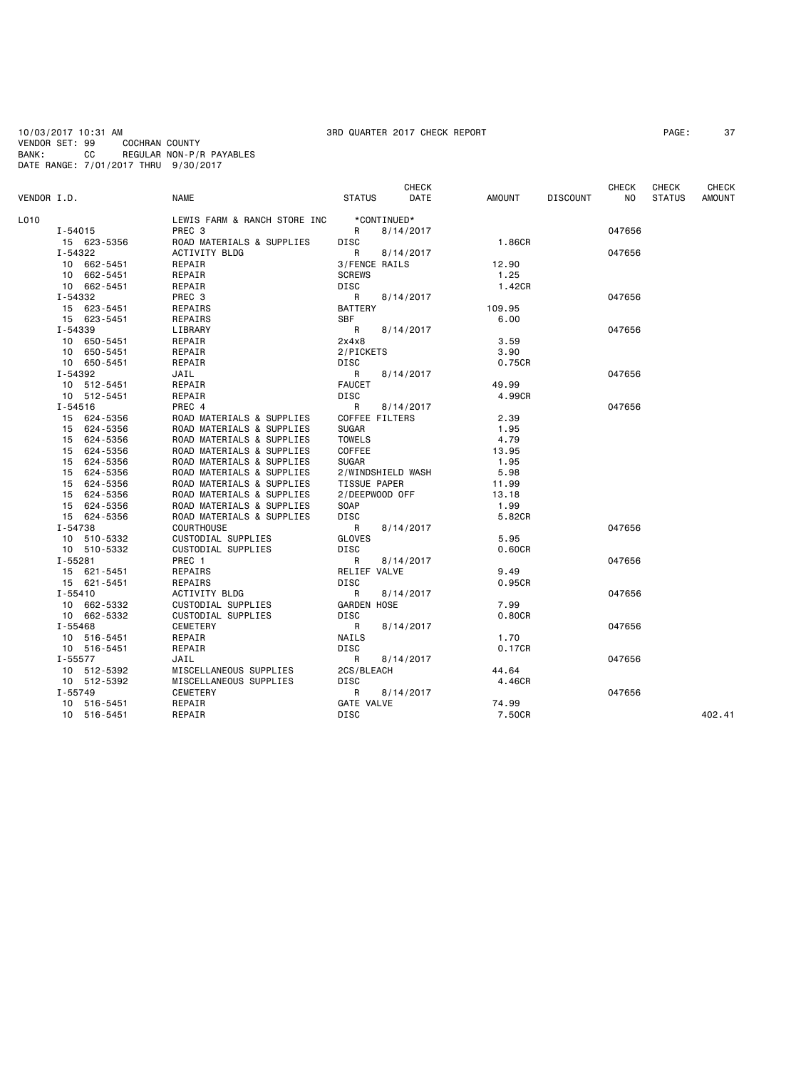10/03/2017 10:31 AM<br>10/03/2017 10:31 AM 37<br>VENDOR SET: 99 COCHRAN COUNTY VENDOR SET: 99<br>BANK: CC BANK: CC REGULAR NON-P/R PAYABLES DATE RANGE: 7/01/2017 THRU 9/30/2017

## **CHECK CHECK CHECK CHECK CHECK CHECK** VENDOR I.D. NAME STATUS DATE AMOUNT DISCOUNT NO STATUS AMOUNT LO10 LEWIS FARM & RANCH STORE INC \*CONTINUED\*<br>I-54015 PREC 3 R 8/14/2017 I-54015 PREC 3 R 8/14/2017 047656 15 623-5356 ROAD MATERIALS & SUPPLIES DISC 1.86CR I-54322 ACTIVITY BLDG R 8/14/2017 047656 10 87 FENCE RAILS<br>10 662 SCREWS 12.900 BEPAIR 10 662-5451 REPAIR SCREWS 1.25 10 662-5451 REPAIR DISC<br>1-54332 PREC 3 R 8/14/2017 I-54332 PREC 3 R 8/14/2017 047656 15 623-5451 REPAIRS BATTERY 109.95 15 623-5451 REPAIRS SBF 6.00 I-54339 LIBRARY R 8/14/2017 047656 10 650-5451 REPAIR 2x4x8 3.59 10 650-5451 REPAIR 2/PICKETS 3.90 10 650-5451 REPAIR DISC 0.75CR I-54392 JAIL R 8/14/2017 047656 10 512-5451 REPAIR FAUCET 49.99 10 512-5451 REPAIR DISC<br>1-54516 PREC 4 R 8/14/2017 I-54516 PREC 4 R 8/14/2017 047656 15 624-5356 ROAD MATERIALS & SUPPLIES COFFEE FILTERS 2.39 15 624-5356 ROAD MATERIALS & SUPPLIES SUGAR 1.95 15 624-5356 ROAD MATERIALS & SUPPLIES TOWELS 4.79 15 624-5356 ROAD MATERIALS & SUPPLIES COFFEE 13.95<br>15 624-5356 ROAD MATERIALS & SUPPLIES SUGAR 15 624-5356 ROAD MATERIALS & SUPPLIES SUGAR 1.95 15 624-5356 ROAD MATERIALS & SUPPLIES 2/WINDSHIELD WASH 5.98 15 624-5356 ROAD MATERIALS & SUPPLIES TISSUE PAPER 11.99 15 624-5356 ROAD MATERIALS & SUPPLIES 2/DEEPWOOD OFF 13.18 15 624-5356 ROAD MATERIALS & SUPPLIES SOAP 1.99 15 624-5356 ROAD MATERIALS & SUPPLIES DISC 5.82CR I-54738 COURTHOUSE R 8/14/2017 047656 10 510-5332 CUSTODIAL SUPPLIES GLOVES 5.95 10 510-5332 CUSTODIAL SUPPLIES DISC<br>1-55281 PREC 1 R 8/14/2017 I-55281 PREC 1 R 8/14/2017 047656 15 621-5451 REPAIRS RELIEF VALVE 9.49<br>15 621-5451 REPAIRS RELIEF VALVE 9.49 15 621-5451 REPAIRS DISC 0.95CR I-55410 ACTIVITY BLDG R 8/14/2017 047656 10 662-5332 CUSTODIAL SUPPLIES GARDEN HOSE 7.99 10 662-5332 CUSTODIAL SUPPLIES DISC 0.80CR I-55468 CEMETERY R 8/14/2017 047656 10 516-5451 REPAIR NAILS 1.70 10 516-5451 REPAIR DISC 0.17CR I-55577 JAIL R 8/14/2017 047656 10 512-5392 MISCELLANEOUS SUPPLIES 2CS/BLEACH 44.64 10 512-5392 MISCELLANEOUS SUPPLIES DISC<br>1-55749 CEMETERY 4.46CREERY 4.46CREERY I-55749 CEMETERY R 8/14/2017 047656 10 516-5451 REPAIR GATE VALVE 74.99 10 516-5451 REPAIR DISC 7.50CR 402.41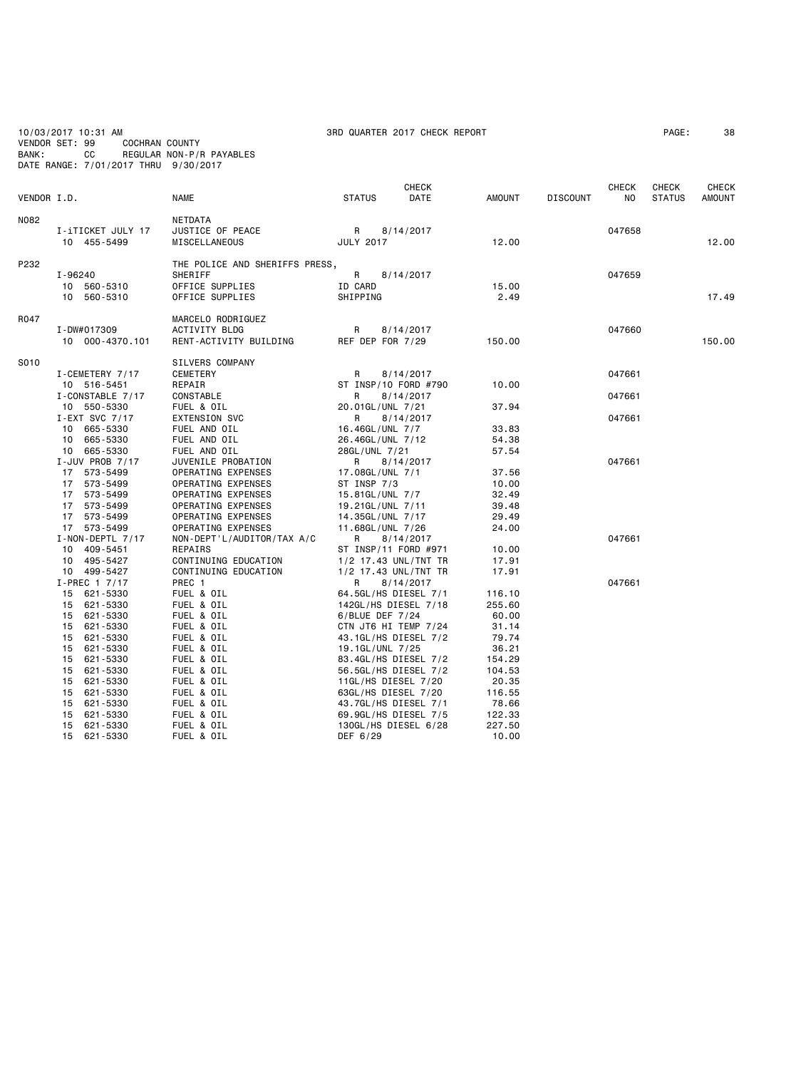| BANK:       | 10/03/2017 10:31 AM<br>VENDOR SET: 99<br><b>COCHRAN COUNTY</b><br>CС<br>DATE RANGE: 7/01/2017 THRU 9/30/2017 | REGULAR NON-P/R PAYABLES                                                                                           | 3RD QUARTER 2017 CHECK REPORT                                                                                   |                                              |                 |                     | PAGE:                         | 38                            |
|-------------|--------------------------------------------------------------------------------------------------------------|--------------------------------------------------------------------------------------------------------------------|-----------------------------------------------------------------------------------------------------------------|----------------------------------------------|-----------------|---------------------|-------------------------------|-------------------------------|
| VENDOR I.D. |                                                                                                              | <b>NAME</b>                                                                                                        | <b>CHECK</b><br><b>STATUS</b><br>DATE                                                                           | <b>AMOUNT</b>                                | <b>DISCOUNT</b> | <b>CHECK</b><br>NO. | <b>CHECK</b><br><b>STATUS</b> | <b>CHECK</b><br><b>AMOUNT</b> |
| N082        | I-iTICKET JULY 17<br>10 455-5499                                                                             | NETDATA<br>JUSTICE OF PEACE<br>MISCELLANEOUS                                                                       | R<br>8/14/2017<br><b>JULY 2017</b>                                                                              | 12.00                                        |                 | 047658              |                               | 12.00                         |
| P232        | I-96240<br>10 560-5310<br>560-5310<br>10                                                                     | THE POLICE AND SHERIFFS PRESS,<br>SHERIFF<br>OFFICE SUPPLIES<br>OFFICE SUPPLIES                                    | R<br>8/14/2017<br>ID CARD<br>SHIPPING                                                                           | 15.00<br>2.49                                |                 | 047659              |                               | 17.49                         |
| R047        | I-DW#017309<br>10 000-4370.101                                                                               | MARCELO RODRIGUEZ<br>ACTIVITY BLDG<br>RENT-ACTIVITY BUILDING                                                       | R<br>8/14/2017<br>REF DEP FOR 7/29                                                                              | 150.00                                       |                 | 047660              |                               | 150.00                        |
| S010        | I-CEMETERY 7/17<br>10 516-5451<br>I-CONSTABLE 7/17                                                           | SILVERS COMPANY<br>CEMETERY<br>REPAIR<br>CONSTABLE                                                                 | 8/14/2017<br>R<br>ST INSP/10 FORD #790<br>R<br>8/14/2017                                                        | 10.00                                        |                 | 047661<br>047661    |                               |                               |
|             | 10 550-5330<br>I-EXT SVC 7/17<br>10 665-5330<br>665-5330<br>10                                               | FUEL & OIL<br><b>EXTENSION SVC</b><br>FUEL AND OIL<br>FUEL AND OIL                                                 | 20.01GL/UNL 7/21<br>8/14/2017<br>R<br>16.46GL/UNL 7/7<br>26.46GL/UNL 7/12                                       | 37.94<br>33.83<br>54.38                      |                 | 047661              |                               |                               |
|             | 10 665-5330<br>$I$ -JUV PROB 7/17<br>17 573-5499<br>573-5499<br>17                                           | FUEL AND OIL<br>JUVENILE PROBATION<br>OPERATING EXPENSES<br>OPERATING EXPENSES                                     | 28GL/UNL 7/21<br>R<br>8/14/2017<br>17.08GL/UNL 7/1<br>ST INSP 7/3                                               | 57.54<br>37.56<br>10.00                      |                 | 047661              |                               |                               |
|             | 17 573-5499<br>17 573-5499<br>17 573-5499<br>17 573-5499<br>$I - NON - DEPTL$ 7/17                           | OPERATING EXPENSES<br>OPERATING EXPENSES<br>OPERATING EXPENSES<br>OPERATING EXPENSES<br>NON-DEPT'L/AUDITOR/TAX A/C | 15.81GL/UNL 7/7<br>19.21GL/UNL 7/11<br>14.35GL/UNL 7/17<br>11.68GL/UNL 7/26<br>8/14/2017<br>R                   | 32.49<br>39.48<br>29.49<br>24.00             |                 | 047661              |                               |                               |
|             | 10 409-5451<br>10 495-5427<br>10 499-5427<br>I-PREC 1 7/17                                                   | REPAIRS<br>CONTINUING EDUCATION<br>CONTINUING EDUCATION<br>PREC 1                                                  | ST INSP/11 FORD #971<br>1/2 17.43 UNL/TNT TR<br>1/2 17.43 UNL/TNT TR<br>R<br>8/14/2017                          | 10.00<br>17.91<br>17.91                      |                 | 047661              |                               |                               |
|             | 15 621-5330<br>621-5330<br>15<br>15 621-5330<br>621-5330<br>15<br>15<br>621-5330                             | FUEL & OIL<br>FUEL & OIL<br>FUEL & OIL<br>FUEL & OIL<br>FUEL & OIL                                                 | 64.5GL/HS DIESEL 7/1<br>142GL/HS DIESEL 7/18<br>6/BLUE DEF 7/24<br>CTN JT6 HI TEMP 7/24<br>43.1GL/HS DIESEL 7/2 | 116.10<br>255.60<br>60.00<br>31.14<br>79.74  |                 |                     |                               |                               |
|             | 621-5330<br>15<br>621-5330<br>15<br>621-5330<br>15<br>15<br>621-5330                                         | FUEL & OIL<br>FUEL & OIL<br>FUEL & OIL<br>FUEL & OIL                                                               | 19.1GL/UNL 7/25<br>83.4GL/HS DIESEL 7/2<br>56.5GL/HS DIESEL 7/2<br>11GL/HS DIESEL 7/20                          | 36.21<br>154.29<br>104.53<br>20.35           |                 |                     |                               |                               |
|             | 15<br>621-5330<br>621-5330<br>15<br>621-5330<br>15<br>621-5330<br>15<br>15<br>621-5330                       | FUEL & OIL<br>FUEL & OIL<br>FUEL & OIL<br>FUEL & OIL<br>FUEL & OIL                                                 | 63GL/HS DIESEL 7/20<br>43.7GL/HS DIESEL 7/1<br>69.9GL/HS DIESEL 7/5<br>130GL/HS DIESEL 6/28<br>DEF 6/29         | 116.55<br>78.66<br>122.33<br>227.50<br>10,00 |                 |                     |                               |                               |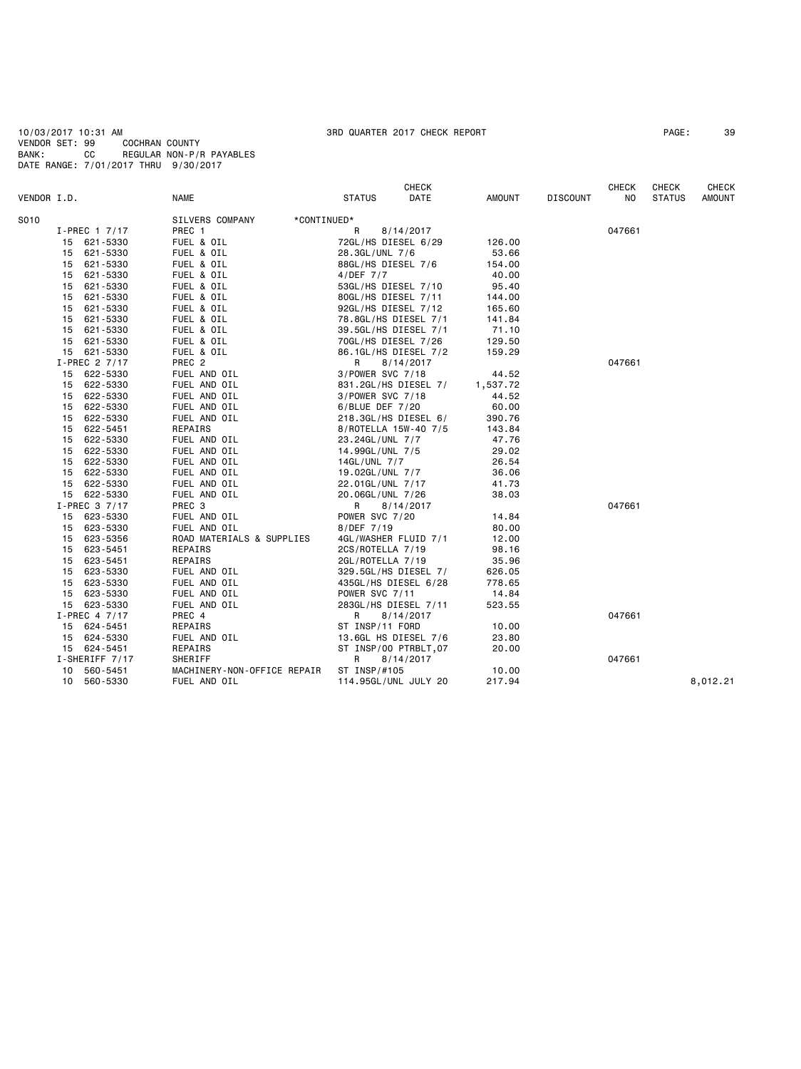|             |    |                 |                                |                 | <b>CHECK</b>          |               |                 | <b>CHECK</b> | CHECK         | <b>CHECK</b>  |
|-------------|----|-----------------|--------------------------------|-----------------|-----------------------|---------------|-----------------|--------------|---------------|---------------|
| VENDOR I.D. |    |                 | <b>NAME</b>                    | <b>STATUS</b>   | DATE                  | <b>AMOUNT</b> | <b>DISCOUNT</b> | NO.          | <b>STATUS</b> | <b>AMOUNT</b> |
| S010        |    |                 | SILVERS COMPANY<br>*CONTINUED* |                 |                       |               |                 |              |               |               |
|             |    | $I-PREC$ 1 7/17 | PREC 1                         | R               | 8/14/2017             |               |                 | 047661       |               |               |
|             |    | 15 621-5330     | FUEL & OIL                     |                 | 72GL/HS DIESEL 6/29   | 126.00        |                 |              |               |               |
|             |    | 15 621-5330     | FUEL & OIL                     | 28.3GL/UNL 7/6  |                       | 53.66         |                 |              |               |               |
|             | 15 | 621-5330        | FUEL & OIL                     |                 | 88GL/HS DIESEL 7/6    | 154.00        |                 |              |               |               |
|             | 15 | 621-5330        | FUEL & OIL                     | 4/DEF 7/7       |                       | 40.00         |                 |              |               |               |
|             | 15 | 621-5330        | FUEL & OIL                     |                 | 53GL/HS DIESEL 7/10   | 95.40         |                 |              |               |               |
|             | 15 | 621-5330        | FUEL & OIL                     |                 | 80GL/HS DIESEL 7/11   | 144.00        |                 |              |               |               |
|             |    | 15 621-5330     | FUEL & OIL                     |                 | 92GL/HS DIESEL 7/12   | 165.60        |                 |              |               |               |
|             | 15 | 621-5330        | FUEL & OIL                     |                 | 78.8GL/HS DIESEL 7/1  | 141.84        |                 |              |               |               |
|             |    | 15 621-5330     | FUEL & OIL                     |                 | 39.5GL/HS DIESEL 7/1  | 71.10         |                 |              |               |               |
|             | 15 | 621-5330        | FUEL & OIL                     |                 | 70GL/HS DIESEL 7/26   | 129.50        |                 |              |               |               |
|             |    | 15 621-5330     | FUEL & OIL                     |                 | 86.1GL/HS DIESEL 7/2  | 159.29        |                 |              |               |               |
|             |    | I-PREC 2 7/17   | PREC <sub>2</sub>              | R               | 8/14/2017             |               |                 | 047661       |               |               |
|             |    | 15 622-5330     | FUEL AND OIL                   |                 | 3/POWER SVC 7/18      | 44.52         |                 |              |               |               |
|             | 15 | 622-5330        | FUEL AND OIL                   |                 | 831.2GL/HS DIESEL 7/  | 1,537.72      |                 |              |               |               |
|             |    | 15 622-5330     | FUEL AND OIL                   |                 | 3/POWER SVC 7/18      | 44.52         |                 |              |               |               |
|             | 15 | 622-5330        | FUEL AND OIL                   | 6/BLUE DEF 7/20 |                       | 60.00         |                 |              |               |               |
|             |    | 15 622-5330     | FUEL AND OIL                   |                 | 218.3GL/HS DIESEL 6/  | 390.76        |                 |              |               |               |
|             | 15 | 622-5451        | REPAIRS                        |                 | 8/ROTELLA 15W-40 7/5  | 143.84        |                 |              |               |               |
|             | 15 | 622-5330        | FUEL AND OIL                   | 23.24GL/UNL 7/7 |                       | 47.76         |                 |              |               |               |
|             | 15 | 622-5330        | FUEL AND OIL                   | 14.99GL/UNL 7/5 |                       | 29.02         |                 |              |               |               |
|             |    | 15 622-5330     | FUEL AND OIL                   | 14GL/UNL 7/7    |                       | 26.54         |                 |              |               |               |
|             |    | 15 622-5330     | FUEL AND OIL                   | 19.02GL/UNL 7/7 |                       | 36.06         |                 |              |               |               |
|             |    | 15 622-5330     | FUEL AND OIL                   |                 | 22.01GL/UNL 7/17      | 41.73         |                 |              |               |               |
|             |    | 15 622-5330     | FUEL AND OIL                   |                 | 20.06GL/UNL 7/26      | 38.03         |                 |              |               |               |
|             |    | I-PREC 3 7/17   | PREC <sub>3</sub>              | R               | 8/14/2017             |               |                 | 047661       |               |               |
|             |    | 15 623-5330     | FUEL AND OIL                   | POWER SVC 7/20  |                       | 14.84         |                 |              |               |               |
|             |    | 15 623-5330     | FUEL AND OIL                   | 8/DEF 7/19      |                       | 80.00         |                 |              |               |               |
|             |    | 15 623-5356     | ROAD MATERIALS & SUPPLIES      |                 | 4GL/WASHER FLUID 7/1  | 12.00         |                 |              |               |               |
|             | 15 | 623-5451        | REPAIRS                        |                 | 2CS/ROTELLA 7/19      | 98.16         |                 |              |               |               |
|             | 15 | 623-5451        | REPAIRS                        |                 | 2GL/ROTELLA 7/19      | 35.96         |                 |              |               |               |
|             | 15 | 623-5330        | FUEL AND OIL                   |                 | 329.5GL/HS DIESEL 7/  | 626.05        |                 |              |               |               |
|             | 15 | 623-5330        | FUEL AND OIL                   |                 | 435GL/HS DIESEL 6/28  | 778.65        |                 |              |               |               |
|             |    | 15 623-5330     | FUEL AND OIL                   | POWER SVC 7/11  |                       | 14.84         |                 |              |               |               |
|             |    | 15 623-5330     | FUEL AND OIL                   |                 | 283GL/HS DIESEL 7/11  | 523.55        |                 |              |               |               |
|             |    | $I-PREC$ 4 7/17 | PREC 4                         | R               | 8/14/2017             |               |                 | 047661       |               |               |
|             |    | 15 624-5451     | REPAIRS                        | ST INSP/11 FORD |                       | 10.00         |                 |              |               |               |
|             |    | 15 624-5330     | FUEL AND OIL                   |                 | 13.6GL HS DIESEL 7/6  | 23.80         |                 |              |               |               |
|             |    | 15 624-5451     | REPAIRS                        |                 | ST INSP/00 PTRBLT, 07 | 20.00         |                 |              |               |               |
|             |    | I-SHERIFF 7/17  | SHERIFF                        | R               | 8/14/2017             |               |                 | 047661       |               |               |
|             | 10 | 560-5451        | MACHINERY-NON-OFFICE REPAIR    | ST INSP/#105    |                       | 10.00         |                 |              |               |               |
|             |    | 10 560-5330     | FUEL AND OIL                   |                 | 114.95GL/UNL JULY 20  | 217.94        |                 |              |               | 8,012.21      |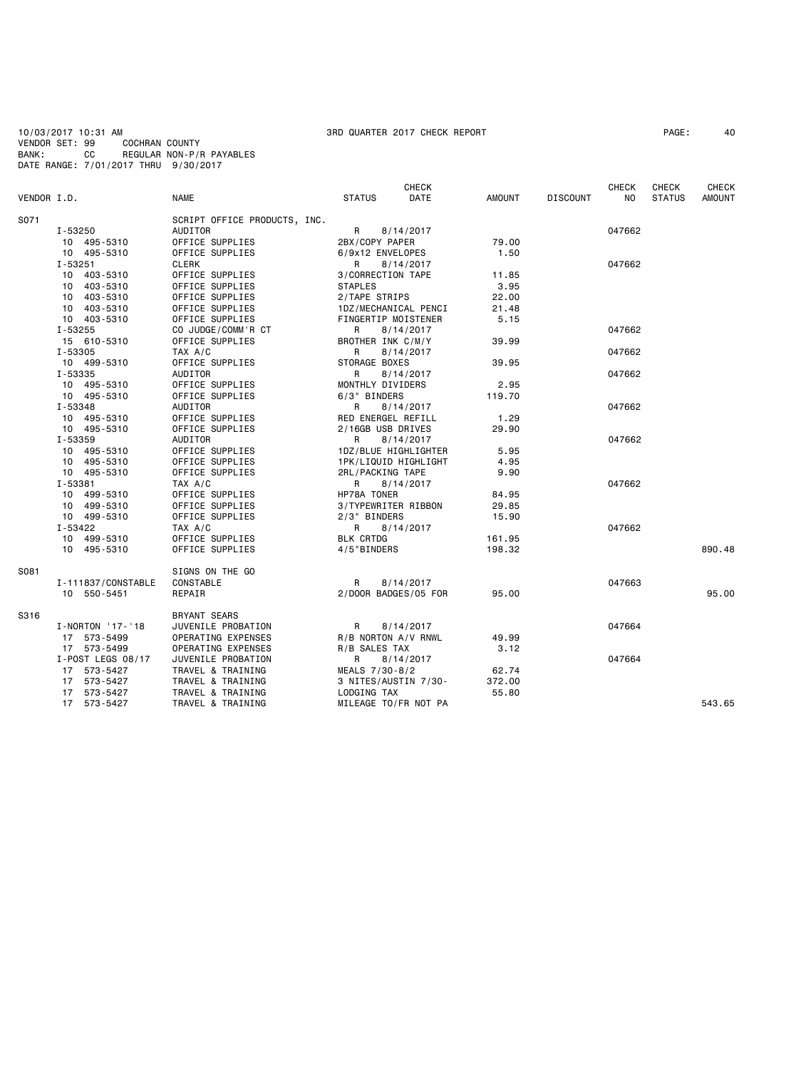10/03/2017 10:31 AM 3RD QUARTER 2017 CHECK REPORT PAGE: 40 VENDOR SET: 99 COCHRAN COUNTY BANK: CC REGULAR NON-P/R PAYABLES DATE RANGE: 7/01/2017 THRU 9/30/2017

| VENDOR I.D. |                    | <b>NAME</b>                  | <b>STATUS</b>        | <b>CHECK</b><br>DATE | AMOUNT | <b>DISCOUNT</b> | CHECK<br>NO. | <b>CHECK</b><br><b>STATUS</b> | CHECK<br><b>AMOUNT</b> |
|-------------|--------------------|------------------------------|----------------------|----------------------|--------|-----------------|--------------|-------------------------------|------------------------|
|             |                    |                              |                      |                      |        |                 |              |                               |                        |
| S071        |                    | SCRIPT OFFICE PRODUCTS, INC. |                      |                      |        |                 |              |                               |                        |
|             | I-53250            | AUDITOR                      | R<br>8/14/2017       |                      |        |                 | 047662       |                               |                        |
|             | 10 495-5310        | OFFICE SUPPLIES              | 2BX/COPY PAPER       |                      | 79.00  |                 |              |                               |                        |
|             | 10 495-5310        | OFFICE SUPPLIES              | 6/9x12 ENVELOPES     |                      | 1.50   |                 |              |                               |                        |
|             | I-53251            | CLERK                        | 8/14/2017<br>R.      |                      |        |                 | 047662       |                               |                        |
|             | 10 403-5310        | OFFICE SUPPLIES              | 3/CORRECTION TAPE    |                      | 11.85  |                 |              |                               |                        |
|             | 10 403-5310        | OFFICE SUPPLIES              | <b>STAPLES</b>       |                      | 3.95   |                 |              |                               |                        |
|             | 10 403-5310        | OFFICE SUPPLIES              | 2/TAPE STRIPS        |                      | 22.00  |                 |              |                               |                        |
|             | 10 403-5310        | OFFICE SUPPLIES              | 1DZ/MECHANICAL PENCI |                      | 21.48  |                 |              |                               |                        |
|             | 10 403-5310        | OFFICE SUPPLIES              | FINGERTIP MOISTENER  |                      | 5.15   |                 |              |                               |                        |
|             | I-53255            | CO JUDGE/COMM'R CT           | 8/14/2017<br>R       |                      |        |                 | 047662       |                               |                        |
|             | 15 610-5310        | OFFICE SUPPLIES              | BROTHER INK C/M/Y    |                      | 39.99  |                 |              |                               |                        |
|             | I-53305            | TAX A/C                      | R<br>8/14/2017       |                      |        |                 | 047662       |                               |                        |
|             | 10 499-5310        | OFFICE SUPPLIES              | STORAGE BOXES        |                      | 39.95  |                 |              |                               |                        |
|             | I-53335            | AUDITOR                      | R<br>8/14/2017       |                      |        |                 | 047662       |                               |                        |
|             | 10 495-5310        | OFFICE SUPPLIES              | MONTHLY DIVIDERS     |                      | 2.95   |                 |              |                               |                        |
|             | 10 495-5310        | OFFICE SUPPLIES              | 6/3" BINDERS         |                      | 119.70 |                 |              |                               |                        |
|             | I-53348            | AUDITOR                      | 8/14/2017<br>R       |                      |        |                 | 047662       |                               |                        |
|             | 10 495-5310        | OFFICE SUPPLIES              | RED ENERGEL REFILL   |                      | 1.29   |                 |              |                               |                        |
|             | 10 495-5310        | OFFICE SUPPLIES              | 2/16GB USB DRIVES    |                      | 29.90  |                 |              |                               |                        |
|             | I-53359            | AUDITOR                      | R<br>8/14/2017       |                      |        |                 | 047662       |                               |                        |
|             | 10 495-5310        | OFFICE SUPPLIES              | 1DZ/BLUE HIGHLIGHTER |                      | 5.95   |                 |              |                               |                        |
|             | 10 495-5310        | OFFICE SUPPLIES              | 1PK/LIQUID HIGHLIGHT |                      | 4.95   |                 |              |                               |                        |
|             | 10 495-5310        | OFFICE SUPPLIES              | 2RL/PACKING TAPE     |                      | 9.90   |                 |              |                               |                        |
|             | I-53381            | TAX A/C                      | 8/14/2017<br>R       |                      |        |                 | 047662       |                               |                        |
|             | 10 499-5310        | OFFICE SUPPLIES              | HP78A TONER          |                      | 84.95  |                 |              |                               |                        |
|             | 10 499-5310        | OFFICE SUPPLIES              | 3/TYPEWRITER RIBBON  |                      | 29.85  |                 |              |                               |                        |
|             | 10 499-5310        | OFFICE SUPPLIES              | 2/3" BINDERS         |                      | 15.90  |                 |              |                               |                        |
|             | I-53422            | TAX A/C                      | 8/14/2017<br>R       |                      |        |                 | 047662       |                               |                        |
|             | 10 499-5310        | OFFICE SUPPLIES              | <b>BLK CRTDG</b>     |                      | 161.95 |                 |              |                               |                        |
|             | 10 495-5310        | OFFICE SUPPLIES              | 4/5"BINDERS          |                      | 198.32 |                 |              |                               | 890.48                 |
|             |                    |                              |                      |                      |        |                 |              |                               |                        |
| S081        |                    | SIGNS ON THE GO              |                      |                      |        |                 |              |                               |                        |
|             | I-111837/CONSTABLE | CONSTABLE                    | R<br>8/14/2017       |                      |        |                 | 047663       |                               |                        |
|             | 10 550-5451        | REPAIR                       | 2/DOOR BADGES/05 FOR |                      | 95.00  |                 |              |                               | 95.00                  |
| S316        |                    | <b>BRYANT SEARS</b>          |                      |                      |        |                 |              |                               |                        |
|             | I-NORTON '17-'18   | JUVENILE PROBATION           | 8/14/2017<br>R       |                      |        |                 | 047664       |                               |                        |
|             | 17 573-5499        | OPERATING EXPENSES           | R/B NORTON A/V RNWL  |                      | 49.99  |                 |              |                               |                        |
|             | 17 573-5499        | OPERATING EXPENSES           | R/B SALES TAX        |                      | 3.12   |                 |              |                               |                        |
|             | I-POST LEGS 08/17  | JUVENILE PROBATION           | R<br>8/14/2017       |                      |        |                 | 047664       |                               |                        |
|             | 17 573-5427        | TRAVEL & TRAINING            | MEALS 7/30-8/2       |                      | 62.74  |                 |              |                               |                        |
|             | 17 573-5427        | TRAVEL & TRAINING            | 3 NITES/AUSTIN 7/30- |                      | 372.00 |                 |              |                               |                        |
|             | 17 573-5427        | TRAVEL & TRAINING            | LODGING TAX          |                      | 55.80  |                 |              |                               |                        |
|             | 17 573-5427        | TRAVEL & TRAINING            | MILEAGE TO/FR NOT PA |                      |        |                 |              |                               | 543.65                 |
|             |                    |                              |                      |                      |        |                 |              |                               |                        |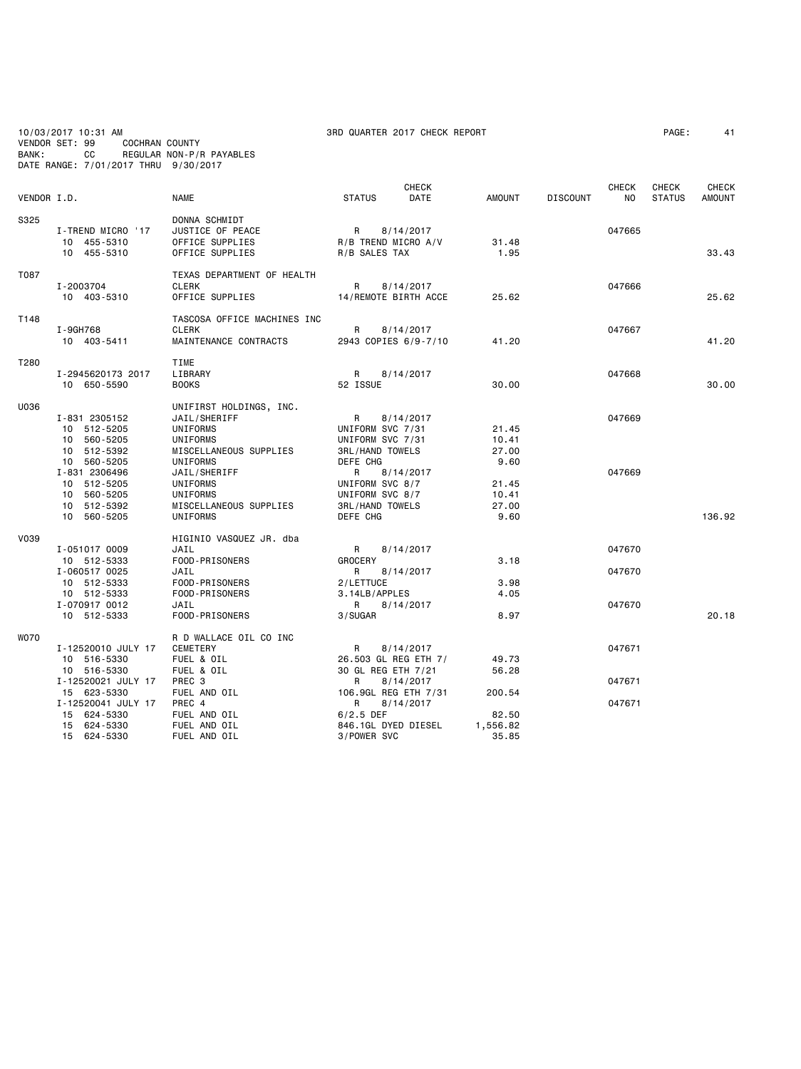| BANK:       | 10/03/2017 10:31 AM<br>VENDOR SET: 99<br>COCHRAN COUNTY<br>REGULAR NON-P/R PAYABLES<br>CС<br>DATE RANGE: 7/01/2017 THRU 9/30/2017 |                                                                                                                                          |                                                                                                         | 3RD QUARTER 2017 CHECK REPORT                  |                                          |                 |                     |                               | 41                            |
|-------------|-----------------------------------------------------------------------------------------------------------------------------------|------------------------------------------------------------------------------------------------------------------------------------------|---------------------------------------------------------------------------------------------------------|------------------------------------------------|------------------------------------------|-----------------|---------------------|-------------------------------|-------------------------------|
| VENDOR I.D. |                                                                                                                                   | <b>NAME</b>                                                                                                                              | <b>STATUS</b>                                                                                           | <b>CHECK</b><br>DATE                           | <b>AMOUNT</b>                            | <b>DISCOUNT</b> | <b>CHECK</b><br>NO. | <b>CHECK</b><br><b>STATUS</b> | <b>CHECK</b><br><b>AMOUNT</b> |
| S325        | I-TREND MICRO '17<br>10 455-5310<br>10 455-5310                                                                                   | DONNA SCHMIDT<br>JUSTICE OF PEACE<br>OFFICE SUPPLIES<br>OFFICE SUPPLIES                                                                  | R<br>R/B TREND MICRO A/V<br>R/B SALES TAX                                                               | 8/14/2017                                      | 31.48<br>1.95                            |                 | 047665              |                               | 33.43                         |
| T087        | I-2003704<br>10 403-5310                                                                                                          | TEXAS DEPARTMENT OF HEALTH<br><b>CLERK</b><br>OFFICE SUPPLIES                                                                            | R                                                                                                       | 8/14/2017<br>14/REMOTE BIRTH ACCE              | 25.62                                    |                 | 047666              |                               | 25.62                         |
| T148        | I-9GH768<br>10 403-5411                                                                                                           | TASCOSA OFFICE MACHINES INC<br><b>CLERK</b><br>MAINTENANCE CONTRACTS                                                                     | R                                                                                                       | 8/14/2017<br>2943 COPIES 6/9-7/10              | 41.20                                    |                 | 047667              |                               | 41.20                         |
| T280        | I-2945620173 2017<br>10 650-5590                                                                                                  | TIME<br>LIBRARY<br><b>BOOKS</b>                                                                                                          | R<br>52 ISSUE                                                                                           | 8/14/2017                                      | 30.00                                    |                 | 047668              |                               | 30.00                         |
| U036        | I-831 2305152<br>10 512-5205<br>10 560-5205<br>10 512-5392<br>10 560-5205<br>I-831 2306496<br>10 512-5205                         | UNIFIRST HOLDINGS, INC.<br>JAIL/SHERIFF<br><b>UNIFORMS</b><br>UNIFORMS<br>MISCELLANEOUS SUPPLIES<br>UNIFORMS<br>JAIL/SHERIFF<br>UNIFORMS | R<br>UNIFORM SVC 7/31<br>UNIFORM SVC 7/31<br><b>3RL/HAND TOWELS</b><br>DEFE CHG<br>R<br>UNIFORM SVC 8/7 | 8/14/2017<br>8/14/2017                         | 21.45<br>10.41<br>27.00<br>9.60<br>21.45 |                 | 047669<br>047669    |                               |                               |
|             | 10 560-5205<br>10 512-5392<br>10 560-5205                                                                                         | UNIFORMS<br>MISCELLANEOUS SUPPLIES<br>UNIFORMS                                                                                           | UNIFORM SVC 8/7<br><b>3RL/HAND TOWELS</b><br>DEFE CHG                                                   |                                                | 10.41<br>27.00<br>9.60                   |                 |                     |                               | 136.92                        |
| <b>V039</b> | I-051017 0009<br>10 512-5333                                                                                                      | HIGINIO VASQUEZ JR. dba<br>JAIL<br>FOOD-PRISONERS                                                                                        | R<br><b>GROCERY</b>                                                                                     | 8/14/2017                                      | 3.18                                     |                 | 047670              |                               |                               |
|             | I-060517 0025<br>10 512-5333<br>10 512-5333<br>I-070917 0012<br>10 512-5333                                                       | JAIL<br>FOOD-PRISONERS<br>FOOD-PRISONERS<br>JAIL<br>FOOD-PRISONERS                                                                       | R<br>2/LETTUCE<br>3.14LB/APPLES<br>R<br>3/SUGAR                                                         | 8/14/2017<br>8/14/2017                         | 3.98<br>4.05<br>8.97                     |                 | 047670<br>047670    |                               | 20.18                         |
| <b>WO70</b> | I-12520010 JULY 17<br>10 516-5330<br>10 516-5330                                                                                  | R D WALLACE OIL CO INC<br>CEMETERY<br>FUEL & OIL<br>FUEL & OIL                                                                           | R<br>30 GL REG ETH 7/21                                                                                 | 8/14/2017<br>26.503 GL REG ETH 7/              | 49.73<br>56.28                           |                 | 047671              |                               |                               |
|             | I-12520021 JULY 17<br>15 623-5330<br>I-12520041 JULY 17<br>15 624-5330<br>15 624-5330<br>15 624-5330                              | PREC 3<br>FUEL AND OIL<br>PREC 4<br>FUEL AND OIL<br>FUEL AND OIL<br>FUEL AND OIL                                                         | R<br>R<br>$6/2.5$ DEF<br>846.1GL DYED DIESEL<br>3/POWER SVC                                             | 8/14/2017<br>106.9GL REG ETH 7/31<br>8/14/2017 | 200.54<br>82.50<br>1,556.82<br>35.85     |                 | 047671<br>047671    |                               |                               |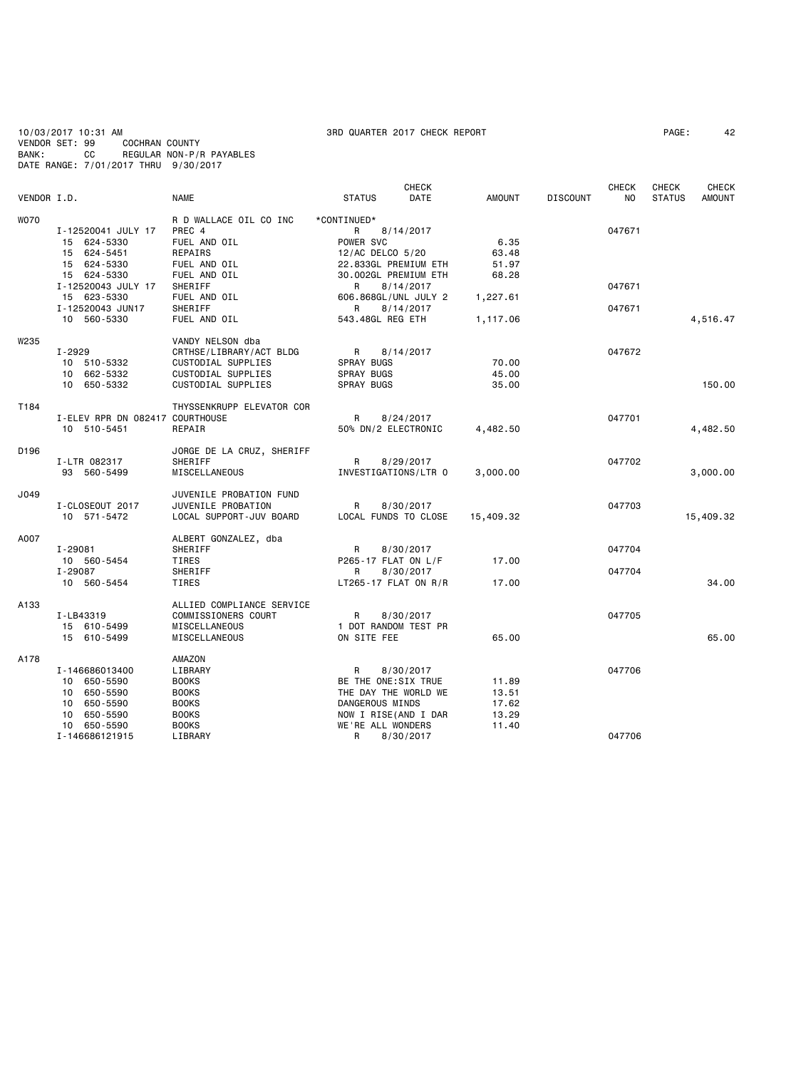10/03/2017 10:31 AM 3RD QUARTER 2017 CHECK REPORT PAGE: 42 VENDOR SET: 99 COCHRAN COUNTY BANK: CC REGULAR NON-P/R PAYABLES DATE RANGE: 7/01/2017 THRU 9/30/2017

|             |                                 |                           | <b>CHECK</b>           |               |                 | <b>CHECK</b>   | CHECK         | <b>CHECK</b>  |
|-------------|---------------------------------|---------------------------|------------------------|---------------|-----------------|----------------|---------------|---------------|
| VENDOR I.D. |                                 | <b>NAME</b>               | <b>STATUS</b><br>DATE  | <b>AMOUNT</b> | <b>DISCOUNT</b> | N <sub>O</sub> | <b>STATUS</b> | <b>AMOUNT</b> |
| WO70        |                                 | R D WALLACE OIL CO INC    | *CONTINUED*            |               |                 |                |               |               |
|             | I-12520041 JULY 17              | PREC 4                    | R<br>8/14/2017         |               |                 | 047671         |               |               |
|             | 15 624-5330                     | FUEL AND OIL              | POWER SVC              | 6.35          |                 |                |               |               |
|             | 15 624-5451                     | REPAIRS                   | 12/AC DELCO 5/20       | 63.48         |                 |                |               |               |
|             | 15 624-5330                     | FUEL AND OIL              | 22.833GL PREMIUM ETH   | 51.97         |                 |                |               |               |
|             | 15 624-5330                     | FUEL AND OIL              | 30.002GL PREMIUM ETH   | 68.28         |                 |                |               |               |
|             | I-12520043 JULY 17              | SHERIFF                   | 8/14/2017<br>R         |               |                 | 047671         |               |               |
|             | 15 623-5330                     | FUEL AND OIL              | 606.868GL/UNL JULY 2   | 1,227.61      |                 |                |               |               |
|             | I-12520043 JUN17                | SHERIFF                   | R<br>8/14/2017         |               |                 | 047671         |               |               |
|             | 10 560-5330                     | FUEL AND OIL              | 543.48GL REG ETH       | 1,117.06      |                 |                |               | 4,516.47      |
| W235        |                                 | VANDY NELSON dba          |                        |               |                 |                |               |               |
|             | I-2929                          | CRTHSE/LIBRARY/ACT BLDG   | <b>R</b><br>8/14/2017  |               |                 | 047672         |               |               |
|             | 10 510-5332                     | CUSTODIAL SUPPLIES        | SPRAY BUGS             | 70.00         |                 |                |               |               |
|             | 10 662-5332                     | CUSTODIAL SUPPLIES        | SPRAY BUGS             | 45.00         |                 |                |               |               |
|             | 10 650-5332                     | CUSTODIAL SUPPLIES        | SPRAY BUGS             | 35.00         |                 |                |               | 150.00        |
|             |                                 |                           |                        |               |                 |                |               |               |
| T184        |                                 | THYSSENKRUPP ELEVATOR COR |                        |               |                 |                |               |               |
|             | I-ELEV RPR DN 082417 COURTHOUSE |                           | R<br>8/24/2017         |               |                 | 047701         |               |               |
|             | 10 510-5451                     | REPAIR                    | 50% DN/2 ELECTRONIC    | 4,482.50      |                 |                |               | 4,482.50      |
| D196        |                                 | JORGE DE LA CRUZ, SHERIFF |                        |               |                 |                |               |               |
|             | I-LTR 082317                    | SHERIFF                   | 8/29/2017<br>R         |               |                 | 047702         |               |               |
|             | 93 560-5499                     | MISCELLANEOUS             | INVESTIGATIONS/LTR 0   | 3,000.00      |                 |                |               | 3,000.00      |
| J049        |                                 | JUVENILE PROBATION FUND   |                        |               |                 |                |               |               |
|             | I-CLOSEOUT 2017                 | JUVENILE PROBATION        | 8/30/2017<br>R         |               |                 | 047703         |               |               |
|             | 10 571-5472                     | LOCAL SUPPORT-JUV BOARD   | LOCAL FUNDS TO CLOSE   | 15,409.32     |                 |                |               | 15,409.32     |
|             |                                 |                           |                        |               |                 |                |               |               |
| A007        |                                 | ALBERT GONZALEZ, dba      |                        |               |                 |                |               |               |
|             | I-29081                         | SHERIFF                   | R<br>8/30/2017         |               |                 | 047704         |               |               |
|             | 10 560-5454                     | <b>TIRES</b>              | P265-17 FLAT ON L/F    | 17.00         |                 |                |               |               |
|             | I-29087                         | SHERIFF                   | R<br>8/30/2017         |               |                 | 047704         |               |               |
|             | 10 560-5454                     | TIRES                     | $LT265-17$ FLAT ON R/R | 17.00         |                 |                |               | 34,00         |
| A133        |                                 | ALLIED COMPLIANCE SERVICE |                        |               |                 |                |               |               |
|             | I-LB43319                       | COMMISSIONERS COURT       | R<br>8/30/2017         |               |                 | 047705         |               |               |
|             | 15 610-5499                     | MISCELLANEOUS             | 1 DOT RANDOM TEST PR   |               |                 |                |               |               |
|             | 15 610-5499                     | MISCELLANEOUS             | ON SITE FEE            | 65.00         |                 |                |               | 65.00         |
| A178        |                                 | AMAZON                    |                        |               |                 |                |               |               |
|             | I-146686013400                  | LIBRARY                   | R<br>8/30/2017         |               |                 | 047706         |               |               |
|             | 10 650-5590                     | <b>BOOKS</b>              | BE THE ONE:SIX TRUE    | 11.89         |                 |                |               |               |
|             | 10 650-5590                     | <b>BOOKS</b>              | THE DAY THE WORLD WE   | 13.51         |                 |                |               |               |
|             | 10 650-5590                     | <b>BOOKS</b>              | DANGEROUS MINDS        | 17.62         |                 |                |               |               |
|             | 10 650-5590                     | <b>BOOKS</b>              | NOW I RISE(AND I DAR   | 13.29         |                 |                |               |               |
|             | 10 650-5590                     | <b>BOOKS</b>              | WE'RE ALL WONDERS      | 11.40         |                 |                |               |               |
|             | I-146686121915                  | LIBRARY                   | R<br>8/30/2017         |               |                 | 047706         |               |               |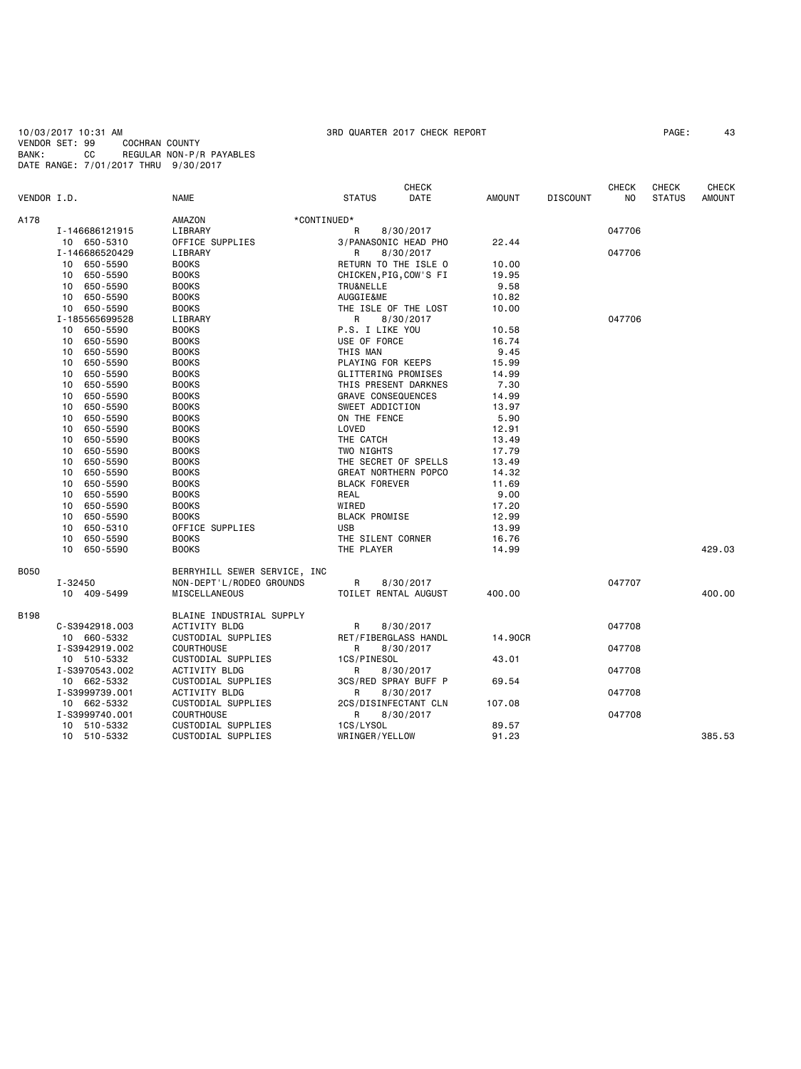10/03/2017 10:31 AM 3RD QUARTER 2017 CHECK REPORT PAGE: 43 VENDOR SET: 99 COCHRAN COUNTY BANK: CC REGULAR NON-P/R PAYABLES DATE RANGE: 7/01/2017 THRU 9/30/2017

| VENDOR I.D. |                | <b>NAME</b>                  | <b>STATUS</b>             | <b>CHECK</b><br><b>DATE</b> | <b>AMOUNT</b> | <b>DISCOUNT</b> | <b>CHECK</b><br>N <sub>O</sub> | CHECK<br><b>STATUS</b> | <b>CHECK</b><br><b>AMOUNT</b> |
|-------------|----------------|------------------------------|---------------------------|-----------------------------|---------------|-----------------|--------------------------------|------------------------|-------------------------------|
| A178        |                | AMAZON<br>*CONTINUED*        |                           |                             |               |                 |                                |                        |                               |
|             | I-146686121915 | LIBRARY                      | R                         | 8/30/2017                   |               |                 | 047706                         |                        |                               |
|             | 10 650-5310    | OFFICE SUPPLIES              | 3/PANASONIC HEAD PHO      |                             | 22.44         |                 |                                |                        |                               |
|             | I-146686520429 | LIBRARY                      | R                         | 8/30/2017                   |               |                 | 047706                         |                        |                               |
|             | 650-5590<br>10 | <b>BOOKS</b>                 | RETURN TO THE ISLE O      |                             | 10.00         |                 |                                |                        |                               |
|             | 650-5590<br>10 | <b>BOOKS</b>                 | CHICKEN, PIG, COW'S FI    |                             | 19.95         |                 |                                |                        |                               |
|             | 650-5590<br>10 | <b>BOOKS</b>                 | TRU&NELLE                 |                             | 9.58          |                 |                                |                        |                               |
|             | 10<br>650-5590 | <b>BOOKS</b>                 | AUGGIE&ME                 |                             | 10.82         |                 |                                |                        |                               |
|             | 10<br>650-5590 | <b>BOOKS</b>                 | THE ISLE OF THE LOST      |                             | 10.00         |                 |                                |                        |                               |
|             | I-185565699528 | LIBRARY                      | R                         | 8/30/2017                   |               |                 | 047706                         |                        |                               |
|             | 650-5590<br>10 | <b>BOOKS</b>                 | P.S. I LIKE YOU           |                             | 10.58         |                 |                                |                        |                               |
|             | 650-5590<br>10 | <b>BOOKS</b>                 | USE OF FORCE              |                             | 16.74         |                 |                                |                        |                               |
|             | 650-5590<br>10 | <b>BOOKS</b>                 | THIS MAN                  |                             | 9.45          |                 |                                |                        |                               |
|             | 650-5590<br>10 | <b>BOOKS</b>                 | PLAYING FOR KEEPS         |                             | 15.99         |                 |                                |                        |                               |
|             | 10<br>650-5590 | <b>BOOKS</b>                 | GLITTERING PROMISES       |                             | 14.99         |                 |                                |                        |                               |
|             | 10<br>650-5590 | <b>BOOKS</b>                 | THIS PRESENT DARKNES      |                             | 7.30          |                 |                                |                        |                               |
|             | 650-5590<br>10 | <b>BOOKS</b>                 | <b>GRAVE CONSEQUENCES</b> |                             | 14.99         |                 |                                |                        |                               |
|             | 650-5590<br>10 | <b>BOOKS</b>                 | SWEET ADDICTION           |                             | 13.97         |                 |                                |                        |                               |
|             | 10<br>650-5590 | <b>BOOKS</b>                 | ON THE FENCE              |                             | 5.90          |                 |                                |                        |                               |
|             | 650-5590<br>10 | <b>BOOKS</b>                 | LOVED                     |                             | 12.91         |                 |                                |                        |                               |
|             | 650-5590<br>10 | <b>BOOKS</b>                 | THE CATCH                 |                             | 13.49         |                 |                                |                        |                               |
|             | 650-5590<br>10 | <b>BOOKS</b>                 | TWO NIGHTS                |                             | 17.79         |                 |                                |                        |                               |
|             | 10<br>650-5590 | <b>BOOKS</b>                 | THE SECRET OF SPELLS      |                             | 13.49         |                 |                                |                        |                               |
|             | 10<br>650-5590 | <b>BOOKS</b>                 | GREAT NORTHERN POPCO      |                             | 14.32         |                 |                                |                        |                               |
|             | 650-5590<br>10 | <b>BOOKS</b>                 | <b>BLACK FOREVER</b>      |                             | 11.69         |                 |                                |                        |                               |
|             | 650-5590<br>10 | <b>BOOKS</b>                 | REAL                      |                             | 9.00          |                 |                                |                        |                               |
|             | 10<br>650-5590 | <b>BOOKS</b>                 | WIRED                     |                             | 17.20         |                 |                                |                        |                               |
|             | 10<br>650-5590 | <b>BOOKS</b>                 | <b>BLACK PROMISE</b>      |                             | 12.99         |                 |                                |                        |                               |
|             | 650-5310<br>10 | OFFICE SUPPLIES              | <b>USB</b>                |                             | 13.99         |                 |                                |                        |                               |
|             | 10<br>650-5590 | <b>BOOKS</b>                 | THE SILENT CORNER         |                             | 16.76         |                 |                                |                        |                               |
|             | 10<br>650-5590 | <b>BOOKS</b>                 | THE PLAYER                |                             | 14.99         |                 |                                |                        | 429.03                        |
|             |                |                              |                           |                             |               |                 |                                |                        |                               |
| <b>B050</b> |                | BERRYHILL SEWER SERVICE, INC |                           |                             |               |                 |                                |                        |                               |
|             | I-32450        | NON-DEPT'L/RODEO GROUNDS     | R                         | 8/30/2017                   |               |                 | 047707                         |                        |                               |
|             | 10 409-5499    | <b>MISCELLANEOUS</b>         | TOILET RENTAL AUGUST      |                             | 400.00        |                 |                                |                        | 400.00                        |
|             |                |                              |                           |                             |               |                 |                                |                        |                               |
| <b>B198</b> |                | BLAINE INDUSTRIAL SUPPLY     |                           |                             |               |                 |                                |                        |                               |
|             | C-S3942918.003 | <b>ACTIVITY BLDG</b>         | R                         | 8/30/2017                   |               |                 | 047708                         |                        |                               |
|             | 10 660-5332    | CUSTODIAL SUPPLIES           | RET/FIBERGLASS HANDL      |                             | 14,90CR       |                 |                                |                        |                               |
|             | I-S3942919.002 | <b>COURTHOUSE</b>            | R                         | 8/30/2017                   |               |                 | 047708                         |                        |                               |
|             | 10 510-5332    | CUSTODIAL SUPPLIES           | 1CS/PINESOL               |                             | 43.01         |                 |                                |                        |                               |
|             | I-S3970543.002 | <b>ACTIVITY BLDG</b>         | R                         | 8/30/2017                   |               |                 | 047708                         |                        |                               |
|             | 10 662-5332    | CUSTODIAL SUPPLIES           | 3CS/RED SPRAY BUFF P      |                             | 69.54         |                 |                                |                        |                               |
|             | I-S3999739.001 | <b>ACTIVITY BLDG</b>         | R                         | 8/30/2017                   |               |                 | 047708                         |                        |                               |
|             | 10 662-5332    | CUSTODIAL SUPPLIES           | 2CS/DISINFECTANT CLN      |                             | 107.08        |                 |                                |                        |                               |
|             | I-S3999740.001 | <b>COURTHOUSE</b>            | R                         | 8/30/2017                   |               |                 | 047708                         |                        |                               |
|             | 10 510-5332    | CUSTODIAL SUPPLIES           | 1CS/LYSOL                 |                             | 89.57         |                 |                                |                        |                               |
|             | 10 510-5332    | CUSTODIAL SUPPLIES           | WRINGER/YELLOW            |                             | 91.23         |                 |                                |                        | 385.53                        |
|             |                |                              |                           |                             |               |                 |                                |                        |                               |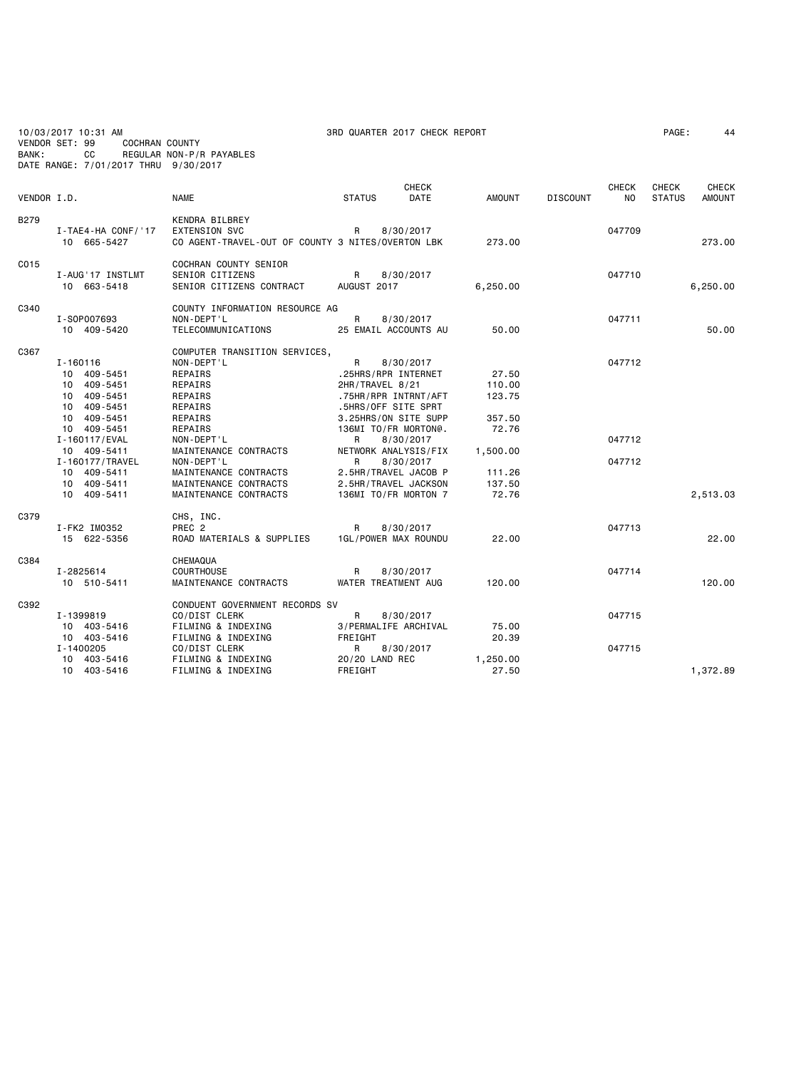| BANK:       | 10/03/2017 10:31 AM<br>VENDOR SET: 99<br><b>COCHRAN COUNTY</b><br>СC<br>DATE RANGE: 7/01/2017 THRU 9/30/2017                                                                                           | REGULAR NON-P/R PAYABLES                                                                                                                                                                                                                      | 3RD QUARTER 2017 CHECK REPORT                                                                                                                                                                                                                                                               |                                                                                       |                            | PAGE:         | 44            |
|-------------|--------------------------------------------------------------------------------------------------------------------------------------------------------------------------------------------------------|-----------------------------------------------------------------------------------------------------------------------------------------------------------------------------------------------------------------------------------------------|---------------------------------------------------------------------------------------------------------------------------------------------------------------------------------------------------------------------------------------------------------------------------------------------|---------------------------------------------------------------------------------------|----------------------------|---------------|---------------|
|             |                                                                                                                                                                                                        |                                                                                                                                                                                                                                               | CHECK                                                                                                                                                                                                                                                                                       |                                                                                       | <b>CHECK</b>               | CHECK         | <b>CHECK</b>  |
| VENDOR I.D. |                                                                                                                                                                                                        | <b>NAME</b>                                                                                                                                                                                                                                   | <b>STATUS</b><br>DATE                                                                                                                                                                                                                                                                       | <b>AMOUNT</b>                                                                         | <b>DISCOUNT</b><br>NO.     | <b>STATUS</b> | <b>AMOUNT</b> |
| <b>B279</b> | I-TAE4-HA CONF/'17<br>10 665-5427                                                                                                                                                                      | KENDRA BILBREY<br><b>EXTENSION SVC</b><br>CO AGENT-TRAVEL-OUT OF COUNTY 3 NITES/OVERTON LBK                                                                                                                                                   | 8/30/2017<br>R                                                                                                                                                                                                                                                                              | 273.00                                                                                | 047709                     |               | 273.00        |
| C015        | I-AUG'17 INSTLMT<br>10 663-5418                                                                                                                                                                        | COCHRAN COUNTY SENIOR<br>SENIOR CITIZENS<br>SENIOR CITIZENS CONTRACT                                                                                                                                                                          | R<br>8/30/2017<br>AUGUST 2017                                                                                                                                                                                                                                                               | 6,250.00                                                                              | 047710                     |               | 6,250.00      |
| C340        | I-S0P007693<br>10 409-5420                                                                                                                                                                             | COUNTY INFORMATION RESOURCE AG<br>NON-DEPT'L<br>TELECOMMUNICATIONS                                                                                                                                                                            | R<br>8/30/2017<br>25 EMAIL ACCOUNTS AU                                                                                                                                                                                                                                                      | 50.00                                                                                 | 047711                     |               | 50.00         |
| C367        | $I - 160116$<br>10 409-5451<br>10 409-5451<br>10 409-5451<br>10 409-5451<br>10 409-5451<br>10 409-5451<br>I-160117/EVAL<br>10 409-5411<br>I-160177/TRAVEL<br>10 409-5411<br>10 409-5411<br>10 409-5411 | COMPUTER TRANSITION SERVICES,<br>NON-DEPT'L<br>REPAIRS<br>REPAIRS<br>REPAIRS<br>REPAIRS<br>REPAIRS<br>REPAIRS<br>NON-DEPT'L<br>MAINTENANCE CONTRACTS<br>NON-DEPT'L<br>MAINTENANCE CONTRACTS<br>MAINTENANCE CONTRACTS<br>MAINTENANCE CONTRACTS | R<br>8/30/2017<br>.25HRS/RPR INTERNET<br>2HR/TRAVEL 8/21<br>.75HR/RPR INTRNT/AFT<br>.5HRS/OFF SITE SPRT<br>3.25HRS/ON SITE SUPP<br>136MI TO/FR MORTON@.<br>R<br>8/30/2017<br>NETWORK ANALYSIS/FIX<br>R<br>8/30/2017<br>2.5HR/TRAVEL JACOB P<br>2.5HR/TRAVEL JACKSON<br>136MI TO/FR MORTON 7 | 27.50<br>110.00<br>123.75<br>357.50<br>72.76<br>1,500.00<br>111.26<br>137.50<br>72.76 | 047712<br>047712<br>047712 |               | 2,513.03      |
| C379        | I-FK2 IM0352<br>15 622-5356                                                                                                                                                                            | CHS, INC.<br>PREC <sub>2</sub><br>ROAD MATERIALS & SUPPLIES                                                                                                                                                                                   | R<br>8/30/2017<br>1GL/POWER MAX ROUNDU                                                                                                                                                                                                                                                      | 22.00                                                                                 | 047713                     |               | 22,00         |
| C384        | I-2825614<br>10 510-5411                                                                                                                                                                               | CHEMAQUA<br><b>COURTHOUSE</b><br>MAINTENANCE CONTRACTS                                                                                                                                                                                        | R<br>8/30/2017<br>WATER TREATMENT AUG                                                                                                                                                                                                                                                       | 120.00                                                                                | 047714                     |               | 120.00        |
| C392        | I-1399819<br>10 403-5416<br>10 403-5416<br>I-1400205<br>10 403-5416                                                                                                                                    | CONDUENT GOVERNMENT RECORDS SV<br>CO/DIST CLERK<br>FILMING & INDEXING<br>FILMING & INDEXING<br>CO/DIST CLERK<br>FILMING & INDEXING                                                                                                            | R<br>8/30/2017<br>3/PERMALIFE ARCHIVAL<br>FREIGHT<br>R<br>8/30/2017<br>20/20 LAND REC                                                                                                                                                                                                       | 75.00<br>20.39<br>1,250.00                                                            | 047715<br>047715           |               |               |
|             | 10 403-5416                                                                                                                                                                                            | FILMING & INDEXING                                                                                                                                                                                                                            | FREIGHT                                                                                                                                                                                                                                                                                     | 27.50                                                                                 |                            |               | 1,372.89      |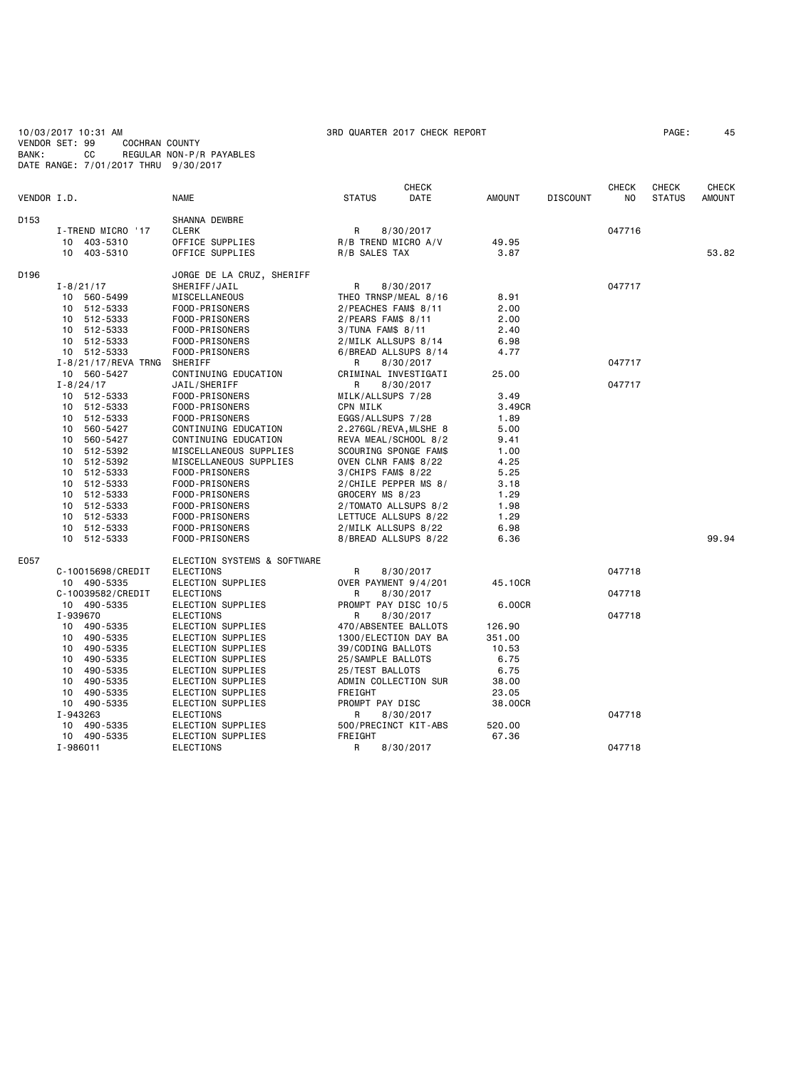10/03/2017 10:31 AM 3RD QUARTER 2017 CHECK REPORT PAGE: 45 VENDOR SET: 99 COCHRAN COUNTY BANK: CC REGULAR NON-P/R PAYABLES DATE RANGE: 7/01/2017 THRU 9/30/2017

| VENDOR I.D. |                               | <b>NAME</b>                            | <b>STATUS</b>                               | <b>CHECK</b><br>DATE | <b>AMOUNT</b> | <b>DISCOUNT</b> | <b>CHECK</b><br>NO. | <b>CHECK</b><br><b>STATUS</b> | <b>CHECK</b><br>AMOUNT |
|-------------|-------------------------------|----------------------------------------|---------------------------------------------|----------------------|---------------|-----------------|---------------------|-------------------------------|------------------------|
| D153        |                               | SHANNA DEWBRE                          |                                             |                      |               |                 |                     |                               |                        |
|             | I-TREND MICRO '17             | <b>CLERK</b>                           | R                                           | 8/30/2017            |               |                 | 047716              |                               |                        |
|             | 10 403-5310                   | OFFICE SUPPLIES                        | R/B TREND MICRO A/V                         |                      | 49.95         |                 |                     |                               |                        |
|             | 10 403-5310                   | OFFICE SUPPLIES                        | R/B SALES TAX                               |                      | 3.87          |                 |                     |                               | 53.82                  |
| D196        |                               | JORGE DE LA CRUZ, SHERIFF              |                                             |                      |               |                 |                     |                               |                        |
|             | $I - 8/21/17$                 | SHERIFF/JAIL                           | R                                           | 8/30/2017            |               |                 | 047717              |                               |                        |
|             | 10 560-5499                   | MISCELLANEOUS                          | THEO TRNSP/MEAL 8/16                        |                      | 8.91          |                 |                     |                               |                        |
|             | 10 512-5333                   | FOOD-PRISONERS                         | 2/PEACHES FAM\$ 8/11                        |                      | 2.00          |                 |                     |                               |                        |
|             | 10 512-5333                   | FOOD-PRISONERS                         | $2/PEARS$ FAM\$ 8/11                        |                      | 2.00          |                 |                     |                               |                        |
|             | 10 512-5333                   | FOOD-PRISONERS                         | 3/TUNA FAM\$ 8/11                           |                      | 2.40          |                 |                     |                               |                        |
|             | 10 512-5333                   | FOOD-PRISONERS                         | 2/MILK ALLSUPS 8/14                         |                      | 6.98          |                 |                     |                               |                        |
|             | 10 512-5333                   | FOOD-PRISONERS                         | 6/BREAD ALLSUPS 8/14                        |                      | 4.77          |                 |                     |                               |                        |
|             | I-8/21/17/REVA TRNG           | SHERIFF                                | R                                           | 8/30/2017            |               |                 | 047717              |                               |                        |
|             | 10 560-5427                   | CONTINUING EDUCATION                   | CRIMINAL INVESTIGATI                        |                      | 25.00         |                 |                     |                               |                        |
|             | $I - 8/24/17$                 | JAIL/SHERIFF                           | R                                           | 8/30/2017            |               |                 | 047717              |                               |                        |
|             | 10 512-5333                   | FOOD-PRISONERS                         | MILK/ALLSUPS 7/28                           |                      | 3.49          |                 |                     |                               |                        |
|             | 10 512-5333                   | FOOD-PRISONERS                         | CPN MILK                                    |                      | 3.49CR        |                 |                     |                               |                        |
|             | 10 512-5333                   | FOOD-PRISONERS                         | EGGS/ALLSUPS 7/28                           |                      | 1.89          |                 |                     |                               |                        |
|             | 10 560-5427                   | CONTINUING EDUCATION                   | 2.276GL/REVA, MLSHE 8                       |                      | 5.00          |                 |                     |                               |                        |
|             | 560-5427<br>10                | CONTINUING EDUCATION                   | REVA MEAL/SCHOOL 8/2                        |                      | 9.41          |                 |                     |                               |                        |
|             | 10 512-5392                   | MISCELLANEOUS SUPPLIES                 | SCOURING SPONGE FAM\$                       |                      | 1.00          |                 |                     |                               |                        |
|             | 512-5392<br>10                | MISCELLANEOUS SUPPLIES                 | OVEN CLNR FAM\$ 8/22                        |                      | 4.25          |                 |                     |                               |                        |
|             | 10 512-5333                   | FOOD-PRISONERS                         | $3/CHIPS$ FAM\$ 8/22                        |                      | 5.25          |                 |                     |                               |                        |
|             | 512-5333<br>10                | FOOD-PRISONERS                         | 2/CHILE PEPPER MS 8/                        |                      | 3.18          |                 |                     |                               |                        |
|             | 10 512-5333                   | FOOD-PRISONERS                         | GROCERY MS 8/23                             |                      | 1.29          |                 |                     |                               |                        |
|             | 10 512-5333<br>512-5333<br>10 | FOOD-PRISONERS<br>FOOD-PRISONERS       | 2/TOMATO ALLSUPS 8/2                        |                      | 1.98<br>1.29  |                 |                     |                               |                        |
|             | 10<br>512-5333                | FOOD-PRISONERS                         | LETTUCE ALLSUPS 8/22<br>2/MILK ALLSUPS 8/22 |                      | 6.98          |                 |                     |                               |                        |
|             | 10 512-5333                   | FOOD-PRISONERS                         | 8/BREAD ALLSUPS 8/22                        |                      | 6.36          |                 |                     |                               | 99.94                  |
|             |                               |                                        |                                             |                      |               |                 |                     |                               |                        |
| E057        |                               | ELECTION SYSTEMS & SOFTWARE            |                                             |                      |               |                 |                     |                               |                        |
|             | C-10015698/CREDIT             | <b>ELECTIONS</b>                       | R                                           | 8/30/2017            |               |                 | 047718              |                               |                        |
|             | 10 490-5335                   | ELECTION SUPPLIES                      | OVER PAYMENT 9/4/201                        |                      | 45.10CR       |                 |                     |                               |                        |
|             | C-10039582/CREDIT             | <b>ELECTIONS</b>                       | R                                           | 8/30/2017            |               |                 | 047718              |                               |                        |
|             | 10 490-5335                   | ELECTION SUPPLIES                      | PROMPT PAY DISC 10/5                        |                      | 6.00CR        |                 |                     |                               |                        |
|             | I-939670                      | <b>ELECTIONS</b>                       | R                                           | 8/30/2017            |               |                 | 047718              |                               |                        |
|             | 10 490-5335                   | ELECTION SUPPLIES                      | 470/ABSENTEE BALLOTS                        |                      | 126.90        |                 |                     |                               |                        |
|             | 10 490-5335                   | ELECTION SUPPLIES                      | 1300/ELECTION DAY BA                        |                      | 351.00        |                 |                     |                               |                        |
|             | 10 490-5335                   | ELECTION SUPPLIES                      | 39/CODING BALLOTS                           |                      | 10.53         |                 |                     |                               |                        |
|             | 10 490-5335<br>490-5335<br>10 | ELECTION SUPPLIES                      | 25/SAMPLE BALLOTS                           |                      | 6.75<br>6.75  |                 |                     |                               |                        |
|             | 10<br>490-5335                | ELECTION SUPPLIES<br>ELECTION SUPPLIES | 25/TEST BALLOTS<br>ADMIN COLLECTION SUR     |                      | 38.00         |                 |                     |                               |                        |
|             | 490-5335<br>10                | ELECTION SUPPLIES                      | FREIGHT                                     |                      | 23.05         |                 |                     |                               |                        |
|             | 10 490-5335                   | ELECTION SUPPLIES                      | PROMPT PAY DISC                             |                      | 38.00CR       |                 |                     |                               |                        |
|             | I-943263                      | <b>ELECTIONS</b>                       | R                                           | 8/30/2017            |               |                 | 047718              |                               |                        |
|             | 10 490-5335                   | ELECTION SUPPLIES                      | 500/PRECINCT KIT-ABS                        |                      | 520.00        |                 |                     |                               |                        |
|             | 10 490-5335                   | ELECTION SUPPLIES                      | FREIGHT                                     |                      | 67.36         |                 |                     |                               |                        |
|             | I-986011                      | ELECTIONS                              | R                                           | 8/30/2017            |               |                 | 047718              |                               |                        |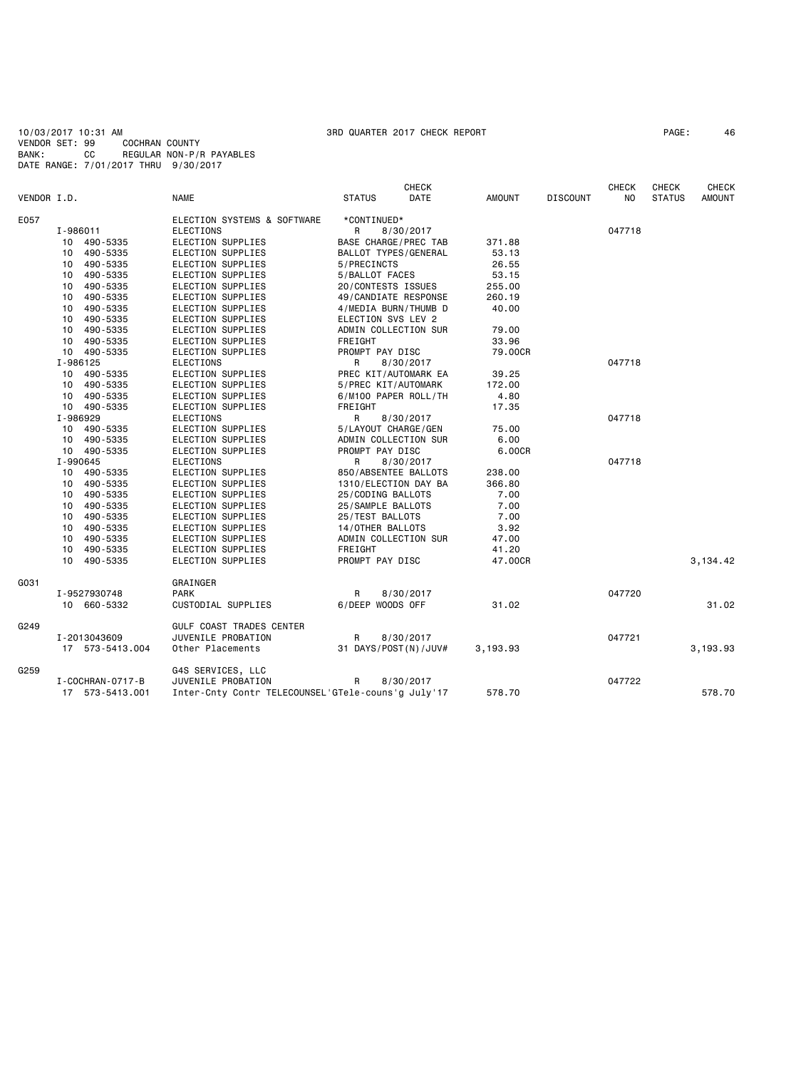10/03/2017 10:31 AM 3RD QUARTER 2017 CHECK REPORT PAGE: 46 VENDOR SET: 99 COCHRAN COUNTY BANK: CC REGULAR NON-P/R PAYABLES DATE RANGE: 7/01/2017 THRU 9/30/2017

|             |    |                  |                                                    |                      | <b>CHECK</b> |               |                 | <b>CHECK</b> | <b>CHECK</b>  | <b>CHECK</b>  |
|-------------|----|------------------|----------------------------------------------------|----------------------|--------------|---------------|-----------------|--------------|---------------|---------------|
| VENDOR I.D. |    |                  | <b>NAME</b>                                        | <b>STATUS</b>        | <b>DATE</b>  | <b>AMOUNT</b> | <b>DISCOUNT</b> | NO.          | <b>STATUS</b> | <b>AMOUNT</b> |
| E057        |    |                  | ELECTION SYSTEMS & SOFTWARE                        | *CONTINUED*          |              |               |                 |              |               |               |
|             |    | I-986011         | <b>ELECTIONS</b>                                   | R                    | 8/30/2017    |               |                 | 047718       |               |               |
|             |    | 10 490-5335      | ELECTION SUPPLIES                                  | BASE CHARGE/PREC TAB |              | 371.88        |                 |              |               |               |
|             | 10 | 490-5335         | ELECTION SUPPLIES                                  | BALLOT TYPES/GENERAL |              | 53.13         |                 |              |               |               |
|             | 10 | 490-5335         | ELECTION SUPPLIES                                  | 5/PRECINCTS          |              | 26.55         |                 |              |               |               |
|             | 10 | 490-5335         | ELECTION SUPPLIES                                  | 5/BALLOT FACES       |              | 53.15         |                 |              |               |               |
|             | 10 | 490-5335         | ELECTION SUPPLIES                                  | 20/CONTESTS ISSUES   |              | 255.00        |                 |              |               |               |
|             | 10 | 490-5335         | ELECTION SUPPLIES                                  | 49/CANDIATE RESPONSE |              | 260.19        |                 |              |               |               |
|             | 10 | 490-5335         | ELECTION SUPPLIES                                  | 4/MEDIA BURN/THUMB D |              | 40.00         |                 |              |               |               |
|             | 10 | 490-5335         | ELECTION SUPPLIES                                  | ELECTION SVS LEV 2   |              |               |                 |              |               |               |
|             | 10 | 490-5335         | ELECTION SUPPLIES                                  | ADMIN COLLECTION SUR |              | 79.00         |                 |              |               |               |
|             | 10 | 490-5335         | ELECTION SUPPLIES                                  | FREIGHT              |              | 33.96         |                 |              |               |               |
|             |    | 10 490-5335      | ELECTION SUPPLIES                                  | PROMPT PAY DISC      |              | 79,00CR       |                 |              |               |               |
|             |    | I-986125         | <b>ELECTIONS</b>                                   | R                    | 8/30/2017    |               |                 | 047718       |               |               |
|             |    | 10 490-5335      | ELECTION SUPPLIES                                  | PREC KIT/AUTOMARK EA |              | 39.25         |                 |              |               |               |
|             | 10 | 490-5335         | ELECTION SUPPLIES                                  | 5/PREC KIT/AUTOMARK  |              | 172.00        |                 |              |               |               |
|             |    | 10 490-5335      | ELECTION SUPPLIES                                  | 6/M100 PAPER ROLL/TH |              | 4.80          |                 |              |               |               |
|             |    | 10 490-5335      | ELECTION SUPPLIES                                  | <b>FREIGHT</b>       |              | 17.35         |                 |              |               |               |
|             |    | I-986929         | <b>ELECTIONS</b>                                   | R                    | 8/30/2017    |               |                 | 047718       |               |               |
|             |    | 10 490-5335      | ELECTION SUPPLIES                                  | 5/LAYOUT CHARGE/GEN  |              | 75.00         |                 |              |               |               |
|             |    | 10 490-5335      | ELECTION SUPPLIES                                  | ADMIN COLLECTION SUR |              | 6.00          |                 |              |               |               |
|             |    | 10 490-5335      | ELECTION SUPPLIES                                  | PROMPT PAY DISC      |              | 6.00CR        |                 |              |               |               |
|             |    | I-990645         | <b>ELECTIONS</b>                                   | R                    | 8/30/2017    |               |                 | 047718       |               |               |
|             | 10 | 490-5335         | ELECTION SUPPLIES                                  | 850/ABSENTEE BALLOTS |              | 238.00        |                 |              |               |               |
|             | 10 | 490-5335         | ELECTION SUPPLIES                                  | 1310/ELECTION DAY BA |              | 366.80        |                 |              |               |               |
|             | 10 | 490-5335         | ELECTION SUPPLIES                                  | 25/CODING BALLOTS    |              | 7.00          |                 |              |               |               |
|             | 10 | 490-5335         | <b>ELECTION SUPPLIES</b>                           | 25/SAMPLE BALLOTS    |              | 7.00          |                 |              |               |               |
|             | 10 | 490-5335         | ELECTION SUPPLIES                                  | 25/TEST BALLOTS      |              | 7.00          |                 |              |               |               |
|             | 10 | 490-5335         | ELECTION SUPPLIES                                  | 14/OTHER BALLOTS     |              | 3.92          |                 |              |               |               |
|             | 10 | 490-5335         | ELECTION SUPPLIES                                  | ADMIN COLLECTION SUR |              | 47.00         |                 |              |               |               |
|             | 10 | 490-5335         | ELECTION SUPPLIES                                  | FREIGHT              |              | 41.20         |                 |              |               |               |
|             | 10 | 490-5335         | ELECTION SUPPLIES                                  | PROMPT PAY DISC      |              | 47.00CR       |                 |              |               | 3,134.42      |
| G031        |    |                  | GRAINGER                                           |                      |              |               |                 |              |               |               |
|             |    | I-9527930748     | PARK                                               | R                    | 8/30/2017    |               |                 | 047720       |               |               |
|             |    | 10 660-5332      | CUSTODIAL SUPPLIES                                 | 6/DEEP WOODS OFF     |              | 31.02         |                 |              |               | 31.02         |
| G249        |    |                  | GULF COAST TRADES CENTER                           |                      |              |               |                 |              |               |               |
|             |    | I-2013043609     | JUVENILE PROBATION                                 | R                    | 8/30/2017    |               |                 | 047721       |               |               |
|             |    | 17 573-5413.004  | Other Placements                                   | 31 DAYS/POST(N)/JUV# |              | 3,193.93      |                 |              |               | 3,193.93      |
| G259        |    |                  | G4S SERVICES, LLC                                  |                      |              |               |                 |              |               |               |
|             |    | I-COCHRAN-0717-B | JUVENILE PROBATION                                 | R                    | 8/30/2017    |               |                 | 047722       |               |               |
|             |    | 17 573-5413.001  | Inter-Cnty Contr TELECOUNSEL'GTele-couns'g July'17 |                      |              | 578.70        |                 |              |               | 578.70        |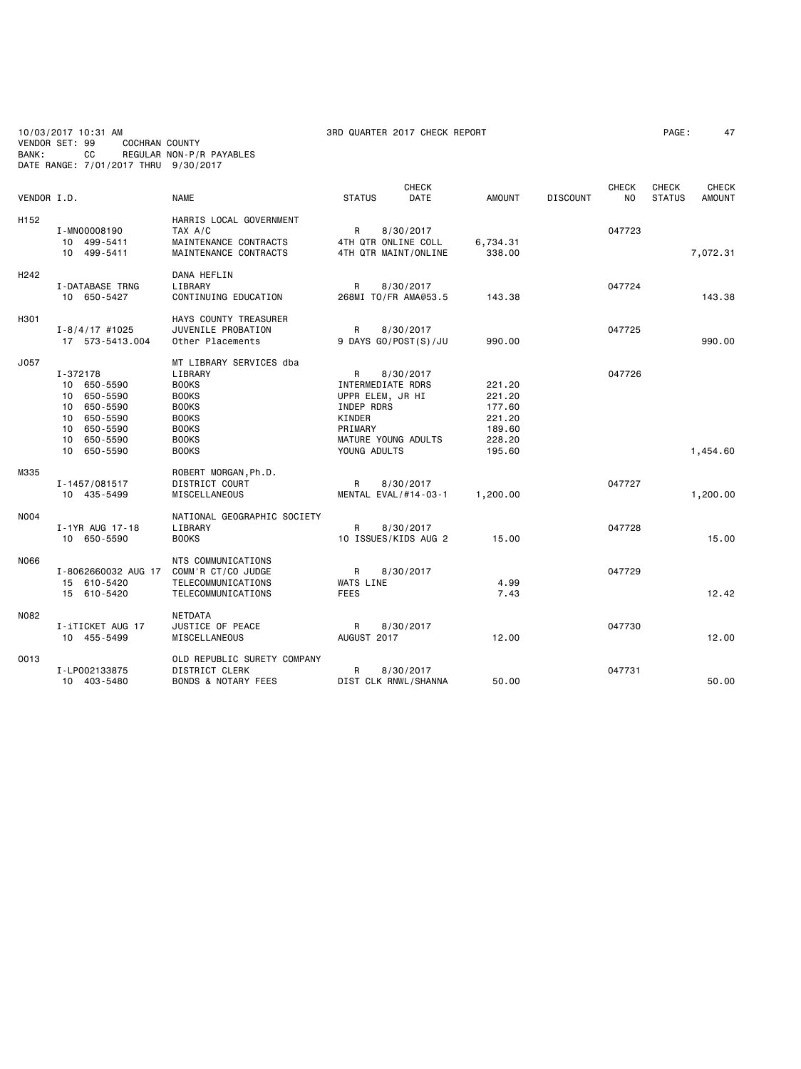10/03/2017 10:31 AM 3RD QUARTER 2017 CHECK REPORT PAGE: 47 VENDOR SET: 99 COCHRAN COUNTY BANK: CC REGULAR NON-P/R PAYABLES DATE RANGE: 7/01/2017 THRU 9/30/2017

| VENDOR I.D. |                                                                                                                         | <b>NAME</b>                                                                                                                                        | <b>STATUS</b>                                                                                                        | <b>CHECK</b><br>DATE | <b>AMOUNT</b>                                                      | <b>DISCOUNT</b> | <b>CHECK</b><br>NO. | <b>CHECK</b><br><b>STATUS</b> | <b>CHECK</b><br><b>AMOUNT</b> |
|-------------|-------------------------------------------------------------------------------------------------------------------------|----------------------------------------------------------------------------------------------------------------------------------------------------|----------------------------------------------------------------------------------------------------------------------|----------------------|--------------------------------------------------------------------|-----------------|---------------------|-------------------------------|-------------------------------|
| H152        | I-MN00008190<br>10 499-5411<br>10 499-5411                                                                              | HARRIS LOCAL GOVERNMENT<br>TAX A/C<br>MAINTENANCE CONTRACTS<br>MAINTENANCE CONTRACTS                                                               | R<br>4TH QTR ONLINE COLL<br>4TH QTR MAINT/ONLINE                                                                     | 8/30/2017            | 6,734.31<br>338.00                                                 |                 | 047723              |                               | 7,072.31                      |
| H242        | I-DATABASE TRNG<br>10 650-5427                                                                                          | DANA HEFLIN<br>LIBRARY<br>CONTINUING EDUCATION                                                                                                     | R<br>268MI TO/FR AMA@53.5                                                                                            | 8/30/2017            | 143.38                                                             |                 | 047724              |                               | 143.38                        |
| H301        | $I - 8/4/17$ #1025<br>17 573-5413.004                                                                                   | HAYS COUNTY TREASURER<br>JUVENILE PROBATION<br>Other Placements                                                                                    | R<br>9 DAYS GO/POST(S)/JU                                                                                            | 8/30/2017            | 990.00                                                             |                 | 047725              |                               | 990.00                        |
| J057        | I-372178<br>10 650-5590<br>10 650-5590<br>10 650-5590<br>650-5590<br>10<br>10 650-5590<br>650-5590<br>10<br>10 650-5590 | MT LIBRARY SERVICES dba<br>LIBRARY<br><b>BOOKS</b><br><b>BOOKS</b><br><b>BOOKS</b><br><b>BOOKS</b><br><b>BOOKS</b><br><b>BOOKS</b><br><b>BOOKS</b> | R<br>INTERMEDIATE RDRS<br>UPPR ELEM, JR HI<br>INDEP RDRS<br>KINDER<br>PRIMARY<br>MATURE YOUNG ADULTS<br>YOUNG ADULTS | 8/30/2017            | 221.20<br>221.20<br>177.60<br>221.20<br>189.60<br>228.20<br>195.60 |                 | 047726              |                               | 1,454.60                      |
| M335        | I-1457/081517<br>10 435-5499                                                                                            | ROBERT MORGAN, Ph.D.<br><b>DISTRICT COURT</b><br>MISCELLANEOUS                                                                                     | R<br>MENTAL EVAL/#14-03-1                                                                                            | 8/30/2017            | 1,200.00                                                           |                 | 047727              |                               | 1,200.00                      |
| N004        | I-1YR AUG 17-18<br>10 650-5590                                                                                          | NATIONAL GEOGRAPHIC SOCIETY<br>LIBRARY<br><b>BOOKS</b>                                                                                             | R<br>10 ISSUES/KIDS AUG 2                                                                                            | 8/30/2017            | 15.00                                                              |                 | 047728              |                               | 15.00                         |
| N066        | I-8062660032 AUG 17<br>15 610-5420<br>15 610-5420                                                                       | <b>NTS COMMUNICATIONS</b><br>COMM'R CT/CO JUDGE<br>TELECOMMUNICATIONS<br>TELECOMMUNICATIONS                                                        | R<br><b>WATS LINE</b><br><b>FEES</b>                                                                                 | 8/30/2017            | 4.99<br>7.43                                                       |                 | 047729              |                               | 12.42                         |
| N082        | I-iTICKET AUG 17<br>10 455-5499                                                                                         | <b>NETDATA</b><br>JUSTICE OF PEACE<br>MISCELLANEOUS                                                                                                | R<br>AUGUST 2017                                                                                                     | 8/30/2017            | 12.00                                                              |                 | 047730              |                               | 12.00                         |
| 0013        | I-LP002133875<br>10 403-5480                                                                                            | OLD REPUBLIC SURETY COMPANY<br><b>DISTRICT CLERK</b><br><b>BONDS &amp; NOTARY FEES</b>                                                             | R<br>DIST CLK RNWL/SHANNA                                                                                            | 8/30/2017            | 50.00                                                              |                 | 047731              |                               | 50.00                         |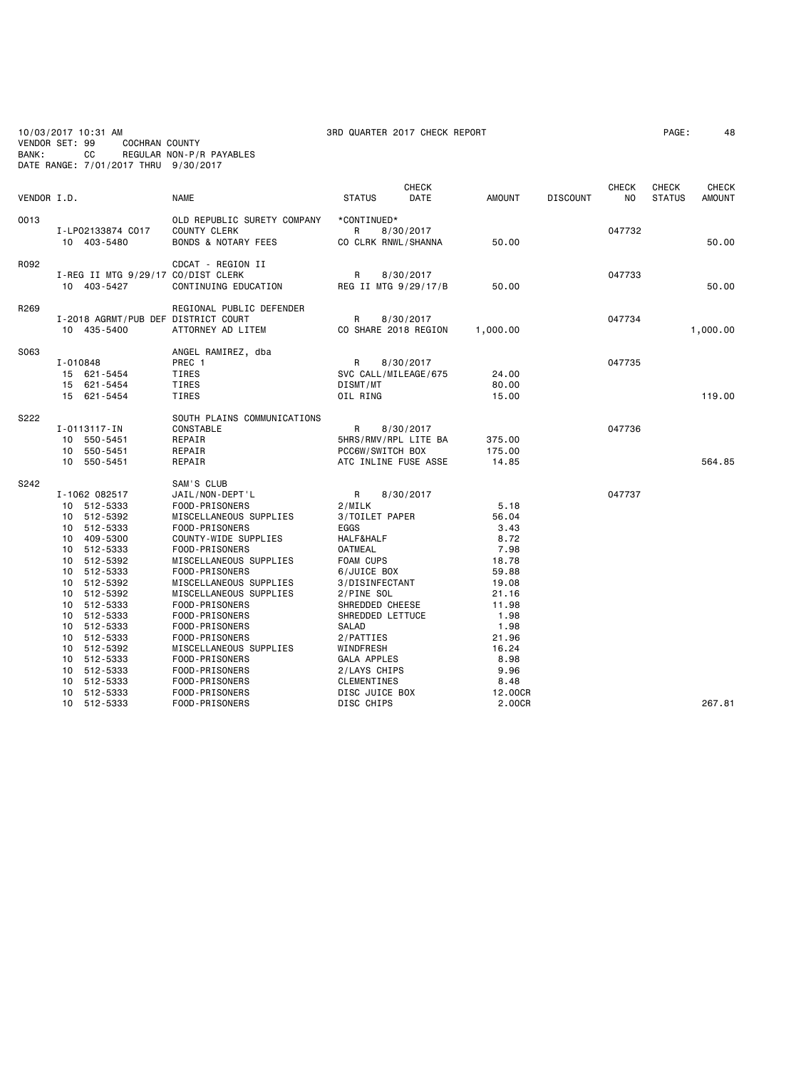| 10/03/2017 10:31 AM                  |     |                |                          |
|--------------------------------------|-----|----------------|--------------------------|
| VENDOR SET: 99                       |     | COCHRAN COUNTY |                          |
| BANK:                                | CC. |                | REGULAR NON-P/R PAYABLES |
| DATE RANGE: 7/01/2017 THRU 9/30/2017 |     |                |                          |

| VENDOR I.D. |                                                                                                                                                                                                                                                                                                                                                | <b>NAME</b>                                                                                                                                                                                                                                                                                                                                                                                                     | <b>CHECK</b><br><b>STATUS</b><br>DATE                                                                                                                                                                                                                                                   | <b>AMOUNT</b>                                                                                                                                           | <b>DISCOUNT</b> | <b>CHECK</b><br>NO. | CHECK<br><b>STATUS</b> | <b>CHECK</b><br><b>AMOUNT</b> |
|-------------|------------------------------------------------------------------------------------------------------------------------------------------------------------------------------------------------------------------------------------------------------------------------------------------------------------------------------------------------|-----------------------------------------------------------------------------------------------------------------------------------------------------------------------------------------------------------------------------------------------------------------------------------------------------------------------------------------------------------------------------------------------------------------|-----------------------------------------------------------------------------------------------------------------------------------------------------------------------------------------------------------------------------------------------------------------------------------------|---------------------------------------------------------------------------------------------------------------------------------------------------------|-----------------|---------------------|------------------------|-------------------------------|
| 0013        | I-LP02133874 C017<br>10 403-5480                                                                                                                                                                                                                                                                                                               | OLD REPUBLIC SURETY COMPANY<br><b>COUNTY CLERK</b><br><b>BONDS &amp; NOTARY FEES</b>                                                                                                                                                                                                                                                                                                                            | *CONTINUED*<br>R<br>8/30/2017<br>CO CLRK RNWL/SHANNA                                                                                                                                                                                                                                    | 50.00                                                                                                                                                   |                 | 047732              |                        | 50.00                         |
| R092        | I-REG II MTG 9/29/17 CO/DIST CLERK<br>10 403-5427                                                                                                                                                                                                                                                                                              | CDCAT - REGION II<br>CONTINUING EDUCATION                                                                                                                                                                                                                                                                                                                                                                       | R<br>8/30/2017<br>REG II MTG 9/29/17/B                                                                                                                                                                                                                                                  | 50.00                                                                                                                                                   |                 | 047733              |                        | 50.00                         |
| R269        | I-2018 AGRMT/PUB DEF DISTRICT COURT<br>10 435-5400                                                                                                                                                                                                                                                                                             | REGIONAL PUBLIC DEFENDER<br>ATTORNEY AD LITEM                                                                                                                                                                                                                                                                                                                                                                   | R<br>8/30/2017<br>CO SHARE 2018 REGION                                                                                                                                                                                                                                                  | 1,000.00                                                                                                                                                |                 | 047734              |                        | 1,000.00                      |
| S063        | I-010848<br>15 621-5454<br>15 621-5454<br>15 621-5454                                                                                                                                                                                                                                                                                          | ANGEL RAMIREZ, dba<br>PREC 1<br>TIRES<br>TIRES<br>TIRES                                                                                                                                                                                                                                                                                                                                                         | 8/30/2017<br>R<br>SVC CALL/MILEAGE/675<br>DISMT/MT<br>OIL RING                                                                                                                                                                                                                          | 24.00<br>80.00<br>15.00                                                                                                                                 |                 | 047735              |                        | 119,00                        |
| S222        | I-0113117-IN<br>550-5451<br>10<br>550-5451<br>10<br>10 550-5451                                                                                                                                                                                                                                                                                | SOUTH PLAINS COMMUNICATIONS<br>CONSTABLE<br>REPAIR<br>REPAIR<br>REPAIR                                                                                                                                                                                                                                                                                                                                          | 8/30/2017<br>R<br>5HRS/RMV/RPL LITE BA<br>PCC6W/SWITCH BOX<br>ATC INLINE FUSE ASSE                                                                                                                                                                                                      | 375.00<br>175.00<br>14.85                                                                                                                               |                 | 047736              |                        | 564.85                        |
| S242        | I-1062 082517<br>10 512-5333<br>512-5392<br>10<br>512-5333<br>10<br>409-5300<br>10<br>512-5333<br>10<br>512-5392<br>10<br>512-5333<br>10<br>512-5392<br>10<br>512-5392<br>10<br>512-5333<br>10<br>512-5333<br>10<br>512-5333<br>10<br>512-5333<br>10<br>512-5392<br>10<br>512-5333<br>10<br>512-5333<br>10<br>512-5333<br>10<br>512-5333<br>10 | SAM'S CLUB<br>JAIL/NON-DEPT'L<br>FOOD-PRISONERS<br>MISCELLANEOUS SUPPLIES<br>FOOD-PRISONERS<br>COUNTY-WIDE SUPPLIES<br>FOOD-PRISONERS<br>MISCELLANEOUS SUPPLIES<br>FOOD-PRISONERS<br>MISCELLANEOUS SUPPLIES<br>MISCELLANEOUS SUPPLIES<br>FOOD-PRISONERS<br>FOOD-PRISONERS<br>FOOD-PRISONERS<br>FOOD-PRISONERS<br>MISCELLANEOUS SUPPLIES<br>FOOD-PRISONERS<br>FOOD-PRISONERS<br>FOOD-PRISONERS<br>FOOD-PRISONERS | R<br>8/30/2017<br>2/MILK<br>3/TOILET PAPER<br>EGGS<br>HALF&HALF<br><b>OATMEAL</b><br>FOAM CUPS<br>6/JUICE BOX<br>3/DISINFECTANT<br>2/PINE SOL<br>SHREDDED CHEESE<br>SHREDDED LETTUCE<br>SALAD<br>2/PATTIES<br>WINDFRESH<br>GALA APPLES<br>2/LAYS CHIPS<br>CLEMENTINES<br>DISC JUICE BOX | 5.18<br>56.04<br>3.43<br>8.72<br>7.98<br>18.78<br>59.88<br>19.08<br>21.16<br>11.98<br>1.98<br>1.98<br>21.96<br>16.24<br>8.98<br>9.96<br>8.48<br>12.00CR |                 | 047737              |                        | 267.81                        |
|             | 10 512-5333                                                                                                                                                                                                                                                                                                                                    | FOOD-PRISONERS                                                                                                                                                                                                                                                                                                                                                                                                  | DISC CHIPS                                                                                                                                                                                                                                                                              | 2.00CR                                                                                                                                                  |                 |                     |                        |                               |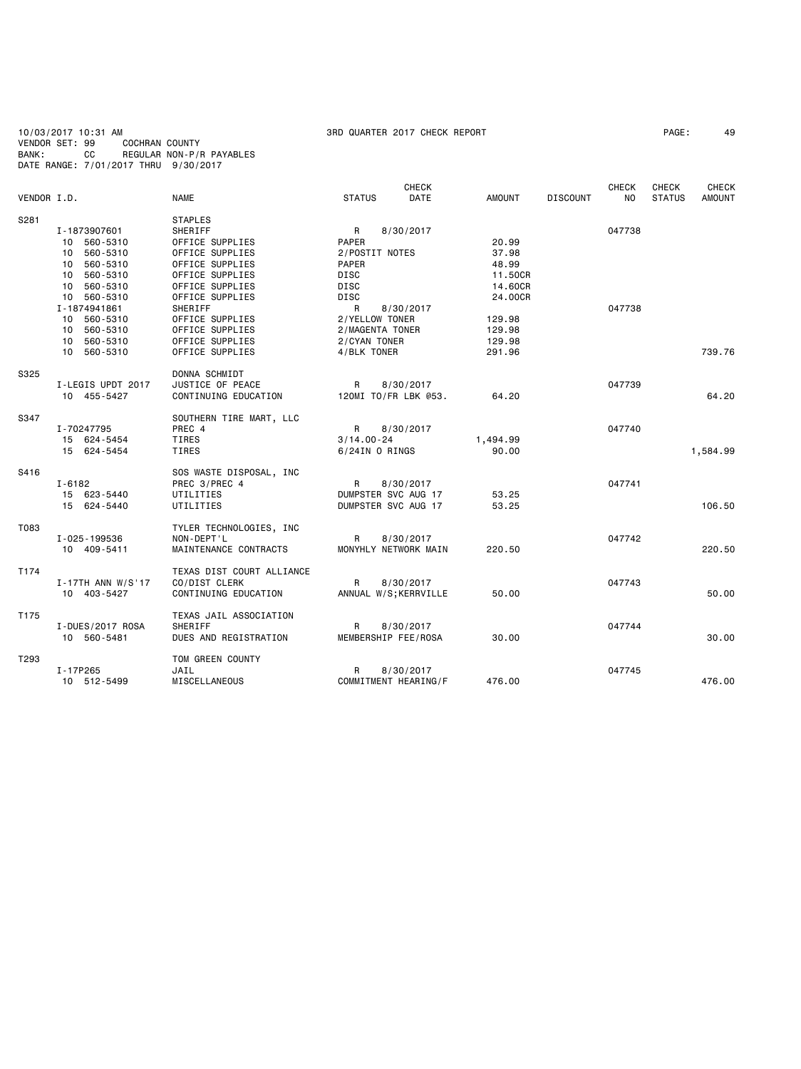10/03/2017 10:31 AM 3RD QUARTER 2017 CHECK REPORT PAGE: 49 VENDOR SET: 99 COCHRAN COUNTY BANK: CC REGULAR NON-P/R PAYABLES DATE RANGE: 7/01/2017 THRU 9/30/2017

| VENDOR I.D.      |                                                                                                                              | <b>NAME</b>                                                                                                                                                               | <b>STATUS</b>                                                                                                                      | CHECK<br><b>DATE</b>   | <b>AMOUNT</b>                                            | <b>DISCOUNT</b> | <b>CHECK</b><br>NO. | <b>CHECK</b><br><b>STATUS</b> | <b>CHECK</b><br><b>AMOUNT</b> |
|------------------|------------------------------------------------------------------------------------------------------------------------------|---------------------------------------------------------------------------------------------------------------------------------------------------------------------------|------------------------------------------------------------------------------------------------------------------------------------|------------------------|----------------------------------------------------------|-----------------|---------------------|-------------------------------|-------------------------------|
| S281             | I-1873907601<br>10 560-5310<br>560-5310<br>10<br>10 560-5310<br>560-5310<br>10<br>10 560-5310<br>10 560-5310<br>I-1874941861 | <b>STAPLES</b><br>SHERIFF<br>OFFICE SUPPLIES<br>OFFICE SUPPLIES<br>OFFICE SUPPLIES<br>OFFICE SUPPLIES<br>OFFICE SUPPLIES<br>OFFICE SUPPLIES<br>SHERIFF<br>OFFICE SUPPLIES | $\mathsf{R}$<br><b>PAPER</b><br>2/POSTIT NOTES<br><b>PAPER</b><br><b>DISC</b><br><b>DISC</b><br><b>DISC</b><br>R<br>2/YELLOW TONER | 8/30/2017<br>8/30/2017 | 20.99<br>37.98<br>48.99<br>11.50CR<br>14.60CR<br>24.00CR |                 | 047738<br>047738    |                               |                               |
|                  | 10 560-5310<br>10 560-5310<br>10 560-5310<br>10 560-5310                                                                     | OFFICE SUPPLIES<br>OFFICE SUPPLIES<br>OFFICE SUPPLIES                                                                                                                     | 2/MAGENTA TONER<br>2/CYAN TONER<br>4/BLK TONER                                                                                     |                        | 129.98<br>129.98<br>129.98<br>291.96                     |                 |                     |                               | 739.76                        |
| S325             | I-LEGIS UPDT 2017<br>10 455-5427                                                                                             | DONNA SCHMIDT<br>JUSTICE OF PEACE<br>CONTINUING EDUCATION                                                                                                                 | R<br>120MI TO/FR LBK @53.                                                                                                          | 8/30/2017              | 64.20                                                    |                 | 047739              |                               | 64.20                         |
| S347             | I-70247795<br>15 624-5454<br>15 624-5454                                                                                     | SOUTHERN TIRE MART, LLC<br>PREC 4<br>TIRES<br>TIRES                                                                                                                       | $\mathsf{R}$<br>$3/14.00 - 24$<br>6/24IN O RINGS                                                                                   | 8/30/2017              | 1,494.99<br>90.00                                        |                 | 047740              |                               | 1,584.99                      |
| S416             | $I - 6182$<br>15 623-5440<br>15 624-5440                                                                                     | SOS WASTE DISPOSAL, INC<br>PREC 3/PREC 4<br>UTILITIES<br>UTILITIES                                                                                                        | $\mathsf{R}$<br>DUMPSTER SVC AUG 17<br>DUMPSTER SVC AUG 17                                                                         | 8/30/2017              | 53.25<br>53.25                                           |                 | 047741              |                               | 106.50                        |
| T083             | I-025-199536<br>10 409-5411                                                                                                  | TYLER TECHNOLOGIES, INC<br>NON-DEPT'L<br>MAINTENANCE CONTRACTS                                                                                                            | $\mathsf{R}$<br>MONYHLY NETWORK MAIN                                                                                               | 8/30/2017              | 220.50                                                   |                 | 047742              |                               | 220.50                        |
| T174             | $I - 17TH$ ANN W/S'17<br>10 403-5427                                                                                         | TEXAS DIST COURT ALLIANCE<br>CO/DIST CLERK<br>CONTINUING EDUCATION                                                                                                        | R<br>ANNUAL W/S; KERRVILLE                                                                                                         | 8/30/2017              | 50.00                                                    |                 | 047743              |                               | 50.00                         |
| T <sub>175</sub> | I-DUES/2017 ROSA<br>10 560-5481                                                                                              | TEXAS JAIL ASSOCIATION<br>SHERIFF<br>DUES AND REGISTRATION                                                                                                                | R<br>MEMBERSHIP FEE/ROSA                                                                                                           | 8/30/2017              | 30.00                                                    |                 | 047744              |                               | 30.00                         |
| T293             | I-17P265<br>10 512-5499                                                                                                      | TOM GREEN COUNTY<br>JAIL<br><b>MISCELLANEOUS</b>                                                                                                                          | R<br>COMMITMENT HEARING/F                                                                                                          | 8/30/2017              | 476.00                                                   |                 | 047745              |                               | 476.00                        |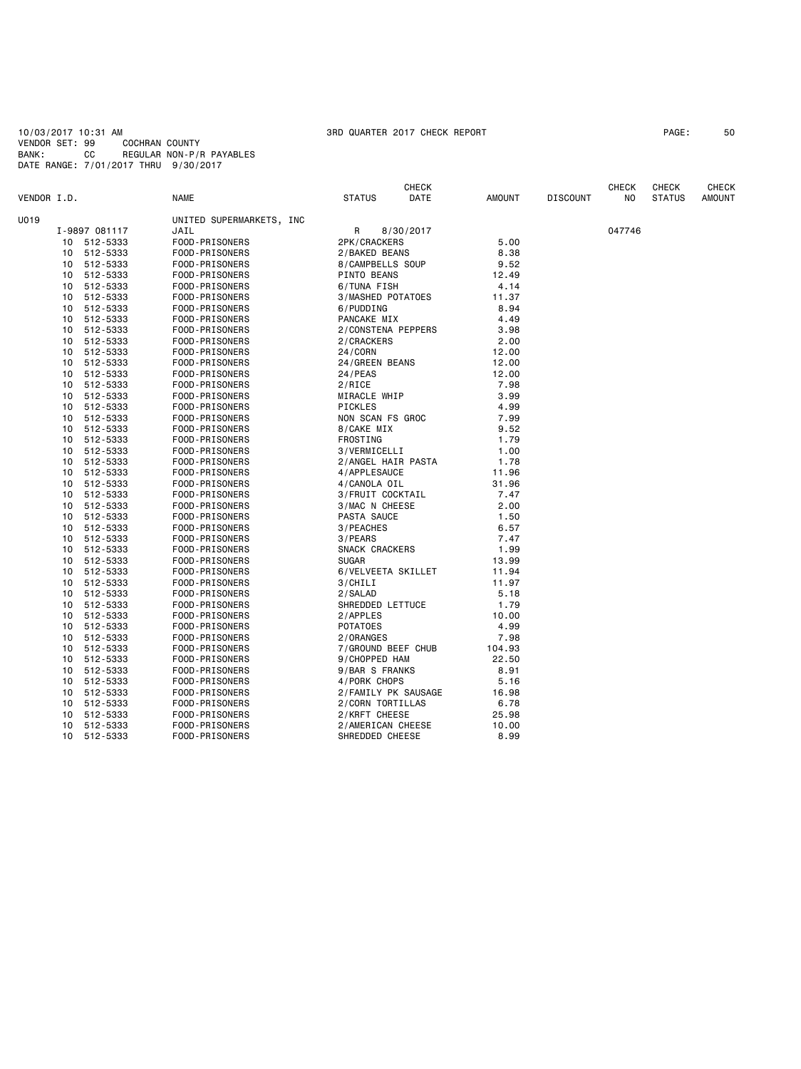10/03/2017 10:31 AM 3RD QUARTER 2017 CHECK REPORT PAGE: 50 VENDOR SET: 99 COCHRAN COUNTY BANK: CC REGULAR NON-P/R PAYABLES DATE RANGE: 7/01/2017 THRU 9/30/2017

| VENDOR I.D.    | <b>NAME</b>              | <b>STATUS</b>       | <b>CHECK</b><br><b>DATE</b> | <b>AMOUNT</b> | <b>DISCOUNT</b> | <b>CHECK</b><br>NO. | CHECK<br><b>STATUS</b> | <b>CHECK</b><br><b>AMOUNT</b> |
|----------------|--------------------------|---------------------|-----------------------------|---------------|-----------------|---------------------|------------------------|-------------------------------|
| U019           | UNITED SUPERMARKETS, INC |                     |                             |               |                 |                     |                        |                               |
| I-9897 081117  | JAIL                     | R<br>8/30/2017      |                             |               |                 | 047746              |                        |                               |
| 512-5333<br>10 | FOOD-PRISONERS           | 2PK/CRACKERS        |                             | 5.00          |                 |                     |                        |                               |
| 512-5333<br>10 | FOOD-PRISONERS           | 2/BAKED BEANS       |                             | 8.38          |                 |                     |                        |                               |
| 512-5333<br>10 | FOOD-PRISONERS           | 8/CAMPBELLS SOUP    |                             | 9.52          |                 |                     |                        |                               |
| 512-5333<br>10 | FOOD-PRISONERS           | <b>PINTO BEANS</b>  |                             | 12.49         |                 |                     |                        |                               |
| 512-5333<br>10 | FOOD-PRISONERS           | 6/TUNA FISH         |                             | 4.14          |                 |                     |                        |                               |
| 512-5333<br>10 | FOOD-PRISONERS           | 3/MASHED POTATOES   |                             | 11.37         |                 |                     |                        |                               |
| 512-5333<br>10 | FOOD-PRISONERS           | 6/PUDDING           |                             | 8.94          |                 |                     |                        |                               |
| 512-5333<br>10 | FOOD-PRISONERS           | PANCAKE MIX         |                             | 4.49          |                 |                     |                        |                               |
| 512-5333<br>10 | FOOD-PRISONERS           | 2/CONSTENA PEPPERS  |                             | 3.98          |                 |                     |                        |                               |
| 10<br>512-5333 | FOOD-PRISONERS           | 2/CRACKERS          |                             | 2.00          |                 |                     |                        |                               |
| 10<br>512-5333 | FOOD-PRISONERS           | 24/CORN             |                             | 12.00         |                 |                     |                        |                               |
| 512-5333<br>10 | FOOD-PRISONERS           | 24/GREEN BEANS      |                             | 12.00         |                 |                     |                        |                               |
| 512-5333<br>10 | FOOD-PRISONERS           | 24/PEAS             |                             | 12.00         |                 |                     |                        |                               |
| 512-5333<br>10 | FOOD-PRISONERS           | 2/RICE              |                             | 7.98          |                 |                     |                        |                               |
| 512-5333<br>10 | FOOD-PRISONERS           | MIRACLE WHIP        |                             | 3.99          |                 |                     |                        |                               |
| 512-5333<br>10 | FOOD-PRISONERS           | PICKLES             |                             | 4.99          |                 |                     |                        |                               |
| 512-5333<br>10 | FOOD-PRISONERS           | NON SCAN FS GROC    |                             | 7.99          |                 |                     |                        |                               |
| 512-5333<br>10 | FOOD-PRISONERS           | 8/CAKE MIX          |                             | 9.52          |                 |                     |                        |                               |
| 10<br>512-5333 | FOOD-PRISONERS           | FROSTING            |                             | 1.79          |                 |                     |                        |                               |
| 512-5333<br>10 | FOOD-PRISONERS           | 3/VERMICELLI        |                             | 1.00          |                 |                     |                        |                               |
| 512-5333<br>10 | FOOD-PRISONERS           | 2/ANGEL HAIR PASTA  |                             | 1.78          |                 |                     |                        |                               |
| 512-5333<br>10 | FOOD-PRISONERS           | 4/APPLESAUCE        |                             | 11.96         |                 |                     |                        |                               |
| 512-5333<br>10 | FOOD-PRISONERS           | 4/CANOLA OIL        |                             | 31.96         |                 |                     |                        |                               |
| 512-5333<br>10 | FOOD-PRISONERS           | 3/FRUIT COCKTAIL    |                             | 7.47          |                 |                     |                        |                               |
| 512-5333<br>10 | FOOD-PRISONERS           | 3/MAC N CHEESE      |                             | 2.00          |                 |                     |                        |                               |
| 512-5333<br>10 | FOOD-PRISONERS           | PASTA SAUCE         |                             | 1.50          |                 |                     |                        |                               |
| 512-5333<br>10 | FOOD-PRISONERS           | 3/PEACHES           |                             | 6.57          |                 |                     |                        |                               |
| 512-5333<br>10 | FOOD-PRISONERS           | 3/PEARS             |                             | 7.47          |                 |                     |                        |                               |
| 512-5333<br>10 | FOOD-PRISONERS           | SNACK CRACKERS      |                             | 1.99          |                 |                     |                        |                               |
| 512-5333<br>10 | FOOD-PRISONERS           | <b>SUGAR</b>        |                             | 13.99         |                 |                     |                        |                               |
| 512-5333<br>10 | FOOD-PRISONERS           | 6/VELVEETA SKILLET  |                             | 11.94         |                 |                     |                        |                               |
| 512-5333<br>10 | FOOD-PRISONERS           | 3/CHILI             |                             | 11.97         |                 |                     |                        |                               |
| 512-5333<br>10 | FOOD-PRISONERS           | 2/SALAD             |                             | 5.18          |                 |                     |                        |                               |
| 512-5333<br>10 | FOOD-PRISONERS           | SHREDDED LETTUCE    |                             | 1.79          |                 |                     |                        |                               |
| 10<br>512-5333 | FOOD-PRISONERS           | 2/APPLES            |                             | 10.00         |                 |                     |                        |                               |
| 512-5333<br>10 | FOOD-PRISONERS           | <b>POTATOES</b>     |                             | 4.99          |                 |                     |                        |                               |
| 512-5333<br>10 | FOOD-PRISONERS           | 2/ORANGES           |                             | 7.98          |                 |                     |                        |                               |
| 512-5333<br>10 | FOOD-PRISONERS           | 7/GROUND BEEF CHUB  |                             | 104.93        |                 |                     |                        |                               |
| 512-5333<br>10 | FOOD-PRISONERS           | 9/CHOPPED HAM       |                             | 22.50         |                 |                     |                        |                               |
| 10<br>512-5333 | FOOD-PRISONERS           | 9/BAR S FRANKS      |                             | 8.91          |                 |                     |                        |                               |
| 10<br>512-5333 | FOOD-PRISONERS           | 4/PORK CHOPS        |                             | 5.16          |                 |                     |                        |                               |
| 10<br>512-5333 | FOOD-PRISONERS           | 2/FAMILY PK SAUSAGE |                             | 16.98         |                 |                     |                        |                               |
| 512-5333<br>10 | FOOD-PRISONERS           | 2/CORN TORTILLAS    |                             | 6.78          |                 |                     |                        |                               |
| 10<br>512-5333 | FOOD-PRISONERS           | 2/KRFT CHEESE       |                             | 25.98         |                 |                     |                        |                               |
| 512-5333<br>10 | FOOD-PRISONERS           | 2/AMERICAN CHEESE   |                             | 10.00         |                 |                     |                        |                               |
| 512-5333<br>10 | FOOD-PRISONERS           | SHREDDED CHEESE     |                             | 8.99          |                 |                     |                        |                               |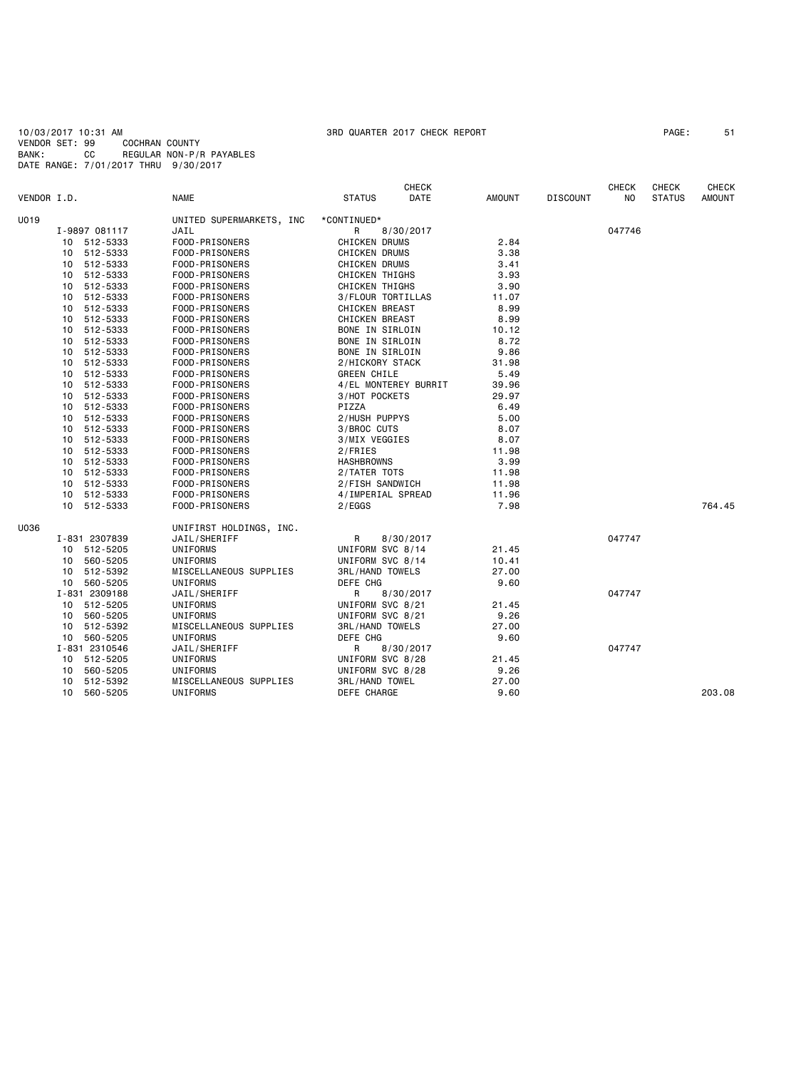10/03/2017 10:31 AM 3RD QUARTER 2017 CHECK REPORT PAGE: 51 VENDOR SET: 99 COCHRAN COUNTY BANK: CC REGULAR NON-P/R PAYABLES DATE RANGE: 7/01/2017 THRU 9/30/2017

|                               |                                  |                          |                        | <b>CHECK</b> |               |                 | <b>CHECK</b> | <b>CHECK</b>  | <b>CHECK</b>  |
|-------------------------------|----------------------------------|--------------------------|------------------------|--------------|---------------|-----------------|--------------|---------------|---------------|
| VENDOR I.D.                   |                                  | <b>NAME</b>              | <b>STATUS</b>          | DATE         | <b>AMOUNT</b> | <b>DISCOUNT</b> | NO           | <b>STATUS</b> | <b>AMOUNT</b> |
| U019                          |                                  | UNITED SUPERMARKETS, INC | *CONTINUED*            |              |               |                 |              |               |               |
|                               | I-9897 081117                    | JAIL                     | R<br>8/30/2017         |              |               |                 | 047746       |               |               |
|                               | 10 512-5333                      | FOOD-PRISONERS           | <b>CHICKEN DRUMS</b>   |              | 2.84          |                 |              |               |               |
|                               | 10 512-5333                      | FOOD-PRISONERS           | CHICKEN DRUMS          |              | 3.38          |                 |              |               |               |
|                               | 10 512-5333                      | FOOD-PRISONERS           | <b>CHICKEN DRUMS</b>   |              | 3.41          |                 |              |               |               |
|                               | 10 512-5333                      | FOOD-PRISONERS           | <b>CHICKEN THIGHS</b>  |              | 3.93          |                 |              |               |               |
|                               | 10 512-5333                      | FOOD-PRISONERS           | <b>CHICKEN THIGHS</b>  |              | 3.90          |                 |              |               |               |
| 10 512-5333<br>512-5333<br>10 |                                  | FOOD-PRISONERS           | 3/FLOUR TORTILLAS      |              | 11.07         |                 |              |               |               |
|                               |                                  | FOOD-PRISONERS           | <b>CHICKEN BREAST</b>  |              | 8.99          |                 |              |               |               |
|                               | 10 512-5333<br>FOOD-PRISONERS    |                          | <b>CHICKEN BREAST</b>  |              | 8.99          |                 |              |               |               |
|                               | 10 512-5333                      | FOOD-PRISONERS           | BONE IN SIRLOIN        |              | 10.12         |                 |              |               |               |
|                               | 10 512-5333                      | FOOD-PRISONERS           | BONE IN SIRLOIN        |              | 8.72          |                 |              |               |               |
|                               | 10 512-5333                      | FOOD-PRISONERS           | BONE IN SIRLOIN        |              | 9.86          |                 |              |               |               |
|                               | 512-5333<br>10                   | FOOD-PRISONERS           | 2/HICKORY STACK        |              | 31.98         |                 |              |               |               |
|                               | 10 512-5333                      | FOOD-PRISONERS           | <b>GREEN CHILE</b>     |              | 5.49          |                 |              |               |               |
|                               | 10 512-5333                      | FOOD-PRISONERS           | 4/EL MONTEREY BURRIT   |              | 39.96         |                 |              |               |               |
|                               | 10 512-5333                      | FOOD-PRISONERS           | 3/HOT POCKETS          |              | 29.97         |                 |              |               |               |
|                               | 10 512-5333                      | FOOD-PRISONERS           | PIZZA                  |              | 6.49          |                 |              |               |               |
|                               | 512-5333<br>10<br>FOOD-PRISONERS |                          | 2/HUSH PUPPYS          |              | 5.00          |                 |              |               |               |
|                               | 10 512-5333                      | FOOD-PRISONERS           | 3/BROC CUTS            |              | 8.07          |                 |              |               |               |
|                               | 10 512-5333                      | FOOD-PRISONERS           | 3/MIX VEGGIES          |              | 8.07          |                 |              |               |               |
|                               | 10 512-5333                      | FOOD-PRISONERS           | 2/FRIES                |              | 11.98         |                 |              |               |               |
|                               | 10 512-5333                      | FOOD-PRISONERS           | <b>HASHBROWNS</b>      |              | 3.99          |                 |              |               |               |
|                               | 10 512-5333                      | FOOD-PRISONERS           | 2/TATER TOTS           |              | 11.98         |                 |              |               |               |
|                               | 10 512-5333                      | FOOD-PRISONERS           | 2/FISH SANDWICH        |              | 11.98         |                 |              |               |               |
|                               | 10 512-5333                      | FOOD-PRISONERS           | 4/IMPERIAL SPREAD      |              | 11.96         |                 |              |               |               |
|                               | 10 512-5333                      | FOOD-PRISONERS           | 2/EGGS                 |              | 7.98          |                 |              |               | 764.45        |
| U036                          |                                  | UNIFIRST HOLDINGS, INC.  |                        |              |               |                 |              |               |               |
|                               | I-831 2307839                    | JAIL/SHERIFF             | R<br>8/30/2017         |              |               |                 | 047747       |               |               |
|                               | 10 512-5205                      | UNIFORMS                 | UNIFORM SVC 8/14       |              | 21.45         |                 |              |               |               |
|                               | 10 560-5205                      | UNIFORMS                 | UNIFORM SVC 8/14       |              | 10.41         |                 |              |               |               |
|                               | 10 512-5392                      | MISCELLANEOUS SUPPLIES   | <b>3RL/HAND TOWELS</b> |              | 27.00         |                 |              |               |               |
|                               | 10 560-5205                      | UNIFORMS                 | DEFE CHG               |              | 9.60          |                 |              |               |               |
|                               | I-831 2309188                    | JAIL/SHERIFF             | 8/30/2017<br>R         |              |               |                 | 047747       |               |               |
|                               | 10 512-5205                      | UNIFORMS                 | UNIFORM SVC 8/21       |              | 21.45         |                 |              |               |               |
|                               | 10 560-5205                      | UNIFORMS                 | UNIFORM SVC 8/21       |              | 9.26          |                 |              |               |               |
|                               | 10 512-5392                      | MISCELLANEOUS SUPPLIES   | <b>3RL/HAND TOWELS</b> |              | 27.00         |                 |              |               |               |
|                               | 10 560-5205                      | UNIFORMS                 | DEFE CHG               |              | 9.60          |                 |              |               |               |
|                               | I-831 2310546                    | JAIL/SHERIFF             | R<br>8/30/2017         |              |               |                 | 047747       |               |               |
|                               | 10 512-5205                      | UNIFORMS                 | UNIFORM SVC 8/28       |              | 21.45         |                 |              |               |               |
|                               | 10 560-5205                      | UNIFORMS                 | UNIFORM SVC 8/28       |              | 9.26          |                 |              |               |               |
|                               | 512-5392<br>10                   | MISCELLANEOUS SUPPLIES   | <b>3RL/HAND TOWEL</b>  |              | 27.00         |                 |              |               |               |
|                               | 560-5205<br>10                   | UNIFORMS                 | DEFE CHARGE            |              | 9.60          |                 |              |               | 203.08        |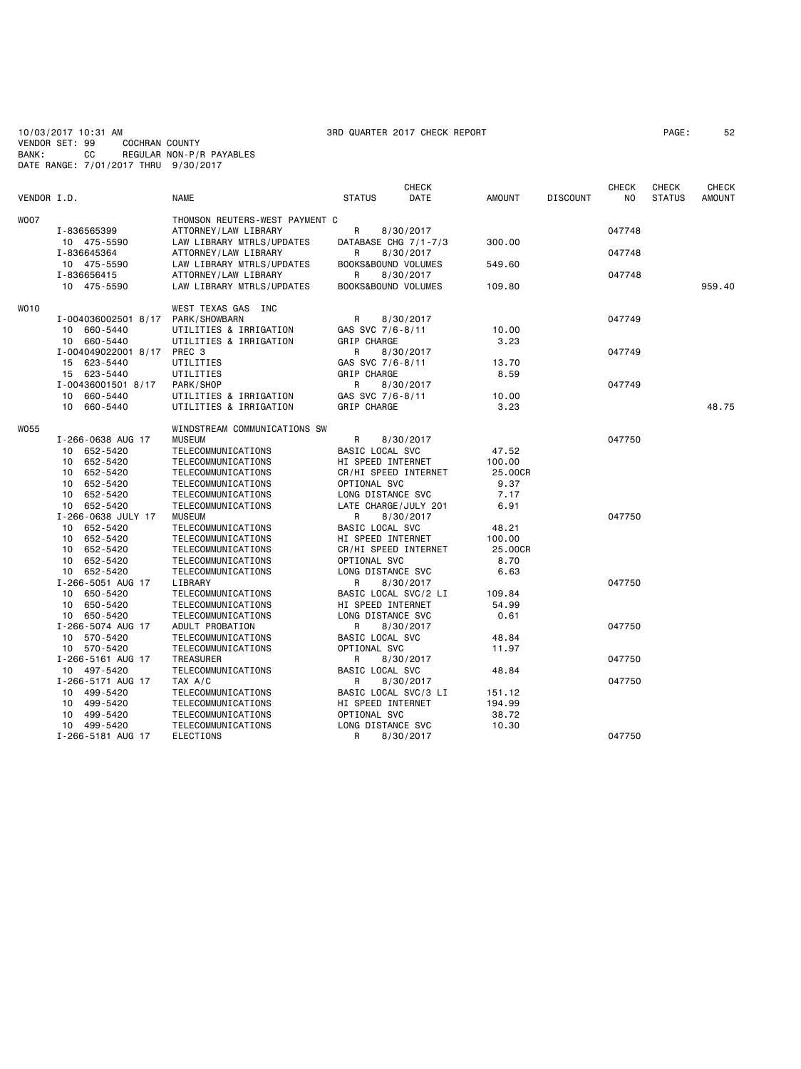10/03/2017 10:31 AM 3RD QUARTER 2017 CHECK REPORT PAGE: 52 VENDOR SET: 99 COCHRAN COUNTY BANK: CC REGULAR NON-P/R PAYABLES DATE RANGE: 7/01/2017 THRU 9/30/2017

|             |                     |                                |                          | CHECK     |               |                 | <b>CHECK</b> | <b>CHECK</b>  | CHECK         |
|-------------|---------------------|--------------------------------|--------------------------|-----------|---------------|-----------------|--------------|---------------|---------------|
| VENDOR I.D. |                     | <b>NAME</b>                    | <b>STATUS</b>            | DATE      | <b>AMOUNT</b> | <b>DISCOUNT</b> | NO.          | <b>STATUS</b> | <b>AMOUNT</b> |
| <b>WOO7</b> |                     | THOMSON REUTERS-WEST PAYMENT C |                          |           |               |                 |              |               |               |
|             | I-836565399         | ATTORNEY/LAW LIBRARY           | R                        | 8/30/2017 |               |                 | 047748       |               |               |
|             | 10 475-5590         | LAW LIBRARY MTRLS/UPDATES      | DATABASE CHG 7/1-7/3     |           | 300.00        |                 |              |               |               |
|             | I-836645364         | ATTORNEY/LAW LIBRARY           | R                        | 8/30/2017 |               |                 | 047748       |               |               |
|             | 10 475-5590         | LAW LIBRARY MTRLS/UPDATES      | BOOKS&BOUND VOLUMES      |           | 549.60        |                 |              |               |               |
|             | I-836656415         | ATTORNEY/LAW LIBRARY           | R                        | 8/30/2017 |               |                 | 047748       |               |               |
|             | 10 475-5590         | LAW LIBRARY MTRLS/UPDATES      | BOOKS&BOUND VOLUMES      |           | 109.80        |                 |              |               | 959.40        |
|             |                     |                                |                          |           |               |                 |              |               |               |
| WO10        |                     | WEST TEXAS GAS INC             |                          |           |               |                 |              |               |               |
|             | I-004036002501 8/17 | PARK/SHOWBARN                  | R                        | 8/30/2017 |               |                 | 047749       |               |               |
|             | 10 660-5440         | UTILITIES & IRRIGATION         | GAS SVC 7/6-8/11         |           | 10.00         |                 |              |               |               |
|             | 10 660-5440         | UTILITIES & IRRIGATION         | GRIP CHARGE              |           | 3.23          |                 |              |               |               |
|             | I-004049022001 8/17 | PREC 3                         | R                        | 8/30/2017 |               |                 | 047749       |               |               |
|             | 15 623-5440         | UTILITIES                      | GAS SVC 7/6-8/11         |           | 13.70         |                 |              |               |               |
|             | 15 623-5440         | UTILITIES                      | GRIP CHARGE              |           | 8.59          |                 |              |               |               |
|             | I-00436001501 8/17  | PARK/SHOP                      | R                        | 8/30/2017 |               |                 | 047749       |               |               |
|             | 10 660-5440         | UTILITIES & IRRIGATION         | GAS SVC 7/6-8/11         |           | 10.00         |                 |              |               |               |
|             | 10 660-5440         | UTILITIES & IRRIGATION         | GRIP CHARGE              |           | 3.23          |                 |              |               | 48.75         |
|             |                     |                                |                          |           |               |                 |              |               |               |
| W055        |                     | WINDSTREAM COMMUNICATIONS SW   |                          |           |               |                 |              |               |               |
|             | I-266-0638 AUG 17   | <b>MUSEUM</b>                  | R                        | 8/30/2017 |               |                 | 047750       |               |               |
|             | 10 652-5420         | TELECOMMUNICATIONS             | <b>BASIC LOCAL SVC</b>   |           | 47.52         |                 |              |               |               |
|             | 10 652-5420         | TELECOMMUNICATIONS             | HI SPEED INTERNET        |           | 100.00        |                 |              |               |               |
|             | 10 652-5420         | TELECOMMUNICATIONS             | CR/HI SPEED INTERNET     |           | 25.00CR       |                 |              |               |               |
|             | 652-5420<br>10      | TELECOMMUNICATIONS             | OPTIONAL SVC             |           | 9.37          |                 |              |               |               |
|             | 10 652-5420         | TELECOMMUNICATIONS             | LONG DISTANCE SVC        |           | 7.17          |                 |              |               |               |
|             | 10 652-5420         | TELECOMMUNICATIONS             | LATE CHARGE/JULY 201     |           | 6.91          |                 |              |               |               |
|             | I-266-0638 JULY 17  | <b>MUSEUM</b>                  | R                        | 8/30/2017 |               |                 | 047750       |               |               |
|             | 10 652-5420         | TELECOMMUNICATIONS             | BASIC LOCAL SVC          |           | 48.21         |                 |              |               |               |
|             | 10 652-5420         | TELECOMMUNICATIONS             | HI SPEED INTERNET        |           | 100.00        |                 |              |               |               |
|             | 10 652-5420         | TELECOMMUNICATIONS             | CR/HI SPEED INTERNET     |           | 25,00CR       |                 |              |               |               |
|             | 10 652-5420         | TELECOMMUNICATIONS             | OPTIONAL SVC             |           | 8.70          |                 |              |               |               |
|             | 10 652-5420         | TELECOMMUNICATIONS             | LONG DISTANCE SVC        |           | 6.63          |                 |              |               |               |
|             | I-266-5051 AUG 17   | LIBRARY                        | R                        | 8/30/2017 |               |                 | 047750       |               |               |
|             | 10 650-5420         | TELECOMMUNICATIONS             | BASIC LOCAL SVC/2 LI     |           | 109.84        |                 |              |               |               |
|             | 10 650-5420         | TELECOMMUNICATIONS             | <b>HI SPEED INTERNET</b> |           | 54.99         |                 |              |               |               |
|             | 10 650-5420         | TELECOMMUNICATIONS             | LONG DISTANCE SVC        |           | 0.61          |                 |              |               |               |
|             | I-266-5074 AUG 17   | ADULT PROBATION                | R                        | 8/30/2017 |               |                 | 047750       |               |               |
|             | 10 570-5420         | TELECOMMUNICATIONS             | BASIC LOCAL SVC          |           | 48.84         |                 |              |               |               |
|             | 10 570-5420         | TELECOMMUNICATIONS             | OPTIONAL SVC             |           | 11.97         |                 |              |               |               |
|             | I-266-5161 AUG 17   | <b>TREASURER</b>               | R                        | 8/30/2017 |               |                 | 047750       |               |               |
|             | 10 497-5420         | TELECOMMUNICATIONS             | BASIC LOCAL SVC          |           | 48.84         |                 |              |               |               |
|             | I-266-5171 AUG 17   | TAX A/C                        | R                        | 8/30/2017 |               |                 | 047750       |               |               |
|             | 10 499-5420         | TELECOMMUNICATIONS             | BASIC LOCAL SVC/3 LI     |           | 151.12        |                 |              |               |               |
|             | 10 499-5420         | TELECOMMUNICATIONS             | HI SPEED INTERNET        |           | 194.99        |                 |              |               |               |
|             | 10 499-5420         | TELECOMMUNICATIONS             | OPTIONAL SVC             |           | 38.72         |                 |              |               |               |
|             | 10 499-5420         | TELECOMMUNICATIONS             | LONG DISTANCE SVC        |           | 10.30         |                 |              |               |               |
|             | I-266-5181 AUG 17   | <b>ELECTIONS</b>               | R                        | 8/30/2017 |               |                 | 047750       |               |               |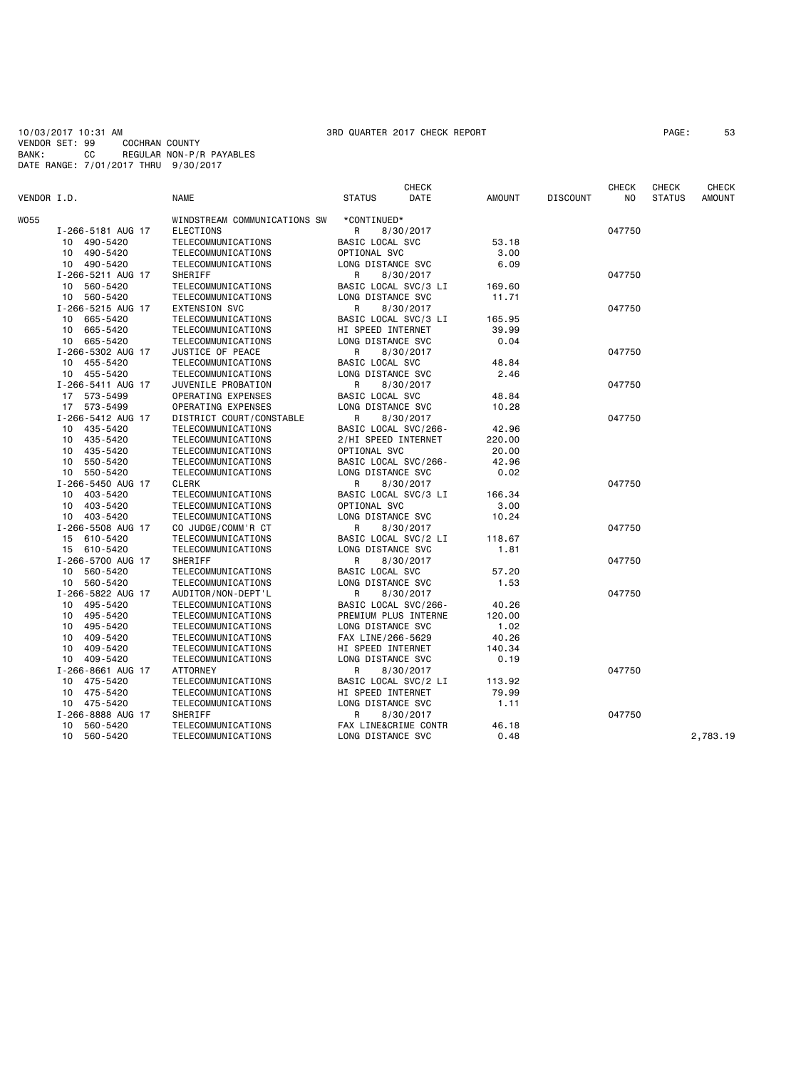10/03/2017 10:31 AM 3RD QUARTER 2017 CHECK REPORT PAGE: 53 VENDOR SET: 99 COCHRAN COUNTY BANK: CC REGULAR NON-P/R PAYABLES DATE RANGE: 7/01/2017 THRU 9/30/2017

| VENDOR I.D. |                   | <b>NAME</b>                  | <b>CHECK</b><br><b>STATUS</b><br>DATE | AMOUNT | <b>DISCOUNT</b> | <b>CHECK</b><br>NO. | <b>CHECK</b><br><b>STATUS</b> | <b>CHECK</b><br><b>AMOUNT</b> |
|-------------|-------------------|------------------------------|---------------------------------------|--------|-----------------|---------------------|-------------------------------|-------------------------------|
| W055        |                   | WINDSTREAM COMMUNICATIONS SW | *CONTINUED*                           |        |                 |                     |                               |                               |
|             | I-266-5181 AUG 17 | <b>ELECTIONS</b>             | R<br>8/30/2017                        |        |                 | 047750              |                               |                               |
|             | 490-5420<br>10    | TELECOMMUNICATIONS           | BASIC LOCAL SVC                       | 53.18  |                 |                     |                               |                               |
|             | 490-5420<br>10    | TELECOMMUNICATIONS           | OPTIONAL SVC                          | 3,00   |                 |                     |                               |                               |
|             | 10 490-5420       | TELECOMMUNICATIONS           | LONG DISTANCE SVC                     | 6.09   |                 |                     |                               |                               |
|             | I-266-5211 AUG 17 | SHERIFF                      | R<br>8/30/2017                        |        |                 | 047750              |                               |                               |
|             | 560-5420<br>10    | TELECOMMUNICATIONS           | BASIC LOCAL SVC/3 LI                  | 169.60 |                 |                     |                               |                               |
|             | 10 560-5420       | TELECOMMUNICATIONS           | LONG DISTANCE SVC                     | 11.71  |                 |                     |                               |                               |
|             | I-266-5215 AUG 17 | <b>EXTENSION SVC</b>         | R<br>8/30/2017                        |        |                 | 047750              |                               |                               |
|             | 10 665-5420       | TELECOMMUNICATIONS           | BASIC LOCAL SVC/3 LI                  | 165.95 |                 |                     |                               |                               |
|             | 10 665-5420       | TELECOMMUNICATIONS           | HI SPEED INTERNET                     | 39.99  |                 |                     |                               |                               |
|             | 10 665-5420       | TELECOMMUNICATIONS           | LONG DISTANCE SVC                     | 0.04   |                 |                     |                               |                               |
|             | I-266-5302 AUG 17 | JUSTICE OF PEACE             | R<br>8/30/2017                        |        |                 | 047750              |                               |                               |
|             | 10 455-5420       | TELECOMMUNICATIONS           | BASIC LOCAL SVC                       | 48.84  |                 |                     |                               |                               |
|             | 10 455-5420       | TELECOMMUNICATIONS           | LONG DISTANCE SVC                     | 2.46   |                 |                     |                               |                               |
|             | I-266-5411 AUG 17 | JUVENILE PROBATION           | R                                     |        |                 | 047750              |                               |                               |
|             | 17 573-5499       | OPERATING EXPENSES           | 8/30/2017<br>BASIC LOCAL SVC          | 48.84  |                 |                     |                               |                               |
|             | 17 573-5499       | OPERATING EXPENSES           | LONG DISTANCE SVC                     | 10.28  |                 |                     |                               |                               |
|             |                   |                              |                                       |        |                 |                     |                               |                               |
|             | I-266-5412 AUG 17 | DISTRICT COURT/CONSTABLE     | R<br>8/30/2017                        |        |                 | 047750              |                               |                               |
|             | 435-5420<br>10    | TELECOMMUNICATIONS           | BASIC LOCAL SVC/266-                  | 42.96  |                 |                     |                               |                               |
|             | 435-5420<br>10    | TELECOMMUNICATIONS           | 2/HI SPEED INTERNET                   | 220.00 |                 |                     |                               |                               |
|             | 435-5420<br>10    | TELECOMMUNICATIONS           | OPTIONAL SVC                          | 20,00  |                 |                     |                               |                               |
|             | 550-5420<br>10    | TELECOMMUNICATIONS           | BASIC LOCAL SVC/266-                  | 42.96  |                 |                     |                               |                               |
|             | 10 550-5420       | TELECOMMUNICATIONS           | LONG DISTANCE SVC                     | 0.02   |                 |                     |                               |                               |
|             | I-266-5450 AUG 17 | <b>CLERK</b>                 | R<br>8/30/2017                        |        |                 | 047750              |                               |                               |
|             | 10 403-5420       | TELECOMMUNICATIONS           | BASIC LOCAL SVC/3 LI                  | 166.34 |                 |                     |                               |                               |
|             | 10 403-5420       | TELECOMMUNICATIONS           | OPTIONAL SVC                          | 3.00   |                 |                     |                               |                               |
|             | 10 403-5420       | TELECOMMUNICATIONS           | LONG DISTANCE SVC                     | 10.24  |                 |                     |                               |                               |
|             | I-266-5508 AUG 17 | CO JUDGE/COMM'R CT           | R<br>8/30/2017                        |        |                 | 047750              |                               |                               |
|             | 610-5420<br>15    | TELECOMMUNICATIONS           | BASIC LOCAL SVC/2 LI                  | 118.67 |                 |                     |                               |                               |
|             | 15 610-5420       | TELECOMMUNICATIONS           | LONG DISTANCE SVC                     | 1.81   |                 |                     |                               |                               |
|             | I-266-5700 AUG 17 | SHERIFF                      | 8/30/2017<br>R                        |        |                 | 047750              |                               |                               |
|             | 10 560-5420       | TELECOMMUNICATIONS           | BASIC LOCAL SVC                       | 57.20  |                 |                     |                               |                               |
|             | 10 560-5420       | TELECOMMUNICATIONS           | LONG DISTANCE SVC                     | 1.53   |                 |                     |                               |                               |
|             | I-266-5822 AUG 17 | AUDITOR/NON-DEPT'L           | R<br>8/30/2017                        |        |                 | 047750              |                               |                               |
|             | 495-5420<br>10    | TELECOMMUNICATIONS           | BASIC LOCAL SVC/266-                  | 40.26  |                 |                     |                               |                               |
|             | 495-5420<br>10    | TELECOMMUNICATIONS           | PREMIUM PLUS INTERNE                  | 120.00 |                 |                     |                               |                               |
|             | 495-5420<br>10    | TELECOMMUNICATIONS           | LONG DISTANCE SVC                     | 1.02   |                 |                     |                               |                               |
|             | 409-5420<br>10    | TELECOMMUNICATIONS           | FAX LINE/266-5629                     | 40.26  |                 |                     |                               |                               |
|             | 409-5420<br>10    | TELECOMMUNICATIONS           | HI SPEED INTERNET                     | 140.34 |                 |                     |                               |                               |
|             | 409-5420<br>10    | TELECOMMUNICATIONS           | LONG DISTANCE SVC                     | 0.19   |                 |                     |                               |                               |
|             | I-266-8661 AUG 17 | ATTORNEY                     | R<br>8/30/2017                        |        |                 | 047750              |                               |                               |
|             | 475-5420<br>10    | TELECOMMUNICATIONS           | BASIC LOCAL SVC/2 LI                  | 113.92 |                 |                     |                               |                               |
|             | 10<br>475-5420    | TELECOMMUNICATIONS           | HI SPEED INTERNET                     | 79.99  |                 |                     |                               |                               |
|             | 10 475-5420       | TELECOMMUNICATIONS           | LONG DISTANCE SVC                     | 1.11   |                 |                     |                               |                               |
|             | I-266-8888 AUG 17 | SHERIFF                      | R<br>8/30/2017                        |        |                 | 047750              |                               |                               |
|             | 560-5420<br>10    | TELECOMMUNICATIONS           | FAX LINE&CRIME CONTR                  | 46.18  |                 |                     |                               |                               |
|             | 10<br>560-5420    | TELECOMMUNICATIONS           | LONG DISTANCE SVC                     | 0.48   |                 |                     |                               | 2,783.19                      |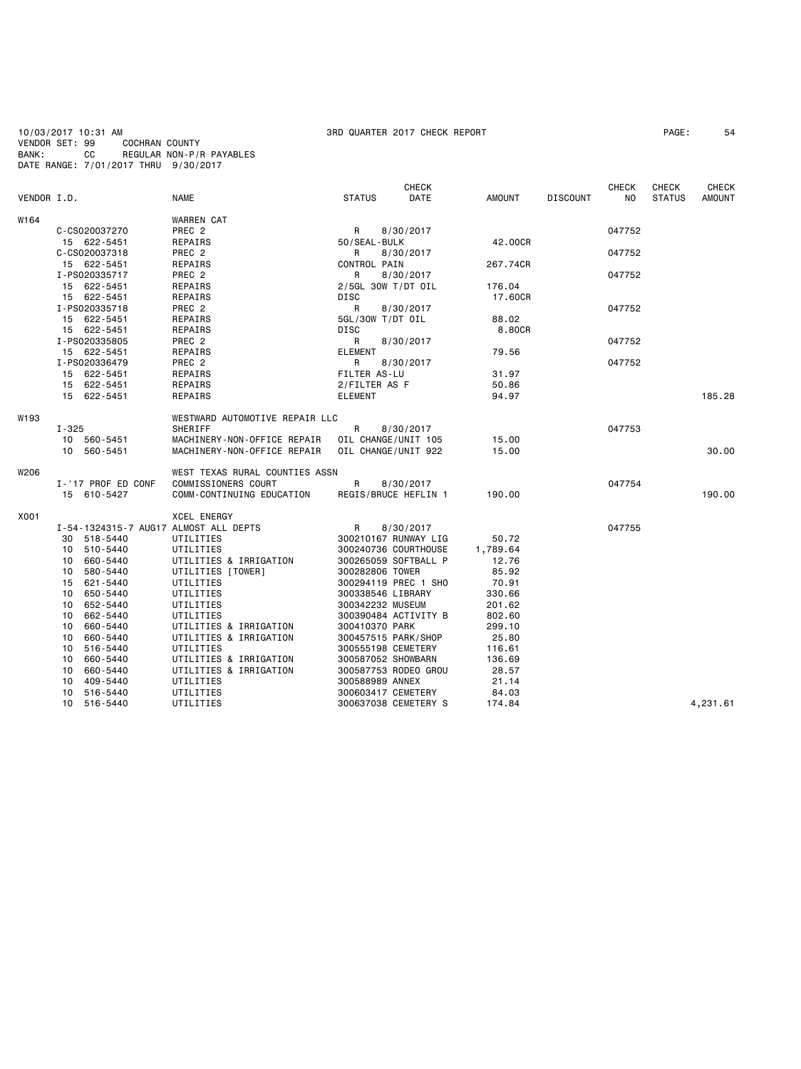**CHECK CHECK CHECK CHECK CHECK CHECK** VENDOR I.D. NAME STATUS DATE AMOUNT DISCOUNT NO STATUS AMOUNT

W164

| W164 |                    | <b>WARREN CAT</b> |                    |          |        |  |
|------|--------------------|-------------------|--------------------|----------|--------|--|
|      | C-CS020037270      | PREC <sub>2</sub> | 8/30/2017<br>R     |          | 047752 |  |
|      | 622-5451<br>15     | REPAIRS           | 50/SEAL-BULK       | 42.00CR  |        |  |
|      | C-CS020037318      | PREC <sub>2</sub> | 8/30/2017<br>R     |          | 047752 |  |
|      | 622-5451<br>$15 -$ | REPAIRS           | CONTROL PAIN       | 267.74CR |        |  |
|      | I-PS020335717      | PREC <sub>2</sub> | 8/30/2017<br>R     |          | 047752 |  |
|      | 622-5451<br>15     | REPAIRS           | 2/5GL 30W T/DT OIL | 176.04   |        |  |
|      | 622-5451<br>15     | REPAIRS           | DISC               | 17,60CR  |        |  |
|      |                    |                   |                    |          |        |  |

|      | I-PS020335718      | PREC 2                                                 | R            | 8/30/2017                     |        | 047752 |          |
|------|--------------------|--------------------------------------------------------|--------------|-------------------------------|--------|--------|----------|
|      | 15 622-5451        | REPAIRS                                                |              | 5GL/30W T/DT OIL              | 88.02  |        |          |
|      | 15 622-5451        | REPAIRS                                                | DISC         |                               | 8.80CR |        |          |
|      | I-PS020335805      | PREC 2                                                 |              | R 8/30/2017                   |        | 047752 |          |
|      | 15 622-5451        | REPAIRS                                                | ELEMENT      |                               | 79.56  |        |          |
|      | I-PS020336479      | PREC 2                                                 |              | R 8/30/2017                   |        | 047752 |          |
|      | 15 622-5451        | REPAIRS                                                | FILTER AS-LU |                               | 31.97  |        |          |
|      | 15 622-5451        | REPAIRS                                                |              | 2/FILTER AS F                 | 50.86  |        |          |
|      | 15 622-5451        | REPAIRS                                                | ELEMENT      |                               | 94.97  |        | 185.28   |
| W193 |                    | WESTWARD AUTOMOTIVE REPAIR LLC                         |              |                               |        |        |          |
|      | $I - 325$          | SHERIFF                                                |              | R 8/30/2017                   |        | 047753 |          |
|      | 10 560-5451        |                                                        |              |                               |        |        |          |
|      | 10 560-5451        | MACHINERY-NON-OFFICE REPAIR  OIL CHANGE/UNIT 922 15.00 |              |                               |        |        | 30.00    |
| W206 |                    | WEST TEXAS RURAL COUNTIES ASSN                         |              |                               |        |        |          |
|      | I-'17 PROF ED CONF |                                                        |              |                               |        | 047754 |          |
|      | 15 610-5427        |                                                        |              |                               |        |        | 190.00   |
| X001 |                    | XCEL ENERGY                                            |              |                               |        |        |          |
|      |                    | I-54-1324315-7 AUG17 ALMOST ALL DEPTS R 8/30/2017      |              |                               |        | 047755 |          |
|      | 30 518-5440        | UTILITIES                                              |              | 300210167 RUNWAY LIG          | 50.72  |        |          |
|      | 10 510-5440        | UTILITIES                                              |              | 300240736 COURTHOUSE 1,789.64 |        |        |          |
|      | 10 660-5440        | UTILITIES & IRRIGATION                                 |              | 300265059 SOFTBALL P          | 12.76  |        |          |
|      | 10 580-5440        | UTILITIES [TOWER]                                      |              | 300282806 TOWER               | 85.92  |        |          |
|      | 15 621-5440        | UTILITIES                                              |              | 300294119 PREC 1 SHO          | 70.91  |        |          |
|      | 650-5440<br>10     | UTILITIES                                              |              | 300338546 LIBRARY             | 330.66 |        |          |
|      | 10 652-5440        | UTILITIES                                              |              | 300342232 MUSEUM              | 201.62 |        |          |
|      | 10 662-5440        | UTILITIES                                              |              | 300390484 ACTIVITY B          | 802.60 |        |          |
|      | 660-5440<br>10     | UTILITIES & IRRIGATION                                 |              | 300410370 PARK                | 299.10 |        |          |
|      | 660-5440<br>10     | UTILITIES & IRRIGATION                                 |              | 300457515 PARK/SHOP           | 25.80  |        |          |
|      | 516-5440<br>10     | UTILITIES                                              |              | 300555198 CEMETERY            | 116.61 |        |          |
|      | 660-5440<br>10     | UTILITIES & IRRIGATION                                 |              | 300587052 SHOWBARN            | 136.69 |        |          |
|      | 660-5440<br>10     | UTILITIES & IRRIGATION                                 |              | 300587753 RODEO GROU          | 28.57  |        |          |
|      | 10 409-5440        | UTILITIES                                              |              | 300588989 ANNEX               | 21.14  |        |          |
|      | 10 516-5440        | UTILITIES                                              |              | 300603417 CEMETERY            | 84.03  |        |          |
|      | 10 516-5440        | UTILITIES                                              |              | 300637038 CEMETERY S          | 174.84 |        | 4,231.61 |
|      |                    |                                                        |              |                               |        |        |          |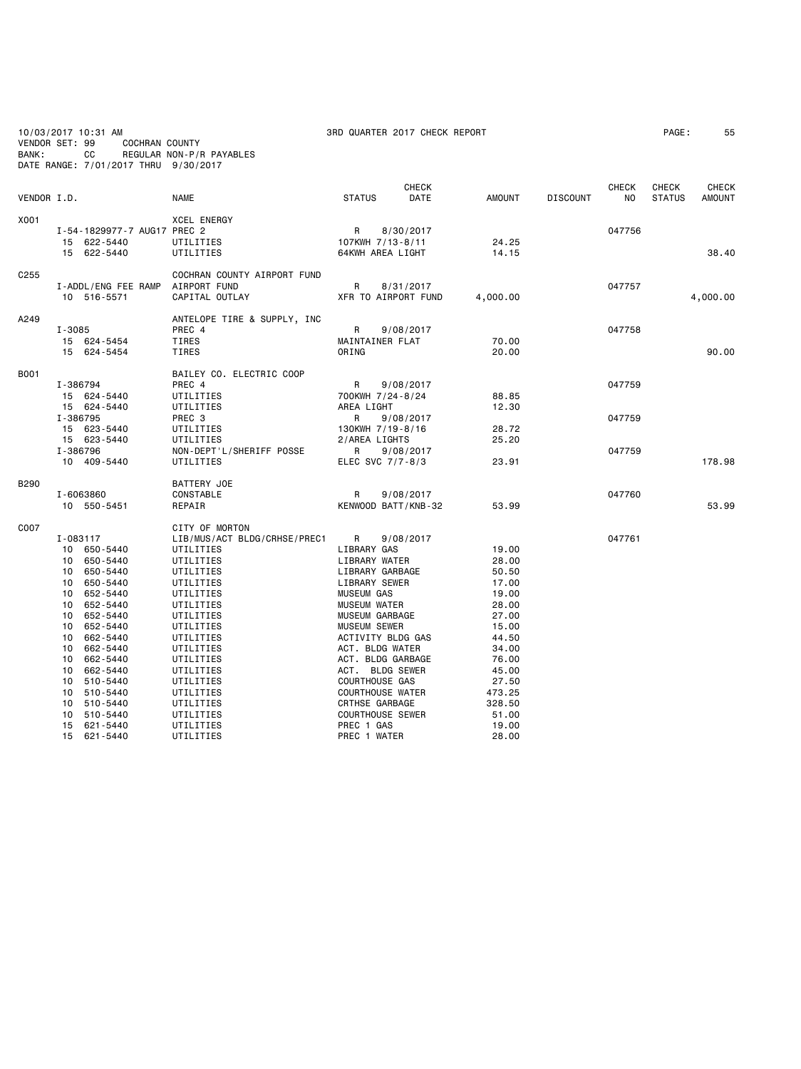| BANK:            | 10/03/2017 10:31 AM<br><b>COCHRAN COUNTY</b><br>VENDOR SET: 99<br>CC<br>DATE RANGE: 7/01/2017 THRU 9/30/2017                                                                                                                                                                              | REGULAR NON-P/R PAYABLES                                                                                                                                                                                                                                                    | 3RD QUARTER 2017 CHECK REPORT                                                                                                                                                                                                                                                                                                               |                        |                                                                                                                                                         |                 |                                |                        | 55                            |
|------------------|-------------------------------------------------------------------------------------------------------------------------------------------------------------------------------------------------------------------------------------------------------------------------------------------|-----------------------------------------------------------------------------------------------------------------------------------------------------------------------------------------------------------------------------------------------------------------------------|---------------------------------------------------------------------------------------------------------------------------------------------------------------------------------------------------------------------------------------------------------------------------------------------------------------------------------------------|------------------------|---------------------------------------------------------------------------------------------------------------------------------------------------------|-----------------|--------------------------------|------------------------|-------------------------------|
| VENDOR I.D.      |                                                                                                                                                                                                                                                                                           | <b>NAME</b>                                                                                                                                                                                                                                                                 | <b>STATUS</b>                                                                                                                                                                                                                                                                                                                               | CHECK<br>DATE          | <b>AMOUNT</b>                                                                                                                                           | <b>DISCOUNT</b> | <b>CHECK</b><br>N <sub>O</sub> | CHECK<br><b>STATUS</b> | <b>CHECK</b><br><b>AMOUNT</b> |
| X001             | I-54-1829977-7 AUG17 PREC 2<br>15 622-5440<br>15 622-5440                                                                                                                                                                                                                                 | XCEL ENERGY<br>UTILITIES<br>UTILITIES                                                                                                                                                                                                                                       | R<br>107KWH 7/13-8/11<br>64KWH AREA LIGHT                                                                                                                                                                                                                                                                                                   | 8/30/2017              | 24.25<br>14.15                                                                                                                                          |                 | 047756                         |                        | 38.40                         |
| C <sub>255</sub> | I-ADDL/ENG FEE RAMP<br>10 516-5571                                                                                                                                                                                                                                                        | COCHRAN COUNTY AIRPORT FUND<br>AIRPORT FUND<br>CAPITAL OUTLAY                                                                                                                                                                                                               | R<br>XFR TO AIRPORT FUND                                                                                                                                                                                                                                                                                                                    | 8/31/2017              | 4,000.00                                                                                                                                                |                 | 047757                         |                        | 4,000.00                      |
| A249             | $I - 3085$<br>15 624-5454<br>15 624-5454                                                                                                                                                                                                                                                  | ANTELOPE TIRE & SUPPLY, INC<br>PREC 4<br>TIRES<br><b>TIRES</b>                                                                                                                                                                                                              | R<br>MAINTAINER FLAT<br>ORING                                                                                                                                                                                                                                                                                                               | 9/08/2017              | 70.00<br>20,00                                                                                                                                          |                 | 047758                         |                        | 90.00                         |
| <b>B001</b>      | I-386794<br>15 624-5440<br>15 624-5440                                                                                                                                                                                                                                                    | BAILEY CO. ELECTRIC COOP<br>PREC 4<br>UTILITIES<br>UTILITIES                                                                                                                                                                                                                | R<br>700KWH 7/24-8/24<br>AREA LIGHT                                                                                                                                                                                                                                                                                                         | 9/08/2017              | 88.85<br>12.30                                                                                                                                          |                 | 047759                         |                        |                               |
|                  | I-386795<br>15 623-5440<br>15 623-5440<br>I-386796                                                                                                                                                                                                                                        | PREC 3<br>UTILITIES<br>UTILITIES<br>NON-DEPT'L/SHERIFF POSSE                                                                                                                                                                                                                | R<br>130KWH 7/19-8/16<br>2/AREA LIGHTS<br>R.                                                                                                                                                                                                                                                                                                | 9/08/2017<br>9/08/2017 | 28.72<br>25.20                                                                                                                                          |                 | 047759<br>047759               |                        |                               |
|                  | 10 409-5440                                                                                                                                                                                                                                                                               | UTILITIES                                                                                                                                                                                                                                                                   | ELEC SVC 7/7-8/3                                                                                                                                                                                                                                                                                                                            |                        | 23.91                                                                                                                                                   |                 |                                |                        | 178.98                        |
| <b>B290</b>      | I-6063860<br>10 550-5451                                                                                                                                                                                                                                                                  | BATTERY JOE<br>CONSTABLE<br>REPAIR                                                                                                                                                                                                                                          | R<br>KENWOOD BATT/KNB-32                                                                                                                                                                                                                                                                                                                    | 9/08/2017              | 53.99                                                                                                                                                   |                 | 047760                         |                        | 53.99                         |
| C007             | I-083117<br>10 650-5440<br>650-5440<br>10<br>650-5440<br>10<br>10 650-5440<br>10<br>652-5440<br>10 652-5440<br>10 652-5440<br>10 652-5440<br>10 662-5440<br>662-5440<br>10<br>10 662-5440<br>10 662-5440<br>10<br>510-5440<br>10 510-5440<br>10 510-5440<br>510-5440<br>10<br>15 621-5440 | CITY OF MORTON<br>LIB/MUS/ACT BLDG/CRHSE/PREC1<br>UTILITIES<br>UTILITIES<br>UTILITIES<br>UTILITIES<br>UTILITIES<br>UTILITIES<br>UTILITIES<br>UTILITIES<br>UTILITIES<br>UTILITIES<br>UTILITIES<br>UTILITIES<br>UTILITIES<br>UTILITIES<br>UTILITIES<br>UTILITIES<br>UTILITIES | R<br>LIBRARY GAS<br>LIBRARY WATER<br>LIBRARY GARBAGE<br>LIBRARY SEWER<br><b>MUSEUM GAS</b><br><b>MUSEUM WATER</b><br>MUSEUM GARBAGE<br>MUSEUM SEWER<br>ACTIVITY BLDG GAS<br>ACT. BLDG WATER<br>ACT. BLDG GARBAGE<br>ACT. BLDG SEWER<br>COURTHOUSE GAS<br><b>COURTHOUSE WATER</b><br>CRTHSE GARBAGE<br><b>COURTHOUSE SEWER</b><br>PREC 1 GAS | 9/08/2017              | 19.00<br>28.00<br>50.50<br>17.00<br>19.00<br>28,00<br>27.00<br>15.00<br>44.50<br>34.00<br>76.00<br>45.00<br>27.50<br>473.25<br>328.50<br>51.00<br>19.00 |                 | 047761                         |                        |                               |
|                  | 621-5440<br>15                                                                                                                                                                                                                                                                            | UTILITIES                                                                                                                                                                                                                                                                   | PREC 1 WATER                                                                                                                                                                                                                                                                                                                                |                        | 28,00                                                                                                                                                   |                 |                                |                        |                               |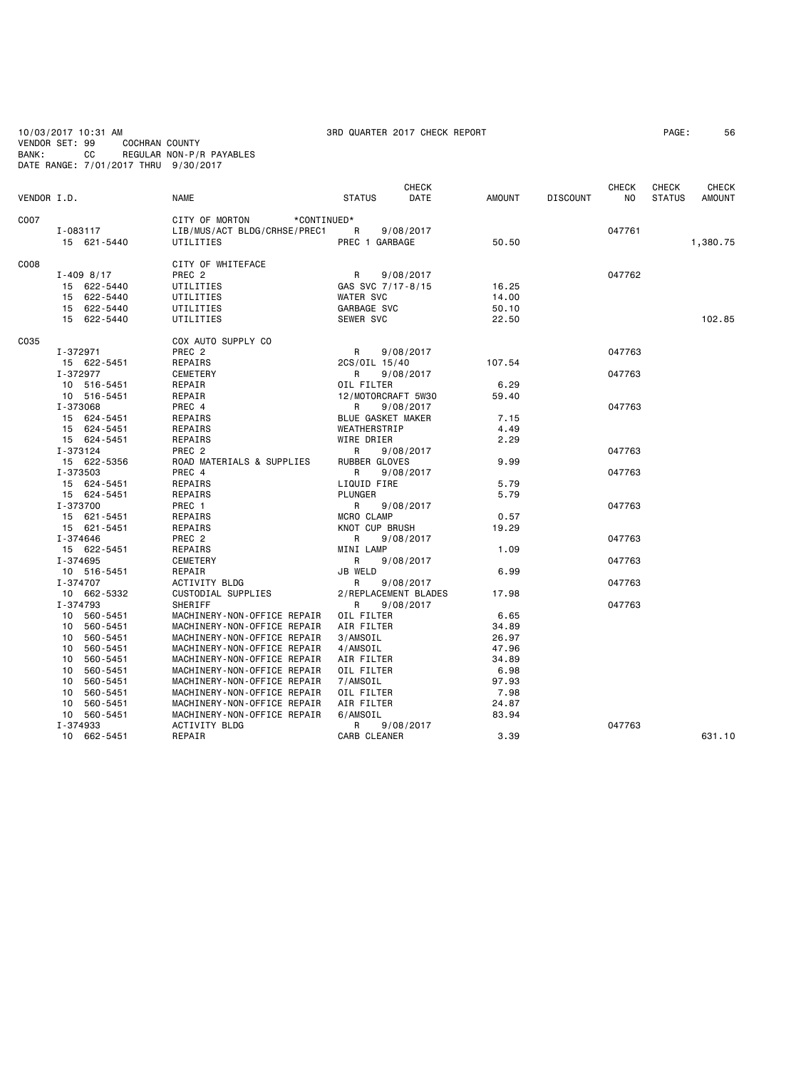| BANK:       | CC<br>DATE RANGE: 7/01/2017 THRU 9/30/2017 | REGULAR NON-P/R PAYABLES                                   |                          |                |                 |              |               |              |
|-------------|--------------------------------------------|------------------------------------------------------------|--------------------------|----------------|-----------------|--------------|---------------|--------------|
|             |                                            |                                                            | CHECK                    |                |                 | <b>CHECK</b> | <b>CHECK</b>  | <b>CHECK</b> |
| VENDOR I.D. |                                            | <b>NAME</b>                                                | DATE<br><b>STATUS</b>    | AMOUNT         | <b>DISCOUNT</b> | NO.          | <b>STATUS</b> | AMOUNT       |
| C007        |                                            | CITY OF MORTON<br>*CONTINUED*                              |                          |                |                 |              |               |              |
|             | I-083117                                   | LIB/MUS/ACT BLDG/CRHSE/PREC1                               | R<br>9/08/2017           |                |                 | 047761       |               |              |
|             | 15 621-5440                                | UTILITIES                                                  | PREC 1 GARBAGE           | 50.50          |                 |              |               | 1,380.75     |
| C008        |                                            | CITY OF WHITEFACE                                          |                          |                |                 |              |               |              |
|             | $I - 409$ 8/17                             | PREC <sub>2</sub>                                          | R<br>9/08/2017           |                |                 | 047762       |               |              |
|             | 15 622-5440                                | UTILITIES                                                  | GAS SVC 7/17-8/15        | 16.25          |                 |              |               |              |
|             | 15 622-5440                                | UTILITIES                                                  | <b>WATER SVC</b>         | 14.00          |                 |              |               |              |
|             | 15 622-5440                                | UTILITIES                                                  | GARBAGE SVC              | 50.10          |                 |              |               |              |
|             | 15 622-5440                                | UTILITIES                                                  | SEWER SVC                | 22.50          |                 |              |               | 102.85       |
| C035        |                                            | COX AUTO SUPPLY CO                                         |                          |                |                 |              |               |              |
|             | I-372971                                   | PREC <sub>2</sub>                                          | R<br>9/08/2017           |                |                 | 047763       |               |              |
|             | 15 622-5451                                | REPAIRS                                                    | 2CS/OIL 15/40            | 107.54         |                 |              |               |              |
|             | I-372977                                   | CEMETERY                                                   | R<br>9/08/2017           |                |                 | 047763       |               |              |
|             | 10 516-5451                                | REPAIR                                                     | OIL FILTER               | 6.29           |                 |              |               |              |
|             | 10 516-5451                                | REPAIR                                                     | 12/MOTORCRAFT 5W30       | 59.40          |                 |              |               |              |
|             | I-373068                                   | PREC 4                                                     | 9/08/2017<br>R           |                |                 | 047763       |               |              |
|             | 15 624-5451                                | REPAIRS                                                    | BLUE GASKET MAKER        | 7.15           |                 |              |               |              |
|             | 15 624-5451                                | REPAIRS                                                    | WEATHERSTRIP             | 4.49           |                 |              |               |              |
|             | 15 624-5451                                | REPAIRS                                                    | WIRE DRIER               | 2.29           |                 |              |               |              |
|             | I-373124                                   | PREC <sub>2</sub>                                          | R<br>9/08/2017           |                |                 | 047763       |               |              |
|             | 15 622-5356                                | ROAD MATERIALS & SUPPLIES                                  | RUBBER GLOVES            | 9.99           |                 |              |               |              |
|             | I-373503                                   | PREC 4                                                     | R<br>9/08/2017           |                |                 | 047763       |               |              |
|             | 15 624-5451                                | REPAIRS                                                    | LIQUID FIRE              | 5.79           |                 |              |               |              |
|             | 15 624-5451                                | REPAIRS                                                    | <b>PLUNGER</b>           | 5.79           |                 |              |               |              |
|             | I-373700                                   | PREC 1                                                     | R<br>9/08/2017           |                |                 | 047763       |               |              |
|             | 15 621-5451                                | REPAIRS                                                    | MCRO CLAMP               | 0.57           |                 |              |               |              |
|             | 15 621-5451                                | REPAIRS                                                    | KNOT CUP BRUSH           | 19.29          |                 |              |               |              |
|             | I-374646                                   | PREC 2                                                     | 9/08/2017<br>R           |                |                 | 047763       |               |              |
|             | 15 622-5451                                | REPAIRS                                                    | MINI LAMP                | 1.09           |                 |              |               |              |
|             | I-374695                                   | CEMETERY                                                   | R<br>9/08/2017           |                |                 | 047763       |               |              |
|             | 10 516-5451                                | REPAIR                                                     | JB WELD                  | 6.99           |                 |              |               |              |
|             | I-374707                                   | ACTIVITY BLDG                                              | R<br>9/08/2017           |                |                 | 047763       |               |              |
|             | 10 662-5332                                | CUSTODIAL SUPPLIES                                         | 2/REPLACEMENT BLADES     | 17.98          |                 |              |               |              |
|             | I-374793                                   | SHERIFF                                                    | 9/08/2017<br>R           | 6.65           |                 | 047763       |               |              |
|             | 10 560-5451                                | MACHINERY-NON-OFFICE REPAIR                                | OIL FILTER               |                |                 |              |               |              |
|             | 560-5451<br>10 <sup>1</sup>                | MACHINERY-NON-OFFICE REPAIR                                | AIR FILTER               | 34.89          |                 |              |               |              |
|             | 10 560-5451<br>10 560-5451                 | MACHINERY-NON-OFFICE REPAIR<br>MACHINERY-NON-OFFICE REPAIR | 3/AMSOIL                 | 26.97<br>47.96 |                 |              |               |              |
|             |                                            |                                                            | 4/AMSOIL                 |                |                 |              |               |              |
|             | 560-5451<br>10<br>10 560-5451              | MACHINERY-NON-OFFICE REPAIR<br>MACHINERY-NON-OFFICE REPAIR | AIR FILTER<br>OIL FILTER | 34.89<br>6.98  |                 |              |               |              |
|             | 10 <sub>1</sub><br>560-5451                | MACHINERY-NON-OFFICE REPAIR                                | 7/AMSOIL                 | 97.93          |                 |              |               |              |
|             | 560-5451<br>10                             | MACHINERY-NON-OFFICE REPAIR                                | OIL FILTER               | 7.98           |                 |              |               |              |
|             | 10 560-5451                                | MACHINERY-NON-OFFICE REPAIR                                | AIR FILTER               | 24.87          |                 |              |               |              |
|             | 10 560-5451                                | MACHINERY-NON-OFFICE REPAIR                                | 6/AMSOIL                 | 83.94          |                 |              |               |              |
|             | I-374933                                   | <b>ACTIVITY BLDG</b>                                       | 9/08/2017<br>R           |                |                 | 047763       |               |              |
|             | 10 662-5451                                | REPAIR                                                     | CARB CLEANER             | 3.39           |                 |              |               | 631.10       |
|             |                                            |                                                            |                          |                |                 |              |               |              |

10/03/2017 10:31 AM 3RD QUARTER 2017 CHECK REPORT PAGE: 56

VENDOR SET: 99 COCHRAN COUNTY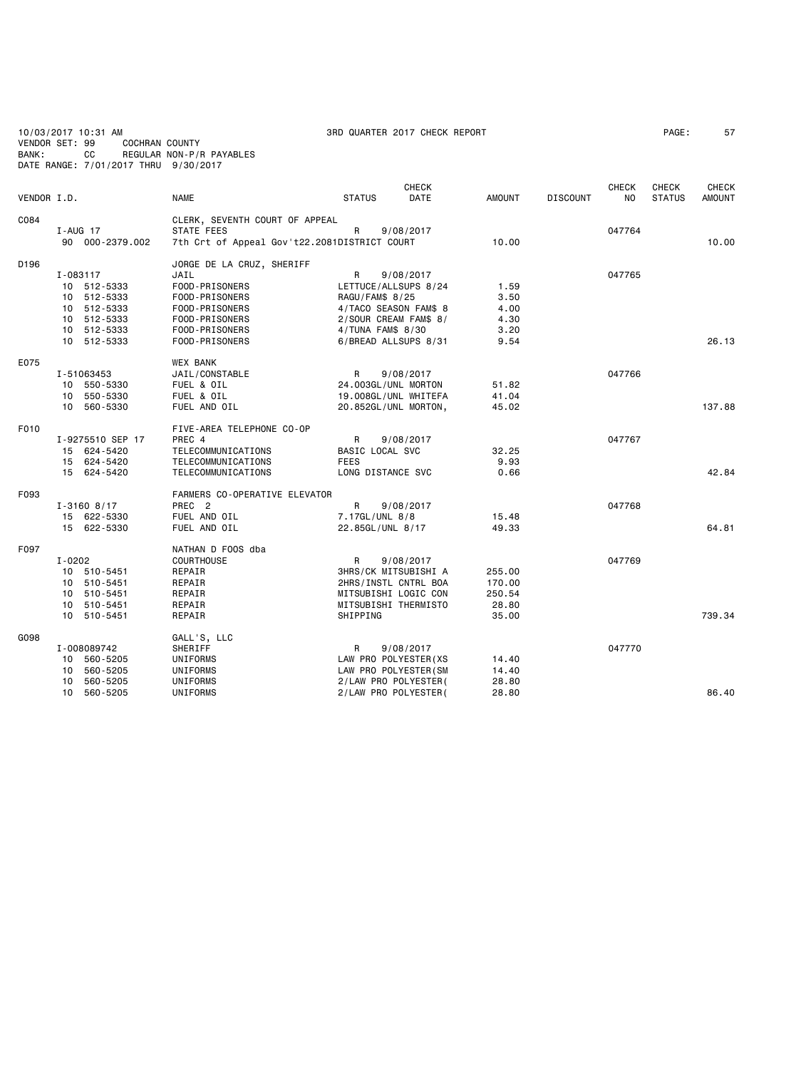10/03/2017 10:31 AM 3RD QUARTER 2017 CHECK REPORT PAGE: 57 VENDOR SET: 99 COCHRAN COUNTY BANK: CC REGULAR NON-P/R PAYABLES DATE RANGE: 7/01/2017 THRU 9/30/2017

|             |                  |                                              |                             | <b>CHECK</b> |               |                 | <b>CHECK</b> | <b>CHECK</b>  | <b>CHECK</b>  |
|-------------|------------------|----------------------------------------------|-----------------------------|--------------|---------------|-----------------|--------------|---------------|---------------|
| VENDOR I.D. |                  | <b>NAME</b>                                  | <b>STATUS</b>               | DATE         | <b>AMOUNT</b> | <b>DISCOUNT</b> | NO.          | <b>STATUS</b> | <b>AMOUNT</b> |
| C084        |                  | CLERK, SEVENTH COURT OF APPEAL               |                             |              |               |                 |              |               |               |
|             | I-AUG 17         | STATE FEES                                   | R                           | 9/08/2017    |               |                 | 047764       |               |               |
|             | 90 000-2379.002  | 7th Crt of Appeal Gov't22.2081DISTRICT COURT |                             |              | 10.00         |                 |              |               | 10.00         |
| D196        |                  | JORGE DE LA CRUZ, SHERIFF                    |                             |              |               |                 |              |               |               |
|             | I-083117         | JAIL                                         | R                           | 9/08/2017    |               |                 | 047765       |               |               |
|             | 10 512-5333      | FOOD-PRISONERS                               | LETTUCE/ALLSUPS 8/24        |              | 1.59          |                 |              |               |               |
|             | 10 512-5333      | FOOD-PRISONERS                               | RAGU/FAM\$ 8/25             |              | 3.50          |                 |              |               |               |
|             | 10 512-5333      | FOOD-PRISONERS                               | 4/TACO SEASON FAM\$ 8       |              | 4.00          |                 |              |               |               |
|             | 10 512-5333      | FOOD-PRISONERS                               | 2/SOUR CREAM FAM\$ 8/       |              | 4.30          |                 |              |               |               |
|             | 10 512-5333      | FOOD-PRISONERS                               | 4/TUNA FAM\$ 8/30           |              | 3.20          |                 |              |               |               |
|             | 10 512-5333      | FOOD-PRISONERS                               | 6/BREAD ALLSUPS 8/31        |              | 9.54          |                 |              |               | 26.13         |
| E075        |                  | <b>WEX BANK</b>                              |                             |              |               |                 |              |               |               |
|             | I-51063453       | JAIL/CONSTABLE                               | R                           | 9/08/2017    |               |                 | 047766       |               |               |
|             | 10 550-5330      | FUEL & OIL                                   | 24.003GL/UNL MORTON         |              | 51.82         |                 |              |               |               |
|             | 10 550-5330      | FUEL & OIL                                   | 19.008GL/UNL WHITEFA        |              | 41.04         |                 |              |               |               |
|             | 10 560-5330      | FUEL AND OIL                                 | 20.852GL/UNL MORTON,        |              | 45.02         |                 |              |               | 137.88        |
| F010        |                  |                                              |                             |              |               |                 |              |               |               |
|             | I-9275510 SEP 17 | FIVE-AREA TELEPHONE CO-OP<br>PREC 4          | R                           | 9/08/2017    |               |                 | 047767       |               |               |
|             | 15 624-5420      | TELECOMMUNICATIONS                           | BASIC LOCAL SVC             |              | 32.25         |                 |              |               |               |
|             | 15 624-5420      | TELECOMMUNICATIONS                           | <b>FEES</b>                 |              | 9.93          |                 |              |               |               |
|             | 15 624-5420      | TELECOMMUNICATIONS                           | LONG DISTANCE SVC           |              | 0.66          |                 |              |               | 42.84         |
|             |                  |                                              |                             |              |               |                 |              |               |               |
| F093        |                  | FARMERS CO-OPERATIVE ELEVATOR                |                             |              |               |                 |              |               |               |
|             | $I - 3160$ 8/17  | PREC <sub>2</sub>                            | R                           | 9/08/2017    |               |                 | 047768       |               |               |
|             | 15 622-5330      | FUEL AND OIL                                 | 7.17GL/UNL 8/8              |              | 15.48         |                 |              |               |               |
|             | 15 622-5330      | FUEL AND OIL                                 | 22.85GL/UNL 8/17            |              | 49.33         |                 |              |               | 64.81         |
| F097        |                  | NATHAN D FOOS dba                            |                             |              |               |                 |              |               |               |
|             | $I - 0202$       | COURTHOUSE                                   | R                           | 9/08/2017    |               |                 | 047769       |               |               |
|             | 10 510-5451      | REPAIR                                       | <b>3HRS/CK MITSUBISHI A</b> |              | 255.00        |                 |              |               |               |
|             | 10 510-5451      | REPAIR                                       | 2HRS/INSTL CNTRL BOA        |              | 170.00        |                 |              |               |               |
|             | 10 510-5451      | REPAIR                                       | MITSUBISHI LOGIC CON        |              | 250.54        |                 |              |               |               |
|             | 10 510-5451      | REPAIR                                       | MITSUBISHI THERMISTO        |              | 28.80         |                 |              |               |               |
|             | 10 510-5451      | REPAIR                                       | SHIPPING                    |              | 35.00         |                 |              |               | 739.34        |
| G098        |                  | GALL'S, LLC                                  |                             |              |               |                 |              |               |               |
|             | I-008089742      | SHERIFF                                      | R                           | 9/08/2017    |               |                 | 047770       |               |               |
|             | 10 560-5205      | UNIFORMS                                     | LAW PRO POLYESTER (XS       |              | 14.40         |                 |              |               |               |
|             | 10 560-5205      | UNIFORMS                                     | LAW PRO POLYESTER (SM       |              | 14.40         |                 |              |               |               |
|             | 10 560-5205      | <b>UNIFORMS</b>                              | 2/LAW PRO POLYESTER(        |              | 28.80         |                 |              |               |               |
|             | 10 560-5205      | UNIFORMS                                     | 2/LAW PRO POLYESTER(        |              | 28.80         |                 |              |               | 86.40         |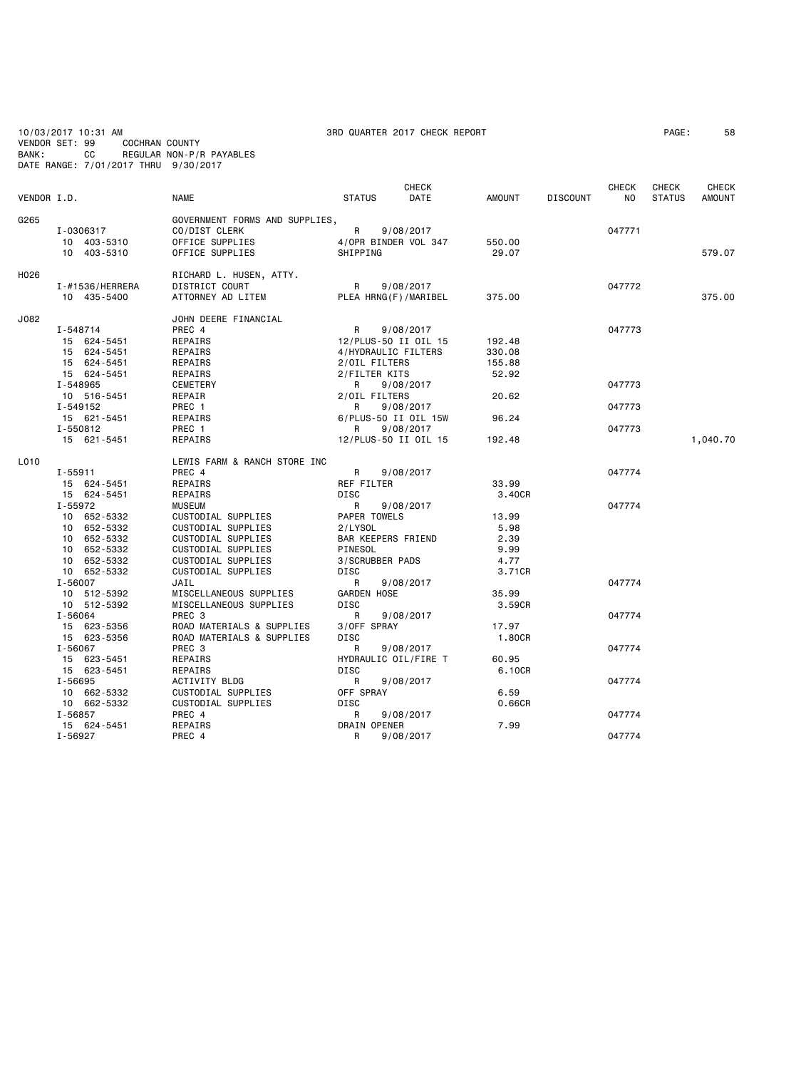10/03/2017 10:31 AM 3RD QUARTER 2017 CHECK REPORT PAGE: 58 VENDOR SET: 99 COCHRAN COUNTY

BANK: CC REGULAR NON-P/R PAYABLES

DATE RANGE: 7/01/2017 THRU 9/30/2017

|                  |                                                                                                   |                                                                                                                                                   |                                                                                                 | <b>CHECK</b>           |                                                 |                 | CHECK            | CHECK         | CHECK         |
|------------------|---------------------------------------------------------------------------------------------------|---------------------------------------------------------------------------------------------------------------------------------------------------|-------------------------------------------------------------------------------------------------|------------------------|-------------------------------------------------|-----------------|------------------|---------------|---------------|
| VENDOR I.D.      |                                                                                                   | NAME                                                                                                                                              | <b>STATUS</b>                                                                                   | DATE                   | <b>AMOUNT</b>                                   | <b>DISCOUNT</b> | NO.              | <b>STATUS</b> | <b>AMOUNT</b> |
| G265             | I-0306317<br>10 403-5310<br>10 403-5310                                                           | GOVERNMENT FORMS AND SUPPLIES,<br>CO/DIST CLERK<br>OFFICE SUPPLIES<br>OFFICE SUPPLIES                                                             | R<br>4/OPR BINDER VOL 347<br>SHIPPING                                                           | 9/08/2017              | 550.00<br>29.07                                 |                 | 047771           |               | 579.07        |
| H <sub>026</sub> | I-#1536/HERRERA<br>10 435-5400                                                                    | RICHARD L. HUSEN, ATTY.<br>DISTRICT COURT<br>ATTORNEY AD LITEM                                                                                    | R<br>PLEA HRNG(F)/MARIBEL                                                                       | 9/08/2017              | 375.00                                          |                 | 047772           |               | 375.00        |
| J082             | I-548714<br>15 624-5451<br>15 624-5451<br>15 624-5451<br>15 624-5451                              | JOHN DEERE FINANCIAL<br>PREC 4<br>REPAIRS<br>REPAIRS<br>REPAIRS<br>REPAIRS                                                                        | R<br>12/PLUS-50 II OIL 15<br>4/HYDRAULIC FILTERS<br>2/OIL FILTERS<br>2/FILTER KITS              | 9/08/2017              | 192.48<br>330.08<br>155.88<br>52.92             |                 | 047773           |               |               |
|                  | I-548965<br>10 516-5451<br>I-549152                                                               | CEMETERY<br>REPAIR<br>PREC 1                                                                                                                      | R<br>2/OIL FILTERS<br>R                                                                         | 9/08/2017<br>9/08/2017 | 20.62                                           |                 | 047773<br>047773 |               |               |
|                  | 15 621-5451<br>I-550812<br>15 621-5451                                                            | REPAIRS<br>PREC 1<br>REPAIRS                                                                                                                      | 6/PLUS-50 II OIL 15W<br>R<br>12/PLUS-50 II OIL 15                                               | 9/08/2017              | 96.24<br>192.48                                 |                 | 047773           |               | 1,040.70      |
| L010             | $I - 55911$<br>15 624-5451<br>15 624-5451                                                         | LEWIS FARM & RANCH STORE INC<br>PREC 4<br>REPAIRS<br>REPAIRS                                                                                      | R<br>REF FILTER<br>DISC                                                                         | 9/08/2017              | 33.99<br>3.40CR                                 |                 | 047774           |               |               |
|                  | I-55972<br>10 652-5332<br>10 652-5332<br>10 652-5332<br>10 652-5332<br>10 652-5332<br>10 652-5332 | <b>MUSEUM</b><br>CUSTODIAL SUPPLIES<br>CUSTODIAL SUPPLIES<br>CUSTODIAL SUPPLIES<br>CUSTODIAL SUPPLIES<br>CUSTODIAL SUPPLIES<br>CUSTODIAL SUPPLIES | R<br>PAPER TOWELS<br>2/LYSOL<br><b>BAR KEEPERS FRIEND</b><br>PINESOL<br>3/SCRUBBER PADS<br>DISC | 9/08/2017              | 13.99<br>5.98<br>2.39<br>9.99<br>4.77<br>3.71CR |                 | 047774           |               |               |
|                  | $I - 56007$<br>10 512-5392<br>10 512-5392                                                         | JAIL<br>MISCELLANEOUS SUPPLIES<br>MISCELLANEOUS SUPPLIES                                                                                          | R<br><b>GARDEN HOSE</b><br><b>DISC</b>                                                          | 9/08/2017              | 35.99<br>3.59CR                                 |                 | 047774           |               |               |
|                  | I-56064<br>15 623-5356<br>15 623-5356                                                             | PREC 3<br>ROAD MATERIALS & SUPPLIES<br>ROAD MATERIALS & SUPPLIES                                                                                  | R<br>3/OFF SPRAY<br>DISC                                                                        | 9/08/2017              | 17.97<br>1.80CR                                 |                 | 047774           |               |               |
|                  | $I - 56067$<br>15 623-5451<br>15 623-5451                                                         | PREC 3<br>REPAIRS<br>REPAIRS                                                                                                                      | R<br>HYDRAULIC OIL/FIRE T<br><b>DISC</b>                                                        | 9/08/2017              | 60.95<br>6.10CR                                 |                 | 047774           |               |               |
|                  | I-56695<br>10 662-5332<br>10 662-5332                                                             | ACTIVITY BLDG<br>CUSTODIAL SUPPLIES<br>CUSTODIAL SUPPLIES                                                                                         | R<br>OFF SPRAY<br><b>DISC</b>                                                                   | 9/08/2017              | 6.59<br>0.66CR                                  |                 | 047774           |               |               |
|                  | I-56857<br>15 624-5451                                                                            | PREC 4<br>REPAIRS                                                                                                                                 | R<br>DRAIN OPENER                                                                               | 9/08/2017              | 7.99                                            |                 | 047774           |               |               |
|                  | I-56927                                                                                           | PREC 4                                                                                                                                            | R                                                                                               | 9/08/2017              |                                                 |                 | 047774           |               |               |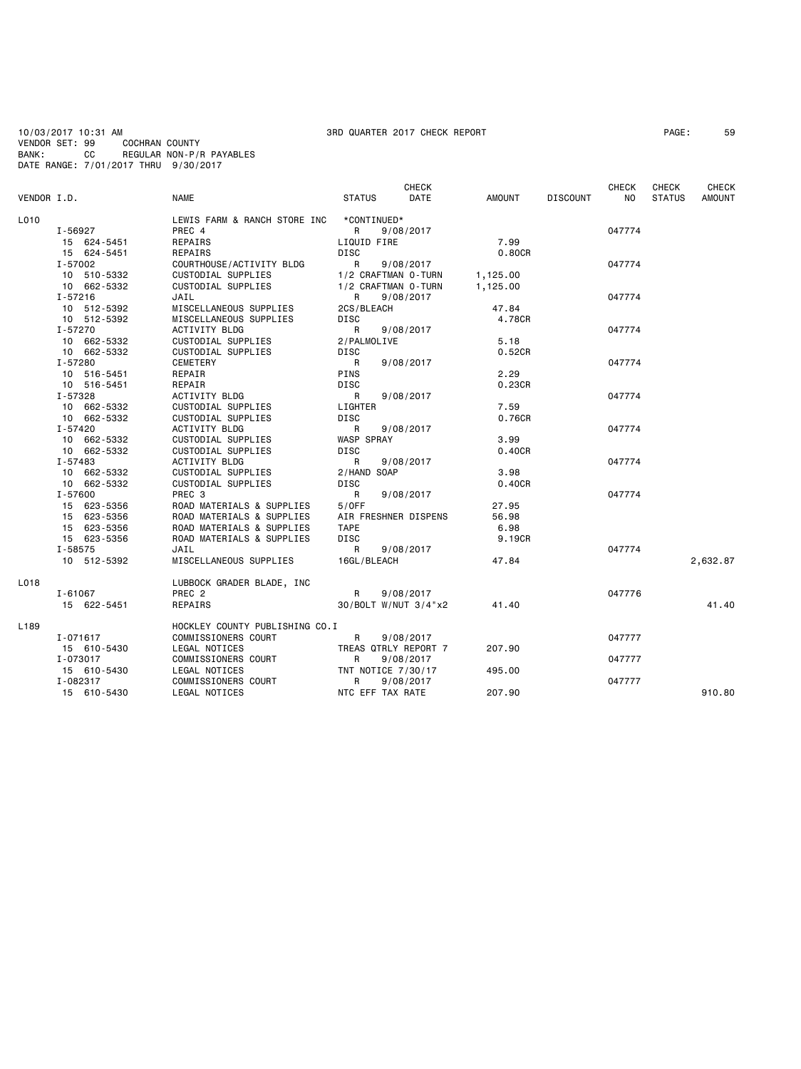10/03/2017 10:31 AM<br>10/03/2017 10:31 AM 3PAGE: 59<br>VENDOR SET: 99 COCHRAN COUNTY VENDOR SET: 99<br>BANK: CC BANK: CC REGULAR NON-P/R PAYABLES DATE RANGE: 7/01/2017 THRU 9/30/2017

# **CHECK CHECK CHECK CHECK CHECK CHECK** VENDOR I.D. NAME STATUS DATE AMOUNT DISCOUNT NO STATUS AMOUNT LO10 LEWIS FARM & RANCH STORE INC \*CONTINUED\*<br>2008 I-56927 PREC 4 I-56927 PREC 4 R 9/08/2017 047774 15 624-5451 REPAIRS LIQUID FIRE 7.99 15 624-5451 REPAIRS DISC<br>I-57002 COURTHOUSE/ACTIVITY BLDG R 9/08/2017 I-57002 COURTHOUSE/ACTIVITY BLDG R 9/08/2017 047774 10 510-5332 CUSTODIAL SUPPLIES 1/2 CRAFTMAN 0-TURN 1,125.00 10 662-5332 CUSTODIAL SUPPLIES 1/2 CRAFTMAN 0-TURN<br>1-57216 1.12 JAIL 1,2 CRAFTMAN 0-TURN I-57216 JAIL R 9/08/2017 047774 10 512-5392 MISCELLANEOUS SUPPLIES 2CS/BLEACH 47.84 10 512-5392 MISCELLANEOUS SUPPLIES DISC 4.78CR I-57270 ACTIVITY BLDG R 9/08/2017 047774 10 662-5332 CUSTODIAL SUPPLIES 2/PALMOLIVE 5.18 10 662-5332 CUSTODIAL SUPPLIES DISC 0.52CR I-57280 CEMETERY R 9/08/2017 047774 10 516-5451 REPAIR PINS 2.29 10 516-5451 REPAIR DISC 0.23CR I-57328 ACTIVITY BLDG R 9/08/2017 047774 10 662-5332 CUSTODIAL SUPPLIES LIGHTER 7.59 10 662-5332 CUSTODIAL SUPPLIES DISC 0.76CR I-57420 ACTIVITY BLDG R 9/08/2017 047774 10 662-5332 CUSTODIAL SUPPLIES WASP SPRAY 3.99 10 662-5332 CUSTODIAL SUPPLIES DISC 0.40CR I-57483 ACTIVITY BLDG R 9/08/2017 047774 10 662-5332 CUSTODIAL SUPPLIES 2/HAND SOAP 3.98<br>10 662-5332 CUSTODIAL SUPPLIES DISC DISC 3.40CR 10 662-5332 CUSTODIAL SUPPLIES DISC 0.40CR I-57600 PREC 3 R 9/08/2017 047774 15 623-5356 ROAD MATERIALS & SUPPLIES 5/OFF 27.95 15 623-5356 ROAD MATERIALS & SUPPLIES AIR FRESHNER DISPENS 56.98 15 623-5356 ROAD MATERIALS & SUPPLIES TAPE 6.98 15 623-5356 ROAD MATERIALS & SUPPLIES DISC 9.19CR I-58575 JAIL R 9/08/2017 047774 10 512-5392 MISCELLANEOUS SUPPLIES 16GL/BLEACH 47.84 2,632.87 1.018 LUBBOCK GRADER BLADE, INC I-61067 PREC 2 R 9/08/2017 047776 15 622-5451 REPAIRS 30/BOLT W/NUT 3/4"x2 41.40 41.40 L189 HOCKLEY COUNTY PUBLISHING CO.I I-071617 COMMISSIONERS COURT R 9/08/2017 047777 15 610-5430 LEGAL NOTICES TREAS QTRLY REPORT 7 207.90 I-073017 COMMISSIONERS COURT R 9/08/2017 047777 15 610-5430 LEGAL NOTICES TNT NOTICE 7/30/17 495.00 I-082317 COMMISSIONERS COURT R 9/08/2017 047777 15 610-5430 LEGAL NOTICES NTC EFF TAX RATE 207.90 910.80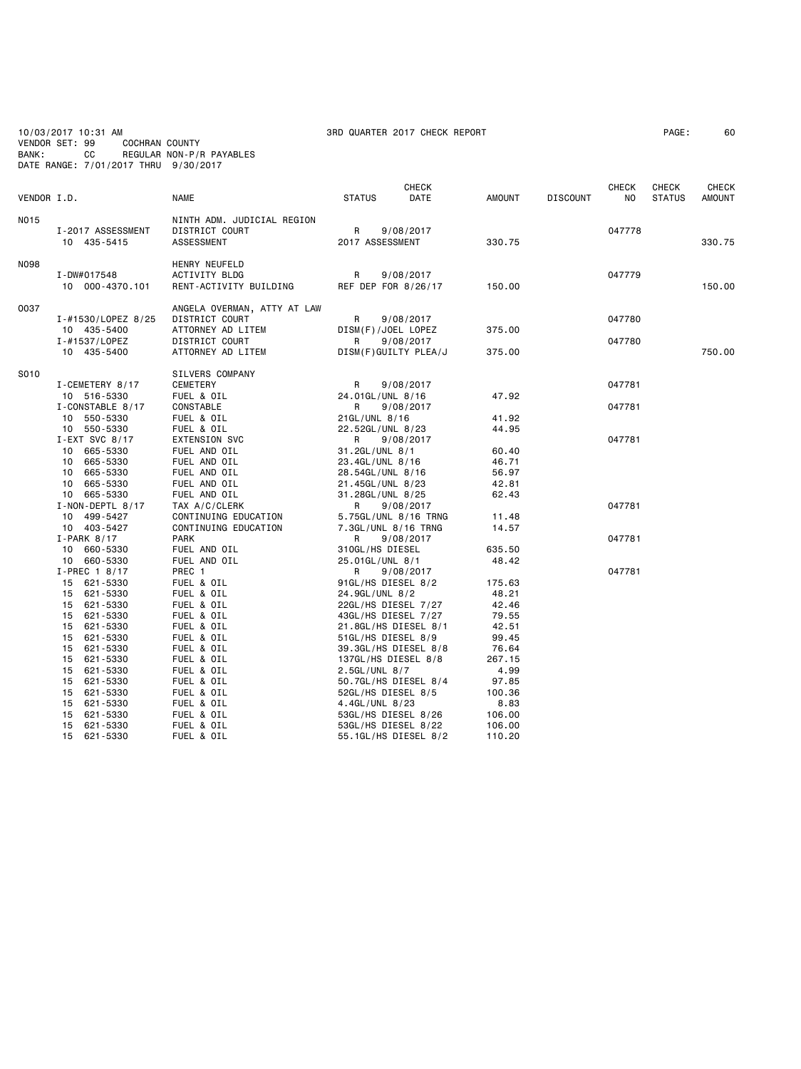10/03/2017 10:31 AM 3RD QUARTER 2017 CHECK REPORT PAGE: 60 VENDOR SET: 99 COCHRAN COUNTY BANK: CC REGULAR NON-P/R PAYABLES DATE RANGE: 7/01/2017 THRU 9/30/2017

|             |                                   | <b>NAME</b>                                                        |                          | <b>CHECK</b><br>DATE | <b>AMOUNT</b> |                 | <b>CHECK</b><br>NO | <b>CHECK</b>  | CHECK<br><b>AMOUNT</b> |
|-------------|-----------------------------------|--------------------------------------------------------------------|--------------------------|----------------------|---------------|-----------------|--------------------|---------------|------------------------|
|             | VENDOR I.D.                       |                                                                    | <b>STATUS</b>            |                      |               | <b>DISCOUNT</b> |                    | <b>STATUS</b> |                        |
| <b>NO15</b> | I-2017 ASSESSMENT<br>10 435-5415  | NINTH ADM. JUDICIAL REGION<br>DISTRICT COURT<br>ASSESSMENT         | R<br>2017 ASSESSMENT     | 9/08/2017            | 330.75        |                 | 047778             |               | 330.75                 |
| <b>N098</b> | I-DW#017548<br>10 000-4370.101    | HENRY NEUFELD<br><b>ACTIVITY BLDG</b><br>RENT-ACTIVITY BUILDING    | R<br>REF DEP FOR 8/26/17 | 9/08/2017            | 150.00        |                 | 047779             |               | 150.00                 |
| 0037        | I-#1530/LOPEZ 8/25<br>10 435-5400 | ANGELA OVERMAN, ATTY AT LAW<br>DISTRICT COURT<br>ATTORNEY AD LITEM | R<br>DISM(F)/JOEL LOPEZ  | 9/08/2017            | 375.00        |                 | 047780             |               |                        |
|             | I-#1537/LOPEZ                     | <b>DISTRICT COURT</b>                                              | R                        | 9/08/2017            |               |                 | 047780             |               |                        |
|             | 10 435-5400                       | ATTORNEY AD LITEM                                                  | DISM(F)GUILTY PLEA/J     |                      | 375.00        |                 |                    |               | 750.00                 |
| S010        | I-CEMETERY 8/17                   | SILVERS COMPANY<br>CEMETERY                                        | R                        | 9/08/2017            |               |                 | 047781             |               |                        |
|             | 10 516-5330                       | FUEL & OIL                                                         | 24.01GL/UNL 8/16         |                      | 47.92         |                 |                    |               |                        |
|             | I-CONSTABLE 8/17                  | CONSTABLE                                                          | R                        | 9/08/2017            |               |                 | 047781             |               |                        |
|             | 10 550-5330                       | FUEL & OIL                                                         | 21GL/UNL 8/16            |                      | 41.92         |                 |                    |               |                        |
|             | 10 550-5330                       | FUEL & OIL                                                         | 22.52GL/UNL 8/23         |                      | 44.95         |                 |                    |               |                        |
|             | $I-EXT$ SVC 8/17                  | <b>EXTENSION SVC</b>                                               | R                        | 9/08/2017            |               |                 | 047781             |               |                        |
|             | 10 665-5330                       | FUEL AND OIL                                                       | 31.2GL/UNL 8/1           |                      | 60.40         |                 |                    |               |                        |
|             | 665-5330<br>10                    | FUEL AND OIL                                                       | 23.4GL/UNL 8/16          |                      | 46.71         |                 |                    |               |                        |
|             | 665-5330<br>10                    | FUEL AND OIL                                                       | 28.54GL/UNL 8/16         |                      | 56.97         |                 |                    |               |                        |
|             | 665-5330<br>10                    | FUEL AND OIL                                                       | 21.45GL/UNL 8/23         |                      | 42.81         |                 |                    |               |                        |
|             | 10 665-5330                       | FUEL AND OIL                                                       | 31.28GL/UNL 8/25         |                      | 62.43         |                 |                    |               |                        |
|             | I-NON-DEPTL 8/17                  | TAX A/C/CLERK                                                      | R                        | 9/08/2017            |               |                 | 047781             |               |                        |
|             | 499-5427<br>10                    | CONTINUING EDUCATION                                               |                          | 5.75GL/UNL 8/16 TRNG | 11.48         |                 |                    |               |                        |
|             | 10 403-5427                       | CONTINUING EDUCATION<br><b>PARK</b>                                | 7.3GL/UNL 8/16 TRNG<br>R |                      | 14.57         |                 | 047781             |               |                        |
|             | $I-PARK 8/17$<br>10 660-5330      | FUEL AND OIL                                                       | 310GL/HS DIESEL          | 9/08/2017            | 635.50        |                 |                    |               |                        |
|             | 10 660-5330                       | FUEL AND OIL                                                       | 25.01GL/UNL 8/1          |                      | 48.42         |                 |                    |               |                        |
|             | I-PREC 1 8/17                     | PREC 1                                                             | R                        | 9/08/2017            |               |                 | 047781             |               |                        |
|             | 15 621-5330                       | FUEL & OIL                                                         | 91GL/HS DIESEL 8/2       |                      | 175.63        |                 |                    |               |                        |
|             | 15 621-5330                       | FUEL & OIL                                                         | 24.9GL/UNL 8/2           |                      | 48.21         |                 |                    |               |                        |
|             | 621-5330<br>15                    | FUEL & OIL                                                         | 22GL/HS DIESEL 7/27      |                      | 42.46         |                 |                    |               |                        |
|             | 15<br>621-5330                    | FUEL & OIL                                                         | 43GL/HS DIESEL 7/27      |                      | 79.55         |                 |                    |               |                        |
|             | 621-5330<br>15                    | FUEL & OIL                                                         | 21.8GL/HS DIESEL 8/1     |                      | 42.51         |                 |                    |               |                        |
|             | 15<br>621-5330                    | FUEL & OIL                                                         | 51GL/HS DIESEL 8/9       |                      | 99.45         |                 |                    |               |                        |
|             | 621-5330<br>15                    | FUEL & OIL                                                         |                          | 39.3GL/HS DIESEL 8/8 | 76.64         |                 |                    |               |                        |
|             | 621-5330<br>15                    | FUEL & OIL                                                         | 137GL/HS DIESEL 8/8      |                      | 267.15        |                 |                    |               |                        |
|             | 621-5330<br>15                    | FUEL & OIL                                                         | 2.5GL/UNL 8/7            |                      | 4.99          |                 |                    |               |                        |
|             | 15 621-5330                       | FUEL & OIL                                                         |                          | 50.7GL/HS DIESEL 8/4 | 97.85         |                 |                    |               |                        |
|             | 15<br>621-5330                    | FUEL & OIL                                                         | 52GL/HS DIESEL 8/5       |                      | 100.36        |                 |                    |               |                        |
|             | 15 621-5330                       | FUEL & OIL                                                         | 4.4GL/UNL 8/23           |                      | 8.83          |                 |                    |               |                        |
|             | 15<br>621-5330                    | FUEL & OIL                                                         | 53GL/HS DIESEL 8/26      |                      | 106.00        |                 |                    |               |                        |
|             | 621-5330<br>15                    | FUEL & OIL                                                         | 53GL/HS DIESEL 8/22      |                      | 106.00        |                 |                    |               |                        |
|             | 15<br>621-5330                    | FUEL & OIL                                                         |                          | 55.1GL/HS DIESEL 8/2 | 110.20        |                 |                    |               |                        |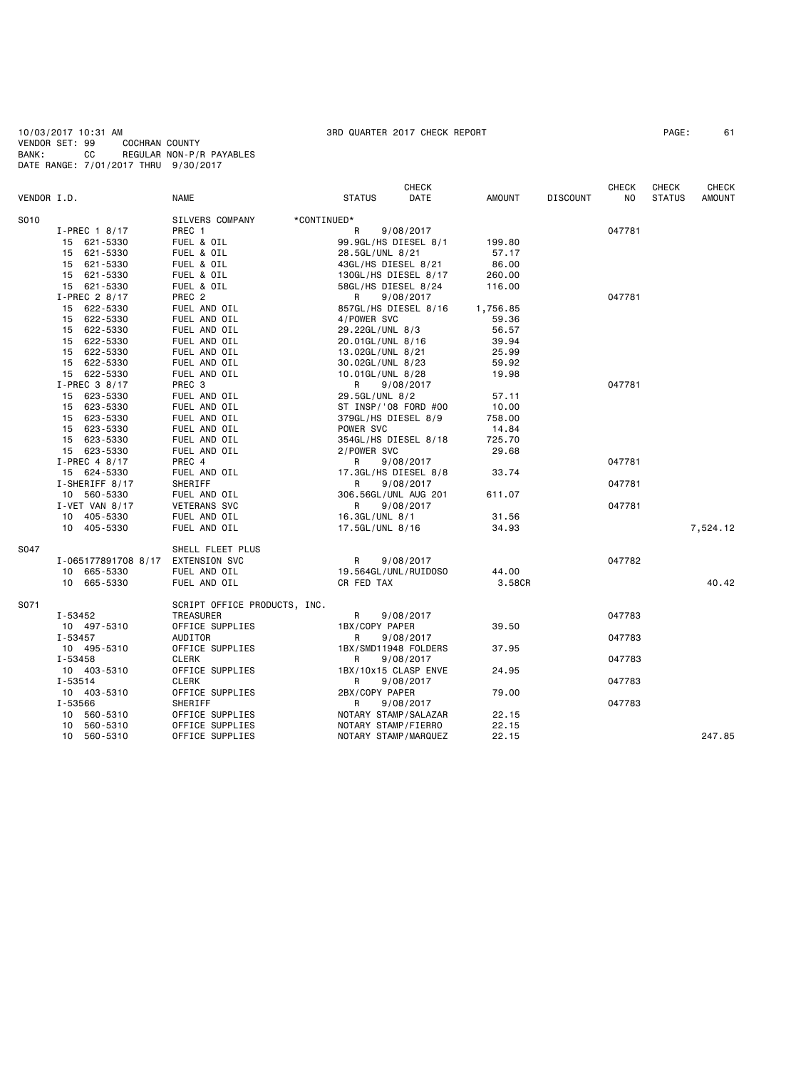10/03/2017 10:31 AM 3RD QUARTER 2017 CHECK REPORT PAGE: 61 VENDOR SET: 99 COCHRAN COUNTY BANK: CC REGULAR NON-P/R PAYABLES DATE RANGE: 7/01/2017 THRU 9/30/2017

| VENDOR I.D.         | <b>NAME</b>                  | <b>CHECK</b><br><b>STATUS</b><br>DATE | AMOUNT   | <b>DISCOUNT</b> | <b>CHECK</b><br>N <sub>0</sub> | <b>CHECK</b><br><b>STATUS</b> | <b>CHECK</b><br><b>AMOUNT</b> |
|---------------------|------------------------------|---------------------------------------|----------|-----------------|--------------------------------|-------------------------------|-------------------------------|
| S010                | SILVERS COMPANY              | *CONTINUED*                           |          |                 |                                |                               |                               |
| I-PREC 1 8/17       | PREC 1                       | 9/08/2017<br>R                        |          |                 | 047781                         |                               |                               |
| 15 621-5330         | FUEL & OIL                   | 99.9GL/HS DIESEL 8/1                  | 199.80   |                 |                                |                               |                               |
| 15 621-5330         | FUEL & OIL                   | 28.5GL/UNL 8/21                       | 57.17    |                 |                                |                               |                               |
| 15 621-5330         | FUEL & OIL                   | 43GL/HS DIESEL 8/21                   | 86.00    |                 |                                |                               |                               |
| 15 621-5330         | FUEL & OIL                   | 130GL/HS DIESEL 8/17                  | 260.00   |                 |                                |                               |                               |
| 15 621-5330         | FUEL & OIL                   | 58GL/HS DIESEL 8/24                   | 116.00   |                 |                                |                               |                               |
| I-PREC 2 8/17       | PREC <sub>2</sub>            | R<br>9/08/2017                        |          |                 | 047781                         |                               |                               |
| 15 622-5330         | FUEL AND OIL                 | 857GL/HS DIESEL 8/16                  | 1,756.85 |                 |                                |                               |                               |
| 15 622-5330         | FUEL AND OIL                 | 4/POWER SVC                           | 59.36    |                 |                                |                               |                               |
| 15 622-5330         | FUEL AND OIL                 | 29.22GL/UNL 8/3                       | 56.57    |                 |                                |                               |                               |
| 15 622-5330         | FUEL AND OIL                 | 20.01GL/UNL 8/16                      | 39.94    |                 |                                |                               |                               |
| 15 622-5330         | FUEL AND OIL                 | 13.02GL/UNL 8/21                      | 25.99    |                 |                                |                               |                               |
| 15 622-5330         | FUEL AND OIL                 | 30.02GL/UNL 8/23                      | 59.92    |                 |                                |                               |                               |
| 15 622-5330         | FUEL AND OIL                 | 10.01GL/UNL 8/28                      | 19.98    |                 |                                |                               |                               |
| $I-PREC$ 3 8/17     | PREC 3                       | R<br>9/08/2017                        |          |                 | 047781                         |                               |                               |
| 15 623-5330         | FUEL AND OIL                 | 29.5GL/UNL 8/2                        | 57.11    |                 |                                |                               |                               |
| 15 623-5330         | FUEL AND OIL                 | ST INSP/'08 FORD #00                  | 10.00    |                 |                                |                               |                               |
| 15 623-5330         | FUEL AND OIL                 | 379GL/HS DIESEL 8/9                   | 758.00   |                 |                                |                               |                               |
| 15 623-5330         | FUEL AND OIL                 | POWER SVC                             | 14.84    |                 |                                |                               |                               |
| 15 623-5330         | FUEL AND OIL                 | 354GL/HS DIESEL 8/18                  | 725.70   |                 |                                |                               |                               |
| 15 623-5330         | FUEL AND OIL                 | 2/POWER SVC                           | 29.68    |                 |                                |                               |                               |
| I-PREC 4 8/17       | PREC 4                       | 9/08/2017<br>R                        |          |                 | 047781                         |                               |                               |
| 15 624-5330         | FUEL AND OIL                 | 17.3GL/HS DIESEL 8/8                  | 33.74    |                 |                                |                               |                               |
| I-SHERIFF 8/17      | SHERIFF                      | R<br>9/08/2017                        |          |                 | 047781                         |                               |                               |
| 10 560-5330         | FUEL AND OIL                 | 306.56GL/UNL AUG 201                  | 611.07   |                 |                                |                               |                               |
| $I - VET$ VAN 8/17  | <b>VETERANS SVC</b>          | 9/08/2017<br>R                        |          |                 | 047781                         |                               |                               |
| 10 405-5330         | FUEL AND OIL                 | 16.3GL/UNL 8/1                        | 31.56    |                 |                                |                               |                               |
| 10 405-5330         | FUEL AND OIL                 | 17.5GL/UNL 8/16                       | 34.93    |                 |                                |                               | 7,524.12                      |
| S047                | SHELL FLEET PLUS             |                                       |          |                 |                                |                               |                               |
| I-065177891708 8/17 | <b>EXTENSION SVC</b>         | $\mathsf{R}$<br>9/08/2017             |          |                 | 047782                         |                               |                               |
| 10 665-5330         | FUEL AND OIL                 | 19.564GL/UNL/RUIDOSO                  | 44.00    |                 |                                |                               |                               |
| 10 665-5330         | FUEL AND OIL                 | CR FED TAX                            | 3.58CR   |                 |                                |                               | 40.42                         |
| S071                | SCRIPT OFFICE PRODUCTS, INC. |                                       |          |                 |                                |                               |                               |
| I-53452             | TREASURER                    | 9/08/2017<br>R                        |          |                 | 047783                         |                               |                               |
| 10 497-5310         | OFFICE SUPPLIES              | 1BX/COPY PAPER                        | 39.50    |                 |                                |                               |                               |
| I-53457             | AUDITOR                      | 9/08/2017<br>R.                       |          |                 | 047783                         |                               |                               |
| 10 495-5310         | OFFICE SUPPLIES              | 1BX/SMD11948 FOLDERS                  | 37.95    |                 |                                |                               |                               |
| I-53458             | CLERK                        | R<br>9/08/2017                        |          |                 | 047783                         |                               |                               |
| 10 403-5310         | OFFICE SUPPLIES              | 1BX/10x15 CLASP ENVE                  | 24.95    |                 |                                |                               |                               |
| $I - 53514$         | <b>CLERK</b>                 | R<br>9/08/2017                        |          |                 | 047783                         |                               |                               |
| 10 403-5310         | OFFICE SUPPLIES              | 2BX/COPY PAPER                        | 79.00    |                 |                                |                               |                               |
| I-53566             | SHERIFF                      | R<br>9/08/2017                        |          |                 | 047783                         |                               |                               |
| 10 560-5310         | OFFICE SUPPLIES              | NOTARY STAMP/SALAZAR                  | 22.15    |                 |                                |                               |                               |
| 560-5310<br>10      | OFFICE SUPPLIES              | NOTARY STAMP/FIERRO                   | 22.15    |                 |                                |                               |                               |
| 10 560-5310         | OFFICE SUPPLIES              | NOTARY STAMP/MARQUEZ                  | 22.15    |                 |                                |                               | 247.85                        |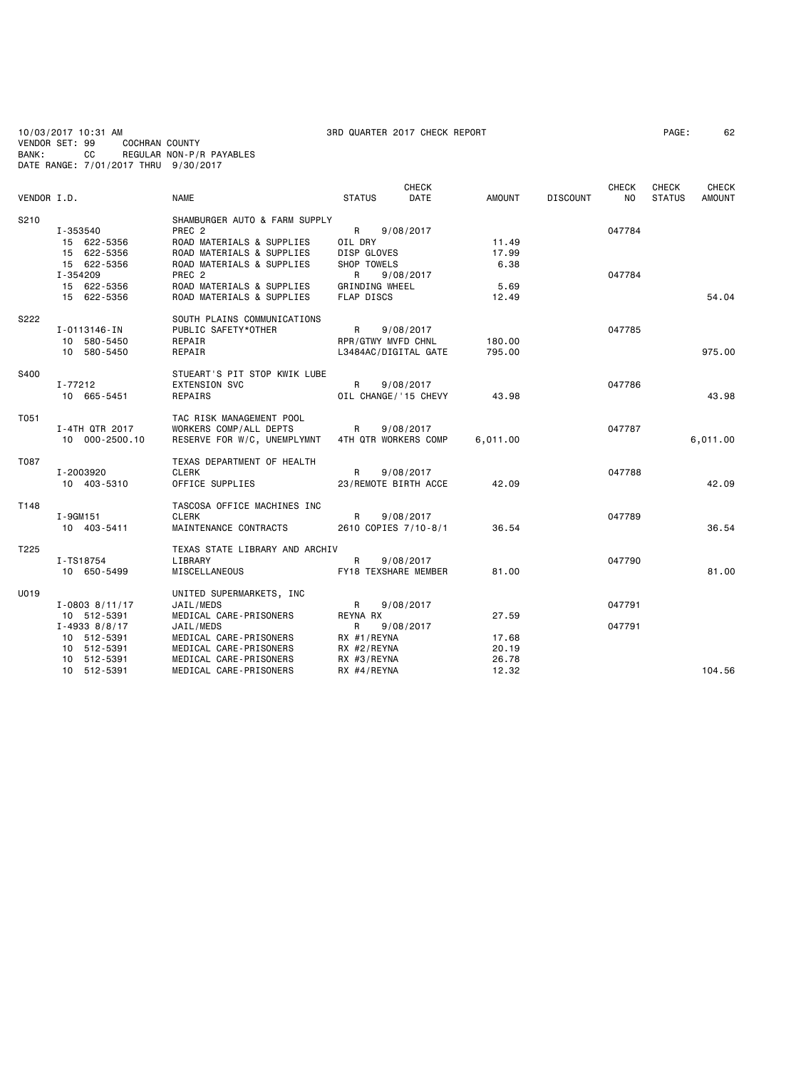10/03/2017 10:31 AM 3RD QUARTER 2017 CHECK REPORT PAGE: 62 VENDOR SET: 99 COCHRAN COUNTY BANK: CC REGULAR NON-P/R PAYABLES DATE RANGE: 7/01/2017 THRU 9/30/2017

|             |                   |                                                  |                      | <b>CHECK</b> |               |                 | <b>CHECK</b> | CHECK         | CHECK    |
|-------------|-------------------|--------------------------------------------------|----------------------|--------------|---------------|-----------------|--------------|---------------|----------|
| VENDOR I.D. |                   | <b>NAME</b>                                      | <b>STATUS</b>        | DATE         | <b>AMOUNT</b> | <b>DISCOUNT</b> | NO.          | <b>STATUS</b> | AMOUNT   |
| S210        |                   | SHAMBURGER AUTO & FARM SUPPLY                    |                      |              |               |                 |              |               |          |
|             | I-353540          | PREC <sub>2</sub>                                | R                    | 9/08/2017    |               |                 | 047784       |               |          |
|             | 15 622-5356       | ROAD MATERIALS & SUPPLIES                        | OIL DRY              |              | 11.49         |                 |              |               |          |
|             | 15 622-5356       | ROAD MATERIALS & SUPPLIES                        | DISP GLOVES          |              | 17.99         |                 |              |               |          |
|             | 15 622-5356       | ROAD MATERIALS & SUPPLIES                        | SHOP TOWELS          |              | 6.38          |                 |              |               |          |
|             | I-354209          | PREC <sub>2</sub>                                | R                    | 9/08/2017    |               |                 | 047784       |               |          |
|             | 15 622-5356       | ROAD MATERIALS & SUPPLIES                        | GRINDING WHEEL       |              | 5.69          |                 |              |               |          |
|             | 15 622-5356       | ROAD MATERIALS & SUPPLIES                        | FLAP DISCS           |              | 12.49         |                 |              |               | 54.04    |
| S222        |                   | SOUTH PLAINS COMMUNICATIONS                      |                      |              |               |                 |              |               |          |
|             | I-0113146-IN      | PUBLIC SAFETY*OTHER                              | R                    | 9/08/2017    |               |                 | 047785       |               |          |
|             | 10 580-5450       | REPAIR                                           | RPR/GTWY MVFD CHNL   |              | 180.00        |                 |              |               |          |
|             | 10 580-5450       | REPAIR                                           | L3484AC/DIGITAL GATE |              | 795.00        |                 |              |               | 975.00   |
| S400        |                   | STUEART'S PIT STOP KWIK LUBE                     |                      |              |               |                 |              |               |          |
|             | I-77212           | <b>EXTENSION SVC</b>                             | R                    | 9/08/2017    |               |                 | 047786       |               |          |
|             | 10 665-5451       | REPAIRS                                          | OIL CHANGE/'15 CHEVY |              | 43.98         |                 |              |               | 43.98    |
|             |                   |                                                  |                      |              |               |                 |              |               |          |
| T051        |                   | TAC RISK MANAGEMENT POOL                         |                      |              |               |                 |              |               |          |
|             | I-4TH QTR 2017    | WORKERS COMP/ALL DEPTS                           | R                    | 9/08/2017    |               |                 | 047787       |               |          |
|             | 10 000-2500.10    | RESERVE FOR W/C, UNEMPLYMNT 4TH QTR WORKERS COMP |                      |              | 6,011.00      |                 |              |               | 6,011.00 |
| T087        |                   | TEXAS DEPARTMENT OF HEALTH                       |                      |              |               |                 |              |               |          |
|             | I-2003920         | CLERK                                            | R                    | 9/08/2017    |               |                 | 047788       |               |          |
|             | 10 403-5310       | OFFICE SUPPLIES                                  | 23/REMOTE BIRTH ACCE |              | 42.09         |                 |              |               | 42.09    |
| T148        |                   | TASCOSA OFFICE MACHINES INC                      |                      |              |               |                 |              |               |          |
|             | I-9GM151          | <b>CLERK</b>                                     | R                    | 9/08/2017    |               |                 | 047789       |               |          |
|             | 10 403-5411       | MAINTENANCE CONTRACTS                            | 2610 COPIES 7/10-8/1 |              | 36.54         |                 |              |               | 36.54    |
|             |                   |                                                  |                      |              |               |                 |              |               |          |
| T225        |                   | TEXAS STATE LIBRARY AND ARCHIV                   |                      |              |               |                 |              |               |          |
|             | I-TS18754         | LIBRARY                                          | R                    | 9/08/2017    |               |                 | 047790       |               |          |
|             | 10 650-5499       | MISCELLANEOUS                                    | FY18 TEXSHARE MEMBER |              | 81.00         |                 |              |               | 81.00    |
| U019        |                   | UNITED SUPERMARKETS, INC                         |                      |              |               |                 |              |               |          |
|             | $I-0803$ 8/11/17  | JAIL/MEDS                                        | R                    | 9/08/2017    |               |                 | 047791       |               |          |
|             | 10 512-5391       | MEDICAL CARE-PRISONERS                           | REYNA RX             |              | 27.59         |                 |              |               |          |
|             | $I - 4933$ 8/8/17 | JAIL/MEDS                                        | R                    | 9/08/2017    |               |                 | 047791       |               |          |
|             | 10 512-5391       | MEDICAL CARE-PRISONERS                           | RX #1/REYNA          |              | 17.68         |                 |              |               |          |
|             | 10 512-5391       | MEDICAL CARE-PRISONERS                           | RX #2/REYNA          |              | 20.19         |                 |              |               |          |
|             | 10 512-5391       | MEDICAL CARE-PRISONERS                           | RX #3/REYNA          |              | 26.78         |                 |              |               |          |
|             | 10 512-5391       | MEDICAL CARE-PRISONERS                           | RX #4/REYNA          |              | 12.32         |                 |              |               | 104.56   |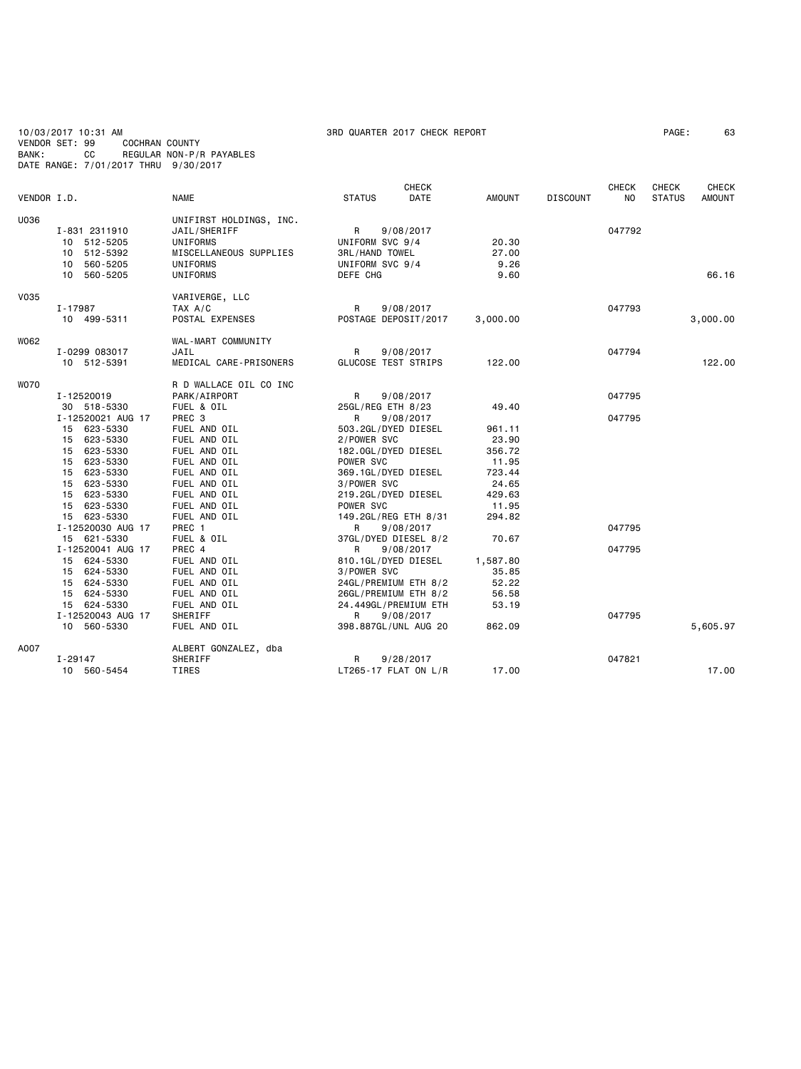10/03/2017 10:31 AM 3RD QUARTER 2017 CHECK REPORT PAGE: 63 VENDOR SET: 99 COCHRAN COUNTY BANK: CC REGULAR NON-P/R PAYABLES DATE RANGE: 7/01/2017 THRU 9/30/2017

| VENDOR I.D. |                               | <b>NAME</b>                     | <b>STATUS</b>              | <b>CHECK</b><br><b>DATE</b> | <b>AMOUNT</b>  | <b>DISCOUNT</b> | <b>CHECK</b><br>NO. | <b>CHECK</b><br><b>STATUS</b> | <b>CHECK</b><br>AMOUNT |
|-------------|-------------------------------|---------------------------------|----------------------------|-----------------------------|----------------|-----------------|---------------------|-------------------------------|------------------------|
|             |                               |                                 |                            |                             |                |                 |                     |                               |                        |
| U036        |                               | UNIFIRST HOLDINGS, INC.         |                            |                             |                |                 |                     |                               |                        |
|             | I-831 2311910<br>10 512-5205  | JAIL/SHERIFF<br><b>UNIFORMS</b> | R<br>UNIFORM SVC 9/4       | 9/08/2017                   | 20.30          |                 | 047792              |                               |                        |
|             | 10 512-5392                   | MISCELLANEOUS SUPPLIES          | <b>3RL/HAND TOWEL</b>      |                             | 27.00          |                 |                     |                               |                        |
|             | 10 560-5205                   | UNIFORMS                        | UNIFORM SVC 9/4            |                             | 9.26           |                 |                     |                               |                        |
|             | 10 560-5205                   | UNIFORMS                        | DEFE CHG                   |                             | 9.60           |                 |                     |                               | 66.16                  |
| <b>V035</b> |                               | VARIVERGE, LLC                  |                            |                             |                |                 |                     |                               |                        |
|             | I-17987                       | TAX A/C                         | R                          | 9/08/2017                   |                |                 | 047793              |                               |                        |
|             | 10 499-5311                   | POSTAL EXPENSES                 | POSTAGE DEPOSIT/2017       |                             | 3,000.00       |                 |                     |                               | 3,000.00               |
|             |                               |                                 |                            |                             |                |                 |                     |                               |                        |
| W062        |                               | WAL-MART COMMUNITY              |                            |                             |                |                 |                     |                               |                        |
|             | I-0299 083017                 | JAIL                            | R                          | 9/08/2017                   |                |                 | 047794              |                               |                        |
|             | 10 512-5391                   | MEDICAL CARE-PRISONERS          | <b>GLUCOSE TEST STRIPS</b> |                             | 122,00         |                 |                     |                               | 122,00                 |
| <b>WO70</b> |                               | R D WALLACE OIL CO INC          |                            |                             |                |                 |                     |                               |                        |
|             | I-12520019                    | PARK/AIRPORT                    | R                          | 9/08/2017                   |                |                 | 047795              |                               |                        |
|             | 30 518-5330                   | FUEL & OIL                      | 25GL/REG ETH 8/23          |                             | 49.40          |                 |                     |                               |                        |
|             | I-12520021 AUG 17             | PREC 3                          | R                          | 9/08/2017                   |                |                 | 047795              |                               |                        |
|             | 15 623-5330                   | FUEL AND OIL                    | 503.2GL/DYED DIESEL        |                             | 961.11         |                 |                     |                               |                        |
|             | 15 623-5330                   | FUEL AND OIL                    | 2/POWER SVC                |                             | 23.90          |                 |                     |                               |                        |
|             | 15 623-5330                   | FUEL AND OIL                    | 182.0GL/DYED DIESEL        |                             | 356.72         |                 |                     |                               |                        |
|             | 623-5330<br>15                | FUEL AND OIL                    | POWER SVC                  |                             | 11.95          |                 |                     |                               |                        |
|             | 15 623-5330                   | FUEL AND OIL                    | 369.1GL/DYED DIESEL        |                             | 723.44         |                 |                     |                               |                        |
|             | 623-5330<br>15                | FUEL AND OIL                    | 3/POWER SVC                |                             | 24.65          |                 |                     |                               |                        |
|             | 15<br>623-5330                | FUEL AND OIL                    | 219.2GL/DYED DIESEL        |                             | 429.63         |                 |                     |                               |                        |
|             | 15 623-5330                   | FUEL AND OIL                    | POWER SVC                  |                             | 11.95          |                 |                     |                               |                        |
|             | 15 623-5330                   | FUEL AND OIL                    | 149.2GL/REG ETH 8/31       |                             | 294.82         |                 |                     |                               |                        |
|             | I-12520030 AUG 17             | PREC 1                          | R.                         | 9/08/2017                   |                |                 | 047795              |                               |                        |
|             | 15 621-5330                   | FUEL & OIL                      | 37GL/DYED DIESEL 8/2       |                             | 70.67          |                 |                     |                               |                        |
|             | I-12520041 AUG 17             | PREC 4                          | R                          | 9/08/2017                   |                |                 | 047795              |                               |                        |
|             | 15 624-5330                   | FUEL AND OIL                    | 810.1GL/DYED DIESEL        |                             | 1,587.80       |                 |                     |                               |                        |
|             | 15 624-5330                   | FUEL AND OIL<br>FUEL AND OIL    | 3/POWER SVC                |                             | 35.85<br>52.22 |                 |                     |                               |                        |
|             | 15 624-5330                   | FUEL AND OIL                    | 24GL/PREMIUM ETH 8/2       |                             |                |                 |                     |                               |                        |
|             | 624-5330<br>15<br>15 624-5330 | FUEL AND OIL                    | 26GL/PREMIUM ETH 8/2       |                             | 56.58<br>53.19 |                 |                     |                               |                        |
|             | I-12520043 AUG 17             | SHERIFF                         | 24.449GL/PREMIUM ETH<br>R  | 9/08/2017                   |                |                 | 047795              |                               |                        |
|             | 10 560-5330                   | FUEL AND OIL                    | 398.887GL/UNL AUG 20       |                             | 862.09         |                 |                     |                               | 5,605.97               |
|             |                               |                                 |                            |                             |                |                 |                     |                               |                        |
| A007        |                               | ALBERT GONZALEZ, dba            |                            |                             |                |                 |                     |                               |                        |
|             | I-29147                       | SHERIFF                         | R                          | 9/28/2017                   |                |                 | 047821              |                               |                        |
|             | 10 560-5454                   | TIRES                           | $LT265-17$ FLAT ON $L/R$   |                             | 17.00          |                 |                     |                               | 17.00                  |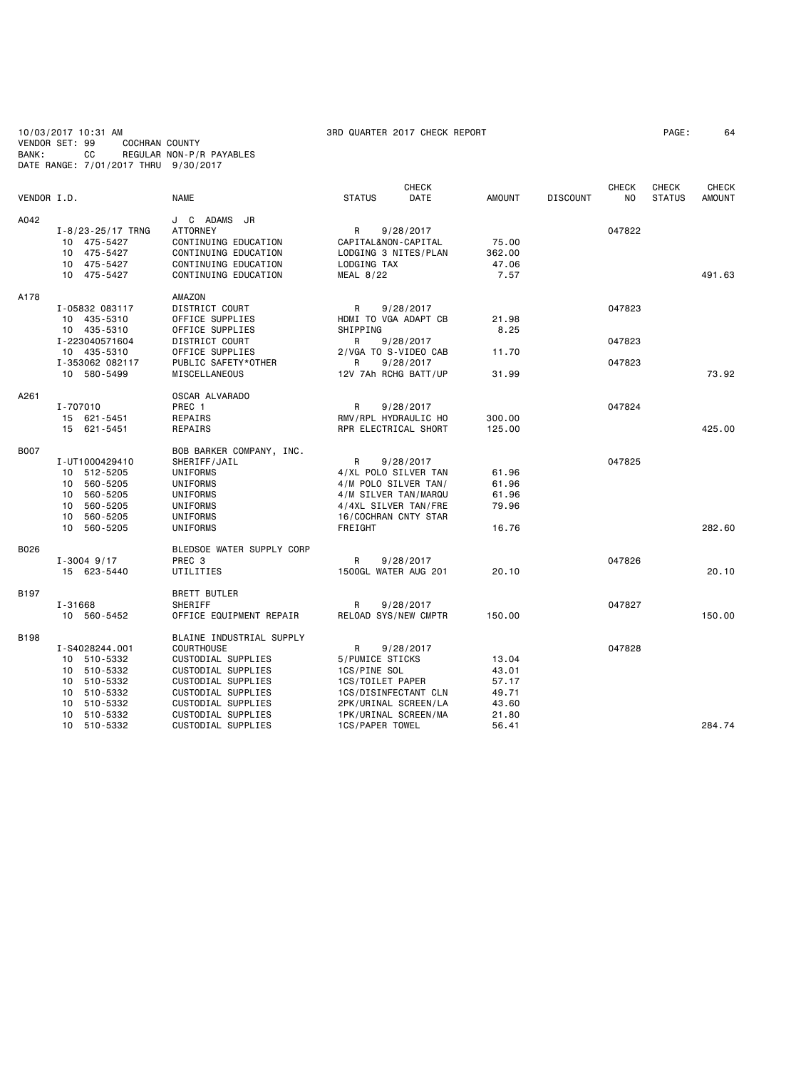10/03/2017 10:31 AM 3RD QUARTER 2017 CHECK REPORT PAGE: 64 VENDOR SET: 99 COCHRAN COUNTY BANK: CC REGULAR NON-P/R PAYABLES DATE RANGE: 7/01/2017 THRU 9/30/2017

| VENDOR I.D. |                                                                                                                                        | <b>NAME</b>                                                                                                                                                                                      | <b>STATUS</b>                                                                                                                                       | <b>CHECK</b><br>DATE   | <b>AMOUNT</b>                                               | <b>DISCOUNT</b> | <b>CHECK</b><br>NO. | CHECK<br><b>STATUS</b> | <b>CHECK</b><br><b>AMOUNT</b> |
|-------------|----------------------------------------------------------------------------------------------------------------------------------------|--------------------------------------------------------------------------------------------------------------------------------------------------------------------------------------------------|-----------------------------------------------------------------------------------------------------------------------------------------------------|------------------------|-------------------------------------------------------------|-----------------|---------------------|------------------------|-------------------------------|
| A042        | $I - 8/23 - 25/17$ TRNG<br>10 475-5427<br>10 475-5427<br>10 475-5427<br>10 475-5427                                                    | J C ADAMS JR<br><b>ATTORNEY</b><br>CONTINUING EDUCATION<br>CONTINUING EDUCATION<br>CONTINUING EDUCATION<br>CONTINUING EDUCATION                                                                  | R<br>CAPITAL&NON-CAPITAL<br>LODGING 3 NITES/PLAN<br>LODGING TAX<br><b>MEAL 8/22</b>                                                                 | 9/28/2017              | 75.00<br>362.00<br>47.06<br>7.57                            |                 | 047822              |                        | 491.63                        |
| A178        | I-05832 083117<br>10 435-5310<br>10 435-5310<br>I-223040571604<br>10 435-5310                                                          | AMAZON<br>DISTRICT COURT<br>OFFICE SUPPLIES<br>OFFICE SUPPLIES<br>DISTRICT COURT<br>OFFICE SUPPLIES                                                                                              | R<br>HDMI TO VGA ADAPT CB<br>SHIPPING<br>R<br>2/VGA TO S-VIDEO CAB                                                                                  | 9/28/2017<br>9/28/2017 | 21.98<br>8.25<br>11.70                                      |                 | 047823<br>047823    |                        |                               |
|             | I-353062 082117<br>10 580-5499                                                                                                         | PUBLIC SAFETY*OTHER<br>MISCELLANEOUS                                                                                                                                                             | R<br>12V 7Ah RCHG BATT/UP                                                                                                                           | 9/28/2017              | 31.99                                                       |                 | 047823              |                        | 73.92                         |
| A261        | I-707010<br>15 621-5451<br>15 621-5451                                                                                                 | OSCAR ALVARADO<br>PREC 1<br>REPAIRS<br>REPAIRS                                                                                                                                                   | R<br>RMV/RPL HYDRAULIC HO<br>RPR ELECTRICAL SHORT                                                                                                   | 9/28/2017              | 300.00<br>125.00                                            |                 | 047824              |                        | 425.00                        |
| <b>B007</b> | I-UT1000429410<br>10 512-5205<br>560-5205<br>10<br>560-5205<br>10<br>560-5205<br>10<br>10<br>560-5205<br>10 560-5205                   | BOB BARKER COMPANY, INC.<br>SHERIFF/JAIL<br>UNIFORMS<br>UNIFORMS<br>UNIFORMS<br><b>UNIFORMS</b><br>UNIFORMS<br>UNIFORMS                                                                          | R<br>4/XL POLO SILVER TAN<br>4/M POLO SILVER TAN/<br>4/M SILVER TAN/MARQU<br>4/4XL SILVER TAN/FRE<br>16/COCHRAN CNTY STAR<br>FREIGHT                | 9/28/2017              | 61.96<br>61.96<br>61.96<br>79.96<br>16.76                   |                 | 047825              |                        | 282.60                        |
| B026        | $I - 3004$ 9/17<br>15 623-5440                                                                                                         | BLEDSOE WATER SUPPLY CORP<br>PREC 3<br>UTILITIES                                                                                                                                                 | R<br>1500GL WATER AUG 201                                                                                                                           | 9/28/2017              | 20.10                                                       |                 | 047826              |                        | 20.10                         |
| B197        | I-31668<br>10 560-5452                                                                                                                 | <b>BRETT BUTLER</b><br>SHERIFF<br>OFFICE EQUIPMENT REPAIR                                                                                                                                        | R<br>RELOAD SYS/NEW CMPTR                                                                                                                           | 9/28/2017              | 150.00                                                      |                 | 047827              |                        | 150.00                        |
| B198        | I-S4028244.001<br>10 510-5332<br>510-5332<br>10<br>510-5332<br>10<br>510-5332<br>10<br>510-5332<br>10<br>510-5332<br>10<br>10 510-5332 | BLAINE INDUSTRIAL SUPPLY<br>COURTHOUSE<br>CUSTODIAL SUPPLIES<br>CUSTODIAL SUPPLIES<br>CUSTODIAL SUPPLIES<br>CUSTODIAL SUPPLIES<br>CUSTODIAL SUPPLIES<br>CUSTODIAL SUPPLIES<br>CUSTODIAL SUPPLIES | R<br>5/PUMICE STICKS<br>1CS/PINE SOL<br>1CS/TOILET PAPER<br>1CS/DISINFECTANT CLN<br>2PK/URINAL SCREEN/LA<br>1PK/URINAL SCREEN/MA<br>1CS/PAPER TOWEL | 9/28/2017              | 13.04<br>43.01<br>57.17<br>49.71<br>43.60<br>21.80<br>56.41 |                 | 047828              |                        | 284.74                        |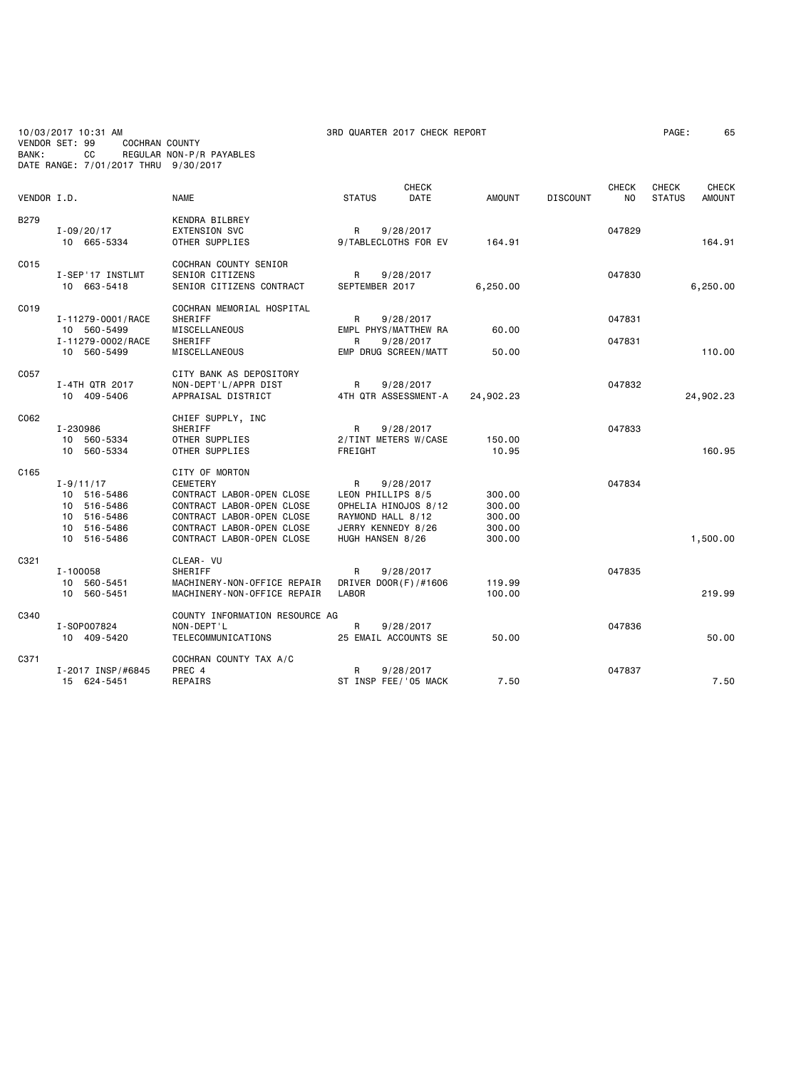10/03/2017 10:31 AM 3RD QUARTER 2017 CHECK REPORT PAGE: 65 VENDOR SET: 99 COCHRAN COUNTY BANK: CC REGULAR NON-P/R PAYABLES DATE RANGE: 7/01/2017 THRU 9/30/2017

| VENDOR I.D. |                   | <b>NAME</b>                    | <b>STATUS</b>      | <b>CHECK</b><br>DATE | <b>AMOUNT</b> | <b>DISCOUNT</b> | <b>CHECK</b><br>N <sub>O</sub> | <b>CHECK</b><br><b>STATUS</b> | <b>CHECK</b><br><b>AMOUNT</b> |
|-------------|-------------------|--------------------------------|--------------------|----------------------|---------------|-----------------|--------------------------------|-------------------------------|-------------------------------|
|             |                   |                                |                    |                      |               |                 |                                |                               |                               |
| <b>B279</b> |                   | KENDRA BILBREY                 |                    |                      |               |                 |                                |                               |                               |
|             | $I - 09/20/17$    | <b>EXTENSION SVC</b>           | $\mathsf{R}$       | 9/28/2017            |               |                 | 047829                         |                               |                               |
|             | 10 665-5334       | OTHER SUPPLIES                 |                    | 9/TABLECLOTHS FOR EV | 164.91        |                 |                                |                               | 164.91                        |
| C015        |                   | COCHRAN COUNTY SENIOR          |                    |                      |               |                 |                                |                               |                               |
|             | I-SEP'17 INSTLMT  | <b>SENIOR CITIZENS</b>         | R                  | 9/28/2017            |               |                 | 047830                         |                               |                               |
|             | 10 663-5418       | SENIOR CITIZENS CONTRACT       | SEPTEMBER 2017     |                      | 6,250.00      |                 |                                |                               | 6,250.00                      |
| C019        |                   | COCHRAN MEMORIAL HOSPITAL      |                    |                      |               |                 |                                |                               |                               |
|             | I-11279-0001/RACE | SHERIFF                        | R                  | 9/28/2017            |               |                 | 047831                         |                               |                               |
|             | 10 560-5499       | MISCELLANEOUS                  |                    | EMPL PHYS/MATTHEW RA | 60.00         |                 |                                |                               |                               |
|             | I-11279-0002/RACE | SHERIFF                        | R                  | 9/28/2017            |               |                 | 047831                         |                               |                               |
|             | 10 560-5499       | MISCELLANEOUS                  |                    | EMP DRUG SCREEN/MATT | 50.00         |                 |                                |                               | 110.00                        |
| C057        |                   | CITY BANK AS DEPOSITORY        |                    |                      |               |                 |                                |                               |                               |
|             | I-4TH QTR 2017    | NON-DEPT'L/APPR DIST           | R                  | 9/28/2017            |               |                 | 047832                         |                               |                               |
|             | 10 409-5406       | APPRAISAL DISTRICT             |                    | 4TH QTR ASSESSMENT-A | 24,902.23     |                 |                                |                               | 24,902.23                     |
| C062        |                   | CHIEF SUPPLY, INC              |                    |                      |               |                 |                                |                               |                               |
|             | I-230986          | SHERIFF                        | R                  | 9/28/2017            |               |                 | 047833                         |                               |                               |
|             | 10 560-5334       | OTHER SUPPLIES                 |                    | 2/TINT METERS W/CASE | 150.00        |                 |                                |                               |                               |
|             | 10 560-5334       | OTHER SUPPLIES                 | FREIGHT            |                      | 10.95         |                 |                                |                               | 160.95                        |
| C165        |                   | CITY OF MORTON                 |                    |                      |               |                 |                                |                               |                               |
|             | $I - 9/11/17$     | <b>CEMETERY</b>                | R                  | 9/28/2017            |               |                 | 047834                         |                               |                               |
|             | 10 516-5486       | CONTRACT LABOR-OPEN CLOSE      | LEON PHILLIPS 8/5  |                      | 300.00        |                 |                                |                               |                               |
|             | 10 516-5486       | CONTRACT LABOR-OPEN CLOSE      |                    | OPHELIA HINOJOS 8/12 | 300.00        |                 |                                |                               |                               |
|             | 10 516-5486       | CONTRACT LABOR-OPEN CLOSE      | RAYMOND HALL 8/12  |                      | 300.00        |                 |                                |                               |                               |
|             | 10 516-5486       | CONTRACT LABOR-OPEN CLOSE      | JERRY KENNEDY 8/26 |                      | 300.00        |                 |                                |                               |                               |
|             | 10 516-5486       | CONTRACT LABOR-OPEN CLOSE      | HUGH HANSEN 8/26   |                      | 300.00        |                 |                                |                               | 1,500.00                      |
| C321        |                   | CLEAR- VU                      |                    |                      |               |                 |                                |                               |                               |
|             | $I - 100058$      | SHERIFF                        | R                  | 9/28/2017            |               |                 | 047835                         |                               |                               |
|             | 10 560-5451       | MACHINERY-NON-OFFICE REPAIR    |                    | DRIVER DOOR(F)/#1606 | 119.99        |                 |                                |                               |                               |
|             | 10 560-5451       | MACHINERY-NON-OFFICE REPAIR    | LABOR              |                      | 100.00        |                 |                                |                               | 219.99                        |
| C340        |                   | COUNTY INFORMATION RESOURCE AG |                    |                      |               |                 |                                |                               |                               |
|             | I-S0P007824       | NON-DEPT'L                     | R                  | 9/28/2017            |               |                 | 047836                         |                               |                               |
|             | 10 409-5420       | TELECOMMUNICATIONS             |                    | 25 EMAIL ACCOUNTS SE | 50.00         |                 |                                |                               | 50.00                         |
| C371        |                   | COCHRAN COUNTY TAX A/C         |                    |                      |               |                 |                                |                               |                               |
|             | I-2017 INSP/#6845 | PREC 4                         | R                  | 9/28/2017            |               |                 | 047837                         |                               |                               |
|             | 15 624-5451       | REPAIRS                        |                    | ST INSP FEE/'05 MACK | 7.50          |                 |                                |                               | 7.50                          |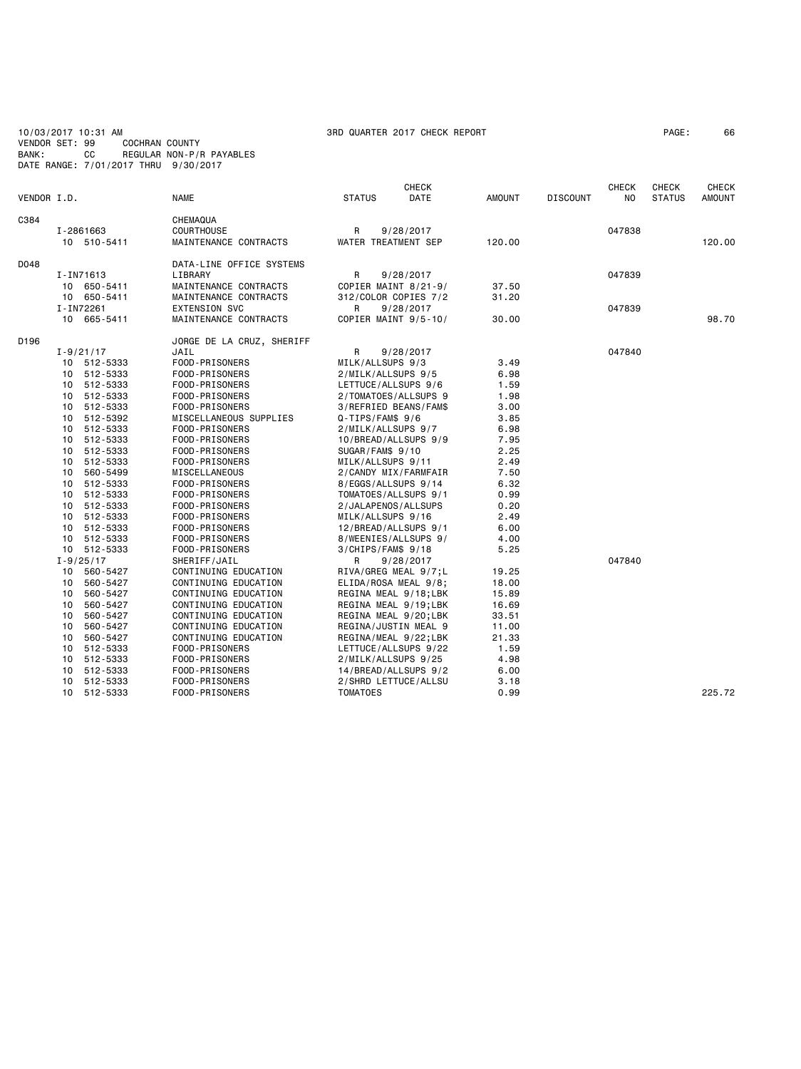## 10/03/2017 10:31 AM 3RD QUARTER 2017 CHECK REPORT PAGE: 66 VENDOR SET: 99 COCHRAN COUNTY BANK: CC REGULAR NON-P/R PAYABLES DATE RANGE: 7/01/2017 THRU 9/30/2017

| VENDOR I.D. |               |                      | <b>NAME</b>                                  | <b>STATUS</b>       | <b>CHECK</b><br>DATE                         | <b>AMOUNT</b>  | <b>DISCOUNT</b> | <b>CHECK</b><br>NO. | <b>CHECK</b><br><b>STATUS</b> | <b>CHECK</b><br><b>AMOUNT</b> |
|-------------|---------------|----------------------|----------------------------------------------|---------------------|----------------------------------------------|----------------|-----------------|---------------------|-------------------------------|-------------------------------|
|             |               |                      |                                              |                     |                                              |                |                 |                     |                               |                               |
| C384        |               |                      | CHEMAQUA                                     |                     |                                              |                |                 |                     |                               |                               |
|             | I-2861663     |                      | COURTHOUSE                                   | R                   | 9/28/2017                                    |                |                 | 047838              |                               |                               |
|             |               | 10 510-5411          | MAINTENANCE CONTRACTS                        |                     | WATER TREATMENT SEP                          | 120.00         |                 |                     |                               | 120,00                        |
| D048        |               |                      | DATA-LINE OFFICE SYSTEMS                     |                     |                                              |                |                 |                     |                               |                               |
|             | I-IN71613     |                      | LIBRARY                                      | R                   | 9/28/2017                                    |                |                 | 047839              |                               |                               |
|             |               | 10 650-5411          | MAINTENANCE CONTRACTS                        |                     | COPIER MAINT 8/21-9/                         | 37.50          |                 |                     |                               |                               |
|             |               | 10 650-5411          | MAINTENANCE CONTRACTS                        |                     | 312/COLOR COPIES 7/2                         | 31.20          |                 |                     |                               |                               |
|             | I-IN72261     |                      | <b>EXTENSION SVC</b>                         | R                   | 9/28/2017                                    |                |                 | 047839              |                               |                               |
|             |               | 10 665-5411          | MAINTENANCE CONTRACTS                        |                     | COPIER MAINT 9/5-10/                         | 30.00          |                 |                     |                               | 98.70                         |
| D196        |               |                      | JORGE DE LA CRUZ, SHERIFF                    |                     |                                              |                |                 |                     |                               |                               |
|             | $I - 9/21/17$ |                      | JAIL                                         | R                   | 9/28/2017                                    |                |                 | 047840              |                               |                               |
|             |               | 10 512-5333          | FOOD-PRISONERS                               | MILK/ALLSUPS 9/3    |                                              | 3.49           |                 |                     |                               |                               |
|             |               | 10 512-5333          | FOOD-PRISONERS                               | 2/MILK/ALLSUPS 9/5  |                                              | 6.98           |                 |                     |                               |                               |
|             |               | 10 512-5333          | FOOD-PRISONERS                               |                     | LETTUCE/ALLSUPS 9/6                          | 1.59           |                 |                     |                               |                               |
|             |               | 10 512-5333          | FOOD-PRISONERS                               |                     | 2/TOMATOES/ALLSUPS 9                         | 1.98           |                 |                     |                               |                               |
|             |               | 10 512-5333          | FOOD-PRISONERS                               |                     | 3/REFRIED BEANS/FAM\$                        | 3.00           |                 |                     |                               |                               |
|             |               | 10 512-5392          | MISCELLANEOUS SUPPLIES                       | $Q-TIPS/FAMS$ 9/6   |                                              | 3.85           |                 |                     |                               |                               |
|             |               | 10 512-5333          | FOOD-PRISONERS                               | 2/MILK/ALLSUPS 9/7  |                                              | 6.98           |                 |                     |                               |                               |
|             |               | 10 512-5333          | FOOD-PRISONERS                               |                     | 10/BREAD/ALLSUPS 9/9                         | 7.95           |                 |                     |                               |                               |
|             |               | 10 512-5333          | FOOD-PRISONERS                               | SUGAR/FAM\$ 9/10    |                                              | 2.25           |                 |                     |                               |                               |
|             |               | 10 512-5333          | FOOD-PRISONERS                               | MILK/ALLSUPS 9/11   |                                              | 2.49           |                 |                     |                               |                               |
|             |               | 10 560-5499          | MISCELLANEOUS                                |                     | 2/CANDY MIX/FARMFAIR                         | 7.50           |                 |                     |                               |                               |
|             | 10            | 512-5333             | FOOD-PRISONERS                               |                     | 8/EGGS/ALLSUPS 9/14                          | 6.32           |                 |                     |                               |                               |
|             |               | 10 512-5333          | FOOD-PRISONERS                               |                     | TOMATOES/ALLSUPS 9/1                         | 0.99           |                 |                     |                               |                               |
|             |               | 10 512-5333          | FOOD-PRISONERS                               |                     | 2/JALAPENOS/ALLSUPS                          | 0.20           |                 |                     |                               |                               |
|             |               | 10 512-5333          | FOOD-PRISONERS                               | MILK/ALLSUPS 9/16   |                                              | 2.49           |                 |                     |                               |                               |
|             |               | 10 512-5333          | FOOD-PRISONERS                               |                     | 12/BREAD/ALLSUPS 9/1                         | 6.00           |                 |                     |                               |                               |
|             | 10            | 512-5333             | FOOD-PRISONERS                               |                     | 8/WEENIES/ALLSUPS 9/                         | 4.00           |                 |                     |                               |                               |
|             |               | 10 512-5333          | FOOD-PRISONERS                               | $3/CHIPS/FAMS$ 9/18 |                                              | 5.25           |                 |                     |                               |                               |
|             | $I - 9/25/17$ |                      | SHERIFF/JAIL                                 | R                   | 9/28/2017                                    |                |                 | 047840              |                               |                               |
|             |               | 10 560-5427          | CONTINUING EDUCATION                         |                     | RIVA/GREG MEAL 9/7;L                         | 19.25<br>18.00 |                 |                     |                               |                               |
|             |               | 10 560-5427          | CONTINUING EDUCATION                         |                     | ELIDA/ROSA MEAL 9/8;                         |                |                 |                     |                               |                               |
|             | 10            | 560-5427             | CONTINUING EDUCATION                         |                     | REGINA MEAL 9/18;LBK<br>REGINA MEAL 9/19;LBK | 15.89          |                 |                     |                               |                               |
|             | 10<br>10      | 560-5427<br>560-5427 | CONTINUING EDUCATION<br>CONTINUING EDUCATION |                     | REGINA MEAL 9/20;LBK                         | 16.69<br>33.51 |                 |                     |                               |                               |
|             | 10            | 560-5427             | CONTINUING EDUCATION                         |                     | REGINA/JUSTIN MEAL 9                         | 11.00          |                 |                     |                               |                               |
|             |               | 10 560-5427          | CONTINUING EDUCATION                         |                     |                                              | 21.33          |                 |                     |                               |                               |
|             |               | 10 512-5333          | FOOD-PRISONERS                               |                     | REGINA/MEAL 9/22;LBK<br>LETTUCE/ALLSUPS 9/22 | 1.59           |                 |                     |                               |                               |
|             |               | 10 512-5333          | FOOD-PRISONERS                               |                     | 2/MILK/ALLSUPS 9/25                          | 4.98           |                 |                     |                               |                               |
|             |               | 10 512-5333          | FOOD-PRISONERS                               |                     | 14/BREAD/ALLSUPS 9/2                         | 6.00           |                 |                     |                               |                               |
|             | 10            | 512-5333             | FOOD-PRISONERS                               |                     | 2/SHRD LETTUCE/ALLSU                         | 3.18           |                 |                     |                               |                               |
|             |               | 10 512-5333          | FOOD-PRISONERS                               | <b>TOMATOES</b>     |                                              | 0.99           |                 |                     |                               | 225.72                        |
|             |               |                      |                                              |                     |                                              |                |                 |                     |                               |                               |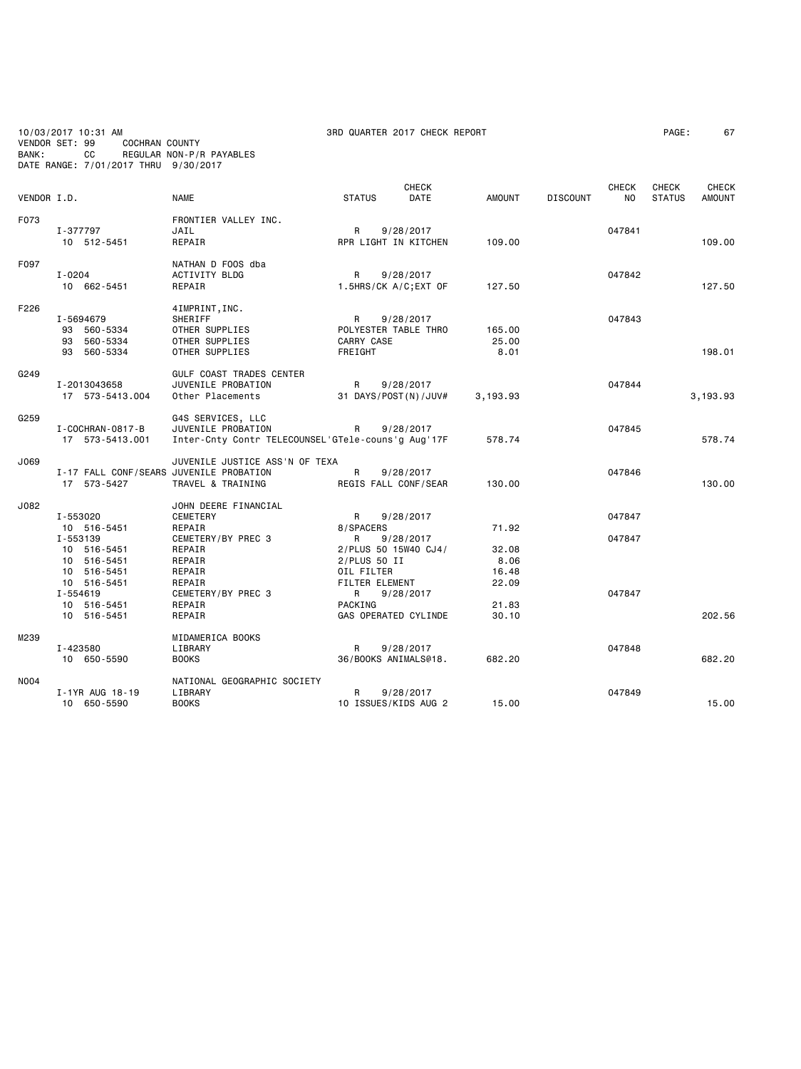10/03/2017 10:31 AM 3RD QUARTER 2017 CHECK REPORT PAGE: 67 VENDOR SET: 99 COCHRAN COUNTY BANK: CC REGULAR NON-P/R PAYABLES DATE RANGE: 7/01/2017 THRU 9/30/2017

| VENDOR I.D. |                                                                      | <b>NAME</b>                                                                                   | <b>STATUS</b>                                                        | <b>CHECK</b><br><b>DATE</b> | AMOUNT                           | <b>DISCOUNT</b> | <b>CHECK</b><br><b>NO</b> | <b>CHECK</b><br><b>STATUS</b> | <b>CHECK</b><br><b>AMOUNT</b> |
|-------------|----------------------------------------------------------------------|-----------------------------------------------------------------------------------------------|----------------------------------------------------------------------|-----------------------------|----------------------------------|-----------------|---------------------------|-------------------------------|-------------------------------|
| F073        | I-377797<br>10 512-5451                                              | FRONTIER VALLEY INC.<br>JAIL<br>REPAIR                                                        | R<br>RPR LIGHT IN KITCHEN                                            | 9/28/2017                   | 109.00                           |                 | 047841                    |                               | 109.00                        |
| F097        | $I - 0204$<br>10 662-5451                                            | NATHAN D FOOS dba<br><b>ACTIVITY BLDG</b><br>REPAIR                                           | R<br>1.5HRS/CK A/C;EXT OF                                            | 9/28/2017                   | 127.50                           |                 | 047842                    |                               | 127.50                        |
| F226        | I-5694679<br>93 560-5334<br>93 560-5334<br>93 560-5334               | 4IMPRINT, INC.<br><b>SHERIFF</b><br>OTHER SUPPLIES<br>OTHER SUPPLIES<br>OTHER SUPPLIES        | R<br>POLYESTER TABLE THRO<br>CARRY CASE<br>FREIGHT                   | 9/28/2017                   | 165.00<br>25.00<br>8.01          |                 | 047843                    |                               | 198.01                        |
| G249        | I-2013043658<br>17 573-5413.004                                      | GULF COAST TRADES CENTER<br>JUVENILE PROBATION<br>Other Placements                            | R<br>31 DAYS/POST(N)/JUV#                                            | 9/28/2017                   | 3,193.93                         |                 | 047844                    |                               | 3,193.93                      |
| G259        | I-COCHRAN-0817-B<br>17 573-5413.001                                  | G4S SERVICES, LLC<br>JUVENILE PROBATION<br>Inter-Cnty Contr TELECOUNSEL'GTele-couns'g Aug'17F | R                                                                    | 9/28/2017                   | 578.74                           |                 | 047845                    |                               | 578.74                        |
| J069        | I-17 FALL CONF/SEARS JUVENILE PROBATION<br>17 573-5427               | JUVENILE JUSTICE ASS'N OF TEXA<br>TRAVEL & TRAINING                                           | R<br>REGIS FALL CONF/SEAR                                            | 9/28/2017                   | 130.00                           |                 | 047846                    |                               | 130.00                        |
| J082        | I-553020<br>10 516-5451<br>I-553139<br>10 516-5451<br>10 516-5451    | JOHN DEERE FINANCIAL<br><b>CEMETERY</b><br>REPAIR<br>CEMETERY/BY PREC 3<br>REPAIR<br>REPAIR   | R<br>8/SPACERS<br>R<br>2/PLUS 50 15W40 CJ4/<br>$2/PLUS$ 50 II        | 9/28/2017<br>9/28/2017      | 71.92<br>32.08<br>8.06           |                 | 047847<br>047847          |                               |                               |
|             | 10 516-5451<br>10 516-5451<br>I-554619<br>10 516-5451<br>10 516-5451 | REPAIR<br>REPAIR<br>CEMETERY/BY PREC 3<br>REPAIR<br>REPAIR                                    | OIL FILTER<br>FILTER ELEMENT<br>R<br>PACKING<br>GAS OPERATED CYLINDE | 9/28/2017                   | 16.48<br>22.09<br>21.83<br>30.10 |                 | 047847                    |                               | 202.56                        |
| M239        | I-423580<br>10 650-5590                                              | MIDAMERICA BOOKS<br>LIBRARY<br><b>BOOKS</b>                                                   | R<br>36/BOOKS ANIMALS@18.                                            | 9/28/2017                   | 682.20                           |                 | 047848                    |                               | 682.20                        |
| <b>NO04</b> | I-1YR AUG 18-19<br>10 650-5590                                       | NATIONAL GEOGRAPHIC SOCIETY<br>LIBRARY<br><b>BOOKS</b>                                        | R<br>10 ISSUES/KIDS AUG 2                                            | 9/28/2017                   | 15.00                            |                 | 047849                    |                               | 15.00                         |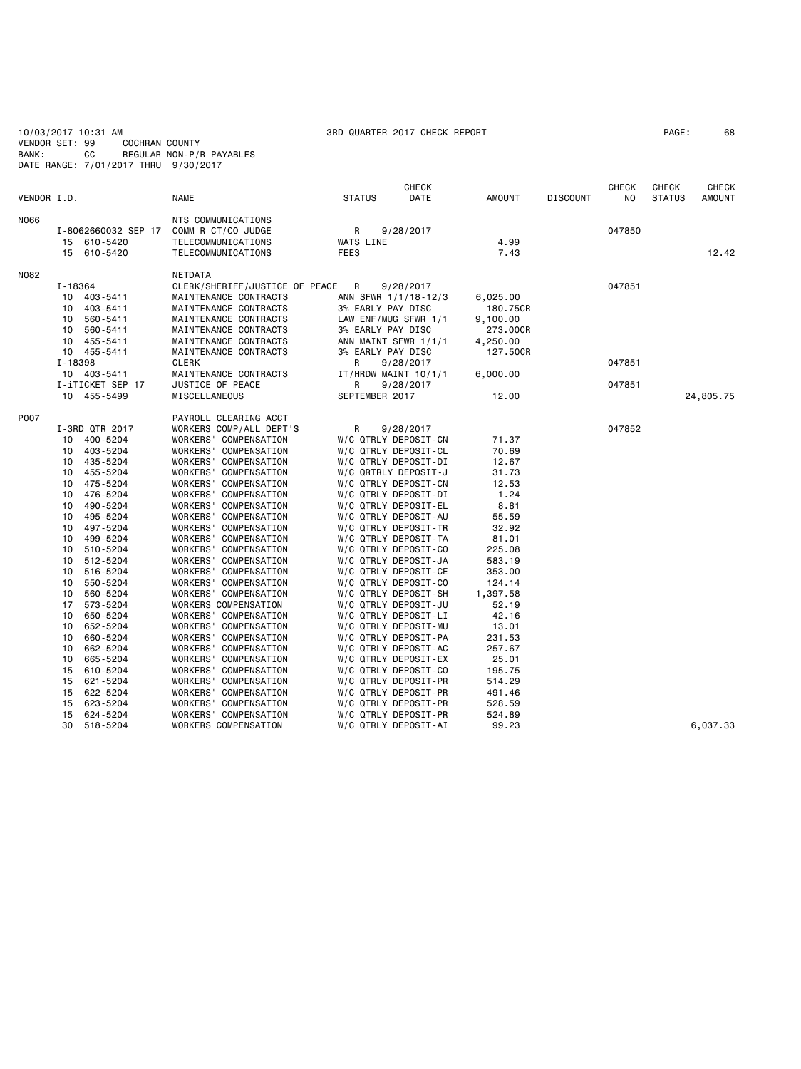| 10/03/2017 10:31 AM<br>VENDOR SET: 99<br>BANK:<br>CC<br>DATE RANGE: 7/01/2017 THRU 9/30/2017                                                                                                                                                                                                                                                                                                                                                                                                                                 | <b>COCHRAN COUNTY</b><br>REGULAR NON-P/R PAYABLES                                                                                                                                                                                                                                                                                                                                                                                                                                                                                                                                                                                                                                                                                                 | 3RD QUARTER 2017 CHECK REPORT                                                                                                                                                                                                                                                                                                                                                                                                                                                                                                                                                                                                                                                          |                                                                                                                                                                                                                                                             | PAGE:           | 68                         |                               |                               |
|------------------------------------------------------------------------------------------------------------------------------------------------------------------------------------------------------------------------------------------------------------------------------------------------------------------------------------------------------------------------------------------------------------------------------------------------------------------------------------------------------------------------------|---------------------------------------------------------------------------------------------------------------------------------------------------------------------------------------------------------------------------------------------------------------------------------------------------------------------------------------------------------------------------------------------------------------------------------------------------------------------------------------------------------------------------------------------------------------------------------------------------------------------------------------------------------------------------------------------------------------------------------------------------|----------------------------------------------------------------------------------------------------------------------------------------------------------------------------------------------------------------------------------------------------------------------------------------------------------------------------------------------------------------------------------------------------------------------------------------------------------------------------------------------------------------------------------------------------------------------------------------------------------------------------------------------------------------------------------------|-------------------------------------------------------------------------------------------------------------------------------------------------------------------------------------------------------------------------------------------------------------|-----------------|----------------------------|-------------------------------|-------------------------------|
| VENDOR I.D.                                                                                                                                                                                                                                                                                                                                                                                                                                                                                                                  | <b>NAME</b>                                                                                                                                                                                                                                                                                                                                                                                                                                                                                                                                                                                                                                                                                                                                       | <b>CHECK</b><br><b>STATUS</b><br>DATE                                                                                                                                                                                                                                                                                                                                                                                                                                                                                                                                                                                                                                                  | <b>AMOUNT</b>                                                                                                                                                                                                                                               | <b>DISCOUNT</b> | <b>CHECK</b><br>NO         | <b>CHECK</b><br><b>STATUS</b> | <b>CHECK</b><br><b>AMOUNT</b> |
| N066<br>I-8062660032 SEP 17<br>15 610-5420<br>610-5420<br>15                                                                                                                                                                                                                                                                                                                                                                                                                                                                 | NTS COMMUNICATIONS<br>COMM'R CT/CO JUDGE<br>TELECOMMUNICATIONS<br>TELECOMMUNICATIONS                                                                                                                                                                                                                                                                                                                                                                                                                                                                                                                                                                                                                                                              | R<br>9/28/2017<br>WATS LINE<br><b>FEES</b>                                                                                                                                                                                                                                                                                                                                                                                                                                                                                                                                                                                                                                             | 4.99<br>7.43                                                                                                                                                                                                                                                |                 | 047850                     |                               | 12.42                         |
| N082<br>I-18364<br>10<br>403-5411<br>403-5411<br>10<br>10<br>560-5411<br>10<br>560-5411<br>455-5411<br>10<br>10<br>455-5411<br>I-18398<br>10 403-5411<br>I-iTICKET SEP 17<br>455-5499<br>10                                                                                                                                                                                                                                                                                                                                  | NETDATA<br>CLERK/SHERIFF/JUSTICE OF PEACE<br>MAINTENANCE CONTRACTS<br>MAINTENANCE CONTRACTS<br>MAINTENANCE CONTRACTS<br>MAINTENANCE CONTRACTS<br>MAINTENANCE CONTRACTS<br>MAINTENANCE CONTRACTS<br><b>CLERK</b><br>MAINTENANCE CONTRACTS<br>JUSTICE OF PEACE<br>MISCELLANEOUS                                                                                                                                                                                                                                                                                                                                                                                                                                                                     | R<br>9/28/2017<br>ANN SFWR 1/1/18-12/3<br>3% EARLY PAY DISC<br>LAW ENF/MUG SFWR 1/1<br>3% EARLY PAY DISC<br>ANN MAINT SFWR 1/1/1<br>3% EARLY PAY DISC<br>R<br>9/28/2017<br>IT/HRDW MAINT 10/1/1<br>R<br>9/28/2017<br>SEPTEMBER 2017                                                                                                                                                                                                                                                                                                                                                                                                                                                    | 6,025.00<br>180.75CR<br>9,100.00<br>273.00CR<br>4,250.00<br>127.50CR<br>6,000.00<br>12.00                                                                                                                                                                   |                 | 047851<br>047851<br>047851 |                               | 24,805.75                     |
| P007<br>I-3RD QTR 2017<br>10<br>400-5204<br>403-5204<br>10<br>435-5204<br>10<br>455-5204<br>10<br>10<br>475-5204<br>476-5204<br>10<br>10<br>490-5204<br>10<br>495-5204<br>497-5204<br>10<br>10<br>499-5204<br>10<br>510-5204<br>512-5204<br>10<br>516-5204<br>10<br>10<br>550-5204<br>560-5204<br>10<br>17<br>573-5204<br>650-5204<br>10<br>652-5204<br>10<br>10<br>660-5204<br>10<br>662-5204<br>10<br>665-5204<br>15<br>610-5204<br>621-5204<br>15<br>622-5204<br>15<br>15<br>623-5204<br>15<br>624-5204<br>30<br>518-5204 | PAYROLL CLEARING ACCT<br>WORKERS COMP/ALL DEPT'S<br>WORKERS' COMPENSATION<br>WORKERS' COMPENSATION<br>WORKERS' COMPENSATION<br>WORKERS' COMPENSATION<br>WORKERS' COMPENSATION<br>WORKERS' COMPENSATION<br>WORKERS' COMPENSATION<br>WORKERS' COMPENSATION<br>WORKERS' COMPENSATION<br>WORKERS' COMPENSATION<br>WORKERS' COMPENSATION<br>WORKERS' COMPENSATION<br>WORKERS' COMPENSATION<br>WORKERS' COMPENSATION<br>WORKERS' COMPENSATION<br>WORKERS COMPENSATION<br>WORKERS' COMPENSATION<br>WORKERS' COMPENSATION<br>WORKERS' COMPENSATION<br>WORKERS' COMPENSATION<br>WORKERS' COMPENSATION<br>WORKERS' COMPENSATION<br>WORKERS' COMPENSATION<br>WORKERS' COMPENSATION<br>WORKERS' COMPENSATION<br>WORKERS' COMPENSATION<br>WORKERS COMPENSATION | R<br>9/28/2017<br>W/C QTRLY DEPOSIT-CN<br>W/C QTRLY DEPOSIT-CL<br>W/C QTRLY DEPOSIT-DI<br>W/C QRTRLY DEPOSIT-J<br>W/C QTRLY DEPOSIT-CN<br>W/C QTRLY DEPOSIT-DI<br>W/C QTRLY DEPOSIT-EL<br>W/C QTRLY DEPOSIT-AU<br>W/C QTRLY DEPOSIT-TR<br>W/C QTRLY DEPOSIT-TA<br>W/C QTRLY DEPOSIT-CO<br>W/C QTRLY DEPOSIT-JA<br>W/C QTRLY DEPOSIT-CE<br>W/C QTRLY DEPOSIT-CO<br>W/C QTRLY DEPOSIT-SH<br>W/C QTRLY DEPOSIT-JU<br>W/C QTRLY DEPOSIT-LI<br>W/C QTRLY DEPOSIT-MU<br>W/C QTRLY DEPOSIT-PA<br>W/C QTRLY DEPOSIT-AC<br>W/C QTRLY DEPOSIT-EX<br>W/C QTRLY DEPOSIT-CO<br>W/C QTRLY DEPOSIT-PR<br>W/C QTRLY DEPOSIT-PR<br>W/C QTRLY DEPOSIT-PR<br>W/C QTRLY DEPOSIT-PR<br>W/C QTRLY DEPOSIT-AI | 71.37<br>70.69<br>12.67<br>31.73<br>12.53<br>1.24<br>8.81<br>55.59<br>32.92<br>81.01<br>225.08<br>583.19<br>353.00<br>124.14<br>1,397.58<br>52.19<br>42.16<br>13.01<br>231.53<br>257.67<br>25.01<br>195.75<br>514.29<br>491.46<br>528.59<br>524.89<br>99.23 |                 | 047852                     |                               | 6.037.33                      |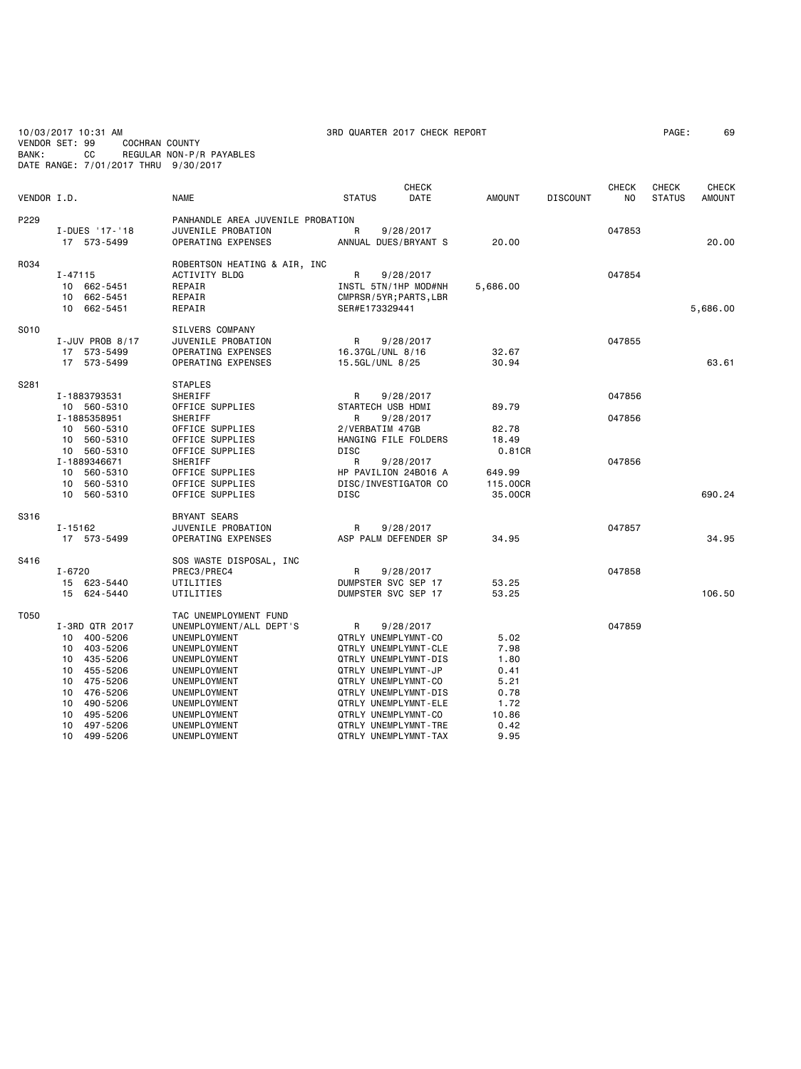10/03/2017 10:31 AM<br>10/03/2017 10:31 AM 3RD QUARTER 2017 CHECK REPORT PAGE: 69<br>VENDOR SET: 99 COCHRAN COUNTY VENDOR SET: 99<br>BANK: CC BANK: CC REGULAR NON-P/R PAYABLES DATE RANGE: 7/01/2017 THRU 9/30/2017

**CHECK CHECK CHECK CHECK CHECK CHECK** VENDOR I.D. NAME STATUS DATE AMOUNT DISCOUNT NO STATUS AMOUNT P229 PANHANDLE AREA JUVENILE PROBATION<br>I-DUES '17-'18 JUVENILE PROBATION I-DUES '17-'18 JUVENILE PROBATION R 9/28/2017 047853 17 573-5499 OPERATING EXPENSES ANNUAL DUES/BRYANT S 20.00 20.00 ROBERTSON HEATING & AIR, INC<br>I-47115 ACTIVITY BLDG I-47115 ACTIVITY BLDG R 9/28/2017 047854 10 662-5451 REPAIR **INSTL 5TN/1HP MOD#NH**<br>10 662-5451 REPAIR 5682-5451 REPAIR 5,687.1HP MOD#NH 10 662-5451 REPAIR CMPRSR/5YR;PARTS,LBR 10 662-5451 REPAIR SER#E173329441 5,686.00 S010 SILVERS COMPANY<br>I-JUV PROB 8/17 JUVENILE PROBATI I-JUV PROB 8/17 JUVENILE PROBATION R 9/28/2017 047855 0PERATING EXPENSES 16.37GL/UNL 8/16 32.67<br>0PERATING EXPENSES 15.5GL/UNL 8/25 30.94 0PERATING EXPENSES 15.5GL/UNL 8/25 30.94 63.61 S281 STAPLES<br>SHERIFF I-1883793531 SHERIFF R 9/28/2017 047856 10 560-5310 OFFICE SUPPLIES STARTECH USB HDMI<br>1-1885358951 SHERIFF R 9/28/2017 I-1885358951 SHERIFF R 9/28/2017 047856 10 11 10 560-5410 OFFICE SUPPLIES 2/VERBATIM 47GB<br>10 562.7810 OFFICE SUPPLIES 82.49 10 560-5310 OFFICE SUPPLIES HANGING FILE FOLDERS 18.49 10 560-5310 OFFICE SUPPLIES DISC 0.81CR I-1889346671 SHERIFF R 9/28/2017 047856 10 560-5310 OFFICE SUPPLIES HP PAVILION 24BO16 A 649.99 10 560-5310 OFFICE SUPPLIES DISC/INVESTIGATOR CO 115.00CR 0 11 560.24 OFFICE SUPPLIES DISC 24 OFFICE SUPPLIES And DISC 35.00CR S316 BRYANT SEARS<br>I-15162 JUVENILE PROE I-15162 JUVENILE PROBATION R 9/28/2017 047857 ASP PALM DEFENDER SP 34.95 34.95 34.95 S416 SOS WASTE DISPOSAL, INC<br>I-6720 PREC3/PREC4 I-6720 PREC3/PREC4 R 9/28/2017 047858 15 623-5440 UTILITIES DUMPSTER SVC SEP 17 53.25<br>15 624-5440 UTILITIES DUMPSTER SVC SEP 17 53.25 15 624-5440 UTILITIES DUMPSTER SVC SEP 17 53.25 106.50 T050 TAC UNEMPLOYMENT FUND I-3RD QTR 2017 UNEMPLOYMENT/ALL DEPT'S R 9/28/2017 047859 10 400-5206 UNEMPLOYMENT QTRLY UNEMPLYMNT-CO 5.02 10 403-5206 UNEMPLOYMENT QTRLY UNEMPLYMNT-CLE 7.98

0 499-5206 UNEMPLYMNT-TAX 9.95

 10 435-5206 UNEMPLOYMENT QTRLY UNEMPLYMNT-DIS 1.80 10 455-5206 UNEMPLOYMENT QTRLY UNEMPLYMNT-JP 0.41 10 475-5206 UNEMPLOYMENT QTRLY UNEMPLYMNT-CO 5.21

 10 490-5206 UNEMPLOYMENT QTRLY UNEMPLYMNT-ELE 1.72 10 495-5206 UNEMPLOYMENT QTRLY UNEMPLYMNT-CO 10.86<br>10 497-5206 UNEMPLOYMENT QTRLY UNEMPLYMNT-TRE 0.42 10 497-5206 UNEMPLOYMENT QTRLY UNEMPLYMNT-TRE 0.42

10 476-5206 UNEMPLOYMENT (1999) UNEMPLOYMENT (1999-5206 UNEMPLOYMENT (1999-1999) UNEMPLOYMENT (1999-1999) UNEMPLOYMENT (1999-1999)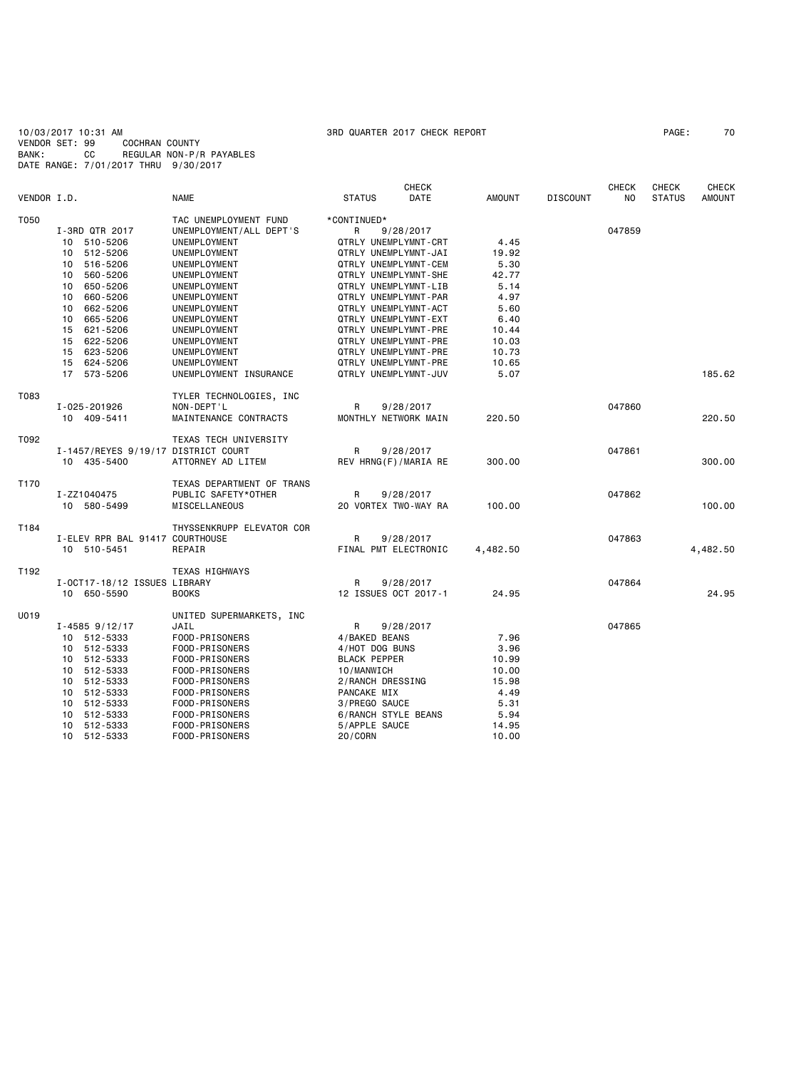10/03/2017 10:31 AM 3RD QUARTER 2017 CHECK REPORT PAGE: 70 VENDOR SET: 99 COCHRAN COUNTY BANK: CC REGULAR NON-P/R PAYABLES DATE RANGE: 7/01/2017 THRU 9/30/2017

|             |                                     |                           |                      | <b>CHECK</b> |               |                 | <b>CHECK</b> | <b>CHECK</b>  | CHECK         |
|-------------|-------------------------------------|---------------------------|----------------------|--------------|---------------|-----------------|--------------|---------------|---------------|
| VENDOR I.D. |                                     | <b>NAME</b>               | <b>STATUS</b>        | <b>DATE</b>  | <b>AMOUNT</b> | <b>DISCOUNT</b> | NO.          | <b>STATUS</b> | <b>AMOUNT</b> |
| T050        |                                     | TAC UNEMPLOYMENT FUND     | *CONTINUED*          |              |               |                 |              |               |               |
|             | I-3RD QTR 2017                      | UNEMPLOYMENT/ALL DEPT'S   | R                    | 9/28/2017    |               |                 | 047859       |               |               |
|             | 10 510-5206                         | UNEMPLOYMENT              | QTRLY UNEMPLYMNT-CRT |              | 4.45          |                 |              |               |               |
|             | 10 512-5206                         | UNEMPLOYMENT              | QTRLY UNEMPLYMNT-JAI |              | 19.92         |                 |              |               |               |
|             | 10 516-5206                         | UNEMPLOYMENT              | QTRLY UNEMPLYMNT-CEM |              | 5.30          |                 |              |               |               |
|             | 10 560-5206                         | UNEMPLOYMENT              | QTRLY UNEMPLYMNT-SHE |              | 42.77         |                 |              |               |               |
|             |                                     |                           |                      |              |               |                 |              |               |               |
|             | 10 650-5206                         | UNEMPLOYMENT              | QTRLY UNEMPLYMNT-LIB |              | 5.14          |                 |              |               |               |
|             | 10<br>660-5206                      | UNEMPLOYMENT              | QTRLY UNEMPLYMNT-PAR |              | 4.97          |                 |              |               |               |
|             | 10 662-5206                         | UNEMPLOYMENT              | QTRLY UNEMPLYMNT-ACT |              | 5.60          |                 |              |               |               |
|             | 665-5206<br>10                      | UNEMPLOYMENT              | QTRLY UNEMPLYMNT-EXT |              | 6.40          |                 |              |               |               |
|             | 15 621-5206                         | UNEMPLOYMENT              | QTRLY UNEMPLYMNT-PRE |              | 10.44         |                 |              |               |               |
|             | 15 622-5206                         | UNEMPLOYMENT              | QTRLY UNEMPLYMNT-PRE |              | 10.03         |                 |              |               |               |
|             | 15 623-5206                         | UNEMPLOYMENT              | QTRLY UNEMPLYMNT-PRE |              | 10.73         |                 |              |               |               |
|             | 15 624-5206                         | UNEMPLOYMENT              | QTRLY UNEMPLYMNT-PRE |              | 10.65         |                 |              |               |               |
|             | 17 573-5206                         | UNEMPLOYMENT INSURANCE    | QTRLY UNEMPLYMNT-JUV |              | 5.07          |                 |              |               | 185.62        |
| T083        |                                     | TYLER TECHNOLOGIES, INC   |                      |              |               |                 |              |               |               |
|             | I-025-201926                        | NON-DEPT'L                | R                    | 9/28/2017    |               |                 | 047860       |               |               |
|             | 10 409-5411                         | MAINTENANCE CONTRACTS     | MONTHLY NETWORK MAIN |              | 220.50        |                 |              |               | 220.50        |
| T092        |                                     | TEXAS TECH UNIVERSITY     |                      |              |               |                 |              |               |               |
|             | I-1457/REYES 9/19/17 DISTRICT COURT |                           | R                    | 9/28/2017    |               |                 | 047861       |               |               |
|             | 10 435-5400                         | ATTORNEY AD LITEM         | REV HRNG(F)/MARIA RE |              | 300.00        |                 |              |               | 300.00        |
| T170        |                                     | TEXAS DEPARTMENT OF TRANS |                      |              |               |                 |              |               |               |
|             | I-ZZ1040475                         | PUBLIC SAFETY*OTHER       | R                    | 9/28/2017    |               |                 | 047862       |               |               |
|             | 10 580-5499                         | MISCELLANEOUS             | 20 VORTEX TWO-WAY RA |              | 100.00        |                 |              |               | 100.00        |
| T184        |                                     | THYSSENKRUPP ELEVATOR COR |                      |              |               |                 |              |               |               |
|             | I-ELEV RPR BAL 91417 COURTHOUSE     |                           | R                    | 9/28/2017    |               |                 | 047863       |               |               |
|             | 10 510-5451                         | REPAIR                    | FINAL PMT ELECTRONIC |              | 4,482.50      |                 |              |               | 4,482.50      |
| T192        |                                     | <b>TEXAS HIGHWAYS</b>     |                      |              |               |                 |              |               |               |
|             | I-OCT17-18/12 ISSUES LIBRARY        |                           | R                    | 9/28/2017    |               |                 | 047864       |               |               |
|             | 10 650-5590                         | <b>BOOKS</b>              | 12 ISSUES OCT 2017-1 |              | 24.95         |                 |              |               | 24.95         |
| U019        |                                     | UNITED SUPERMARKETS, INC  |                      |              |               |                 |              |               |               |
|             | $I - 4585$ 9/12/17                  | JAIL                      | R                    | 9/28/2017    |               |                 | 047865       |               |               |
|             | 10 512-5333                         | FOOD-PRISONERS            | 4/BAKED BEANS        |              | 7.96          |                 |              |               |               |
|             | 10 512-5333                         | FOOD-PRISONERS            | 4/HOT DOG BUNS       |              | 3.96          |                 |              |               |               |
|             |                                     |                           |                      |              |               |                 |              |               |               |
|             | 10 512-5333                         | FOOD-PRISONERS            | <b>BLACK PEPPER</b>  |              | 10.99         |                 |              |               |               |
|             | 10 512-5333                         | FOOD-PRISONERS            | 10/MANWICH           |              | 10.00         |                 |              |               |               |
|             | 10 512-5333                         | FOOD-PRISONERS            | 2/RANCH DRESSING     |              | 15.98         |                 |              |               |               |
|             | 10 512-5333                         | FOOD-PRISONERS            | PANCAKE MIX          |              | 4.49          |                 |              |               |               |
|             | 10 512-5333                         | FOOD-PRISONERS            | 3/PREGO SAUCE        |              | 5.31          |                 |              |               |               |
|             | 10 512-5333                         | FOOD-PRISONERS            | 6/RANCH STYLE BEANS  |              | 5.94          |                 |              |               |               |
|             | 10 512-5333                         | FOOD-PRISONERS            | 5/APPLE SAUCE        |              | 14.95         |                 |              |               |               |
|             | 10 512-5333                         | FOOD-PRISONERS            | 20/CORN              |              | 10.00         |                 |              |               |               |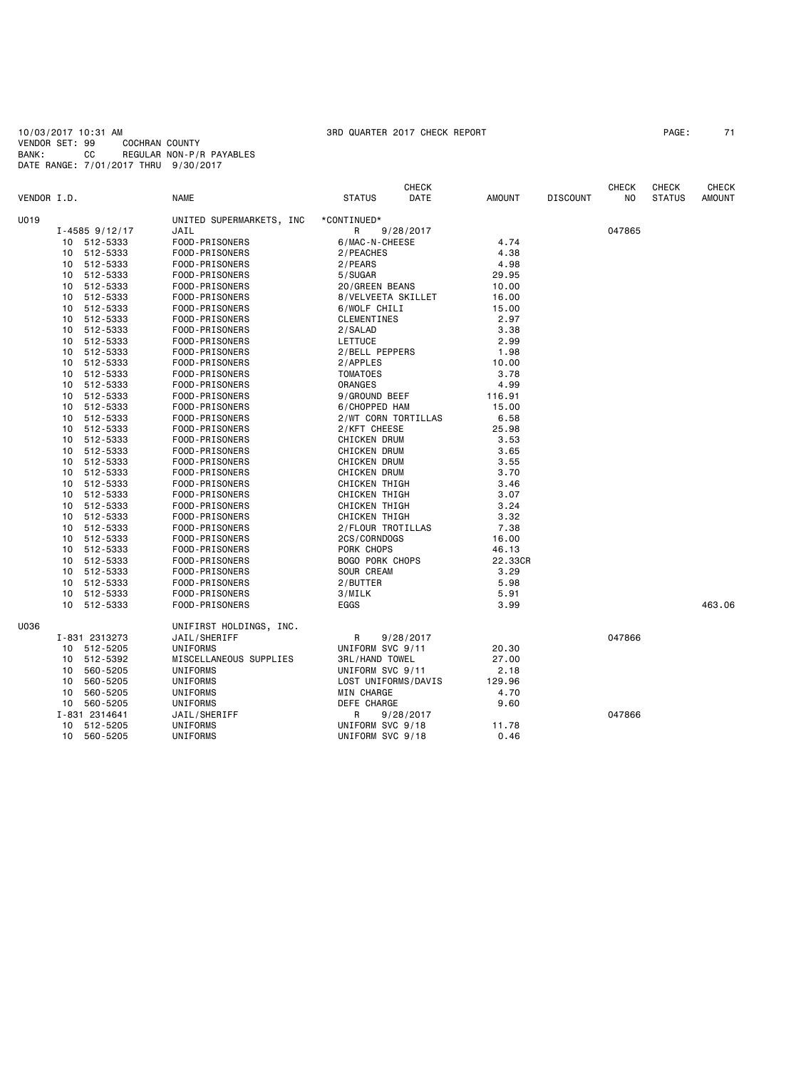10/03/2017 10:31 AM 3RD QUARTER 2017 CHECK REPORT PAGE: 71 VENDOR SET: 99 COCHRAN COUNTY BANK: CC REGULAR NON-P/R PAYABLES DATE RANGE: 7/01/2017 THRU 9/30/2017

|             |                    |                          | <b>CHECK</b>           |           |               |                 | <b>CHECK</b> | <b>CHECK</b>  | <b>CHECK</b>  |
|-------------|--------------------|--------------------------|------------------------|-----------|---------------|-----------------|--------------|---------------|---------------|
| VENDOR I.D. |                    | <b>NAME</b>              | <b>STATUS</b>          | DATE      | <b>AMOUNT</b> | <b>DISCOUNT</b> | NO.          | <b>STATUS</b> | <b>AMOUNT</b> |
| U019        |                    | UNITED SUPERMARKETS, INC | *CONTINUED*            |           |               |                 |              |               |               |
|             | $I - 4585$ 9/12/17 | JAIL                     | R                      | 9/28/2017 |               |                 | 047865       |               |               |
|             | 10 512-5333        | FOOD-PRISONERS           | 6/MAC-N-CHEESE         |           | 4.74          |                 |              |               |               |
|             | 10 512-5333        | FOOD-PRISONERS           | 2/PEACHES              |           | 4.38          |                 |              |               |               |
|             | 10 512-5333        | FOOD-PRISONERS           | 2/PEARS                |           | 4.98          |                 |              |               |               |
| 10          | 512-5333           | FOOD-PRISONERS           | 5/SUGAR                |           | 29.95         |                 |              |               |               |
| 10          | 512-5333           | FOOD-PRISONERS           | 20/GREEN BEANS         |           | 10.00         |                 |              |               |               |
| 10          | 512-5333           | FOOD-PRISONERS           | 8/VELVEETA SKILLET     |           | 16.00         |                 |              |               |               |
| 10          | 512-5333           | FOOD-PRISONERS           | 6/WOLF CHILI           |           | 15.00         |                 |              |               |               |
| 10          | 512-5333           | FOOD-PRISONERS           | CLEMENTINES            |           | 2.97          |                 |              |               |               |
| 10          | 512-5333           | FOOD-PRISONERS           | 2/SALAD                |           | 3.38          |                 |              |               |               |
| 10          | 512-5333           | FOOD-PRISONERS           | LETTUCE                |           | 2.99          |                 |              |               |               |
| 10          | 512-5333           | FOOD-PRISONERS           | 2/BELL PEPPERS         |           | 1.98          |                 |              |               |               |
| 10          | 512-5333           | FOOD-PRISONERS           | 2/APPLES               |           | 10.00         |                 |              |               |               |
| 10          | 512-5333           | FOOD-PRISONERS           | <b>TOMATOES</b>        |           | 3.78          |                 |              |               |               |
| 10          | 512-5333           | FOOD-PRISONERS           | ORANGES                |           | 4.99          |                 |              |               |               |
|             | 10 512-5333        | FOOD-PRISONERS           | 9/GROUND BEEF          |           | 116.91        |                 |              |               |               |
|             | 10 512-5333        | FOOD-PRISONERS           | 6/CHOPPED HAM          |           | 15.00         |                 |              |               |               |
|             | 10 512-5333        |                          | 2/WT CORN TORTILLAS    |           | 6.58          |                 |              |               |               |
|             | 10 512-5333        | FOOD-PRISONERS           | 2/KFT CHEESE           |           | 25.98         |                 |              |               |               |
|             |                    | FOOD-PRISONERS           |                        |           | 3.53          |                 |              |               |               |
|             | 10 512-5333        | FOOD-PRISONERS           | <b>CHICKEN DRUM</b>    |           |               |                 |              |               |               |
| 10          | 512-5333           | FOOD-PRISONERS           | CHICKEN DRUM           |           | 3.65          |                 |              |               |               |
|             | 10 512-5333        | FOOD-PRISONERS           | CHICKEN DRUM           |           | 3.55          |                 |              |               |               |
| 10          | 512-5333           | FOOD-PRISONERS           | <b>CHICKEN DRUM</b>    |           | 3.70          |                 |              |               |               |
| 10          | 512-5333           | FOOD-PRISONERS           | CHICKEN THIGH          |           | 3.46          |                 |              |               |               |
| 10          | 512-5333           | FOOD-PRISONERS           | CHICKEN THIGH          |           | 3.07          |                 |              |               |               |
| 10          | 512-5333           | FOOD-PRISONERS           | CHICKEN THIGH          |           | 3.24          |                 |              |               |               |
| 10          | 512-5333           | FOOD-PRISONERS           | CHICKEN THIGH          |           | 3.32          |                 |              |               |               |
| 10          | 512-5333           | FOOD-PRISONERS           | 2/FLOUR TROTILLAS      |           | 7.38          |                 |              |               |               |
| 10          | 512-5333           | FOOD-PRISONERS           | 2CS/CORNDOGS           |           | 16.00         |                 |              |               |               |
| 10          | 512-5333           | FOOD-PRISONERS           | PORK CHOPS             |           | 46.13         |                 |              |               |               |
| 10          | 512-5333           | FOOD-PRISONERS           | <b>BOGO PORK CHOPS</b> |           | 22.33CR       |                 |              |               |               |
| 10          | 512-5333           | FOOD-PRISONERS           | SOUR CREAM             |           | 3.29          |                 |              |               |               |
|             | 512-5333<br>10     | FOOD-PRISONERS           | 2/BUTTER               |           | 5.98          |                 |              |               |               |
| 10          | 512-5333           | FOOD-PRISONERS           | 3/MILK                 |           | 5.91          |                 |              |               |               |
|             | 10 512-5333        | FOOD-PRISONERS           | EGGS                   |           | 3.99          |                 |              |               | 463.06        |
| U036        |                    | UNIFIRST HOLDINGS, INC.  |                        |           |               |                 |              |               |               |
|             | I-831 2313273      | JAIL/SHERIFF             | R                      | 9/28/2017 |               |                 | 047866       |               |               |
|             | 10 512-5205        | UNIFORMS                 | UNIFORM SVC 9/11       |           | 20.30         |                 |              |               |               |
|             | 10 512-5392        | MISCELLANEOUS SUPPLIES   | <b>3RL/HAND TOWEL</b>  |           | 27.00         |                 |              |               |               |
| 10          | 560-5205           | UNIFORMS                 | UNIFORM SVC 9/11       |           | 2.18          |                 |              |               |               |
| 10          | 560-5205           | UNIFORMS                 | LOST UNIFORMS/DAVIS    |           | 129.96        |                 |              |               |               |
| 10          | 560-5205           | UNIFORMS                 | MIN CHARGE             |           | 4.70          |                 |              |               |               |
|             | 10 560-5205        | UNIFORMS                 | DEFE CHARGE            |           | 9.60          |                 |              |               |               |
|             | I-831 2314641      | JAIL/SHERIFF             | R                      | 9/28/2017 |               |                 | 047866       |               |               |
| 10          | 512-5205           | UNIFORMS                 | UNIFORM SVC 9/18       |           | 11.78         |                 |              |               |               |
| 10          | 560-5205           | UNIFORMS                 | UNIFORM SVC 9/18       |           | 0.46          |                 |              |               |               |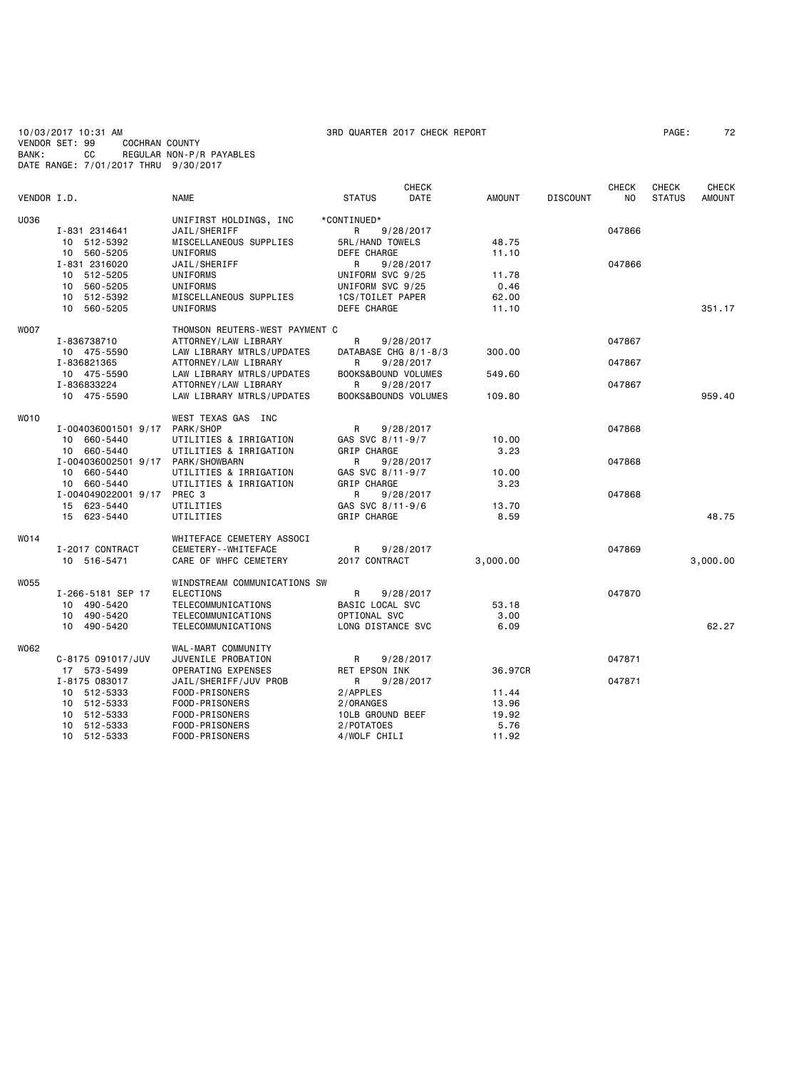10/03/2017 10:31 AM 3RD QUARTER 2017 CHECK REPORT PAGE: 72 VENDOR SET: 99 COCHRAN COUNTY BANK: CC REGULAR NON-P/R PAYABLES DATE RANGE: 7/01/2017 THRU 9/30/2017

| VENDOR I.D. |                     | <b>NAME</b>                    | <b>STATUS</b>        | <b>CHECK</b><br>DATE | <b>AMOUNT</b> | <b>DISCOUNT</b> | <b>CHECK</b><br>N <sub>O</sub> | CHECK<br><b>STATUS</b> | <b>CHECK</b><br><b>AMOUNT</b> |
|-------------|---------------------|--------------------------------|----------------------|----------------------|---------------|-----------------|--------------------------------|------------------------|-------------------------------|
| U036        |                     | UNIFIRST HOLDINGS, INC         | *CONTINUED*          |                      |               |                 |                                |                        |                               |
|             | I-831 2314641       | JAIL/SHERIFF                   | R                    | 9/28/2017            |               |                 | 047866                         |                        |                               |
|             | 10 512-5392         | MISCELLANEOUS SUPPLIES         | 5RL/HAND TOWELS      |                      | 48.75         |                 |                                |                        |                               |
|             | 10 560-5205         | UNIFORMS                       | <b>DEFE CHARGE</b>   |                      | 11.10         |                 |                                |                        |                               |
|             | I-831 2316020       | JAIL/SHERIFF                   | R                    | 9/28/2017            |               |                 | 047866                         |                        |                               |
|             | 512-5205<br>10      | UNIFORMS                       | UNIFORM SVC 9/25     |                      | 11.78         |                 |                                |                        |                               |
|             | 560-5205<br>10      | UNIFORMS                       | UNIFORM SVC 9/25     |                      | 0.46          |                 |                                |                        |                               |
|             | 10 512-5392         | MISCELLANEOUS SUPPLIES         | 1CS/TOILET PAPER     |                      | 62.00         |                 |                                |                        |                               |
|             | 10 560-5205         | UNIFORMS                       | DEFE CHARGE          |                      | 11.10         |                 |                                |                        | 351.17                        |
| <b>WOO7</b> |                     | THOMSON REUTERS-WEST PAYMENT C |                      |                      |               |                 |                                |                        |                               |
|             | I-836738710         | ATTORNEY/LAW LIBRARY           | R                    | 9/28/2017            |               |                 | 047867                         |                        |                               |
|             | 10 475-5590         | LAW LIBRARY MTRLS/UPDATES      | DATABASE CHG 8/1-8/3 |                      | 300.00        |                 |                                |                        |                               |
|             | I-836821365         | ATTORNEY/LAW LIBRARY           | R                    | 9/28/2017            |               |                 | 047867                         |                        |                               |
|             | 10 475-5590         | LAW LIBRARY MTRLS/UPDATES      | BOOKS&BOUND VOLUMES  |                      | 549.60        |                 |                                |                        |                               |
|             | I-836833224         | ATTORNEY/LAW LIBRARY           | R                    | 9/28/2017            |               |                 | 047867                         |                        |                               |
|             | 10 475-5590         | LAW LIBRARY MTRLS/UPDATES      | BOOKS&BOUNDS VOLUMES |                      | 109.80        |                 |                                |                        | 959.40                        |
| <b>WO10</b> |                     | WEST TEXAS GAS INC             |                      |                      |               |                 |                                |                        |                               |
|             | I-004036001501 9/17 | PARK/SHOP                      | R                    | 9/28/2017            |               |                 | 047868                         |                        |                               |
|             | 10 660-5440         | UTILITIES & IRRIGATION         | GAS SVC 8/11-9/7     |                      | 10.00         |                 |                                |                        |                               |
|             | 660-5440<br>10      | UTILITIES & IRRIGATION         | GRIP CHARGE          |                      | 3.23          |                 |                                |                        |                               |
|             | I-004036002501 9/17 | PARK/SHOWBARN                  | R                    | 9/28/2017            |               |                 | 047868                         |                        |                               |
|             | 10 660-5440         | UTILITIES & IRRIGATION         | GAS SVC 8/11-9/7     |                      | 10.00         |                 |                                |                        |                               |
|             | 10 660-5440         | UTILITIES & IRRIGATION         | <b>GRIP CHARGE</b>   |                      | 3.23          |                 |                                |                        |                               |
|             | I-004049022001 9/17 | PREC 3                         | R                    | 9/28/2017            |               |                 | 047868                         |                        |                               |
|             | 15 623-5440         | UTILITIES                      | GAS SVC 8/11-9/6     |                      | 13.70         |                 |                                |                        |                               |
|             | 15 623-5440         | UTILITIES                      | GRIP CHARGE          |                      | 8.59          |                 |                                |                        | 48.75                         |
| W014        |                     | WHITEFACE CEMETERY ASSOCI      |                      |                      |               |                 |                                |                        |                               |
|             | I-2017 CONTRACT     | CEMETERY - - WHITEFACE         | R                    | 9/28/2017            |               |                 | 047869                         |                        |                               |
|             | 10 516-5471         | CARE OF WHFC CEMETERY          | 2017 CONTRACT        |                      | 3,000.00      |                 |                                |                        | 3,000.00                      |
| <b>W055</b> |                     | WINDSTREAM COMMUNICATIONS SW   |                      |                      |               |                 |                                |                        |                               |
|             | I-266-5181 SEP 17   | <b>ELECTIONS</b>               | R                    | 9/28/2017            |               |                 | 047870                         |                        |                               |
|             | 10 490-5420         | TELECOMMUNICATIONS             | BASIC LOCAL SVC      |                      | 53.18         |                 |                                |                        |                               |
|             | 10 490-5420         | TELECOMMUNICATIONS             | OPTIONAL SVC         |                      | 3.00          |                 |                                |                        |                               |
|             | 10 490-5420         | TELECOMMUNICATIONS             | LONG DISTANCE SVC    |                      | 6.09          |                 |                                |                        | 62.27                         |
| W062        |                     | WAL-MART COMMUNITY             |                      |                      |               |                 |                                |                        |                               |
|             | C-8175 091017/JUV   | JUVENILE PROBATION             | R                    | 9/28/2017            |               |                 | 047871                         |                        |                               |
|             | 17 573-5499         | OPERATING EXPENSES             | RET EPSON INK        |                      | 36.97CR       |                 |                                |                        |                               |
|             | I-8175 083017       | JAIL/SHERIFF/JUV PROB          | R                    | 9/28/2017            |               |                 | 047871                         |                        |                               |
|             | 10 512-5333         | FOOD-PRISONERS                 | 2/APPLES             |                      | 11.44         |                 |                                |                        |                               |
|             | 512-5333<br>10      | FOOD-PRISONERS                 | 2/ORANGES            |                      | 13.96         |                 |                                |                        |                               |
|             | 512-5333<br>10      | FOOD-PRISONERS                 | 10LB GROUND BEEF     |                      | 19.92         |                 |                                |                        |                               |
|             | 512-5333<br>10      | FOOD-PRISONERS                 | 2/POTATOES           |                      | 5.76          |                 |                                |                        |                               |
|             | 10 512-5333         | FOOD-PRISONERS                 | 4/WOLF CHILI         |                      | 11.92         |                 |                                |                        |                               |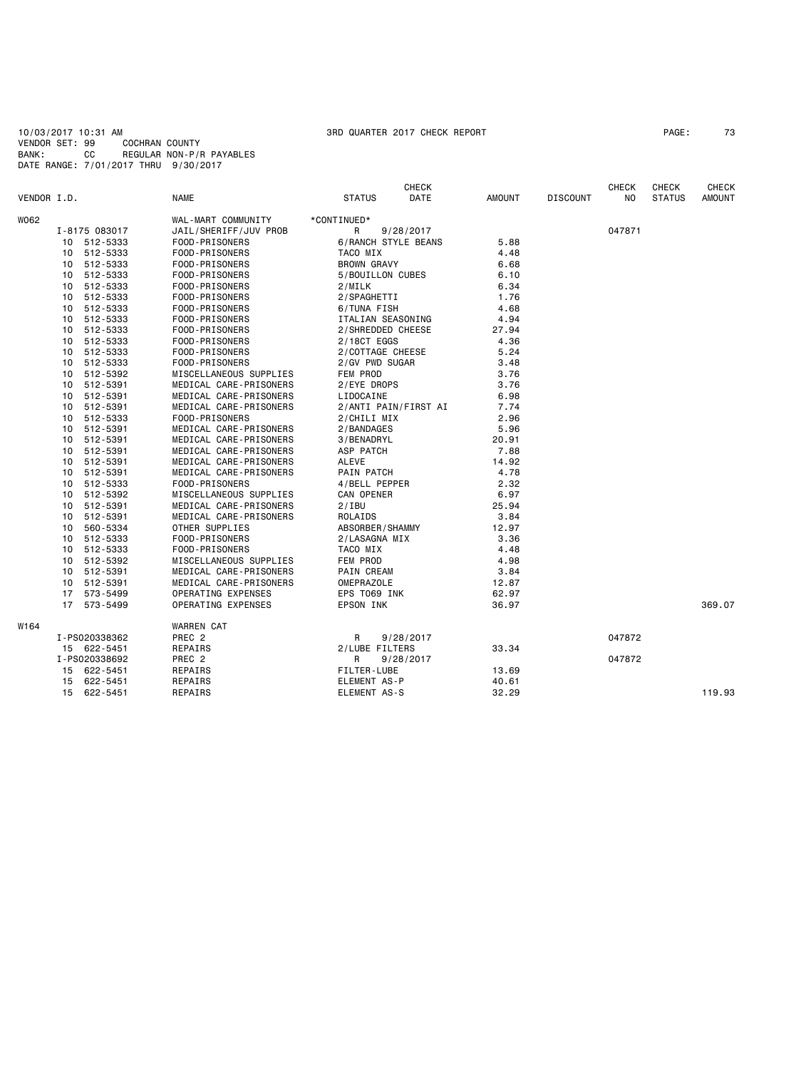10/03/2017 10:31 AM 3RD QUARTER 2017 CHECK REPORT PAGE: 73 VENDOR SET: 99 COCHRAN COUNTY BANK: CC REGULAR NON-P/R PAYABLES DATE RANGE: 7/01/2017 THRU 9/30/2017

| VENDOR I.D. |                 |               | <b>NAME</b>            | <b>STATUS</b>              | <b>CHECK</b><br>DATE | AMOUNT | <b>DISCOUNT</b> | <b>CHECK</b><br>NO. | <b>CHECK</b><br><b>STATUS</b> | <b>CHECK</b><br><b>AMOUNT</b> |
|-------------|-----------------|---------------|------------------------|----------------------------|----------------------|--------|-----------------|---------------------|-------------------------------|-------------------------------|
| W062        |                 |               | WAL-MART COMMUNITY     | *CONTINUED*                |                      |        |                 |                     |                               |                               |
|             |                 | I-8175 083017 | JAIL/SHERIFF/JUV PROB  | R                          | 9/28/2017            |        |                 | 047871              |                               |                               |
|             |                 | 10 512-5333   | FOOD-PRISONERS         | <b>6/RANCH STYLE BEANS</b> |                      | 5.88   |                 |                     |                               |                               |
|             |                 | 10 512-5333   | FOOD-PRISONERS         | TACO MIX                   |                      | 4.48   |                 |                     |                               |                               |
|             |                 | 10 512-5333   | FOOD-PRISONERS         | <b>BROWN GRAVY</b>         |                      | 6.68   |                 |                     |                               |                               |
|             | 10              | 512-5333      | FOOD-PRISONERS         | 5/BOUILLON CUBES           |                      | 6.10   |                 |                     |                               |                               |
|             | 10              | 512-5333      | FOOD-PRISONERS         | 2/MILK                     |                      | 6.34   |                 |                     |                               |                               |
|             | 10              | 512-5333      | FOOD-PRISONERS         | 2/SPAGHETTI                |                      | 1.76   |                 |                     |                               |                               |
|             | 10              | 512-5333      | FOOD-PRISONERS         | 6/TUNA FISH                |                      | 4.68   |                 |                     |                               |                               |
|             |                 | 10 512-5333   | FOOD-PRISONERS         | ITALIAN SEASONING          |                      | 4.94   |                 |                     |                               |                               |
|             |                 | 10 512-5333   | FOOD-PRISONERS         | 2/SHREDDED CHEESE          |                      | 27.94  |                 |                     |                               |                               |
|             |                 | 10 512-5333   | FOOD-PRISONERS         | 2/18CT EGGS                |                      | 4.36   |                 |                     |                               |                               |
|             |                 | 10 512-5333   | FOOD-PRISONERS         | 2/COTTAGE CHEESE           |                      | 5.24   |                 |                     |                               |                               |
|             | 10              | 512-5333      | FOOD-PRISONERS         | 2/GV PWD SUGAR             |                      | 3.48   |                 |                     |                               |                               |
|             | 10 <sup>1</sup> | 512-5392      | MISCELLANEOUS SUPPLIES | FEM PROD                   |                      | 3.76   |                 |                     |                               |                               |
|             |                 | 10 512-5391   | MEDICAL CARE-PRISONERS | 2/EYE DROPS                |                      | 3.76   |                 |                     |                               |                               |
|             |                 | 10 512-5391   | MEDICAL CARE-PRISONERS | LIDOCAINE                  |                      | 6.98   |                 |                     |                               |                               |
|             |                 | 10 512-5391   | MEDICAL CARE-PRISONERS |                            | 2/ANTI PAIN/FIRST AI | 7.74   |                 |                     |                               |                               |
|             | 10              | 512-5333      | FOOD-PRISONERS         | 2/CHILI MIX                |                      | 2.96   |                 |                     |                               |                               |
|             |                 | 10 512-5391   | MEDICAL CARE-PRISONERS | 2/BANDAGES                 |                      | 5.96   |                 |                     |                               |                               |
|             |                 | 10 512-5391   | MEDICAL CARE-PRISONERS | 3/BENADRYL                 |                      | 20.91  |                 |                     |                               |                               |
|             |                 | 10 512-5391   | MEDICAL CARE-PRISONERS | ASP PATCH                  |                      | 7.88   |                 |                     |                               |                               |
|             | 10              | 512-5391      | MEDICAL CARE-PRISONERS | ALEVE                      |                      | 14.92  |                 |                     |                               |                               |
|             | 10              | 512-5391      | MEDICAL CARE-PRISONERS | PAIN PATCH                 |                      | 4.78   |                 |                     |                               |                               |
|             | 10              | 512-5333      | FOOD-PRISONERS         | 4/BELL PEPPER              |                      | 2.32   |                 |                     |                               |                               |
|             | 10              | 512-5392      | MISCELLANEOUS SUPPLIES | CAN OPENER                 |                      | 6.97   |                 |                     |                               |                               |
|             | 10              | 512-5391      | MEDICAL CARE-PRISONERS | 2/IBU                      |                      | 25.94  |                 |                     |                               |                               |
|             | 10              | 512-5391      | MEDICAL CARE-PRISONERS | ROLAIDS                    |                      | 3.84   |                 |                     |                               |                               |
|             | 10              | 560-5334      | OTHER SUPPLIES         | ABSORBER / SHAMMY          |                      | 12.97  |                 |                     |                               |                               |
|             | 10              | 512-5333      | FOOD-PRISONERS         | 2/LASAGNA MIX              |                      | 3.36   |                 |                     |                               |                               |
|             |                 | 10 512-5333   | FOOD-PRISONERS         | TACO MIX                   |                      | 4.48   |                 |                     |                               |                               |
|             | 10              | 512-5392      | MISCELLANEOUS SUPPLIES | FEM PROD                   |                      | 4.98   |                 |                     |                               |                               |
|             |                 | 10 512-5391   | MEDICAL CARE-PRISONERS | <b>PAIN CREAM</b>          |                      | 3.84   |                 |                     |                               |                               |
|             | 10              | 512-5391      | MEDICAL CARE-PRISONERS | <b>OMEPRAZOLE</b>          |                      | 12.87  |                 |                     |                               |                               |
|             |                 | 17 573-5499   | OPERATING EXPENSES     | EPS T069 INK               |                      | 62.97  |                 |                     |                               |                               |
|             | 17              | 573-5499      | OPERATING EXPENSES     | EPSON INK                  |                      | 36.97  |                 |                     |                               | 369.07                        |
| W164        |                 |               | <b>WARREN CAT</b>      |                            |                      |        |                 |                     |                               |                               |
|             |                 | I-PS020338362 | PREC <sub>2</sub>      | R                          | 9/28/2017            |        |                 | 047872              |                               |                               |
|             |                 | 15 622-5451   | REPAIRS                | 2/LUBE FILTERS             |                      | 33.34  |                 |                     |                               |                               |
|             |                 | I-PS020338692 | PREC <sub>2</sub>      | R                          | 9/28/2017            |        |                 | 047872              |                               |                               |
|             |                 | 15 622-5451   | REPAIRS                | FILTER-LUBE                |                      | 13.69  |                 |                     |                               |                               |
|             | 15              | 622-5451      | REPAIRS                | ELEMENT AS-P               |                      | 40.61  |                 |                     |                               |                               |
|             |                 | 15 622-5451   | REPAIRS                | ELEMENT AS-S               |                      | 32.29  |                 |                     |                               | 119.93                        |
|             |                 |               |                        |                            |                      |        |                 |                     |                               |                               |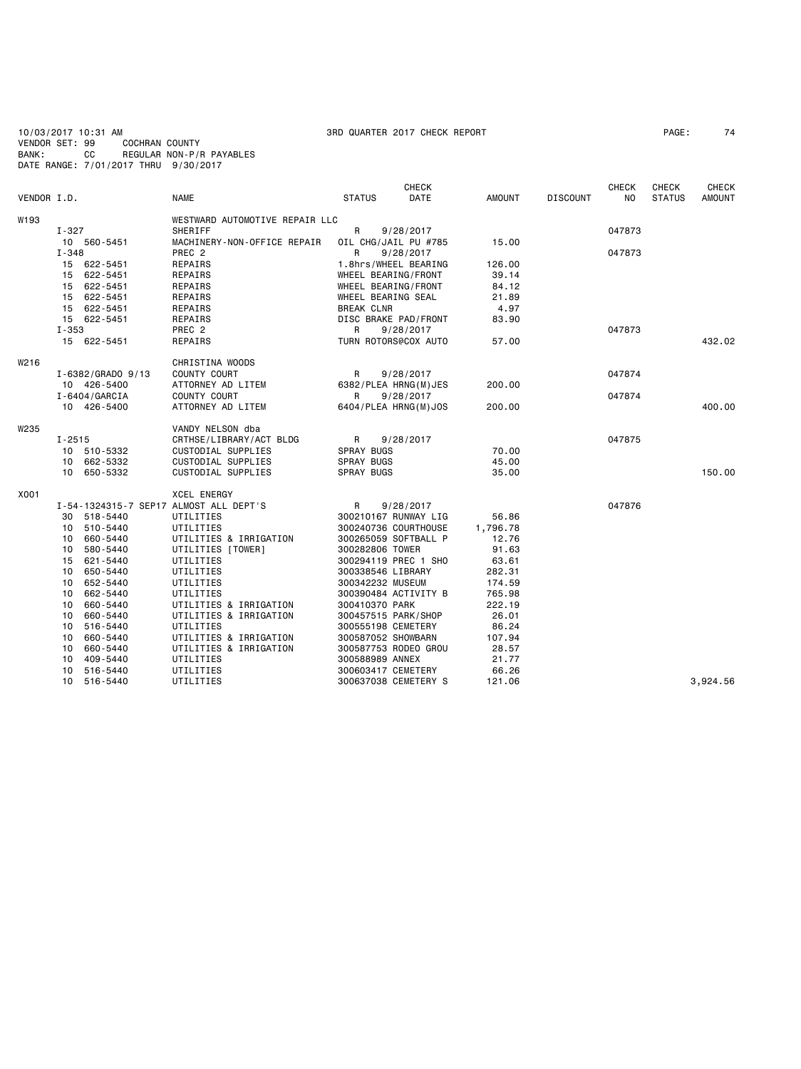10/03/2017 10:31 AM 378 AM 3RD QUARTER 2017 CHECK REPORT<br>VENDOR SET: 99 COCHRAN COUNTY VENDOR SET: 99<br>BANK: CC BANK: CC REGULAR NON-P/R PAYABLES DATE RANGE: 7/01/2017 THRU 9/30/2017

### **CHECK CHECK CHECK CHECK CHECK CHECK** VENDOR I.D. NAME STATUS DATE AMOUNT DISCOUNT NO STATUS AMOUNT W193 **WESTWARD AUTOMOTIVE REPAIR LLC**<br>
T-327 SHERTEE I-327 SHERIFF R 9/28/2017 047873 10 560-5451 MACHINERY-NON-OFFICE REPAIR OIL CHG/JAIL PU #785 15.00<br>I-348 PREC 2 R 9/28/2017 I-348 PREC 2 R 9/28/2017 047873 ابة 622-5451 REPAIRS 1.8hrs/WHEEL BEARING 122-5451 REPAIRS<br>1522-5451 REPAIRS 1.8hrs/WHEEL BEARING/FRONT 15 622-5451 REPAIRS WHEEL BEARING/FRONT 39.14 15 622-5451 REPAIRS WHEEL BEARING/FRONT 84.12 15 621.89 MHEEL BEARING SEAL 21.89<br>1.89 REPAIRS 8 BREAK CLNR 21.89  $15 \quad 622 - 5451$  15 622-5451 REPAIRS DISC BRAKE PAD/FRONT 83.90  $I-353$  PREC 2 PREC 2 R 9/28/2017<br>15 622-5451 REPATRS TIRN ROTORS@COX AUTO 57 00 15 622-5451 REPAIRS TURN ROTORS@COX AUTO 57.00 432.02 W216 CHRISTINA WOODS<br>I-6382/GRADO 9/13 COUNTY COURT I-6382/GRADO 9/13 COUNTY COURT R 9/28/2017 047874 10 426-5400 ATTORNEY AD LITEM 6382/PLEA HRNG(M)JES 200.00 I-6404/GARCIA COUNTY COURT R 9/28/2017 047874 10 426-5400 ATTORNEY AD LITEM 6404/PLEA HRNG(M)JOS 200.00 400.00 W<sub>235</sub> VANDY NELSON dba I-2515 CRTHSE/LIBRARY/ACT BLDG R 9/28/2017 047875 10 510-5332 CUSTODIAL SUPPLIES SPRAY BUGS<br>10 662-5332 CUSTODIAL SUPPLIES SPRAY BUGS 10 662-5332 CUSTODIAL SUPPLIES SPRAY BUGS 45.00 10 650-5332 CUSTODIAL SUPPLIES SPRAY BUGS 35.00 150.00 X001 XCEL ENERGY I-54-1324315-7 SEP17 ALMOST ALL DEPT'S 9/28/2017<br>30 518-5440 UTILITIES 300210167 RUNWAY LIG 56.86 30 518-5440 UTILITIES 300210167 RUNWAY LIG 56.86 10-5440 UTILITIES 300240736 COURTHOUSE 1,796.78<br>660-5440 UTILITIES & IRRIGATION 300265059 SOFTBALL P 12.76 10 660-5440 UTILITIES & IRRIGATION 300265059 SOFTBALL P 12.76 10 580-5440 UTILITIES [TOWER] 300282806 TOWER 91.63<br>10 621-5440 UTILITIES 91.63 300294119 PREC 1 SHO 15 621-5440 UTILITIES 300294119 PREC 1 SHO 63.61 10 650-5440 UTILITIES 300338546 LIBRARY 282.31<br>10 652-5440 UTILITIES 300338546 LIBRARY 282.31 10 652-5440 UTILITIES 300342232 MUSEUM<br>10 662-5440 UTILITIES 300390484 ACTIVIT 10 662-5440 UTILITIES 300390484 ACTIVITY B 765.98 10 660-5440 UTILITIES & IRRIGATION 300410370 PARK 222.19 10 660-5440 UTILITIES & IRRIGATION 300457515 PARK/SHOP 26.01 10 516-5440 UTILITIES 300555198 CEMETERY 86.24 10 660-5440 UTILITIES & IRRIGATION 300587052 SHOWBARN 107.94 10 660-5440 UTILITIES & IRRIGATION 300587753 RODEO GROU 28.57 10 409-5440 UTILITIES 300588989 ANNEX 21.77 10 516-5440 UTILITIES 300603417 CEMETERY<br>10 516-5440 UTILITIES 300637038 CEMETERY 10 516-5440 UTILITIES 300637038 CEMETERY S 121.06 3,924.56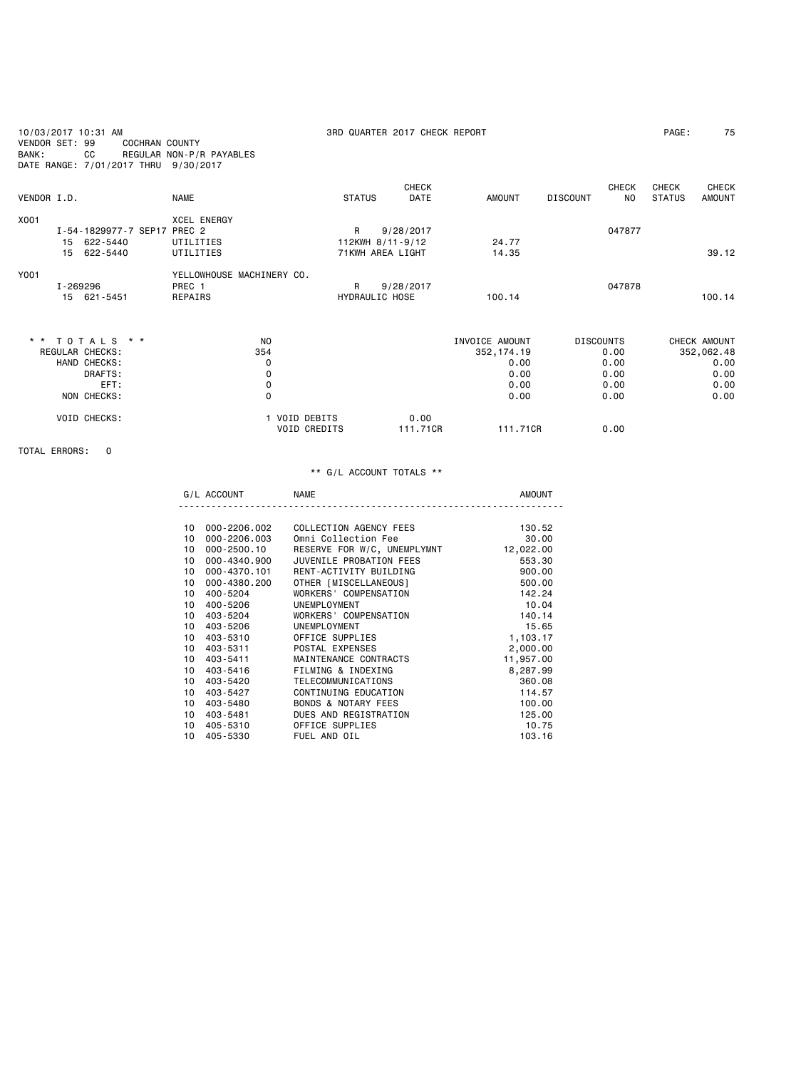| 10/03/2017 10:31 AM<br>VENDOR SET: 99<br>BANK:<br>CC | <b>COCHRAN COUNTY</b><br>REGULAR NON-P/R PAYABLES<br>DATE RANGE: 7/01/2017 THRU 9/30/2017 |                                      | 3RD QUARTER 2017 CHECK REPORT |                |                                        | PAGE:                                                   | 75 |
|------------------------------------------------------|-------------------------------------------------------------------------------------------|--------------------------------------|-------------------------------|----------------|----------------------------------------|---------------------------------------------------------|----|
| VENDOR I.D.                                          | <b>NAME</b>                                                                               | <b>STATUS</b>                        | <b>CHECK</b><br><b>DATE</b>   | <b>AMOUNT</b>  | <b>CHECK</b><br><b>DISCOUNT</b><br>NO. | <b>CHECK</b><br>CHECK<br><b>STATUS</b><br><b>AMOUNT</b> |    |
|                                                      |                                                                                           |                                      |                               |                |                                        |                                                         |    |
| X001                                                 | <b>XCEL ENERGY</b>                                                                        |                                      |                               |                |                                        |                                                         |    |
|                                                      | I-54-1829977-7 SEP17 PREC 2                                                               | R                                    | 9/28/2017                     |                | 047877                                 |                                                         |    |
| 15 622-5440                                          | UTILITIES                                                                                 |                                      | 112KWH 8/11-9/12              | 24.77          |                                        |                                                         |    |
| 622-5440<br>15                                       | UTILITIES                                                                                 |                                      | 71KWH AREA LIGHT              | 14.35          |                                        | 39.12                                                   |    |
| Y001                                                 | YELLOWHOUSE MACHINERY CO.                                                                 |                                      |                               |                |                                        |                                                         |    |
| I-269296                                             | PREC 1                                                                                    | R                                    | 9/28/2017                     |                | 047878                                 |                                                         |    |
| 15 621-5451                                          | REPAIRS                                                                                   |                                      | HYDRAULIC HOSE                | 100.14         |                                        | 100.14                                                  |    |
| ** TOTALS **                                         |                                                                                           | N <sub>0</sub>                       |                               | INVOICE AMOUNT | <b>DISCOUNTS</b>                       | CHECK AMOUNT                                            |    |
| REGULAR CHECKS:                                      |                                                                                           | 354                                  |                               | 352, 174.19    | 0.00                                   | 352,062.48                                              |    |
| HAND CHECKS:                                         |                                                                                           | 0                                    |                               | 0.00           | 0.00                                   | 0.00                                                    |    |
| DRAFTS:                                              |                                                                                           | 0                                    |                               | 0.00           | 0.00                                   | 0.00                                                    |    |
| EFT:                                                 |                                                                                           | 0                                    |                               | 0.00           | 0.00                                   | 0.00                                                    |    |
| NON CHECKS:                                          |                                                                                           | 0                                    |                               | 0.00           | 0.00                                   | 0.00                                                    |    |
|                                                      |                                                                                           |                                      |                               |                |                                        |                                                         |    |
| <b>VOID CHECKS:</b>                                  |                                                                                           | 1 VOID DEBITS<br><b>VOID CREDITS</b> | 0.00<br>111.71CR              | 111.71CR       | 0.00                                   |                                                         |    |

## TOTAL ERRORS: 0

|                 | G/L ACCOUNT  | NAME                           | AMOUNT    |
|-----------------|--------------|--------------------------------|-----------|
|                 |              |                                |           |
| 10              | 000-2206.002 | COLLECTION AGENCY FEES         | 130.52    |
| 10              | 000-2206.003 | Omni Collection Fee            | 30.00     |
| 10              | 000-2500.10  | RESERVE FOR W/C, UNEMPLYMNT    | 12,022.00 |
| 10              | 000-4340.900 | JUVENILE PROBATION FEES        | 553.30    |
| 10              | 000-4370.101 | RENT-ACTIVITY BUILDING         | 900.00    |
| 10              | 000-4380.200 | OTHER [MISCELLANEOUS]          | 500.00    |
| 10              | 400-5204     | WORKERS' COMPENSATION          | 142.24    |
| 10              | 400-5206     | UNEMPLOYMENT                   | 10.04     |
| 10              | 403-5204     | WORKERS' COMPENSATION          | 140.14    |
| 10 <sup>1</sup> | 403-5206     | UNEMPLOYMENT                   | 15.65     |
| 10              | 403-5310     | OFFICE SUPPLIES                | 1,103.17  |
| 10              | 403-5311     | POSTAL EXPENSES                | 2,000.00  |
| 10 <sup>1</sup> | 403-5411     | MAINTENANCE CONTRACTS          | 11,957.00 |
| 10              | 403-5416     | FILMING & INDEXING             | 8,287.99  |
| 10              | 403-5420     | TELECOMMUNICATIONS             | 360.08    |
| 10              | 403-5427     | CONTINUING EDUCATION           | 114.57    |
| 10              | 403-5480     | <b>BONDS &amp; NOTARY FEES</b> | 100.00    |
| 10              | 403-5481     | DUES AND REGISTRATION          | 125,00    |
| 10              | 405-5310     | OFFICE SUPPLIES                | 10.75     |
| 10              | 405-5330     | FUEL AND OIL                   | 103.16    |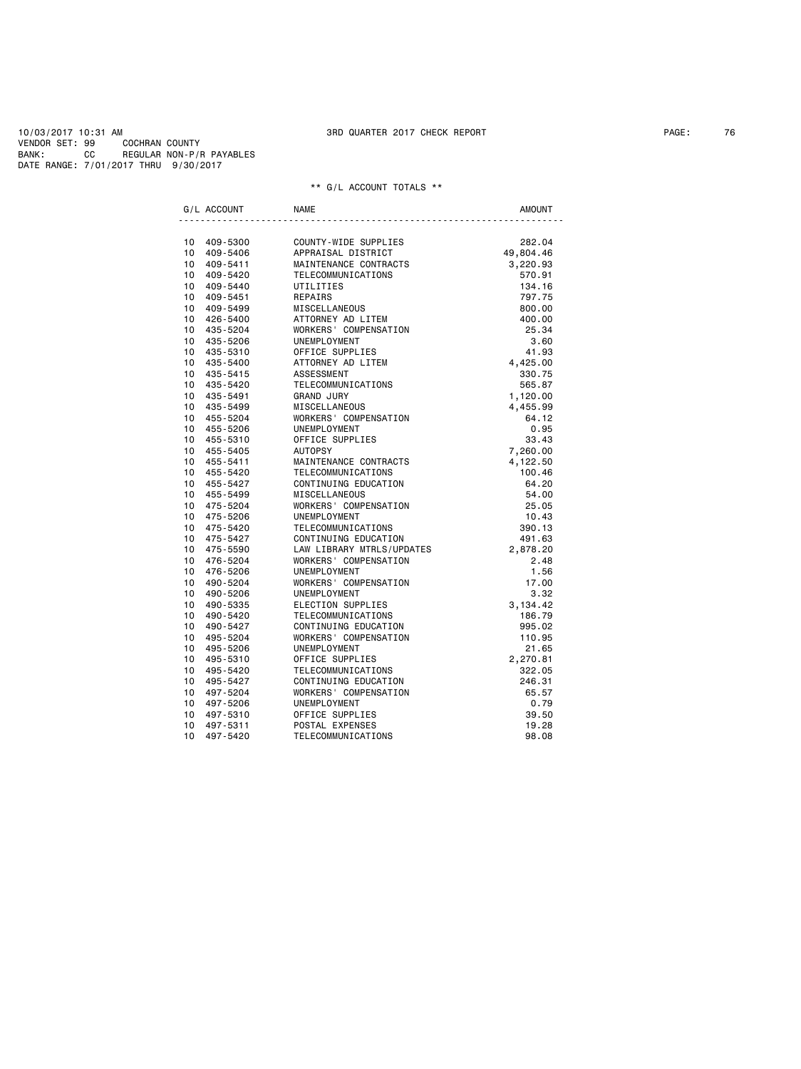| G/L ACCOUNT |                            | <b>NAME</b>                                 | <b>AMOUNT</b>      |
|-------------|----------------------------|---------------------------------------------|--------------------|
|             |                            |                                             |                    |
|             | 10 409-5300                | COUNTY-WIDE SUPPLIES                        | 282.04             |
|             | 10 409-5406                | APPRAISAL DISTRICT                          | 49,804.46          |
|             | 10 409-5411                | MAINTENANCE CONTRACTS                       | 3,220.93           |
|             | 10 409-5420                | TELECOMMUNICATIONS                          | 570.91             |
|             | 10 409-5440                | UTILITIES                                   | 134.16             |
|             | 10 409-5451                | REPAIRS                                     | 797.75             |
|             | 10 409-5499                | <b>MISCELLANEOUS</b>                        | 800.00             |
|             | 10 426-5400                | ATTORNEY AD LITEM                           | 400.00             |
|             | 10 435-5204                | WORKERS' COMPENSATION                       | 25.34              |
|             | 10 435-5206                | UNEMPLOYMENT                                | 3.60               |
|             | 10 435-5310                | OFFICE SUPPLIES                             | 41.93              |
| $10-10$     | 435-5400                   | ATTORNEY AD LITEM                           | 4,425.00           |
|             | 10 435-5415                | ASSESSMENT                                  | 330.75             |
|             | 10 435-5420                | TELECOMMUNICATIONS                          | 565.87             |
|             | 10 435-5491                | <b>GRAND JURY</b>                           | 1,120.00           |
|             | 10 435-5499                | MISCELLANEOUS                               | 4,455.99           |
|             | 10 455-5204                | WORKERS' COMPENSATION                       | 64.12              |
| $10-10$     | 455-5206                   | UNEMPLOYMENT                                | 0.95               |
|             | 10 455-5310                | OFFICE SUPPLIES                             | 33.43              |
|             | 10 455-5405                | <b>AUTOPSY</b>                              | 7,260.00           |
|             | 10 455-5411<br>10 455-5420 | MAINTENANCE CONTRACTS<br>TELECOMMUNICATIONS | 4,122.50<br>100.46 |
|             | 10 455-5427                | CONTINUING EDUCATION                        | 64.20              |
|             | 10 455-5499                | MISCELLANEOUS                               | 54.00              |
|             | 10 475-5204                | WORKERS' COMPENSATION                       | 25.05              |
|             | 10 475-5206                | UNEMPLOYMENT                                | 10.43              |
|             | 10 475-5420                | TELECOMMUNICATIONS                          | 390.13             |
|             | 10 475-5427                | CONTINUING EDUCATION                        | 491.63             |
|             | 10 475-5590                | LAW LIBRARY MTRLS/UPDATES                   | 2,878.20           |
|             | 10 476-5204                | WORKERS' COMPENSATION                       | 2.48               |
| $10-10$     | 476-5206                   | UNEMPLOYMENT                                | 1.56               |
|             | 10 490-5204                | WORKERS' COMPENSATION                       | 17.00              |
| $10-10$     | 490-5206                   | UNEMPLOYMENT                                | 3.32               |
|             | 10 490-5335                | ELECTION SUPPLIES                           | 3,134.42           |
| $10-10$     | 490-5420                   | TELECOMMUNICATIONS                          | 186.79             |
|             | 10 490-5427                | CONTINUING EDUCATION                        | 995.02             |
| $10-10$     | 495-5204                   | WORKERS' COMPENSATION                       | 110.95             |
|             | 10 495-5206                | UNEMPLOYMENT                                | 21.65              |
| $10-10$     | 495-5310                   | OFFICE SUPPLIES                             | 2,270.81           |
|             | 10 495-5420                | TELECOMMUNICATIONS                          | 322.05             |
| 10          | 495-5427                   | CONTINUING EDUCATION                        | 246.31             |
|             | 10 497-5204                | WORKERS' COMPENSATION                       | 65.57              |
| 10          | 497-5206                   | UNEMPLOYMENT                                | 0.79               |
| 10          | 497-5310                   | OFFICE SUPPLIES                             | 39.50              |
| 10          | 497-5311                   | POSTAL EXPENSES                             | 19.28              |
| 10          | 497-5420                   | TELECOMMUNICATIONS                          | 98.08              |
|             |                            |                                             |                    |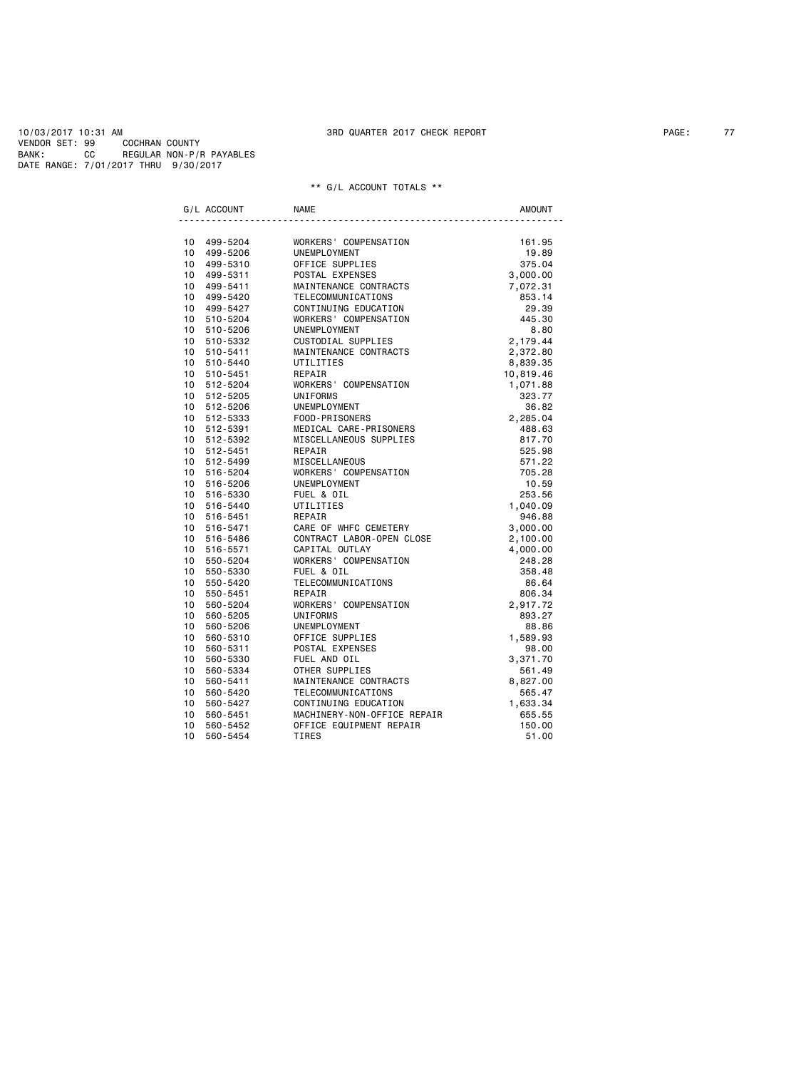|         | G/L ACCOUNT | <b>NAME</b>                                                                            | <b>AMOUNT</b>            |
|---------|-------------|----------------------------------------------------------------------------------------|--------------------------|
|         |             |                                                                                        |                          |
|         | 10 499-5204 | WORKERS' COMPENSATION                                                                  | 161.95                   |
|         | 10 499-5206 | UNEMPLOYMENT<br>OFFICE SUPPLIES<br>DOGTAL EXPENSES                                     | 19.89                    |
|         | 10 499-5310 |                                                                                        | 375.04                   |
|         | 10 499-5311 | POSTAL EXPENSES                                                                        | 3,000.00                 |
|         | 10 499-5411 | MAINTENANCE CONTRACTS<br>TELECOMMUNICATIONS 7,072.31                                   |                          |
|         | 10 499-5420 |                                                                                        |                          |
|         | 10 499-5427 | TELECOMMUNICATIONS<br>CONTINUING EDUCATION<br>WORKERS' COMPENSATION                    | 29.39                    |
|         | 10 510-5204 |                                                                                        | 445.30                   |
|         | 10 510-5206 | UNEMPLOYMENT                                                                           | 8.80                     |
|         | 10 510-5332 | CUSTODIAL SUPPLIES                                                                     | 2,179.44                 |
|         | 10 510-5411 | MAINTENANCE CONTRACTS                                                                  | 2,372.80                 |
|         | 10 510-5440 | UTILITIES                                                                              | 8,839.35                 |
|         | 10 510-5451 | REPAIR                                                                                 | 10,819.46                |
|         | 10 512-5204 | WORKERS' COMPENSATION                                                                  | 1,071.88                 |
|         | 10 512-5205 | UNIFORMS                                                                               | 323.77                   |
|         | 10 512-5206 |                                                                                        | 36.82                    |
|         | 10 512-5333 |                                                                                        | 2,285.04                 |
|         | 10 512-5391 | UNEMPLOYMENT<br>FOOD-PRISONERS<br>MEDICAL CARE-PRISONERS<br>WEDICAL CHEOLOGIC SUPPLIFS | 488.63                   |
|         | 10 512-5392 | MISCELLANEOUS SUPPLIES                                                                 | 817.70                   |
|         | 10 512-5451 | REPAIR                                                                                 | 525.98                   |
|         | 10 512-5499 | MISCELLANEOUS<br>WORKERS' COMPENSATION                                                 | 571.22                   |
|         | 10 516-5204 |                                                                                        | 705.28                   |
|         | 10 516-5206 | UNEMPLOYMENT                                                                           | 10.59                    |
|         | 10 516-5330 | FUEL & OIL                                                                             | 253.56                   |
|         | 10 516-5440 | UTILITIES                                                                              | 1,040.09                 |
|         | 10 516-5451 | REPAIR                                                                                 | 946.88                   |
|         | 10 516-5471 | CARE OF WHFC CEMETERY                                                                  | $3,000.00$<br>$2,100.00$ |
|         | 10 516-5486 | CONTRACT LABOR-OPEN CLOSE                                                              |                          |
|         | 10 516-5571 | CAPITAL OUTLAY                                                                         | 4,000.00                 |
|         | 10 550-5204 | WORKERS' COMPENSATION                                                                  | 248.28                   |
|         | 10 550-5330 | FUEL & OIL                                                                             | 358.48                   |
|         | 10 550-5420 | TELECOMMUNICATIONS                                                                     | 86.64                    |
|         | 10 550-5451 | REPAIR                                                                                 | 806.34                   |
|         | 10 560-5204 | WORKERS' COMPENSATION                                                                  | 2,917.72                 |
|         | 10 560-5205 | UNIFORMS                                                                               | 893.27                   |
|         | 10 560-5206 | UNEMPLOYMENT                                                                           | 88.86                    |
|         | 10 560-5310 | UNEMFLU.<br>OFFICE SUPPLIES<br>POSTAL EXPENSES<br>TILL AND OIL                         | 1,589.93                 |
|         | 10 560-5311 |                                                                                        | 98.00                    |
|         | 10 560-5330 |                                                                                        | 3,371.70                 |
|         | 10 560-5334 |                                                                                        | 561.49                   |
| 10      | 560-5411    | MAINTENANCE CONTRACTS                                                                  | 8,827.00                 |
| 10      | 560-5420    | TELECOMMUNICATIONS                                                                     | 565.47                   |
| $10-10$ | 560-5427    | CONTINUING EDUCATION                                                                   | 1,633.34                 |
| 10      | 560-5451    | MACHINERY-NON-OFFICE REPAIR                                                            | 655.55                   |
| 10      | 560-5452    | OFFICE EQUIPMENT REPAIR                                                                | 150.00                   |
| 10      | 560-5454    | <b>TIRES</b>                                                                           | 51.00                    |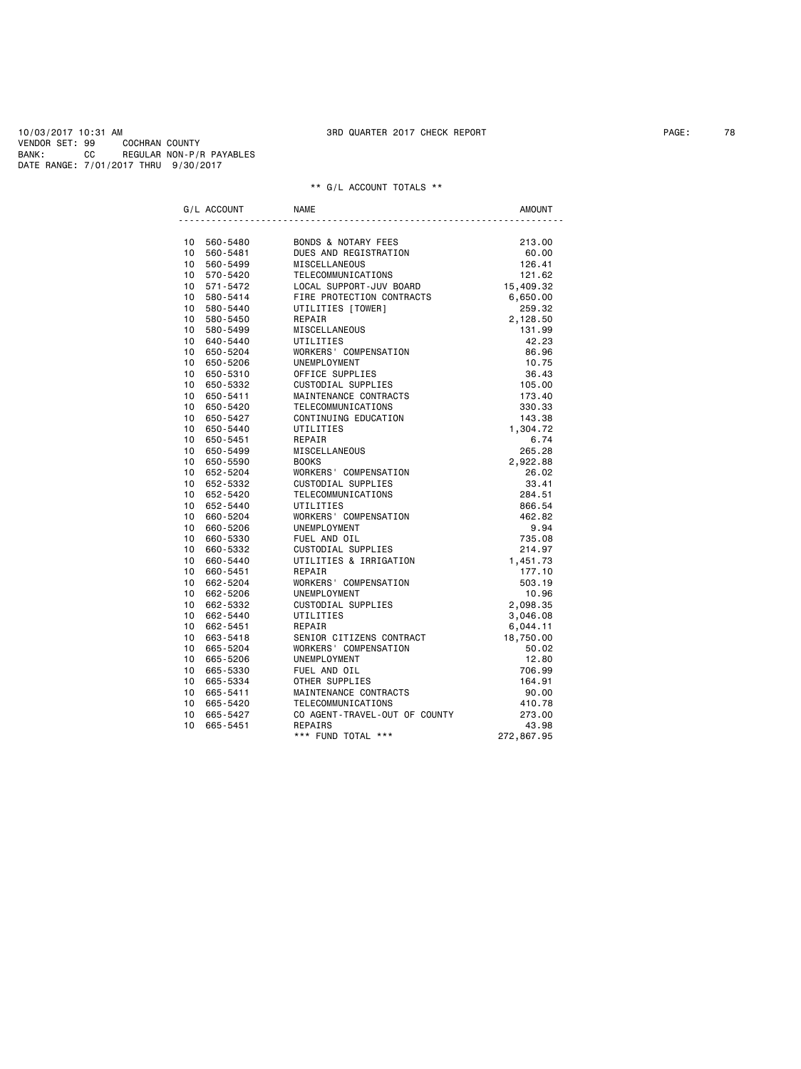|                 | G/L ACCOUNT | <b>NAME</b>                   | <b>AMOUNT</b> |
|-----------------|-------------|-------------------------------|---------------|
|                 |             |                               |               |
|                 | 10 560-5480 | BONDS & NOTARY FEES           | 213,00        |
|                 | 10 560-5481 | DUES AND REGISTRATION         | 60.00         |
|                 | 10 560-5499 | MISCELLANEOUS                 | 126.41        |
|                 | 10 570-5420 | TELECOMMUNICATIONS            | 121.62        |
|                 | 10 571-5472 | LOCAL SUPPORT-JUV BOARD       | 15,409.32     |
|                 | 10 580-5414 | FIRE PROTECTION CONTRACTS     | 6,650.00      |
| 10 <sup>1</sup> | 580-5440    | UTILITIES [TOWER]             | 259.32        |
|                 | 10 580-5450 | REPAIR                        | 2,128.50      |
|                 | 10 580-5499 | MISCELLANEOUS                 | 131.99        |
| 10              | 640-5440    | UTILITIES                     | 42.23         |
| 10              | 650-5204    | WORKERS' COMPENSATION         | 86.96         |
| 10              | 650-5206    | UNEMPLOYMENT                  | 10.75         |
| 10 <sup>1</sup> | 650-5310    | OFFICE SUPPLIES               | 36.43         |
| 10              | 650-5332    | CUSTODIAL SUPPLIES            | 105.00        |
| 10              | 650-5411    | MAINTENANCE CONTRACTS         | 173.40        |
| 10              | 650-5420    | TELECOMMUNICATIONS            | 330.33        |
| 10              | 650-5427    | CONTINUING EDUCATION          | 143.38        |
|                 | 10 650-5440 | UTILITIES                     | 1,304.72      |
| 10              | 650-5451    | REPAIR                        | 6.74          |
| 10              | 650-5499    | MISCELLANEOUS                 | 265.28        |
| 10              | 650-5590    | <b>BOOKS</b>                  | 2,922.88      |
|                 | 10 652-5204 | WORKERS' COMPENSATION         | 26.02         |
| 10              | 652-5332    | CUSTODIAL SUPPLIES            | 33.41         |
| 10              | 652-5420    | TELECOMMUNICATIONS            | 284.51        |
| 10              | 652-5440    | UTILITIES                     | 866.54        |
| 10              | 660-5204    | WORKERS' COMPENSATION         | 462.82        |
| 10 <sup>1</sup> | 660-5206    | UNEMPLOYMENT                  | 9.94          |
| 10 <sup>1</sup> | 660-5330    | FUEL AND OIL                  | 735.08        |
| 10              | 660-5332    | CUSTODIAL SUPPLIES            | 214.97        |
| 10              | 660-5440    | UTILITIES & IRRIGATION        | 1,451.73      |
| 10              | 660-5451    | REPAIR                        | 177.10        |
| 10              | 662-5204    | WORKERS' COMPENSATION         | 503.19        |
|                 | 10 662-5206 | UNEMPLOYMENT                  | 10.96         |
| 10              | 662-5332    | CUSTODIAL SUPPLIES            | 2,098.35      |
|                 | 10 662-5440 | UTILITIES                     | 3,046.08      |
| 10              | 662-5451    | REPAIR                        | 6,044.11      |
| 10              | 663-5418    | SENIOR CITIZENS CONTRACT      | 18,750.00     |
| 10              | 665-5204    | WORKERS' COMPENSATION         | 50.02         |
| 10 <sup>1</sup> | 665-5206    | UNEMPLOYMENT                  | 12.80         |
| 10              | 665-5330    | FUEL AND OIL                  | 706.99        |
| 10 <sup>1</sup> | 665-5334    | OTHER SUPPLIES                | 164.91        |
| 10 <sup>1</sup> | 665-5411    | MAINTENANCE CONTRACTS         | 90.00         |
| 10              | 665-5420    | TELECOMMUNICATIONS            | 410.78        |
| 10              | 665-5427    | CO AGENT-TRAVEL-OUT OF COUNTY | 273.00        |
| 10 <sup>1</sup> | 665-5451    | REPAIRS                       | 43.98         |
|                 |             | *** FUND TOTAL ***            | 272,867.95    |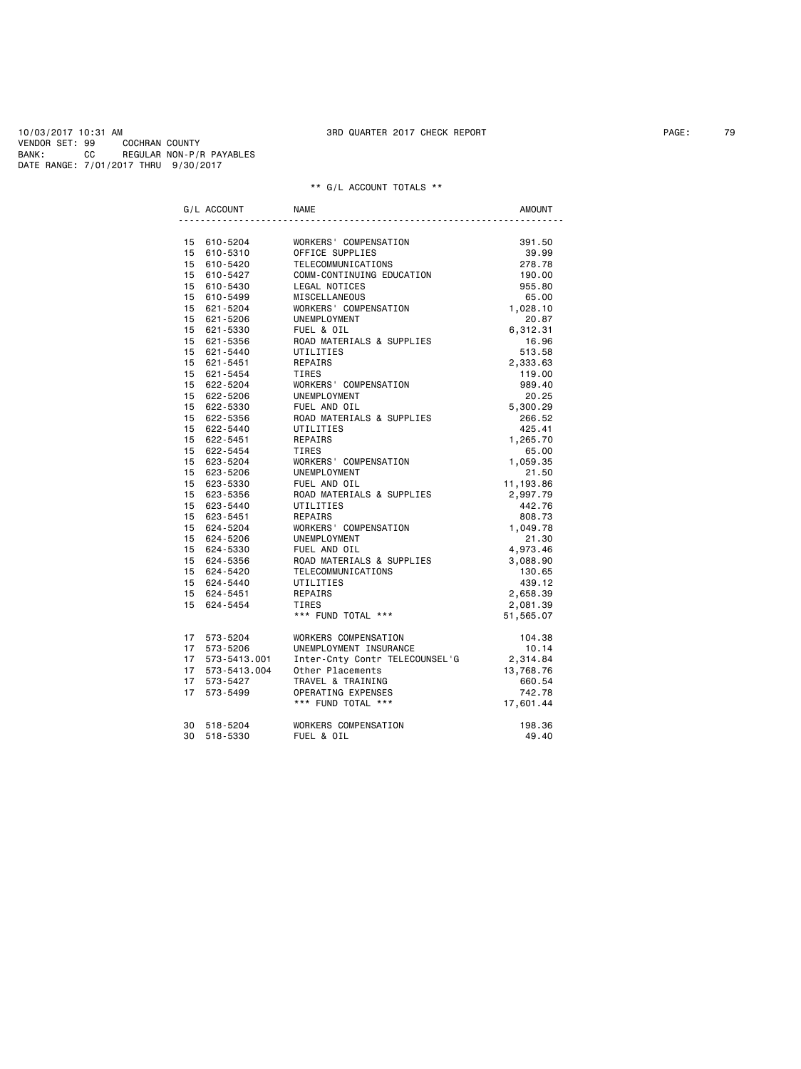DATE RANGE: 7/01/2017 THRU 9/30/2017

|  | G/L ACCOUNT                                                                                 | <b>NAME</b>                                                                                                         | <b>AMOUNT</b>                 |
|--|---------------------------------------------------------------------------------------------|---------------------------------------------------------------------------------------------------------------------|-------------------------------|
|  |                                                                                             |                                                                                                                     |                               |
|  | 15 610-5204                                                                                 | WORKERS' COMPENSATION<br>OFFICE SUPPLIES<br>TELECOMMUNICATIONS<br>COMM-CONTINUING EDUCATION<br>LEGAL NOTTCFS        | 391.50                        |
|  | 15 610-5310                                                                                 |                                                                                                                     | 39.99                         |
|  | 15 610-5420                                                                                 |                                                                                                                     | 278.78                        |
|  | 15 610-5427                                                                                 |                                                                                                                     | 190.00                        |
|  | 15 610-5430                                                                                 | LEGAL NOTICES                                                                                                       | 955.80                        |
|  | 15 610-5499                                                                                 | MISCELLANEOUS                                                                                                       | 65.00                         |
|  | 15 621-5204                                                                                 | WORKERS' COMPENSATION                                                                                               | 1,028.10                      |
|  | 15 621-5206                                                                                 | UNEMPLOYMENT                                                                                                        | 20.87                         |
|  | 15 621-5330                                                                                 | FUEL & OIL                                                                                                          | 6,312.31                      |
|  | 15 621-5356                                                                                 | ROAD MATERIALS & SUPPLIES                                                                                           | 16.96                         |
|  | 15 621-5440                                                                                 | UTILITIES                                                                                                           | 513.58                        |
|  | 15 621-5451                                                                                 | REPAIRS                                                                                                             | 2,333.63                      |
|  | 15 621-5454                                                                                 | TIRES                                                                                                               | 119.00                        |
|  | 15 622-5204                                                                                 | WORKERS' COMPENSATION                                                                                               | 989.40                        |
|  | 15 622-5206                                                                                 | UNEMPLOYMENT                                                                                                        | 20.25                         |
|  | 15 622-5330                                                                                 | FUEL AND OIL                                                                                                        | 5,300.29                      |
|  | 15 622-5356                                                                                 | ROAD MATERIALS & SUPPLIES                                                                                           | 266.52                        |
|  | 15 622-5440                                                                                 | UTILITIES                                                                                                           | 425.41                        |
|  | 15 622-5451                                                                                 | REPAIRS                                                                                                             | 1,265.70                      |
|  | 15 622-5454                                                                                 | TIRES                                                                                                               | 65.00                         |
|  | 15 623-5204                                                                                 | WORKERS' COMPENSATION                                                                                               | 1,059.35                      |
|  | 15 623-5206                                                                                 | UNEMPLOYMENT                                                                                                        | 21.50                         |
|  | 15 623-5330                                                                                 | FUEL AND OIL                                                                                                        | 11,193.86                     |
|  | 15 623-5356                                                                                 | ROAD MATERIALS & SUPPLIES                                                                                           | 2,997.79                      |
|  | 15 623-5440                                                                                 | UTILITIES                                                                                                           | 442.76                        |
|  | 15 623-5451                                                                                 | REPAIRS                                                                                                             | 808.73                        |
|  | 15 624-5204                                                                                 | WORKERS' COMPENSATION                                                                                               | ی. ون<br>1,049.78             |
|  | 15     624-5206<br>15     624-5330                                                          | UNEMPLOYMENT                                                                                                        | 21.30                         |
|  | 15 624-5330                                                                                 | FUEL AND OIL                                                                                                        | 4,973.46                      |
|  |                                                                                             | ROAD MATERIALS & SUPPLIES                                                                                           | 3,088.90                      |
|  | 15 624-5356<br>15 624-5420<br>15 624-5440                                                   | TELECOMMUNICATIONS                                                                                                  | 130.65                        |
|  |                                                                                             | UTILITIES                                                                                                           | 439.12                        |
|  | 15 624-5451                                                                                 |                                                                                                                     | 2,658.39                      |
|  | 15 624-5454                                                                                 |                                                                                                                     | 2,081.39                      |
|  |                                                                                             | REPAIRS<br>TIRES<br>*** FUND TOTAL ***                                                                              | 51,565.07                     |
|  | 17 573-5204                                                                                 | WORKERS COMPENSATION                                                                                                | 104.38                        |
|  | $17 \quad 573 - 5206$<br>$17 \quad 573 - 5413 \cdot 001$<br>$17 \quad 573 - 5413 \cdot 004$ | UNEMPLOYMENT INSURANCE                                                                                              | $10.14$<br>2,314.84<br>13.760 |
|  |                                                                                             | Inter-Cnty Contr TELECOUNSEL'G                                                                                      |                               |
|  |                                                                                             |                                                                                                                     |                               |
|  | 17 573-5427                                                                                 |                                                                                                                     |                               |
|  | 17 573-5499                                                                                 |                                                                                                                     |                               |
|  |                                                                                             | 0ther Placements 13,768.76<br>TRAVEL & TRAINING 660.54<br>OPERATING EXPENSES 742.78<br>*** FUND TOTAL *** 17,601.44 |                               |
|  | 30 518-5204                                                                                 | WORKERS COMPENSATION                                                                                                | 198.36                        |
|  | 30 518-5330                                                                                 | FUEL & OIL                                                                                                          | 49.40                         |
|  |                                                                                             |                                                                                                                     |                               |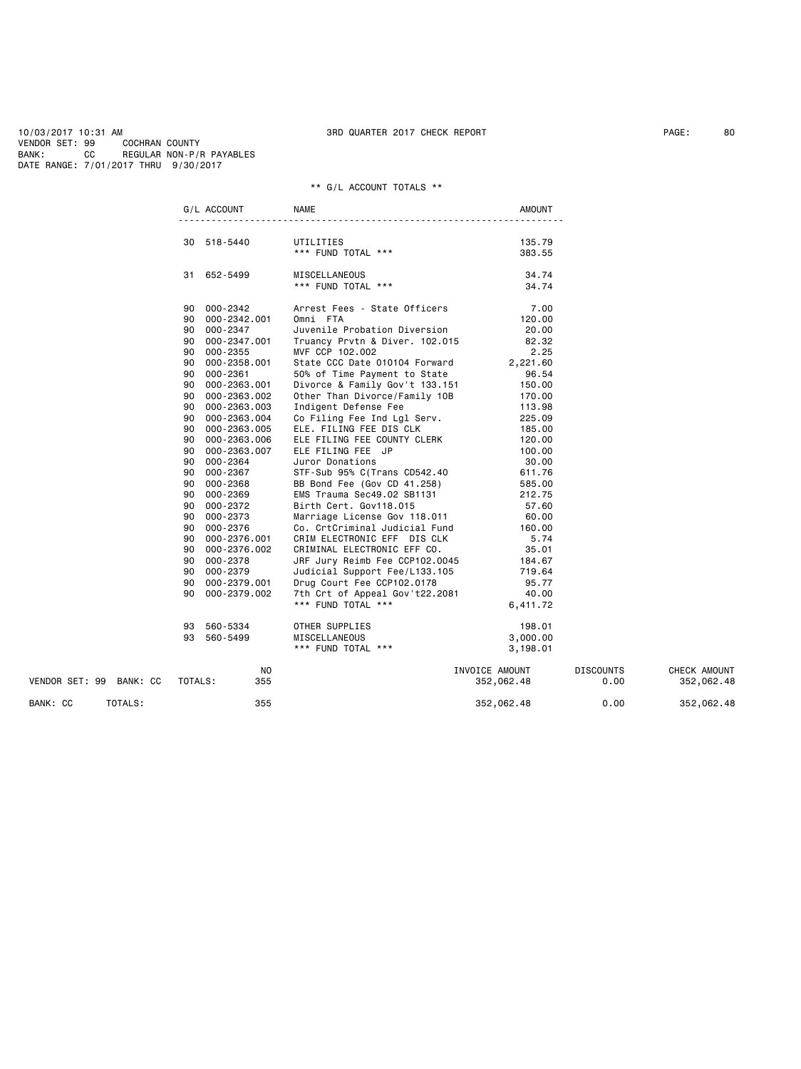|                         |         | G/L ACCOUNT     | <b>NAME</b>                    | <b>AMOUNT</b>  |                  |              |
|-------------------------|---------|-----------------|--------------------------------|----------------|------------------|--------------|
|                         |         |                 |                                |                |                  |              |
|                         |         | 30 518-5440     | UTILITIES                      | 135.79         |                  |              |
|                         |         |                 | *** FUND TOTAL ***             | 383.55         |                  |              |
|                         |         | 31 652-5499     | MISCELLANEOUS                  | 34.74          |                  |              |
|                         |         |                 | *** FUND TOTAL ***             | 34.74          |                  |              |
|                         |         | 90 000-2342     | Arrest Fees - State Officers   | 7.00           |                  |              |
|                         |         | 90 000-2342.001 | Omni FTA                       | 120.00         |                  |              |
|                         |         | 90 000-2347     | Juvenile Probation Diversion   | 20.00          |                  |              |
|                         | 90      | 000-2347.001    | Truancy Prvtn & Diver. 102.015 | 82.32          |                  |              |
|                         | 90      | 000-2355        | MVF CCP 102.002                | 2.25           |                  |              |
|                         |         | 90 000-2358.001 | State CCC Date 010104 Forward  | 2,221.60       |                  |              |
|                         | 90      | 000-2361        | 50% of Time Payment to State   | 96.54          |                  |              |
|                         | 90      | 000-2363.001    | Divorce & Family Gov't 133.151 | 150.00         |                  |              |
|                         | 90      | 000-2363.002    | Other Than Divorce/Family 10B  | 170.00         |                  |              |
|                         | 90      | 000-2363.003    | Indigent Defense Fee           | 113.98         |                  |              |
|                         |         |                 |                                |                |                  |              |
|                         | 90      | 000-2363.004    | Co Filing Fee Ind Lgl Serv.    | 225.09         |                  |              |
|                         | 90      | 000-2363.005    | ELE. FILING FEE DIS CLK        | 185.00         |                  |              |
|                         |         | 90 000-2363.006 | ELE FILING FEE COUNTY CLERK    | 120.00         |                  |              |
|                         |         | 90 000-2363.007 | ELE FILING FEE JP              | 100.00         |                  |              |
|                         | 90      | 000-2364        | Juror Donations                | 30.00          |                  |              |
|                         | 90      | 000-2367        | STF-Sub 95% C(Trans CD542.40   | 611.76         |                  |              |
|                         | 90      | 000-2368        | BB Bond Fee (Gov CD 41.258)    | 585.00         |                  |              |
|                         | 90      | 000-2369        | EMS Trauma Sec49.02 SB1131     | 212.75         |                  |              |
|                         | 90      | 000-2372        | Birth Cert. Gov118.015         | 57.60          |                  |              |
|                         | 90      | 000-2373        | Marriage License Gov 118.011   | 60.00          |                  |              |
|                         | 90      | 000-2376        | Co. CrtCriminal Judicial Fund  | 160.00         |                  |              |
|                         | 90      | 000-2376.001    | CRIM ELECTRONIC EFF DIS CLK    | 5.74           |                  |              |
|                         | 90      | 000-2376.002    | CRIMINAL ELECTRONIC EFF CO.    | 35.01          |                  |              |
|                         |         | 90 000-2378     | JRF Jury Reimb Fee CCP102.0045 | 184.67         |                  |              |
|                         |         | 90 000-2379     | Judicial Support Fee/L133.105  | 719.64         |                  |              |
|                         | 90      | 000-2379.001    | Drug Court Fee CCP102.0178     | 95.77          |                  |              |
|                         | 90      | 000-2379.002    | 7th Crt of Appeal Gov't22.2081 | 40.00          |                  |              |
|                         |         |                 | *** FUND TOTAL ***             | 6,411.72       |                  |              |
|                         |         |                 |                                |                |                  |              |
|                         |         | 93 560-5334     | OTHER SUPPLIES                 | 198.01         |                  |              |
|                         |         | 93 560-5499     | MISCELLANEOUS                  | 3,000.00       |                  |              |
|                         |         |                 | *** FUND TOTAL ***             | 3,198.01       |                  |              |
|                         |         | NO.             |                                | INVOICE AMOUNT | <b>DISCOUNTS</b> | CHECK AMOUNT |
| VENDOR SET: 99 BANK: CC | TOTALS: | 355             |                                | 352,062.48     | 0.00             | 352,062.48   |
| BANK: CC<br>TOTALS:     |         | 355             |                                | 352,062.48     | 0.00             | 352,062.48   |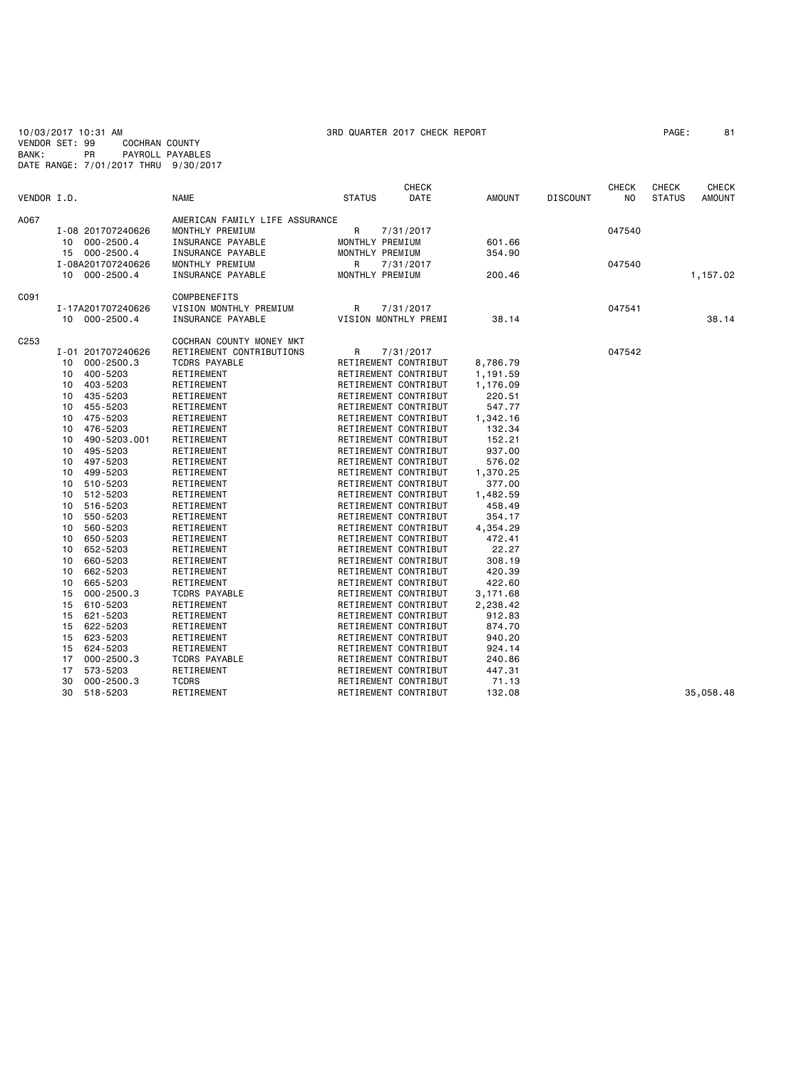| VENDOR SET: 99   |    | 10/03/2017 10:31 AM<br><b>COCHRAN COUNTY</b> |                                | 3RD QUARTER 2017 CHECK REPORT |              |               |                 |              | PAGE:         | 81            |
|------------------|----|----------------------------------------------|--------------------------------|-------------------------------|--------------|---------------|-----------------|--------------|---------------|---------------|
| BANK:            |    | PR                                           | PAYROLL PAYABLES               |                               |              |               |                 |              |               |               |
|                  |    | DATE RANGE: 7/01/2017 THRU 9/30/2017         |                                |                               |              |               |                 |              |               |               |
|                  |    |                                              |                                |                               |              |               |                 |              |               |               |
|                  |    |                                              |                                |                               | <b>CHECK</b> |               |                 | <b>CHECK</b> | <b>CHECK</b>  | <b>CHECK</b>  |
| VENDOR I.D.      |    |                                              | <b>NAME</b>                    | <b>STATUS</b>                 | DATE         | <b>AMOUNT</b> | <b>DISCOUNT</b> | NO.          | <b>STATUS</b> | <b>AMOUNT</b> |
|                  |    |                                              |                                |                               |              |               |                 |              |               |               |
| A067             |    |                                              | AMERICAN FAMILY LIFE ASSURANCE |                               |              |               |                 |              |               |               |
|                  |    | I-08 201707240626                            | MONTHLY PREMIUM                | R                             | 7/31/2017    |               |                 | 047540       |               |               |
|                  |    | 10 000-2500.4                                | INSURANCE PAYABLE              | MONTHLY PREMIUM               |              | 601.66        |                 |              |               |               |
|                  |    | 15 000-2500.4                                | INSURANCE PAYABLE              | MONTHLY PREMIUM               |              | 354.90        |                 |              |               |               |
|                  |    | I-08A201707240626                            | MONTHLY PREMIUM                | R                             | 7/31/2017    |               |                 | 047540       |               |               |
|                  | 10 | 000-2500.4                                   | INSURANCE PAYABLE              | MONTHLY PREMIUM               |              | 200.46        |                 |              |               | 1,157.02      |
|                  |    |                                              |                                |                               |              |               |                 |              |               |               |
| C091             |    |                                              | COMPBENEFITS                   |                               |              |               |                 |              |               |               |
|                  |    | I-17A201707240626                            | VISION MONTHLY PREMIUM         | R                             | 7/31/2017    |               |                 | 047541       |               |               |
|                  |    | 10 000-2500.4                                | INSURANCE PAYABLE              | VISION MONTHLY PREMI          |              | 38.14         |                 |              |               | 38.14         |
|                  |    |                                              |                                |                               |              |               |                 |              |               |               |
| C <sub>253</sub> |    |                                              | COCHRAN COUNTY MONEY MKT       |                               |              |               |                 |              |               |               |
|                  |    | I-01 201707240626                            | RETIREMENT CONTRIBUTIONS       | R                             | 7/31/2017    |               |                 | 047542       |               |               |
|                  | 10 | $000 - 2500.3$                               | <b>TCDRS PAYABLE</b>           | RETIREMENT CONTRIBUT          |              | 8,786.79      |                 |              |               |               |
|                  | 10 | 400-5203                                     | RETIREMENT                     | RETIREMENT CONTRIBUT          |              | 1,191.59      |                 |              |               |               |
|                  | 10 | 403-5203                                     | RETIREMENT                     | RETIREMENT CONTRIBUT          |              | 1,176.09      |                 |              |               |               |
|                  | 10 | 435-5203                                     | RETIREMENT                     | RETIREMENT CONTRIBUT          |              | 220.51        |                 |              |               |               |
|                  | 10 | 455-5203                                     | RETIREMENT                     | RETIREMENT CONTRIBUT          |              | 547.77        |                 |              |               |               |
|                  | 10 | 475-5203                                     | RETIREMENT                     | RETIREMENT CONTRIBUT          |              | 1,342.16      |                 |              |               |               |
|                  | 10 | 476-5203                                     | RETIREMENT                     | RETIREMENT CONTRIBUT          |              | 132.34        |                 |              |               |               |
|                  | 10 | 490-5203.001                                 | RETIREMENT                     | RETIREMENT CONTRIBUT          |              | 152.21        |                 |              |               |               |
|                  | 10 | 495-5203                                     | RETIREMENT                     | RETIREMENT CONTRIBUT          |              | 937.00        |                 |              |               |               |
|                  | 10 | 497-5203                                     | RETIREMENT                     | RETIREMENT CONTRIBUT          |              | 576.02        |                 |              |               |               |
|                  | 10 | 499-5203                                     | RETIREMENT                     | RETIREMENT CONTRIBUT          |              | 1,370.25      |                 |              |               |               |
|                  | 10 | 510-5203                                     | RETIREMENT                     | RETIREMENT CONTRIBUT          |              | 377.00        |                 |              |               |               |
|                  | 10 | 512-5203                                     | RETIREMENT                     | RETIREMENT CONTRIBUT          |              | 1,482.59      |                 |              |               |               |
|                  | 10 | 516-5203                                     | RETIREMENT                     | RETIREMENT CONTRIBUT          |              | 458.49        |                 |              |               |               |
|                  | 10 | 550-5203                                     | RETIREMENT                     | RETIREMENT CONTRIBUT          |              | 354.17        |                 |              |               |               |
|                  | 10 | 560-5203                                     | RETIREMENT                     | RETIREMENT CONTRIBUT          |              | 4,354.29      |                 |              |               |               |
|                  | 10 | 650-5203                                     | RETIREMENT                     | RETIREMENT CONTRIBUT          |              | 472.41        |                 |              |               |               |
|                  | 10 | 652-5203                                     | RETIREMENT                     | RETIREMENT CONTRIBUT          |              | 22.27         |                 |              |               |               |
|                  | 10 | 660-5203                                     | RETIREMENT                     | RETIREMENT CONTRIBUT          |              | 308.19        |                 |              |               |               |
|                  | 10 | 662-5203                                     | RETIREMENT                     | RETIREMENT CONTRIBUT          |              | 420.39        |                 |              |               |               |
|                  | 10 | 665-5203                                     | RETIREMENT                     | RETIREMENT CONTRIBUT          |              | 422.60        |                 |              |               |               |
|                  | 15 | $000 - 2500.3$                               | <b>TCDRS PAYABLE</b>           | RETIREMENT CONTRIBUT          |              | 3,171.68      |                 |              |               |               |
|                  | 15 | 610-5203                                     | RETIREMENT                     | RETIREMENT CONTRIBUT          |              | 2,238.42      |                 |              |               |               |
|                  | 15 | 621-5203                                     | RETIREMENT                     | RETIREMENT CONTRIBUT          |              | 912.83        |                 |              |               |               |
|                  | 15 | 622-5203                                     | RETIREMENT                     | RETIREMENT CONTRIBUT          |              | 874.70        |                 |              |               |               |
|                  | 15 | 623-5203                                     | RETIREMENT                     | RETIREMENT CONTRIBUT          |              | 940.20        |                 |              |               |               |
|                  | 15 | 624-5203                                     | RETIREMENT                     | RETIREMENT CONTRIBUT          |              | 924.14        |                 |              |               |               |
|                  | 17 | $000 - 2500.3$                               | <b>TCDRS PAYABLE</b>           | RETIREMENT CONTRIBUT          |              | 240.86        |                 |              |               |               |
|                  | 17 | 573-5203                                     | RETIREMENT                     | RETIREMENT CONTRIBUT          |              | 447.31        |                 |              |               |               |
|                  | 30 | $000 - 2500.3$                               | <b>TCDRS</b>                   | RETIREMENT CONTRIBUT          |              | 71.13         |                 |              |               |               |
|                  | 30 | 518-5203                                     | RETIREMENT                     | RETIREMENT CONTRIBUT          |              | 132.08        |                 |              |               | 35,058.48     |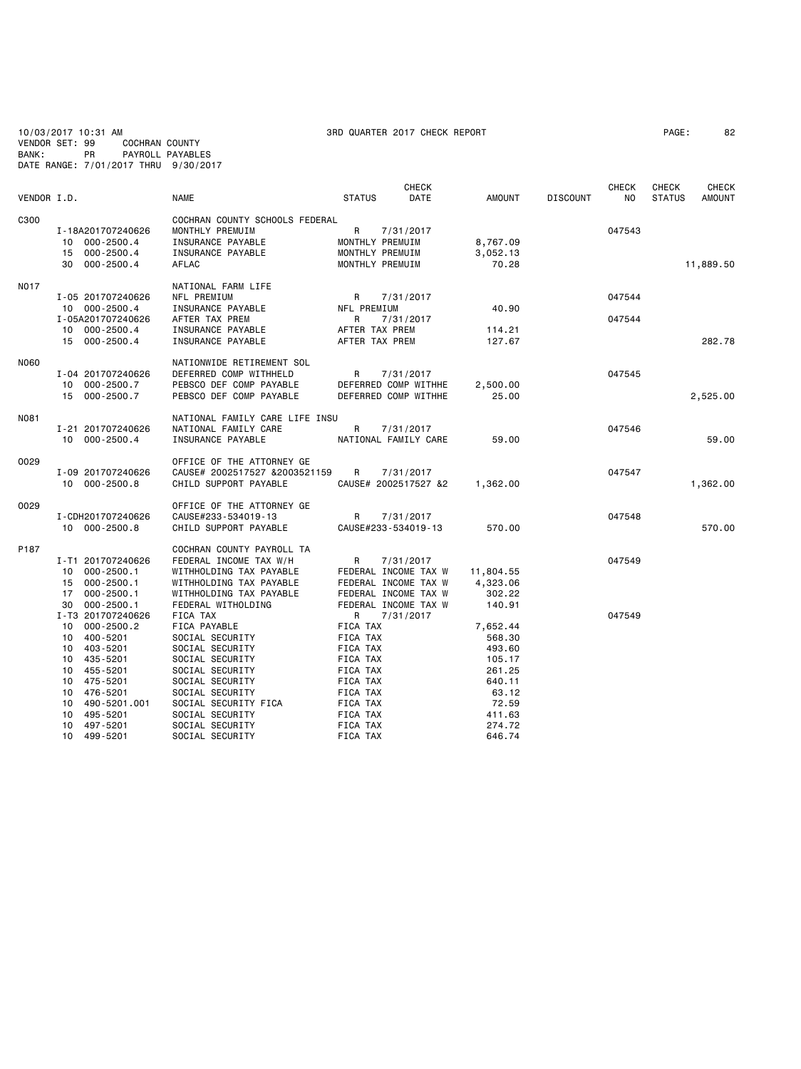10/03/2017 10:31 AM 3RD QUARTER 2017 CHECK REPORT PAGE: 82 VENDOR SET: 99 COCHRAN COUNTY BANK: PR PAYROLL PAYABLES DATE RANGE: 7/01/2017 THRU 9/30/2017

|             |                                                               | <b>NAME</b>                                                                                 |                      | <b>CHECK</b>                                    |                      |                 | <b>CHECK</b> | <b>CHECK</b>  | <b>CHECK</b>  |
|-------------|---------------------------------------------------------------|---------------------------------------------------------------------------------------------|----------------------|-------------------------------------------------|----------------------|-----------------|--------------|---------------|---------------|
| VENDOR I.D. |                                                               |                                                                                             | <b>STATUS</b>        | DATE                                            | AMOUNT               | <b>DISCOUNT</b> | NO.          | <b>STATUS</b> | <b>AMOUNT</b> |
| C300        | I-18A201707240626<br>000-2500.4<br>10<br>$000 - 2500.4$<br>15 | COCHRAN COUNTY SCHOOLS FEDERAL<br>MONTHLY PREMUIM<br>INSURANCE PAYABLE<br>INSURANCE PAYABLE | R                    | 7/31/2017<br>MONTHLY PREMUIM<br>MONTHLY PREMUIM | 8,767.09<br>3,052.13 |                 | 047543       |               |               |
|             | $000 - 2500.4$<br>30                                          | <b>AFLAC</b>                                                                                |                      | MONTHLY PREMUIM                                 | 70.28                |                 |              |               | 11,889.50     |
| <b>NO17</b> |                                                               | NATIONAL FARM LIFE                                                                          |                      |                                                 |                      |                 |              |               |               |
|             | I-05 201707240626<br>10 000-2500.4                            | NFL PREMIUM<br>INSURANCE PAYABLE                                                            | R<br>NFL PREMIUM     | 7/31/2017                                       | 40.90                |                 | 047544       |               |               |
|             | I-05A201707240626                                             | AFTER TAX PREM                                                                              | R                    | 7/31/2017                                       |                      |                 | 047544       |               |               |
|             | 10 000-2500.4                                                 | INSURANCE PAYABLE                                                                           | AFTER TAX PREM       |                                                 | 114.21               |                 |              |               |               |
|             | 15<br>000-2500.4                                              | INSURANCE PAYABLE                                                                           |                      | AFTER TAX PREM                                  | 127.67               |                 |              |               | 282.78        |
|             |                                                               |                                                                                             |                      |                                                 |                      |                 |              |               |               |
| N060        |                                                               | NATIONWIDE RETIREMENT SOL                                                                   |                      |                                                 |                      |                 |              |               |               |
|             | I-04 201707240626                                             | DEFERRED COMP WITHHELD                                                                      | R                    | 7/31/2017                                       |                      |                 | 047545       |               |               |
|             | 000-2500.7<br>10                                              | PEBSCO DEF COMP PAYABLE                                                                     |                      | DEFERRED COMP WITHHE                            | 2,500.00             |                 |              |               |               |
|             | 000-2500.7<br>15                                              | PEBSCO DEF COMP PAYABLE                                                                     |                      | DEFERRED COMP WITHHE                            | 25.00                |                 |              |               | 2,525.00      |
| N081        |                                                               | NATIONAL FAMILY CARE LIFE INSU                                                              |                      |                                                 |                      |                 |              |               |               |
|             | I-21 201707240626                                             | NATIONAL FAMILY CARE                                                                        | R                    | 7/31/2017                                       |                      |                 | 047546       |               |               |
|             | 10 000-2500.4                                                 | INSURANCE PAYABLE                                                                           |                      | NATIONAL FAMILY CARE                            | 59.00                |                 |              |               | 59.00         |
|             |                                                               |                                                                                             |                      |                                                 |                      |                 |              |               |               |
| 0029        |                                                               | OFFICE OF THE ATTORNEY GE                                                                   |                      |                                                 |                      |                 |              |               |               |
|             | I-09 201707240626                                             | CAUSE# 2002517527 &2003521159                                                               | R                    | 7/31/2017                                       |                      |                 | 047547       |               |               |
|             | 10 000-2500.8                                                 | CHILD SUPPORT PAYABLE                                                                       |                      | CAUSE# 2002517527 &2                            | 1,362.00             |                 |              |               | 1,362.00      |
| 0029        |                                                               | OFFICE OF THE ATTORNEY GE                                                                   |                      |                                                 |                      |                 |              |               |               |
|             | I-CDH201707240626                                             | CAUSE#233-534019-13                                                                         | R                    | 7/31/2017                                       |                      |                 | 047548       |               |               |
|             | 10 000-2500.8                                                 | CHILD SUPPORT PAYABLE                                                                       |                      | CAUSE#233-534019-13                             | 570.00               |                 |              |               | 570.00        |
|             |                                                               |                                                                                             |                      |                                                 |                      |                 |              |               |               |
| P187        |                                                               | COCHRAN COUNTY PAYROLL TA                                                                   |                      |                                                 |                      |                 |              |               |               |
|             | I-T1 201707240626                                             | FEDERAL INCOME TAX W/H                                                                      | R                    | 7/31/2017                                       |                      |                 | 047549       |               |               |
|             | $000 - 2500.1$<br>10                                          | WITHHOLDING TAX PAYABLE                                                                     |                      | FEDERAL INCOME TAX W                            | 11,804.55            |                 |              |               |               |
|             | $000 - 2500.1$<br>15                                          | WITHHOLDING TAX PAYABLE                                                                     |                      | FEDERAL INCOME TAX W                            | 4,323.06             |                 |              |               |               |
|             | $000 - 2500.1$<br>17                                          | WITHHOLDING TAX PAYABLE                                                                     |                      | FEDERAL INCOME TAX W                            | 302.22               |                 |              |               |               |
|             | $000 - 2500.1$<br>30                                          | FEDERAL WITHOLDING                                                                          |                      | FEDERAL INCOME TAX W                            | 140.91               |                 |              |               |               |
|             | I-T3 201707240626                                             | <b>FICA TAX</b>                                                                             | R                    | 7/31/2017                                       |                      |                 | 047549       |               |               |
|             | $000 - 2500.2$<br>10 <sup>1</sup><br>400-5201<br>10           | FICA PAYABLE<br>SOCIAL SECURITY                                                             | FICA TAX<br>FICA TAX |                                                 | 7,652.44<br>568.30   |                 |              |               |               |
|             | 403-5201<br>10                                                | SOCIAL SECURITY                                                                             | FICA TAX             |                                                 | 493.60               |                 |              |               |               |
|             | 435-5201<br>10 <sup>1</sup>                                   | SOCIAL SECURITY                                                                             | FICA TAX             |                                                 | 105.17               |                 |              |               |               |
|             | 455-5201<br>10                                                | SOCIAL SECURITY                                                                             | FICA TAX             |                                                 | 261.25               |                 |              |               |               |
|             | 475-5201<br>10                                                | SOCIAL SECURITY                                                                             | FICA TAX             |                                                 | 640.11               |                 |              |               |               |
|             | 476-5201<br>10                                                | SOCIAL SECURITY                                                                             | FICA TAX             |                                                 | 63.12                |                 |              |               |               |
|             | 10<br>490-5201.001                                            | SOCIAL SECURITY FICA                                                                        | FICA TAX             |                                                 | 72.59                |                 |              |               |               |
|             | 495-5201<br>10                                                | SOCIAL SECURITY                                                                             | FICA TAX             |                                                 | 411.63               |                 |              |               |               |
|             | 10<br>497-5201                                                | SOCIAL SECURITY                                                                             | FICA TAX             |                                                 | 274.72               |                 |              |               |               |

10 499-5201 SOCIAL SECURITY FICA TAX 646.74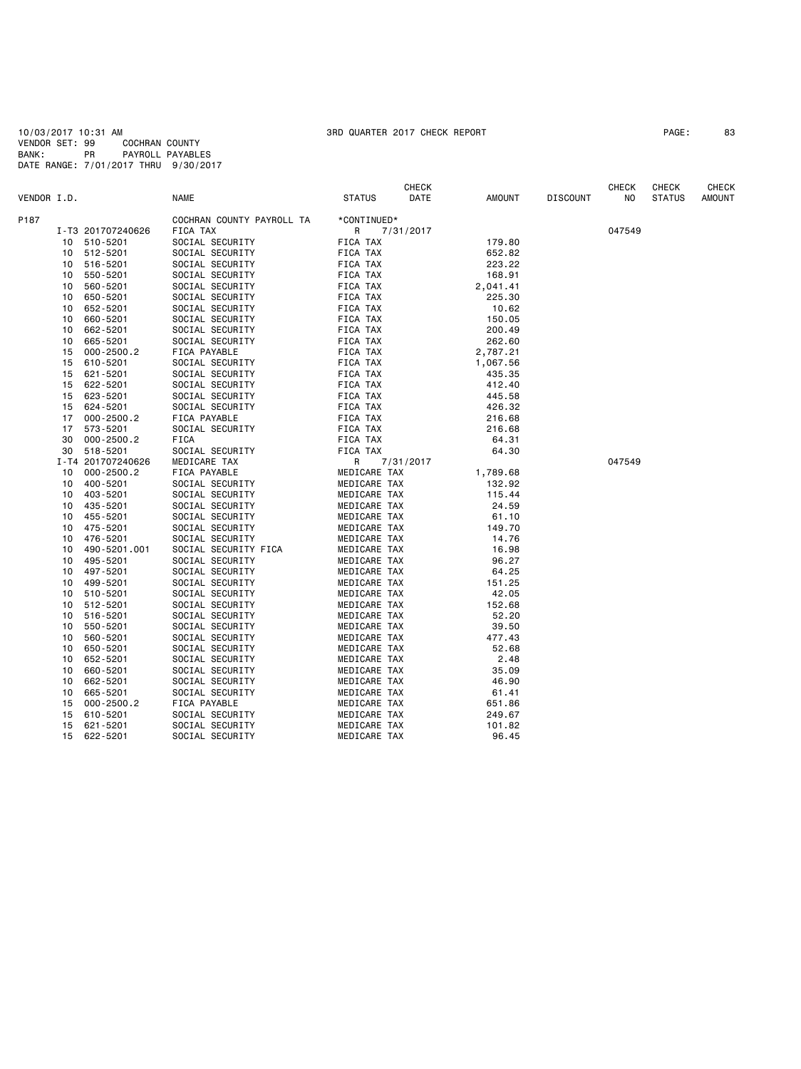10/03/2017 10:31 AM 3RD QUARTER 2017 CHECK REPORT PAGE: 83 VENDOR SET: 99 COCHRAN COUNTY BANK: PR PAYROLL PAYABLES DATE RANGE: 7/01/2017 THRU 9/30/2017

| VENDOR I.D.               | <b>NAME</b>                           | <b>STATUS</b> | CHECK<br>DATE | <b>AMOUNT</b> | <b>DISCOUNT</b> | CHECK<br>NO. | CHECK<br><b>STATUS</b> | <b>CHECK</b><br><b>AMOUNT</b> |
|---------------------------|---------------------------------------|---------------|---------------|---------------|-----------------|--------------|------------------------|-------------------------------|
|                           |                                       |               |               |               |                 |              |                        |                               |
| P187<br>I-T3 201707240626 | COCHRAN COUNTY PAYROLL TA<br>FICA TAX | *CONTINUED*   |               |               |                 | 047549       |                        |                               |
| 510-5201<br>10            | SOCIAL SECURITY                       | R<br>FICA TAX | 7/31/2017     | 179.80        |                 |              |                        |                               |
| 512-5201<br>10            | SOCIAL SECURITY                       | FICA TAX      |               | 652.82        |                 |              |                        |                               |
| 516-5201<br>10            | SOCIAL SECURITY                       | FICA TAX      |               | 223.22        |                 |              |                        |                               |
| 550-5201<br>10            | SOCIAL SECURITY                       | FICA TAX      |               | 168.91        |                 |              |                        |                               |
| 560-5201<br>10            | SOCIAL SECURITY                       | FICA TAX      |               | 2,041.41      |                 |              |                        |                               |
| 650-5201<br>10            | SOCIAL SECURITY                       | FICA TAX      |               | 225.30        |                 |              |                        |                               |
| 652-5201<br>10            | SOCIAL SECURITY                       | FICA TAX      |               | 10.62         |                 |              |                        |                               |
| 660-5201<br>10            | SOCIAL SECURITY                       | FICA TAX      |               | 150.05        |                 |              |                        |                               |
| 10<br>662-5201            | SOCIAL SECURITY                       | FICA TAX      |               | 200.49        |                 |              |                        |                               |
| 665-5201<br>10            | SOCIAL SECURITY                       | FICA TAX      |               | 262.60        |                 |              |                        |                               |
| 15<br>$000 - 2500.2$      | FICA PAYABLE                          | FICA TAX      |               | 2,787.21      |                 |              |                        |                               |
| 610-5201<br>15            | SOCIAL SECURITY                       | FICA TAX      |               | 1,067.56      |                 |              |                        |                               |
| 621-5201<br>15            | SOCIAL SECURITY                       | FICA TAX      |               | 435.35        |                 |              |                        |                               |
| 622-5201<br>15            | SOCIAL SECURITY                       | FICA TAX      |               | 412.40        |                 |              |                        |                               |
| 623-5201<br>15            | SOCIAL SECURITY                       | FICA TAX      |               | 445.58        |                 |              |                        |                               |
| 624-5201<br>15            | SOCIAL SECURITY                       | FICA TAX      |               | 426.32        |                 |              |                        |                               |
| $000 - 2500.2$<br>17      | FICA PAYABLE                          | FICA TAX      |               | 216.68        |                 |              |                        |                               |
| 17<br>573-5201            | SOCIAL SECURITY                       | FICA TAX      |               | 216.68        |                 |              |                        |                               |
| $000 - 2500.2$<br>30      | FICA                                  | FICA TAX      |               | 64.31         |                 |              |                        |                               |
| 518-5201<br>30            | SOCIAL SECURITY                       | FICA TAX      |               | 64.30         |                 |              |                        |                               |
| I-T4 201707240626         | MEDICARE TAX                          | R             | 7/31/2017     |               |                 | 047549       |                        |                               |
| 10<br>$000 - 2500.2$      | FICA PAYABLE                          | MEDICARE TAX  |               | 1,789.68      |                 |              |                        |                               |
| 400-5201<br>10            | SOCIAL SECURITY                       | MEDICARE TAX  |               | 132.92        |                 |              |                        |                               |
| 10<br>403-5201            | SOCIAL SECURITY                       | MEDICARE TAX  |               | 115.44        |                 |              |                        |                               |
| 435-5201<br>10            | SOCIAL SECURITY                       | MEDICARE TAX  |               | 24.59         |                 |              |                        |                               |
| 455-5201<br>10            | SOCIAL SECURITY                       | MEDICARE TAX  |               | 61.10         |                 |              |                        |                               |
| 475-5201<br>10            | SOCIAL SECURITY                       | MEDICARE TAX  |               | 149.70        |                 |              |                        |                               |
| 476-5201<br>10            | SOCIAL SECURITY                       | MEDICARE TAX  |               | 14.76         |                 |              |                        |                               |
| 490-5201.001<br>10        | SOCIAL SECURITY FICA                  | MEDICARE TAX  |               | 16.98         |                 |              |                        |                               |
| 495-5201<br>10            | SOCIAL SECURITY                       | MEDICARE TAX  |               | 96.27         |                 |              |                        |                               |
| 10<br>497-5201            | SOCIAL SECURITY                       | MEDICARE TAX  |               | 64.25         |                 |              |                        |                               |
| 10<br>499-5201            | SOCIAL SECURITY                       | MEDICARE TAX  |               | 151.25        |                 |              |                        |                               |
| 10<br>510-5201            | SOCIAL SECURITY                       | MEDICARE TAX  |               | 42.05         |                 |              |                        |                               |
| 10<br>512-5201            | SOCIAL SECURITY                       | MEDICARE TAX  |               | 152.68        |                 |              |                        |                               |
| 10<br>516-5201            | SOCIAL SECURITY                       | MEDICARE TAX  |               | 52.20         |                 |              |                        |                               |
| 550-5201<br>10            | SOCIAL SECURITY                       | MEDICARE TAX  |               | 39.50         |                 |              |                        |                               |
| 560-5201<br>10            | SOCIAL SECURITY                       | MEDICARE TAX  |               | 477.43        |                 |              |                        |                               |
| 650-5201<br>10            | SOCIAL SECURITY                       | MEDICARE TAX  |               | 52.68         |                 |              |                        |                               |
| 652-5201<br>10            | SOCIAL SECURITY                       | MEDICARE TAX  |               | 2.48          |                 |              |                        |                               |
| 660-5201<br>10            | SOCIAL SECURITY                       | MEDICARE TAX  |               | 35.09         |                 |              |                        |                               |
| 10<br>662-5201            | SOCIAL SECURITY                       | MEDICARE TAX  |               | 46.90         |                 |              |                        |                               |
| 10<br>665-5201            | SOCIAL SECURITY                       | MEDICARE TAX  |               | 61.41         |                 |              |                        |                               |
| $000 - 2500.2$<br>15      | FICA PAYABLE                          | MEDICARE TAX  |               | 651.86        |                 |              |                        |                               |
| 610-5201<br>15            | SOCIAL SECURITY                       | MEDICARE TAX  |               | 249.67        |                 |              |                        |                               |
| 15<br>621-5201            | SOCIAL SECURITY                       | MEDICARE TAX  |               | 101.82        |                 |              |                        |                               |
| 15<br>622-5201            | SOCIAL SECURITY                       | MEDICARE TAX  |               | 96.45         |                 |              |                        |                               |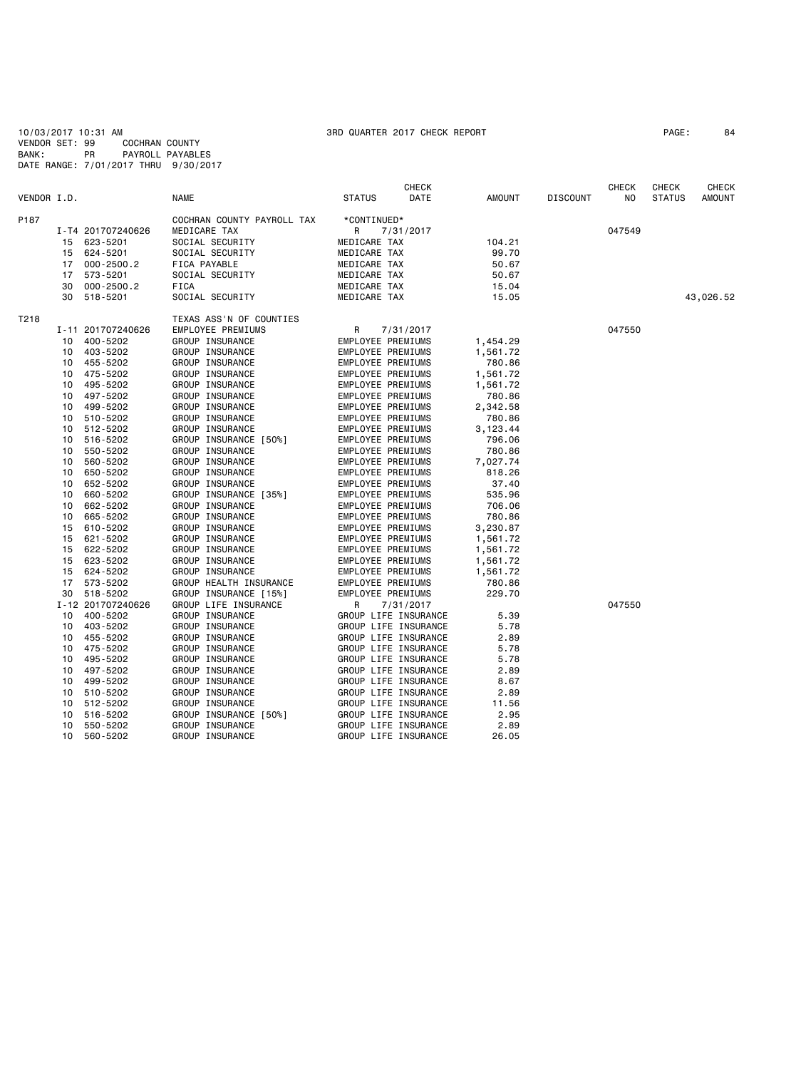10/03/2017 10:31 AM 3RD QUARTER 2017 CHECK REPORT PAGE: 84 VENDOR SET: 99 COCHRAN COUNTY BANK: PR PAYROLL PAYABLES DATE RANGE: 7/01/2017 THRU 9/30/2017

|             |    |                   |                            |                      | <b>CHECK</b> |          |                 | <b>CHECK</b> | <b>CHECK</b>  | <b>CHECK</b>  |
|-------------|----|-------------------|----------------------------|----------------------|--------------|----------|-----------------|--------------|---------------|---------------|
| VENDOR I.D. |    |                   | <b>NAME</b>                | <b>STATUS</b>        | DATE         | AMOUNT   | <b>DISCOUNT</b> | NO.          | <b>STATUS</b> | <b>AMOUNT</b> |
| P187        |    |                   | COCHRAN COUNTY PAYROLL TAX | *CONTINUED*          |              |          |                 |              |               |               |
|             |    | I-T4 201707240626 | MEDICARE TAX               | R                    | 7/31/2017    |          |                 | 047549       |               |               |
|             |    | 15 623-5201       | SOCIAL SECURITY            | MEDICARE TAX         |              | 104.21   |                 |              |               |               |
|             | 15 | 624-5201          | SOCIAL SECURITY            | MEDICARE TAX         |              | 99.70    |                 |              |               |               |
|             | 17 | $000 - 2500.2$    | FICA PAYABLE               | MEDICARE TAX         |              | 50.67    |                 |              |               |               |
|             | 17 | 573-5201          | SOCIAL SECURITY            | MEDICARE TAX         |              | 50.67    |                 |              |               |               |
|             | 30 | 000-2500.2        | FICA                       | MEDICARE TAX         |              | 15.04    |                 |              |               |               |
|             | 30 | 518-5201          | SOCIAL SECURITY            | MEDICARE TAX         |              | 15.05    |                 |              |               | 43,026.52     |
| T218        |    |                   | TEXAS ASS'N OF COUNTIES    |                      |              |          |                 |              |               |               |
|             |    | I-11 201707240626 | EMPLOYEE PREMIUMS          | R                    | 7/31/2017    |          |                 | 047550       |               |               |
|             |    | 10 400-5202       | GROUP INSURANCE            | EMPLOYEE PREMIUMS    |              | 1,454.29 |                 |              |               |               |
|             | 10 | 403-5202          | GROUP INSURANCE            | EMPLOYEE PREMIUMS    |              | 1,561.72 |                 |              |               |               |
|             | 10 | 455-5202          | GROUP INSURANCE            | EMPLOYEE PREMIUMS    |              | 780.86   |                 |              |               |               |
|             | 10 | 475-5202          | GROUP INSURANCE            | EMPLOYEE PREMIUMS    |              | 1,561.72 |                 |              |               |               |
|             | 10 | 495-5202          | GROUP INSURANCE            | EMPLOYEE PREMIUMS    |              | 1,561.72 |                 |              |               |               |
|             | 10 | 497-5202          | GROUP INSURANCE            | EMPLOYEE PREMIUMS    |              | 780.86   |                 |              |               |               |
|             | 10 | 499-5202          | GROUP INSURANCE            | EMPLOYEE PREMIUMS    |              | 2,342.58 |                 |              |               |               |
|             | 10 | 510-5202          | GROUP INSURANCE            | EMPLOYEE PREMIUMS    |              | 780.86   |                 |              |               |               |
|             | 10 | 512-5202          | GROUP INSURANCE            | EMPLOYEE PREMIUMS    |              | 3,123.44 |                 |              |               |               |
|             | 10 | 516-5202          | GROUP INSURANCE [50%]      | EMPLOYEE PREMIUMS    |              | 796.06   |                 |              |               |               |
|             | 10 | 550-5202          | GROUP INSURANCE            | EMPLOYEE PREMIUMS    |              | 780.86   |                 |              |               |               |
|             | 10 | 560-5202          | GROUP INSURANCE            | EMPLOYEE PREMIUMS    |              | 7,027.74 |                 |              |               |               |
|             | 10 | 650-5202          | GROUP INSURANCE            | EMPLOYEE PREMIUMS    |              | 818.26   |                 |              |               |               |
|             | 10 | 652-5202          | GROUP INSURANCE            | EMPLOYEE PREMIUMS    |              | 37.40    |                 |              |               |               |
|             | 10 | 660-5202          | GROUP INSURANCE [35%]      | EMPLOYEE PREMIUMS    |              | 535.96   |                 |              |               |               |
|             | 10 | 662-5202          | GROUP INSURANCE            | EMPLOYEE PREMIUMS    |              | 706.06   |                 |              |               |               |
|             | 10 | 665-5202          | GROUP INSURANCE            | EMPLOYEE PREMIUMS    |              | 780.86   |                 |              |               |               |
|             | 15 | 610-5202          | GROUP INSURANCE            | EMPLOYEE PREMIUMS    |              | 3,230.87 |                 |              |               |               |
|             | 15 | 621-5202          | GROUP INSURANCE            | EMPLOYEE PREMIUMS    |              | 1,561.72 |                 |              |               |               |
|             | 15 | 622-5202          | GROUP INSURANCE            | EMPLOYEE PREMIUMS    |              | 1,561.72 |                 |              |               |               |
|             |    | 15 623-5202       | GROUP INSURANCE            | EMPLOYEE PREMIUMS    |              | 1,561.72 |                 |              |               |               |
|             | 15 | 624-5202          | GROUP INSURANCE            | EMPLOYEE PREMIUMS    |              | 1,561.72 |                 |              |               |               |
|             | 17 | 573-5202          | GROUP HEALTH INSURANCE     | EMPLOYEE PREMIUMS    |              | 780.86   |                 |              |               |               |
|             | 30 | 518-5202          | GROUP INSURANCE [15%]      | EMPLOYEE PREMIUMS    |              | 229.70   |                 |              |               |               |
|             |    | I-12 201707240626 | GROUP LIFE INSURANCE       | R                    | 7/31/2017    |          |                 | 047550       |               |               |
|             |    | 10 400-5202       | GROUP INSURANCE            | GROUP LIFE INSURANCE |              | 5.39     |                 |              |               |               |
|             | 10 | 403-5202          | GROUP INSURANCE            | GROUP LIFE INSURANCE |              | 5.78     |                 |              |               |               |
|             | 10 | 455-5202          | GROUP INSURANCE            | GROUP LIFE INSURANCE |              | 2.89     |                 |              |               |               |
|             | 10 | 475-5202          | GROUP INSURANCE            | GROUP LIFE INSURANCE |              | 5.78     |                 |              |               |               |
|             | 10 | 495-5202          | GROUP INSURANCE            | GROUP LIFE INSURANCE |              | 5.78     |                 |              |               |               |
|             | 10 | 497-5202          | GROUP INSURANCE            | GROUP LIFE INSURANCE |              | 2.89     |                 |              |               |               |
|             | 10 | 499-5202          | GROUP INSURANCE            | GROUP LIFE INSURANCE |              | 8.67     |                 |              |               |               |
|             | 10 | 510-5202          | GROUP INSURANCE            | GROUP LIFE INSURANCE |              | 2.89     |                 |              |               |               |
|             | 10 | 512-5202          | GROUP INSURANCE            | GROUP LIFE INSURANCE |              | 11.56    |                 |              |               |               |
|             | 10 | 516-5202          | GROUP INSURANCE [50%]      | GROUP LIFE INSURANCE |              | 2.95     |                 |              |               |               |
|             | 10 | 550-5202          | GROUP INSURANCE            | GROUP LIFE INSURANCE |              | 2.89     |                 |              |               |               |
|             | 10 | 560-5202          | GROUP INSURANCE            | GROUP LIFE INSURANCE |              | 26.05    |                 |              |               |               |
|             |    |                   |                            |                      |              |          |                 |              |               |               |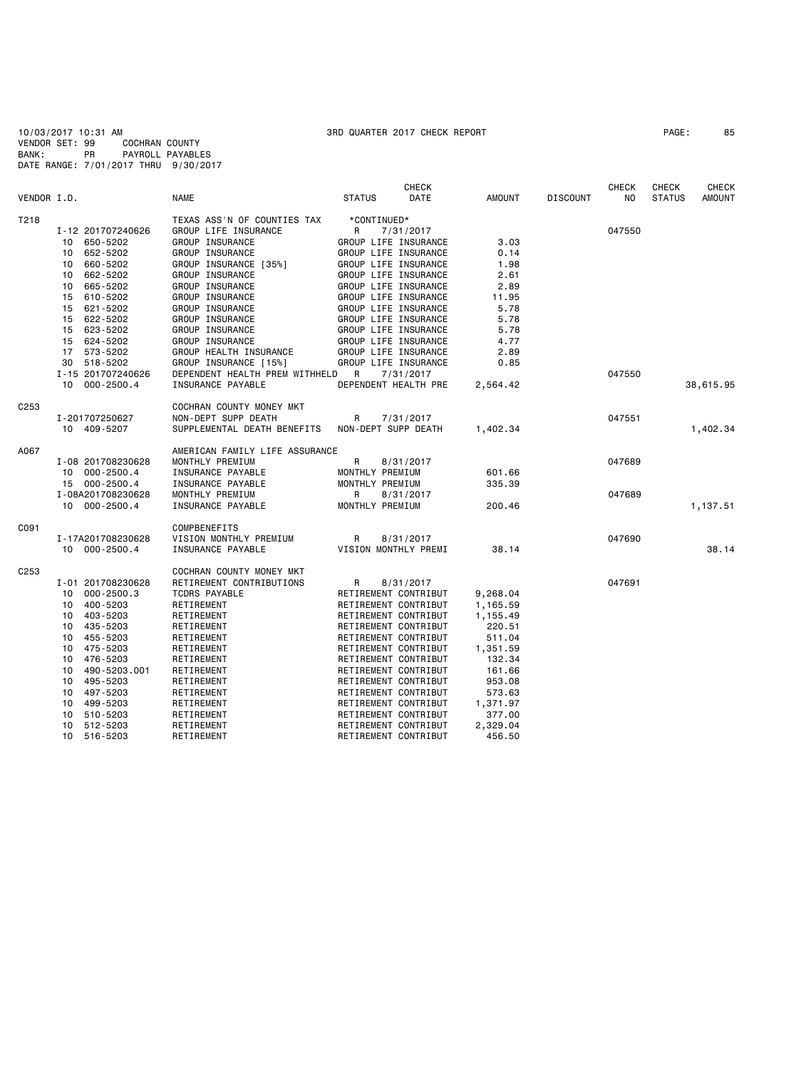10/03/2017 10:31 AM 3RD QUARTER 2017 CHECK REPORT PAGE: 85 VENDOR SET: 99 COCHRAN COUNTY BANK: PR PAYROLL PAYABLES DATE RANGE: 7/01/2017 THRU 9/30/2017

| VENDOR I.D.      |                             | <b>NAME</b>                    | <b>CHECK</b><br><b>DATE</b><br><b>STATUS</b> | <b>AMOUNT</b> | <b>DISCOUNT</b> | <b>CHECK</b><br>NO. | CHECK<br><b>STATUS</b> | <b>CHECK</b><br><b>AMOUNT</b> |
|------------------|-----------------------------|--------------------------------|----------------------------------------------|---------------|-----------------|---------------------|------------------------|-------------------------------|
| T218             |                             | TEXAS ASS'N OF COUNTIES TAX    | *CONTINUED*                                  |               |                 |                     |                        |                               |
|                  | I-12 201707240626           | GROUP LIFE INSURANCE           | R<br>7/31/2017                               |               |                 | 047550              |                        |                               |
|                  | 650-5202<br>10              | GROUP INSURANCE                | GROUP LIFE INSURANCE                         | 3.03          |                 |                     |                        |                               |
|                  | 652-5202<br>10 <sup>1</sup> | GROUP INSURANCE                | GROUP LIFE INSURANCE                         | 0.14          |                 |                     |                        |                               |
|                  | 660-5202<br>10              | GROUP INSURANCE [35%]          | GROUP LIFE INSURANCE                         | 1.98          |                 |                     |                        |                               |
|                  | 662-5202<br>10              | GROUP INSURANCE                | GROUP LIFE INSURANCE                         | 2.61          |                 |                     |                        |                               |
|                  | 665-5202<br>10              | GROUP INSURANCE                | GROUP LIFE INSURANCE                         | 2.89          |                 |                     |                        |                               |
|                  | 610-5202<br>15              | GROUP INSURANCE                | GROUP LIFE INSURANCE                         | 11.95         |                 |                     |                        |                               |
|                  | 621-5202<br>15              | GROUP INSURANCE                | GROUP LIFE INSURANCE                         | 5.78          |                 |                     |                        |                               |
|                  | 622-5202<br>15              | GROUP INSURANCE                | GROUP LIFE INSURANCE                         | 5.78          |                 |                     |                        |                               |
|                  | 623-5202<br>15              | GROUP INSURANCE                | GROUP LIFE INSURANCE                         | 5.78          |                 |                     |                        |                               |
|                  | 624-5202<br>15              | GROUP INSURANCE                | GROUP LIFE INSURANCE                         | 4.77          |                 |                     |                        |                               |
|                  | 573-5202<br>17              | GROUP HEALTH INSURANCE         | GROUP LIFE INSURANCE                         | 2.89          |                 |                     |                        |                               |
|                  | 518-5202<br>30              | GROUP INSURANCE [15%]          | GROUP LIFE INSURANCE                         | 0.85          |                 |                     |                        |                               |
|                  | I-15 201707240626           | DEPENDENT HEALTH PREM WITHHELD | R<br>7/31/2017                               |               |                 | 047550              |                        |                               |
|                  | 000-2500.4<br>10            | INSURANCE PAYABLE              | DEPENDENT HEALTH PRE                         | 2,564.42      |                 |                     |                        | 38,615.95                     |
|                  |                             |                                |                                              |               |                 |                     |                        |                               |
| C <sub>253</sub> |                             | COCHRAN COUNTY MONEY MKT       |                                              |               |                 |                     |                        |                               |
|                  | I-201707250627              | NON-DEPT SUPP DEATH            | R<br>7/31/2017                               |               |                 | 047551              |                        |                               |
|                  | 10 409-5207                 | SUPPLEMENTAL DEATH BENEFITS    | NON-DEPT SUPP DEATH                          | 1,402.34      |                 |                     |                        | 1,402.34                      |
|                  |                             |                                |                                              |               |                 |                     |                        |                               |
| A067             |                             | AMERICAN FAMILY LIFE ASSURANCE |                                              |               |                 |                     |                        |                               |
|                  | I-08 201708230628           | MONTHLY PREMIUM                | R<br>8/31/2017                               |               |                 | 047689              |                        |                               |
|                  | 10 000-2500.4               | INSURANCE PAYABLE              | MONTHLY PREMIUM                              | 601.66        |                 |                     |                        |                               |
|                  | 15 000-2500.4               | INSURANCE PAYABLE              | MONTHLY PREMIUM                              | 335.39        |                 |                     |                        |                               |
|                  | I-08A201708230628           | MONTHLY PREMIUM                | R<br>8/31/2017                               |               |                 | 047689              |                        |                               |
|                  | 10 000-2500.4               | INSURANCE PAYABLE              | MONTHLY PREMIUM                              | 200.46        |                 |                     |                        | 1,137.51                      |
|                  |                             |                                |                                              |               |                 |                     |                        |                               |
| C091             |                             | COMPBENEFITS                   |                                              |               |                 |                     |                        |                               |
|                  | I-17A201708230628           | VISION MONTHLY PREMIUM         | R<br>8/31/2017                               |               |                 | 047690              |                        |                               |
|                  | 10 000-2500.4               | INSURANCE PAYABLE              | VISION MONTHLY PREMI                         | 38.14         |                 |                     |                        | 38.14                         |
|                  |                             |                                |                                              |               |                 |                     |                        |                               |
| C <sub>253</sub> |                             | COCHRAN COUNTY MONEY MKT       |                                              |               |                 |                     |                        |                               |
|                  | I-01 201708230628           | RETIREMENT CONTRIBUTIONS       | R<br>8/31/2017                               |               |                 | 047691              |                        |                               |
|                  | 10 000-2500.3               | <b>TCDRS PAYABLE</b>           | RETIREMENT CONTRIBUT                         | 9,268.04      |                 |                     |                        |                               |
|                  | 10 400-5203                 | RETIREMENT                     | RETIREMENT CONTRIBUT                         | 1,165.59      |                 |                     |                        |                               |
|                  | 403-5203<br>10              | RETIREMENT                     | RETIREMENT CONTRIBUT                         | 1,155.49      |                 |                     |                        |                               |
|                  | 435-5203<br>10              | RETIREMENT                     | RETIREMENT CONTRIBUT                         | 220.51        |                 |                     |                        |                               |
|                  | 455-5203<br>10              | RETIREMENT                     | RETIREMENT CONTRIBUT                         | 511.04        |                 |                     |                        |                               |
|                  | 475-5203<br>10              | RETIREMENT                     | RETIREMENT CONTRIBUT                         | 1,351.59      |                 |                     |                        |                               |
|                  | 476-5203<br>10              | RETIREMENT                     | RETIREMENT CONTRIBUT                         | 132.34        |                 |                     |                        |                               |
|                  | 490-5203.001<br>10          | RETIREMENT                     | RETIREMENT CONTRIBUT                         | 161.66        |                 |                     |                        |                               |
|                  | 495-5203<br>10              | RETIREMENT                     | RETIREMENT CONTRIBUT                         | 953.08        |                 |                     |                        |                               |
|                  | 497-5203<br>10              | RETIREMENT                     | RETIREMENT CONTRIBUT                         | 573.63        |                 |                     |                        |                               |
|                  | 499-5203<br>10              |                                | RETIREMENT CONTRIBUT                         |               |                 |                     |                        |                               |
|                  |                             | RETIREMENT                     |                                              | 1,371.97      |                 |                     |                        |                               |
|                  | 510-5203<br>10              | RETIREMENT                     | RETIREMENT CONTRIBUT                         | 377.00        |                 |                     |                        |                               |
|                  | 10<br>512-5203              | RETIREMENT                     | RETIREMENT CONTRIBUT                         | 2,329.04      |                 |                     |                        |                               |

10 516-5203 RETIREMENT RETIREMENT CONTRIBUT 456.50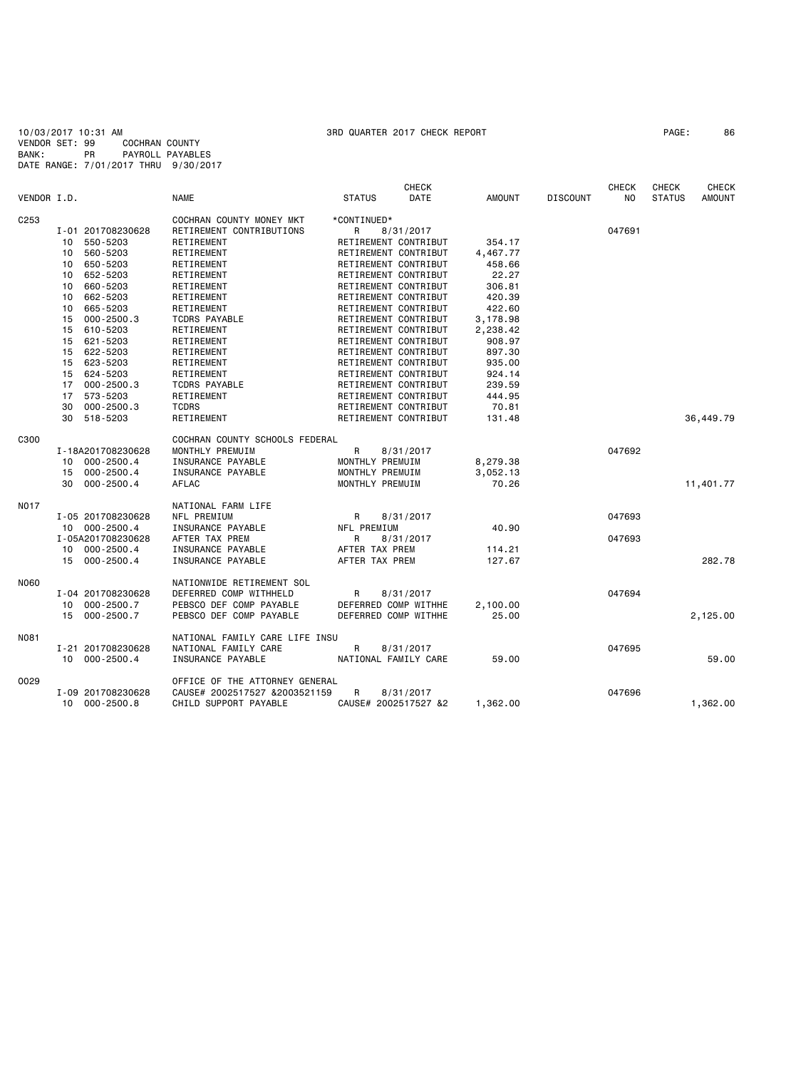10/03/2017 10:31 AM 3RD QUARTER 2017 CHECK REPORT PAGE: 86 VENDOR SET: 99 COCHRAN COUNTY BANK: PR PAYROLL PAYABLES DATE RANGE: 7/01/2017 THRU 9/30/2017

|             |    |                   |                                |                      | <b>CHECK</b> |               |                 | <b>CHECK</b> | <b>CHECK</b>  | <b>CHECK</b>  |
|-------------|----|-------------------|--------------------------------|----------------------|--------------|---------------|-----------------|--------------|---------------|---------------|
| VENDOR I.D. |    |                   | <b>NAME</b>                    | <b>STATUS</b>        | DATE         | <b>AMOUNT</b> | <b>DISCOUNT</b> | NO.          | <b>STATUS</b> | <b>AMOUNT</b> |
| C253        |    |                   | COCHRAN COUNTY MONEY MKT       | *CONTINUED*          |              |               |                 |              |               |               |
|             |    | I-01 201708230628 | RETIREMENT CONTRIBUTIONS       | R                    | 8/31/2017    |               |                 | 047691       |               |               |
|             | 10 | 550-5203          | RETIREMENT                     | RETIREMENT CONTRIBUT |              | 354.17        |                 |              |               |               |
|             | 10 | 560-5203          | RETIREMENT                     | RETIREMENT CONTRIBUT |              | 4,467.77      |                 |              |               |               |
|             | 10 | 650-5203          | RETIREMENT                     | RETIREMENT CONTRIBUT |              | 458.66        |                 |              |               |               |
|             | 10 | 652-5203          | RETIREMENT                     | RETIREMENT CONTRIBUT |              | 22.27         |                 |              |               |               |
|             | 10 | 660-5203          | RETIREMENT                     | RETIREMENT CONTRIBUT |              | 306.81        |                 |              |               |               |
|             | 10 | 662-5203          | RETIREMENT                     | RETIREMENT CONTRIBUT |              | 420.39        |                 |              |               |               |
|             | 10 | 665-5203          | RETIREMENT                     | RETIREMENT CONTRIBUT |              | 422.60        |                 |              |               |               |
|             | 15 | $000 - 2500.3$    | <b>TCDRS PAYABLE</b>           | RETIREMENT CONTRIBUT |              | 3,178.98      |                 |              |               |               |
|             | 15 | 610-5203          | RETIREMENT                     | RETIREMENT CONTRIBUT |              | 2,238.42      |                 |              |               |               |
|             | 15 | 621-5203          | RETIREMENT                     | RETIREMENT CONTRIBUT |              | 908.97        |                 |              |               |               |
|             | 15 | 622-5203          | RETIREMENT                     | RETIREMENT CONTRIBUT |              | 897.30        |                 |              |               |               |
|             | 15 | 623-5203          | RETIREMENT                     | RETIREMENT CONTRIBUT |              | 935.00        |                 |              |               |               |
|             | 15 | 624-5203          | RETIREMENT                     | RETIREMENT CONTRIBUT |              | 924.14        |                 |              |               |               |
|             | 17 | $000 - 2500.3$    | <b>TCDRS PAYABLE</b>           | RETIREMENT CONTRIBUT |              | 239.59        |                 |              |               |               |
|             | 17 | 573-5203          | RETIREMENT                     | RETIREMENT CONTRIBUT |              | 444.95        |                 |              |               |               |
|             | 30 | $000 - 2500.3$    | <b>TCDRS</b>                   | RETIREMENT CONTRIBUT |              | 70.81         |                 |              |               |               |
|             |    | 518-5203          |                                |                      |              |               |                 |              |               | 36,449.79     |
|             | 30 |                   | RETIREMENT                     | RETIREMENT CONTRIBUT |              | 131.48        |                 |              |               |               |
| C300        |    |                   | COCHRAN COUNTY SCHOOLS FEDERAL |                      |              |               |                 |              |               |               |
|             |    | I-18A201708230628 | MONTHLY PREMUIM                | R                    | 8/31/2017    |               |                 | 047692       |               |               |
|             |    | 10 000-2500.4     | INSURANCE PAYABLE              | MONTHLY PREMUIM      |              | 8,279.38      |                 |              |               |               |
|             | 15 | $000 - 2500.4$    | INSURANCE PAYABLE              | MONTHLY PREMUIM      |              | 3,052.13      |                 |              |               |               |
|             | 30 | $000 - 2500.4$    | <b>AFLAC</b>                   | MONTHLY PREMUIM      |              | 70.26         |                 |              |               | 11,401.77     |
| N017        |    |                   | NATIONAL FARM LIFE             |                      |              |               |                 |              |               |               |
|             |    | I-05 201708230628 | NFL PREMIUM                    | R                    | 8/31/2017    |               |                 | 047693       |               |               |
|             |    | 10 000-2500.4     | INSURANCE PAYABLE              | NFL PREMIUM          |              | 40.90         |                 |              |               |               |
|             |    | I-05A201708230628 | AFTER TAX PREM                 | R                    | 8/31/2017    |               |                 | 047693       |               |               |
|             |    | 10 000-2500.4     | INSURANCE PAYABLE              | AFTER TAX PREM       |              | 114.21        |                 |              |               |               |
|             |    | 15 000-2500.4     | INSURANCE PAYABLE              | AFTER TAX PREM       |              | 127.67        |                 |              |               | 282.78        |
|             |    |                   |                                |                      |              |               |                 |              |               |               |
| N060        |    |                   | NATIONWIDE RETIREMENT SOL      |                      |              |               |                 |              |               |               |
|             |    | I-04 201708230628 | DEFERRED COMP WITHHELD         | R                    | 8/31/2017    |               |                 | 047694       |               |               |
|             |    | 10 000-2500.7     | PEBSCO DEF COMP PAYABLE        | DEFERRED COMP WITHHE |              | 2,100.00      |                 |              |               |               |
|             |    | 15 000-2500.7     | PEBSCO DEF COMP PAYABLE        | DEFERRED COMP WITHHE |              | 25.00         |                 |              |               | 2,125.00      |
| NO81        |    |                   | NATIONAL FAMILY CARE LIFE INSU |                      |              |               |                 |              |               |               |
|             |    | I-21 201708230628 | NATIONAL FAMILY CARE           | R                    | 8/31/2017    |               |                 | 047695       |               |               |
|             |    | 10 000-2500.4     | INSURANCE PAYABLE              | NATIONAL FAMILY CARE |              | 59.00         |                 |              |               | 59.00         |
|             |    |                   |                                |                      |              |               |                 |              |               |               |
| 0029        |    |                   | OFFICE OF THE ATTORNEY GENERAL | $\mathsf{R}$         |              |               |                 | 047696       |               |               |
|             |    | I-09 201708230628 | CAUSE# 2002517527 &2003521159  |                      | 8/31/2017    |               |                 |              |               |               |
|             |    | 10 000-2500.8     | CHILD SUPPORT PAYABLE          | CAUSE# 2002517527 &2 |              | 1,362.00      |                 |              |               | 1,362.00      |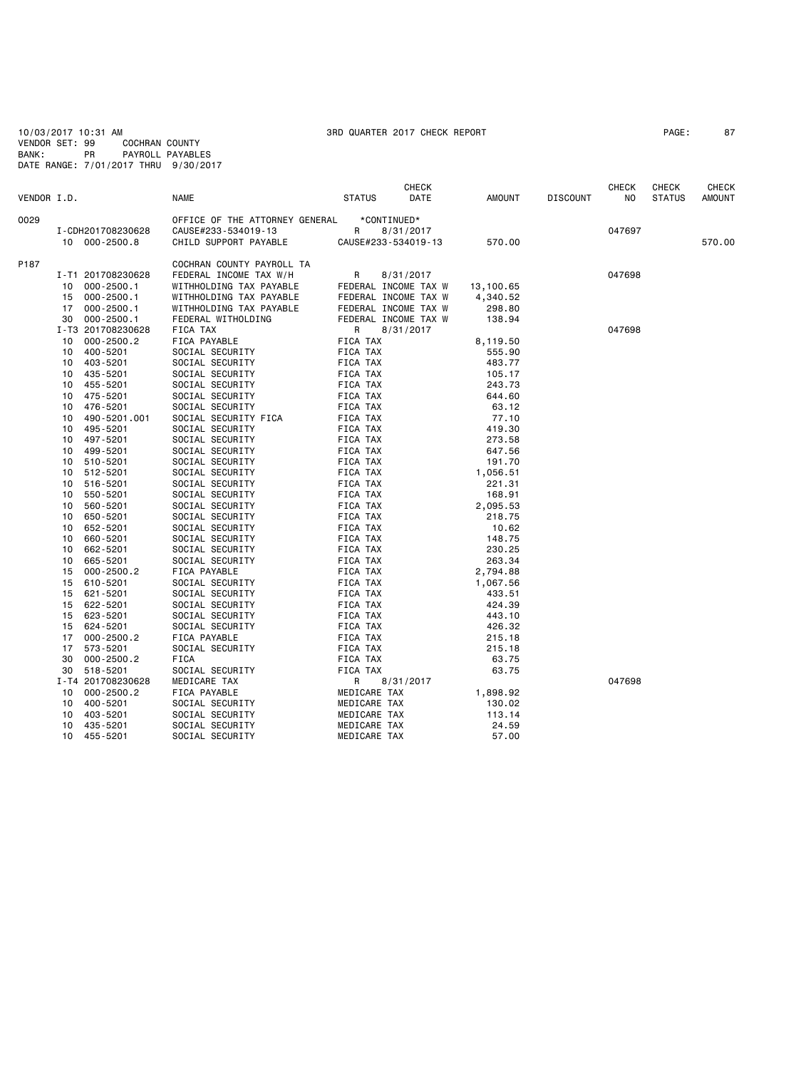10/03/2017 10:31 AM 3RD QUARTER 2017 CHECK REPORT PAGE: 87 VENDOR SET: 99 COCHRAN COUNTY BANK: PR PAYROLL PAYABLES DATE RANGE: 7/01/2017 THRU 9/30/2017

|             |               |                   |                                |                 | CHECK                |           |                 | <b>CHECK</b> | CHECK         | <b>CHECK</b>  |
|-------------|---------------|-------------------|--------------------------------|-----------------|----------------------|-----------|-----------------|--------------|---------------|---------------|
| VENDOR I.D. |               |                   | <b>NAME</b>                    | <b>STATUS</b>   | DATE                 | AMOUNT    | <b>DISCOUNT</b> | NO.          | <b>STATUS</b> | <b>AMOUNT</b> |
| 0029        |               |                   | OFFICE OF THE ATTORNEY GENERAL |                 | *CONTINUED*          |           |                 |              |               |               |
|             |               | I-CDH201708230628 | CAUSE#233-534019-13            | R               | 8/31/2017            |           |                 | 047697       |               |               |
|             | 10 000-2500.8 |                   | CHILD SUPPORT PAYABLE          |                 | CAUSE#233-534019-13  | 570.00    |                 |              |               | 570.00        |
|             |               |                   |                                |                 |                      |           |                 |              |               |               |
| P187        |               |                   | COCHRAN COUNTY PAYROLL TA      |                 |                      |           |                 |              |               |               |
|             |               | I-T1 201708230628 | FEDERAL INCOME TAX W/H         | R               | 8/31/2017            |           |                 | 047698       |               |               |
|             | 10            | $000 - 2500.1$    | WITHHOLDING TAX PAYABLE        |                 | FEDERAL INCOME TAX W | 13,100.65 |                 |              |               |               |
|             | 15            | $000 - 2500.1$    | WITHHOLDING TAX PAYABLE        |                 | FEDERAL INCOME TAX W | 4,340.52  |                 |              |               |               |
|             | 17            | $000 - 2500.1$    | WITHHOLDING TAX PAYABLE        |                 | FEDERAL INCOME TAX W | 298.80    |                 |              |               |               |
|             | 30            | $000 - 2500.1$    | FEDERAL WITHOLDING             |                 | FEDERAL INCOME TAX W | 138.94    |                 |              |               |               |
|             |               | I-T3 201708230628 | FICA TAX                       | R               | 8/31/2017            |           |                 | 047698       |               |               |
|             | 10            | $000 - 2500.2$    | FICA PAYABLE                   | FICA TAX        |                      | 8,119.50  |                 |              |               |               |
|             | 10            | 400-5201          | SOCIAL SECURITY                | FICA TAX        |                      | 555.90    |                 |              |               |               |
|             | 10            | 403-5201          | SOCIAL SECURITY                | FICA TAX        |                      | 483.77    |                 |              |               |               |
|             | 10            | 435-5201          | SOCIAL SECURITY                | FICA TAX        |                      | 105.17    |                 |              |               |               |
|             | 10            | 455-5201          | SOCIAL SECURITY                | FICA TAX        |                      | 243.73    |                 |              |               |               |
|             | 10            | 475-5201          | SOCIAL SECURITY                | FICA TAX        |                      | 644.60    |                 |              |               |               |
|             | 10            | 476-5201          | SOCIAL SECURITY                | FICA TAX        |                      | 63.12     |                 |              |               |               |
|             | 10            | 490-5201.001      | SOCIAL SECURITY FICA           | FICA TAX        |                      | 77.10     |                 |              |               |               |
|             | 10            | 495-5201          | SOCIAL SECURITY                | FICA TAX        |                      | 419.30    |                 |              |               |               |
|             | 10            | 497-5201          | SOCIAL SECURITY                | FICA TAX        |                      | 273.58    |                 |              |               |               |
|             | 10            | 499-5201          | SOCIAL SECURITY                | FICA TAX        |                      | 647.56    |                 |              |               |               |
|             | 10            | 510-5201          | SOCIAL SECURITY                | FICA TAX        |                      | 191.70    |                 |              |               |               |
|             | 10            | 512-5201          | SOCIAL SECURITY                | FICA TAX        |                      | 1,056.51  |                 |              |               |               |
|             | 10            | 516-5201          | SOCIAL SECURITY                | FICA TAX        |                      | 221.31    |                 |              |               |               |
|             | 10            | 550-5201          | SOCIAL SECURITY                | FICA TAX        |                      | 168.91    |                 |              |               |               |
|             | 10            | 560-5201          | SOCIAL SECURITY                | <b>FICA TAX</b> |                      | 2,095.53  |                 |              |               |               |
|             | 10            | 650-5201          | SOCIAL SECURITY                | FICA TAX        |                      | 218.75    |                 |              |               |               |
|             | 10            | 652-5201          | SOCIAL SECURITY                | FICA TAX        |                      | 10.62     |                 |              |               |               |
|             | 10            | 660-5201          | SOCIAL SECURITY                | FICA TAX        |                      | 148.75    |                 |              |               |               |
|             | 10            | 662-5201          | SOCIAL SECURITY                | FICA TAX        |                      | 230.25    |                 |              |               |               |
|             | 10            | 665-5201          | SOCIAL SECURITY                | FICA TAX        |                      | 263.34    |                 |              |               |               |
|             | 15            | $000 - 2500.2$    | FICA PAYABLE                   | FICA TAX        |                      | 2,794.88  |                 |              |               |               |
|             | 15            | 610-5201          | SOCIAL SECURITY                | FICA TAX        |                      | 1,067.56  |                 |              |               |               |
|             | 15            | 621-5201          | SOCIAL SECURITY                | FICA TAX        |                      | 433.51    |                 |              |               |               |
|             | 15            | 622-5201          | SOCIAL SECURITY                | FICA TAX        |                      | 424.39    |                 |              |               |               |
|             | 15            | 623-5201          | SOCIAL SECURITY                | FICA TAX        |                      | 443.10    |                 |              |               |               |
|             | 15            | 624-5201          | SOCIAL SECURITY                | FICA TAX        |                      | 426.32    |                 |              |               |               |
|             | 17            | $000 - 2500.2$    | FICA PAYABLE                   | FICA TAX        |                      | 215.18    |                 |              |               |               |
|             | 17            | 573-5201          | SOCIAL SECURITY                | FICA TAX        |                      | 215.18    |                 |              |               |               |
|             | 30            | $000 - 2500.2$    | <b>FICA</b>                    | FICA TAX        |                      | 63.75     |                 |              |               |               |
|             | 30            | 518-5201          | SOCIAL SECURITY                | FICA TAX        |                      | 63.75     |                 |              |               |               |
|             |               | I-T4 201708230628 | MEDICARE TAX                   | R               | 8/31/2017            |           |                 | 047698       |               |               |
|             | 10            | $000 - 2500.2$    | FICA PAYABLE                   | MEDICARE TAX    |                      | 1,898.92  |                 |              |               |               |
|             | 10 400-5201   |                   | SOCIAL SECURITY                | MEDICARE TAX    |                      | 130.02    |                 |              |               |               |
|             | 10            | 403-5201          | SOCIAL SECURITY                | MEDICARE TAX    |                      | 113.14    |                 |              |               |               |
|             | 10            | 435-5201          | SOCIAL SECURITY                | MEDICARE TAX    |                      | 24.59     |                 |              |               |               |
|             | 10 455-5201   |                   | SOCIAL SECURITY                | MEDICARE TAX    |                      | 57.00     |                 |              |               |               |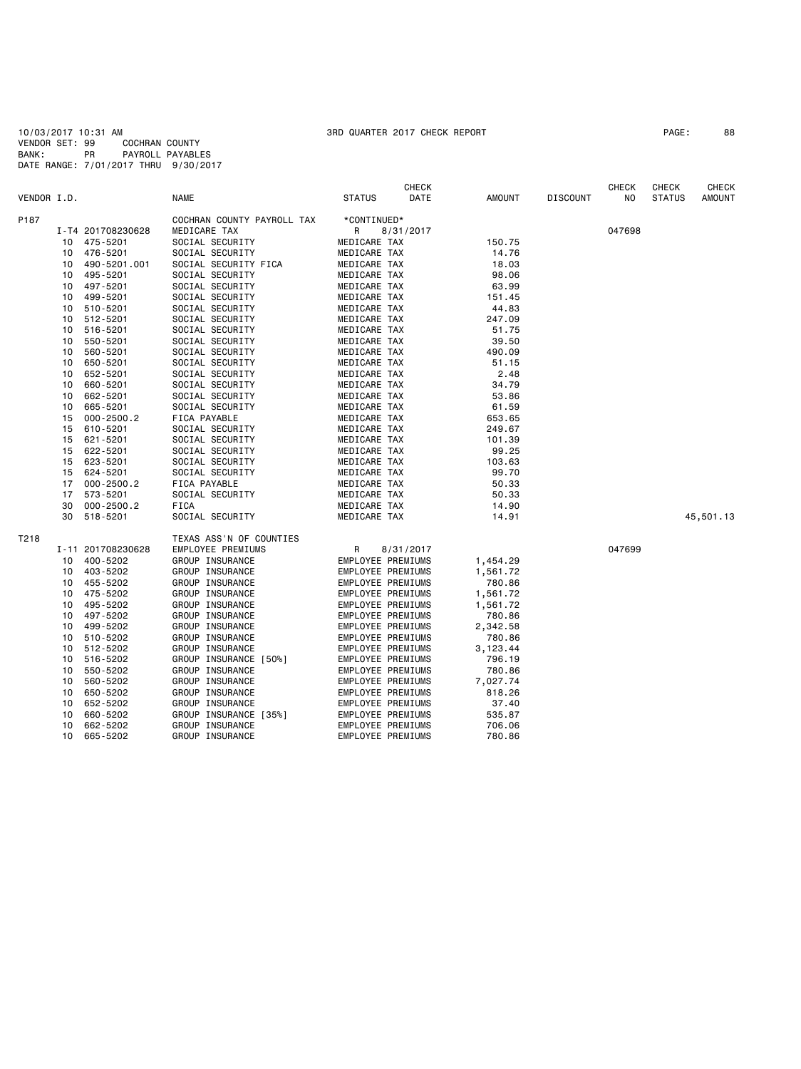10/03/2017 10:31 AM 3RD QUARTER 2017 CHECK REPORT PAGE: 88 VENDOR SET: 99 COCHRAN COUNTY BANK: PR PAYROLL PAYABLES DATE RANGE: 7/01/2017 THRU 9/30/2017

|             |    |                   |                            |                   | <b>CHECK</b> |          |                 | CHECK  | CHECK         | CHECK     |
|-------------|----|-------------------|----------------------------|-------------------|--------------|----------|-----------------|--------|---------------|-----------|
| VENDOR I.D. |    |                   | <b>NAME</b>                | <b>STATUS</b>     | DATE         | AMOUNT   | <b>DISCOUNT</b> | NO     | <b>STATUS</b> | AMOUNT    |
| P187        |    |                   | COCHRAN COUNTY PAYROLL TAX | *CONTINUED*       |              |          |                 |        |               |           |
|             |    | I-T4 201708230628 | MEDICARE TAX               | R                 | 8/31/2017    |          |                 | 047698 |               |           |
|             | 10 | 475-5201          | SOCIAL SECURITY            | MEDICARE TAX      |              | 150.75   |                 |        |               |           |
|             | 10 | 476-5201          | SOCIAL SECURITY            | MEDICARE TAX      |              | 14.76    |                 |        |               |           |
|             | 10 | 490-5201.001      | SOCIAL SECURITY FICA       | MEDICARE TAX      |              | 18.03    |                 |        |               |           |
|             | 10 | 495-5201          | SOCIAL SECURITY            | MEDICARE TAX      |              | 98.06    |                 |        |               |           |
|             | 10 | 497-5201          | SOCIAL SECURITY            | MEDICARE TAX      |              | 63.99    |                 |        |               |           |
|             | 10 | 499-5201          | SOCIAL SECURITY            | MEDICARE TAX      |              | 151.45   |                 |        |               |           |
|             | 10 | 510-5201          | SOCIAL SECURITY            | MEDICARE TAX      |              | 44.83    |                 |        |               |           |
|             | 10 | 512-5201          | SOCIAL SECURITY            | MEDICARE TAX      |              | 247.09   |                 |        |               |           |
|             | 10 | 516-5201          | SOCIAL SECURITY            | MEDICARE TAX      |              | 51.75    |                 |        |               |           |
|             | 10 | 550-5201          | SOCIAL SECURITY            | MEDICARE TAX      |              | 39.50    |                 |        |               |           |
|             | 10 | 560-5201          | SOCIAL SECURITY            | MEDICARE TAX      |              | 490.09   |                 |        |               |           |
|             | 10 | 650-5201          | SOCIAL SECURITY            | MEDICARE TAX      |              | 51.15    |                 |        |               |           |
|             | 10 | 652-5201          | SOCIAL SECURITY            | MEDICARE TAX      |              | 2.48     |                 |        |               |           |
|             | 10 | 660-5201          | SOCIAL SECURITY            | MEDICARE TAX      |              | 34.79    |                 |        |               |           |
|             | 10 | 662-5201          | SOCIAL SECURITY            | MEDICARE TAX      |              | 53.86    |                 |        |               |           |
|             | 10 | 665-5201          | SOCIAL SECURITY            | MEDICARE TAX      |              | 61.59    |                 |        |               |           |
|             | 15 | $000 - 2500.2$    | FICA PAYABLE               | MEDICARE TAX      |              | 653.65   |                 |        |               |           |
|             | 15 | 610-5201          | SOCIAL SECURITY            | MEDICARE TAX      |              | 249.67   |                 |        |               |           |
|             | 15 | 621-5201          | SOCIAL SECURITY            | MEDICARE TAX      |              | 101.39   |                 |        |               |           |
|             | 15 | 622-5201          | SOCIAL SECURITY            | MEDICARE TAX      |              | 99.25    |                 |        |               |           |
|             | 15 | 623-5201          | SOCIAL SECURITY            | MEDICARE TAX      |              | 103.63   |                 |        |               |           |
|             | 15 | 624-5201          | SOCIAL SECURITY            | MEDICARE TAX      |              | 99.70    |                 |        |               |           |
|             | 17 | $000 - 2500.2$    | FICA PAYABLE               | MEDICARE TAX      |              | 50.33    |                 |        |               |           |
|             | 17 | 573-5201          | SOCIAL SECURITY            | MEDICARE TAX      |              | 50.33    |                 |        |               |           |
|             | 30 | $000 - 2500.2$    | FICA                       | MEDICARE TAX      |              | 14.90    |                 |        |               |           |
|             | 30 | 518-5201          | SOCIAL SECURITY            | MEDICARE TAX      |              | 14.91    |                 |        |               | 45,501.13 |
| T218        |    |                   | TEXAS ASS'N OF COUNTIES    |                   |              |          |                 |        |               |           |
|             |    | I-11 201708230628 | EMPLOYEE PREMIUMS          | R                 | 8/31/2017    |          |                 | 047699 |               |           |
|             | 10 | 400-5202          | GROUP INSURANCE            | EMPLOYEE PREMIUMS |              | 1,454.29 |                 |        |               |           |
|             | 10 | 403-5202          | GROUP INSURANCE            | EMPLOYEE PREMIUMS |              | 1,561.72 |                 |        |               |           |
|             | 10 | 455-5202          | GROUP INSURANCE            | EMPLOYEE PREMIUMS |              | 780.86   |                 |        |               |           |
|             | 10 | 475-5202          | GROUP INSURANCE            | EMPLOYEE PREMIUMS |              | 1,561.72 |                 |        |               |           |
|             | 10 | 495-5202          | GROUP INSURANCE            | EMPLOYEE PREMIUMS |              | 1,561.72 |                 |        |               |           |
|             | 10 | 497-5202          | GROUP INSURANCE            | EMPLOYEE PREMIUMS |              | 780.86   |                 |        |               |           |
|             | 10 | 499-5202          | GROUP INSURANCE            | EMPLOYEE PREMIUMS |              | 2,342.58 |                 |        |               |           |
|             | 10 | 510-5202          | GROUP INSURANCE            | EMPLOYEE PREMIUMS |              | 780.86   |                 |        |               |           |
|             | 10 | 512-5202          | GROUP INSURANCE            | EMPLOYEE PREMIUMS |              | 3,123.44 |                 |        |               |           |
|             | 10 | 516-5202          | GROUP INSURANCE [50%]      | EMPLOYEE PREMIUMS |              | 796.19   |                 |        |               |           |
|             | 10 | 550-5202          | GROUP INSURANCE            | EMPLOYEE PREMIUMS |              | 780.86   |                 |        |               |           |
|             | 10 | 560-5202          | GROUP INSURANCE            | EMPLOYEE PREMIUMS |              | 7,027.74 |                 |        |               |           |
|             | 10 | 650-5202          | GROUP INSURANCE            | EMPLOYEE PREMIUMS |              | 818.26   |                 |        |               |           |
|             | 10 | 652-5202          | GROUP INSURANCE            | EMPLOYEE PREMIUMS |              | 37.40    |                 |        |               |           |
|             | 10 | 660-5202          | GROUP INSURANCE [35%]      | EMPLOYEE PREMIUMS |              | 535.87   |                 |        |               |           |
|             | 10 | 662-5202          | GROUP INSURANCE            | EMPLOYEE PREMIUMS |              | 706.06   |                 |        |               |           |
|             | 10 | 665-5202          | GROUP INSURANCE            | EMPLOYEE PREMIUMS |              | 780.86   |                 |        |               |           |
|             |    |                   |                            |                   |              |          |                 |        |               |           |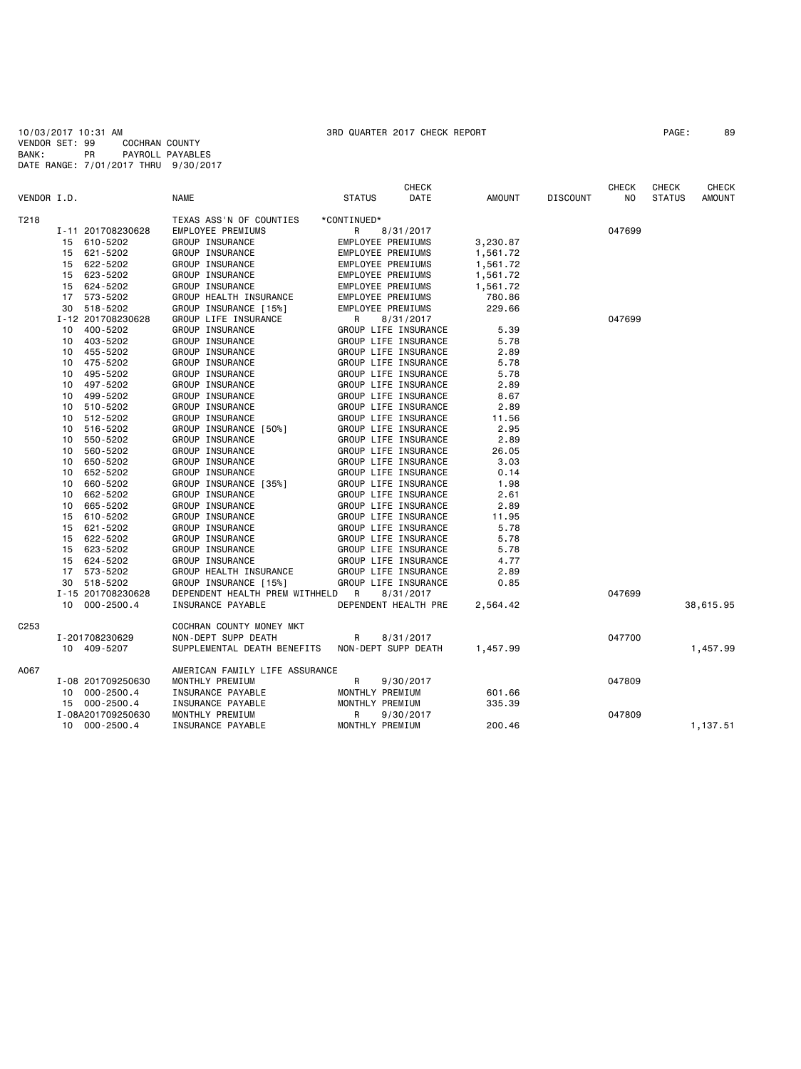10/03/2017 10:31 AM 3RD QUARTER 2017 CHECK REPORT PAGE: 89 VENDOR SET: 99 COCHRAN COUNTY BANK: PR PAYROLL PAYABLES DATE RANGE: 7/01/2017 THRU 9/30/2017

| VENDOR I.D.      |          |                      | <b>NAME</b>                                           | <b>STATUS</b>     | <b>CHECK</b><br>DATE              | AMOUNT       | <b>DISCOUNT</b> | <b>CHECK</b><br>NO | CHECK<br><b>STATUS</b> | <b>CHECK</b><br><b>AMOUNT</b> |
|------------------|----------|----------------------|-------------------------------------------------------|-------------------|-----------------------------------|--------------|-----------------|--------------------|------------------------|-------------------------------|
| T218             |          |                      | TEXAS ASS'N OF COUNTIES                               | *CONTINUED*       |                                   |              |                 |                    |                        |                               |
|                  |          | I-11 201708230628    | EMPLOYEE PREMIUMS                                     | R                 | 8/31/2017                         |              |                 | 047699             |                        |                               |
|                  | 15       | 610-5202             | GROUP INSURANCE                                       | EMPLOYEE PREMIUMS |                                   | 3,230.87     |                 |                    |                        |                               |
|                  | 15       | 621-5202             | GROUP INSURANCE                                       | EMPLOYEE PREMIUMS |                                   | 1,561.72     |                 |                    |                        |                               |
|                  | 15       | 622-5202             | GROUP INSURANCE                                       | EMPLOYEE PREMIUMS |                                   | 1,561.72     |                 |                    |                        |                               |
|                  |          | 15 623-5202          | GROUP INSURANCE                                       | EMPLOYEE PREMIUMS |                                   | 1,561.72     |                 |                    |                        |                               |
|                  | 15       | 624-5202             | GROUP INSURANCE                                       | EMPLOYEE PREMIUMS |                                   | 1,561.72     |                 |                    |                        |                               |
|                  | 17       | 573-5202             | GROUP HEALTH INSURANCE                                | EMPLOYEE PREMIUMS |                                   | 780.86       |                 |                    |                        |                               |
|                  | 30       | 518-5202             | GROUP INSURANCE [15%]                                 | EMPLOYEE PREMIUMS |                                   | 229.66       |                 |                    |                        |                               |
|                  |          | I-12 201708230628    | GROUP LIFE INSURANCE                                  | R                 | 8/31/2017                         |              |                 | 047699             |                        |                               |
|                  | 10       | 400-5202             | GROUP INSURANCE                                       |                   | GROUP LIFE INSURANCE              | 5.39         |                 |                    |                        |                               |
|                  | 10       | 403-5202             | GROUP INSURANCE                                       |                   | GROUP LIFE INSURANCE              | 5.78         |                 |                    |                        |                               |
|                  | 10       | 455-5202             | GROUP INSURANCE                                       |                   | GROUP LIFE INSURANCE              | 2.89         |                 |                    |                        |                               |
|                  | 10       | 475-5202             | GROUP INSURANCE                                       |                   | GROUP LIFE INSURANCE              | 5.78         |                 |                    |                        |                               |
|                  | 10       | 495-5202             | GROUP INSURANCE                                       |                   | GROUP LIFE INSURANCE              | 5.78         |                 |                    |                        |                               |
|                  | 10       | 497-5202             | GROUP INSURANCE                                       |                   | GROUP LIFE INSURANCE              | 2.89         |                 |                    |                        |                               |
|                  | 10       | 499-5202             | GROUP INSURANCE                                       |                   | GROUP LIFE INSURANCE              | 8.67         |                 |                    |                        |                               |
|                  | 10       | 510-5202             | GROUP INSURANCE                                       |                   | GROUP LIFE INSURANCE              | 2.89         |                 |                    |                        |                               |
|                  | 10       | 512-5202             | GROUP INSURANCE                                       |                   | GROUP LIFE INSURANCE              | 11.56        |                 |                    |                        |                               |
|                  | 10       | 516-5202             | GROUP INSURANCE [50%]                                 |                   | GROUP LIFE INSURANCE              | 2.95         |                 |                    |                        |                               |
|                  | 10       | 550-5202             | GROUP INSURANCE                                       |                   | GROUP LIFE INSURANCE              | 2.89         |                 |                    |                        |                               |
|                  | 10       | 560-5202             | GROUP INSURANCE                                       |                   | GROUP LIFE INSURANCE              | 26.05        |                 |                    |                        |                               |
|                  | 10       | 650-5202             | GROUP INSURANCE                                       |                   | GROUP LIFE INSURANCE              | 3.03         |                 |                    |                        |                               |
|                  | 10       | 652-5202             | GROUP INSURANCE                                       |                   | GROUP LIFE INSURANCE              | 0.14         |                 |                    |                        |                               |
|                  | 10       | 660-5202             | GROUP INSURANCE [35%]                                 |                   | GROUP LIFE INSURANCE              | 1.98         |                 |                    |                        |                               |
|                  | 10       | 662-5202             | GROUP INSURANCE                                       |                   | GROUP LIFE INSURANCE              | 2.61         |                 |                    |                        |                               |
|                  | 10       | 665-5202             | GROUP INSURANCE                                       |                   | GROUP LIFE INSURANCE              | 2.89         |                 |                    |                        |                               |
|                  | 15       | 610-5202             | GROUP INSURANCE                                       |                   | GROUP LIFE INSURANCE              | 11.95        |                 |                    |                        |                               |
|                  | 15       | 621-5202             | GROUP INSURANCE                                       |                   | GROUP LIFE INSURANCE              | 5.78         |                 |                    |                        |                               |
|                  | 15       | 622-5202             | GROUP INSURANCE                                       |                   | GROUP LIFE INSURANCE              | 5.78         |                 |                    |                        |                               |
|                  |          |                      |                                                       |                   | GROUP LIFE INSURANCE              |              |                 |                    |                        |                               |
|                  | 15<br>15 | 623-5202<br>624-5202 | GROUP INSURANCE<br>GROUP INSURANCE                    |                   | GROUP LIFE INSURANCE              | 5.78<br>4.77 |                 |                    |                        |                               |
|                  |          |                      |                                                       |                   | GROUP LIFE INSURANCE              | 2.89         |                 |                    |                        |                               |
|                  | 17<br>30 | 573-5202<br>518-5202 | GROUP HEALTH INSURANCE<br>GROUP INSURANCE [15%]       |                   | GROUP LIFE INSURANCE              | 0.85         |                 |                    |                        |                               |
|                  |          | I-15 201708230628    |                                                       |                   |                                   |              |                 | 047699             |                        |                               |
|                  |          | 10 000-2500.4        | DEPENDENT HEALTH PREM WITHHELD R<br>INSURANCE PAYABLE |                   | 8/31/2017<br>DEPENDENT HEALTH PRE | 2,564.42     |                 |                    |                        | 38,615.95                     |
| C <sub>253</sub> |          |                      | COCHRAN COUNTY MONEY MKT                              |                   |                                   |              |                 |                    |                        |                               |
|                  |          | I-201708230629       | NON-DEPT SUPP DEATH                                   | R                 | 8/31/2017                         |              |                 | 047700             |                        |                               |
|                  |          | 10 409-5207          | SUPPLEMENTAL DEATH BENEFITS                           |                   | NON-DEPT SUPP DEATH               | 1,457.99     |                 |                    |                        | 1,457.99                      |
|                  |          |                      |                                                       |                   |                                   |              |                 |                    |                        |                               |
| A067             |          |                      | AMERICAN FAMILY LIFE ASSURANCE                        |                   |                                   |              |                 |                    |                        |                               |
|                  |          | I-08 201709250630    | MONTHLY PREMIUM                                       | R                 | 9/30/2017                         |              |                 | 047809             |                        |                               |
|                  |          | 10 000-2500.4        | INSURANCE PAYABLE                                     | MONTHLY PREMIUM   |                                   | 601.66       |                 |                    |                        |                               |
|                  |          | 15 000-2500.4        | INSURANCE PAYABLE                                     | MONTHLY PREMIUM   |                                   | 335.39       |                 |                    |                        |                               |
|                  |          | I-08A201709250630    | MONTHLY PREMIUM                                       | R                 | 9/30/2017                         |              |                 | 047809             |                        |                               |
|                  |          | 10 000-2500.4        | INSURANCE PAYABLE                                     | MONTHLY PREMIUM   |                                   | 200.46       |                 |                    |                        | 1,137.51                      |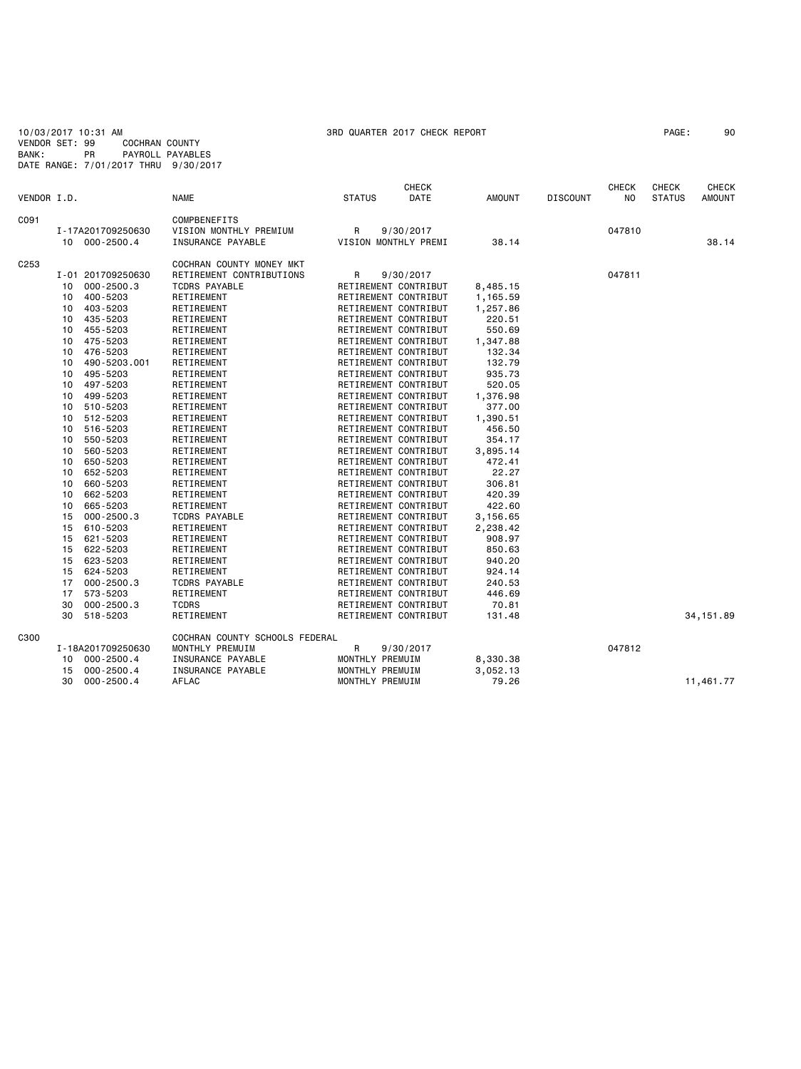10/03/2017 10:31 AM 3RD QUARTER 2017 CHECK REPORT PAGE: 90 VENDOR SET: 99 COCHRAN COUNTY BANK: PR PAYROLL PAYABLES DATE RANGE: 7/01/2017 THRU 9/30/2017

|                  |    |                   |                                |                 | <b>CHECK</b>         |               |                 | <b>CHECK</b> | CHECK         | <b>CHECK</b>  |
|------------------|----|-------------------|--------------------------------|-----------------|----------------------|---------------|-----------------|--------------|---------------|---------------|
| VENDOR I.D.      |    |                   | <b>NAME</b>                    | <b>STATUS</b>   | DATE                 | <b>AMOUNT</b> | <b>DISCOUNT</b> | NO.          | <b>STATUS</b> | <b>AMOUNT</b> |
| C091             |    |                   | COMPBENEFITS                   |                 |                      |               |                 |              |               |               |
|                  |    | I-17A201709250630 | VISION MONTHLY PREMIUM         | R               | 9/30/2017            |               |                 | 047810       |               |               |
|                  |    | 10 000-2500.4     | INSURANCE PAYABLE              |                 | VISION MONTHLY PREMI | 38.14         |                 |              |               | 38.14         |
| C <sub>253</sub> |    |                   | COCHRAN COUNTY MONEY MKT       |                 |                      |               |                 |              |               |               |
|                  |    | I-01 201709250630 | RETIREMENT CONTRIBUTIONS       | R               | 9/30/2017            |               |                 | 047811       |               |               |
|                  | 10 | 000-2500.3        | TCDRS PAYABLE                  |                 | RETIREMENT CONTRIBUT | 8,485.15      |                 |              |               |               |
|                  | 10 | 400-5203          | RETIREMENT                     |                 | RETIREMENT CONTRIBUT | 1,165.59      |                 |              |               |               |
|                  | 10 | 403-5203          | RETIREMENT                     |                 | RETIREMENT CONTRIBUT | 1,257.86      |                 |              |               |               |
|                  | 10 | 435-5203          | RETIREMENT                     |                 | RETIREMENT CONTRIBUT | 220.51        |                 |              |               |               |
|                  | 10 | 455-5203          | RETIREMENT                     |                 | RETIREMENT CONTRIBUT | 550.69        |                 |              |               |               |
|                  | 10 | 475-5203          | RETIREMENT                     |                 | RETIREMENT CONTRIBUT | 1,347.88      |                 |              |               |               |
|                  | 10 | 476-5203          | RETIREMENT                     |                 | RETIREMENT CONTRIBUT | 132.34        |                 |              |               |               |
|                  | 10 | 490-5203.001      | RETIREMENT                     |                 | RETIREMENT CONTRIBUT | 132.79        |                 |              |               |               |
|                  | 10 | 495-5203          | RETIREMENT                     |                 | RETIREMENT CONTRIBUT | 935.73        |                 |              |               |               |
|                  | 10 | 497-5203          | RETIREMENT                     |                 | RETIREMENT CONTRIBUT | 520.05        |                 |              |               |               |
|                  | 10 | 499-5203          | RETIREMENT                     |                 | RETIREMENT CONTRIBUT | 1,376.98      |                 |              |               |               |
|                  | 10 | 510-5203          | RETIREMENT                     |                 | RETIREMENT CONTRIBUT | 377.00        |                 |              |               |               |
|                  | 10 | 512-5203          | RETIREMENT                     |                 | RETIREMENT CONTRIBUT | 1,390.51      |                 |              |               |               |
|                  | 10 | 516-5203          | RETIREMENT                     |                 | RETIREMENT CONTRIBUT | 456.50        |                 |              |               |               |
|                  | 10 | 550-5203          | RETIREMENT                     |                 | RETIREMENT CONTRIBUT | 354.17        |                 |              |               |               |
|                  | 10 | 560-5203          | RETIREMENT                     |                 | RETIREMENT CONTRIBUT | 3,895.14      |                 |              |               |               |
|                  | 10 | 650-5203          | RETIREMENT                     |                 | RETIREMENT CONTRIBUT | 472.41        |                 |              |               |               |
|                  | 10 | 652-5203          | RETIREMENT                     |                 | RETIREMENT CONTRIBUT | 22.27         |                 |              |               |               |
|                  | 10 | 660-5203          | RETIREMENT                     |                 | RETIREMENT CONTRIBUT | 306.81        |                 |              |               |               |
|                  | 10 | 662-5203          | RETIREMENT                     |                 | RETIREMENT CONTRIBUT | 420.39        |                 |              |               |               |
|                  | 10 | 665-5203          | RETIREMENT                     |                 | RETIREMENT CONTRIBUT | 422.60        |                 |              |               |               |
|                  | 15 | $000 - 2500.3$    | <b>TCDRS PAYABLE</b>           |                 | RETIREMENT CONTRIBUT | 3,156.65      |                 |              |               |               |
|                  | 15 | 610-5203          | RETIREMENT                     |                 | RETIREMENT CONTRIBUT | 2,238.42      |                 |              |               |               |
|                  | 15 | 621-5203          | RETIREMENT                     |                 | RETIREMENT CONTRIBUT | 908.97        |                 |              |               |               |
|                  | 15 | 622-5203          | RETIREMENT                     |                 | RETIREMENT CONTRIBUT | 850.63        |                 |              |               |               |
|                  | 15 | 623-5203          | RETIREMENT                     |                 | RETIREMENT CONTRIBUT | 940.20        |                 |              |               |               |
|                  | 15 | 624-5203          | RETIREMENT                     |                 | RETIREMENT CONTRIBUT | 924.14        |                 |              |               |               |
|                  | 17 | $000 - 2500.3$    | <b>TCDRS PAYABLE</b>           |                 | RETIREMENT CONTRIBUT | 240.53        |                 |              |               |               |
|                  | 17 | 573-5203          | RETIREMENT                     |                 | RETIREMENT CONTRIBUT | 446.69        |                 |              |               |               |
|                  | 30 | $000 - 2500.3$    | <b>TCDRS</b>                   |                 | RETIREMENT CONTRIBUT | 70.81         |                 |              |               |               |
|                  | 30 | 518-5203          | RETIREMENT                     |                 | RETIREMENT CONTRIBUT | 131.48        |                 |              |               | 34, 151.89    |
| C300             |    |                   | COCHRAN COUNTY SCHOOLS FEDERAL |                 |                      |               |                 |              |               |               |
|                  |    | I-18A201709250630 | MONTHLY PREMUIM                | R               | 9/30/2017            |               |                 | 047812       |               |               |
|                  | 10 | $000 - 2500.4$    | INSURANCE PAYABLE              | MONTHLY PREMUIM |                      | 8,330.38      |                 |              |               |               |
|                  | 15 | $000 - 2500.4$    | INSURANCE PAYABLE              | MONTHLY PREMUIM |                      | 3,052.13      |                 |              |               |               |
|                  | 30 | $000 - 2500.4$    | AFLAC                          | MONTHLY PREMUIM |                      | 79.26         |                 |              |               | 11,461.77     |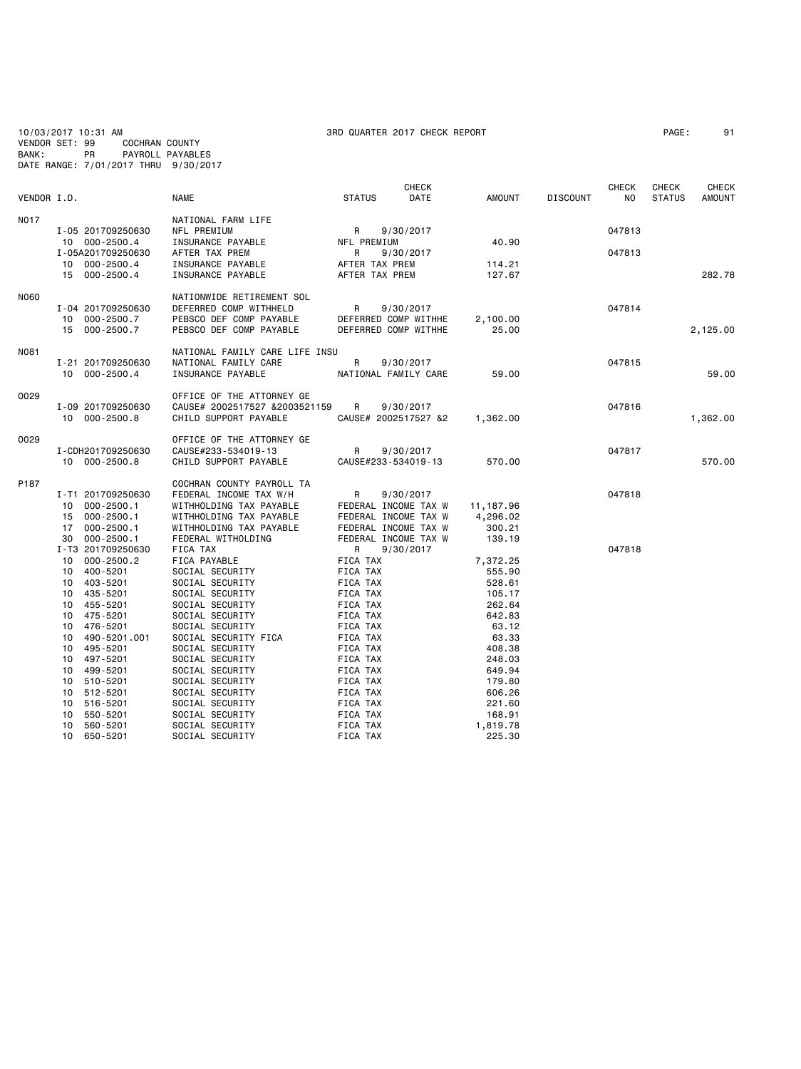|             | 10/03/2017 10:31 AM |                                      |                                                    | 3RD QUARTER 2017 CHECK REPORT                |              |                    |                 |              | PAGE:         | 91           |
|-------------|---------------------|--------------------------------------|----------------------------------------------------|----------------------------------------------|--------------|--------------------|-----------------|--------------|---------------|--------------|
|             | VENDOR SET: 99      | <b>COCHRAN COUNTY</b>                |                                                    |                                              |              |                    |                 |              |               |              |
| BANK:       | PR                  | DATE RANGE: 7/01/2017 THRU 9/30/2017 | PAYROLL PAYABLES                                   |                                              |              |                    |                 |              |               |              |
|             |                     |                                      |                                                    |                                              |              |                    |                 |              |               |              |
|             |                     |                                      |                                                    |                                              | <b>CHECK</b> |                    |                 | <b>CHECK</b> | <b>CHECK</b>  | <b>CHECK</b> |
| VENDOR I.D. |                     |                                      | NAME                                               | <b>STATUS</b>                                | DATE         | AMOUNT             | <b>DISCOUNT</b> | NO.          | <b>STATUS</b> | AMOUNT       |
|             |                     |                                      |                                                    |                                              |              |                    |                 |              |               |              |
| N017        |                     | I-05 201709250630                    | NATIONAL FARM LIFE<br>NFL PREMIUM                  | R                                            | 9/30/2017    |                    |                 | 047813       |               |              |
|             | 10 000-2500.4       |                                      | INSURANCE PAYABLE                                  | NFL PREMIUM                                  |              | 40.90              |                 |              |               |              |
|             |                     | I-05A201709250630                    | AFTER TAX PREM                                     | R                                            | 9/30/2017    |                    |                 | 047813       |               |              |
|             | 10 000-2500.4       |                                      | INSURANCE PAYABLE                                  | AFTER TAX PREM                               |              | 114.21             |                 |              |               |              |
|             | 15 000-2500.4       |                                      | INSURANCE PAYABLE                                  | AFTER TAX PREM                               |              | 127.67             |                 |              |               | 282.78       |
| <b>N060</b> |                     |                                      | NATIONWIDE RETIREMENT SOL                          |                                              |              |                    |                 |              |               |              |
|             |                     | I-04 201709250630                    | DEFERRED COMP WITHHELD                             | R                                            | 9/30/2017    |                    |                 | 047814       |               |              |
|             | 10 000-2500.7       |                                      | PEBSCO DEF COMP PAYABLE                            | DEFERRED COMP WITHHE                         |              | 2,100.00           |                 |              |               |              |
|             | 15 000-2500.7       |                                      | PEBSCO DEF COMP PAYABLE                            | DEFERRED COMP WITHHE                         |              | 25.00              |                 |              |               | 2,125.00     |
|             |                     |                                      |                                                    |                                              |              |                    |                 |              |               |              |
| N081        |                     |                                      | NATIONAL FAMILY CARE LIFE INSU                     |                                              |              |                    |                 |              |               |              |
|             |                     | I-21 201709250630                    | NATIONAL FAMILY CARE                               | R                                            | 9/30/2017    |                    |                 | 047815       |               |              |
|             | 10 000-2500.4       |                                      | INSURANCE PAYABLE                                  | NATIONAL FAMILY CARE                         |              | 59.00              |                 |              |               | 59.00        |
| 0029        |                     |                                      | OFFICE OF THE ATTORNEY GE                          |                                              |              |                    |                 |              |               |              |
|             |                     | I-09 201709250630                    | CAUSE# 2002517527 &2003521159                      | R                                            | 9/30/2017    |                    |                 | 047816       |               |              |
|             | 10 000-2500.8       |                                      | CHILD SUPPORT PAYABLE                              | CAUSE# 2002517527 &2                         |              | 1,362.00           |                 |              |               | 1,362.00     |
| 0029        |                     |                                      | OFFICE OF THE ATTORNEY GE                          |                                              |              |                    |                 |              |               |              |
|             | I-CDH201709250630   |                                      | CAUSE#233-534019-13                                | R                                            | 9/30/2017    |                    |                 | 047817       |               |              |
|             | 10 000-2500.8       |                                      | CHILD SUPPORT PAYABLE                              | CAUSE#233-534019-13                          |              | 570.00             |                 |              |               | 570.00       |
|             |                     |                                      |                                                    |                                              |              |                    |                 |              |               |              |
| P187        |                     |                                      | COCHRAN COUNTY PAYROLL TA                          |                                              |              |                    |                 |              |               |              |
|             |                     | I-T1 201709250630                    | FEDERAL INCOME TAX W/H                             | R                                            | 9/30/2017    |                    |                 | 047818       |               |              |
|             | 10                  | $000 - 2500.1$                       | WITHHOLDING TAX PAYABLE                            | FEDERAL INCOME TAX W                         |              | 11,187.96          |                 |              |               |              |
|             | 15 000-2500.1<br>17 | $000 - 2500.1$                       | WITHHOLDING TAX PAYABLE<br>WITHHOLDING TAX PAYABLE | FEDERAL INCOME TAX W<br>FEDERAL INCOME TAX W |              | 4,296.02<br>300.21 |                 |              |               |              |
|             | 30                  | $000 - 2500.1$                       | FEDERAL WITHOLDING                                 | FEDERAL INCOME TAX W                         |              | 139.19             |                 |              |               |              |
|             |                     | I-T3 201709250630                    | FICA TAX                                           | R                                            | 9/30/2017    |                    |                 | 047818       |               |              |
|             | 10                  | $000 - 2500.2$                       | FICA PAYABLE                                       | FICA TAX                                     |              | 7,372.25           |                 |              |               |              |
|             | 10                  | 400-5201                             | SOCIAL SECURITY                                    | FICA TAX                                     |              | 555.90             |                 |              |               |              |
|             | 10 403-5201         |                                      | SOCIAL SECURITY                                    | FICA TAX                                     |              | 528.61             |                 |              |               |              |
|             | 10                  | 435-5201                             | SOCIAL SECURITY                                    | FICA TAX                                     |              | 105.17             |                 |              |               |              |
|             | 10                  | 455-5201                             | SOCIAL SECURITY                                    | FICA TAX                                     |              | 262.64             |                 |              |               |              |
|             | 10                  | 475-5201                             | SOCIAL SECURITY                                    | FICA TAX                                     |              | 642.83             |                 |              |               |              |
|             | 10                  | 476-5201                             | SOCIAL SECURITY                                    | FICA TAX                                     |              | 63.12              |                 |              |               |              |
|             | 10                  | 490-5201.001                         | SOCIAL SECURITY FICA                               | FICA TAX                                     |              | 63.33              |                 |              |               |              |
|             | 10                  | 495-5201                             | SOCIAL SECURITY                                    | FICA TAX                                     |              | 408.38             |                 |              |               |              |
|             | 10<br>10            | 497-5201<br>499-5201                 | SOCIAL SECURITY<br>SOCIAL SECURITY                 | FICA TAX<br>FICA TAX                         |              | 248.03<br>649.94   |                 |              |               |              |
|             | 10                  | 510-5201                             | SOCIAL SECURITY                                    | FICA TAX                                     |              | 179.80             |                 |              |               |              |
|             | 10                  | 512-5201                             | SOCIAL SECURITY                                    | FICA TAX                                     |              | 606.26             |                 |              |               |              |
|             | 10                  | 516-5201                             | SOCIAL SECURITY                                    | FICA TAX                                     |              | 221.60             |                 |              |               |              |
|             | 10                  | 550-5201                             | SOCIAL SECURITY                                    | FICA TAX                                     |              | 168.91             |                 |              |               |              |
|             | 10                  | 560-5201                             | SOCIAL SECURITY                                    | FICA TAX                                     |              | 1,819.78           |                 |              |               |              |
|             | 10                  | 650-5201                             | SOCIAL SECURITY                                    | FICA TAX                                     |              | 225.30             |                 |              |               |              |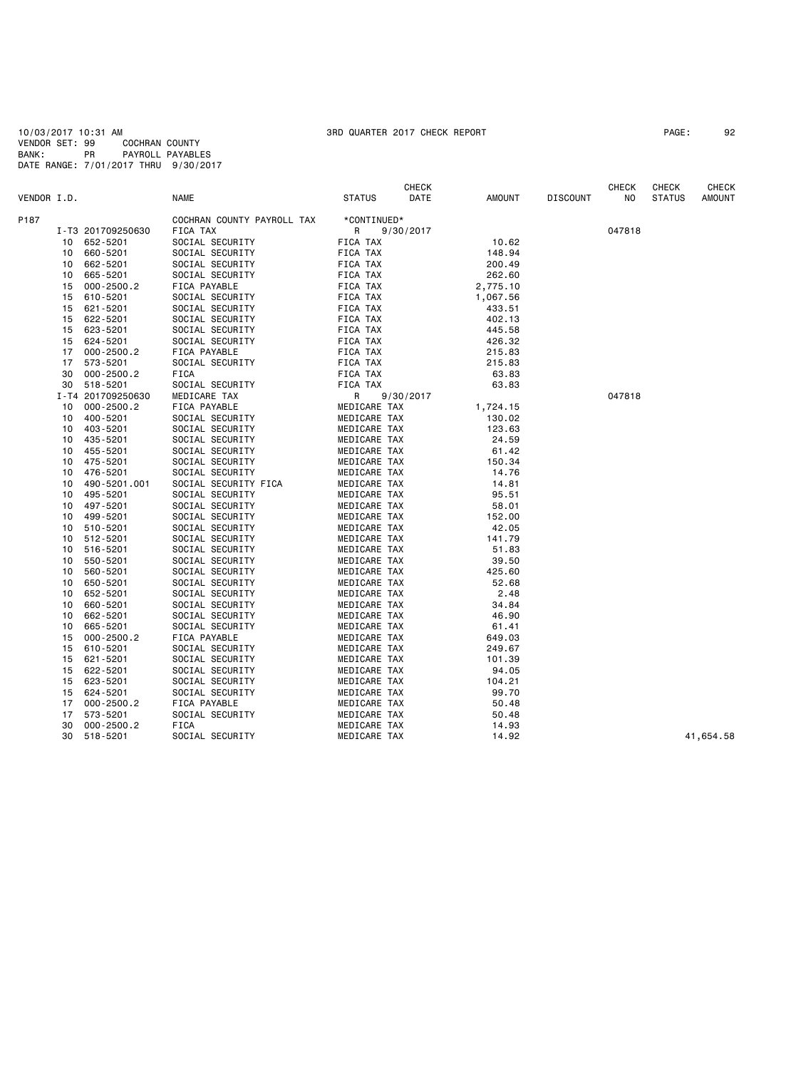10/03/2017 10:31 AM 3RD QUARTER 2017 CHECK REPORT PAGE: 92 VENDOR SET: 99 COCHRAN COUNTY BANK: PR PAYROLL PAYABLES DATE RANGE: 7/01/2017 THRU 9/30/2017

|             |    |                      |                                    |                              | CHECK     |               |                 | CHECK  | CHECK         | <b>CHECK</b> |
|-------------|----|----------------------|------------------------------------|------------------------------|-----------|---------------|-----------------|--------|---------------|--------------|
| VENDOR I.D. |    |                      | <b>NAME</b>                        | <b>STATUS</b>                | DATE      | <b>AMOUNT</b> | <b>DISCOUNT</b> | NO     | <b>STATUS</b> | AMOUNT       |
| P187        |    |                      | COCHRAN COUNTY PAYROLL TAX         | *CONTINUED*                  |           |               |                 |        |               |              |
|             |    | I-T3 201709250630    | FICA TAX                           | R                            | 9/30/2017 |               |                 | 047818 |               |              |
|             | 10 | 652-5201             | SOCIAL SECURITY                    | FICA TAX                     |           | 10.62         |                 |        |               |              |
|             | 10 | 660-5201             | SOCIAL SECURITY                    | FICA TAX                     |           | 148.94        |                 |        |               |              |
|             | 10 | 662-5201             | SOCIAL SECURITY                    | FICA TAX                     |           | 200.49        |                 |        |               |              |
|             | 10 | 665-5201             | SOCIAL SECURITY                    | FICA TAX                     |           | 262.60        |                 |        |               |              |
|             | 15 | $000 - 2500.2$       | FICA PAYABLE                       | FICA TAX                     |           | 2,775.10      |                 |        |               |              |
|             | 15 | 610-5201             | SOCIAL SECURITY                    | FICA TAX                     |           | 1,067.56      |                 |        |               |              |
|             | 15 | 621-5201             | SOCIAL SECURITY                    | FICA TAX                     |           | 433.51        |                 |        |               |              |
|             | 15 | 622-5201             | SOCIAL SECURITY                    | FICA TAX                     |           | 402.13        |                 |        |               |              |
|             | 15 | 623-5201             | SOCIAL SECURITY                    | FICA TAX                     |           | 445.58        |                 |        |               |              |
|             | 15 | 624-5201             | SOCIAL SECURITY                    | FICA TAX                     |           | 426.32        |                 |        |               |              |
|             | 17 | $000 - 2500.2$       | FICA PAYABLE                       | FICA TAX                     |           | 215.83        |                 |        |               |              |
|             | 17 | 573-5201             | SOCIAL SECURITY                    | FICA TAX                     |           | 215.83        |                 |        |               |              |
|             | 30 | $000 - 2500.2$       | FICA                               | FICA TAX                     |           | 63.83         |                 |        |               |              |
|             | 30 | 518-5201             | SOCIAL SECURITY                    | FICA TAX                     |           | 63.83         |                 |        |               |              |
|             |    | I-T4 201709250630    | MEDICARE TAX                       | R                            | 9/30/2017 |               |                 | 047818 |               |              |
|             | 10 | $000 - 2500.2$       | FICA PAYABLE                       | MEDICARE TAX                 |           | 1,724.15      |                 |        |               |              |
|             | 10 |                      |                                    |                              |           | 130.02        |                 |        |               |              |
|             | 10 | 400-5201<br>403-5201 | SOCIAL SECURITY<br>SOCIAL SECURITY | MEDICARE TAX<br>MEDICARE TAX |           | 123.63        |                 |        |               |              |
|             | 10 | 435-5201             | SOCIAL SECURITY                    | MEDICARE TAX                 |           | 24.59         |                 |        |               |              |
|             |    |                      |                                    |                              |           |               |                 |        |               |              |
|             | 10 | 455-5201             | SOCIAL SECURITY                    | MEDICARE TAX                 |           | 61.42         |                 |        |               |              |
|             | 10 | 475-5201             | SOCIAL SECURITY                    | MEDICARE TAX                 |           | 150.34        |                 |        |               |              |
|             | 10 | 476-5201             | SOCIAL SECURITY                    | MEDICARE TAX                 |           | 14.76         |                 |        |               |              |
|             | 10 | 490-5201.001         | SOCIAL SECURITY FICA               | MEDICARE TAX                 |           | 14.81         |                 |        |               |              |
|             | 10 | 495-5201             | SOCIAL SECURITY                    | MEDICARE TAX                 |           | 95.51         |                 |        |               |              |
|             | 10 | 497-5201             | SOCIAL SECURITY                    | MEDICARE TAX                 |           | 58.01         |                 |        |               |              |
|             | 10 | 499-5201             | SOCIAL SECURITY                    | MEDICARE TAX                 |           | 152.00        |                 |        |               |              |
|             | 10 | 510-5201             | SOCIAL SECURITY                    | MEDICARE TAX                 |           | 42.05         |                 |        |               |              |
|             | 10 | 512-5201             | SOCIAL SECURITY                    | MEDICARE TAX                 |           | 141.79        |                 |        |               |              |
|             | 10 | 516-5201             | SOCIAL SECURITY                    | MEDICARE TAX                 |           | 51.83         |                 |        |               |              |
|             | 10 | 550-5201             | SOCIAL SECURITY                    | MEDICARE TAX                 |           | 39.50         |                 |        |               |              |
|             | 10 | 560-5201             | SOCIAL SECURITY                    | MEDICARE TAX                 |           | 425.60        |                 |        |               |              |
|             | 10 | 650-5201             | SOCIAL SECURITY                    | MEDICARE TAX                 |           | 52.68         |                 |        |               |              |
|             | 10 | 652-5201             | SOCIAL SECURITY                    | MEDICARE TAX                 |           | 2.48          |                 |        |               |              |
|             | 10 | 660-5201             | SOCIAL SECURITY                    | MEDICARE TAX                 |           | 34.84         |                 |        |               |              |
|             | 10 | 662-5201             | SOCIAL SECURITY                    | MEDICARE TAX                 |           | 46.90         |                 |        |               |              |
|             | 10 | 665-5201             | SOCIAL SECURITY                    | MEDICARE TAX                 |           | 61.41         |                 |        |               |              |
|             | 15 | $000 - 2500.2$       | FICA PAYABLE                       | MEDICARE TAX                 |           | 649.03        |                 |        |               |              |
|             | 15 | 610-5201             | SOCIAL SECURITY                    | MEDICARE TAX                 |           | 249.67        |                 |        |               |              |
|             | 15 | 621-5201             | SOCIAL SECURITY                    | MEDICARE TAX                 |           | 101.39        |                 |        |               |              |
|             | 15 | 622-5201             | SOCIAL SECURITY                    | MEDICARE TAX                 |           | 94.05         |                 |        |               |              |
|             | 15 | 623-5201             | SOCIAL SECURITY                    | MEDICARE TAX                 |           | 104.21        |                 |        |               |              |
|             | 15 | 624-5201             | SOCIAL SECURITY                    | MEDICARE TAX                 |           | 99.70         |                 |        |               |              |
|             | 17 | $000 - 2500.2$       | FICA PAYABLE                       | MEDICARE TAX                 |           | 50.48         |                 |        |               |              |
|             | 17 | 573-5201             | SOCIAL SECURITY                    | MEDICARE TAX                 |           | 50.48         |                 |        |               |              |
|             | 30 | $000 - 2500.2$       | FICA                               | MEDICARE TAX                 |           | 14.93         |                 |        |               |              |
|             | 30 | 518-5201             | SOCIAL SECURITY                    | MEDICARE TAX                 |           | 14.92         |                 |        |               | 41,654.58    |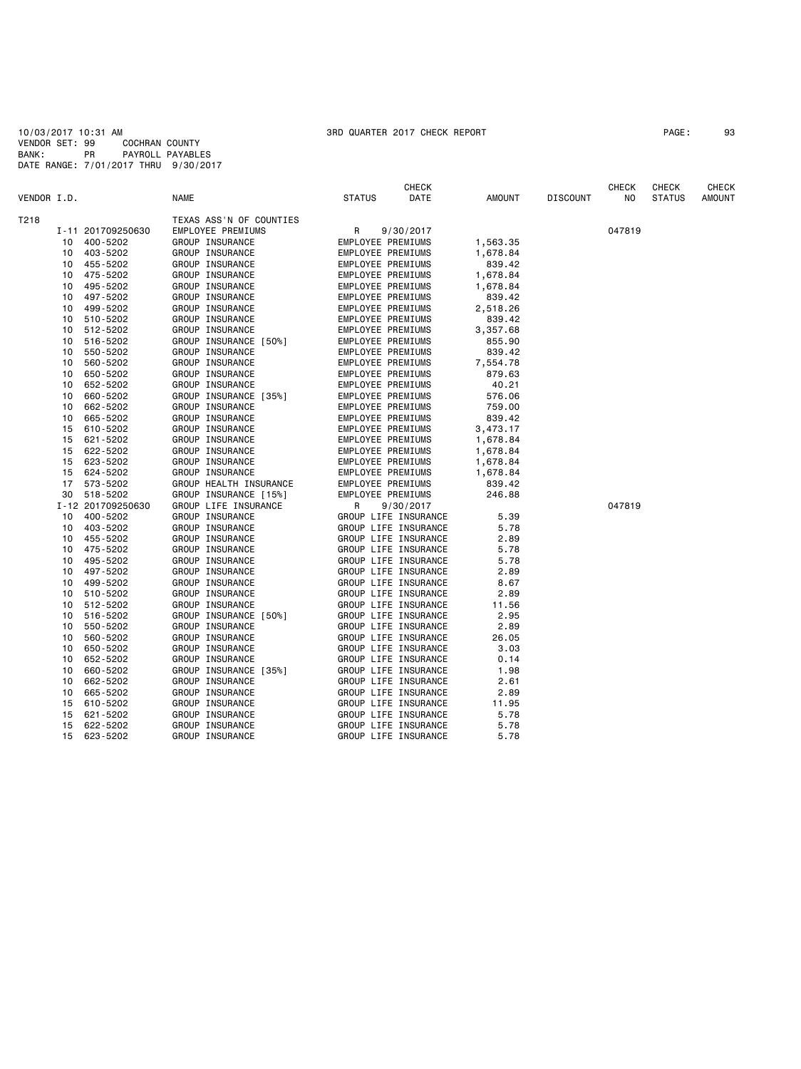10/03/2017 10:31 AM 3RD QUARTER 2017 CHECK REPORT PAGE: 93 VENDOR SET: 99 COCHRAN COUNTY BANK: PR PAYROLL PAYABLES DATE RANGE: 7/01/2017 THRU 9/30/2017

|             |    |                   |                          |                   | <b>CHECK</b>         |          |                 | <b>CHECK</b> | <b>CHECK</b>  | <b>CHECK</b>  |
|-------------|----|-------------------|--------------------------|-------------------|----------------------|----------|-----------------|--------------|---------------|---------------|
| VENDOR I.D. |    |                   | <b>NAME</b>              | <b>STATUS</b>     | DATE                 | AMOUNT   | <b>DISCOUNT</b> | NO           | <b>STATUS</b> | <b>AMOUNT</b> |
| T218        |    |                   | TEXAS ASS'N OF COUNTIES  |                   |                      |          |                 |              |               |               |
|             |    | I-11 201709250630 | <b>EMPLOYEE PREMIUMS</b> | R                 | 9/30/2017            |          |                 | 047819       |               |               |
|             | 10 | 400-5202          | GROUP INSURANCE          | EMPLOYEE PREMIUMS |                      | 1,563.35 |                 |              |               |               |
|             | 10 | 403-5202          | GROUP INSURANCE          | EMPLOYEE PREMIUMS |                      | 1,678.84 |                 |              |               |               |
|             | 10 | 455-5202          | GROUP INSURANCE          | EMPLOYEE PREMIUMS |                      | 839.42   |                 |              |               |               |
|             | 10 | 475-5202          | GROUP INSURANCE          | EMPLOYEE PREMIUMS |                      | 1,678.84 |                 |              |               |               |
|             | 10 | 495-5202          | GROUP INSURANCE          | EMPLOYEE PREMIUMS |                      | 1,678.84 |                 |              |               |               |
|             | 10 | 497-5202          | GROUP INSURANCE          | EMPLOYEE PREMIUMS |                      | 839.42   |                 |              |               |               |
|             | 10 | 499-5202          | GROUP INSURANCE          | EMPLOYEE PREMIUMS |                      | 2,518.26 |                 |              |               |               |
|             | 10 | 510-5202          | GROUP INSURANCE          | EMPLOYEE PREMIUMS |                      | 839.42   |                 |              |               |               |
|             | 10 | 512-5202          | GROUP INSURANCE          | EMPLOYEE PREMIUMS |                      | 3,357.68 |                 |              |               |               |
|             | 10 | 516-5202          | GROUP INSURANCE [50%]    | EMPLOYEE PREMIUMS |                      | 855.90   |                 |              |               |               |
|             | 10 | 550-5202          | GROUP INSURANCE          | EMPLOYEE PREMIUMS |                      | 839.42   |                 |              |               |               |
|             | 10 | 560-5202          | GROUP INSURANCE          | EMPLOYEE PREMIUMS |                      | 7,554.78 |                 |              |               |               |
|             | 10 | 650-5202          | GROUP INSURANCE          | EMPLOYEE PREMIUMS |                      | 879.63   |                 |              |               |               |
|             | 10 | 652-5202          | GROUP INSURANCE          | EMPLOYEE PREMIUMS |                      | 40.21    |                 |              |               |               |
|             | 10 | 660-5202          | GROUP INSURANCE [35%]    | EMPLOYEE PREMIUMS |                      | 576.06   |                 |              |               |               |
|             | 10 | 662-5202          | GROUP INSURANCE          | EMPLOYEE PREMIUMS |                      | 759.00   |                 |              |               |               |
|             | 10 | 665-5202          | GROUP INSURANCE          | EMPLOYEE PREMIUMS |                      | 839.42   |                 |              |               |               |
|             | 15 | 610-5202          | GROUP INSURANCE          | EMPLOYEE PREMIUMS |                      | 3,473.17 |                 |              |               |               |
|             | 15 | 621-5202          | GROUP INSURANCE          | EMPLOYEE PREMIUMS |                      | 1,678.84 |                 |              |               |               |
|             | 15 | 622-5202          | GROUP INSURANCE          | EMPLOYEE PREMIUMS |                      | 1,678.84 |                 |              |               |               |
|             | 15 | 623-5202          | GROUP INSURANCE          | EMPLOYEE PREMIUMS |                      | 1,678.84 |                 |              |               |               |
|             | 15 | 624-5202          | GROUP INSURANCE          | EMPLOYEE PREMIUMS |                      | 1,678.84 |                 |              |               |               |
|             | 17 | 573-5202          | GROUP HEALTH INSURANCE   | EMPLOYEE PREMIUMS |                      | 839.42   |                 |              |               |               |
|             | 30 | 518-5202          | GROUP INSURANCE [15%]    | EMPLOYEE PREMIUMS |                      | 246.88   |                 |              |               |               |
|             |    | I-12 201709250630 | GROUP LIFE INSURANCE     | R                 | 9/30/2017            |          |                 | 047819       |               |               |
|             | 10 | 400-5202          | GROUP INSURANCE          |                   | GROUP LIFE INSURANCE | 5.39     |                 |              |               |               |
|             | 10 | 403-5202          | GROUP INSURANCE          |                   | GROUP LIFE INSURANCE | 5.78     |                 |              |               |               |
|             | 10 | 455-5202          | GROUP INSURANCE          |                   | GROUP LIFE INSURANCE | 2.89     |                 |              |               |               |
|             | 10 | 475-5202          | GROUP INSURANCE          |                   | GROUP LIFE INSURANCE | 5.78     |                 |              |               |               |
|             | 10 | 495-5202          | GROUP INSURANCE          |                   | GROUP LIFE INSURANCE | 5.78     |                 |              |               |               |
|             | 10 | 497-5202          | GROUP INSURANCE          |                   | GROUP LIFE INSURANCE | 2.89     |                 |              |               |               |
|             | 10 | 499-5202          | GROUP INSURANCE          |                   | GROUP LIFE INSURANCE | 8.67     |                 |              |               |               |
|             | 10 | 510-5202          | GROUP INSURANCE          |                   | GROUP LIFE INSURANCE | 2.89     |                 |              |               |               |
|             | 10 | 512-5202          | GROUP INSURANCE          |                   | GROUP LIFE INSURANCE | 11.56    |                 |              |               |               |
|             | 10 | 516-5202          | GROUP INSURANCE [50%]    |                   | GROUP LIFE INSURANCE | 2.95     |                 |              |               |               |
|             | 10 | 550-5202          | GROUP INSURANCE          |                   | GROUP LIFE INSURANCE | 2.89     |                 |              |               |               |
|             | 10 | 560-5202          | GROUP INSURANCE          |                   | GROUP LIFE INSURANCE | 26.05    |                 |              |               |               |
|             | 10 | 650-5202          | GROUP INSURANCE          |                   | GROUP LIFE INSURANCE | 3.03     |                 |              |               |               |
|             | 10 | 652-5202          | GROUP INSURANCE          |                   | GROUP LIFE INSURANCE | 0.14     |                 |              |               |               |
|             | 10 | 660-5202          | GROUP INSURANCE [35%]    |                   | GROUP LIFE INSURANCE | 1.98     |                 |              |               |               |
|             | 10 | 662-5202          | GROUP INSURANCE          |                   | GROUP LIFE INSURANCE | 2.61     |                 |              |               |               |
|             | 10 | 665-5202          | GROUP INSURANCE          |                   | GROUP LIFE INSURANCE | 2.89     |                 |              |               |               |
|             | 15 | 610-5202          | GROUP INSURANCE          |                   | GROUP LIFE INSURANCE | 11.95    |                 |              |               |               |
|             | 15 | 621-5202          | GROUP INSURANCE          |                   | GROUP LIFE INSURANCE | 5.78     |                 |              |               |               |
|             | 15 | 622-5202          | GROUP INSURANCE          |                   | GROUP LIFE INSURANCE | 5.78     |                 |              |               |               |
|             | 15 | 623-5202          | GROUP INSURANCE          |                   | GROUP LIFE INSURANCE | 5.78     |                 |              |               |               |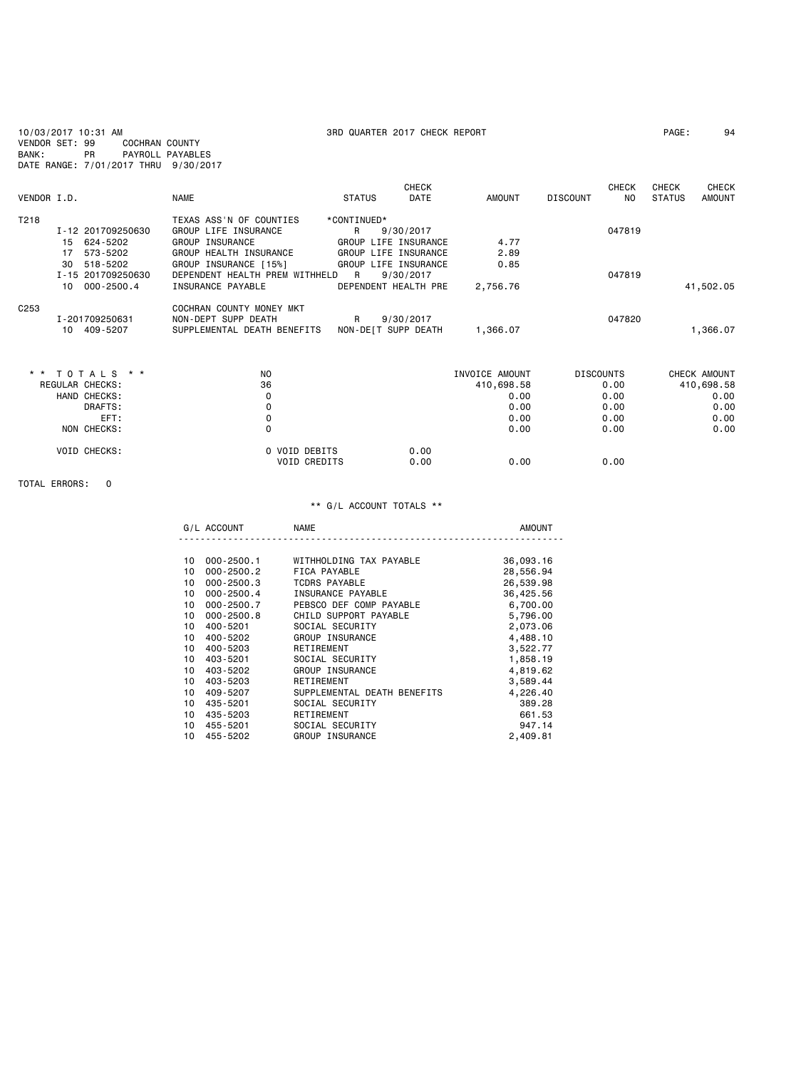10/03/2017 10:31 AM 3RD QUARTER 2017 CHECK REPORT PAGE: 94 VENDOR SET: 99 COCHRAN COUNTY BANK: PR PAYROLL PAYABLES DATE RANGE: 7/01/2017 THRU 9/30/2017 **CHECK CHECK CHECK CHECK CHECK CHECK** VENDOR I.D. NAME STATUS DATE AMOUNT DISCOUNT NO STATUS AMOUNT T218 TEXAS ASS'N OF COUNTIES \*CONTINUED\*<br>19/30/2017 GROUP LIFE INSURANCE R 9/30/2017<br>15 624-5202 GROUP INSURANCE GROUP LIFE INSURANCE<br>17 573-5202 GROUP HEALTH INSURANCE GROUP LIFE INSURANCE I-12 201709250630 GROUP LIFE INSURANCE R 9/30/2017 047819 15 624-5202 GROUP INSURANCE GROUP LIFE INSURANCE 4.77 17 573-5202 GROUP HEALTH INSURANCE GROUP LIFE INSURANCE 2.89 30 518-5202 GROUP INSURANCE [15%] GROUP LIFE INSURANCE 0.85 I-15 201709250630 DEPENDENT HEALTH PREM WITHHELD R 9/30/2017 047819

|                  | 000-2500.4<br>10 | INSURANCE PAYABLE           | DEPENDENT HEALTH PRE | 2.756.76 |        | 41.502.05 |
|------------------|------------------|-----------------------------|----------------------|----------|--------|-----------|
| C <sub>253</sub> |                  | COCHRAN COUNTY MONEY MKT    |                      |          |        |           |
|                  | I - 201709250631 | NON-DEPT SUPP DEATH         | 9/30/2017            |          | 047820 |           |
|                  | 409-5207<br>10   | SUPPLEMENTAL DEATH BENEFITS | NON-DEIT SUPP DEATH  | .366.07  |        | .366.07   |

| * * TOTALS * *      | N <sub>O</sub>                       | INVOICE AMOUNT       | <b>DISCOUNTS</b> | CHECK AMOUNT |
|---------------------|--------------------------------------|----------------------|------------------|--------------|
| REGULAR CHECKS:     | 36                                   | 410,698.58           | 0.00             | 410,698.58   |
| HAND CHECKS:        |                                      | 0.00                 | 0.00             | 0.00         |
| DRAFTS:             |                                      | 0.00                 | 0.00             | 0.00         |
| EFT:                |                                      | 0.00                 | 0.00             | 0.00         |
| NON CHECKS:         |                                      | 0.00                 | 0.00             | 0.00         |
| <b>VOID CHECKS:</b> | O VOID DEBITS<br><b>VOID CREDITS</b> | 0.00<br>0.00<br>0.00 | 0.00             |              |

### TOTAL ERRORS: 0

|    | G/L ACCOUNT    | <b>NAME</b>                 | <b>AMOUNT</b> |
|----|----------------|-----------------------------|---------------|
|    |                |                             |               |
| 10 | 000-2500.1     | WITHHOLDING TAX PAYABLE     | 36,093.16     |
| 10 | $000 - 2500.2$ | FICA PAYABLE                | 28,556.94     |
| 10 | $000 - 2500.3$ | TCDRS PAYABLE               | 26,539.98     |
| 10 | $000 - 2500.4$ | INSURANCE PAYABLE           | 36,425.56     |
| 10 | $000 - 2500.7$ | PEBSCO DEF COMP PAYABLE     | 6,700.00      |
| 10 | $000 - 2500.8$ | CHILD SUPPORT PAYABLE       | 5,796.00      |
| 10 | 400-5201       | SOCIAL SECURITY             | 2,073.06      |
| 10 | 400-5202       | GROUP INSURANCE             | 4,488.10      |
| 10 | 400-5203       | RETIREMENT                  | 3,522.77      |
| 10 | 403-5201       | SOCIAL SECURITY             | 1,858.19      |
| 10 | 403-5202       | GROUP INSURANCE             | 4,819.62      |
| 10 | 403-5203       | RETIREMENT                  | 3,589.44      |
| 10 | 409-5207       | SUPPLEMENTAL DEATH BENEFITS | 4,226.40      |
| 10 | 435-5201       | SOCIAL SECURITY             | 389.28        |
| 10 | 435-5203       | RETIREMENT                  | 661.53        |
| 10 | 455-5201       | SOCIAL SECURITY             | 947.14        |
| 10 | 455-5202       | GROUP INSURANCE             | 2,409.81      |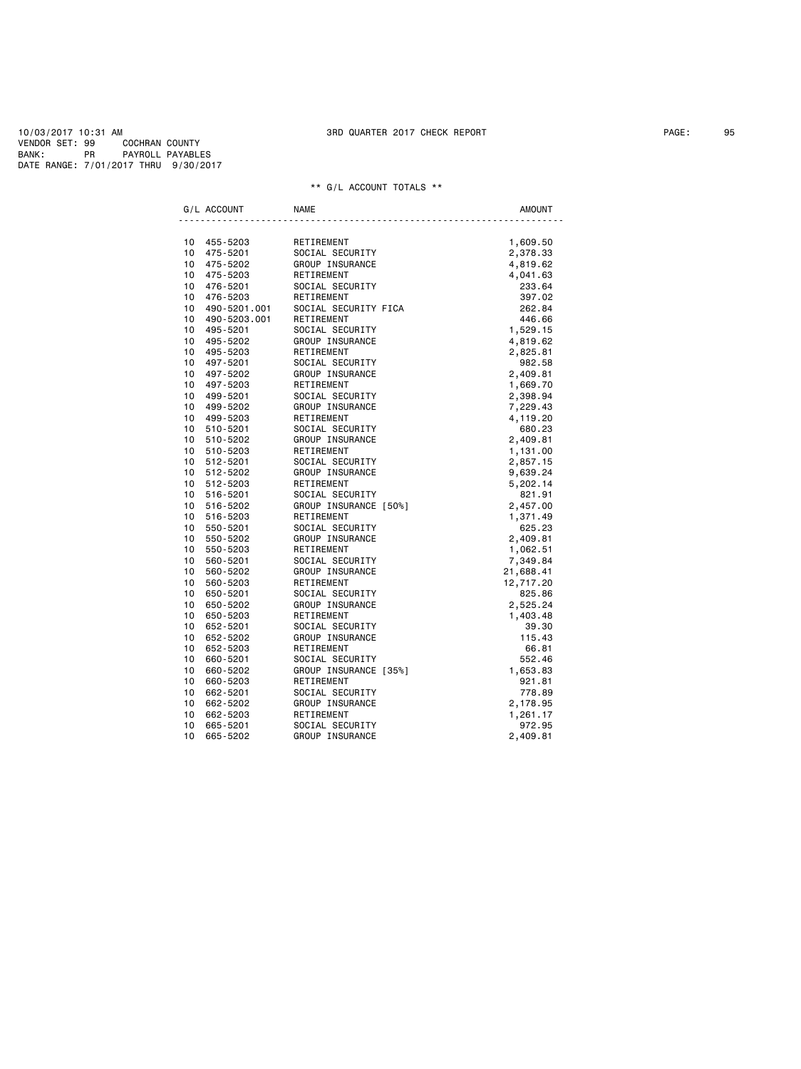10/03/2017 10:31 AM 3RD QUARTER 2017 CHECK REPORT PAGE: 95 VENDOR SET: 99 COCHRAN COUNTY BANK: PR PAYROLL PAYABLES DATE RANGE: 7/01/2017 THRU 9/30/2017

| G/L ACCOUNT                 |                                | <b>NAME</b>                                                                                  | <b>AMOUNT</b> |
|-----------------------------|--------------------------------|----------------------------------------------------------------------------------------------|---------------|
|                             |                                |                                                                                              |               |
| 10 455-5203                 |                                | RETIREMENT                                                                                   | 1,609.50      |
| 10 <sup>1</sup>             | 475-5201                       | <b>SOCIAL SECURITY<br/>GROUP INSURANCE<br/>RETIREMENT<br/>SOCIAL SECURITY<br/>RETIREMENT</b> | 2,378.33      |
| 10 475-5202                 |                                |                                                                                              | 4,819.62      |
| 10                          | 475-5203                       |                                                                                              | 4,041.63      |
| 10 476-5201                 |                                |                                                                                              | 233.64        |
|                             | 10 476-5203<br>10 490-5201.001 | RETIREMENT                                                                                   | 397.02        |
|                             |                                | SOCIAL SECURITY FICA                                                                         | 262.84        |
| 10                          | 490-5203.001                   | RETIREMENT                                                                                   | 446.66        |
| 10 495-5201                 |                                | SOCIAL SECURITY                                                                              | 1,529.15      |
| 10 495-5202                 |                                | GROUP INSURANCE                                                                              | 4,819.62      |
| 10 495-5203                 |                                | RETIREMENT                                                                                   | 2,825.81      |
| 10 497-5201                 |                                | SOCIAL SECURITY                                                                              | 982.58        |
| 10 497-5202                 |                                | <b>GROUP INSURANCE<br/>¤FTTRFMENT</b>                                                        | 2,409.81      |
| 10 497-5203                 |                                |                                                                                              | 1,669.70      |
| 10 499-5201                 |                                | SOCIAL SECURITY                                                                              | 2,398.94      |
| 10 499-5202                 |                                | GROUP INSURANCE                                                                              | 7,229.43      |
| 10 499-5203                 |                                | RETIREMENT                                                                                   | 4,119.20      |
| 10 510-5201                 |                                | SOCIAL SECURITY                                                                              | 680.23        |
| 10 510-5202                 |                                | GROUP INSURANCE                                                                              | 2,409.81      |
| 10 510-5203                 |                                | RETIREMENT                                                                                   | 1,131.00      |
| 10 512-5201                 |                                | SOCIAL SECURITY                                                                              | 2,857.15      |
| 10 512-5202                 |                                | GROUP INSURANCE                                                                              | 9,639.24      |
| 10 512-5203                 |                                | RETIREMENT                                                                                   | 5,202.14      |
| 10 516-5201                 |                                | SOCIAL SECURITY                                                                              | 821.91        |
| 10<br>516-5202              |                                | GROUP INSURANCE [50%]                                                                        | 2,457.00      |
| 10 516-5203                 |                                | RETIREMENT                                                                                   | 1,371.49      |
| 10<br>550-5201              |                                | SOCIAL SECURITY                                                                              | 625.23        |
| 10 550-5202                 |                                | SUUTAL VER<br>GROUP INSURANCE<br>CETTDEMENT                                                  | 2,409.81      |
| 10<br>550-5203              |                                |                                                                                              | 1,062.51      |
| 10 560-5201                 |                                | SOCIAL SECURITY                                                                              | 7,349.84      |
| 10<br>560-5202              |                                | GROUP INSURANCE                                                                              | 21,688.41     |
| 10 560-5203                 |                                | RETIREMENT                                                                                   | 12,717.20     |
| 10 <sub>1</sub><br>650-5201 |                                | SOCIAL SECURITY                                                                              | 825.86        |
| 10 650-5202                 |                                |                                                                                              | 2,525.24      |
| 10                          | 650-5203                       | <b>GROUP INSURANCE<br/>RETTREMENT</b><br>RETIREMENT                                          | 1,403.48      |
| 10 652-5201                 |                                | SOCIAL SECURITY                                                                              | 39.30         |
| 10 652-5202                 |                                | GROUP INSURANCE                                                                              | 115.43        |
| 10 652-5203                 |                                | RETIREMENT                                                                                   | 66.81         |
| 10 <sup>1</sup><br>660-5201 |                                | SOCIAL SECURITY                                                                              | 552.46        |
| 10<br>660-5202              |                                | GROUP INSURANCE [35%]                                                                        | 1,653.83      |
| 10 660-5203                 |                                | RETIREMENT                                                                                   | 921.81        |
| 10<br>662-5201              |                                | SOCIAL SECURITY                                                                              | 778.89        |
| 10                          | 662-5202                       | GROUP INSURANCE                                                                              | 2,178.95      |
| 10                          | 662-5203                       | RETIREMENT                                                                                   | 1,261.17      |
| 10                          | 665-5201                       | SOCIAL SECURITY                                                                              | 972.95        |
| 10                          | 665-5202                       | GROUP INSURANCE                                                                              | 2,409.81      |
|                             |                                |                                                                                              |               |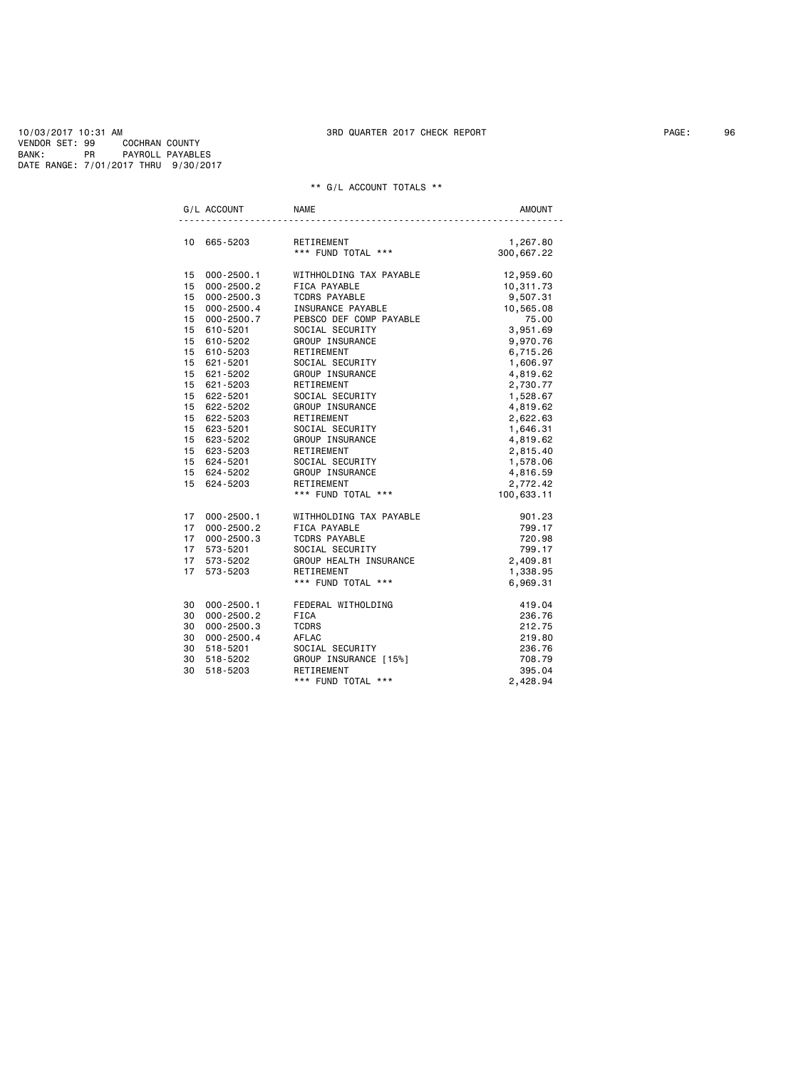10/03/2017 10:31 AM 3RD QUARTER 2017 CHECK REPORT PAGE: 96 VENDOR SET: 99 COCHRAN COUNTY BANK: PR PAYROLL PAYABLES DATE RANGE: 7/01/2017 THRU 9/30/2017

|    | G/L ACCOUNT                        | <b>NAME</b>                              | AMOUNT     |
|----|------------------------------------|------------------------------------------|------------|
|    | 10 665-5203                        | RETIREMENT                               | 1,267.80   |
|    |                                    | *** FUND TOTAL ***<br>*** FUND TOTAL *** | 300,667.22 |
|    | 15 000-2500.1                      | WITHHOLDING TAX PAYABLE                  | 12,959.60  |
|    | 15 000-2500.2                      | FICA PAYABLE                             | 10,311.73  |
|    | 15 000-2500.3                      | <b>TCDRS PAYABLE</b>                     | 9,507.31   |
|    | 15 000-2500.4                      | INSURANCE PAYABLE                        | 10,565.08  |
|    |                                    | PEBSCO DEF COMP PAYABLE                  | 75.00      |
|    | 15    000-2500.7<br>15    610-5201 | SOCIAL SECURITY                          | 3,951.69   |
|    | 15 610-5202                        | GROUP INSURANCE                          | 9,970.76   |
|    | 15 610-5203                        | RETIREMENT                               | 6,715.26   |
|    | 15 621-5201                        | SOCIAL SECURITY                          | 1,606.97   |
|    | 15 621-5202                        | GROUP INSURANCE                          | 4,819.62   |
|    | 15 621-5203                        | RETIREMENT                               | 2,730.77   |
|    | 15 622-5201                        | SOCIAL SECURITY                          | 1,528.67   |
|    | 15 622-5202                        | GROUP INSURANCE                          | 4,819.62   |
|    | 15 622-5203                        | RETIREMENT                               | 2,622.63   |
|    | 15 623-5201                        | SOCIAL SECURITY                          | 1,646.31   |
|    | 15 623-5202                        | GROUP INSURANCE                          | 4,819.62   |
|    | 15 623-5203                        | RETIREMENT                               | 2,815.40   |
|    | 15 624-5201                        | SOCIAL SECURITY                          | 1,578.06   |
|    | 15 624-5202                        | GROUP INSURANCE                          | 4,816.59   |
|    | 15 624-5203                        | RETIREMENT                               | 2,772.42   |
|    |                                    | *** FUND TOTAL ***                       | 100,633.11 |
|    | 17 000-2500.1                      | WITHHOLDING TAX PAYABLE                  | 901.23     |
|    | 17 000-2500.2                      | FICA PAYABLE                             | 799.17     |
|    | 17 000-2500.3                      | <b>TCDRS PAYABLE</b>                     | 720.98     |
|    | 17 573-5201                        | SOCIAL SECURITY                          | 799.17     |
|    | 17 573-5202                        | GROUP HEALTH INSURANCE                   | 2,409.81   |
|    | 17 573-5203                        | RETIREMENT                               | 1,338.95   |
|    |                                    | *** FUND TOTAL ***                       | 6,969.31   |
| 30 | $000 - 2500.1$                     | FEDERAL WITHOLDING                       | 419.04     |
|    | 30 000-2500.2                      | FICA                                     | 236.76     |
|    | 30 000-2500.3                      | <b>TCDRS</b>                             | 212.75     |
| 30 | 000-2500.4                         | AFLAC                                    | 219.80     |
|    | 30 518-5201                        | SOCIAL SECURITY                          | 236.76     |
| 30 | 518-5202                           | GROUP INSURANCE [15%]                    | 708.79     |
| 30 | 518-5203                           | RETIREMENT                               | 395.04     |
|    |                                    | *** FUND TOTAL ***                       | 2,428.94   |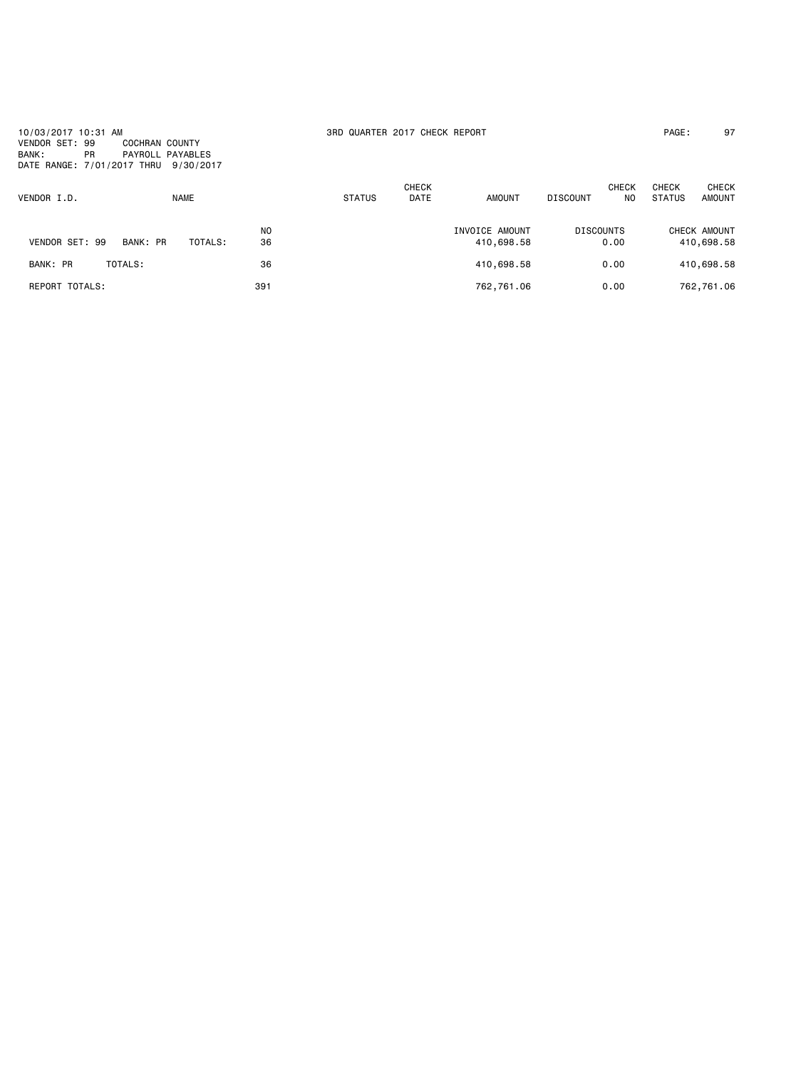10/03/2017 10:31 AM 3RD QUARTER 2017 CHECK REPORT PAGE: 97 VENDOR SET: 99 COCHRAN COUNTY BANK: PR PAYROLL PAYABLES DATE RANGE: 7/01/2017 THRU 9/30/2017

| VENDOR I.D.           |          | <b>NAME</b> |                      | <b>STATUS</b> | <b>CHECK</b><br><b>DATE</b> | <b>AMOUNT</b>                | <b>DISCOUNT</b>          | <b>CHECK</b><br>NO | <b>CHECK</b><br><b>STATUS</b> | <b>CHECK</b><br><b>AMOUNT</b> |
|-----------------------|----------|-------------|----------------------|---------------|-----------------------------|------------------------------|--------------------------|--------------------|-------------------------------|-------------------------------|
| VENDOR SET: 99        | BANK: PR | TOTALS:     | N <sub>O</sub><br>36 |               |                             | INVOICE AMOUNT<br>410,698.58 | <b>DISCOUNTS</b><br>0.00 |                    |                               | CHECK AMOUNT<br>410,698.58    |
| BANK: PR              | TOTALS:  |             | 36                   |               |                             | 410,698.58                   | 0.00                     |                    |                               | 410,698.58                    |
| <b>REPORT TOTALS:</b> |          |             | 391                  |               |                             | 762,761.06                   | 0.00                     |                    |                               | 762,761.06                    |